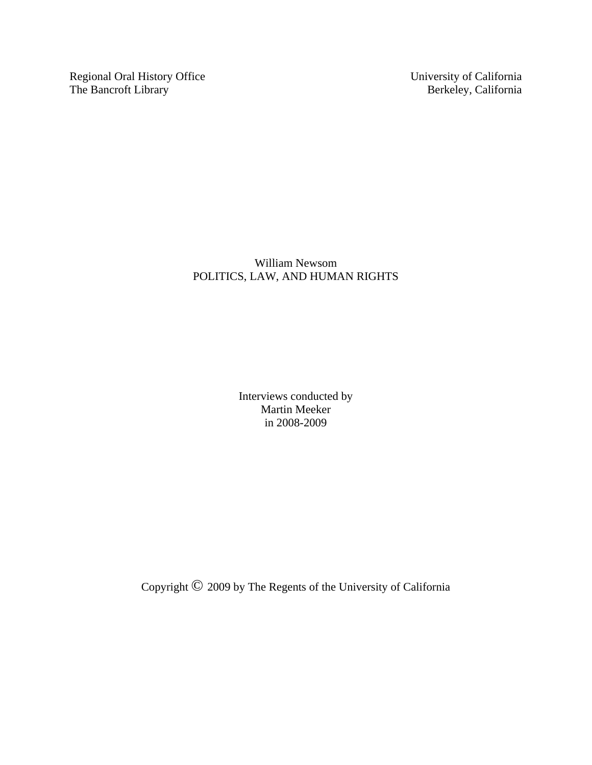Regional Oral History Office University of California<br>The Bancroft Library Berkeley, California The Bancroft Library

William Newsom POLITICS, LAW, AND HUMAN RIGHTS

> Interviews conducted by Martin Meeker in 2008-2009

Copyright © 2009 by The Regents of the University of California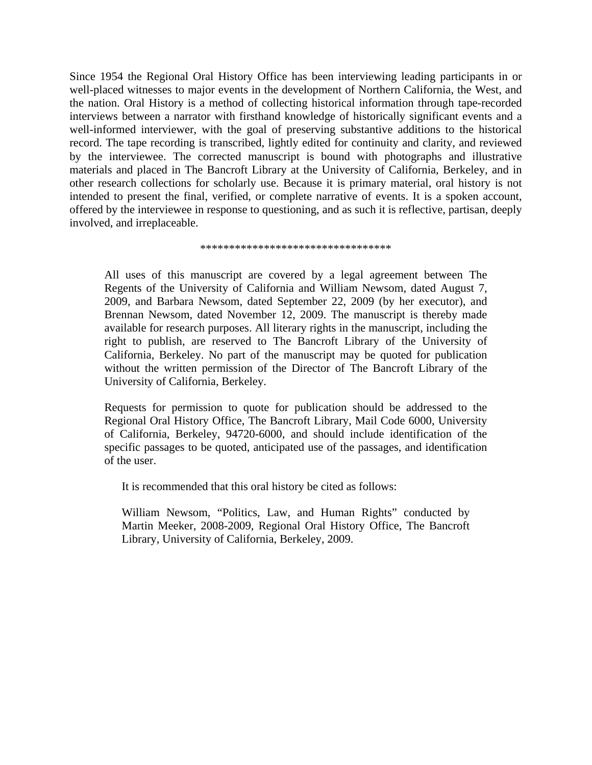Since 1954 the Regional Oral History Office has been interviewing leading participants in or well-placed witnesses to major events in the development of Northern California, the West, and the nation. Oral History is a method of collecting historical information through tape-recorded interviews between a narrator with firsthand knowledge of historically significant events and a well-informed interviewer, with the goal of preserving substantive additions to the historical record. The tape recording is transcribed, lightly edited for continuity and clarity, and reviewed by the interviewee. The corrected manuscript is bound with photographs and illustrative materials and placed in The Bancroft Library at the University of California, Berkeley, and in other research collections for scholarly use. Because it is primary material, oral history is not intended to present the final, verified, or complete narrative of events. It is a spoken account, offered by the interviewee in response to questioning, and as such it is reflective, partisan, deeply involved, and irreplaceable.

\*\*\*\*\*\*\*\*\*\*\*\*\*\*\*\*\*\*\*\*\*\*\*\*\*\*\*\*\*\*\*\*\*

All uses of this manuscript are covered by a legal agreement between The Regents of the University of California and William Newsom, dated August 7, 2009, and Barbara Newsom, dated September 22, 2009 (by her executor), and Brennan Newsom, dated November 12, 2009. The manuscript is thereby made available for research purposes. All literary rights in the manuscript, including the right to publish, are reserved to The Bancroft Library of the University of California, Berkeley. No part of the manuscript may be quoted for publication without the written permission of the Director of The Bancroft Library of the University of California, Berkeley.

Requests for permission to quote for publication should be addressed to the Regional Oral History Office, The Bancroft Library, Mail Code 6000, University of California, Berkeley, 94720-6000, and should include identification of the specific passages to be quoted, anticipated use of the passages, and identification of the user.

It is recommended that this oral history be cited as follows:

William Newsom, "Politics, Law, and Human Rights" conducted by Martin Meeker, 2008-2009, Regional Oral History Office, The Bancroft Library, University of California, Berkeley, 2009.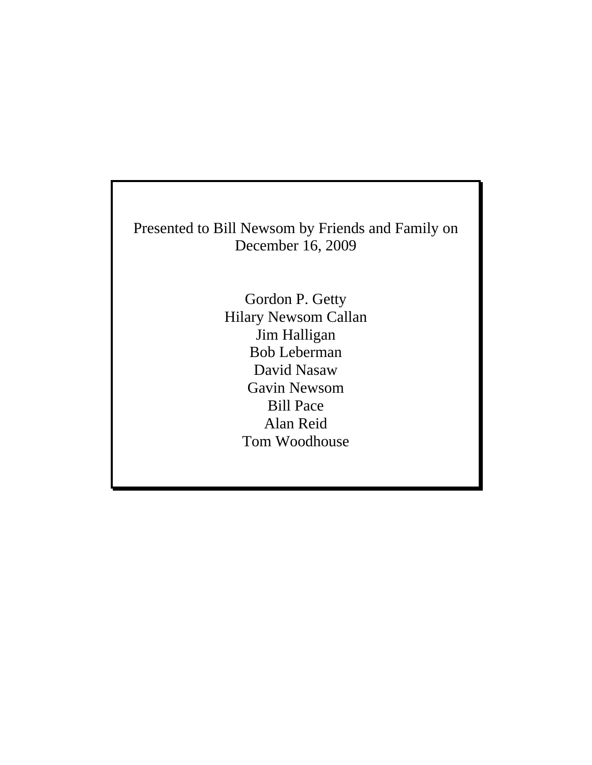Presented to Bill Newsom by Friends and Family on December 16, 2009

> Gordon P. Getty Hilary Newsom Callan Jim Halligan Bob Leberman David Nasaw Gavin Newsom Bill Pace Alan Reid Tom Woodhouse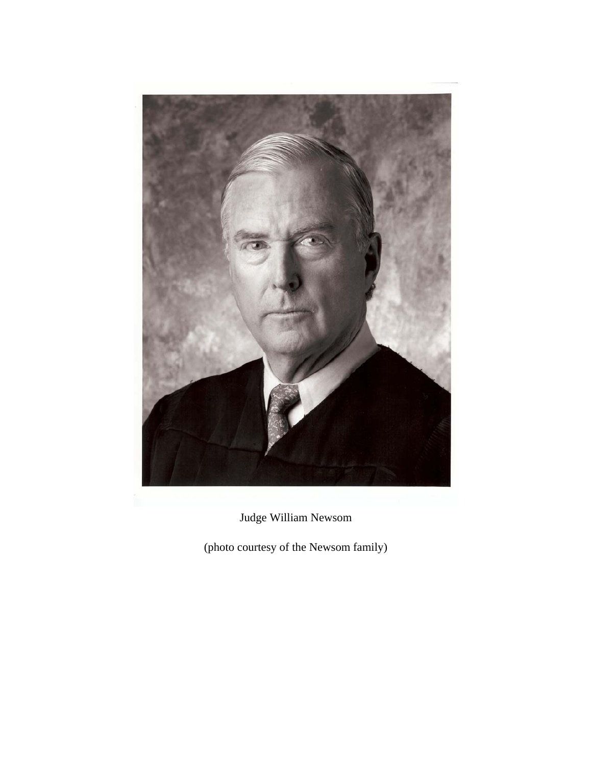

Judge William Newsom

(photo courtesy of the Newsom family)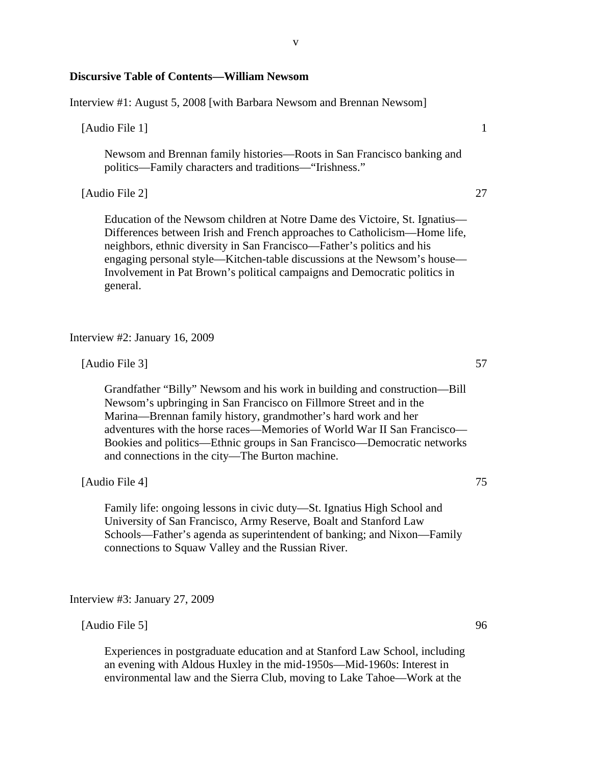## **Discursive Table of Contents—William Newsom**

Interview #1: August 5, 2008 [with Barbara Newsom and Brennan Newsom]

[Audio File 1] 1

Newsom and Brennan family histories—Roots in San Francisco banking and politics—Family characters and traditions—"Irishness."

[Audio File 2] 27

Education of the Newsom children at Notre Dame des Victoire, St. Ignatius— Differences between Irish and French approaches to Catholicism—Home life, neighbors, ethnic diversity in San Francisco—Father's politics and his engaging personal style—Kitchen-table discussions at the Newsom's house— Involvement in Pat Brown's political campaigns and Democratic politics in general.

Interview #2: January 16, 2009

[Audio File 3] 57

Grandfather "Billy" Newsom and his work in building and construction—Bill Newsom's upbringing in San Francisco on Fillmore Street and in the Marina—Brennan family history, grandmother's hard work and her adventures with the horse races—Memories of World War II San Francisco— Bookies and politics—Ethnic groups in San Francisco—Democratic networks and connections in the city—The Burton machine.

[Audio File 4] 75

Family life: ongoing lessons in civic duty—St. Ignatius High School and University of San Francisco, Army Reserve, Boalt and Stanford Law Schools—Father's agenda as superintendent of banking; and Nixon—Family connections to Squaw Valley and the Russian River.

Interview #3: January 27, 2009

[Audio File 5] 96

Experiences in postgraduate education and at Stanford Law School, including an evening with Aldous Huxley in the mid-1950s—Mid-1960s: Interest in environmental law and the Sierra Club, moving to Lake Tahoe—Work at the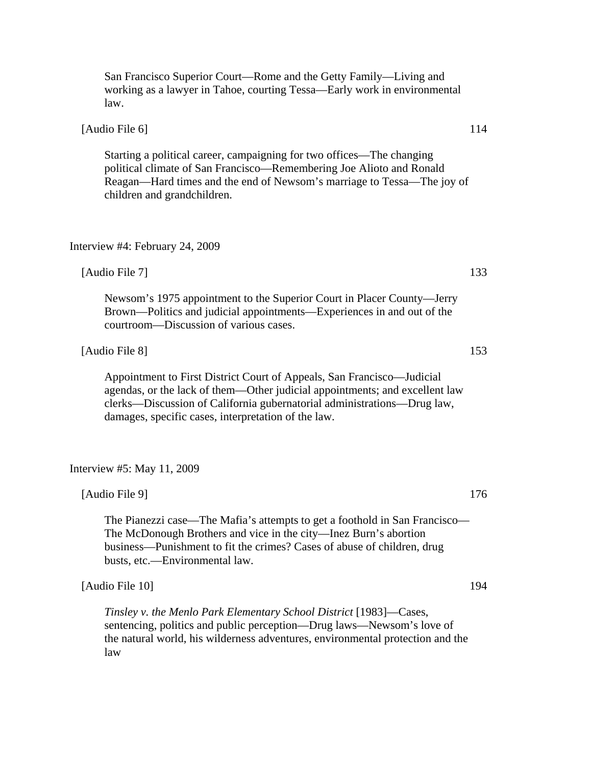San Francisco Superior Court—Rome and the Getty Family—Living and working as a lawyer in Tahoe, courting Tessa—Early work in environmental law.

[Audio File 6] 114

Starting a political career, campaigning for two offices—The changing political climate of San Francisco—Remembering Joe Alioto and Ronald Reagan—Hard times and the end of Newsom's marriage to Tessa—The joy of children and grandchildren.

Interview #4: February 24, 2009

[Audio File 7] 133

Newsom's 1975 appointment to the Superior Court in Placer County—Jerry Brown—Politics and judicial appointments—Experiences in and out of the courtroom—Discussion of various cases.

[Audio File 8] 153

Appointment to First District Court of Appeals, San Francisco—Judicial agendas, or the lack of them—Other judicial appointments; and excellent law clerks—Discussion of California gubernatorial administrations—Drug law, damages, specific cases, interpretation of the law.

Interview #5: May 11, 2009

[Audio File 9] 176

The Pianezzi case—The Mafia's attempts to get a foothold in San Francisco— The McDonough Brothers and vice in the city—Inez Burn's abortion business—Punishment to fit the crimes? Cases of abuse of children, drug busts, etc.—Environmental law.

[Audio File 10] 194

*Tinsley v. the Menlo Park Elementary School District* [1983]—Cases, sentencing, politics and public perception—Drug laws—Newsom's love of the natural world, his wilderness adventures, environmental protection and the law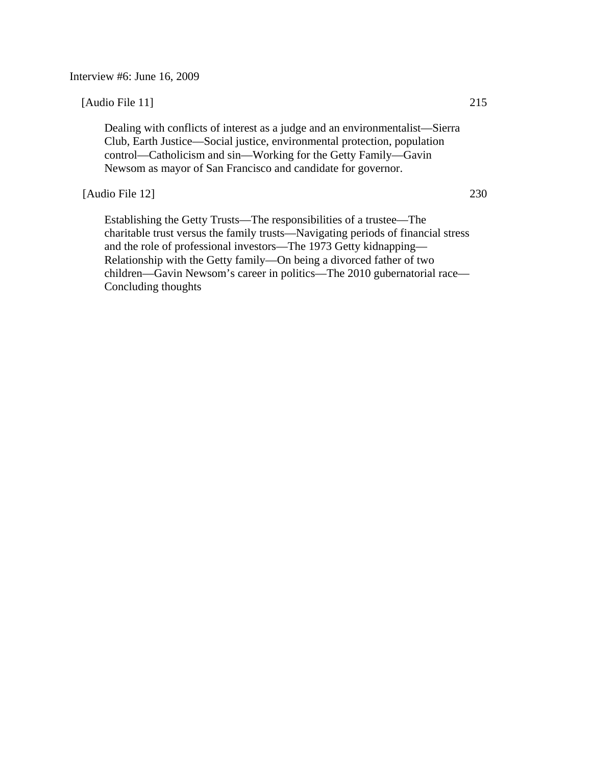Interview #6: June 16, 2009

## [Audio File 11] 215

Dealing with conflicts of interest as a judge and an environmentalist—Sierra Club, Earth Justice—Social justice, environmental protection, population control—Catholicism and sin—Working for the Getty Family—Gavin Newsom as mayor of San Francisco and candidate for governor.

## [Audio File 12] 230

Establishing the Getty Trusts—The responsibilities of a trustee—The charitable trust versus the family trusts—Navigating periods of financial stress and the role of professional investors—The 1973 Getty kidnapping— Relationship with the Getty family—On being a divorced father of two children—Gavin Newsom's career in politics—The 2010 gubernatorial race— Concluding thoughts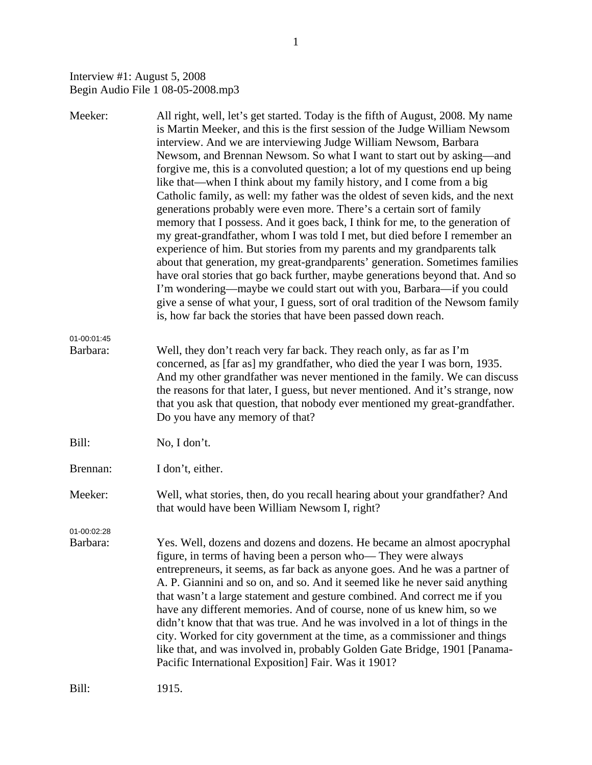Interview #1: August 5, 2008 Begin Audio File 1 08-05-2008.mp3

| Meeker:                 | All right, well, let's get started. Today is the fifth of August, 2008. My name<br>is Martin Meeker, and this is the first session of the Judge William Newsom<br>interview. And we are interviewing Judge William Newsom, Barbara<br>Newsom, and Brennan Newsom. So what I want to start out by asking—and<br>forgive me, this is a convoluted question; a lot of my questions end up being<br>like that—when I think about my family history, and I come from a big<br>Catholic family, as well: my father was the oldest of seven kids, and the next<br>generations probably were even more. There's a certain sort of family<br>memory that I possess. And it goes back, I think for me, to the generation of<br>my great-grandfather, whom I was told I met, but died before I remember an<br>experience of him. But stories from my parents and my grandparents talk<br>about that generation, my great-grandparents' generation. Sometimes families<br>have oral stories that go back further, maybe generations beyond that. And so<br>I'm wondering—maybe we could start out with you, Barbara—if you could<br>give a sense of what your, I guess, sort of oral tradition of the Newsom family<br>is, how far back the stories that have been passed down reach. |
|-------------------------|---------------------------------------------------------------------------------------------------------------------------------------------------------------------------------------------------------------------------------------------------------------------------------------------------------------------------------------------------------------------------------------------------------------------------------------------------------------------------------------------------------------------------------------------------------------------------------------------------------------------------------------------------------------------------------------------------------------------------------------------------------------------------------------------------------------------------------------------------------------------------------------------------------------------------------------------------------------------------------------------------------------------------------------------------------------------------------------------------------------------------------------------------------------------------------------------------------------------------------------------------------------------------|
| 01-00:01:45<br>Barbara: | Well, they don't reach very far back. They reach only, as far as I'm<br>concerned, as [far as] my grandfather, who died the year I was born, 1935.<br>And my other grandfather was never mentioned in the family. We can discuss<br>the reasons for that later, I guess, but never mentioned. And it's strange, now<br>that you ask that question, that nobody ever mentioned my great-grandfather.<br>Do you have any memory of that?                                                                                                                                                                                                                                                                                                                                                                                                                                                                                                                                                                                                                                                                                                                                                                                                                                    |
| Bill:                   | No, I don't.                                                                                                                                                                                                                                                                                                                                                                                                                                                                                                                                                                                                                                                                                                                                                                                                                                                                                                                                                                                                                                                                                                                                                                                                                                                              |
| Brennan:                | I don't, either.                                                                                                                                                                                                                                                                                                                                                                                                                                                                                                                                                                                                                                                                                                                                                                                                                                                                                                                                                                                                                                                                                                                                                                                                                                                          |
| Meeker:                 | Well, what stories, then, do you recall hearing about your grandfather? And<br>that would have been William Newsom I, right?                                                                                                                                                                                                                                                                                                                                                                                                                                                                                                                                                                                                                                                                                                                                                                                                                                                                                                                                                                                                                                                                                                                                              |
| 01-00:02:28<br>Barbara: | Yes. Well, dozens and dozens and dozens. He became an almost apocryphal<br>figure, in terms of having been a person who-They were always<br>entrepreneurs, it seems, as far back as anyone goes. And he was a partner of<br>A. P. Giannini and so on, and so. And it seemed like he never said anything<br>that wasn't a large statement and gesture combined. And correct me if you<br>have any different memories. And of course, none of us knew him, so we<br>didn't know that that was true. And he was involved in a lot of things in the<br>city. Worked for city government at the time, as a commissioner and things<br>like that, and was involved in, probably Golden Gate Bridge, 1901 [Panama-<br>Pacific International Exposition] Fair. Was it 1901?                                                                                                                                                                                                                                                                                                                                                                                                                                                                                                       |
| Bill:                   | 1915.                                                                                                                                                                                                                                                                                                                                                                                                                                                                                                                                                                                                                                                                                                                                                                                                                                                                                                                                                                                                                                                                                                                                                                                                                                                                     |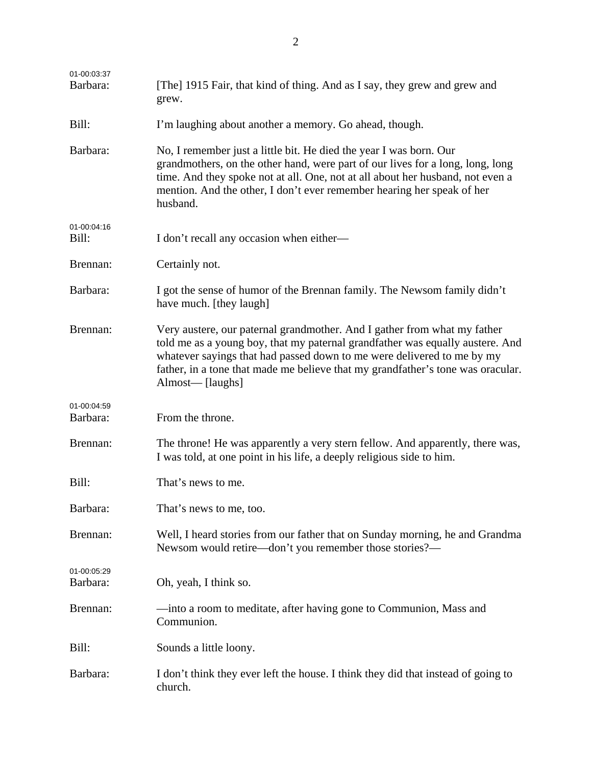| 01-00:03:37<br>Barbara: | [The] 1915 Fair, that kind of thing. And as I say, they grew and grew and<br>grew.                                                                                                                                                                                                                                                         |
|-------------------------|--------------------------------------------------------------------------------------------------------------------------------------------------------------------------------------------------------------------------------------------------------------------------------------------------------------------------------------------|
| Bill:                   | I'm laughing about another a memory. Go ahead, though.                                                                                                                                                                                                                                                                                     |
| Barbara:                | No, I remember just a little bit. He died the year I was born. Our<br>grandmothers, on the other hand, were part of our lives for a long, long, long<br>time. And they spoke not at all. One, not at all about her husband, not even a<br>mention. And the other, I don't ever remember hearing her speak of her<br>husband.               |
| 01-00:04:16<br>Bill:    | I don't recall any occasion when either—                                                                                                                                                                                                                                                                                                   |
| Brennan:                | Certainly not.                                                                                                                                                                                                                                                                                                                             |
| Barbara:                | I got the sense of humor of the Brennan family. The Newsom family didn't<br>have much. [they laugh]                                                                                                                                                                                                                                        |
| Brennan:                | Very austere, our paternal grandmother. And I gather from what my father<br>told me as a young boy, that my paternal grandfather was equally austere. And<br>whatever sayings that had passed down to me were delivered to me by my<br>father, in a tone that made me believe that my grandfather's tone was oracular.<br>Almost— [laughs] |
| 01-00:04:59<br>Barbara: | From the throne.                                                                                                                                                                                                                                                                                                                           |
| Brennan:                | The throne! He was apparently a very stern fellow. And apparently, there was,<br>I was told, at one point in his life, a deeply religious side to him.                                                                                                                                                                                     |
| Bill:                   | That's news to me.                                                                                                                                                                                                                                                                                                                         |
| Barbara:                | That's news to me, too.                                                                                                                                                                                                                                                                                                                    |
| Brennan:                | Well, I heard stories from our father that on Sunday morning, he and Grandma<br>Newsom would retire—don't you remember those stories?—                                                                                                                                                                                                     |
| 01-00:05:29<br>Barbara: | Oh, yeah, I think so.                                                                                                                                                                                                                                                                                                                      |
| Brennan:                | —into a room to meditate, after having gone to Communion, Mass and<br>Communion.                                                                                                                                                                                                                                                           |
| Bill:                   | Sounds a little loony.                                                                                                                                                                                                                                                                                                                     |
| Barbara:                | I don't think they ever left the house. I think they did that instead of going to<br>church.                                                                                                                                                                                                                                               |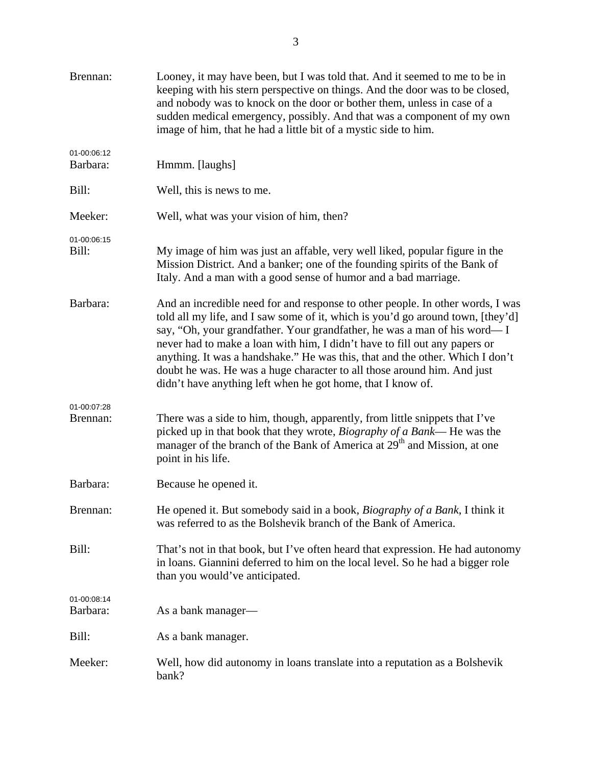| Brennan:                | Looney, it may have been, but I was told that. And it seemed to me to be in<br>keeping with his stern perspective on things. And the door was to be closed,<br>and nobody was to knock on the door or bother them, unless in case of a<br>sudden medical emergency, possibly. And that was a component of my own<br>image of him, that he had a little bit of a mystic side to him.                                                                                                                                                                    |
|-------------------------|--------------------------------------------------------------------------------------------------------------------------------------------------------------------------------------------------------------------------------------------------------------------------------------------------------------------------------------------------------------------------------------------------------------------------------------------------------------------------------------------------------------------------------------------------------|
| 01-00:06:12<br>Barbara: | Hmmm. [laughs]                                                                                                                                                                                                                                                                                                                                                                                                                                                                                                                                         |
| Bill:                   | Well, this is news to me.                                                                                                                                                                                                                                                                                                                                                                                                                                                                                                                              |
| Meeker:                 | Well, what was your vision of him, then?                                                                                                                                                                                                                                                                                                                                                                                                                                                                                                               |
| 01-00:06:15<br>Bill:    | My image of him was just an affable, very well liked, popular figure in the<br>Mission District. And a banker; one of the founding spirits of the Bank of<br>Italy. And a man with a good sense of humor and a bad marriage.                                                                                                                                                                                                                                                                                                                           |
| Barbara:                | And an incredible need for and response to other people. In other words, I was<br>told all my life, and I saw some of it, which is you'd go around town, [they'd]<br>say, "Oh, your grandfather. Your grandfather, he was a man of his word—I<br>never had to make a loan with him, I didn't have to fill out any papers or<br>anything. It was a handshake." He was this, that and the other. Which I don't<br>doubt he was. He was a huge character to all those around him. And just<br>didn't have anything left when he got home, that I know of. |
| 01-00:07:28<br>Brennan: | There was a side to him, though, apparently, from little snippets that I've<br>picked up in that book that they wrote, <i>Biography of a Bank</i> — He was the<br>manager of the branch of the Bank of America at 29 <sup>th</sup> and Mission, at one<br>point in his life.                                                                                                                                                                                                                                                                           |
| Barbara:                | Because he opened it.                                                                                                                                                                                                                                                                                                                                                                                                                                                                                                                                  |
| Brennan:                | He opened it. But somebody said in a book, <i>Biography of a Bank</i> , I think it<br>was referred to as the Bolshevik branch of the Bank of America.                                                                                                                                                                                                                                                                                                                                                                                                  |
| Bill:                   | That's not in that book, but I've often heard that expression. He had autonomy<br>in loans. Giannini deferred to him on the local level. So he had a bigger role<br>than you would've anticipated.                                                                                                                                                                                                                                                                                                                                                     |
| 01-00:08:14<br>Barbara: | As a bank manager-                                                                                                                                                                                                                                                                                                                                                                                                                                                                                                                                     |
| Bill:                   | As a bank manager.                                                                                                                                                                                                                                                                                                                                                                                                                                                                                                                                     |
| Meeker:                 | Well, how did autonomy in loans translate into a reputation as a Bolshevik<br>bank?                                                                                                                                                                                                                                                                                                                                                                                                                                                                    |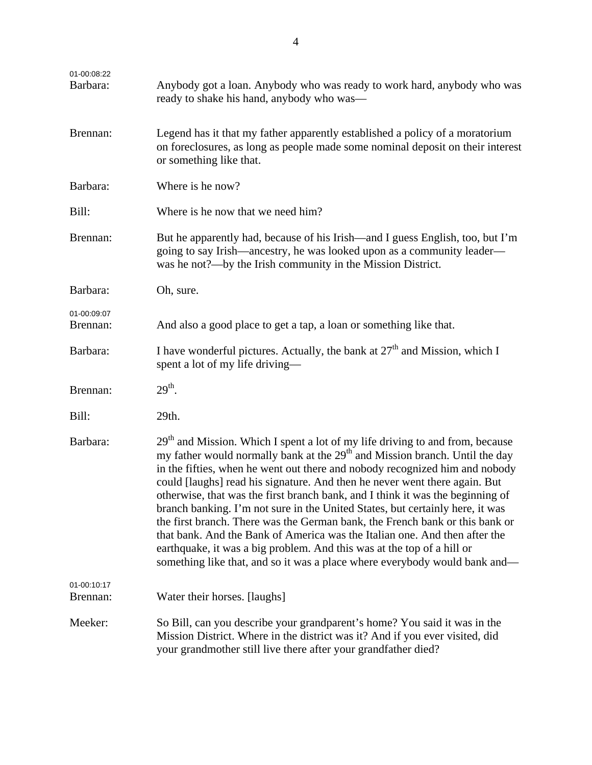| 01-00:08:22<br>Barbara: | Anybody got a loan. Anybody who was ready to work hard, anybody who was<br>ready to shake his hand, anybody who was—                                                                                                                                                                                                                                                                                                                                                                                                                                                                                                                                                                                                                                                                                                                       |
|-------------------------|--------------------------------------------------------------------------------------------------------------------------------------------------------------------------------------------------------------------------------------------------------------------------------------------------------------------------------------------------------------------------------------------------------------------------------------------------------------------------------------------------------------------------------------------------------------------------------------------------------------------------------------------------------------------------------------------------------------------------------------------------------------------------------------------------------------------------------------------|
| Brennan:                | Legend has it that my father apparently established a policy of a moratorium<br>on foreclosures, as long as people made some nominal deposit on their interest<br>or something like that.                                                                                                                                                                                                                                                                                                                                                                                                                                                                                                                                                                                                                                                  |
| Barbara:                | Where is he now?                                                                                                                                                                                                                                                                                                                                                                                                                                                                                                                                                                                                                                                                                                                                                                                                                           |
| Bill:                   | Where is he now that we need him?                                                                                                                                                                                                                                                                                                                                                                                                                                                                                                                                                                                                                                                                                                                                                                                                          |
| Brennan:                | But he apparently had, because of his Irish—and I guess English, too, but I'm<br>going to say Irish—ancestry, he was looked upon as a community leader—<br>was he not?—by the Irish community in the Mission District.                                                                                                                                                                                                                                                                                                                                                                                                                                                                                                                                                                                                                     |
| Barbara:                | Oh, sure.                                                                                                                                                                                                                                                                                                                                                                                                                                                                                                                                                                                                                                                                                                                                                                                                                                  |
| 01-00:09:07<br>Brennan: | And also a good place to get a tap, a loan or something like that.                                                                                                                                                                                                                                                                                                                                                                                                                                                                                                                                                                                                                                                                                                                                                                         |
| Barbara:                | I have wonderful pictures. Actually, the bank at $27th$ and Mission, which I<br>spent a lot of my life driving—                                                                                                                                                                                                                                                                                                                                                                                                                                                                                                                                                                                                                                                                                                                            |
| Brennan:                | $29th$ .                                                                                                                                                                                                                                                                                                                                                                                                                                                                                                                                                                                                                                                                                                                                                                                                                                   |
| Bill:                   | 29th.                                                                                                                                                                                                                                                                                                                                                                                                                                                                                                                                                                                                                                                                                                                                                                                                                                      |
| Barbara:                | 29 <sup>th</sup> and Mission. Which I spent a lot of my life driving to and from, because<br>my father would normally bank at the 29 <sup>th</sup> and Mission branch. Until the day<br>in the fifties, when he went out there and nobody recognized him and nobody<br>could [laughs] read his signature. And then he never went there again. But<br>otherwise, that was the first branch bank, and I think it was the beginning of<br>branch banking. I'm not sure in the United States, but certainly here, it was<br>the first branch. There was the German bank, the French bank or this bank or<br>that bank. And the Bank of America was the Italian one. And then after the<br>earthquake, it was a big problem. And this was at the top of a hill or<br>something like that, and so it was a place where everybody would bank and— |
| 01-00:10:17<br>Brennan: | Water their horses. [laughs]                                                                                                                                                                                                                                                                                                                                                                                                                                                                                                                                                                                                                                                                                                                                                                                                               |
| Meeker:                 | So Bill, can you describe your grandparent's home? You said it was in the<br>Mission District. Where in the district was it? And if you ever visited, did<br>your grandmother still live there after your grandfather died?                                                                                                                                                                                                                                                                                                                                                                                                                                                                                                                                                                                                                |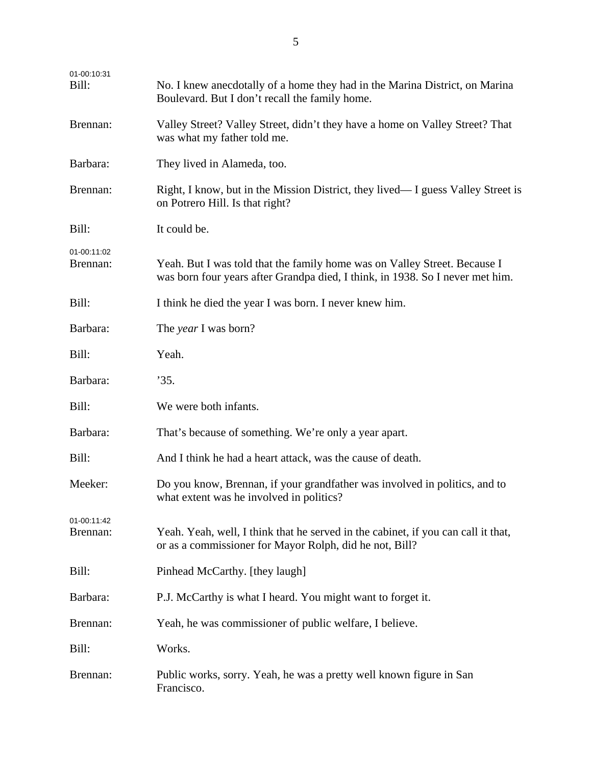| 01-00:10:31<br>Bill:    | No. I knew anecdotally of a home they had in the Marina District, on Marina<br>Boulevard. But I don't recall the family home.                              |
|-------------------------|------------------------------------------------------------------------------------------------------------------------------------------------------------|
| Brennan:                | Valley Street? Valley Street, didn't they have a home on Valley Street? That<br>was what my father told me.                                                |
| Barbara:                | They lived in Alameda, too.                                                                                                                                |
| Brennan:                | Right, I know, but in the Mission District, they lived—I guess Valley Street is<br>on Potrero Hill. Is that right?                                         |
| Bill:                   | It could be.                                                                                                                                               |
| 01-00:11:02<br>Brennan: | Yeah. But I was told that the family home was on Valley Street. Because I<br>was born four years after Grandpa died, I think, in 1938. So I never met him. |
| Bill:                   | I think he died the year I was born. I never knew him.                                                                                                     |
| Barbara:                | The year I was born?                                                                                                                                       |
| Bill:                   | Yeah.                                                                                                                                                      |
| Barbara:                | 35.                                                                                                                                                        |
| Bill:                   | We were both infants.                                                                                                                                      |
| Barbara:                | That's because of something. We're only a year apart.                                                                                                      |
| Bill:                   | And I think he had a heart attack, was the cause of death.                                                                                                 |
| Meeker:                 | Do you know, Brennan, if your grandfather was involved in politics, and to<br>what extent was he involved in politics?                                     |
| 01-00:11:42<br>Brennan: | Yeah. Yeah, well, I think that he served in the cabinet, if you can call it that,<br>or as a commissioner for Mayor Rolph, did he not, Bill?               |
| Bill:                   | Pinhead McCarthy. [they laugh]                                                                                                                             |
| Barbara:                | P.J. McCarthy is what I heard. You might want to forget it.                                                                                                |
| Brennan:                | Yeah, he was commissioner of public welfare, I believe.                                                                                                    |
| Bill:                   | Works.                                                                                                                                                     |
| Brennan:                | Public works, sorry. Yeah, he was a pretty well known figure in San<br>Francisco.                                                                          |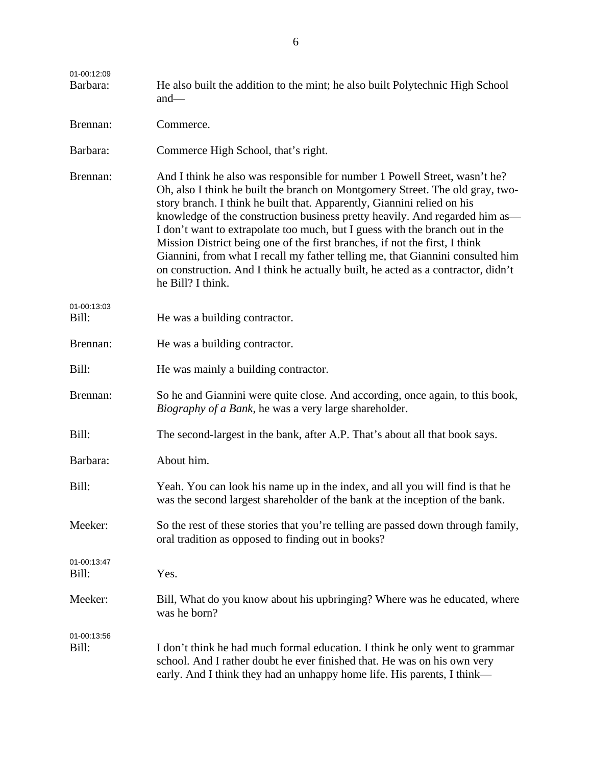| 01-00:12:09<br>Barbara: | He also built the addition to the mint; he also built Polytechnic High School<br>$and$ —                                                                                                                                                                                                                                                                                                                                                                                                                                                                                                                                                                                        |
|-------------------------|---------------------------------------------------------------------------------------------------------------------------------------------------------------------------------------------------------------------------------------------------------------------------------------------------------------------------------------------------------------------------------------------------------------------------------------------------------------------------------------------------------------------------------------------------------------------------------------------------------------------------------------------------------------------------------|
| Brennan:                | Commerce.                                                                                                                                                                                                                                                                                                                                                                                                                                                                                                                                                                                                                                                                       |
| Barbara:                | Commerce High School, that's right.                                                                                                                                                                                                                                                                                                                                                                                                                                                                                                                                                                                                                                             |
| Brennan:                | And I think he also was responsible for number 1 Powell Street, wasn't he?<br>Oh, also I think he built the branch on Montgomery Street. The old gray, two-<br>story branch. I think he built that. Apparently, Giannini relied on his<br>knowledge of the construction business pretty heavily. And regarded him as—<br>I don't want to extrapolate too much, but I guess with the branch out in the<br>Mission District being one of the first branches, if not the first, I think<br>Giannini, from what I recall my father telling me, that Giannini consulted him<br>on construction. And I think he actually built, he acted as a contractor, didn't<br>he Bill? I think. |
| 01-00:13:03<br>Bill:    | He was a building contractor.                                                                                                                                                                                                                                                                                                                                                                                                                                                                                                                                                                                                                                                   |
| Brennan:                | He was a building contractor.                                                                                                                                                                                                                                                                                                                                                                                                                                                                                                                                                                                                                                                   |
| Bill:                   | He was mainly a building contractor.                                                                                                                                                                                                                                                                                                                                                                                                                                                                                                                                                                                                                                            |
| Brennan:                | So he and Giannini were quite close. And according, once again, to this book,<br><i>Biography of a Bank</i> , he was a very large shareholder.                                                                                                                                                                                                                                                                                                                                                                                                                                                                                                                                  |
| Bill:                   | The second-largest in the bank, after A.P. That's about all that book says.                                                                                                                                                                                                                                                                                                                                                                                                                                                                                                                                                                                                     |
| Barbara:                | About him.                                                                                                                                                                                                                                                                                                                                                                                                                                                                                                                                                                                                                                                                      |
| Bill:                   | Yeah. You can look his name up in the index, and all you will find is that he<br>was the second largest shareholder of the bank at the inception of the bank.                                                                                                                                                                                                                                                                                                                                                                                                                                                                                                                   |
| Meeker:                 | So the rest of these stories that you're telling are passed down through family,<br>oral tradition as opposed to finding out in books?                                                                                                                                                                                                                                                                                                                                                                                                                                                                                                                                          |
| 01-00:13:47<br>Bill:    | Yes.                                                                                                                                                                                                                                                                                                                                                                                                                                                                                                                                                                                                                                                                            |
| Meeker:                 | Bill, What do you know about his upbringing? Where was he educated, where<br>was he born?                                                                                                                                                                                                                                                                                                                                                                                                                                                                                                                                                                                       |
| 01-00:13:56<br>Bill:    | I don't think he had much formal education. I think he only went to grammar<br>school. And I rather doubt he ever finished that. He was on his own very<br>early. And I think they had an unhappy home life. His parents, I think—                                                                                                                                                                                                                                                                                                                                                                                                                                              |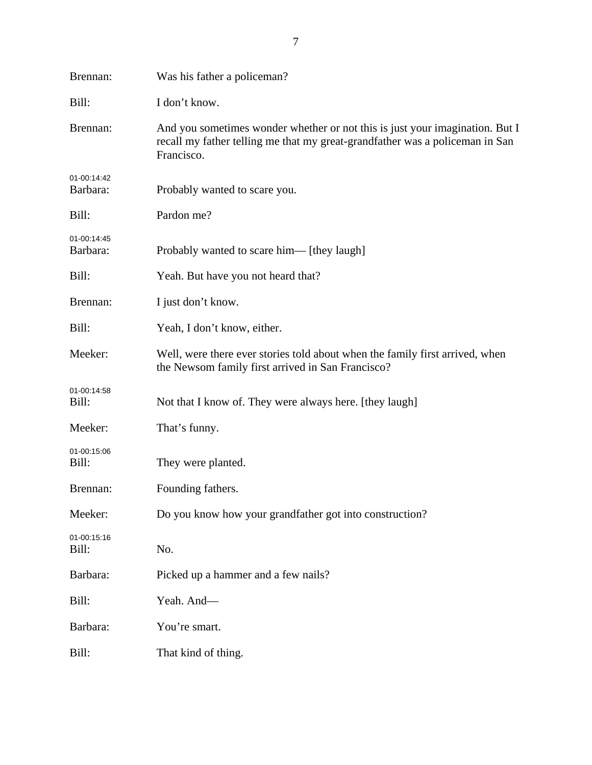| Brennan:                | Was his father a policeman?                                                                                                                                                |
|-------------------------|----------------------------------------------------------------------------------------------------------------------------------------------------------------------------|
| Bill:                   | I don't know.                                                                                                                                                              |
| Brennan:                | And you sometimes wonder whether or not this is just your imagination. But I<br>recall my father telling me that my great-grandfather was a policeman in San<br>Francisco. |
| 01-00:14:42<br>Barbara: | Probably wanted to scare you.                                                                                                                                              |
| Bill:                   | Pardon me?                                                                                                                                                                 |
| 01-00:14:45<br>Barbara: | Probably wanted to scare him— [they laugh]                                                                                                                                 |
| Bill:                   | Yeah. But have you not heard that?                                                                                                                                         |
| Brennan:                | I just don't know.                                                                                                                                                         |
| Bill:                   | Yeah, I don't know, either.                                                                                                                                                |
| Meeker:                 | Well, were there ever stories told about when the family first arrived, when<br>the Newsom family first arrived in San Francisco?                                          |
| 01-00:14:58<br>Bill:    | Not that I know of. They were always here. [they laugh]                                                                                                                    |
| Meeker:                 | That's funny.                                                                                                                                                              |
| 01-00:15:06<br>Bill:    | They were planted.                                                                                                                                                         |
| Brennan:                | Founding fathers.                                                                                                                                                          |
| Meeker:                 | Do you know how your grandfather got into construction?                                                                                                                    |
| 01-00:15:16<br>Bill:    | No.                                                                                                                                                                        |
| Barbara:                | Picked up a hammer and a few nails?                                                                                                                                        |
| Bill:                   | Yeah. And-                                                                                                                                                                 |
| Barbara:                | You're smart.                                                                                                                                                              |
| Bill:                   | That kind of thing.                                                                                                                                                        |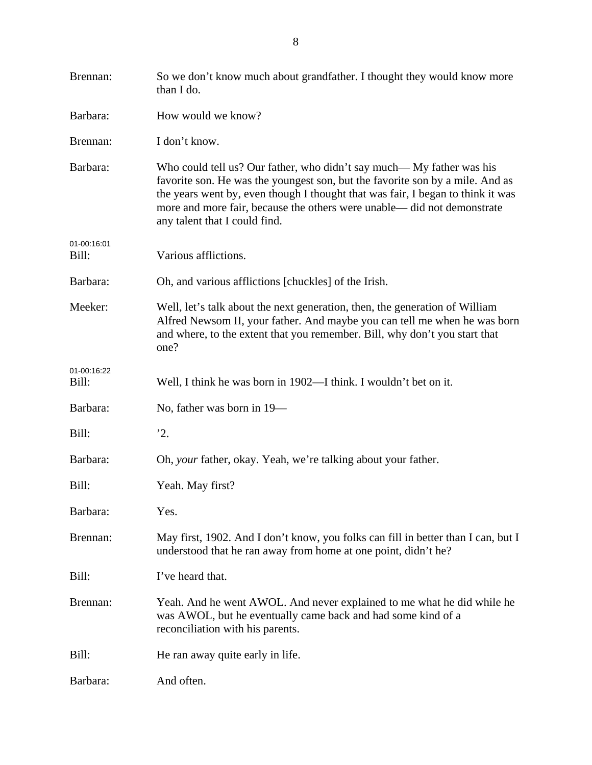| Brennan:             | So we don't know much about grandfather. I thought they would know more<br>than I do.                                                                                                                                                                                                                                                               |
|----------------------|-----------------------------------------------------------------------------------------------------------------------------------------------------------------------------------------------------------------------------------------------------------------------------------------------------------------------------------------------------|
| Barbara:             | How would we know?                                                                                                                                                                                                                                                                                                                                  |
| Brennan:             | I don't know.                                                                                                                                                                                                                                                                                                                                       |
| Barbara:             | Who could tell us? Our father, who didn't say much—My father was his<br>favorite son. He was the youngest son, but the favorite son by a mile. And as<br>the years went by, even though I thought that was fair, I began to think it was<br>more and more fair, because the others were unable—did not demonstrate<br>any talent that I could find. |
| 01-00:16:01<br>Bill: | Various afflictions.                                                                                                                                                                                                                                                                                                                                |
| Barbara:             | Oh, and various afflictions [chuckles] of the Irish.                                                                                                                                                                                                                                                                                                |
| Meeker:              | Well, let's talk about the next generation, then, the generation of William<br>Alfred Newsom II, your father. And maybe you can tell me when he was born<br>and where, to the extent that you remember. Bill, why don't you start that<br>one?                                                                                                      |
| 01-00:16:22<br>Bill: | Well, I think he was born in 1902—I think. I wouldn't bet on it.                                                                                                                                                                                                                                                                                    |
| Barbara:             | No, father was born in 19-                                                                                                                                                                                                                                                                                                                          |
| Bill:                | 2.                                                                                                                                                                                                                                                                                                                                                  |
| Barbara:             | Oh, your father, okay. Yeah, we're talking about your father.                                                                                                                                                                                                                                                                                       |
| Bill:                | Yeah. May first?                                                                                                                                                                                                                                                                                                                                    |
| Barbara:             | Yes.                                                                                                                                                                                                                                                                                                                                                |
| Brennan:             | May first, 1902. And I don't know, you folks can fill in better than I can, but I<br>understood that he ran away from home at one point, didn't he?                                                                                                                                                                                                 |
| Bill:                | I've heard that.                                                                                                                                                                                                                                                                                                                                    |
| Brennan:             | Yeah. And he went AWOL. And never explained to me what he did while he<br>was AWOL, but he eventually came back and had some kind of a<br>reconciliation with his parents.                                                                                                                                                                          |
| Bill:                | He ran away quite early in life.                                                                                                                                                                                                                                                                                                                    |
| Barbara:             | And often.                                                                                                                                                                                                                                                                                                                                          |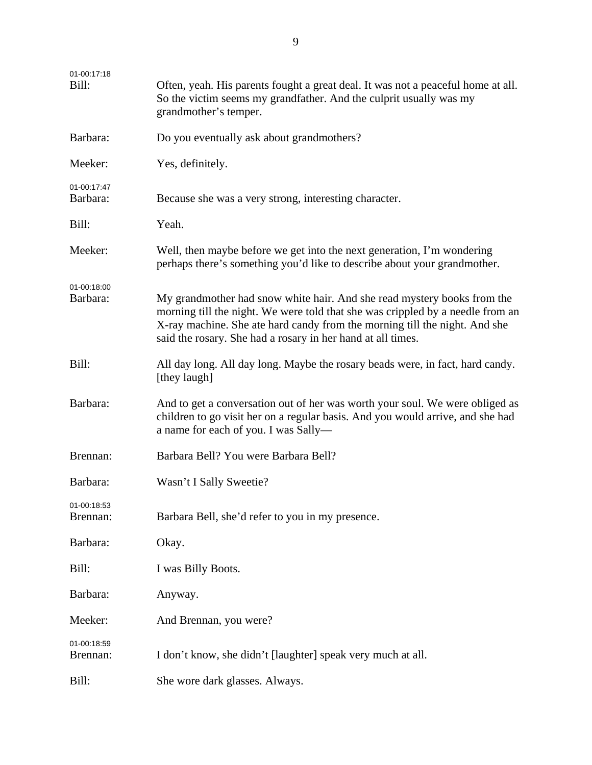| 01-00:17:18<br>Bill:    | Often, yeah. His parents fought a great deal. It was not a peaceful home at all.<br>So the victim seems my grandfather. And the culprit usually was my<br>grandmother's temper.                                                                                                                        |
|-------------------------|--------------------------------------------------------------------------------------------------------------------------------------------------------------------------------------------------------------------------------------------------------------------------------------------------------|
| Barbara:                | Do you eventually ask about grandmothers?                                                                                                                                                                                                                                                              |
| Meeker:                 | Yes, definitely.                                                                                                                                                                                                                                                                                       |
| 01-00:17:47<br>Barbara: | Because she was a very strong, interesting character.                                                                                                                                                                                                                                                  |
| Bill:                   | Yeah.                                                                                                                                                                                                                                                                                                  |
| Meeker:                 | Well, then maybe before we get into the next generation, I'm wondering<br>perhaps there's something you'd like to describe about your grandmother.                                                                                                                                                     |
| 01-00:18:00<br>Barbara: | My grandmother had snow white hair. And she read mystery books from the<br>morning till the night. We were told that she was crippled by a needle from an<br>X-ray machine. She ate hard candy from the morning till the night. And she<br>said the rosary. She had a rosary in her hand at all times. |
| Bill:                   | All day long. All day long. Maybe the rosary beads were, in fact, hard candy.<br>[they laugh]                                                                                                                                                                                                          |
| Barbara:                | And to get a conversation out of her was worth your soul. We were obliged as<br>children to go visit her on a regular basis. And you would arrive, and she had<br>a name for each of you. I was Sally-                                                                                                 |
| Brennan:                | Barbara Bell? You were Barbara Bell?                                                                                                                                                                                                                                                                   |
| Barbara:                | Wasn't I Sally Sweetie?                                                                                                                                                                                                                                                                                |
| 01-00:18:53<br>Brennan: | Barbara Bell, she'd refer to you in my presence.                                                                                                                                                                                                                                                       |
| Barbara:                | Okay.                                                                                                                                                                                                                                                                                                  |
| Bill:                   | I was Billy Boots.                                                                                                                                                                                                                                                                                     |
| Barbara:                | Anyway.                                                                                                                                                                                                                                                                                                |
| Meeker:                 | And Brennan, you were?                                                                                                                                                                                                                                                                                 |
| 01-00:18:59<br>Brennan: | I don't know, she didn't [laughter] speak very much at all.                                                                                                                                                                                                                                            |
| Bill:                   | She wore dark glasses. Always.                                                                                                                                                                                                                                                                         |
|                         |                                                                                                                                                                                                                                                                                                        |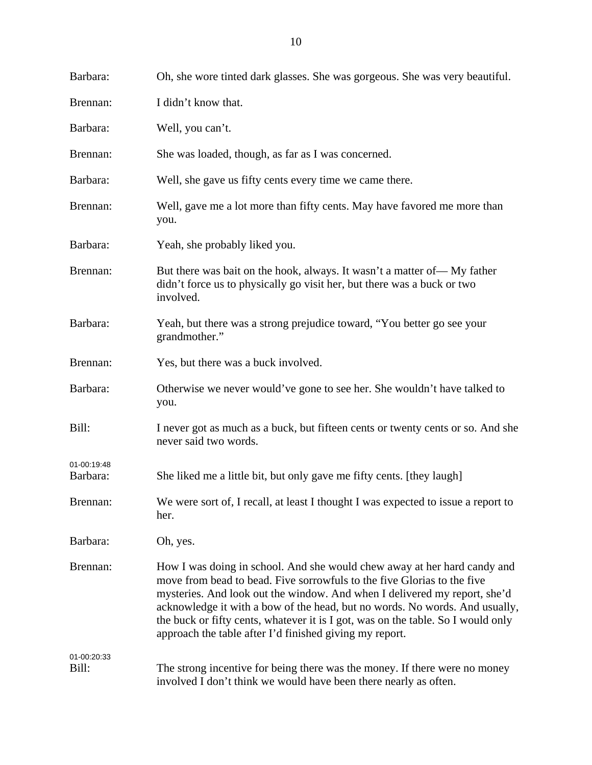| Barbara:                | Oh, she wore tinted dark glasses. She was gorgeous. She was very beautiful.                                                                                                                                                                                                                                                                                                                                                                                    |
|-------------------------|----------------------------------------------------------------------------------------------------------------------------------------------------------------------------------------------------------------------------------------------------------------------------------------------------------------------------------------------------------------------------------------------------------------------------------------------------------------|
| Brennan:                | I didn't know that.                                                                                                                                                                                                                                                                                                                                                                                                                                            |
| Barbara:                | Well, you can't.                                                                                                                                                                                                                                                                                                                                                                                                                                               |
| Brennan:                | She was loaded, though, as far as I was concerned.                                                                                                                                                                                                                                                                                                                                                                                                             |
| Barbara:                | Well, she gave us fifty cents every time we came there.                                                                                                                                                                                                                                                                                                                                                                                                        |
| Brennan:                | Well, gave me a lot more than fifty cents. May have favored me more than<br>you.                                                                                                                                                                                                                                                                                                                                                                               |
| Barbara:                | Yeah, she probably liked you.                                                                                                                                                                                                                                                                                                                                                                                                                                  |
| Brennan:                | But there was bait on the hook, always. It wasn't a matter of—My father<br>didn't force us to physically go visit her, but there was a buck or two<br>involved.                                                                                                                                                                                                                                                                                                |
| Barbara:                | Yeah, but there was a strong prejudice toward, "You better go see your<br>grandmother."                                                                                                                                                                                                                                                                                                                                                                        |
| Brennan:                | Yes, but there was a buck involved.                                                                                                                                                                                                                                                                                                                                                                                                                            |
| Barbara:                | Otherwise we never would've gone to see her. She wouldn't have talked to<br>you.                                                                                                                                                                                                                                                                                                                                                                               |
| Bill:                   | I never got as much as a buck, but fifteen cents or twenty cents or so. And she<br>never said two words.                                                                                                                                                                                                                                                                                                                                                       |
| 01-00:19:48<br>Barbara: | She liked me a little bit, but only gave me fifty cents. [they laugh]                                                                                                                                                                                                                                                                                                                                                                                          |
| Brennan:                | We were sort of, I recall, at least I thought I was expected to issue a report to<br>her.                                                                                                                                                                                                                                                                                                                                                                      |
| Barbara:                | Oh, yes.                                                                                                                                                                                                                                                                                                                                                                                                                                                       |
| Brennan:                | How I was doing in school. And she would chew away at her hard candy and<br>move from bead to bead. Five sorrowfuls to the five Glorias to the five<br>mysteries. And look out the window. And when I delivered my report, she'd<br>acknowledge it with a bow of the head, but no words. No words. And usually,<br>the buck or fifty cents, whatever it is I got, was on the table. So I would only<br>approach the table after I'd finished giving my report. |
| 01-00:20:33<br>Bill:    | The strong incentive for being there was the money. If there were no money<br>involved I don't think we would have been there nearly as often.                                                                                                                                                                                                                                                                                                                 |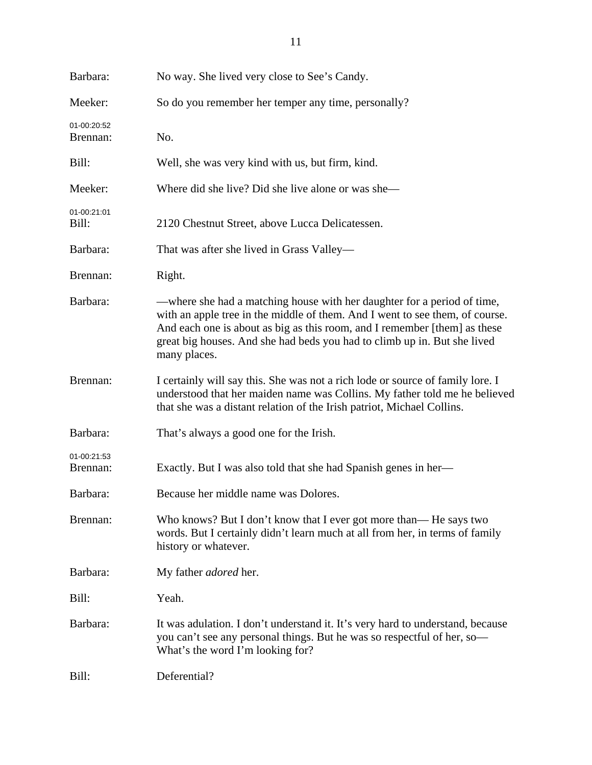| Barbara:                | No way. She lived very close to See's Candy.                                                                                                                                                                                                                                                                                     |
|-------------------------|----------------------------------------------------------------------------------------------------------------------------------------------------------------------------------------------------------------------------------------------------------------------------------------------------------------------------------|
| Meeker:                 | So do you remember her temper any time, personally?                                                                                                                                                                                                                                                                              |
| 01-00:20:52<br>Brennan: | No.                                                                                                                                                                                                                                                                                                                              |
| Bill:                   | Well, she was very kind with us, but firm, kind.                                                                                                                                                                                                                                                                                 |
| Meeker:                 | Where did she live? Did she live alone or was she—                                                                                                                                                                                                                                                                               |
| 01-00:21:01<br>Bill:    | 2120 Chestnut Street, above Lucca Delicatessen.                                                                                                                                                                                                                                                                                  |
| Barbara:                | That was after she lived in Grass Valley—                                                                                                                                                                                                                                                                                        |
| Brennan:                | Right.                                                                                                                                                                                                                                                                                                                           |
| Barbara:                | —where she had a matching house with her daughter for a period of time,<br>with an apple tree in the middle of them. And I went to see them, of course.<br>And each one is about as big as this room, and I remember [them] as these<br>great big houses. And she had beds you had to climb up in. But she lived<br>many places. |
| Brennan:                | I certainly will say this. She was not a rich lode or source of family lore. I<br>understood that her maiden name was Collins. My father told me he believed<br>that she was a distant relation of the Irish patriot, Michael Collins.                                                                                           |
| Barbara:                | That's always a good one for the Irish.                                                                                                                                                                                                                                                                                          |
| 01-00:21:53<br>Brennan: | Exactly. But I was also told that she had Spanish genes in her—                                                                                                                                                                                                                                                                  |
| Barbara:                | Because her middle name was Dolores.                                                                                                                                                                                                                                                                                             |
| Brennan:                | Who knows? But I don't know that I ever got more than—He says two<br>words. But I certainly didn't learn much at all from her, in terms of family<br>history or whatever.                                                                                                                                                        |
| Barbara:                | My father <i>adored</i> her.                                                                                                                                                                                                                                                                                                     |
| Bill:                   | Yeah.                                                                                                                                                                                                                                                                                                                            |
| Barbara:                | It was adulation. I don't understand it. It's very hard to understand, because<br>you can't see any personal things. But he was so respectful of her, so-<br>What's the word I'm looking for?                                                                                                                                    |
| Bill:                   | Deferential?                                                                                                                                                                                                                                                                                                                     |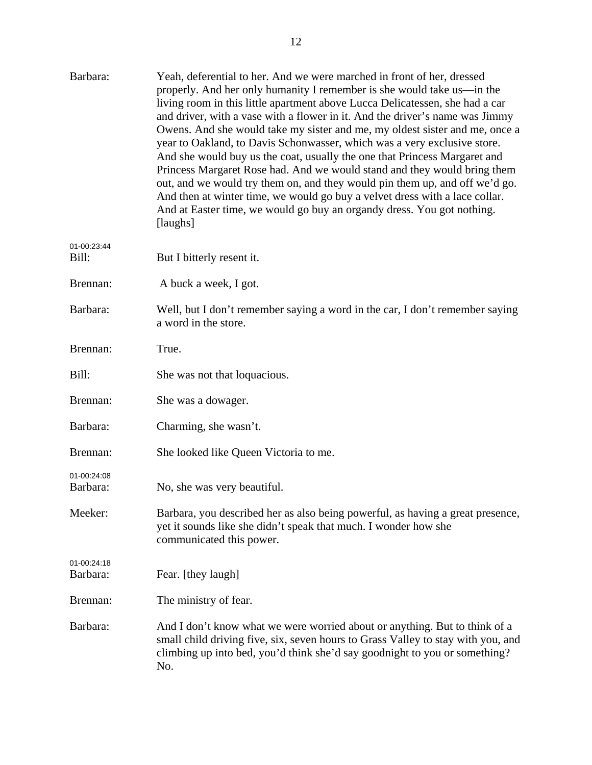| Barbara:                | Yeah, deferential to her. And we were marched in front of her, dressed<br>properly. And her only humanity I remember is she would take us—in the<br>living room in this little apartment above Lucca Delicatessen, she had a car<br>and driver, with a vase with a flower in it. And the driver's name was Jimmy<br>Owens. And she would take my sister and me, my oldest sister and me, once a<br>year to Oakland, to Davis Schonwasser, which was a very exclusive store.<br>And she would buy us the coat, usually the one that Princess Margaret and<br>Princess Margaret Rose had. And we would stand and they would bring them<br>out, and we would try them on, and they would pin them up, and off we'd go.<br>And then at winter time, we would go buy a velvet dress with a lace collar.<br>And at Easter time, we would go buy an organdy dress. You got nothing.<br>[laughs] |
|-------------------------|------------------------------------------------------------------------------------------------------------------------------------------------------------------------------------------------------------------------------------------------------------------------------------------------------------------------------------------------------------------------------------------------------------------------------------------------------------------------------------------------------------------------------------------------------------------------------------------------------------------------------------------------------------------------------------------------------------------------------------------------------------------------------------------------------------------------------------------------------------------------------------------|
| 01-00:23:44<br>Bill:    | But I bitterly resent it.                                                                                                                                                                                                                                                                                                                                                                                                                                                                                                                                                                                                                                                                                                                                                                                                                                                                |
| Brennan:                | A buck a week, I got.                                                                                                                                                                                                                                                                                                                                                                                                                                                                                                                                                                                                                                                                                                                                                                                                                                                                    |
| Barbara:                | Well, but I don't remember saying a word in the car, I don't remember saying<br>a word in the store.                                                                                                                                                                                                                                                                                                                                                                                                                                                                                                                                                                                                                                                                                                                                                                                     |
| Brennan:                | True.                                                                                                                                                                                                                                                                                                                                                                                                                                                                                                                                                                                                                                                                                                                                                                                                                                                                                    |
| Bill:                   | She was not that loquacious.                                                                                                                                                                                                                                                                                                                                                                                                                                                                                                                                                                                                                                                                                                                                                                                                                                                             |
| Brennan:                | She was a dowager.                                                                                                                                                                                                                                                                                                                                                                                                                                                                                                                                                                                                                                                                                                                                                                                                                                                                       |
| Barbara:                | Charming, she wasn't.                                                                                                                                                                                                                                                                                                                                                                                                                                                                                                                                                                                                                                                                                                                                                                                                                                                                    |
| Brennan:                | She looked like Queen Victoria to me.                                                                                                                                                                                                                                                                                                                                                                                                                                                                                                                                                                                                                                                                                                                                                                                                                                                    |
| 01-00:24:08<br>Barbara: | No, she was very beautiful.                                                                                                                                                                                                                                                                                                                                                                                                                                                                                                                                                                                                                                                                                                                                                                                                                                                              |
| Meeker:                 | Barbara, you described her as also being powerful, as having a great presence,<br>yet it sounds like she didn't speak that much. I wonder how she<br>communicated this power.                                                                                                                                                                                                                                                                                                                                                                                                                                                                                                                                                                                                                                                                                                            |
| 01-00:24:18<br>Barbara: | Fear. [they laugh]                                                                                                                                                                                                                                                                                                                                                                                                                                                                                                                                                                                                                                                                                                                                                                                                                                                                       |
| Brennan:                | The ministry of fear.                                                                                                                                                                                                                                                                                                                                                                                                                                                                                                                                                                                                                                                                                                                                                                                                                                                                    |
| Barbara:                | And I don't know what we were worried about or anything. But to think of a<br>small child driving five, six, seven hours to Grass Valley to stay with you, and<br>climbing up into bed, you'd think she'd say goodnight to you or something?<br>No.                                                                                                                                                                                                                                                                                                                                                                                                                                                                                                                                                                                                                                      |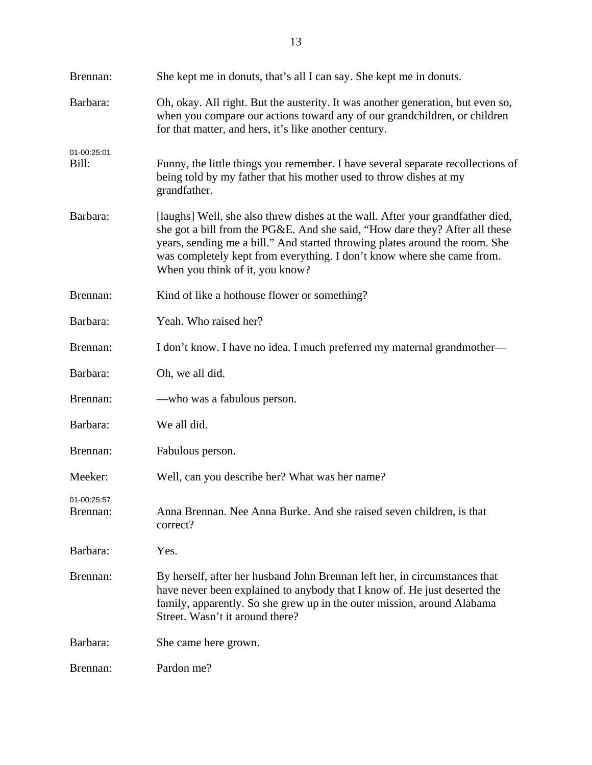| Brennan:                | She kept me in donuts, that's all I can say. She kept me in donuts.                                                                                                                                                                                                                                                                                       |
|-------------------------|-----------------------------------------------------------------------------------------------------------------------------------------------------------------------------------------------------------------------------------------------------------------------------------------------------------------------------------------------------------|
| Barbara:                | Oh, okay. All right. But the austerity. It was another generation, but even so,<br>when you compare our actions toward any of our grandchildren, or children<br>for that matter, and hers, it's like another century.                                                                                                                                     |
| 01-00:25:01<br>Bill:    | Funny, the little things you remember. I have several separate recollections of<br>being told by my father that his mother used to throw dishes at my<br>grandfather.                                                                                                                                                                                     |
| Barbara:                | [laughs] Well, she also threw dishes at the wall. After your grandfather died,<br>she got a bill from the PG&E. And she said, "How dare they? After all these<br>years, sending me a bill." And started throwing plates around the room. She<br>was completely kept from everything. I don't know where she came from.<br>When you think of it, you know? |
| Brennan:                | Kind of like a hothouse flower or something?                                                                                                                                                                                                                                                                                                              |
| Barbara:                | Yeah. Who raised her?                                                                                                                                                                                                                                                                                                                                     |
| Brennan:                | I don't know. I have no idea. I much preferred my maternal grandmother-                                                                                                                                                                                                                                                                                   |
| Barbara:                | Oh, we all did.                                                                                                                                                                                                                                                                                                                                           |
| Brennan:                | — who was a fabulous person.                                                                                                                                                                                                                                                                                                                              |
| Barbara:                | We all did.                                                                                                                                                                                                                                                                                                                                               |
| Brennan:                | Fabulous person.                                                                                                                                                                                                                                                                                                                                          |
| Meeker:                 | Well, can you describe her? What was her name?                                                                                                                                                                                                                                                                                                            |
| 01-00:25:57<br>Brennan: | Anna Brennan. Nee Anna Burke. And she raised seven children, is that<br>correct?                                                                                                                                                                                                                                                                          |
| Barbara:                | Yes.                                                                                                                                                                                                                                                                                                                                                      |
| Brennan:                | By herself, after her husband John Brennan left her, in circumstances that<br>have never been explained to anybody that I know of. He just deserted the<br>family, apparently. So she grew up in the outer mission, around Alabama<br>Street. Wasn't it around there?                                                                                     |
| Barbara:                | She came here grown.                                                                                                                                                                                                                                                                                                                                      |
| Brennan:                | Pardon me?                                                                                                                                                                                                                                                                                                                                                |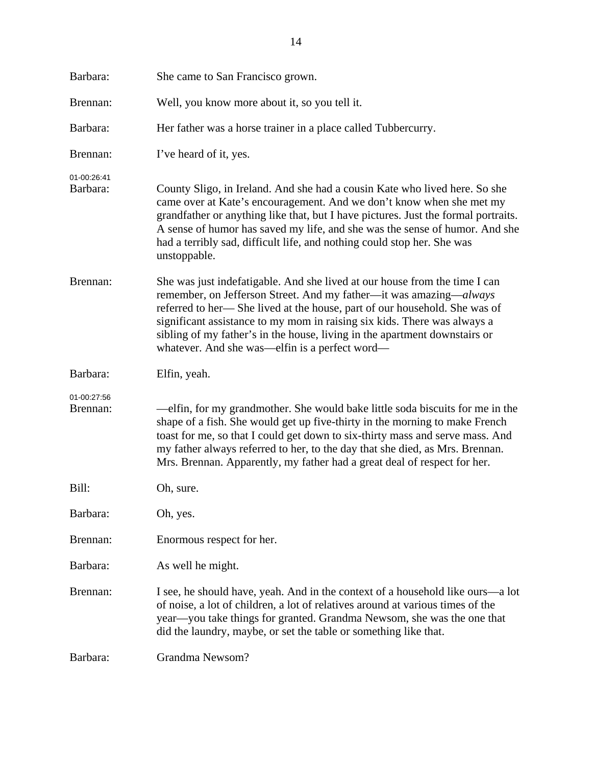| Barbara:                | She came to San Francisco grown.                                                                                                                                                                                                                                                                                                                                                                                                           |
|-------------------------|--------------------------------------------------------------------------------------------------------------------------------------------------------------------------------------------------------------------------------------------------------------------------------------------------------------------------------------------------------------------------------------------------------------------------------------------|
| Brennan:                | Well, you know more about it, so you tell it.                                                                                                                                                                                                                                                                                                                                                                                              |
| Barbara:                | Her father was a horse trainer in a place called Tubbercurry.                                                                                                                                                                                                                                                                                                                                                                              |
| Brennan:                | I've heard of it, yes.                                                                                                                                                                                                                                                                                                                                                                                                                     |
| 01-00:26:41<br>Barbara: | County Sligo, in Ireland. And she had a cousin Kate who lived here. So she<br>came over at Kate's encouragement. And we don't know when she met my<br>grandfather or anything like that, but I have pictures. Just the formal portraits.<br>A sense of humor has saved my life, and she was the sense of humor. And she<br>had a terribly sad, difficult life, and nothing could stop her. She was<br>unstoppable.                         |
| Brennan:                | She was just indefatigable. And she lived at our house from the time I can<br>remember, on Jefferson Street. And my father—it was amazing—always<br>referred to her- She lived at the house, part of our household. She was of<br>significant assistance to my mom in raising six kids. There was always a<br>sibling of my father's in the house, living in the apartment downstairs or<br>whatever. And she was—elfin is a perfect word— |
| Barbara:                | Elfin, yeah.                                                                                                                                                                                                                                                                                                                                                                                                                               |
| 01-00:27:56<br>Brennan: | —elfin, for my grandmother. She would bake little soda biscuits for me in the<br>shape of a fish. She would get up five-thirty in the morning to make French<br>toast for me, so that I could get down to six-thirty mass and serve mass. And<br>my father always referred to her, to the day that she died, as Mrs. Brennan.<br>Mrs. Brennan. Apparently, my father had a great deal of respect for her.                                  |
| Bill:                   | Oh, sure.                                                                                                                                                                                                                                                                                                                                                                                                                                  |
| Barbara:                | Oh, yes.                                                                                                                                                                                                                                                                                                                                                                                                                                   |
| Brennan:                | Enormous respect for her.                                                                                                                                                                                                                                                                                                                                                                                                                  |
| Barbara:                | As well he might.                                                                                                                                                                                                                                                                                                                                                                                                                          |
| Brennan:                | I see, he should have, yeah. And in the context of a household like ours—a lot<br>of noise, a lot of children, a lot of relatives around at various times of the<br>year—you take things for granted. Grandma Newsom, she was the one that<br>did the laundry, maybe, or set the table or something like that.                                                                                                                             |
| Barbara:                | Grandma Newsom?                                                                                                                                                                                                                                                                                                                                                                                                                            |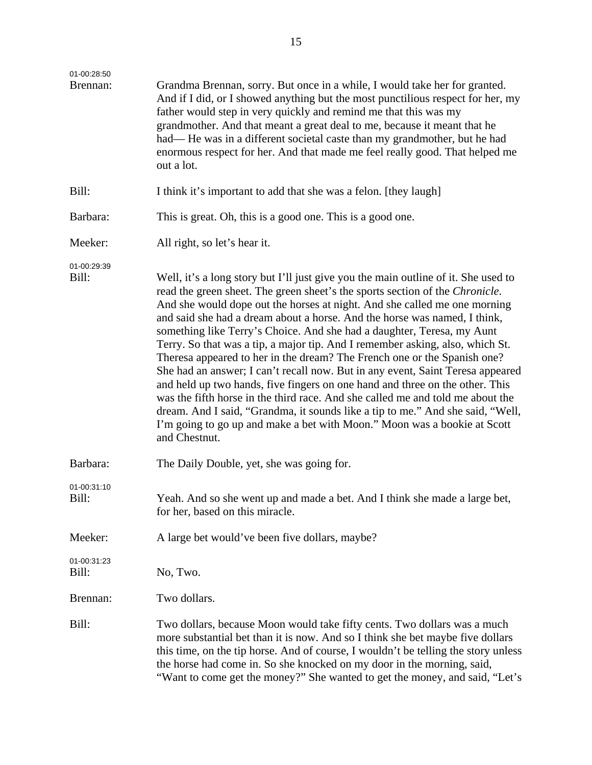| 01-00:28:50          |                                                                                                                                                                                                                                                                                                                                                                                                                                                                                                                                                                                                                                                                                                                                                                                                                                                                                                                                                                                                        |
|----------------------|--------------------------------------------------------------------------------------------------------------------------------------------------------------------------------------------------------------------------------------------------------------------------------------------------------------------------------------------------------------------------------------------------------------------------------------------------------------------------------------------------------------------------------------------------------------------------------------------------------------------------------------------------------------------------------------------------------------------------------------------------------------------------------------------------------------------------------------------------------------------------------------------------------------------------------------------------------------------------------------------------------|
| Brennan:             | Grandma Brennan, sorry. But once in a while, I would take her for granted.<br>And if I did, or I showed anything but the most punctilious respect for her, my<br>father would step in very quickly and remind me that this was my<br>grandmother. And that meant a great deal to me, because it meant that he<br>had—He was in a different societal caste than my grandmother, but he had<br>enormous respect for her. And that made me feel really good. That helped me<br>out a lot.                                                                                                                                                                                                                                                                                                                                                                                                                                                                                                                 |
| Bill:                | I think it's important to add that she was a felon. [they laugh]                                                                                                                                                                                                                                                                                                                                                                                                                                                                                                                                                                                                                                                                                                                                                                                                                                                                                                                                       |
| Barbara:             | This is great. Oh, this is a good one. This is a good one.                                                                                                                                                                                                                                                                                                                                                                                                                                                                                                                                                                                                                                                                                                                                                                                                                                                                                                                                             |
| Meeker:              | All right, so let's hear it.                                                                                                                                                                                                                                                                                                                                                                                                                                                                                                                                                                                                                                                                                                                                                                                                                                                                                                                                                                           |
| 01-00:29:39<br>Bill: | Well, it's a long story but I'll just give you the main outline of it. She used to<br>read the green sheet. The green sheet's the sports section of the Chronicle.<br>And she would dope out the horses at night. And she called me one morning<br>and said she had a dream about a horse. And the horse was named, I think,<br>something like Terry's Choice. And she had a daughter, Teresa, my Aunt<br>Terry. So that was a tip, a major tip. And I remember asking, also, which St.<br>Theresa appeared to her in the dream? The French one or the Spanish one?<br>She had an answer; I can't recall now. But in any event, Saint Teresa appeared<br>and held up two hands, five fingers on one hand and three on the other. This<br>was the fifth horse in the third race. And she called me and told me about the<br>dream. And I said, "Grandma, it sounds like a tip to me." And she said, "Well,<br>I'm going to go up and make a bet with Moon." Moon was a bookie at Scott<br>and Chestnut. |
| Barbara:             | The Daily Double, yet, she was going for.                                                                                                                                                                                                                                                                                                                                                                                                                                                                                                                                                                                                                                                                                                                                                                                                                                                                                                                                                              |
| 01-00:31:10<br>Bill: | Yeah. And so she went up and made a bet. And I think she made a large bet,<br>for her, based on this miracle.                                                                                                                                                                                                                                                                                                                                                                                                                                                                                                                                                                                                                                                                                                                                                                                                                                                                                          |
| Meeker:              | A large bet would've been five dollars, maybe?                                                                                                                                                                                                                                                                                                                                                                                                                                                                                                                                                                                                                                                                                                                                                                                                                                                                                                                                                         |
| 01-00:31:23<br>Bill: | No, Two.                                                                                                                                                                                                                                                                                                                                                                                                                                                                                                                                                                                                                                                                                                                                                                                                                                                                                                                                                                                               |
| Brennan:             | Two dollars.                                                                                                                                                                                                                                                                                                                                                                                                                                                                                                                                                                                                                                                                                                                                                                                                                                                                                                                                                                                           |
| Bill:                | Two dollars, because Moon would take fifty cents. Two dollars was a much<br>more substantial bet than it is now. And so I think she bet maybe five dollars<br>this time, on the tip horse. And of course, I wouldn't be telling the story unless<br>the horse had come in. So she knocked on my door in the morning, said,<br>"Want to come get the money?" She wanted to get the money, and said, "Let's                                                                                                                                                                                                                                                                                                                                                                                                                                                                                                                                                                                              |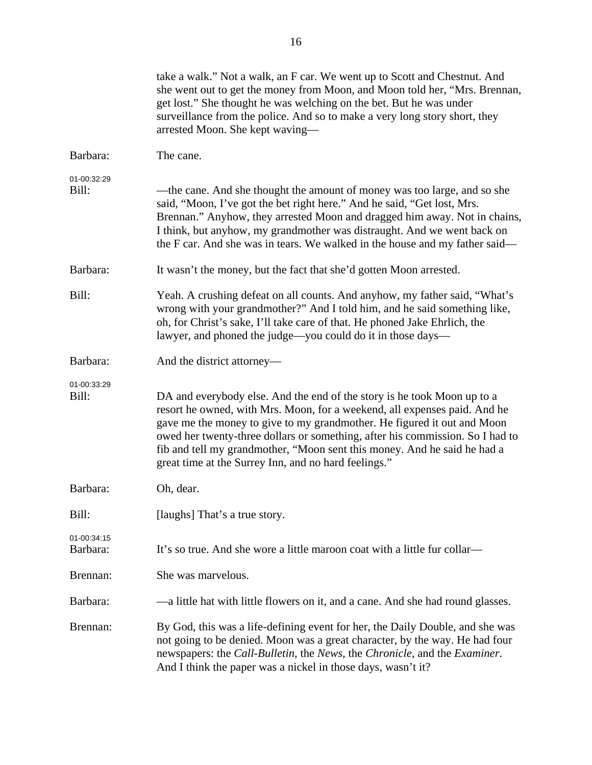|                         | take a walk." Not a walk, an F car. We went up to Scott and Chestnut. And<br>she went out to get the money from Moon, and Moon told her, "Mrs. Brennan,<br>get lost." She thought he was welching on the bet. But he was under<br>surveillance from the police. And so to make a very long story short, they<br>arrested Moon. She kept waving-                                                                                                      |
|-------------------------|------------------------------------------------------------------------------------------------------------------------------------------------------------------------------------------------------------------------------------------------------------------------------------------------------------------------------------------------------------------------------------------------------------------------------------------------------|
| Barbara:                | The cane.                                                                                                                                                                                                                                                                                                                                                                                                                                            |
| 01-00:32:29<br>Bill:    | —the cane. And she thought the amount of money was too large, and so she<br>said, "Moon, I've got the bet right here." And he said, "Get lost, Mrs.<br>Brennan." Anyhow, they arrested Moon and dragged him away. Not in chains,<br>I think, but anyhow, my grandmother was distraught. And we went back on<br>the F car. And she was in tears. We walked in the house and my father said—                                                           |
| Barbara:                | It wasn't the money, but the fact that she'd gotten Moon arrested.                                                                                                                                                                                                                                                                                                                                                                                   |
| Bill:                   | Yeah. A crushing defeat on all counts. And anyhow, my father said, "What's<br>wrong with your grandmother?" And I told him, and he said something like,<br>oh, for Christ's sake, I'll take care of that. He phoned Jake Ehrlich, the<br>lawyer, and phoned the judge—you could do it in those days—                                                                                                                                                 |
| Barbara:                | And the district attorney—                                                                                                                                                                                                                                                                                                                                                                                                                           |
| 01-00:33:29<br>Bill:    | DA and everybody else. And the end of the story is he took Moon up to a<br>resort he owned, with Mrs. Moon, for a weekend, all expenses paid. And he<br>gave me the money to give to my grandmother. He figured it out and Moon<br>owed her twenty-three dollars or something, after his commission. So I had to<br>fib and tell my grandmother, "Moon sent this money. And he said he had a<br>great time at the Surrey Inn, and no hard feelings." |
| Barbara:                | Oh, dear.                                                                                                                                                                                                                                                                                                                                                                                                                                            |
| Bill:                   | [laughs] That's a true story.                                                                                                                                                                                                                                                                                                                                                                                                                        |
| 01-00:34:15<br>Barbara: | It's so true. And she wore a little maroon coat with a little fur collar—                                                                                                                                                                                                                                                                                                                                                                            |
| Brennan:                | She was marvelous.                                                                                                                                                                                                                                                                                                                                                                                                                                   |
| Barbara:                | —a little hat with little flowers on it, and a cane. And she had round glasses.                                                                                                                                                                                                                                                                                                                                                                      |
| Brennan:                | By God, this was a life-defining event for her, the Daily Double, and she was<br>not going to be denied. Moon was a great character, by the way. He had four<br>newspapers: the Call-Bulletin, the News, the Chronicle, and the Examiner.<br>And I think the paper was a nickel in those days, wasn't it?                                                                                                                                            |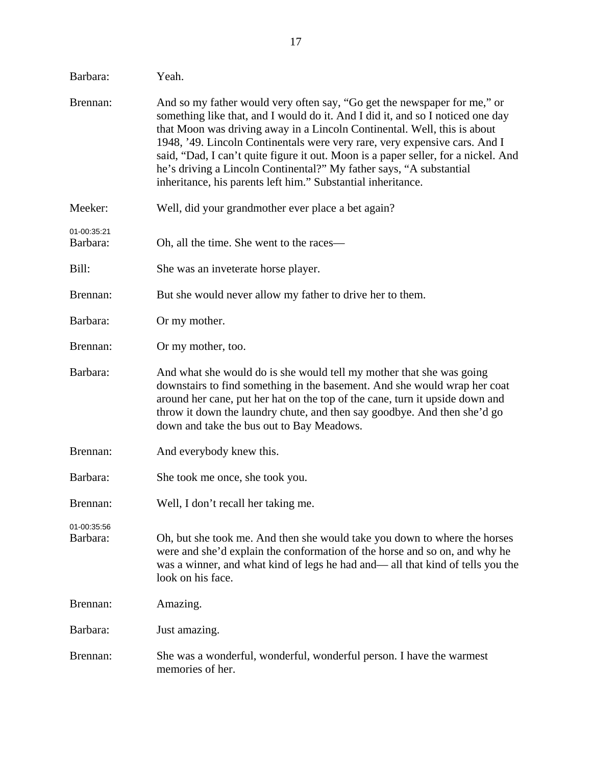| Barbara:                | Yeah.                                                                                                                                                                                                                                                                                                                                                                                                                                                                                                                                             |
|-------------------------|---------------------------------------------------------------------------------------------------------------------------------------------------------------------------------------------------------------------------------------------------------------------------------------------------------------------------------------------------------------------------------------------------------------------------------------------------------------------------------------------------------------------------------------------------|
| Brennan:                | And so my father would very often say, "Go get the newspaper for me," or<br>something like that, and I would do it. And I did it, and so I noticed one day<br>that Moon was driving away in a Lincoln Continental. Well, this is about<br>1948, '49. Lincoln Continentals were very rare, very expensive cars. And I<br>said, "Dad, I can't quite figure it out. Moon is a paper seller, for a nickel. And<br>he's driving a Lincoln Continental?" My father says, "A substantial<br>inheritance, his parents left him." Substantial inheritance. |
| Meeker:                 | Well, did your grandmother ever place a bet again?                                                                                                                                                                                                                                                                                                                                                                                                                                                                                                |
| 01-00:35:21<br>Barbara: | Oh, all the time. She went to the races—                                                                                                                                                                                                                                                                                                                                                                                                                                                                                                          |
| Bill:                   | She was an inveterate horse player.                                                                                                                                                                                                                                                                                                                                                                                                                                                                                                               |
| Brennan:                | But she would never allow my father to drive her to them.                                                                                                                                                                                                                                                                                                                                                                                                                                                                                         |
| Barbara:                | Or my mother.                                                                                                                                                                                                                                                                                                                                                                                                                                                                                                                                     |
| Brennan:                | Or my mother, too.                                                                                                                                                                                                                                                                                                                                                                                                                                                                                                                                |
| Barbara:                | And what she would do is she would tell my mother that she was going<br>downstairs to find something in the basement. And she would wrap her coat<br>around her cane, put her hat on the top of the cane, turn it upside down and<br>throw it down the laundry chute, and then say goodbye. And then she'd go<br>down and take the bus out to Bay Meadows.                                                                                                                                                                                        |
| Brennan:                | And everybody knew this.                                                                                                                                                                                                                                                                                                                                                                                                                                                                                                                          |
| Barbara:                | She took me once, she took you.                                                                                                                                                                                                                                                                                                                                                                                                                                                                                                                   |
| Brennan:                | Well, I don't recall her taking me.                                                                                                                                                                                                                                                                                                                                                                                                                                                                                                               |
| 01-00:35:56<br>Barbara: | Oh, but she took me. And then she would take you down to where the horses<br>were and she'd explain the conformation of the horse and so on, and why he<br>was a winner, and what kind of legs he had and— all that kind of tells you the<br>look on his face.                                                                                                                                                                                                                                                                                    |
| Brennan:                | Amazing.                                                                                                                                                                                                                                                                                                                                                                                                                                                                                                                                          |
| Barbara:                | Just amazing.                                                                                                                                                                                                                                                                                                                                                                                                                                                                                                                                     |
| Brennan:                | She was a wonderful, wonderful, wonderful person. I have the warmest<br>memories of her.                                                                                                                                                                                                                                                                                                                                                                                                                                                          |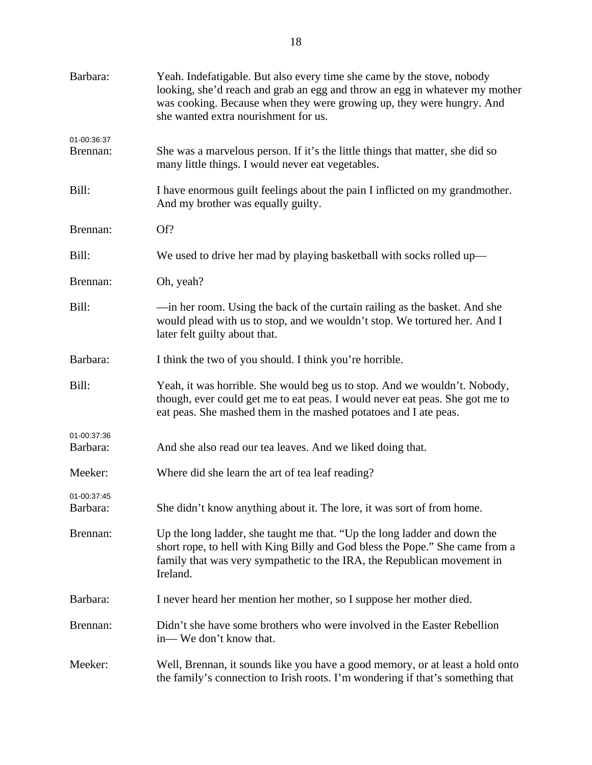| Barbara:                | Yeah. Indefatigable. But also every time she came by the stove, nobody<br>looking, she'd reach and grab an egg and throw an egg in whatever my mother<br>was cooking. Because when they were growing up, they were hungry. And<br>she wanted extra nourishment for us. |
|-------------------------|------------------------------------------------------------------------------------------------------------------------------------------------------------------------------------------------------------------------------------------------------------------------|
| 01-00:36:37<br>Brennan: | She was a marvelous person. If it's the little things that matter, she did so<br>many little things. I would never eat vegetables.                                                                                                                                     |
| Bill:                   | I have enormous guilt feelings about the pain I inflicted on my grandmother.<br>And my brother was equally guilty.                                                                                                                                                     |
| Brennan:                | Of?                                                                                                                                                                                                                                                                    |
| Bill:                   | We used to drive her mad by playing basketball with socks rolled up—                                                                                                                                                                                                   |
| Brennan:                | Oh, yeah?                                                                                                                                                                                                                                                              |
| Bill:                   | —in her room. Using the back of the curtain railing as the basket. And she<br>would plead with us to stop, and we wouldn't stop. We tortured her. And I<br>later felt guilty about that.                                                                               |
| Barbara:                | I think the two of you should. I think you're horrible.                                                                                                                                                                                                                |
| Bill:                   | Yeah, it was horrible. She would beg us to stop. And we wouldn't. Nobody,<br>though, ever could get me to eat peas. I would never eat peas. She got me to<br>eat peas. She mashed them in the mashed potatoes and I ate peas.                                          |
| 01-00:37:36<br>Barbara: | And she also read our tea leaves. And we liked doing that.                                                                                                                                                                                                             |
| Meeker:                 | Where did she learn the art of tea leaf reading?                                                                                                                                                                                                                       |
| 01-00:37:45<br>Barbara: | She didn't know anything about it. The lore, it was sort of from home.                                                                                                                                                                                                 |
| Brennan:                | Up the long ladder, she taught me that. "Up the long ladder and down the<br>short rope, to hell with King Billy and God bless the Pope." She came from a<br>family that was very sympathetic to the IRA, the Republican movement in<br>Ireland.                        |
| Barbara:                | I never heard her mention her mother, so I suppose her mother died.                                                                                                                                                                                                    |
| Brennan:                | Didn't she have some brothers who were involved in the Easter Rebellion<br>in— We don't know that.                                                                                                                                                                     |
| Meeker:                 | Well, Brennan, it sounds like you have a good memory, or at least a hold onto<br>the family's connection to Irish roots. I'm wondering if that's something that                                                                                                        |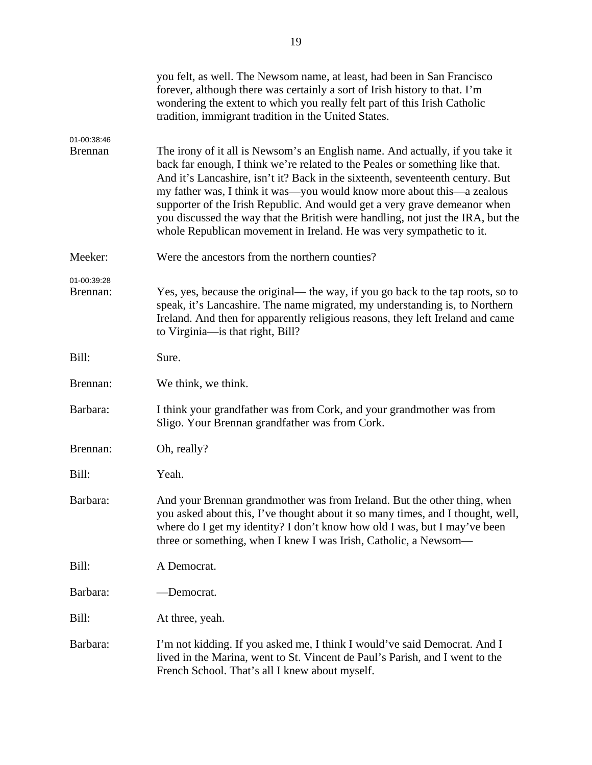|                               | you felt, as well. The Newsom name, at least, had been in San Francisco<br>forever, although there was certainly a sort of Irish history to that. I'm<br>wondering the extent to which you really felt part of this Irish Catholic<br>tradition, immigrant tradition in the United States.                                                                                                                                                                                                                                                                        |
|-------------------------------|-------------------------------------------------------------------------------------------------------------------------------------------------------------------------------------------------------------------------------------------------------------------------------------------------------------------------------------------------------------------------------------------------------------------------------------------------------------------------------------------------------------------------------------------------------------------|
| 01-00:38:46<br><b>Brennan</b> | The irony of it all is Newsom's an English name. And actually, if you take it<br>back far enough, I think we're related to the Peales or something like that.<br>And it's Lancashire, isn't it? Back in the sixteenth, seventeenth century. But<br>my father was, I think it was—you would know more about this—a zealous<br>supporter of the Irish Republic. And would get a very grave demeanor when<br>you discussed the way that the British were handling, not just the IRA, but the<br>whole Republican movement in Ireland. He was very sympathetic to it. |
| Meeker:                       | Were the ancestors from the northern counties?                                                                                                                                                                                                                                                                                                                                                                                                                                                                                                                    |
| 01-00:39:28<br>Brennan:       | Yes, yes, because the original— the way, if you go back to the tap roots, so to<br>speak, it's Lancashire. The name migrated, my understanding is, to Northern<br>Ireland. And then for apparently religious reasons, they left Ireland and came<br>to Virginia—is that right, Bill?                                                                                                                                                                                                                                                                              |
| Bill:                         | Sure.                                                                                                                                                                                                                                                                                                                                                                                                                                                                                                                                                             |
| Brennan:                      | We think, we think.                                                                                                                                                                                                                                                                                                                                                                                                                                                                                                                                               |
| Barbara:                      | I think your grandfather was from Cork, and your grandmother was from<br>Sligo. Your Brennan grandfather was from Cork.                                                                                                                                                                                                                                                                                                                                                                                                                                           |
| Brennan:                      | Oh, really?                                                                                                                                                                                                                                                                                                                                                                                                                                                                                                                                                       |
| Bill:                         | Yeah.                                                                                                                                                                                                                                                                                                                                                                                                                                                                                                                                                             |
| Barbara:                      | And your Brennan grandmother was from Ireland. But the other thing, when<br>you asked about this, I've thought about it so many times, and I thought, well,<br>where do I get my identity? I don't know how old I was, but I may've been<br>three or something, when I knew I was Irish, Catholic, a Newsom—                                                                                                                                                                                                                                                      |
| Bill:                         | A Democrat.                                                                                                                                                                                                                                                                                                                                                                                                                                                                                                                                                       |
| Barbara:                      | -Democrat.                                                                                                                                                                                                                                                                                                                                                                                                                                                                                                                                                        |
| Bill:                         | At three, yeah.                                                                                                                                                                                                                                                                                                                                                                                                                                                                                                                                                   |
| Barbara:                      | I'm not kidding. If you asked me, I think I would've said Democrat. And I<br>lived in the Marina, went to St. Vincent de Paul's Parish, and I went to the<br>French School. That's all I knew about myself.                                                                                                                                                                                                                                                                                                                                                       |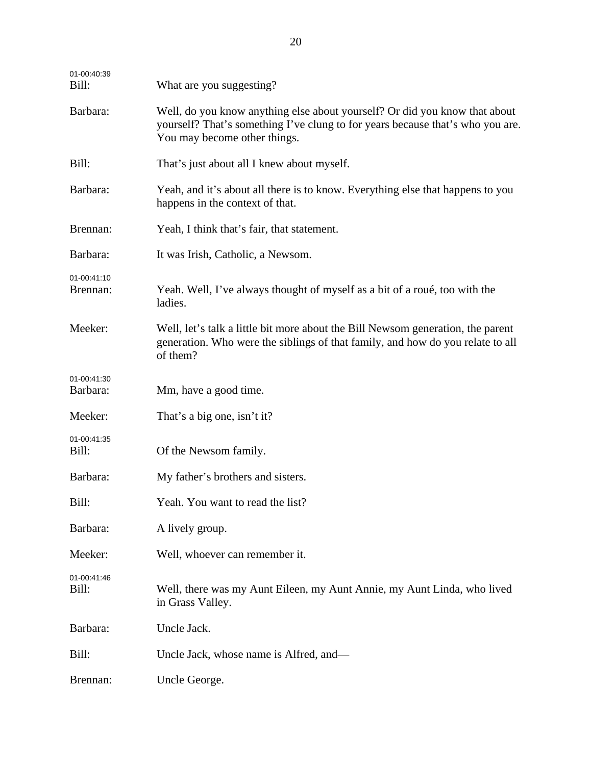| 01-00:40:39<br>Bill:    | What are you suggesting?                                                                                                                                                                     |
|-------------------------|----------------------------------------------------------------------------------------------------------------------------------------------------------------------------------------------|
| Barbara:                | Well, do you know anything else about yourself? Or did you know that about<br>yourself? That's something I've clung to for years because that's who you are.<br>You may become other things. |
| Bill:                   | That's just about all I knew about myself.                                                                                                                                                   |
| Barbara:                | Yeah, and it's about all there is to know. Everything else that happens to you<br>happens in the context of that.                                                                            |
| Brennan:                | Yeah, I think that's fair, that statement.                                                                                                                                                   |
| Barbara:                | It was Irish, Catholic, a Newsom.                                                                                                                                                            |
| 01-00:41:10<br>Brennan: | Yeah. Well, I've always thought of myself as a bit of a roué, too with the<br>ladies.                                                                                                        |
| Meeker:                 | Well, let's talk a little bit more about the Bill Newsom generation, the parent<br>generation. Who were the siblings of that family, and how do you relate to all<br>of them?                |
| 01-00:41:30<br>Barbara: | Mm, have a good time.                                                                                                                                                                        |
| Meeker:                 | That's a big one, isn't it?                                                                                                                                                                  |
| 01-00:41:35<br>Bill:    | Of the Newsom family.                                                                                                                                                                        |
| Barbara:                | My father's brothers and sisters.                                                                                                                                                            |
| Bill:                   | Yeah. You want to read the list?                                                                                                                                                             |
| Barbara:                | A lively group.                                                                                                                                                                              |
| Meeker:                 | Well, whoever can remember it.                                                                                                                                                               |
| 01-00:41:46<br>Bill:    | Well, there was my Aunt Eileen, my Aunt Annie, my Aunt Linda, who lived<br>in Grass Valley.                                                                                                  |
| Barbara:                | Uncle Jack.                                                                                                                                                                                  |
| Bill:                   | Uncle Jack, whose name is Alfred, and—                                                                                                                                                       |
| Brennan:                | Uncle George.                                                                                                                                                                                |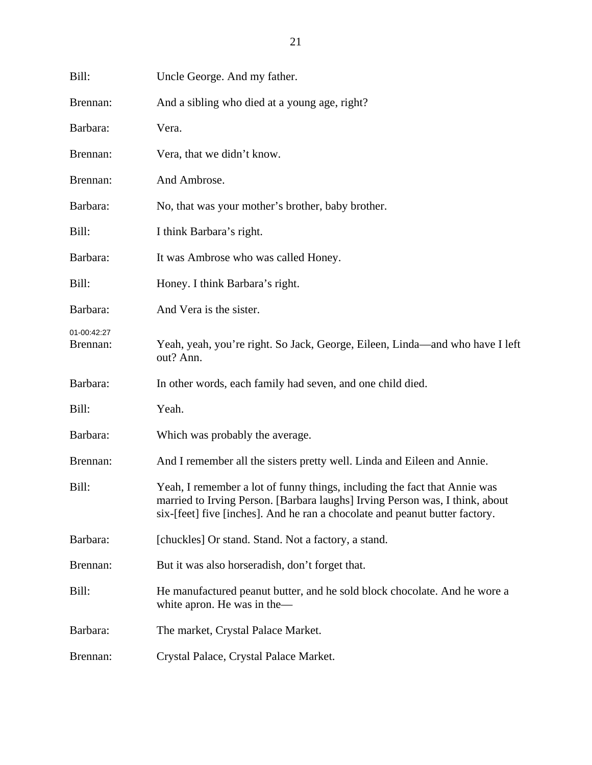| Bill:                   | Uncle George. And my father.                                                                                                                                                                                                             |
|-------------------------|------------------------------------------------------------------------------------------------------------------------------------------------------------------------------------------------------------------------------------------|
| Brennan:                | And a sibling who died at a young age, right?                                                                                                                                                                                            |
| Barbara:                | Vera.                                                                                                                                                                                                                                    |
| Brennan:                | Vera, that we didn't know.                                                                                                                                                                                                               |
| Brennan:                | And Ambrose.                                                                                                                                                                                                                             |
| Barbara:                | No, that was your mother's brother, baby brother.                                                                                                                                                                                        |
| Bill:                   | I think Barbara's right.                                                                                                                                                                                                                 |
| Barbara:                | It was Ambrose who was called Honey.                                                                                                                                                                                                     |
| Bill:                   | Honey. I think Barbara's right.                                                                                                                                                                                                          |
| Barbara:                | And Vera is the sister.                                                                                                                                                                                                                  |
| 01-00:42:27<br>Brennan: | Yeah, yeah, you're right. So Jack, George, Eileen, Linda-and who have I left<br>out? Ann.                                                                                                                                                |
| Barbara:                | In other words, each family had seven, and one child died.                                                                                                                                                                               |
| Bill:                   | Yeah.                                                                                                                                                                                                                                    |
| Barbara:                | Which was probably the average.                                                                                                                                                                                                          |
| Brennan:                | And I remember all the sisters pretty well. Linda and Eileen and Annie.                                                                                                                                                                  |
| Bill:                   | Yeah, I remember a lot of funny things, including the fact that Annie was<br>married to Irving Person. [Barbara laughs] Irving Person was, I think, about<br>six-[feet] five [inches]. And he ran a chocolate and peanut butter factory. |
| Barbara:                | [chuckles] Or stand. Stand. Not a factory, a stand.                                                                                                                                                                                      |
| Brennan:                | But it was also horseradish, don't forget that.                                                                                                                                                                                          |
| Bill:                   | He manufactured peanut butter, and he sold block chocolate. And he wore a<br>white apron. He was in the-                                                                                                                                 |
| Barbara:                | The market, Crystal Palace Market.                                                                                                                                                                                                       |
| Brennan:                | Crystal Palace, Crystal Palace Market.                                                                                                                                                                                                   |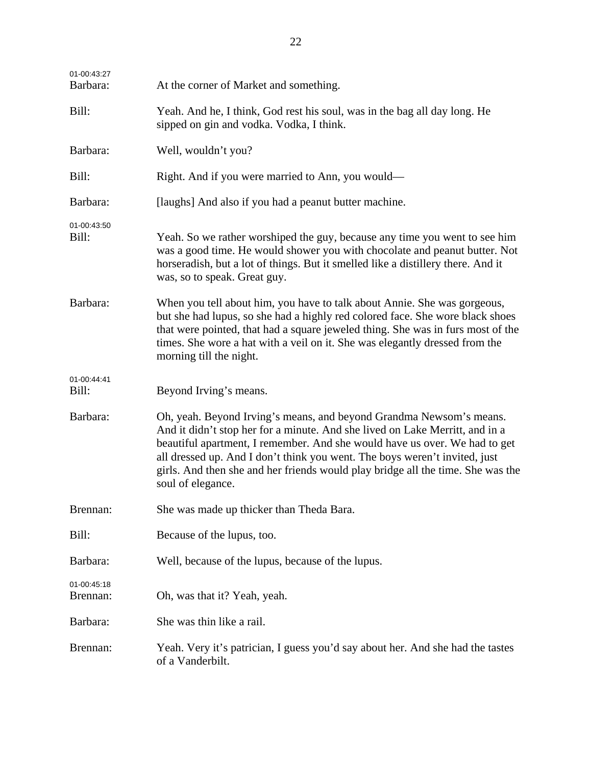| 01-00:43:27<br>Barbara: | At the corner of Market and something.                                                                                                                                                                                                                                                                                                                 |
|-------------------------|--------------------------------------------------------------------------------------------------------------------------------------------------------------------------------------------------------------------------------------------------------------------------------------------------------------------------------------------------------|
| Bill:                   | Yeah. And he, I think, God rest his soul, was in the bag all day long. He<br>sipped on gin and vodka. Vodka, I think.                                                                                                                                                                                                                                  |
| Barbara:                | Well, wouldn't you?                                                                                                                                                                                                                                                                                                                                    |
| Bill:                   | Right. And if you were married to Ann, you would—                                                                                                                                                                                                                                                                                                      |
| Barbara:                | [laughs] And also if you had a peanut butter machine.                                                                                                                                                                                                                                                                                                  |
| 01-00:43:50<br>Bill:    | Yeah. So we rather worshiped the guy, because any time you went to see him<br>was a good time. He would shower you with chocolate and peanut butter. Not<br>horseradish, but a lot of things. But it smelled like a distillery there. And it<br>was, so to speak. Great guy.                                                                           |
| Barbara:                | When you tell about him, you have to talk about Annie. She was gorgeous,<br>but she had lupus, so she had a highly red colored face. She wore black shoes<br>that were pointed, that had a square jeweled thing. She was in furs most of the<br>times. She wore a hat with a veil on it. She was elegantly dressed from the<br>morning till the night. |
| 01-00:44:41<br>Bill:    | Beyond Irving's means.                                                                                                                                                                                                                                                                                                                                 |
| Barbara:                | Oh, yeah. Beyond Irving's means, and beyond Grandma Newsom's means.<br>And it didn't stop her for a minute. And she lived on Lake Merritt, and in a<br>beautiful apartment, I remember. And she would have us over. We had to get<br>all dressed up. And I don't think you went. The boys weren't invited, just                                        |
|                         | girls. And then she and her friends would play bridge all the time. She was the<br>soul of elegance.                                                                                                                                                                                                                                                   |
| Brennan:                | She was made up thicker than Theda Bara.                                                                                                                                                                                                                                                                                                               |
| Bill:                   | Because of the lupus, too.                                                                                                                                                                                                                                                                                                                             |
| Barbara:                | Well, because of the lupus, because of the lupus.                                                                                                                                                                                                                                                                                                      |
| 01-00:45:18<br>Brennan: | Oh, was that it? Yeah, yeah.                                                                                                                                                                                                                                                                                                                           |
| Barbara:                | She was thin like a rail.                                                                                                                                                                                                                                                                                                                              |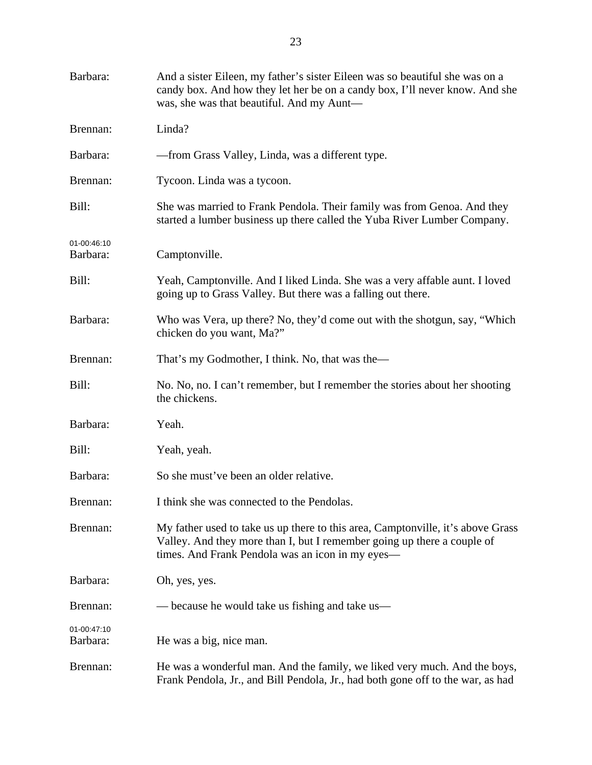| Barbara:                | And a sister Eileen, my father's sister Eileen was so beautiful she was on a<br>candy box. And how they let her be on a candy box, I'll never know. And she<br>was, she was that beautiful. And my Aunt-       |
|-------------------------|----------------------------------------------------------------------------------------------------------------------------------------------------------------------------------------------------------------|
| Brennan:                | Linda?                                                                                                                                                                                                         |
| Barbara:                | —from Grass Valley, Linda, was a different type.                                                                                                                                                               |
| Brennan:                | Tycoon. Linda was a tycoon.                                                                                                                                                                                    |
| Bill:                   | She was married to Frank Pendola. Their family was from Genoa. And they<br>started a lumber business up there called the Yuba River Lumber Company.                                                            |
| 01-00:46:10<br>Barbara: | Camptonville.                                                                                                                                                                                                  |
| Bill:                   | Yeah, Camptonville. And I liked Linda. She was a very affable aunt. I loved<br>going up to Grass Valley. But there was a falling out there.                                                                    |
| Barbara:                | Who was Vera, up there? No, they'd come out with the shotgun, say, "Which<br>chicken do you want, Ma?"                                                                                                         |
| Brennan:                | That's my Godmother, I think. No, that was the—                                                                                                                                                                |
| Bill:                   | No. No, no. I can't remember, but I remember the stories about her shooting<br>the chickens.                                                                                                                   |
| Barbara:                | Yeah.                                                                                                                                                                                                          |
| Bill:                   | Yeah, yeah.                                                                                                                                                                                                    |
| Barbara:                | So she must've been an older relative.                                                                                                                                                                         |
| Brennan:                | I think she was connected to the Pendolas.                                                                                                                                                                     |
| Brennan:                | My father used to take us up there to this area, Camptonville, it's above Grass<br>Valley. And they more than I, but I remember going up there a couple of<br>times. And Frank Pendola was an icon in my eyes— |
| Barbara:                | Oh, yes, yes.                                                                                                                                                                                                  |
| Brennan:                | — because he would take us fishing and take us—                                                                                                                                                                |
| 01-00:47:10<br>Barbara: | He was a big, nice man.                                                                                                                                                                                        |
| Brennan:                | He was a wonderful man. And the family, we liked very much. And the boys,<br>Frank Pendola, Jr., and Bill Pendola, Jr., had both gone off to the war, as had                                                   |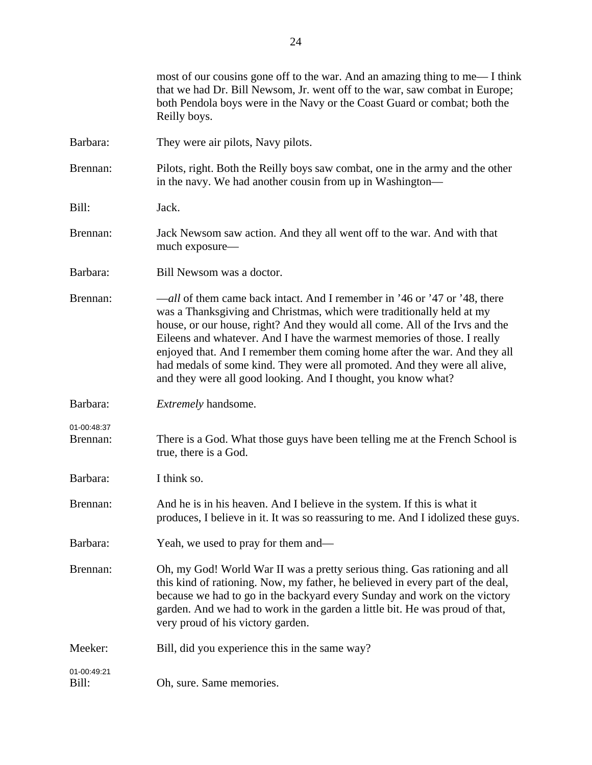|                         | most of our cousins gone off to the war. And an amazing thing to me— I think<br>that we had Dr. Bill Newsom, Jr. went off to the war, saw combat in Europe;<br>both Pendola boys were in the Navy or the Coast Guard or combat; both the<br>Reilly boys.                                                                                                                                                                                                                                                                                         |
|-------------------------|--------------------------------------------------------------------------------------------------------------------------------------------------------------------------------------------------------------------------------------------------------------------------------------------------------------------------------------------------------------------------------------------------------------------------------------------------------------------------------------------------------------------------------------------------|
| Barbara:                | They were air pilots, Navy pilots.                                                                                                                                                                                                                                                                                                                                                                                                                                                                                                               |
| Brennan:                | Pilots, right. Both the Reilly boys saw combat, one in the army and the other<br>in the navy. We had another cousin from up in Washington—                                                                                                                                                                                                                                                                                                                                                                                                       |
| Bill:                   | Jack.                                                                                                                                                                                                                                                                                                                                                                                                                                                                                                                                            |
| Brennan:                | Jack Newsom saw action. And they all went off to the war. And with that<br>much exposure—                                                                                                                                                                                                                                                                                                                                                                                                                                                        |
| Barbara:                | Bill Newsom was a doctor.                                                                                                                                                                                                                                                                                                                                                                                                                                                                                                                        |
| Brennan:                | <i>-all</i> of them came back intact. And I remember in '46 or '47 or '48, there<br>was a Thanksgiving and Christmas, which were traditionally held at my<br>house, or our house, right? And they would all come. All of the Irvs and the<br>Eileens and whatever. And I have the warmest memories of those. I really<br>enjoyed that. And I remember them coming home after the war. And they all<br>had medals of some kind. They were all promoted. And they were all alive,<br>and they were all good looking. And I thought, you know what? |
| Barbara:                | <i>Extremely</i> handsome.                                                                                                                                                                                                                                                                                                                                                                                                                                                                                                                       |
| 01-00:48:37<br>Brennan: | There is a God. What those guys have been telling me at the French School is<br>true, there is a God.                                                                                                                                                                                                                                                                                                                                                                                                                                            |
| Barbara:                | I think so.                                                                                                                                                                                                                                                                                                                                                                                                                                                                                                                                      |
| Brennan:                | And he is in his heaven. And I believe in the system. If this is what it<br>produces, I believe in it. It was so reassuring to me. And I idolized these guys.                                                                                                                                                                                                                                                                                                                                                                                    |
| Barbara:                | Yeah, we used to pray for them and—                                                                                                                                                                                                                                                                                                                                                                                                                                                                                                              |
| Brennan:                | Oh, my God! World War II was a pretty serious thing. Gas rationing and all<br>this kind of rationing. Now, my father, he believed in every part of the deal,<br>because we had to go in the backyard every Sunday and work on the victory<br>garden. And we had to work in the garden a little bit. He was proud of that,<br>very proud of his victory garden.                                                                                                                                                                                   |
| Meeker:                 | Bill, did you experience this in the same way?                                                                                                                                                                                                                                                                                                                                                                                                                                                                                                   |
| 01-00:49:21<br>Bill:    | Oh, sure. Same memories.                                                                                                                                                                                                                                                                                                                                                                                                                                                                                                                         |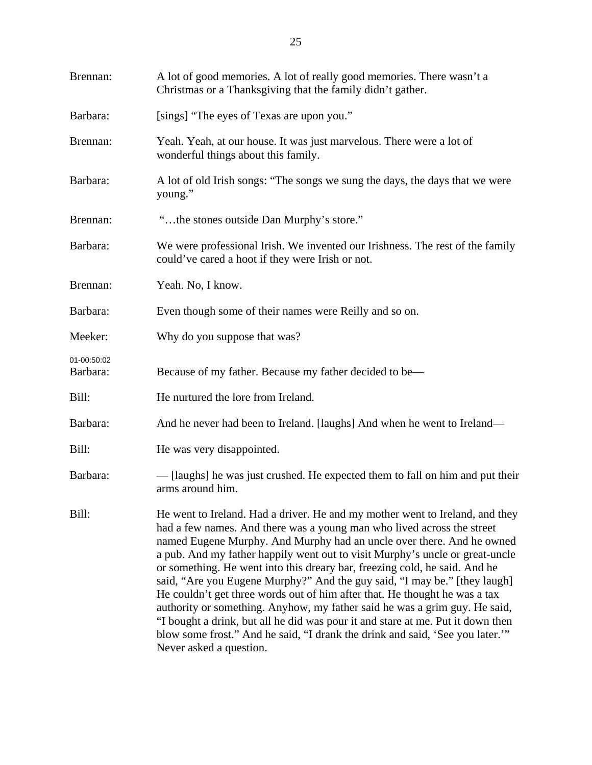| Brennan:                | A lot of good memories. A lot of really good memories. There wasn't a<br>Christmas or a Thanksgiving that the family didn't gather.                                                                                                                                                                                                                                                                                                                                                                                                                                                                                                                                                                                                                                                                                                   |
|-------------------------|---------------------------------------------------------------------------------------------------------------------------------------------------------------------------------------------------------------------------------------------------------------------------------------------------------------------------------------------------------------------------------------------------------------------------------------------------------------------------------------------------------------------------------------------------------------------------------------------------------------------------------------------------------------------------------------------------------------------------------------------------------------------------------------------------------------------------------------|
| Barbara:                | [sings] "The eyes of Texas are upon you."                                                                                                                                                                                                                                                                                                                                                                                                                                                                                                                                                                                                                                                                                                                                                                                             |
| Brennan:                | Yeah. Yeah, at our house. It was just marvelous. There were a lot of<br>wonderful things about this family.                                                                                                                                                                                                                                                                                                                                                                                                                                                                                                                                                                                                                                                                                                                           |
| Barbara:                | A lot of old Irish songs: "The songs we sung the days, the days that we were<br>young."                                                                                                                                                                                                                                                                                                                                                                                                                                                                                                                                                                                                                                                                                                                                               |
| Brennan:                | "the stones outside Dan Murphy's store."                                                                                                                                                                                                                                                                                                                                                                                                                                                                                                                                                                                                                                                                                                                                                                                              |
| Barbara:                | We were professional Irish. We invented our Irishness. The rest of the family<br>could've cared a hoot if they were Irish or not.                                                                                                                                                                                                                                                                                                                                                                                                                                                                                                                                                                                                                                                                                                     |
| Brennan:                | Yeah. No, I know.                                                                                                                                                                                                                                                                                                                                                                                                                                                                                                                                                                                                                                                                                                                                                                                                                     |
| Barbara:                | Even though some of their names were Reilly and so on.                                                                                                                                                                                                                                                                                                                                                                                                                                                                                                                                                                                                                                                                                                                                                                                |
| Meeker:                 | Why do you suppose that was?                                                                                                                                                                                                                                                                                                                                                                                                                                                                                                                                                                                                                                                                                                                                                                                                          |
| 01-00:50:02<br>Barbara: | Because of my father. Because my father decided to be-                                                                                                                                                                                                                                                                                                                                                                                                                                                                                                                                                                                                                                                                                                                                                                                |
| Bill:                   | He nurtured the lore from Ireland.                                                                                                                                                                                                                                                                                                                                                                                                                                                                                                                                                                                                                                                                                                                                                                                                    |
| Barbara:                | And he never had been to Ireland. [laughs] And when he went to Ireland—                                                                                                                                                                                                                                                                                                                                                                                                                                                                                                                                                                                                                                                                                                                                                               |
| Bill:                   | He was very disappointed.                                                                                                                                                                                                                                                                                                                                                                                                                                                                                                                                                                                                                                                                                                                                                                                                             |
| Barbara:                | — [laughs] he was just crushed. He expected them to fall on him and put their<br>arms around him.                                                                                                                                                                                                                                                                                                                                                                                                                                                                                                                                                                                                                                                                                                                                     |
| Bill:                   | He went to Ireland. Had a driver. He and my mother went to Ireland, and they<br>had a few names. And there was a young man who lived across the street<br>named Eugene Murphy. And Murphy had an uncle over there. And he owned<br>a pub. And my father happily went out to visit Murphy's uncle or great-uncle<br>or something. He went into this dreary bar, freezing cold, he said. And he<br>said, "Are you Eugene Murphy?" And the guy said, "I may be." [they laugh]<br>He couldn't get three words out of him after that. He thought he was a tax<br>authority or something. Anyhow, my father said he was a grim guy. He said,<br>"I bought a drink, but all he did was pour it and stare at me. Put it down then<br>blow some frost." And he said, "I drank the drink and said, 'See you later.""<br>Never asked a question. |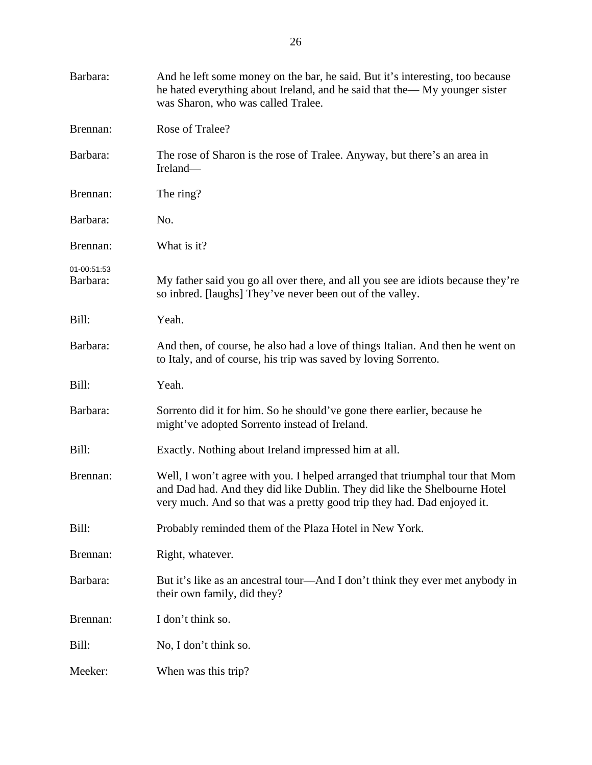| Barbara:                | And he left some money on the bar, he said. But it's interesting, too because<br>he hated everything about Ireland, and he said that the-My younger sister<br>was Sharon, who was called Tralee.                                     |
|-------------------------|--------------------------------------------------------------------------------------------------------------------------------------------------------------------------------------------------------------------------------------|
| Brennan:                | Rose of Tralee?                                                                                                                                                                                                                      |
| Barbara:                | The rose of Sharon is the rose of Tralee. Anyway, but there's an area in<br>Ireland-                                                                                                                                                 |
| Brennan:                | The ring?                                                                                                                                                                                                                            |
| Barbara:                | No.                                                                                                                                                                                                                                  |
| Brennan:                | What is it?                                                                                                                                                                                                                          |
| 01-00:51:53<br>Barbara: | My father said you go all over there, and all you see are idiots because they're<br>so inbred. [laughs] They've never been out of the valley.                                                                                        |
| Bill:                   | Yeah.                                                                                                                                                                                                                                |
| Barbara:                | And then, of course, he also had a love of things Italian. And then he went on<br>to Italy, and of course, his trip was saved by loving Sorrento.                                                                                    |
| Bill:                   | Yeah.                                                                                                                                                                                                                                |
| Barbara:                | Sorrento did it for him. So he should've gone there earlier, because he<br>might've adopted Sorrento instead of Ireland.                                                                                                             |
| Bill:                   | Exactly. Nothing about Ireland impressed him at all.                                                                                                                                                                                 |
| Brennan:                | Well, I won't agree with you. I helped arranged that triumphal tour that Mom<br>and Dad had. And they did like Dublin. They did like the Shelbourne Hotel<br>very much. And so that was a pretty good trip they had. Dad enjoyed it. |
| Bill:                   | Probably reminded them of the Plaza Hotel in New York.                                                                                                                                                                               |
| Brennan:                | Right, whatever.                                                                                                                                                                                                                     |
| Barbara:                | But it's like as an ancestral tour—And I don't think they ever met anybody in<br>their own family, did they?                                                                                                                         |
| Brennan:                | I don't think so.                                                                                                                                                                                                                    |
| Bill:                   | No, I don't think so.                                                                                                                                                                                                                |
| Meeker:                 | When was this trip?                                                                                                                                                                                                                  |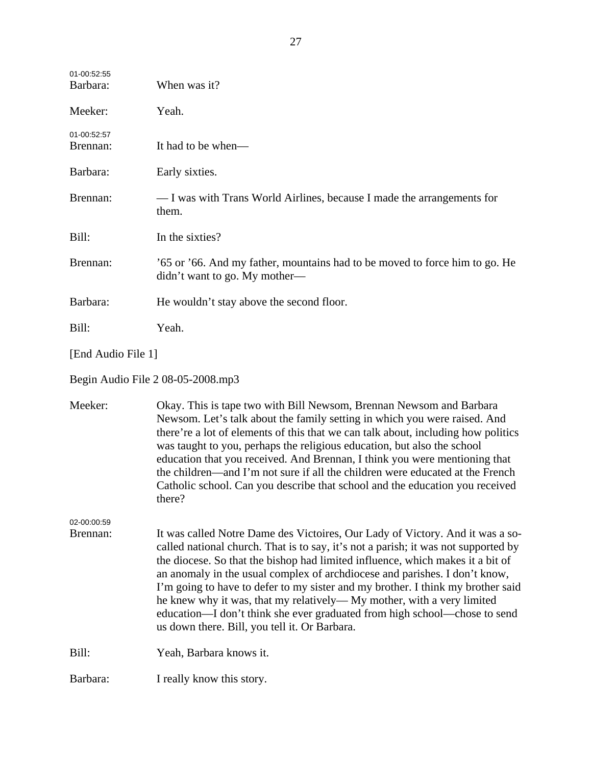| 01-00:52:55<br>Barbara: | When was it?                                                                                                                                                                                                                          |
|-------------------------|---------------------------------------------------------------------------------------------------------------------------------------------------------------------------------------------------------------------------------------|
| Meeker:                 | Yeah.                                                                                                                                                                                                                                 |
| 01-00:52:57<br>Brennan: | It had to be when—                                                                                                                                                                                                                    |
| Barbara:                | Early sixties.                                                                                                                                                                                                                        |
| Brennan:                | — I was with Trans World Airlines, because I made the arrangements for<br>them.                                                                                                                                                       |
| Bill:                   | In the sixties?                                                                                                                                                                                                                       |
| Brennan:                | '65 or '66. And my father, mountains had to be moved to force him to go. He<br>didn't want to go. My mother—                                                                                                                          |
| Barbara:                | He wouldn't stay above the second floor.                                                                                                                                                                                              |
| Bill:                   | Yeah.                                                                                                                                                                                                                                 |
| [End Audio File 1]      |                                                                                                                                                                                                                                       |
|                         | Begin Audio File 2 08-05-2008.mp3                                                                                                                                                                                                     |
| Meeker:                 | Okay. This is tape two with Bill Newsom, Brennan Newsom and Barbara<br>Newsom. Let's talk about the family setting in which you were raised. And<br>there're a lot of elements of this that we can talk about, including how politics |

there're a lot of elements of this that we can talk about, including how politics was taught to you, perhaps the religious education, but also the school education that you received. And Brennan, I think you were mentioning that the children—and I'm not sure if all the children were educated at the French Catholic school. Can you describe that school and the education you received there?

02-00:00:59 Brennan: It was called Notre Dame des Victoires, Our Lady of Victory. And it was a socalled national church. That is to say, it's not a parish; it was not supported by the diocese. So that the bishop had limited influence, which makes it a bit of an anomaly in the usual complex of archdiocese and parishes. I don't know, I'm going to have to defer to my sister and my brother. I think my brother said he knew why it was, that my relatively— My mother, with a very limited education—I don't think she ever graduated from high school—chose to send us down there. Bill, you tell it. Or Barbara.

Bill: Yeah, Barbara knows it.

Barbara: I really know this story.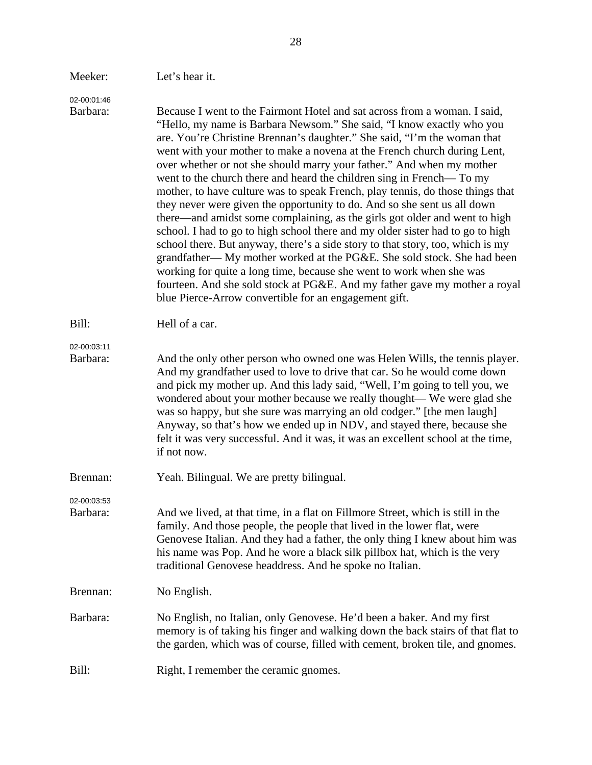| Meeker:                 | Let's hear it.                                                                                                                                                                                                                                                                                                                                                                                                                                                                                                                                                                                                                                                                                                                                                                                                                                                                                                                                                                                                                                                                                                                                                         |
|-------------------------|------------------------------------------------------------------------------------------------------------------------------------------------------------------------------------------------------------------------------------------------------------------------------------------------------------------------------------------------------------------------------------------------------------------------------------------------------------------------------------------------------------------------------------------------------------------------------------------------------------------------------------------------------------------------------------------------------------------------------------------------------------------------------------------------------------------------------------------------------------------------------------------------------------------------------------------------------------------------------------------------------------------------------------------------------------------------------------------------------------------------------------------------------------------------|
| 02-00:01:46<br>Barbara: | Because I went to the Fairmont Hotel and sat across from a woman. I said,<br>"Hello, my name is Barbara Newsom." She said, "I know exactly who you<br>are. You're Christine Brennan's daughter." She said, "I'm the woman that<br>went with your mother to make a novena at the French church during Lent,<br>over whether or not she should marry your father." And when my mother<br>went to the church there and heard the children sing in French— To my<br>mother, to have culture was to speak French, play tennis, do those things that<br>they never were given the opportunity to do. And so she sent us all down<br>there—and amidst some complaining, as the girls got older and went to high<br>school. I had to go to high school there and my older sister had to go to high<br>school there. But anyway, there's a side story to that story, too, which is my<br>grandfather— My mother worked at the PG&E. She sold stock. She had been<br>working for quite a long time, because she went to work when she was<br>fourteen. And she sold stock at PG&E. And my father gave my mother a royal<br>blue Pierce-Arrow convertible for an engagement gift. |
| Bill:                   | Hell of a car.                                                                                                                                                                                                                                                                                                                                                                                                                                                                                                                                                                                                                                                                                                                                                                                                                                                                                                                                                                                                                                                                                                                                                         |
| 02-00:03:11<br>Barbara: | And the only other person who owned one was Helen Wills, the tennis player.<br>And my grandfather used to love to drive that car. So he would come down<br>and pick my mother up. And this lady said, "Well, I'm going to tell you, we<br>wondered about your mother because we really thought— We were glad she<br>was so happy, but she sure was marrying an old codger." [the men laugh]<br>Anyway, so that's how we ended up in NDV, and stayed there, because she<br>felt it was very successful. And it was, it was an excellent school at the time,<br>if not now.                                                                                                                                                                                                                                                                                                                                                                                                                                                                                                                                                                                              |
| Brennan:                | Yeah. Bilingual. We are pretty bilingual.                                                                                                                                                                                                                                                                                                                                                                                                                                                                                                                                                                                                                                                                                                                                                                                                                                                                                                                                                                                                                                                                                                                              |
| 02-00:03:53<br>Barbara: | And we lived, at that time, in a flat on Fillmore Street, which is still in the<br>family. And those people, the people that lived in the lower flat, were<br>Genovese Italian. And they had a father, the only thing I knew about him was<br>his name was Pop. And he wore a black silk pillbox hat, which is the very<br>traditional Genovese headdress. And he spoke no Italian.                                                                                                                                                                                                                                                                                                                                                                                                                                                                                                                                                                                                                                                                                                                                                                                    |
| Brennan:                | No English.                                                                                                                                                                                                                                                                                                                                                                                                                                                                                                                                                                                                                                                                                                                                                                                                                                                                                                                                                                                                                                                                                                                                                            |
| Barbara:                | No English, no Italian, only Genovese. He'd been a baker. And my first<br>memory is of taking his finger and walking down the back stairs of that flat to<br>the garden, which was of course, filled with cement, broken tile, and gnomes.                                                                                                                                                                                                                                                                                                                                                                                                                                                                                                                                                                                                                                                                                                                                                                                                                                                                                                                             |
| Bill:                   | Right, I remember the ceramic gnomes.                                                                                                                                                                                                                                                                                                                                                                                                                                                                                                                                                                                                                                                                                                                                                                                                                                                                                                                                                                                                                                                                                                                                  |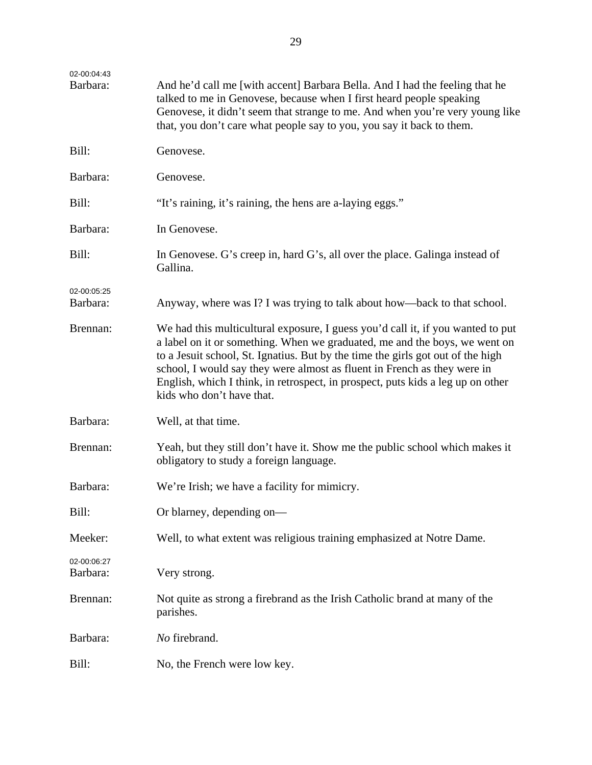| 02-00:04:43<br>Barbara: | And he'd call me [with accent] Barbara Bella. And I had the feeling that he<br>talked to me in Genovese, because when I first heard people speaking<br>Genovese, it didn't seem that strange to me. And when you're very young like<br>that, you don't care what people say to you, you say it back to them.                                                                                                                                 |
|-------------------------|----------------------------------------------------------------------------------------------------------------------------------------------------------------------------------------------------------------------------------------------------------------------------------------------------------------------------------------------------------------------------------------------------------------------------------------------|
| Bill:                   | Genovese.                                                                                                                                                                                                                                                                                                                                                                                                                                    |
| Barbara:                | Genovese.                                                                                                                                                                                                                                                                                                                                                                                                                                    |
| Bill:                   | "It's raining, it's raining, the hens are a-laying eggs."                                                                                                                                                                                                                                                                                                                                                                                    |
| Barbara:                | In Genovese.                                                                                                                                                                                                                                                                                                                                                                                                                                 |
| Bill:                   | In Genovese. G's creep in, hard G's, all over the place. Galinga instead of<br>Gallina.                                                                                                                                                                                                                                                                                                                                                      |
| 02-00:05:25<br>Barbara: | Anyway, where was I? I was trying to talk about how—back to that school.                                                                                                                                                                                                                                                                                                                                                                     |
| Brennan:                | We had this multicultural exposure, I guess you'd call it, if you wanted to put<br>a label on it or something. When we graduated, me and the boys, we went on<br>to a Jesuit school, St. Ignatius. But by the time the girls got out of the high<br>school, I would say they were almost as fluent in French as they were in<br>English, which I think, in retrospect, in prospect, puts kids a leg up on other<br>kids who don't have that. |
| Barbara:                | Well, at that time.                                                                                                                                                                                                                                                                                                                                                                                                                          |
| Brennan:                | Yeah, but they still don't have it. Show me the public school which makes it<br>obligatory to study a foreign language.                                                                                                                                                                                                                                                                                                                      |
| Barbara:                | We're Irish; we have a facility for mimicry.                                                                                                                                                                                                                                                                                                                                                                                                 |
| Bill:                   | Or blarney, depending on—                                                                                                                                                                                                                                                                                                                                                                                                                    |
| Meeker:                 | Well, to what extent was religious training emphasized at Notre Dame.                                                                                                                                                                                                                                                                                                                                                                        |
| 02-00:06:27<br>Barbara: | Very strong.                                                                                                                                                                                                                                                                                                                                                                                                                                 |
| Brennan:                | Not quite as strong a firebrand as the Irish Catholic brand at many of the<br>parishes.                                                                                                                                                                                                                                                                                                                                                      |
| Barbara:                | No firebrand.                                                                                                                                                                                                                                                                                                                                                                                                                                |
| Bill:                   | No, the French were low key.                                                                                                                                                                                                                                                                                                                                                                                                                 |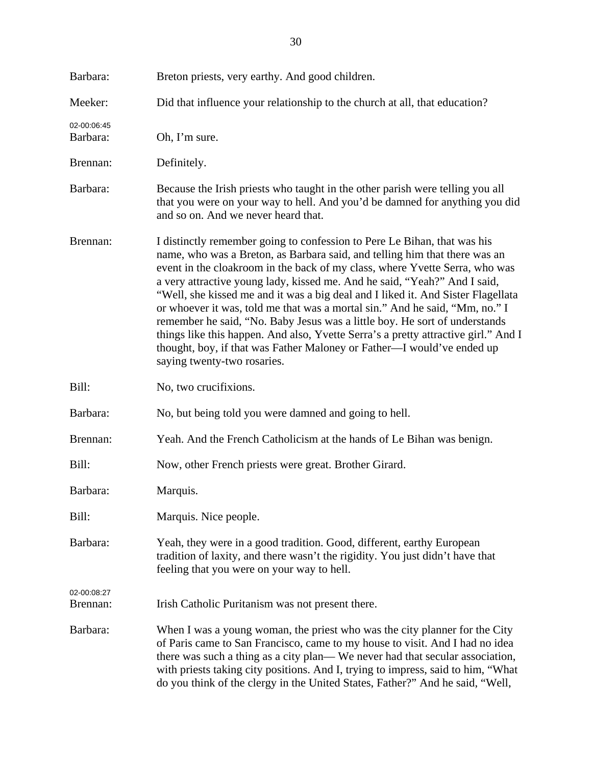| Barbara:                | Breton priests, very earthy. And good children.                                                                                                                                                                                                                                                                                                                                                                                                                                                                                                                                                                                                                                                                                                                    |
|-------------------------|--------------------------------------------------------------------------------------------------------------------------------------------------------------------------------------------------------------------------------------------------------------------------------------------------------------------------------------------------------------------------------------------------------------------------------------------------------------------------------------------------------------------------------------------------------------------------------------------------------------------------------------------------------------------------------------------------------------------------------------------------------------------|
| Meeker:                 | Did that influence your relationship to the church at all, that education?                                                                                                                                                                                                                                                                                                                                                                                                                                                                                                                                                                                                                                                                                         |
| 02-00:06:45<br>Barbara: | Oh, I'm sure.                                                                                                                                                                                                                                                                                                                                                                                                                                                                                                                                                                                                                                                                                                                                                      |
| Brennan:                | Definitely.                                                                                                                                                                                                                                                                                                                                                                                                                                                                                                                                                                                                                                                                                                                                                        |
| Barbara:                | Because the Irish priests who taught in the other parish were telling you all<br>that you were on your way to hell. And you'd be damned for anything you did<br>and so on. And we never heard that.                                                                                                                                                                                                                                                                                                                                                                                                                                                                                                                                                                |
| Brennan:                | I distinctly remember going to confession to Pere Le Bihan, that was his<br>name, who was a Breton, as Barbara said, and telling him that there was an<br>event in the cloakroom in the back of my class, where Yvette Serra, who was<br>a very attractive young lady, kissed me. And he said, "Yeah?" And I said,<br>"Well, she kissed me and it was a big deal and I liked it. And Sister Flagellata<br>or whoever it was, told me that was a mortal sin." And he said, "Mm, no." I<br>remember he said, "No. Baby Jesus was a little boy. He sort of understands<br>things like this happen. And also, Yvette Serra's a pretty attractive girl." And I<br>thought, boy, if that was Father Maloney or Father—I would've ended up<br>saying twenty-two rosaries. |
| Bill:                   | No, two crucifixions.                                                                                                                                                                                                                                                                                                                                                                                                                                                                                                                                                                                                                                                                                                                                              |
| Barbara:                | No, but being told you were damned and going to hell.                                                                                                                                                                                                                                                                                                                                                                                                                                                                                                                                                                                                                                                                                                              |
| Brennan:                | Yeah. And the French Catholicism at the hands of Le Bihan was benign.                                                                                                                                                                                                                                                                                                                                                                                                                                                                                                                                                                                                                                                                                              |
| Bill:                   | Now, other French priests were great. Brother Girard.                                                                                                                                                                                                                                                                                                                                                                                                                                                                                                                                                                                                                                                                                                              |
| Barbara:                | Marquis.                                                                                                                                                                                                                                                                                                                                                                                                                                                                                                                                                                                                                                                                                                                                                           |
| Bill:                   | Marquis. Nice people.                                                                                                                                                                                                                                                                                                                                                                                                                                                                                                                                                                                                                                                                                                                                              |
| Barbara:                | Yeah, they were in a good tradition. Good, different, earthy European<br>tradition of laxity, and there wasn't the rigidity. You just didn't have that<br>feeling that you were on your way to hell.                                                                                                                                                                                                                                                                                                                                                                                                                                                                                                                                                               |
| 02-00:08:27<br>Brennan: | Irish Catholic Puritanism was not present there.                                                                                                                                                                                                                                                                                                                                                                                                                                                                                                                                                                                                                                                                                                                   |
| Barbara:                | When I was a young woman, the priest who was the city planner for the City<br>of Paris came to San Francisco, came to my house to visit. And I had no idea<br>there was such a thing as a city plan—We never had that secular association,<br>with priests taking city positions. And I, trying to impress, said to him, "What<br>do you think of the clergy in the United States, Father?" And he said, "Well,                                                                                                                                                                                                                                                                                                                                                    |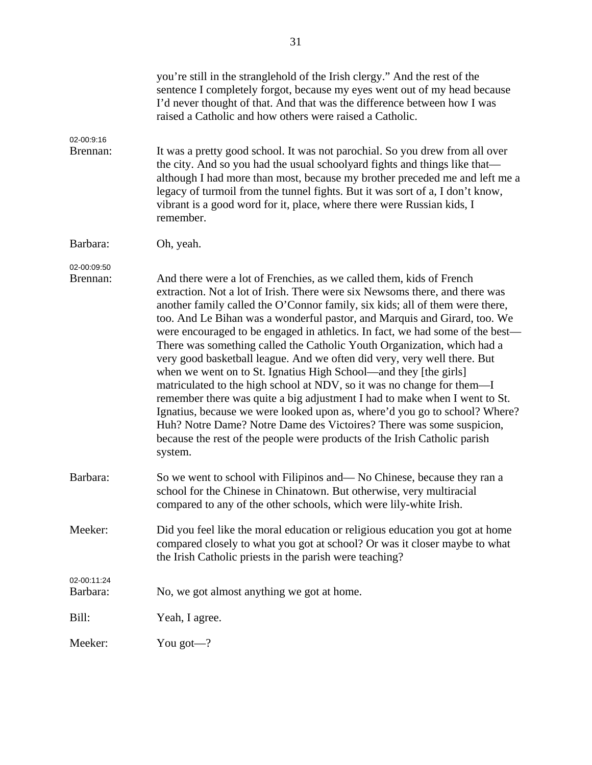|                         | you're still in the stranglehold of the Irish clergy." And the rest of the<br>sentence I completely forgot, because my eyes went out of my head because<br>I'd never thought of that. And that was the difference between how I was<br>raised a Catholic and how others were raised a Catholic.                                                                                                                                                                                                                                                                                                                                                                                                                                                                                                                                                                                                                                                                                                                                    |
|-------------------------|------------------------------------------------------------------------------------------------------------------------------------------------------------------------------------------------------------------------------------------------------------------------------------------------------------------------------------------------------------------------------------------------------------------------------------------------------------------------------------------------------------------------------------------------------------------------------------------------------------------------------------------------------------------------------------------------------------------------------------------------------------------------------------------------------------------------------------------------------------------------------------------------------------------------------------------------------------------------------------------------------------------------------------|
| 02-00:9:16<br>Brennan:  | It was a pretty good school. It was not parochial. So you drew from all over<br>the city. And so you had the usual schoolyard fights and things like that—<br>although I had more than most, because my brother preceded me and left me a<br>legacy of turmoil from the tunnel fights. But it was sort of a, I don't know,<br>vibrant is a good word for it, place, where there were Russian kids, I<br>remember.                                                                                                                                                                                                                                                                                                                                                                                                                                                                                                                                                                                                                  |
| Barbara:                | Oh, yeah.                                                                                                                                                                                                                                                                                                                                                                                                                                                                                                                                                                                                                                                                                                                                                                                                                                                                                                                                                                                                                          |
| 02-00:09:50<br>Brennan: | And there were a lot of Frenchies, as we called them, kids of French<br>extraction. Not a lot of Irish. There were six Newsoms there, and there was<br>another family called the O'Connor family, six kids; all of them were there,<br>too. And Le Bihan was a wonderful pastor, and Marquis and Girard, too. We<br>were encouraged to be engaged in athletics. In fact, we had some of the best—<br>There was something called the Catholic Youth Organization, which had a<br>very good basketball league. And we often did very, very well there. But<br>when we went on to St. Ignatius High School—and they [the girls]<br>matriculated to the high school at NDV, so it was no change for them—I<br>remember there was quite a big adjustment I had to make when I went to St.<br>Ignatius, because we were looked upon as, where'd you go to school? Where?<br>Huh? Notre Dame? Notre Dame des Victoires? There was some suspicion,<br>because the rest of the people were products of the Irish Catholic parish<br>system. |
| Barbara:                | So we went to school with Filipinos and—No Chinese, because they ran a<br>school for the Chinese in Chinatown. But otherwise, very multiracial<br>compared to any of the other schools, which were lily-white Irish.                                                                                                                                                                                                                                                                                                                                                                                                                                                                                                                                                                                                                                                                                                                                                                                                               |
| Meeker:                 | Did you feel like the moral education or religious education you got at home<br>compared closely to what you got at school? Or was it closer maybe to what<br>the Irish Catholic priests in the parish were teaching?                                                                                                                                                                                                                                                                                                                                                                                                                                                                                                                                                                                                                                                                                                                                                                                                              |
| 02-00:11:24<br>Barbara: | No, we got almost anything we got at home.                                                                                                                                                                                                                                                                                                                                                                                                                                                                                                                                                                                                                                                                                                                                                                                                                                                                                                                                                                                         |
| Bill:                   | Yeah, I agree.                                                                                                                                                                                                                                                                                                                                                                                                                                                                                                                                                                                                                                                                                                                                                                                                                                                                                                                                                                                                                     |
| Meeker:                 | You got- $?$                                                                                                                                                                                                                                                                                                                                                                                                                                                                                                                                                                                                                                                                                                                                                                                                                                                                                                                                                                                                                       |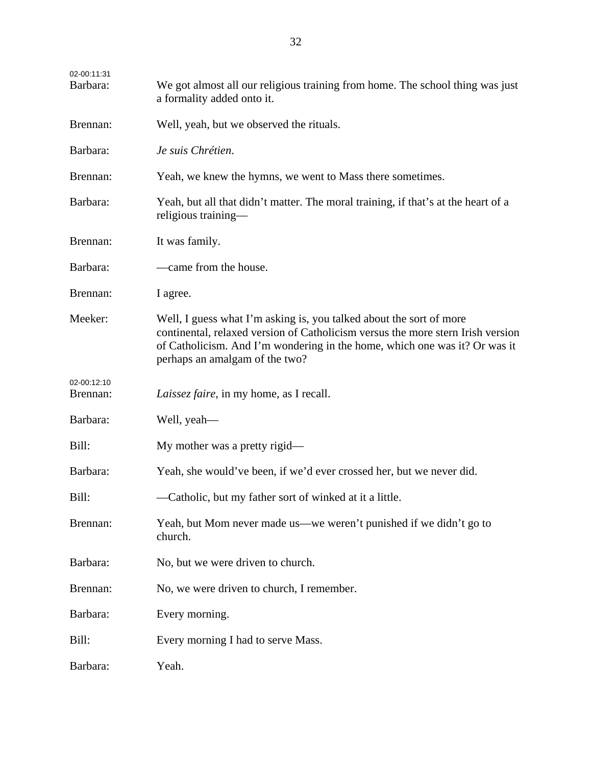| 02-00:11:31<br>Barbara: | We got almost all our religious training from home. The school thing was just<br>a formality added onto it.                                                                                                                                                            |
|-------------------------|------------------------------------------------------------------------------------------------------------------------------------------------------------------------------------------------------------------------------------------------------------------------|
| Brennan:                | Well, yeah, but we observed the rituals.                                                                                                                                                                                                                               |
| Barbara:                | Je suis Chrétien.                                                                                                                                                                                                                                                      |
| Brennan:                | Yeah, we knew the hymns, we went to Mass there sometimes.                                                                                                                                                                                                              |
| Barbara:                | Yeah, but all that didn't matter. The moral training, if that's at the heart of a<br>religious training—                                                                                                                                                               |
| Brennan:                | It was family.                                                                                                                                                                                                                                                         |
| Barbara:                | —came from the house.                                                                                                                                                                                                                                                  |
| Brennan:                | I agree.                                                                                                                                                                                                                                                               |
| Meeker:                 | Well, I guess what I'm asking is, you talked about the sort of more<br>continental, relaxed version of Catholicism versus the more stern Irish version<br>of Catholicism. And I'm wondering in the home, which one was it? Or was it<br>perhaps an amalgam of the two? |
| 02-00:12:10<br>Brennan: | <i>Laissez faire</i> , in my home, as I recall.                                                                                                                                                                                                                        |
| Barbara:                | Well, yeah—                                                                                                                                                                                                                                                            |
| Bill:                   | My mother was a pretty rigid—                                                                                                                                                                                                                                          |
| Barbara:                | Yeah, she would've been, if we'd ever crossed her, but we never did.                                                                                                                                                                                                   |
| Bill:                   | —Catholic, but my father sort of winked at it a little.                                                                                                                                                                                                                |
| Brennan:                | Yeah, but Mom never made us—we weren't punished if we didn't go to<br>church.                                                                                                                                                                                          |
| Barbara:                | No, but we were driven to church.                                                                                                                                                                                                                                      |
| Brennan:                | No, we were driven to church, I remember.                                                                                                                                                                                                                              |
| Barbara:                | Every morning.                                                                                                                                                                                                                                                         |
| Bill:                   | Every morning I had to serve Mass.                                                                                                                                                                                                                                     |
| Barbara:                | Yeah.                                                                                                                                                                                                                                                                  |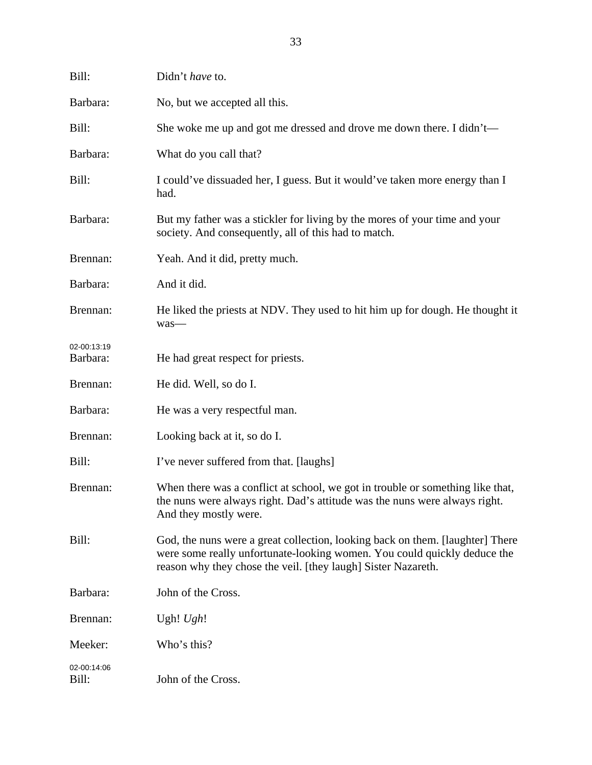| Bill:                   | Didn't have to.                                                                                                                                                                                                            |
|-------------------------|----------------------------------------------------------------------------------------------------------------------------------------------------------------------------------------------------------------------------|
| Barbara:                | No, but we accepted all this.                                                                                                                                                                                              |
| Bill:                   | She woke me up and got me dressed and drove me down there. I didn't—                                                                                                                                                       |
| Barbara:                | What do you call that?                                                                                                                                                                                                     |
| Bill:                   | I could've dissuaded her, I guess. But it would've taken more energy than I<br>had.                                                                                                                                        |
| Barbara:                | But my father was a stickler for living by the mores of your time and your<br>society. And consequently, all of this had to match.                                                                                         |
| Brennan:                | Yeah. And it did, pretty much.                                                                                                                                                                                             |
| Barbara:                | And it did.                                                                                                                                                                                                                |
| Brennan:                | He liked the priests at NDV. They used to hit him up for dough. He thought it<br>was-                                                                                                                                      |
| 02-00:13:19<br>Barbara: | He had great respect for priests.                                                                                                                                                                                          |
| Brennan:                | He did. Well, so do I.                                                                                                                                                                                                     |
| Barbara:                | He was a very respectful man.                                                                                                                                                                                              |
| Brennan:                | Looking back at it, so do I.                                                                                                                                                                                               |
| Bill:                   | I've never suffered from that. [laughs]                                                                                                                                                                                    |
| Brennan:                | When there was a conflict at school, we got in trouble or something like that,<br>the nuns were always right. Dad's attitude was the nuns were always right.<br>And they mostly were.                                      |
| Bill:                   | God, the nuns were a great collection, looking back on them. [laughter] There<br>were some really unfortunate-looking women. You could quickly deduce the<br>reason why they chose the veil. [they laugh] Sister Nazareth. |
| Barbara:                | John of the Cross.                                                                                                                                                                                                         |
| Brennan:                | Ugh! $Ugh!$                                                                                                                                                                                                                |
| Meeker:                 | Who's this?                                                                                                                                                                                                                |
| 02-00:14:06<br>Bill:    | John of the Cross.                                                                                                                                                                                                         |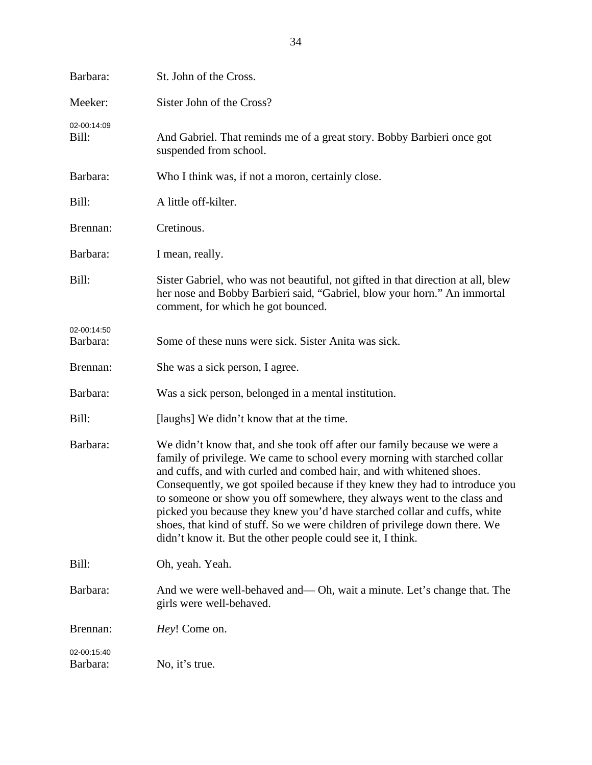| Barbara:                | St. John of the Cross.                                                                                                                                                                                                                                                                                                                                                                                                                                                                                                                                                                                           |
|-------------------------|------------------------------------------------------------------------------------------------------------------------------------------------------------------------------------------------------------------------------------------------------------------------------------------------------------------------------------------------------------------------------------------------------------------------------------------------------------------------------------------------------------------------------------------------------------------------------------------------------------------|
| Meeker:                 | Sister John of the Cross?                                                                                                                                                                                                                                                                                                                                                                                                                                                                                                                                                                                        |
| 02-00:14:09<br>Bill:    | And Gabriel. That reminds me of a great story. Bobby Barbieri once got<br>suspended from school.                                                                                                                                                                                                                                                                                                                                                                                                                                                                                                                 |
| Barbara:                | Who I think was, if not a moron, certainly close.                                                                                                                                                                                                                                                                                                                                                                                                                                                                                                                                                                |
| Bill:                   | A little off-kilter.                                                                                                                                                                                                                                                                                                                                                                                                                                                                                                                                                                                             |
| Brennan:                | Cretinous.                                                                                                                                                                                                                                                                                                                                                                                                                                                                                                                                                                                                       |
| Barbara:                | I mean, really.                                                                                                                                                                                                                                                                                                                                                                                                                                                                                                                                                                                                  |
| Bill:                   | Sister Gabriel, who was not beautiful, not gifted in that direction at all, blew<br>her nose and Bobby Barbieri said, "Gabriel, blow your horn." An immortal<br>comment, for which he got bounced.                                                                                                                                                                                                                                                                                                                                                                                                               |
| 02-00:14:50<br>Barbara: | Some of these nuns were sick. Sister Anita was sick.                                                                                                                                                                                                                                                                                                                                                                                                                                                                                                                                                             |
| Brennan:                | She was a sick person, I agree.                                                                                                                                                                                                                                                                                                                                                                                                                                                                                                                                                                                  |
| Barbara:                | Was a sick person, belonged in a mental institution.                                                                                                                                                                                                                                                                                                                                                                                                                                                                                                                                                             |
| Bill:                   | [laughs] We didn't know that at the time.                                                                                                                                                                                                                                                                                                                                                                                                                                                                                                                                                                        |
| Barbara:                | We didn't know that, and she took off after our family because we were a<br>family of privilege. We came to school every morning with starched collar<br>and cuffs, and with curled and combed hair, and with whitened shoes.<br>Consequently, we got spoiled because if they knew they had to introduce you<br>to someone or show you off somewhere, they always went to the class and<br>picked you because they knew you'd have starched collar and cuffs, white<br>shoes, that kind of stuff. So we were children of privilege down there. We<br>didn't know it. But the other people could see it, I think. |
| Bill:                   | Oh, yeah. Yeah.                                                                                                                                                                                                                                                                                                                                                                                                                                                                                                                                                                                                  |
| Barbara:                | And we were well-behaved and— Oh, wait a minute. Let's change that. The<br>girls were well-behaved.                                                                                                                                                                                                                                                                                                                                                                                                                                                                                                              |
| Brennan:                | Hey! Come on.                                                                                                                                                                                                                                                                                                                                                                                                                                                                                                                                                                                                    |
| 02-00:15:40<br>Barbara: | No, it's true.                                                                                                                                                                                                                                                                                                                                                                                                                                                                                                                                                                                                   |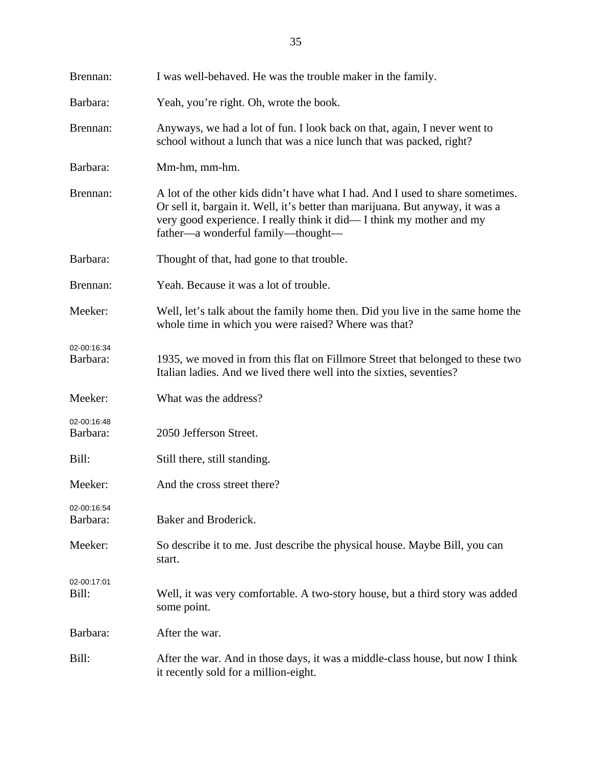| Brennan:                | I was well-behaved. He was the trouble maker in the family.                                                                                                                                                                                                                    |
|-------------------------|--------------------------------------------------------------------------------------------------------------------------------------------------------------------------------------------------------------------------------------------------------------------------------|
| Barbara:                | Yeah, you're right. Oh, wrote the book.                                                                                                                                                                                                                                        |
| Brennan:                | Anyways, we had a lot of fun. I look back on that, again, I never went to<br>school without a lunch that was a nice lunch that was packed, right?                                                                                                                              |
| Barbara:                | Mm-hm, mm-hm.                                                                                                                                                                                                                                                                  |
| Brennan:                | A lot of the other kids didn't have what I had. And I used to share sometimes.<br>Or sell it, bargain it. Well, it's better than marijuana. But anyway, it was a<br>very good experience. I really think it did—I think my mother and my<br>father—a wonderful family—thought— |
| Barbara:                | Thought of that, had gone to that trouble.                                                                                                                                                                                                                                     |
| Brennan:                | Yeah. Because it was a lot of trouble.                                                                                                                                                                                                                                         |
| Meeker:                 | Well, let's talk about the family home then. Did you live in the same home the<br>whole time in which you were raised? Where was that?                                                                                                                                         |
| 02-00:16:34<br>Barbara: | 1935, we moved in from this flat on Fillmore Street that belonged to these two<br>Italian ladies. And we lived there well into the sixties, seventies?                                                                                                                         |
| Meeker:                 | What was the address?                                                                                                                                                                                                                                                          |
| 02-00:16:48<br>Barbara: | 2050 Jefferson Street.                                                                                                                                                                                                                                                         |
| Bill:                   | Still there, still standing.                                                                                                                                                                                                                                                   |
| Meeker:                 | And the cross street there?                                                                                                                                                                                                                                                    |
| 02-00:16:54<br>Barbara: | Baker and Broderick.                                                                                                                                                                                                                                                           |
| Meeker:                 | So describe it to me. Just describe the physical house. Maybe Bill, you can<br>start.                                                                                                                                                                                          |
| 02-00:17:01<br>Bill:    | Well, it was very comfortable. A two-story house, but a third story was added<br>some point.                                                                                                                                                                                   |
| Barbara:                | After the war.                                                                                                                                                                                                                                                                 |
| Bill:                   | After the war. And in those days, it was a middle-class house, but now I think<br>it recently sold for a million-eight.                                                                                                                                                        |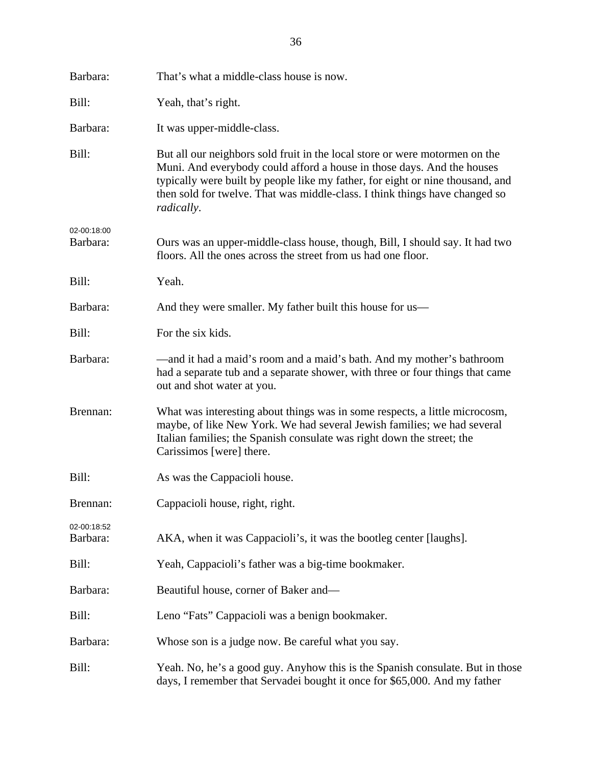| Barbara:                | That's what a middle-class house is now.                                                                                                                                                                                                                                                                                                    |
|-------------------------|---------------------------------------------------------------------------------------------------------------------------------------------------------------------------------------------------------------------------------------------------------------------------------------------------------------------------------------------|
| Bill:                   | Yeah, that's right.                                                                                                                                                                                                                                                                                                                         |
| Barbara:                | It was upper-middle-class.                                                                                                                                                                                                                                                                                                                  |
| Bill:                   | But all our neighbors sold fruit in the local store or were motormen on the<br>Muni. And everybody could afford a house in those days. And the houses<br>typically were built by people like my father, for eight or nine thousand, and<br>then sold for twelve. That was middle-class. I think things have changed so<br><i>radically.</i> |
| 02-00:18:00<br>Barbara: | Ours was an upper-middle-class house, though, Bill, I should say. It had two<br>floors. All the ones across the street from us had one floor.                                                                                                                                                                                               |
| Bill:                   | Yeah.                                                                                                                                                                                                                                                                                                                                       |
| Barbara:                | And they were smaller. My father built this house for us—                                                                                                                                                                                                                                                                                   |
| Bill:                   | For the six kids.                                                                                                                                                                                                                                                                                                                           |
| Barbara:                | —and it had a maid's room and a maid's bath. And my mother's bathroom<br>had a separate tub and a separate shower, with three or four things that came<br>out and shot water at you.                                                                                                                                                        |
| Brennan:                | What was interesting about things was in some respects, a little microcosm,<br>maybe, of like New York. We had several Jewish families; we had several<br>Italian families; the Spanish consulate was right down the street; the<br>Carissimos [were] there.                                                                                |
| Bill:                   | As was the Cappacioli house.                                                                                                                                                                                                                                                                                                                |
| Brennan:                | Cappacioli house, right, right.                                                                                                                                                                                                                                                                                                             |
| 02-00:18:52<br>Barbara: | AKA, when it was Cappacioli's, it was the bootleg center [laughs].                                                                                                                                                                                                                                                                          |
| Bill:                   | Yeah, Cappacioli's father was a big-time bookmaker.                                                                                                                                                                                                                                                                                         |
| Barbara:                | Beautiful house, corner of Baker and—                                                                                                                                                                                                                                                                                                       |
| Bill:                   | Leno "Fats" Cappacioli was a benign bookmaker.                                                                                                                                                                                                                                                                                              |
| Barbara:                | Whose son is a judge now. Be careful what you say.                                                                                                                                                                                                                                                                                          |
| Bill:                   | Yeah. No, he's a good guy. Anyhow this is the Spanish consulate. But in those<br>days, I remember that Servadei bought it once for \$65,000. And my father                                                                                                                                                                                  |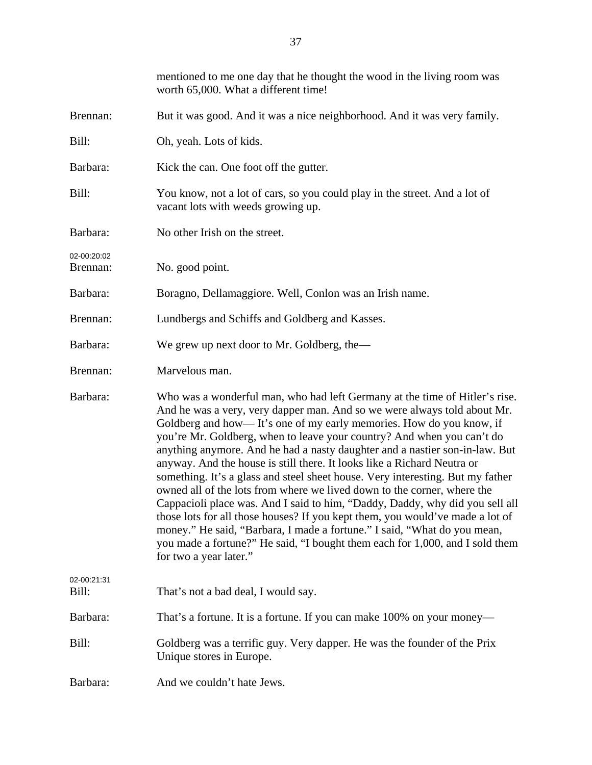|                         | mentioned to me one day that he thought the wood in the living room was<br>worth 65,000. What a different time!                                                                                                                                                                                                                                                                                                                                                                                                                                                                                                                                                                                                                                                                                                                                                                                                                                                                        |
|-------------------------|----------------------------------------------------------------------------------------------------------------------------------------------------------------------------------------------------------------------------------------------------------------------------------------------------------------------------------------------------------------------------------------------------------------------------------------------------------------------------------------------------------------------------------------------------------------------------------------------------------------------------------------------------------------------------------------------------------------------------------------------------------------------------------------------------------------------------------------------------------------------------------------------------------------------------------------------------------------------------------------|
| Brennan:                | But it was good. And it was a nice neighborhood. And it was very family.                                                                                                                                                                                                                                                                                                                                                                                                                                                                                                                                                                                                                                                                                                                                                                                                                                                                                                               |
| Bill:                   | Oh, yeah. Lots of kids.                                                                                                                                                                                                                                                                                                                                                                                                                                                                                                                                                                                                                                                                                                                                                                                                                                                                                                                                                                |
| Barbara:                | Kick the can. One foot off the gutter.                                                                                                                                                                                                                                                                                                                                                                                                                                                                                                                                                                                                                                                                                                                                                                                                                                                                                                                                                 |
| Bill:                   | You know, not a lot of cars, so you could play in the street. And a lot of<br>vacant lots with weeds growing up.                                                                                                                                                                                                                                                                                                                                                                                                                                                                                                                                                                                                                                                                                                                                                                                                                                                                       |
| Barbara:                | No other Irish on the street.                                                                                                                                                                                                                                                                                                                                                                                                                                                                                                                                                                                                                                                                                                                                                                                                                                                                                                                                                          |
| 02-00:20:02<br>Brennan: | No. good point.                                                                                                                                                                                                                                                                                                                                                                                                                                                                                                                                                                                                                                                                                                                                                                                                                                                                                                                                                                        |
| Barbara:                | Boragno, Dellamaggiore. Well, Conlon was an Irish name.                                                                                                                                                                                                                                                                                                                                                                                                                                                                                                                                                                                                                                                                                                                                                                                                                                                                                                                                |
| Brennan:                | Lundbergs and Schiffs and Goldberg and Kasses.                                                                                                                                                                                                                                                                                                                                                                                                                                                                                                                                                                                                                                                                                                                                                                                                                                                                                                                                         |
| Barbara:                | We grew up next door to Mr. Goldberg, the-                                                                                                                                                                                                                                                                                                                                                                                                                                                                                                                                                                                                                                                                                                                                                                                                                                                                                                                                             |
| Brennan:                | Marvelous man.                                                                                                                                                                                                                                                                                                                                                                                                                                                                                                                                                                                                                                                                                                                                                                                                                                                                                                                                                                         |
| Barbara:                | Who was a wonderful man, who had left Germany at the time of Hitler's rise.<br>And he was a very, very dapper man. And so we were always told about Mr.<br>Goldberg and how—It's one of my early memories. How do you know, if<br>you're Mr. Goldberg, when to leave your country? And when you can't do<br>anything anymore. And he had a nasty daughter and a nastier son-in-law. But<br>anyway. And the house is still there. It looks like a Richard Neutra or<br>something. It's a glass and steel sheet house. Very interesting. But my father<br>owned all of the lots from where we lived down to the corner, where the<br>Cappacioli place was. And I said to him, "Daddy, Daddy, why did you sell all<br>those lots for all those houses? If you kept them, you would've made a lot of<br>money." He said, "Barbara, I made a fortune." I said, "What do you mean,<br>you made a fortune?" He said, "I bought them each for 1,000, and I sold them<br>for two a year later." |
| 02-00:21:31<br>Bill:    | That's not a bad deal, I would say.                                                                                                                                                                                                                                                                                                                                                                                                                                                                                                                                                                                                                                                                                                                                                                                                                                                                                                                                                    |
| Barbara:                | That's a fortune. It is a fortune. If you can make 100% on your money—                                                                                                                                                                                                                                                                                                                                                                                                                                                                                                                                                                                                                                                                                                                                                                                                                                                                                                                 |
| Bill:                   | Goldberg was a terrific guy. Very dapper. He was the founder of the Prix<br>Unique stores in Europe.                                                                                                                                                                                                                                                                                                                                                                                                                                                                                                                                                                                                                                                                                                                                                                                                                                                                                   |
| Barbara:                | And we couldn't hate Jews.                                                                                                                                                                                                                                                                                                                                                                                                                                                                                                                                                                                                                                                                                                                                                                                                                                                                                                                                                             |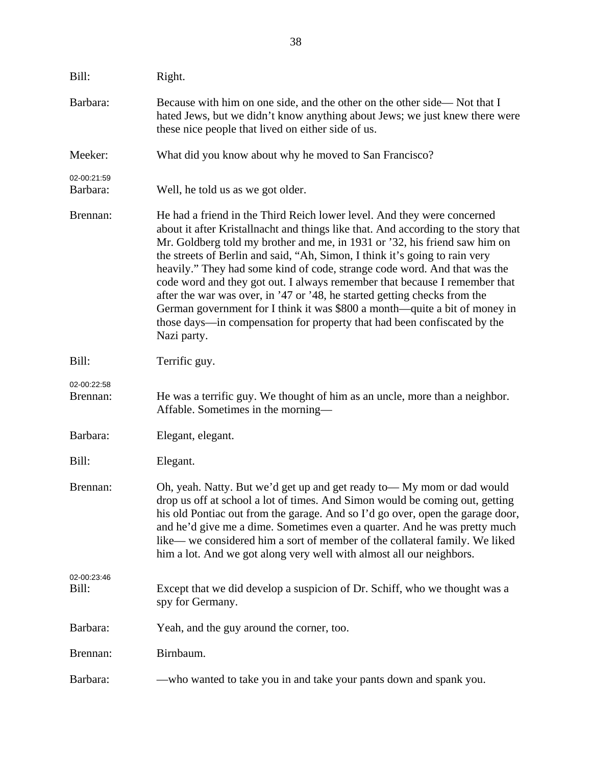| Bill:                   | Right.                                                                                                                                                                                                                                                                                                                                                                                                                                                                                                                                                                                                                                                                                                                                      |
|-------------------------|---------------------------------------------------------------------------------------------------------------------------------------------------------------------------------------------------------------------------------------------------------------------------------------------------------------------------------------------------------------------------------------------------------------------------------------------------------------------------------------------------------------------------------------------------------------------------------------------------------------------------------------------------------------------------------------------------------------------------------------------|
| Barbara:                | Because with him on one side, and the other on the other side—Not that I<br>hated Jews, but we didn't know anything about Jews; we just knew there were<br>these nice people that lived on either side of us.                                                                                                                                                                                                                                                                                                                                                                                                                                                                                                                               |
| Meeker:                 | What did you know about why he moved to San Francisco?                                                                                                                                                                                                                                                                                                                                                                                                                                                                                                                                                                                                                                                                                      |
| 02-00:21:59<br>Barbara: | Well, he told us as we got older.                                                                                                                                                                                                                                                                                                                                                                                                                                                                                                                                                                                                                                                                                                           |
| Brennan:                | He had a friend in the Third Reich lower level. And they were concerned<br>about it after Kristallnacht and things like that. And according to the story that<br>Mr. Goldberg told my brother and me, in 1931 or '32, his friend saw him on<br>the streets of Berlin and said, "Ah, Simon, I think it's going to rain very<br>heavily." They had some kind of code, strange code word. And that was the<br>code word and they got out. I always remember that because I remember that<br>after the war was over, in '47 or '48, he started getting checks from the<br>German government for I think it was \$800 a month—quite a bit of money in<br>those days—in compensation for property that had been confiscated by the<br>Nazi party. |
| Bill:                   | Terrific guy.                                                                                                                                                                                                                                                                                                                                                                                                                                                                                                                                                                                                                                                                                                                               |
| 02-00:22:58<br>Brennan: | He was a terrific guy. We thought of him as an uncle, more than a neighbor.<br>Affable. Sometimes in the morning—                                                                                                                                                                                                                                                                                                                                                                                                                                                                                                                                                                                                                           |
| Barbara:                | Elegant, elegant.                                                                                                                                                                                                                                                                                                                                                                                                                                                                                                                                                                                                                                                                                                                           |
| Bill:                   | Elegant.                                                                                                                                                                                                                                                                                                                                                                                                                                                                                                                                                                                                                                                                                                                                    |
| Brennan:                | Oh, yeah. Natty. But we'd get up and get ready to—My mom or dad would<br>drop us off at school a lot of times. And Simon would be coming out, getting<br>his old Pontiac out from the garage. And so I'd go over, open the garage door,<br>and he'd give me a dime. Sometimes even a quarter. And he was pretty much<br>like— we considered him a sort of member of the collateral family. We liked<br>him a lot. And we got along very well with almost all our neighbors.                                                                                                                                                                                                                                                                 |
| 02-00:23:46<br>Bill:    | Except that we did develop a suspicion of Dr. Schiff, who we thought was a<br>spy for Germany.                                                                                                                                                                                                                                                                                                                                                                                                                                                                                                                                                                                                                                              |
| Barbara:                | Yeah, and the guy around the corner, too.                                                                                                                                                                                                                                                                                                                                                                                                                                                                                                                                                                                                                                                                                                   |
| Brennan:                | Birnbaum.                                                                                                                                                                                                                                                                                                                                                                                                                                                                                                                                                                                                                                                                                                                                   |
| Barbara:                | —who wanted to take you in and take your pants down and spank you.                                                                                                                                                                                                                                                                                                                                                                                                                                                                                                                                                                                                                                                                          |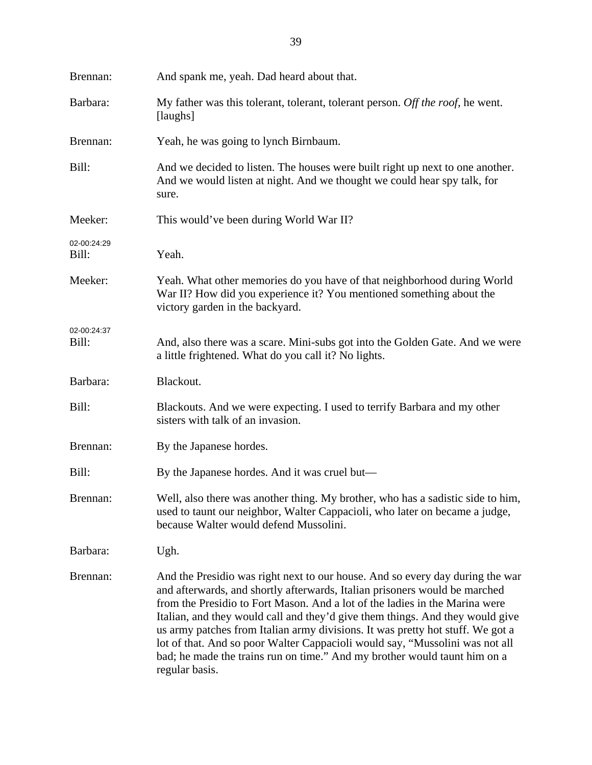| Brennan:             | And spank me, yeah. Dad heard about that.                                                                                                                                                                                                                                                                                                                                                                                                                                                                                                                                                    |
|----------------------|----------------------------------------------------------------------------------------------------------------------------------------------------------------------------------------------------------------------------------------------------------------------------------------------------------------------------------------------------------------------------------------------------------------------------------------------------------------------------------------------------------------------------------------------------------------------------------------------|
| Barbara:             | My father was this tolerant, tolerant, tolerant person. Off the roof, he went.<br>[laughs]                                                                                                                                                                                                                                                                                                                                                                                                                                                                                                   |
| Brennan:             | Yeah, he was going to lynch Birnbaum.                                                                                                                                                                                                                                                                                                                                                                                                                                                                                                                                                        |
| Bill:                | And we decided to listen. The houses were built right up next to one another.<br>And we would listen at night. And we thought we could hear spy talk, for<br>sure.                                                                                                                                                                                                                                                                                                                                                                                                                           |
| Meeker:              | This would've been during World War II?                                                                                                                                                                                                                                                                                                                                                                                                                                                                                                                                                      |
| 02-00:24:29<br>Bill: | Yeah.                                                                                                                                                                                                                                                                                                                                                                                                                                                                                                                                                                                        |
| Meeker:              | Yeah. What other memories do you have of that neighborhood during World<br>War II? How did you experience it? You mentioned something about the<br>victory garden in the backyard.                                                                                                                                                                                                                                                                                                                                                                                                           |
| 02-00:24:37<br>Bill: | And, also there was a scare. Mini-subs got into the Golden Gate. And we were<br>a little frightened. What do you call it? No lights.                                                                                                                                                                                                                                                                                                                                                                                                                                                         |
| Barbara:             | Blackout.                                                                                                                                                                                                                                                                                                                                                                                                                                                                                                                                                                                    |
| Bill:                | Blackouts. And we were expecting. I used to terrify Barbara and my other<br>sisters with talk of an invasion.                                                                                                                                                                                                                                                                                                                                                                                                                                                                                |
| Brennan:             | By the Japanese hordes.                                                                                                                                                                                                                                                                                                                                                                                                                                                                                                                                                                      |
| Bill:                | By the Japanese hordes. And it was cruel but—                                                                                                                                                                                                                                                                                                                                                                                                                                                                                                                                                |
| Brennan:             | Well, also there was another thing. My brother, who has a sadistic side to him,<br>used to taunt our neighbor, Walter Cappacioli, who later on became a judge,<br>because Walter would defend Mussolini.                                                                                                                                                                                                                                                                                                                                                                                     |
| Barbara:             | Ugh.                                                                                                                                                                                                                                                                                                                                                                                                                                                                                                                                                                                         |
| Brennan:             | And the Presidio was right next to our house. And so every day during the war<br>and afterwards, and shortly afterwards, Italian prisoners would be marched<br>from the Presidio to Fort Mason. And a lot of the ladies in the Marina were<br>Italian, and they would call and they'd give them things. And they would give<br>us army patches from Italian army divisions. It was pretty hot stuff. We got a<br>lot of that. And so poor Walter Cappacioli would say, "Mussolini was not all<br>bad; he made the trains run on time." And my brother would taunt him on a<br>regular basis. |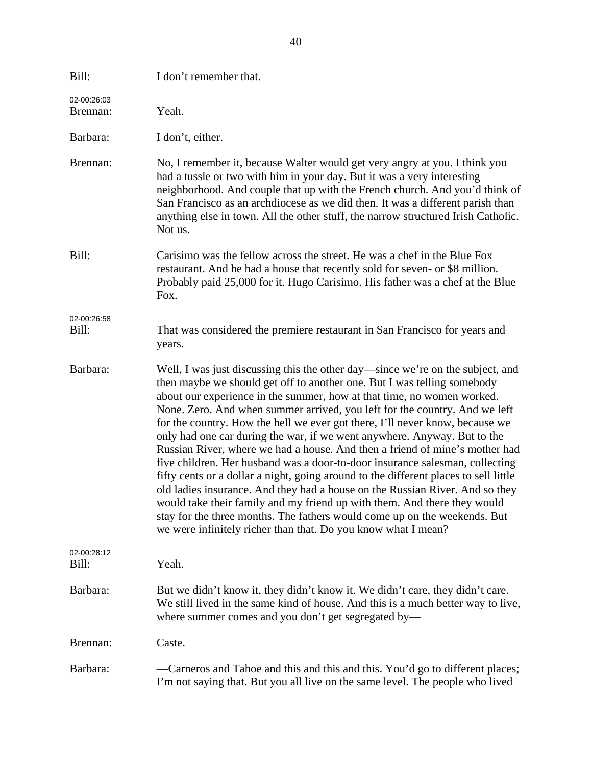| Bill:                   | I don't remember that.                                                                                                                                                                                                                                                                                                                                                                                                                                                                                                                                                                                                                                                                                                                                                                                                                                                                                                                                                                                                                         |
|-------------------------|------------------------------------------------------------------------------------------------------------------------------------------------------------------------------------------------------------------------------------------------------------------------------------------------------------------------------------------------------------------------------------------------------------------------------------------------------------------------------------------------------------------------------------------------------------------------------------------------------------------------------------------------------------------------------------------------------------------------------------------------------------------------------------------------------------------------------------------------------------------------------------------------------------------------------------------------------------------------------------------------------------------------------------------------|
| 02-00:26:03<br>Brennan: | Yeah.                                                                                                                                                                                                                                                                                                                                                                                                                                                                                                                                                                                                                                                                                                                                                                                                                                                                                                                                                                                                                                          |
| Barbara:                | I don't, either.                                                                                                                                                                                                                                                                                                                                                                                                                                                                                                                                                                                                                                                                                                                                                                                                                                                                                                                                                                                                                               |
| Brennan:                | No, I remember it, because Walter would get very angry at you. I think you<br>had a tussle or two with him in your day. But it was a very interesting<br>neighborhood. And couple that up with the French church. And you'd think of<br>San Francisco as an archdiocese as we did then. It was a different parish than<br>anything else in town. All the other stuff, the narrow structured Irish Catholic.<br>Not us.                                                                                                                                                                                                                                                                                                                                                                                                                                                                                                                                                                                                                         |
| Bill:                   | Carisimo was the fellow across the street. He was a chef in the Blue Fox<br>restaurant. And he had a house that recently sold for seven- or \$8 million.<br>Probably paid 25,000 for it. Hugo Carisimo. His father was a chef at the Blue<br>Fox.                                                                                                                                                                                                                                                                                                                                                                                                                                                                                                                                                                                                                                                                                                                                                                                              |
| 02-00:26:58<br>Bill:    | That was considered the premiere restaurant in San Francisco for years and<br>years.                                                                                                                                                                                                                                                                                                                                                                                                                                                                                                                                                                                                                                                                                                                                                                                                                                                                                                                                                           |
| Barbara:                | Well, I was just discussing this the other day—since we're on the subject, and<br>then maybe we should get off to another one. But I was telling somebody<br>about our experience in the summer, how at that time, no women worked.<br>None. Zero. And when summer arrived, you left for the country. And we left<br>for the country. How the hell we ever got there, I'll never know, because we<br>only had one car during the war, if we went anywhere. Anyway. But to the<br>Russian River, where we had a house. And then a friend of mine's mother had<br>five children. Her husband was a door-to-door insurance salesman, collecting<br>fifty cents or a dollar a night, going around to the different places to sell little<br>old ladies insurance. And they had a house on the Russian River. And so they<br>would take their family and my friend up with them. And there they would<br>stay for the three months. The fathers would come up on the weekends. But<br>we were infinitely richer than that. Do you know what I mean? |
| 02-00:28:12<br>Bill:    | Yeah.                                                                                                                                                                                                                                                                                                                                                                                                                                                                                                                                                                                                                                                                                                                                                                                                                                                                                                                                                                                                                                          |
| Barbara:                | But we didn't know it, they didn't know it. We didn't care, they didn't care.<br>We still lived in the same kind of house. And this is a much better way to live,<br>where summer comes and you don't get segregated by—                                                                                                                                                                                                                                                                                                                                                                                                                                                                                                                                                                                                                                                                                                                                                                                                                       |
| Brennan:                | Caste.                                                                                                                                                                                                                                                                                                                                                                                                                                                                                                                                                                                                                                                                                                                                                                                                                                                                                                                                                                                                                                         |
| Barbara:                | —Carneros and Tahoe and this and this and this. You'd go to different places;<br>I'm not saying that. But you all live on the same level. The people who lived                                                                                                                                                                                                                                                                                                                                                                                                                                                                                                                                                                                                                                                                                                                                                                                                                                                                                 |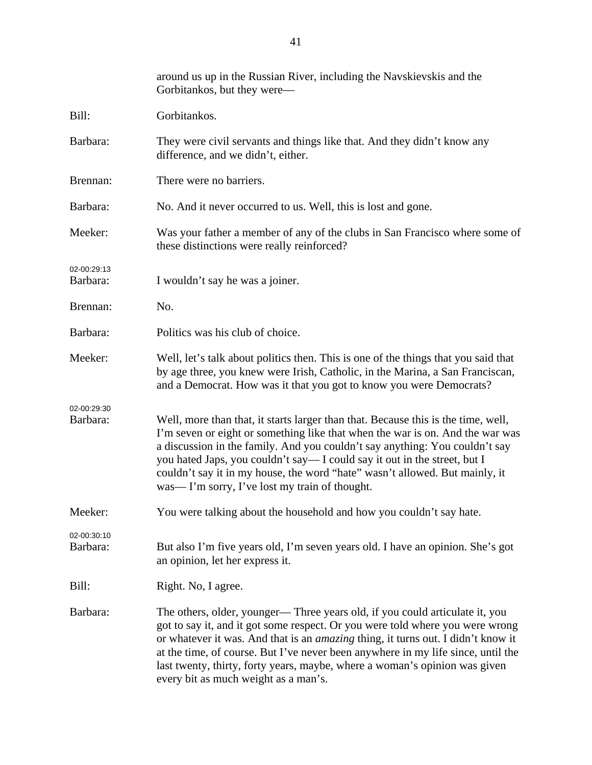|                         | around us up in the Russian River, including the Navskievskis and the<br>Gorbitankos, but they were—                                                                                                                                                                                                                                                                                                                                                               |
|-------------------------|--------------------------------------------------------------------------------------------------------------------------------------------------------------------------------------------------------------------------------------------------------------------------------------------------------------------------------------------------------------------------------------------------------------------------------------------------------------------|
| Bill:                   | Gorbitankos.                                                                                                                                                                                                                                                                                                                                                                                                                                                       |
| Barbara:                | They were civil servants and things like that. And they didn't know any<br>difference, and we didn't, either.                                                                                                                                                                                                                                                                                                                                                      |
| Brennan:                | There were no barriers.                                                                                                                                                                                                                                                                                                                                                                                                                                            |
| Barbara:                | No. And it never occurred to us. Well, this is lost and gone.                                                                                                                                                                                                                                                                                                                                                                                                      |
| Meeker:                 | Was your father a member of any of the clubs in San Francisco where some of<br>these distinctions were really reinforced?                                                                                                                                                                                                                                                                                                                                          |
| 02-00:29:13<br>Barbara: | I wouldn't say he was a joiner.                                                                                                                                                                                                                                                                                                                                                                                                                                    |
| Brennan:                | No.                                                                                                                                                                                                                                                                                                                                                                                                                                                                |
| Barbara:                | Politics was his club of choice.                                                                                                                                                                                                                                                                                                                                                                                                                                   |
| Meeker:                 | Well, let's talk about politics then. This is one of the things that you said that<br>by age three, you knew were Irish, Catholic, in the Marina, a San Franciscan,<br>and a Democrat. How was it that you got to know you were Democrats?                                                                                                                                                                                                                         |
| 02-00:29:30<br>Barbara: | Well, more than that, it starts larger than that. Because this is the time, well,<br>I'm seven or eight or something like that when the war is on. And the war was<br>a discussion in the family. And you couldn't say anything: You couldn't say<br>you hated Japs, you couldn't say-I could say it out in the street, but I<br>couldn't say it in my house, the word "hate" wasn't allowed. But mainly, it<br>was—I'm sorry, I've lost my train of thought.      |
| Meeker:                 | You were talking about the household and how you couldn't say hate.                                                                                                                                                                                                                                                                                                                                                                                                |
| 02-00:30:10<br>Barbara: | But also I'm five years old, I'm seven years old. I have an opinion. She's got<br>an opinion, let her express it.                                                                                                                                                                                                                                                                                                                                                  |
| Bill:                   | Right. No, I agree.                                                                                                                                                                                                                                                                                                                                                                                                                                                |
| Barbara:                | The others, older, younger— Three years old, if you could articulate it, you<br>got to say it, and it got some respect. Or you were told where you were wrong<br>or whatever it was. And that is an <i>amazing</i> thing, it turns out. I didn't know it<br>at the time, of course. But I've never been anywhere in my life since, until the<br>last twenty, thirty, forty years, maybe, where a woman's opinion was given<br>every bit as much weight as a man's. |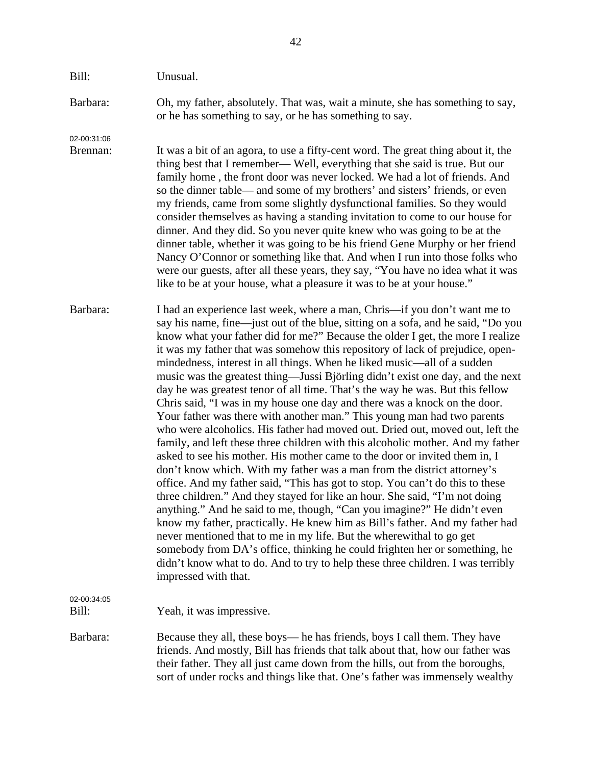## Bill: Unusual.

Barbara: Oh, my father, absolutely. That was, wait a minute, she has something to say,

02-00:31:06

Brennan: It was a bit of an agora, to use a fifty-cent word. The great thing about it, the thing best that I remember— Well, everything that she said is true. But our family home , the front door was never locked. We had a lot of friends. And so the dinner table— and some of my brothers' and sisters' friends, or even my friends, came from some slightly dysfunctional families. So they would consider themselves as having a standing invitation to come to our house for dinner. And they did. So you never quite knew who was going to be at the dinner table, whether it was going to be his friend Gene Murphy or her friend Nancy O'Connor or something like that. And when I run into those folks who were our guests, after all these years, they say, "You have no idea what it was like to be at your house, what a pleasure it was to be at your house."

Barbara: I had an experience last week, where a man, Chris—if you don't want me to say his name, fine—just out of the blue, sitting on a sofa, and he said, "Do you know what your father did for me?" Because the older I get, the more I realize it was my father that was somehow this repository of lack of prejudice, openmindedness, interest in all things. When he liked music—all of a sudden music was the greatest thing—Jussi Björling didn't exist one day, and the next day he was greatest tenor of all time. That's the way he was. But this fellow Chris said, "I was in my house one day and there was a knock on the door. Your father was there with another man." This young man had two parents who were alcoholics. His father had moved out. Dried out, moved out, left the family, and left these three children with this alcoholic mother. And my father asked to see his mother. His mother came to the door or invited them in, I don't know which. With my father was a man from the district attorney's office. And my father said, "This has got to stop. You can't do this to these three children." And they stayed for like an hour. She said, "I'm not doing anything." And he said to me, though, "Can you imagine?" He didn't even know my father, practically. He knew him as Bill's father. And my father had never mentioned that to me in my life. But the wherewithal to go get somebody from DA's office, thinking he could frighten her or something, he didn't know what to do. And to try to help these three children. I was terribly impressed with that.

02-00:34:05

Bill: Yeah, it was impressive.

Barbara: Because they all, these boys— he has friends, boys I call them. They have friends. And mostly, Bill has friends that talk about that, how our father was their father. They all just came down from the hills, out from the boroughs, sort of under rocks and things like that. One's father was immensely wealthy

or he has something to say, or he has something to say.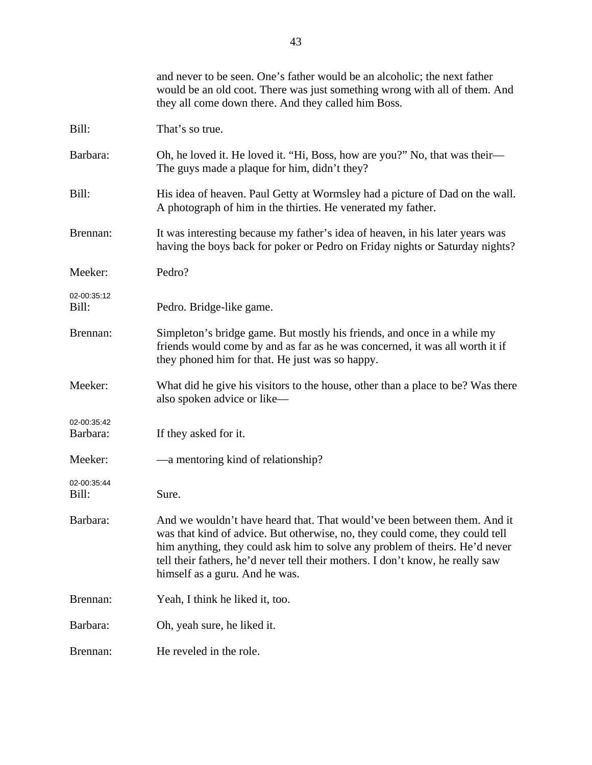|                         | and never to be seen. One's father would be an alcoholic; the next father<br>would be an old coot. There was just something wrong with all of them. And<br>they all come down there. And they called him Boss.                                                                                                                                              |
|-------------------------|-------------------------------------------------------------------------------------------------------------------------------------------------------------------------------------------------------------------------------------------------------------------------------------------------------------------------------------------------------------|
| Bill:                   | That's so true.                                                                                                                                                                                                                                                                                                                                             |
| Barbara:                | Oh, he loved it. He loved it. "Hi, Boss, how are you?" No, that was their—<br>The guys made a plaque for him, didn't they?                                                                                                                                                                                                                                  |
| Bill:                   | His idea of heaven. Paul Getty at Wormsley had a picture of Dad on the wall.<br>A photograph of him in the thirties. He venerated my father.                                                                                                                                                                                                                |
| Brennan:                | It was interesting because my father's idea of heaven, in his later years was<br>having the boys back for poker or Pedro on Friday nights or Saturday nights?                                                                                                                                                                                               |
| Meeker:                 | Pedro?                                                                                                                                                                                                                                                                                                                                                      |
| 02-00:35:12<br>Bill:    | Pedro. Bridge-like game.                                                                                                                                                                                                                                                                                                                                    |
| Brennan:                | Simpleton's bridge game. But mostly his friends, and once in a while my<br>friends would come by and as far as he was concerned, it was all worth it if<br>they phoned him for that. He just was so happy.                                                                                                                                                  |
| Meeker:                 | What did he give his visitors to the house, other than a place to be? Was there<br>also spoken advice or like—                                                                                                                                                                                                                                              |
| 02-00:35:42<br>Barbara: | If they asked for it.                                                                                                                                                                                                                                                                                                                                       |
| Meeker:                 | — a mentoring kind of relationship?                                                                                                                                                                                                                                                                                                                         |
| 02-00:35:44<br>Bill:    | Sure.                                                                                                                                                                                                                                                                                                                                                       |
| Barbara:                | And we wouldn't have heard that. That would've been between them. And it<br>was that kind of advice. But otherwise, no, they could come, they could tell<br>him anything, they could ask him to solve any problem of theirs. He'd never<br>tell their fathers, he'd never tell their mothers. I don't know, he really saw<br>himself as a guru. And he was. |
| Brennan:                | Yeah, I think he liked it, too.                                                                                                                                                                                                                                                                                                                             |
| Barbara:                | Oh, yeah sure, he liked it.                                                                                                                                                                                                                                                                                                                                 |
| Brennan:                | He reveled in the role.                                                                                                                                                                                                                                                                                                                                     |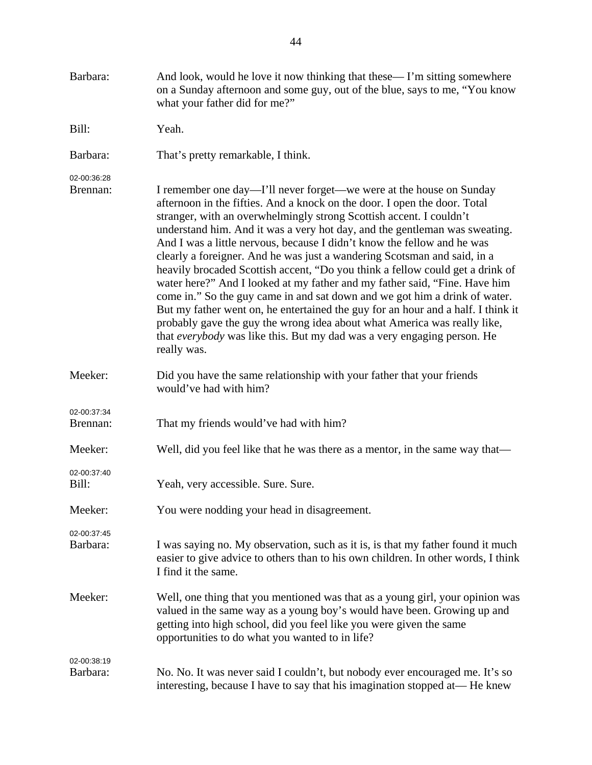| Barbara:                | And look, would he love it now thinking that these—I'm sitting somewhere<br>on a Sunday afternoon and some guy, out of the blue, says to me, "You know<br>what your father did for me?"                                                                                                                                                                                                                                                                                                                                                                                                                                                                                                                                                                                                                                                                                                                                                                             |
|-------------------------|---------------------------------------------------------------------------------------------------------------------------------------------------------------------------------------------------------------------------------------------------------------------------------------------------------------------------------------------------------------------------------------------------------------------------------------------------------------------------------------------------------------------------------------------------------------------------------------------------------------------------------------------------------------------------------------------------------------------------------------------------------------------------------------------------------------------------------------------------------------------------------------------------------------------------------------------------------------------|
| Bill:                   | Yeah.                                                                                                                                                                                                                                                                                                                                                                                                                                                                                                                                                                                                                                                                                                                                                                                                                                                                                                                                                               |
| Barbara:                | That's pretty remarkable, I think.                                                                                                                                                                                                                                                                                                                                                                                                                                                                                                                                                                                                                                                                                                                                                                                                                                                                                                                                  |
| 02-00:36:28<br>Brennan: | I remember one day—I'll never forget—we were at the house on Sunday<br>afternoon in the fifties. And a knock on the door. I open the door. Total<br>stranger, with an overwhelmingly strong Scottish accent. I couldn't<br>understand him. And it was a very hot day, and the gentleman was sweating.<br>And I was a little nervous, because I didn't know the fellow and he was<br>clearly a foreigner. And he was just a wandering Scotsman and said, in a<br>heavily brocaded Scottish accent, "Do you think a fellow could get a drink of<br>water here?" And I looked at my father and my father said, "Fine. Have him<br>come in." So the guy came in and sat down and we got him a drink of water.<br>But my father went on, he entertained the guy for an hour and a half. I think it<br>probably gave the guy the wrong idea about what America was really like,<br>that everybody was like this. But my dad was a very engaging person. He<br>really was. |
| Meeker:                 | Did you have the same relationship with your father that your friends<br>would've had with him?                                                                                                                                                                                                                                                                                                                                                                                                                                                                                                                                                                                                                                                                                                                                                                                                                                                                     |
| 02-00:37:34<br>Brennan: | That my friends would've had with him?                                                                                                                                                                                                                                                                                                                                                                                                                                                                                                                                                                                                                                                                                                                                                                                                                                                                                                                              |
| Meeker:                 | Well, did you feel like that he was there as a mentor, in the same way that—                                                                                                                                                                                                                                                                                                                                                                                                                                                                                                                                                                                                                                                                                                                                                                                                                                                                                        |
| 02-00:37:40<br>Bill:    | Yeah, very accessible. Sure. Sure.                                                                                                                                                                                                                                                                                                                                                                                                                                                                                                                                                                                                                                                                                                                                                                                                                                                                                                                                  |
| Meeker:                 | You were nodding your head in disagreement.                                                                                                                                                                                                                                                                                                                                                                                                                                                                                                                                                                                                                                                                                                                                                                                                                                                                                                                         |
| 02-00:37:45<br>Barbara: | I was saying no. My observation, such as it is, is that my father found it much<br>easier to give advice to others than to his own children. In other words, I think<br>I find it the same.                                                                                                                                                                                                                                                                                                                                                                                                                                                                                                                                                                                                                                                                                                                                                                         |
| Meeker:                 | Well, one thing that you mentioned was that as a young girl, your opinion was<br>valued in the same way as a young boy's would have been. Growing up and<br>getting into high school, did you feel like you were given the same<br>opportunities to do what you wanted to in life?                                                                                                                                                                                                                                                                                                                                                                                                                                                                                                                                                                                                                                                                                  |
| 02-00:38:19<br>Barbara: | No. No. It was never said I couldn't, but nobody ever encouraged me. It's so<br>interesting, because I have to say that his imagination stopped at— He knew                                                                                                                                                                                                                                                                                                                                                                                                                                                                                                                                                                                                                                                                                                                                                                                                         |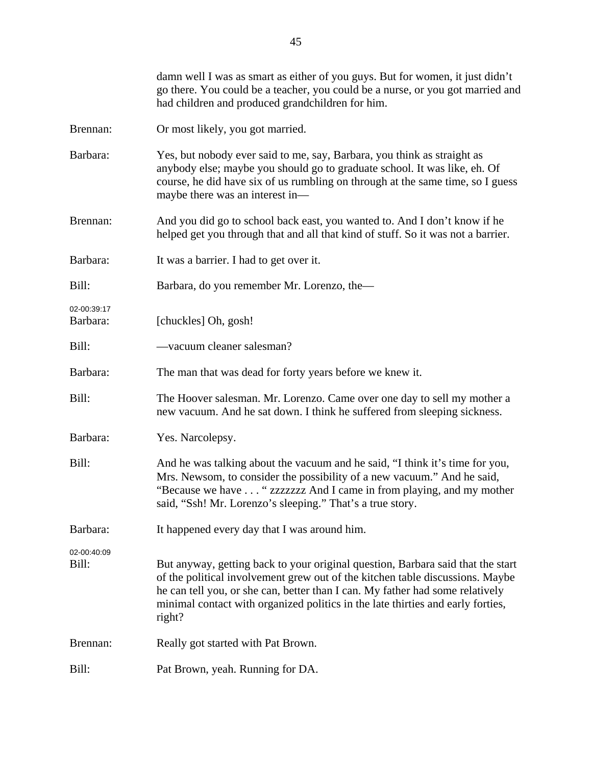| damn well I was as smart as either of you guys. But for women, it just didn't<br>go there. You could be a teacher, you could be a nurse, or you got married and<br>had children and produced grandchildren for him.                                                                                                                            |
|------------------------------------------------------------------------------------------------------------------------------------------------------------------------------------------------------------------------------------------------------------------------------------------------------------------------------------------------|
| Or most likely, you got married.                                                                                                                                                                                                                                                                                                               |
| Yes, but nobody ever said to me, say, Barbara, you think as straight as<br>anybody else; maybe you should go to graduate school. It was like, eh. Of<br>course, he did have six of us rumbling on through at the same time, so I guess<br>maybe there was an interest in-                                                                      |
| And you did go to school back east, you wanted to. And I don't know if he<br>helped get you through that and all that kind of stuff. So it was not a barrier.                                                                                                                                                                                  |
| It was a barrier. I had to get over it.                                                                                                                                                                                                                                                                                                        |
| Barbara, do you remember Mr. Lorenzo, the-                                                                                                                                                                                                                                                                                                     |
| [chuckles] Oh, gosh!                                                                                                                                                                                                                                                                                                                           |
| -vacuum cleaner salesman?                                                                                                                                                                                                                                                                                                                      |
| The man that was dead for forty years before we knew it.                                                                                                                                                                                                                                                                                       |
| The Hoover salesman. Mr. Lorenzo. Came over one day to sell my mother a<br>new vacuum. And he sat down. I think he suffered from sleeping sickness.                                                                                                                                                                                            |
| Yes. Narcolepsy.                                                                                                                                                                                                                                                                                                                               |
| And he was talking about the vacuum and he said, "I think it's time for you,<br>Mrs. Newsom, to consider the possibility of a new vacuum." And he said,<br>"Because we have " zzzzzzzz And I came in from playing, and my mother<br>said, "Ssh! Mr. Lorenzo's sleeping." That's a true story.                                                  |
| It happened every day that I was around him.                                                                                                                                                                                                                                                                                                   |
| But anyway, getting back to your original question, Barbara said that the start<br>of the political involvement grew out of the kitchen table discussions. Maybe<br>he can tell you, or she can, better than I can. My father had some relatively<br>minimal contact with organized politics in the late thirties and early forties,<br>right? |
| Really got started with Pat Brown.                                                                                                                                                                                                                                                                                                             |
| Pat Brown, yeah. Running for DA.                                                                                                                                                                                                                                                                                                               |
|                                                                                                                                                                                                                                                                                                                                                |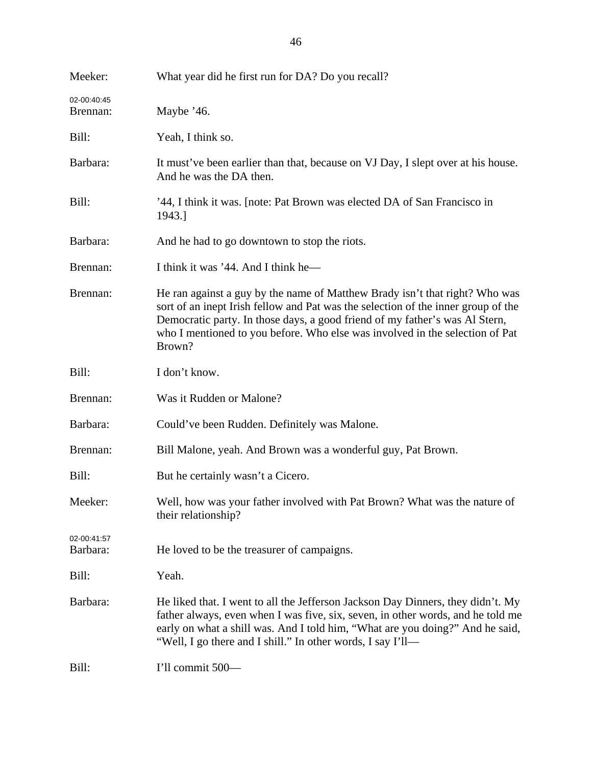| Meeker:                 | What year did he first run for DA? Do you recall?                                                                                                                                                                                                                                                                                         |
|-------------------------|-------------------------------------------------------------------------------------------------------------------------------------------------------------------------------------------------------------------------------------------------------------------------------------------------------------------------------------------|
| 02-00:40:45<br>Brennan: | Maybe '46.                                                                                                                                                                                                                                                                                                                                |
| Bill:                   | Yeah, I think so.                                                                                                                                                                                                                                                                                                                         |
| Barbara:                | It must've been earlier than that, because on VJ Day, I slept over at his house.<br>And he was the DA then.                                                                                                                                                                                                                               |
| Bill:                   | '44, I think it was. [note: Pat Brown was elected DA of San Francisco in<br>1943.]                                                                                                                                                                                                                                                        |
| Barbara:                | And he had to go downtown to stop the riots.                                                                                                                                                                                                                                                                                              |
| Brennan:                | I think it was '44. And I think he-                                                                                                                                                                                                                                                                                                       |
| Brennan:                | He ran against a guy by the name of Matthew Brady isn't that right? Who was<br>sort of an inept Irish fellow and Pat was the selection of the inner group of the<br>Democratic party. In those days, a good friend of my father's was Al Stern,<br>who I mentioned to you before. Who else was involved in the selection of Pat<br>Brown? |
| Bill:                   | I don't know.                                                                                                                                                                                                                                                                                                                             |
| Brennan:                | Was it Rudden or Malone?                                                                                                                                                                                                                                                                                                                  |
| Barbara:                | Could've been Rudden. Definitely was Malone.                                                                                                                                                                                                                                                                                              |
| Brennan:                | Bill Malone, yeah. And Brown was a wonderful guy, Pat Brown.                                                                                                                                                                                                                                                                              |
| Bill:                   | But he certainly wasn't a Cicero.                                                                                                                                                                                                                                                                                                         |
| Meeker:                 | Well, how was your father involved with Pat Brown? What was the nature of<br>their relationship?                                                                                                                                                                                                                                          |
| 02-00:41:57<br>Barbara: | He loved to be the treasurer of campaigns.                                                                                                                                                                                                                                                                                                |
| Bill:                   | Yeah.                                                                                                                                                                                                                                                                                                                                     |
| Barbara:                | He liked that. I went to all the Jefferson Jackson Day Dinners, they didn't. My<br>father always, even when I was five, six, seven, in other words, and he told me<br>early on what a shill was. And I told him, "What are you doing?" And he said,<br>"Well, I go there and I shill." In other words, I say I'll—                        |
| Bill:                   | I'll commit 500-                                                                                                                                                                                                                                                                                                                          |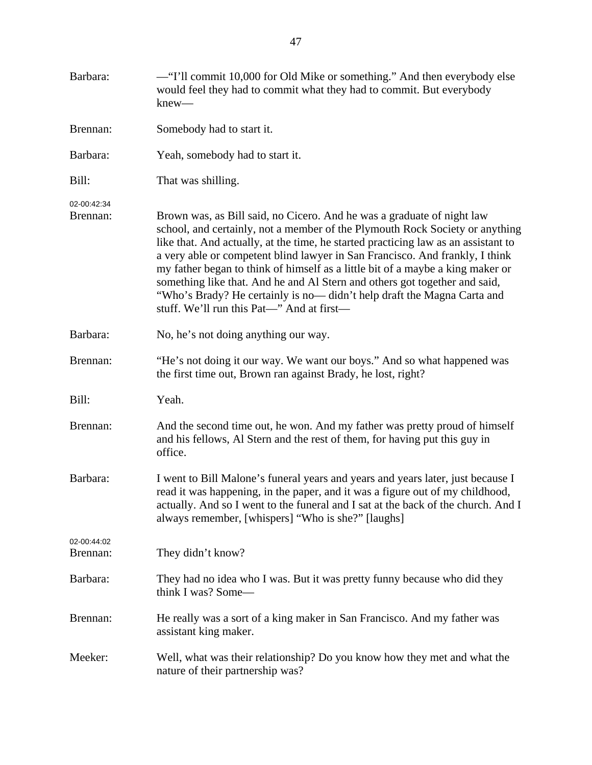| Barbara:                | — "I'll commit 10,000 for Old Mike or something." And then everybody else<br>would feel they had to commit what they had to commit. But everybody<br>knew-                                                                                                                                                                                                                                                                                                                                                                                                                                                           |
|-------------------------|----------------------------------------------------------------------------------------------------------------------------------------------------------------------------------------------------------------------------------------------------------------------------------------------------------------------------------------------------------------------------------------------------------------------------------------------------------------------------------------------------------------------------------------------------------------------------------------------------------------------|
| Brennan:                | Somebody had to start it.                                                                                                                                                                                                                                                                                                                                                                                                                                                                                                                                                                                            |
| Barbara:                | Yeah, somebody had to start it.                                                                                                                                                                                                                                                                                                                                                                                                                                                                                                                                                                                      |
| Bill:                   | That was shilling.                                                                                                                                                                                                                                                                                                                                                                                                                                                                                                                                                                                                   |
| 02-00:42:34<br>Brennan: | Brown was, as Bill said, no Cicero. And he was a graduate of night law<br>school, and certainly, not a member of the Plymouth Rock Society or anything<br>like that. And actually, at the time, he started practicing law as an assistant to<br>a very able or competent blind lawyer in San Francisco. And frankly, I think<br>my father began to think of himself as a little bit of a maybe a king maker or<br>something like that. And he and Al Stern and others got together and said,<br>"Who's Brady? He certainly is no— didn't help draft the Magna Carta and<br>stuff. We'll run this Pat-" And at first- |
| Barbara:                | No, he's not doing anything our way.                                                                                                                                                                                                                                                                                                                                                                                                                                                                                                                                                                                 |
| Brennan:                | "He's not doing it our way. We want our boys." And so what happened was<br>the first time out, Brown ran against Brady, he lost, right?                                                                                                                                                                                                                                                                                                                                                                                                                                                                              |
| Bill:                   | Yeah.                                                                                                                                                                                                                                                                                                                                                                                                                                                                                                                                                                                                                |
| Brennan:                | And the second time out, he won. And my father was pretty proud of himself<br>and his fellows, Al Stern and the rest of them, for having put this guy in<br>office.                                                                                                                                                                                                                                                                                                                                                                                                                                                  |
| Barbara:                | I went to Bill Malone's funeral years and years and years later, just because I<br>read it was happening, in the paper, and it was a figure out of my childhood,<br>actually. And so I went to the funeral and I sat at the back of the church. And I<br>always remember, [whispers] "Who is she?" [laughs]                                                                                                                                                                                                                                                                                                          |
| 02-00:44:02<br>Brennan: | They didn't know?                                                                                                                                                                                                                                                                                                                                                                                                                                                                                                                                                                                                    |
| Barbara:                | They had no idea who I was. But it was pretty funny because who did they<br>think I was? Some—                                                                                                                                                                                                                                                                                                                                                                                                                                                                                                                       |
| Brennan:                | He really was a sort of a king maker in San Francisco. And my father was<br>assistant king maker.                                                                                                                                                                                                                                                                                                                                                                                                                                                                                                                    |
| Meeker:                 | Well, what was their relationship? Do you know how they met and what the<br>nature of their partnership was?                                                                                                                                                                                                                                                                                                                                                                                                                                                                                                         |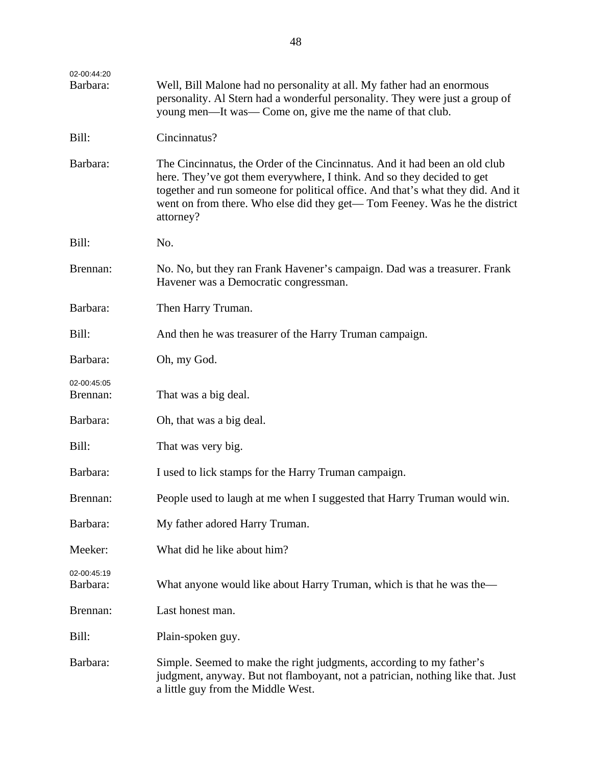| 02-00:44:20<br>Barbara: | Well, Bill Malone had no personality at all. My father had an enormous<br>personality. Al Stern had a wonderful personality. They were just a group of<br>young men—It was—Come on, give me the name of that club.                                                                                                                |
|-------------------------|-----------------------------------------------------------------------------------------------------------------------------------------------------------------------------------------------------------------------------------------------------------------------------------------------------------------------------------|
| Bill:                   | Cincinnatus?                                                                                                                                                                                                                                                                                                                      |
| Barbara:                | The Cincinnatus, the Order of the Cincinnatus. And it had been an old club<br>here. They've got them everywhere, I think. And so they decided to get<br>together and run someone for political office. And that's what they did. And it<br>went on from there. Who else did they get—Tom Feeney. Was he the district<br>attorney? |
| Bill:                   | No.                                                                                                                                                                                                                                                                                                                               |
| Brennan:                | No. No, but they ran Frank Havener's campaign. Dad was a treasurer. Frank<br>Havener was a Democratic congressman.                                                                                                                                                                                                                |
| Barbara:                | Then Harry Truman.                                                                                                                                                                                                                                                                                                                |
| Bill:                   | And then he was treasurer of the Harry Truman campaign.                                                                                                                                                                                                                                                                           |
| Barbara:                | Oh, my God.                                                                                                                                                                                                                                                                                                                       |
| 02-00:45:05<br>Brennan: | That was a big deal.                                                                                                                                                                                                                                                                                                              |
| Barbara:                | Oh, that was a big deal.                                                                                                                                                                                                                                                                                                          |
| Bill:                   | That was very big.                                                                                                                                                                                                                                                                                                                |
| Barbara:                | I used to lick stamps for the Harry Truman campaign.                                                                                                                                                                                                                                                                              |
| Brennan:                | People used to laugh at me when I suggested that Harry Truman would win.                                                                                                                                                                                                                                                          |
| Barbara:                | My father adored Harry Truman.                                                                                                                                                                                                                                                                                                    |
| Meeker:                 | What did he like about him?                                                                                                                                                                                                                                                                                                       |
| 02-00:45:19<br>Barbara: | What anyone would like about Harry Truman, which is that he was the—                                                                                                                                                                                                                                                              |
| Brennan:                | Last honest man.                                                                                                                                                                                                                                                                                                                  |
| Bill:                   | Plain-spoken guy.                                                                                                                                                                                                                                                                                                                 |
| Barbara:                | Simple. Seemed to make the right judgments, according to my father's<br>judgment, anyway. But not flamboyant, not a patrician, nothing like that. Just<br>a little guy from the Middle West.                                                                                                                                      |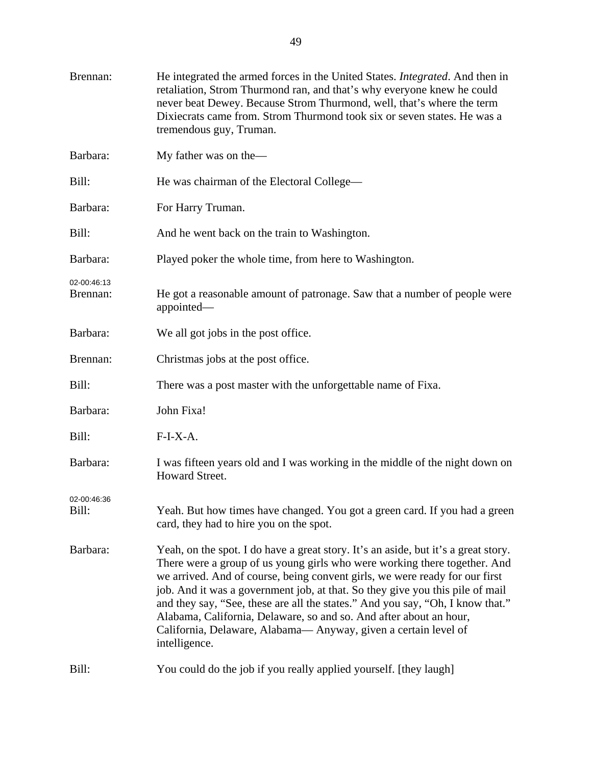| Brennan:                | He integrated the armed forces in the United States. <i>Integrated</i> . And then in<br>retaliation, Strom Thurmond ran, and that's why everyone knew he could<br>never beat Dewey. Because Strom Thurmond, well, that's where the term<br>Dixiecrats came from. Strom Thurmond took six or seven states. He was a<br>tremendous guy, Truman.                                                                                                                                                                                                                               |
|-------------------------|-----------------------------------------------------------------------------------------------------------------------------------------------------------------------------------------------------------------------------------------------------------------------------------------------------------------------------------------------------------------------------------------------------------------------------------------------------------------------------------------------------------------------------------------------------------------------------|
| Barbara:                | My father was on the-                                                                                                                                                                                                                                                                                                                                                                                                                                                                                                                                                       |
| Bill:                   | He was chairman of the Electoral College—                                                                                                                                                                                                                                                                                                                                                                                                                                                                                                                                   |
| Barbara:                | For Harry Truman.                                                                                                                                                                                                                                                                                                                                                                                                                                                                                                                                                           |
| Bill:                   | And he went back on the train to Washington.                                                                                                                                                                                                                                                                                                                                                                                                                                                                                                                                |
| Barbara:                | Played poker the whole time, from here to Washington.                                                                                                                                                                                                                                                                                                                                                                                                                                                                                                                       |
| 02-00:46:13<br>Brennan: | He got a reasonable amount of patronage. Saw that a number of people were<br>appointed—                                                                                                                                                                                                                                                                                                                                                                                                                                                                                     |
| Barbara:                | We all got jobs in the post office.                                                                                                                                                                                                                                                                                                                                                                                                                                                                                                                                         |
| Brennan:                | Christmas jobs at the post office.                                                                                                                                                                                                                                                                                                                                                                                                                                                                                                                                          |
| Bill:                   | There was a post master with the unforgettable name of Fixa.                                                                                                                                                                                                                                                                                                                                                                                                                                                                                                                |
| Barbara:                | John Fixa!                                                                                                                                                                                                                                                                                                                                                                                                                                                                                                                                                                  |
| Bill:                   | $F-I-X-A.$                                                                                                                                                                                                                                                                                                                                                                                                                                                                                                                                                                  |
| Barbara:                | I was fifteen years old and I was working in the middle of the night down on<br>Howard Street.                                                                                                                                                                                                                                                                                                                                                                                                                                                                              |
| 02-00:46:36<br>Bill:    | Yeah. But how times have changed. You got a green card. If you had a green<br>card, they had to hire you on the spot.                                                                                                                                                                                                                                                                                                                                                                                                                                                       |
| Barbara:                | Yeah, on the spot. I do have a great story. It's an aside, but it's a great story.<br>There were a group of us young girls who were working there together. And<br>we arrived. And of course, being convent girls, we were ready for our first<br>job. And it was a government job, at that. So they give you this pile of mail<br>and they say, "See, these are all the states." And you say, "Oh, I know that."<br>Alabama, California, Delaware, so and so. And after about an hour,<br>California, Delaware, Alabama— Anyway, given a certain level of<br>intelligence. |
| Bill:                   | You could do the job if you really applied yourself. [they laugh]                                                                                                                                                                                                                                                                                                                                                                                                                                                                                                           |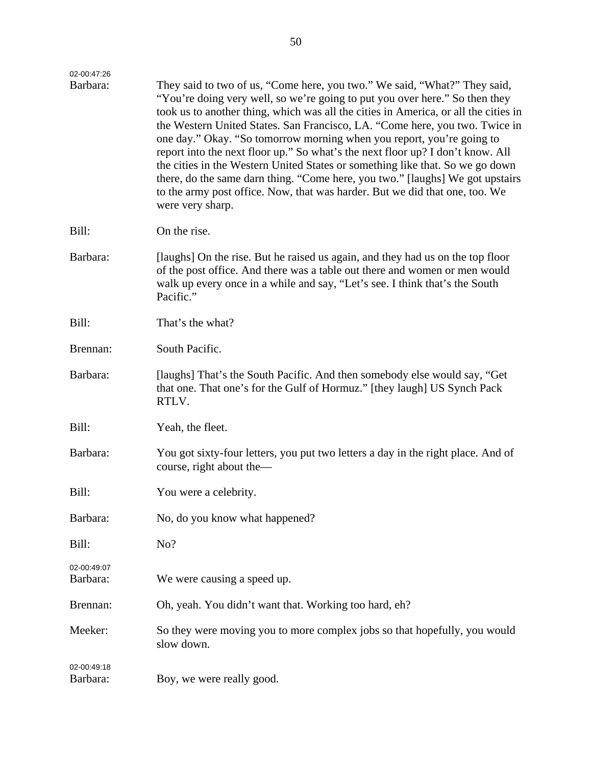| 02-00:47:26             |                                                                                                                                                                                                                                                                                                                                                                                                                                                                                                                                                                                                                                                                                                                                                                |
|-------------------------|----------------------------------------------------------------------------------------------------------------------------------------------------------------------------------------------------------------------------------------------------------------------------------------------------------------------------------------------------------------------------------------------------------------------------------------------------------------------------------------------------------------------------------------------------------------------------------------------------------------------------------------------------------------------------------------------------------------------------------------------------------------|
| Barbara:                | They said to two of us, "Come here, you two." We said, "What?" They said,<br>"You're doing very well, so we're going to put you over here." So then they<br>took us to another thing, which was all the cities in America, or all the cities in<br>the Western United States. San Francisco, LA. "Come here, you two. Twice in<br>one day." Okay. "So tomorrow morning when you report, you're going to<br>report into the next floor up." So what's the next floor up? I don't know. All<br>the cities in the Western United States or something like that. So we go down<br>there, do the same darn thing. "Come here, you two." [laughs] We got upstairs<br>to the army post office. Now, that was harder. But we did that one, too. We<br>were very sharp. |
| Bill:                   | On the rise.                                                                                                                                                                                                                                                                                                                                                                                                                                                                                                                                                                                                                                                                                                                                                   |
| Barbara:                | [laughs] On the rise. But he raised us again, and they had us on the top floor<br>of the post office. And there was a table out there and women or men would<br>walk up every once in a while and say, "Let's see. I think that's the South<br>Pacific."                                                                                                                                                                                                                                                                                                                                                                                                                                                                                                       |
| Bill:                   | That's the what?                                                                                                                                                                                                                                                                                                                                                                                                                                                                                                                                                                                                                                                                                                                                               |
| Brennan:                | South Pacific.                                                                                                                                                                                                                                                                                                                                                                                                                                                                                                                                                                                                                                                                                                                                                 |
| Barbara:                | [laughs] That's the South Pacific. And then somebody else would say, "Get<br>that one. That one's for the Gulf of Hormuz." [they laugh] US Synch Pack<br>RTLV.                                                                                                                                                                                                                                                                                                                                                                                                                                                                                                                                                                                                 |
| Bill:                   | Yeah, the fleet.                                                                                                                                                                                                                                                                                                                                                                                                                                                                                                                                                                                                                                                                                                                                               |
| Barbara:                | You got sixty-four letters, you put two letters a day in the right place. And of<br>course, right about the-                                                                                                                                                                                                                                                                                                                                                                                                                                                                                                                                                                                                                                                   |
| Bill:                   | You were a celebrity.                                                                                                                                                                                                                                                                                                                                                                                                                                                                                                                                                                                                                                                                                                                                          |
| Barbara:                | No, do you know what happened?                                                                                                                                                                                                                                                                                                                                                                                                                                                                                                                                                                                                                                                                                                                                 |
| Bill:                   | No?                                                                                                                                                                                                                                                                                                                                                                                                                                                                                                                                                                                                                                                                                                                                                            |
| 02-00:49:07<br>Barbara: | We were causing a speed up.                                                                                                                                                                                                                                                                                                                                                                                                                                                                                                                                                                                                                                                                                                                                    |
| Brennan:                | Oh, yeah. You didn't want that. Working too hard, eh?                                                                                                                                                                                                                                                                                                                                                                                                                                                                                                                                                                                                                                                                                                          |
| Meeker:                 | So they were moving you to more complex jobs so that hopefully, you would<br>slow down.                                                                                                                                                                                                                                                                                                                                                                                                                                                                                                                                                                                                                                                                        |
| 02-00:49:18<br>Barbara: | Boy, we were really good.                                                                                                                                                                                                                                                                                                                                                                                                                                                                                                                                                                                                                                                                                                                                      |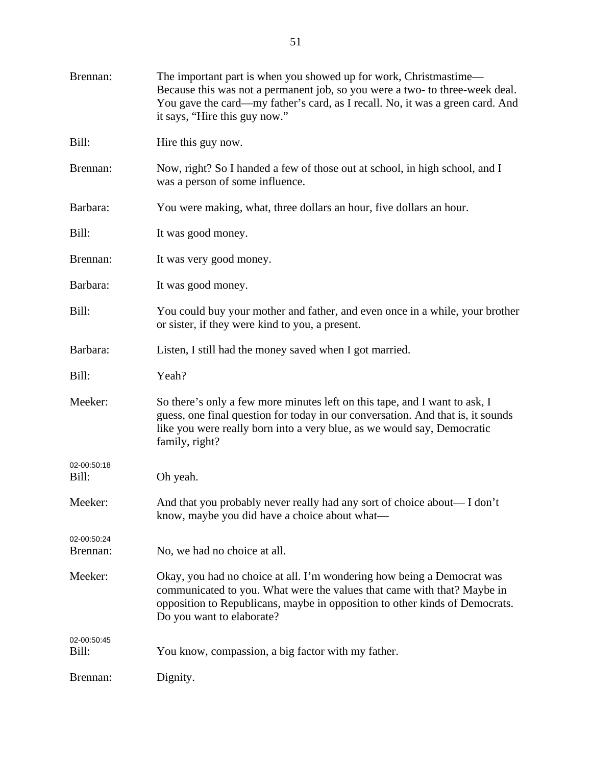| Brennan:                | The important part is when you showed up for work, Christmastime—<br>Because this was not a permanent job, so you were a two- to three-week deal.<br>You gave the card—my father's card, as I recall. No, it was a green card. And<br>it says, "Hire this guy now." |
|-------------------------|---------------------------------------------------------------------------------------------------------------------------------------------------------------------------------------------------------------------------------------------------------------------|
| Bill:                   | Hire this guy now.                                                                                                                                                                                                                                                  |
| Brennan:                | Now, right? So I handed a few of those out at school, in high school, and I<br>was a person of some influence.                                                                                                                                                      |
| Barbara:                | You were making, what, three dollars an hour, five dollars an hour.                                                                                                                                                                                                 |
| Bill:                   | It was good money.                                                                                                                                                                                                                                                  |
| Brennan:                | It was very good money.                                                                                                                                                                                                                                             |
| Barbara:                | It was good money.                                                                                                                                                                                                                                                  |
| Bill:                   | You could buy your mother and father, and even once in a while, your brother<br>or sister, if they were kind to you, a present.                                                                                                                                     |
| Barbara:                | Listen, I still had the money saved when I got married.                                                                                                                                                                                                             |
| Bill:                   | Yeah?                                                                                                                                                                                                                                                               |
| Meeker:                 | So there's only a few more minutes left on this tape, and I want to ask, I<br>guess, one final question for today in our conversation. And that is, it sounds<br>like you were really born into a very blue, as we would say, Democratic<br>family, right?          |
| 02-00:50:18<br>Bill:    | Oh yeah.                                                                                                                                                                                                                                                            |
| Meeker:                 | And that you probably never really had any sort of choice about—I don't<br>know, maybe you did have a choice about what—                                                                                                                                            |
| 02-00:50:24<br>Brennan: | No, we had no choice at all.                                                                                                                                                                                                                                        |
| Meeker:                 | Okay, you had no choice at all. I'm wondering how being a Democrat was<br>communicated to you. What were the values that came with that? Maybe in<br>opposition to Republicans, maybe in opposition to other kinds of Democrats.<br>Do you want to elaborate?       |
| 02-00:50:45<br>Bill:    | You know, compassion, a big factor with my father.                                                                                                                                                                                                                  |
| Brennan:                | Dignity.                                                                                                                                                                                                                                                            |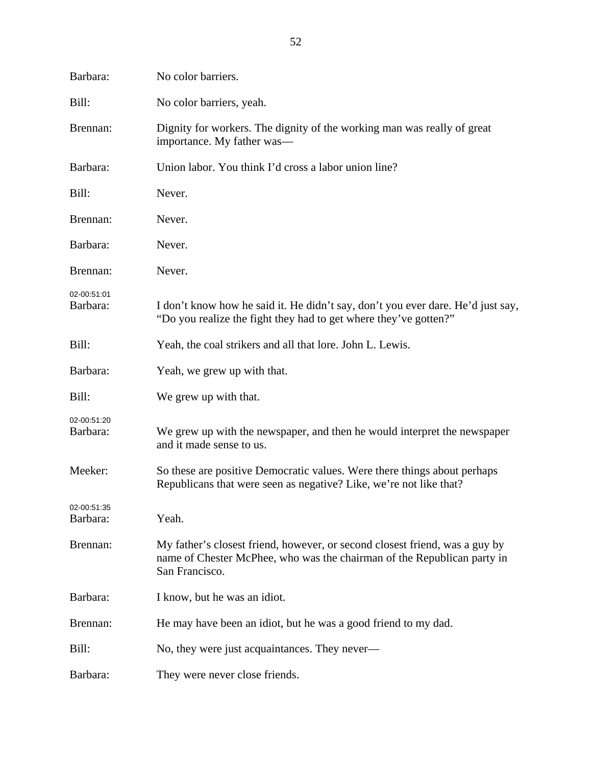| Barbara:                | No color barriers.                                                                                                                                                       |
|-------------------------|--------------------------------------------------------------------------------------------------------------------------------------------------------------------------|
| Bill:                   | No color barriers, yeah.                                                                                                                                                 |
| Brennan:                | Dignity for workers. The dignity of the working man was really of great<br>importance. My father was—                                                                    |
| Barbara:                | Union labor. You think I'd cross a labor union line?                                                                                                                     |
| Bill:                   | Never.                                                                                                                                                                   |
| Brennan:                | Never.                                                                                                                                                                   |
| Barbara:                | Never.                                                                                                                                                                   |
| Brennan:                | Never.                                                                                                                                                                   |
| 02-00:51:01<br>Barbara: | I don't know how he said it. He didn't say, don't you ever dare. He'd just say,<br>"Do you realize the fight they had to get where they've gotten?"                      |
| Bill:                   | Yeah, the coal strikers and all that lore. John L. Lewis.                                                                                                                |
| Barbara:                | Yeah, we grew up with that.                                                                                                                                              |
| Bill:                   | We grew up with that.                                                                                                                                                    |
| 02-00:51:20<br>Barbara: | We grew up with the newspaper, and then he would interpret the newspaper<br>and it made sense to us.                                                                     |
| Meeker:                 | So these are positive Democratic values. Were there things about perhaps<br>Republicans that were seen as negative? Like, we're not like that?                           |
| 02-00:51:35<br>Barbara: | Yeah.                                                                                                                                                                    |
| Brennan:                | My father's closest friend, however, or second closest friend, was a guy by<br>name of Chester McPhee, who was the chairman of the Republican party in<br>San Francisco. |
| Barbara:                | I know, but he was an idiot.                                                                                                                                             |
| Brennan:                | He may have been an idiot, but he was a good friend to my dad.                                                                                                           |
| Bill:                   | No, they were just acquaintances. They never—                                                                                                                            |
| Barbara:                | They were never close friends.                                                                                                                                           |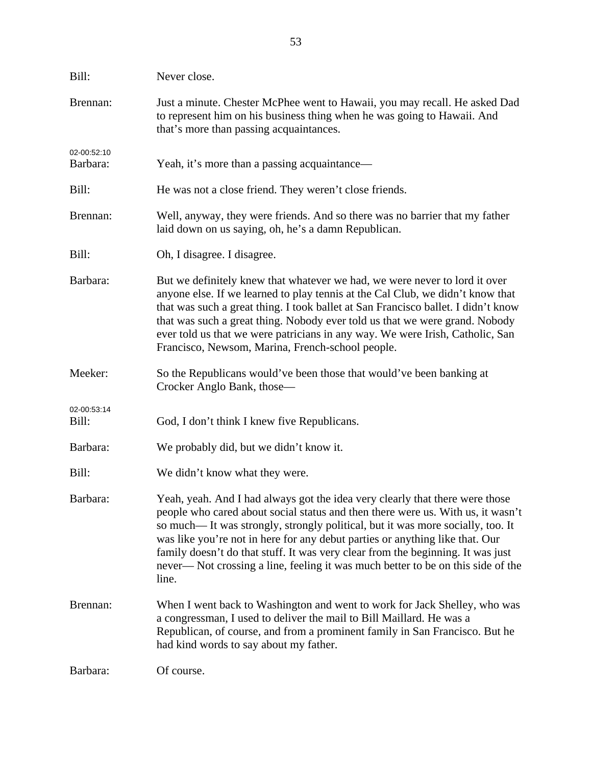| Bill:                   | Never close.                                                                                                                                                                                                                                                                                                                                                                                                                                                                                                     |
|-------------------------|------------------------------------------------------------------------------------------------------------------------------------------------------------------------------------------------------------------------------------------------------------------------------------------------------------------------------------------------------------------------------------------------------------------------------------------------------------------------------------------------------------------|
| Brennan:                | Just a minute. Chester McPhee went to Hawaii, you may recall. He asked Dad<br>to represent him on his business thing when he was going to Hawaii. And<br>that's more than passing acquaintances.                                                                                                                                                                                                                                                                                                                 |
| 02-00:52:10<br>Barbara: | Yeah, it's more than a passing acquaintance—                                                                                                                                                                                                                                                                                                                                                                                                                                                                     |
| Bill:                   | He was not a close friend. They weren't close friends.                                                                                                                                                                                                                                                                                                                                                                                                                                                           |
| Brennan:                | Well, anyway, they were friends. And so there was no barrier that my father<br>laid down on us saying, oh, he's a damn Republican.                                                                                                                                                                                                                                                                                                                                                                               |
| Bill:                   | Oh, I disagree. I disagree.                                                                                                                                                                                                                                                                                                                                                                                                                                                                                      |
| Barbara:                | But we definitely knew that whatever we had, we were never to lord it over<br>anyone else. If we learned to play tennis at the Cal Club, we didn't know that<br>that was such a great thing. I took ballet at San Francisco ballet. I didn't know<br>that was such a great thing. Nobody ever told us that we were grand. Nobody<br>ever told us that we were patricians in any way. We were Irish, Catholic, San<br>Francisco, Newsom, Marina, French-school people.                                            |
| Meeker:                 | So the Republicans would've been those that would've been banking at<br>Crocker Anglo Bank, those—                                                                                                                                                                                                                                                                                                                                                                                                               |
| 02-00:53:14<br>Bill:    | God, I don't think I knew five Republicans.                                                                                                                                                                                                                                                                                                                                                                                                                                                                      |
| Barbara:                | We probably did, but we didn't know it.                                                                                                                                                                                                                                                                                                                                                                                                                                                                          |
| Bill:                   | We didn't know what they were.                                                                                                                                                                                                                                                                                                                                                                                                                                                                                   |
| Barbara:                | Yeah, yeah. And I had always got the idea very clearly that there were those<br>people who cared about social status and then there were us. With us, it wasn't<br>so much—It was strongly, strongly political, but it was more socially, too. It<br>was like you're not in here for any debut parties or anything like that. Our<br>family doesn't do that stuff. It was very clear from the beginning. It was just<br>never—Not crossing a line, feeling it was much better to be on this side of the<br>line. |
| Brennan:                | When I went back to Washington and went to work for Jack Shelley, who was<br>a congressman, I used to deliver the mail to Bill Maillard. He was a<br>Republican, of course, and from a prominent family in San Francisco. But he<br>had kind words to say about my father.                                                                                                                                                                                                                                       |
| Barbara:                | Of course.                                                                                                                                                                                                                                                                                                                                                                                                                                                                                                       |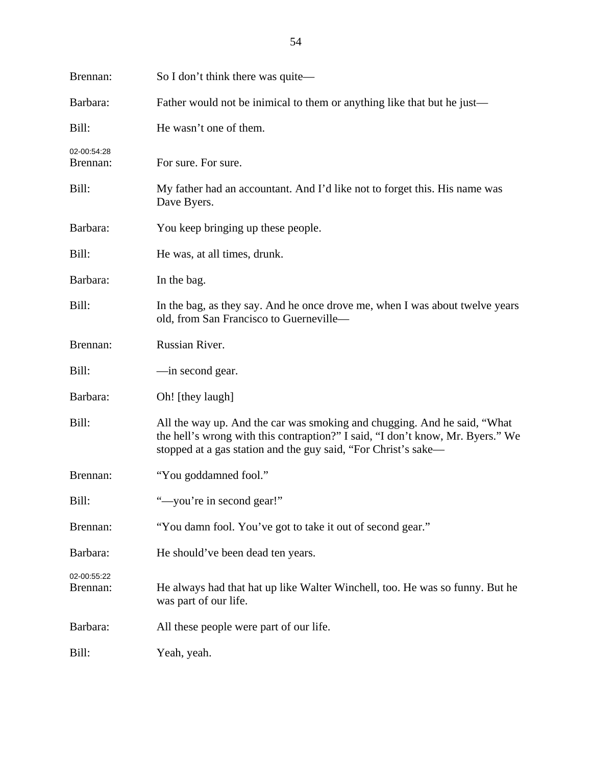| Brennan:                | So I don't think there was quite—                                                                                                                                                                                            |
|-------------------------|------------------------------------------------------------------------------------------------------------------------------------------------------------------------------------------------------------------------------|
| Barbara:                | Father would not be inimical to them or anything like that but he just—                                                                                                                                                      |
| Bill:                   | He wasn't one of them.                                                                                                                                                                                                       |
| 02-00:54:28<br>Brennan: | For sure. For sure.                                                                                                                                                                                                          |
| Bill:                   | My father had an accountant. And I'd like not to forget this. His name was<br>Dave Byers.                                                                                                                                    |
| Barbara:                | You keep bringing up these people.                                                                                                                                                                                           |
| Bill:                   | He was, at all times, drunk.                                                                                                                                                                                                 |
| Barbara:                | In the bag.                                                                                                                                                                                                                  |
| Bill:                   | In the bag, as they say. And he once drove me, when I was about twelve years<br>old, from San Francisco to Guerneville-                                                                                                      |
| Brennan:                | Russian River.                                                                                                                                                                                                               |
| Bill:                   | —in second gear.                                                                                                                                                                                                             |
| Barbara:                | Oh! [they laugh]                                                                                                                                                                                                             |
| Bill:                   | All the way up. And the car was smoking and chugging. And he said, "What<br>the hell's wrong with this contraption?" I said, "I don't know, Mr. Byers." We<br>stopped at a gas station and the guy said, "For Christ's sake— |
| Brennan:                | "You goddamned fool."                                                                                                                                                                                                        |
| Bill:                   | "-you're in second gear!"                                                                                                                                                                                                    |
| Brennan:                | "You damn fool. You've got to take it out of second gear."                                                                                                                                                                   |
| Barbara:                | He should've been dead ten years.                                                                                                                                                                                            |
| 02-00:55:22<br>Brennan: | He always had that hat up like Walter Winchell, too. He was so funny. But he<br>was part of our life.                                                                                                                        |
| Barbara:                | All these people were part of our life.                                                                                                                                                                                      |
| Bill:                   | Yeah, yeah.                                                                                                                                                                                                                  |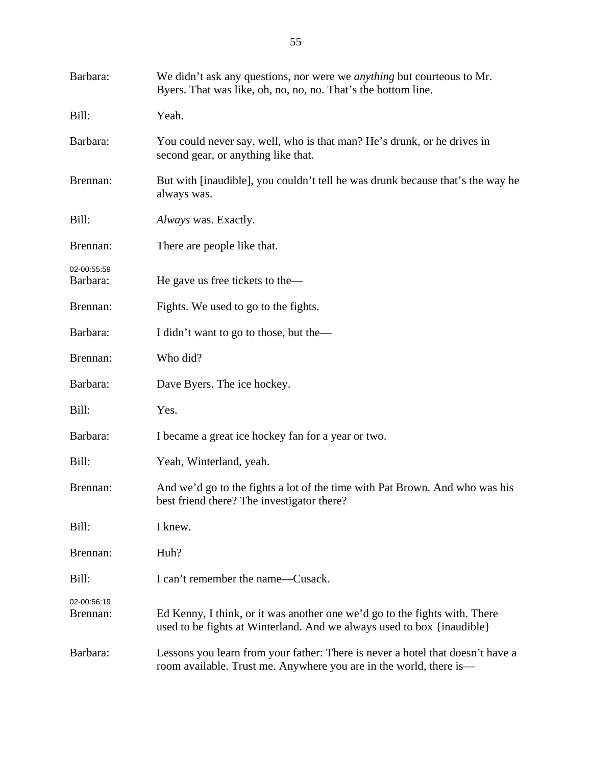| Barbara:                | We didn't ask any questions, nor were we <i>anything</i> but courteous to Mr.<br>Byers. That was like, oh, no, no, no. That's the bottom line.       |
|-------------------------|------------------------------------------------------------------------------------------------------------------------------------------------------|
| Bill:                   | Yeah.                                                                                                                                                |
| Barbara:                | You could never say, well, who is that man? He's drunk, or he drives in<br>second gear, or anything like that.                                       |
| Brennan:                | But with [inaudible], you couldn't tell he was drunk because that's the way he<br>always was.                                                        |
| Bill:                   | Always was. Exactly.                                                                                                                                 |
| Brennan:                | There are people like that.                                                                                                                          |
| 02-00:55:59<br>Barbara: | He gave us free tickets to the—                                                                                                                      |
| Brennan:                | Fights. We used to go to the fights.                                                                                                                 |
| Barbara:                | I didn't want to go to those, but the—                                                                                                               |
| Brennan:                | Who did?                                                                                                                                             |
| Barbara:                | Dave Byers. The ice hockey.                                                                                                                          |
| Bill:                   | Yes.                                                                                                                                                 |
| Barbara:                | I became a great ice hockey fan for a year or two.                                                                                                   |
| Bill:                   | Yeah, Winterland, yeah.                                                                                                                              |
| Brennan:                | And we'd go to the fights a lot of the time with Pat Brown. And who was his<br>best friend there? The investigator there?                            |
| Bill:                   | I knew.                                                                                                                                              |
| Brennan:                | Huh?                                                                                                                                                 |
| Bill:                   | I can't remember the name—Cusack.                                                                                                                    |
| 02-00:56:19<br>Brennan: | Ed Kenny, I think, or it was another one we'd go to the fights with. There<br>used to be fights at Winterland. And we always used to box {inaudible} |
| Barbara:                | Lessons you learn from your father: There is never a hotel that doesn't have a<br>room available. Trust me. Anywhere you are in the world, there is— |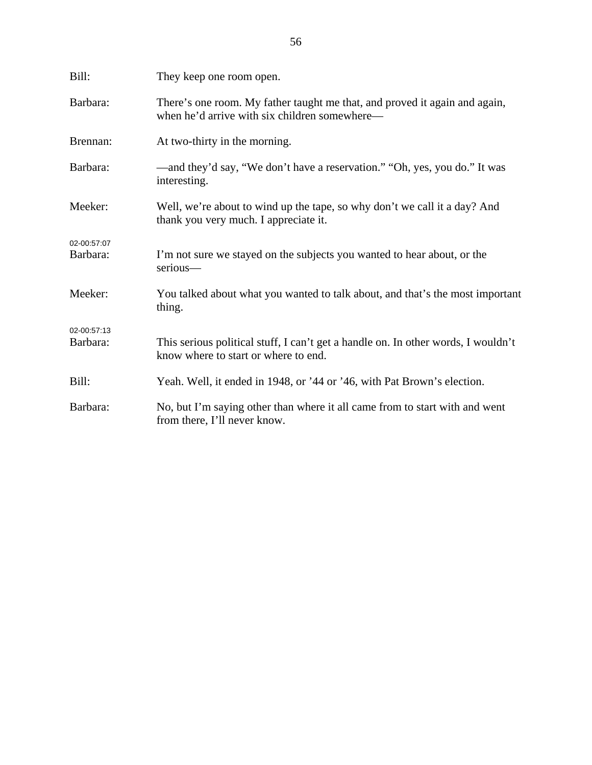| Bill:       | They keep one room open.                                                                                                    |
|-------------|-----------------------------------------------------------------------------------------------------------------------------|
| Barbara:    | There's one room. My father taught me that, and proved it again and again,<br>when he'd arrive with six children somewhere— |
| Brennan:    | At two-thirty in the morning.                                                                                               |
| Barbara:    | —and they'd say, "We don't have a reservation." "Oh, yes, you do." It was<br>interesting.                                   |
| Meeker:     | Well, we're about to wind up the tape, so why don't we call it a day? And<br>thank you very much. I appreciate it.          |
| 02-00:57:07 |                                                                                                                             |
| Barbara:    | I'm not sure we stayed on the subjects you wanted to hear about, or the<br>serious-                                         |
| Meeker:     | You talked about what you wanted to talk about, and that's the most important<br>thing.                                     |
| 02-00:57:13 |                                                                                                                             |
| Barbara:    | This serious political stuff, I can't get a handle on. In other words, I wouldn't<br>know where to start or where to end.   |
| Bill:       | Yeah. Well, it ended in 1948, or '44 or '46, with Pat Brown's election.                                                     |
| Barbara:    | No, but I'm saying other than where it all came from to start with and went<br>from there, I'll never know.                 |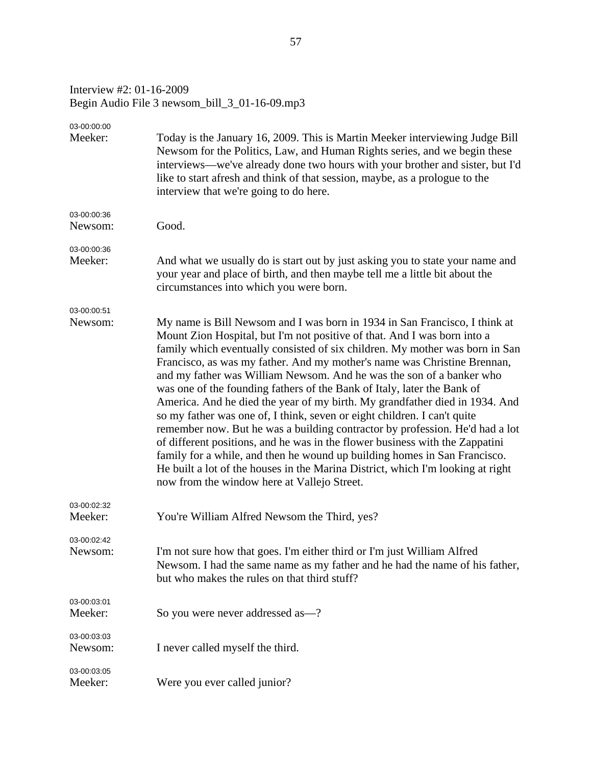## Interview #2: 01-16-2009 Begin Audio File 3 newsom\_bill\_3\_01-16-09.mp3

| 03-00:00:00<br>Meeker: | Today is the January 16, 2009. This is Martin Meeker interviewing Judge Bill<br>Newsom for the Politics, Law, and Human Rights series, and we begin these<br>interviews—we've already done two hours with your brother and sister, but I'd<br>like to start afresh and think of that session, maybe, as a prologue to the<br>interview that we're going to do here.                                                                                                                                                                                                                                                                                                                                                                                                                                                                                                                                                                                                                                             |
|------------------------|-----------------------------------------------------------------------------------------------------------------------------------------------------------------------------------------------------------------------------------------------------------------------------------------------------------------------------------------------------------------------------------------------------------------------------------------------------------------------------------------------------------------------------------------------------------------------------------------------------------------------------------------------------------------------------------------------------------------------------------------------------------------------------------------------------------------------------------------------------------------------------------------------------------------------------------------------------------------------------------------------------------------|
| 03-00:00:36<br>Newsom: | Good.                                                                                                                                                                                                                                                                                                                                                                                                                                                                                                                                                                                                                                                                                                                                                                                                                                                                                                                                                                                                           |
| 03-00:00:36<br>Meeker: | And what we usually do is start out by just asking you to state your name and<br>your year and place of birth, and then maybe tell me a little bit about the<br>circumstances into which you were born.                                                                                                                                                                                                                                                                                                                                                                                                                                                                                                                                                                                                                                                                                                                                                                                                         |
| 03-00:00:51<br>Newsom: | My name is Bill Newsom and I was born in 1934 in San Francisco, I think at<br>Mount Zion Hospital, but I'm not positive of that. And I was born into a<br>family which eventually consisted of six children. My mother was born in San<br>Francisco, as was my father. And my mother's name was Christine Brennan,<br>and my father was William Newsom. And he was the son of a banker who<br>was one of the founding fathers of the Bank of Italy, later the Bank of<br>America. And he died the year of my birth. My grandfather died in 1934. And<br>so my father was one of, I think, seven or eight children. I can't quite<br>remember now. But he was a building contractor by profession. He'd had a lot<br>of different positions, and he was in the flower business with the Zappatini<br>family for a while, and then he wound up building homes in San Francisco.<br>He built a lot of the houses in the Marina District, which I'm looking at right<br>now from the window here at Vallejo Street. |
| 03-00:02:32<br>Meeker: | You're William Alfred Newsom the Third, yes?                                                                                                                                                                                                                                                                                                                                                                                                                                                                                                                                                                                                                                                                                                                                                                                                                                                                                                                                                                    |
| 03-00:02:42<br>Newsom: | I'm not sure how that goes. I'm either third or I'm just William Alfred<br>Newsom. I had the same name as my father and he had the name of his father,<br>but who makes the rules on that third stuff?                                                                                                                                                                                                                                                                                                                                                                                                                                                                                                                                                                                                                                                                                                                                                                                                          |
| 03-00:03:01<br>Meeker: | So you were never addressed as-?                                                                                                                                                                                                                                                                                                                                                                                                                                                                                                                                                                                                                                                                                                                                                                                                                                                                                                                                                                                |
| 03-00:03:03<br>Newsom: | I never called myself the third.                                                                                                                                                                                                                                                                                                                                                                                                                                                                                                                                                                                                                                                                                                                                                                                                                                                                                                                                                                                |
| 03-00:03:05<br>Meeker: | Were you ever called junior?                                                                                                                                                                                                                                                                                                                                                                                                                                                                                                                                                                                                                                                                                                                                                                                                                                                                                                                                                                                    |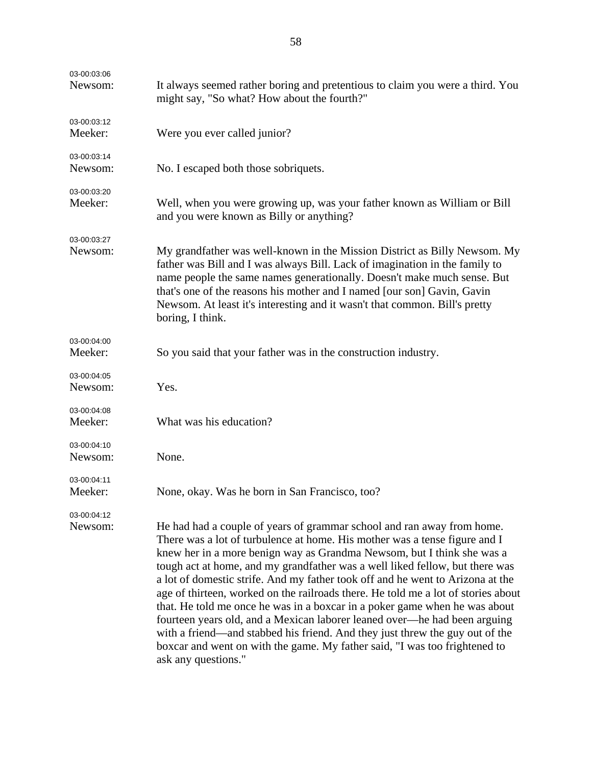| 03-00:03:06<br>Newsom: | It always seemed rather boring and pretentious to claim you were a third. You<br>might say, "So what? How about the fourth?"                                                                                                                                                                                                                                                                                                                                                                                                                                                                                                                                                                                                                                                                                                          |
|------------------------|---------------------------------------------------------------------------------------------------------------------------------------------------------------------------------------------------------------------------------------------------------------------------------------------------------------------------------------------------------------------------------------------------------------------------------------------------------------------------------------------------------------------------------------------------------------------------------------------------------------------------------------------------------------------------------------------------------------------------------------------------------------------------------------------------------------------------------------|
| 03-00:03:12<br>Meeker: | Were you ever called junior?                                                                                                                                                                                                                                                                                                                                                                                                                                                                                                                                                                                                                                                                                                                                                                                                          |
| 03-00:03:14<br>Newsom: | No. I escaped both those sobriquets.                                                                                                                                                                                                                                                                                                                                                                                                                                                                                                                                                                                                                                                                                                                                                                                                  |
| 03-00:03:20<br>Meeker: | Well, when you were growing up, was your father known as William or Bill<br>and you were known as Billy or anything?                                                                                                                                                                                                                                                                                                                                                                                                                                                                                                                                                                                                                                                                                                                  |
| 03-00:03:27<br>Newsom: | My grandfather was well-known in the Mission District as Billy Newsom. My<br>father was Bill and I was always Bill. Lack of imagination in the family to<br>name people the same names generationally. Doesn't make much sense. But<br>that's one of the reasons his mother and I named [our son] Gavin, Gavin<br>Newsom. At least it's interesting and it wasn't that common. Bill's pretty<br>boring, I think.                                                                                                                                                                                                                                                                                                                                                                                                                      |
| 03-00:04:00<br>Meeker: | So you said that your father was in the construction industry.                                                                                                                                                                                                                                                                                                                                                                                                                                                                                                                                                                                                                                                                                                                                                                        |
| 03-00:04:05<br>Newsom: | Yes.                                                                                                                                                                                                                                                                                                                                                                                                                                                                                                                                                                                                                                                                                                                                                                                                                                  |
| 03-00:04:08<br>Meeker: | What was his education?                                                                                                                                                                                                                                                                                                                                                                                                                                                                                                                                                                                                                                                                                                                                                                                                               |
| 03-00:04:10<br>Newsom: | None.                                                                                                                                                                                                                                                                                                                                                                                                                                                                                                                                                                                                                                                                                                                                                                                                                                 |
| 03-00:04:11<br>Meeker: | None, okay. Was he born in San Francisco, too?                                                                                                                                                                                                                                                                                                                                                                                                                                                                                                                                                                                                                                                                                                                                                                                        |
| 03-00:04:12<br>Newsom: | He had had a couple of years of grammar school and ran away from home.<br>There was a lot of turbulence at home. His mother was a tense figure and I<br>knew her in a more benign way as Grandma Newsom, but I think she was a<br>tough act at home, and my grandfather was a well liked fellow, but there was<br>a lot of domestic strife. And my father took off and he went to Arizona at the<br>age of thirteen, worked on the railroads there. He told me a lot of stories about<br>that. He told me once he was in a boxcar in a poker game when he was about<br>fourteen years old, and a Mexican laborer leaned over-he had been arguing<br>with a friend—and stabbed his friend. And they just threw the guy out of the<br>boxcar and went on with the game. My father said, "I was too frightened to<br>ask any questions." |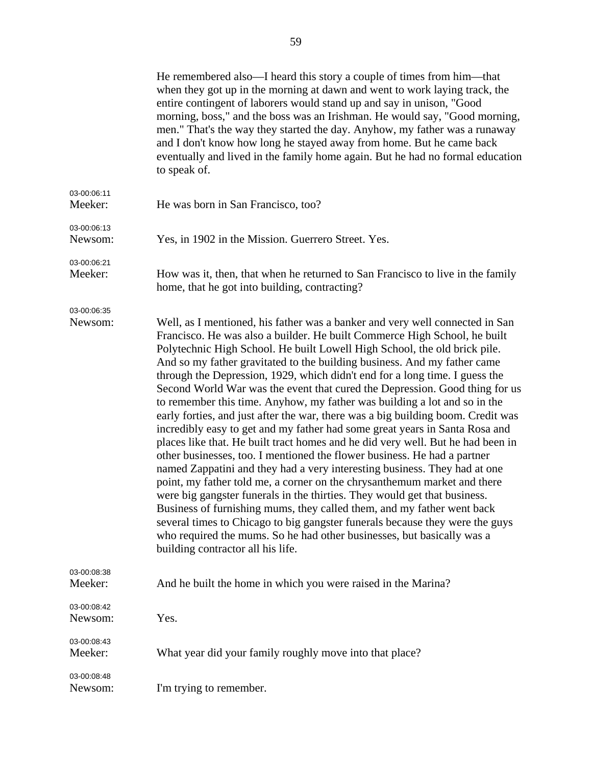|                        | He remembered also—I heard this story a couple of times from him—that<br>when they got up in the morning at dawn and went to work laying track, the<br>entire contingent of laborers would stand up and say in unison, "Good<br>morning, boss," and the boss was an Irishman. He would say, "Good morning,<br>men." That's the way they started the day. Anyhow, my father was a runaway<br>and I don't know how long he stayed away from home. But he came back<br>eventually and lived in the family home again. But he had no formal education<br>to speak of.                                                                                                                                                                                                                                                                                                                                                                                                                                                                                                                                                                                                                                                                                                                                                                                                                                              |
|------------------------|----------------------------------------------------------------------------------------------------------------------------------------------------------------------------------------------------------------------------------------------------------------------------------------------------------------------------------------------------------------------------------------------------------------------------------------------------------------------------------------------------------------------------------------------------------------------------------------------------------------------------------------------------------------------------------------------------------------------------------------------------------------------------------------------------------------------------------------------------------------------------------------------------------------------------------------------------------------------------------------------------------------------------------------------------------------------------------------------------------------------------------------------------------------------------------------------------------------------------------------------------------------------------------------------------------------------------------------------------------------------------------------------------------------|
| 03-00:06:11<br>Meeker: | He was born in San Francisco, too?                                                                                                                                                                                                                                                                                                                                                                                                                                                                                                                                                                                                                                                                                                                                                                                                                                                                                                                                                                                                                                                                                                                                                                                                                                                                                                                                                                             |
| 03-00:06:13<br>Newsom: | Yes, in 1902 in the Mission. Guerrero Street. Yes.                                                                                                                                                                                                                                                                                                                                                                                                                                                                                                                                                                                                                                                                                                                                                                                                                                                                                                                                                                                                                                                                                                                                                                                                                                                                                                                                                             |
| 03-00:06:21<br>Meeker: | How was it, then, that when he returned to San Francisco to live in the family<br>home, that he got into building, contracting?                                                                                                                                                                                                                                                                                                                                                                                                                                                                                                                                                                                                                                                                                                                                                                                                                                                                                                                                                                                                                                                                                                                                                                                                                                                                                |
| 03-00:06:35<br>Newsom: | Well, as I mentioned, his father was a banker and very well connected in San<br>Francisco. He was also a builder. He built Commerce High School, he built<br>Polytechnic High School. He built Lowell High School, the old brick pile.<br>And so my father gravitated to the building business. And my father came<br>through the Depression, 1929, which didn't end for a long time. I guess the<br>Second World War was the event that cured the Depression. Good thing for us<br>to remember this time. Anyhow, my father was building a lot and so in the<br>early forties, and just after the war, there was a big building boom. Credit was<br>incredibly easy to get and my father had some great years in Santa Rosa and<br>places like that. He built tract homes and he did very well. But he had been in<br>other businesses, too. I mentioned the flower business. He had a partner<br>named Zappatini and they had a very interesting business. They had at one<br>point, my father told me, a corner on the chrysanthemum market and there<br>were big gangster funerals in the thirties. They would get that business.<br>Business of furnishing mums, they called them, and my father went back<br>several times to Chicago to big gangster funerals because they were the guys<br>who required the mums. So he had other businesses, but basically was a<br>building contractor all his life. |
| 03-00:08:38<br>Meeker: | And he built the home in which you were raised in the Marina?                                                                                                                                                                                                                                                                                                                                                                                                                                                                                                                                                                                                                                                                                                                                                                                                                                                                                                                                                                                                                                                                                                                                                                                                                                                                                                                                                  |
| 03-00:08:42<br>Newsom: | Yes.                                                                                                                                                                                                                                                                                                                                                                                                                                                                                                                                                                                                                                                                                                                                                                                                                                                                                                                                                                                                                                                                                                                                                                                                                                                                                                                                                                                                           |
| 03-00:08:43<br>Meeker: | What year did your family roughly move into that place?                                                                                                                                                                                                                                                                                                                                                                                                                                                                                                                                                                                                                                                                                                                                                                                                                                                                                                                                                                                                                                                                                                                                                                                                                                                                                                                                                        |
| 03-00:08:48<br>Newsom: | I'm trying to remember.                                                                                                                                                                                                                                                                                                                                                                                                                                                                                                                                                                                                                                                                                                                                                                                                                                                                                                                                                                                                                                                                                                                                                                                                                                                                                                                                                                                        |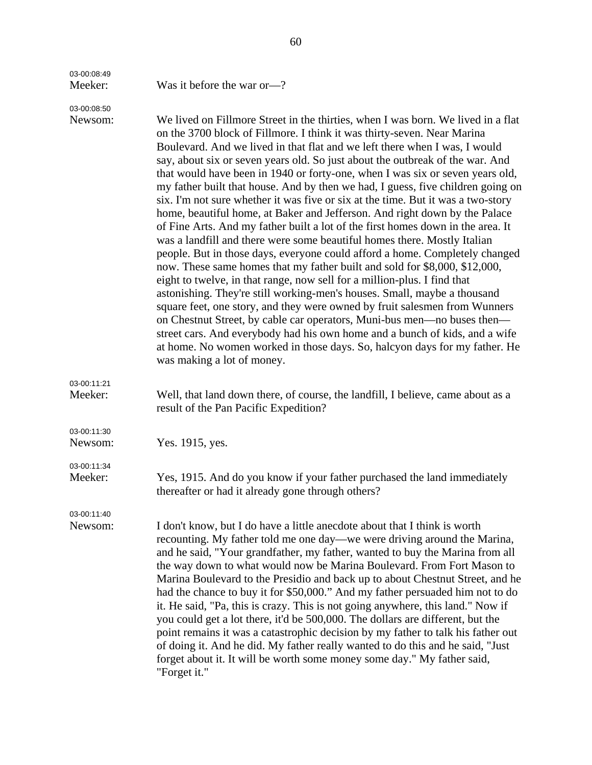| 03-00:08:49<br>Meeker: | Was it before the war or-?                                                                                                                                                                                                                                                                                                                                                                                                                                                                                                                                                                                                                                                                                                                                                                                                                                                                                                                                                                                                                                                                                                                                                                                                                                                                                                                                                                                                                                                                               |
|------------------------|----------------------------------------------------------------------------------------------------------------------------------------------------------------------------------------------------------------------------------------------------------------------------------------------------------------------------------------------------------------------------------------------------------------------------------------------------------------------------------------------------------------------------------------------------------------------------------------------------------------------------------------------------------------------------------------------------------------------------------------------------------------------------------------------------------------------------------------------------------------------------------------------------------------------------------------------------------------------------------------------------------------------------------------------------------------------------------------------------------------------------------------------------------------------------------------------------------------------------------------------------------------------------------------------------------------------------------------------------------------------------------------------------------------------------------------------------------------------------------------------------------|
| 03-00:08:50<br>Newsom: | We lived on Fillmore Street in the thirties, when I was born. We lived in a flat<br>on the 3700 block of Fillmore. I think it was thirty-seven. Near Marina<br>Boulevard. And we lived in that flat and we left there when I was, I would<br>say, about six or seven years old. So just about the outbreak of the war. And<br>that would have been in 1940 or forty-one, when I was six or seven years old,<br>my father built that house. And by then we had, I guess, five children going on<br>six. I'm not sure whether it was five or six at the time. But it was a two-story<br>home, beautiful home, at Baker and Jefferson. And right down by the Palace<br>of Fine Arts. And my father built a lot of the first homes down in the area. It<br>was a landfill and there were some beautiful homes there. Mostly Italian<br>people. But in those days, everyone could afford a home. Completely changed<br>now. These same homes that my father built and sold for \$8,000, \$12,000,<br>eight to twelve, in that range, now sell for a million-plus. I find that<br>astonishing. They're still working-men's houses. Small, maybe a thousand<br>square feet, one story, and they were owned by fruit salesmen from Wunners<br>on Chestnut Street, by cable car operators, Muni-bus men—no buses then—<br>street cars. And everybody had his own home and a bunch of kids, and a wife<br>at home. No women worked in those days. So, halcyon days for my father. He<br>was making a lot of money. |
| 03-00:11:21<br>Meeker: | Well, that land down there, of course, the landfill, I believe, came about as a<br>result of the Pan Pacific Expedition?                                                                                                                                                                                                                                                                                                                                                                                                                                                                                                                                                                                                                                                                                                                                                                                                                                                                                                                                                                                                                                                                                                                                                                                                                                                                                                                                                                                 |
| 03-00:11:30<br>Newsom: | Yes. 1915, yes.                                                                                                                                                                                                                                                                                                                                                                                                                                                                                                                                                                                                                                                                                                                                                                                                                                                                                                                                                                                                                                                                                                                                                                                                                                                                                                                                                                                                                                                                                          |
| 03-00:11:34<br>Meeker: | Yes, 1915. And do you know if your father purchased the land immediately<br>thereafter or had it already gone through others?                                                                                                                                                                                                                                                                                                                                                                                                                                                                                                                                                                                                                                                                                                                                                                                                                                                                                                                                                                                                                                                                                                                                                                                                                                                                                                                                                                            |
| 03-00:11:40<br>Newsom: | I don't know, but I do have a little anecdote about that I think is worth<br>recounting. My father told me one day—we were driving around the Marina,<br>and he said, "Your grandfather, my father, wanted to buy the Marina from all<br>the way down to what would now be Marina Boulevard. From Fort Mason to<br>Marina Boulevard to the Presidio and back up to about Chestnut Street, and he<br>had the chance to buy it for \$50,000." And my father persuaded him not to do<br>it. He said, "Pa, this is crazy. This is not going anywhere, this land." Now if<br>you could get a lot there, it'd be 500,000. The dollars are different, but the<br>point remains it was a catastrophic decision by my father to talk his father out<br>of doing it. And he did. My father really wanted to do this and he said, "Just<br>forget about it. It will be worth some money some day." My father said,<br>"Forget it."                                                                                                                                                                                                                                                                                                                                                                                                                                                                                                                                                                                  |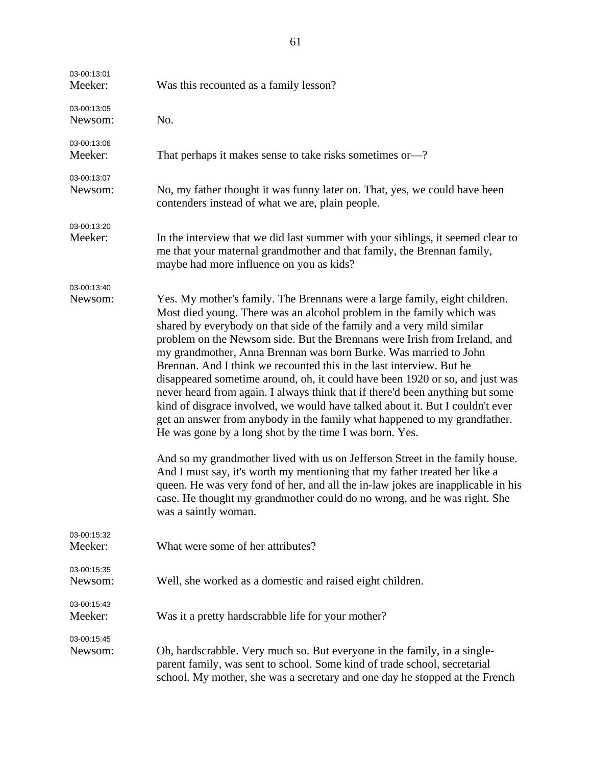| 03-00:13:01<br>Meeker: | Was this recounted as a family lesson?                                                                                                                                                                                                                                                                                                                                                                                                                                                                                                                                                                                                                                                                                                                                                                                                                                                                                                                                                                                                                                                                                                                                                                 |
|------------------------|--------------------------------------------------------------------------------------------------------------------------------------------------------------------------------------------------------------------------------------------------------------------------------------------------------------------------------------------------------------------------------------------------------------------------------------------------------------------------------------------------------------------------------------------------------------------------------------------------------------------------------------------------------------------------------------------------------------------------------------------------------------------------------------------------------------------------------------------------------------------------------------------------------------------------------------------------------------------------------------------------------------------------------------------------------------------------------------------------------------------------------------------------------------------------------------------------------|
| 03-00:13:05<br>Newsom: | No.                                                                                                                                                                                                                                                                                                                                                                                                                                                                                                                                                                                                                                                                                                                                                                                                                                                                                                                                                                                                                                                                                                                                                                                                    |
| 03-00:13:06<br>Meeker: | That perhaps it makes sense to take risks sometimes or—?                                                                                                                                                                                                                                                                                                                                                                                                                                                                                                                                                                                                                                                                                                                                                                                                                                                                                                                                                                                                                                                                                                                                               |
| 03-00:13:07<br>Newsom: | No, my father thought it was funny later on. That, yes, we could have been<br>contenders instead of what we are, plain people.                                                                                                                                                                                                                                                                                                                                                                                                                                                                                                                                                                                                                                                                                                                                                                                                                                                                                                                                                                                                                                                                         |
| 03-00:13:20<br>Meeker: | In the interview that we did last summer with your siblings, it seemed clear to<br>me that your maternal grandmother and that family, the Brennan family,<br>maybe had more influence on you as kids?                                                                                                                                                                                                                                                                                                                                                                                                                                                                                                                                                                                                                                                                                                                                                                                                                                                                                                                                                                                                  |
| 03-00:13:40<br>Newsom: | Yes. My mother's family. The Brennans were a large family, eight children.<br>Most died young. There was an alcohol problem in the family which was<br>shared by everybody on that side of the family and a very mild similar<br>problem on the Newsom side. But the Brennans were Irish from Ireland, and<br>my grandmother, Anna Brennan was born Burke. Was married to John<br>Brennan. And I think we recounted this in the last interview. But he<br>disappeared sometime around, oh, it could have been 1920 or so, and just was<br>never heard from again. I always think that if there'd been anything but some<br>kind of disgrace involved, we would have talked about it. But I couldn't ever<br>get an answer from anybody in the family what happened to my grandfather.<br>He was gone by a long shot by the time I was born. Yes.<br>And so my grandmother lived with us on Jefferson Street in the family house.<br>And I must say, it's worth my mentioning that my father treated her like a<br>queen. He was very fond of her, and all the in-law jokes are inapplicable in his<br>case. He thought my grandmother could do no wrong, and he was right. She<br>was a saintly woman. |
| 03-00:15:32<br>Meeker: | What were some of her attributes?                                                                                                                                                                                                                                                                                                                                                                                                                                                                                                                                                                                                                                                                                                                                                                                                                                                                                                                                                                                                                                                                                                                                                                      |
| 03-00:15:35<br>Newsom: | Well, she worked as a domestic and raised eight children.                                                                                                                                                                                                                                                                                                                                                                                                                                                                                                                                                                                                                                                                                                                                                                                                                                                                                                                                                                                                                                                                                                                                              |
| 03-00:15:43<br>Meeker: | Was it a pretty hardscrabble life for your mother?                                                                                                                                                                                                                                                                                                                                                                                                                                                                                                                                                                                                                                                                                                                                                                                                                                                                                                                                                                                                                                                                                                                                                     |
| 03-00:15:45<br>Newsom: | Oh, hardscrabble. Very much so. But everyone in the family, in a single-<br>parent family, was sent to school. Some kind of trade school, secretarial<br>school. My mother, she was a secretary and one day he stopped at the French                                                                                                                                                                                                                                                                                                                                                                                                                                                                                                                                                                                                                                                                                                                                                                                                                                                                                                                                                                   |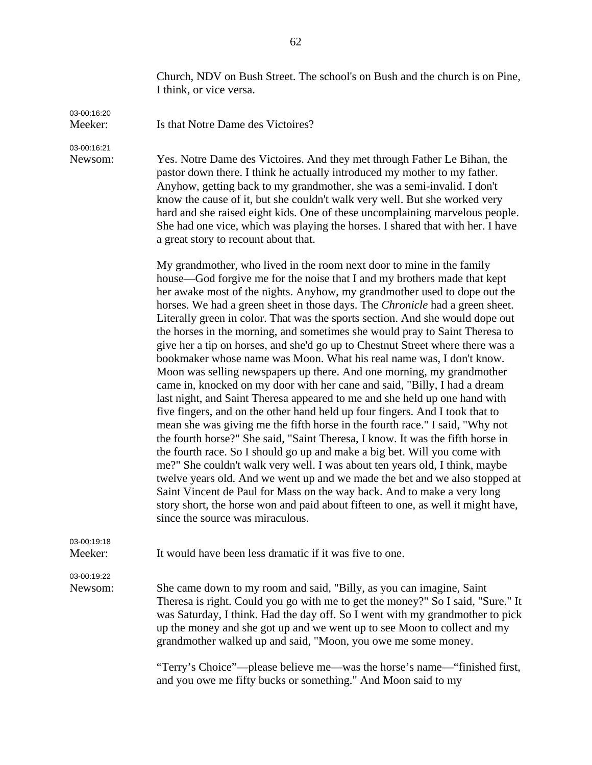Church, NDV on Bush Street. The school's on Bush and the church is on Pine, I think, or vice versa.

03-00:16:20

Meeker: Is that Notre Dame des Victoires?

03-00:16:21

Newsom: Yes. Notre Dame des Victoires. And they met through Father Le Bihan, the pastor down there. I think he actually introduced my mother to my father. Anyhow, getting back to my grandmother, she was a semi-invalid. I don't know the cause of it, but she couldn't walk very well. But she worked very hard and she raised eight kids. One of these uncomplaining marvelous people. She had one vice, which was playing the horses. I shared that with her. I have a great story to recount about that.

> My grandmother, who lived in the room next door to mine in the family house—God forgive me for the noise that I and my brothers made that kept her awake most of the nights. Anyhow, my grandmother used to dope out the horses. We had a green sheet in those days. The *Chronicle* had a green sheet. Literally green in color. That was the sports section. And she would dope out the horses in the morning, and sometimes she would pray to Saint Theresa to give her a tip on horses, and she'd go up to Chestnut Street where there was a bookmaker whose name was Moon. What his real name was, I don't know. Moon was selling newspapers up there. And one morning, my grandmother came in, knocked on my door with her cane and said, "Billy, I had a dream last night, and Saint Theresa appeared to me and she held up one hand with five fingers, and on the other hand held up four fingers. And I took that to mean she was giving me the fifth horse in the fourth race." I said, "Why not the fourth horse?" She said, "Saint Theresa, I know. It was the fifth horse in the fourth race. So I should go up and make a big bet. Will you come with me?" She couldn't walk very well. I was about ten years old, I think, maybe twelve years old. And we went up and we made the bet and we also stopped at Saint Vincent de Paul for Mass on the way back. And to make a very long story short, the horse won and paid about fifteen to one, as well it might have, since the source was miraculous.

03-00:19:18

Meeker: It would have been less dramatic if it was five to one.

03-00:19:22

Newsom: She came down to my room and said, "Billy, as you can imagine, Saint Theresa is right. Could you go with me to get the money?" So I said, "Sure." It was Saturday, I think. Had the day off. So I went with my grandmother to pick up the money and she got up and we went up to see Moon to collect and my grandmother walked up and said, "Moon, you owe me some money.

> "Terry's Choice"—please believe me—was the horse's name—"finished first, and you owe me fifty bucks or something." And Moon said to my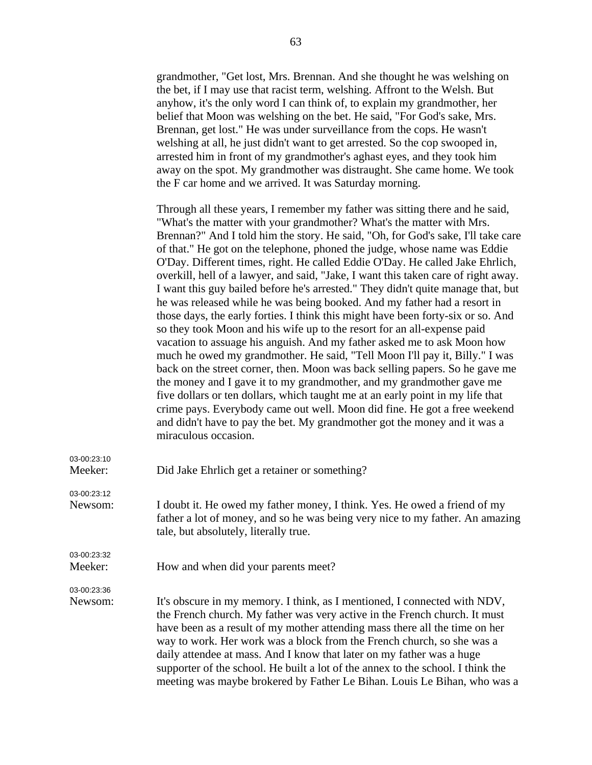grandmother, "Get lost, Mrs. Brennan. And she thought he was welshing on the bet, if I may use that racist term, welshing. Affront to the Welsh. But anyhow, it's the only word I can think of, to explain my grandmother, her belief that Moon was welshing on the bet. He said, "For God's sake, Mrs. Brennan, get lost." He was under surveillance from the cops. He wasn't welshing at all, he just didn't want to get arrested. So the cop swooped in, arrested him in front of my grandmother's aghast eyes, and they took him away on the spot. My grandmother was distraught. She came home. We took the F car home and we arrived. It was Saturday morning.

Through all these years, I remember my father was sitting there and he said, "What's the matter with your grandmother? What's the matter with Mrs. Brennan?" And I told him the story. He said, "Oh, for God's sake, I'll take care of that." He got on the telephone, phoned the judge, whose name was Eddie O'Day. Different times, right. He called Eddie O'Day. He called Jake Ehrlich, overkill, hell of a lawyer, and said, "Jake, I want this taken care of right away. I want this guy bailed before he's arrested." They didn't quite manage that, but he was released while he was being booked. And my father had a resort in those days, the early forties. I think this might have been forty-six or so. And so they took Moon and his wife up to the resort for an all-expense paid vacation to assuage his anguish. And my father asked me to ask Moon how much he owed my grandmother. He said, "Tell Moon I'll pay it, Billy." I was back on the street corner, then. Moon was back selling papers. So he gave me the money and I gave it to my grandmother, and my grandmother gave me five dollars or ten dollars, which taught me at an early point in my life that crime pays. Everybody came out well. Moon did fine. He got a free weekend and didn't have to pay the bet. My grandmother got the money and it was a miraculous occasion.

| 03-00:23:10 |                                                                                                                                                                                                                                                                                                                                                                                                                                                                                                                                                          |
|-------------|----------------------------------------------------------------------------------------------------------------------------------------------------------------------------------------------------------------------------------------------------------------------------------------------------------------------------------------------------------------------------------------------------------------------------------------------------------------------------------------------------------------------------------------------------------|
| Meeker:     | Did Jake Ehrlich get a retainer or something?                                                                                                                                                                                                                                                                                                                                                                                                                                                                                                            |
| 03-00:23:12 |                                                                                                                                                                                                                                                                                                                                                                                                                                                                                                                                                          |
| Newsom:     | I doubt it. He owed my father money, I think. Yes. He owed a friend of my<br>father a lot of money, and so he was being very nice to my father. An amazing<br>tale, but absolutely, literally true.                                                                                                                                                                                                                                                                                                                                                      |
| 03-00:23:32 |                                                                                                                                                                                                                                                                                                                                                                                                                                                                                                                                                          |
| Meeker:     | How and when did your parents meet?                                                                                                                                                                                                                                                                                                                                                                                                                                                                                                                      |
| 03-00:23:36 |                                                                                                                                                                                                                                                                                                                                                                                                                                                                                                                                                          |
| Newsom:     | It's obscure in my memory. I think, as I mentioned, I connected with NDV,<br>the French church. My father was very active in the French church. It must<br>have been as a result of my mother attending mass there all the time on her<br>way to work. Her work was a block from the French church, so she was a<br>daily attendee at mass. And I know that later on my father was a huge<br>supporter of the school. He built a lot of the annex to the school. I think the<br>meeting was maybe brokered by Father Le Bihan. Louis Le Bihan, who was a |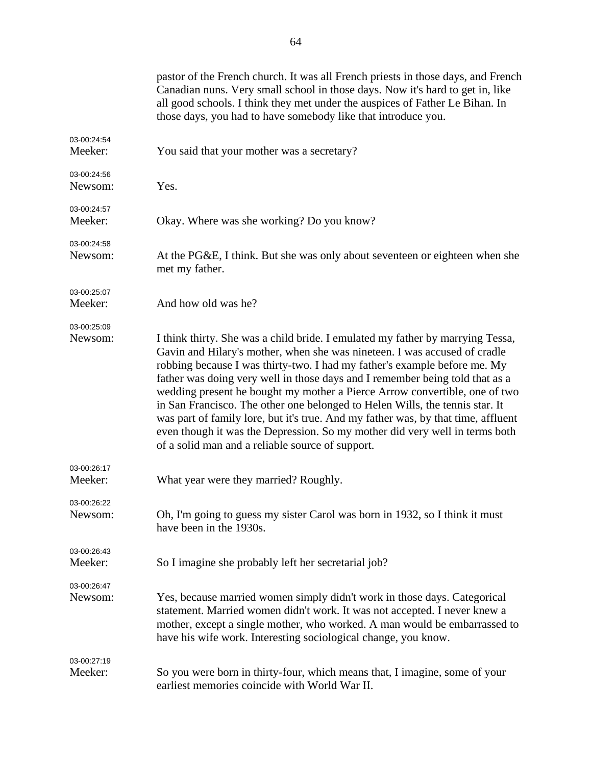|                        | pastor of the French church. It was all French priests in those days, and French<br>Canadian nuns. Very small school in those days. Now it's hard to get in, like<br>all good schools. I think they met under the auspices of Father Le Bihan. In<br>those days, you had to have somebody like that introduce you.                                                                                                                                                                                                                                                                                                                                                                                             |
|------------------------|----------------------------------------------------------------------------------------------------------------------------------------------------------------------------------------------------------------------------------------------------------------------------------------------------------------------------------------------------------------------------------------------------------------------------------------------------------------------------------------------------------------------------------------------------------------------------------------------------------------------------------------------------------------------------------------------------------------|
| 03-00:24:54<br>Meeker: | You said that your mother was a secretary?                                                                                                                                                                                                                                                                                                                                                                                                                                                                                                                                                                                                                                                                     |
| 03-00:24:56<br>Newsom: | Yes.                                                                                                                                                                                                                                                                                                                                                                                                                                                                                                                                                                                                                                                                                                           |
| 03-00:24:57<br>Meeker: | Okay. Where was she working? Do you know?                                                                                                                                                                                                                                                                                                                                                                                                                                                                                                                                                                                                                                                                      |
| 03-00:24:58<br>Newsom: | At the PG&E, I think. But she was only about seventeen or eighteen when she<br>met my father.                                                                                                                                                                                                                                                                                                                                                                                                                                                                                                                                                                                                                  |
| 03-00:25:07<br>Meeker: | And how old was he?                                                                                                                                                                                                                                                                                                                                                                                                                                                                                                                                                                                                                                                                                            |
| 03-00:25:09<br>Newsom: | I think thirty. She was a child bride. I emulated my father by marrying Tessa,<br>Gavin and Hilary's mother, when she was nineteen. I was accused of cradle<br>robbing because I was thirty-two. I had my father's example before me. My<br>father was doing very well in those days and I remember being told that as a<br>wedding present he bought my mother a Pierce Arrow convertible, one of two<br>in San Francisco. The other one belonged to Helen Wills, the tennis star. It<br>was part of family lore, but it's true. And my father was, by that time, affluent<br>even though it was the Depression. So my mother did very well in terms both<br>of a solid man and a reliable source of support. |
| 03-00:26:17<br>Meeker: | What year were they married? Roughly.                                                                                                                                                                                                                                                                                                                                                                                                                                                                                                                                                                                                                                                                          |
| 03-00:26:22<br>Newsom: | Oh, I'm going to guess my sister Carol was born in 1932, so I think it must<br>have been in the 1930s.                                                                                                                                                                                                                                                                                                                                                                                                                                                                                                                                                                                                         |
| 03-00:26:43<br>Meeker: | So I imagine she probably left her secretarial job?                                                                                                                                                                                                                                                                                                                                                                                                                                                                                                                                                                                                                                                            |
| 03-00:26:47            |                                                                                                                                                                                                                                                                                                                                                                                                                                                                                                                                                                                                                                                                                                                |
| Newsom:                | Yes, because married women simply didn't work in those days. Categorical<br>statement. Married women didn't work. It was not accepted. I never knew a<br>mother, except a single mother, who worked. A man would be embarrassed to<br>have his wife work. Interesting sociological change, you know.                                                                                                                                                                                                                                                                                                                                                                                                           |
| 03-00:27:19            |                                                                                                                                                                                                                                                                                                                                                                                                                                                                                                                                                                                                                                                                                                                |
| Meeker:                | So you were born in thirty-four, which means that, I imagine, some of your<br>earliest memories coincide with World War II.                                                                                                                                                                                                                                                                                                                                                                                                                                                                                                                                                                                    |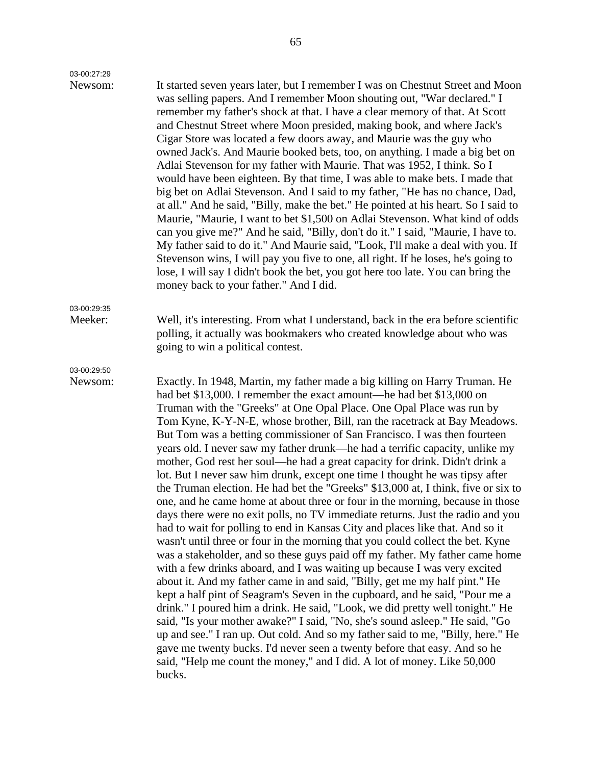| 03-00:27:29 |                                                                                                                                                                                                                                                                                                                                                                                                                                                                                                                                                                                                                                                                                                                                                                                                                                                                                                                                                                                                                                                                                                                                                                                                                                                                                                                                                                                                                                                                                                                                                                                                                                                                                                                                                                                                                 |
|-------------|-----------------------------------------------------------------------------------------------------------------------------------------------------------------------------------------------------------------------------------------------------------------------------------------------------------------------------------------------------------------------------------------------------------------------------------------------------------------------------------------------------------------------------------------------------------------------------------------------------------------------------------------------------------------------------------------------------------------------------------------------------------------------------------------------------------------------------------------------------------------------------------------------------------------------------------------------------------------------------------------------------------------------------------------------------------------------------------------------------------------------------------------------------------------------------------------------------------------------------------------------------------------------------------------------------------------------------------------------------------------------------------------------------------------------------------------------------------------------------------------------------------------------------------------------------------------------------------------------------------------------------------------------------------------------------------------------------------------------------------------------------------------------------------------------------------------|
| Newsom:     | It started seven years later, but I remember I was on Chestnut Street and Moon<br>was selling papers. And I remember Moon shouting out, "War declared." I<br>remember my father's shock at that. I have a clear memory of that. At Scott<br>and Chestnut Street where Moon presided, making book, and where Jack's<br>Cigar Store was located a few doors away, and Maurie was the guy who<br>owned Jack's. And Maurie booked bets, too, on anything. I made a big bet on<br>Adlai Stevenson for my father with Maurie. That was 1952, I think. So I<br>would have been eighteen. By that time, I was able to make bets. I made that<br>big bet on Adlai Stevenson. And I said to my father, "He has no chance, Dad,<br>at all." And he said, "Billy, make the bet." He pointed at his heart. So I said to<br>Maurie, "Maurie, I want to bet \$1,500 on Adlai Stevenson. What kind of odds<br>can you give me?" And he said, "Billy, don't do it." I said, "Maurie, I have to.<br>My father said to do it." And Maurie said, "Look, I'll make a deal with you. If<br>Stevenson wins, I will pay you five to one, all right. If he loses, he's going to<br>lose, I will say I didn't book the bet, you got here too late. You can bring the<br>money back to your father." And I did.                                                                                                                                                                                                                                                                                                                                                                                                                                                                                                                            |
| 03-00:29:35 |                                                                                                                                                                                                                                                                                                                                                                                                                                                                                                                                                                                                                                                                                                                                                                                                                                                                                                                                                                                                                                                                                                                                                                                                                                                                                                                                                                                                                                                                                                                                                                                                                                                                                                                                                                                                                 |
| Meeker:     | Well, it's interesting. From what I understand, back in the era before scientific<br>polling, it actually was bookmakers who created knowledge about who was<br>going to win a political contest.                                                                                                                                                                                                                                                                                                                                                                                                                                                                                                                                                                                                                                                                                                                                                                                                                                                                                                                                                                                                                                                                                                                                                                                                                                                                                                                                                                                                                                                                                                                                                                                                               |
| 03-00:29:50 |                                                                                                                                                                                                                                                                                                                                                                                                                                                                                                                                                                                                                                                                                                                                                                                                                                                                                                                                                                                                                                                                                                                                                                                                                                                                                                                                                                                                                                                                                                                                                                                                                                                                                                                                                                                                                 |
| Newsom:     | Exactly. In 1948, Martin, my father made a big killing on Harry Truman. He<br>had bet \$13,000. I remember the exact amount—he had bet \$13,000 on<br>Truman with the "Greeks" at One Opal Place. One Opal Place was run by<br>Tom Kyne, K-Y-N-E, whose brother, Bill, ran the racetrack at Bay Meadows.<br>But Tom was a betting commissioner of San Francisco. I was then fourteen<br>years old. I never saw my father drunk—he had a terrific capacity, unlike my<br>mother, God rest her soul—he had a great capacity for drink. Didn't drink a<br>lot. But I never saw him drunk, except one time I thought he was tipsy after<br>the Truman election. He had bet the "Greeks" \$13,000 at, I think, five or six to<br>one, and he came home at about three or four in the morning, because in those<br>days there were no exit polls, no TV immediate returns. Just the radio and you<br>had to wait for polling to end in Kansas City and places like that. And so it<br>wasn't until three or four in the morning that you could collect the bet. Kyne<br>was a stakeholder, and so these guys paid off my father. My father came home<br>with a few drinks aboard, and I was waiting up because I was very excited<br>about it. And my father came in and said, "Billy, get me my half pint." He<br>kept a half pint of Seagram's Seven in the cupboard, and he said, "Pour me a<br>drink." I poured him a drink. He said, "Look, we did pretty well tonight." He<br>said, "Is your mother awake?" I said, "No, she's sound asleep." He said, "Go<br>up and see." I ran up. Out cold. And so my father said to me, "Billy, here." He<br>gave me twenty bucks. I'd never seen a twenty before that easy. And so he<br>said, "Help me count the money," and I did. A lot of money. Like 50,000<br>bucks. |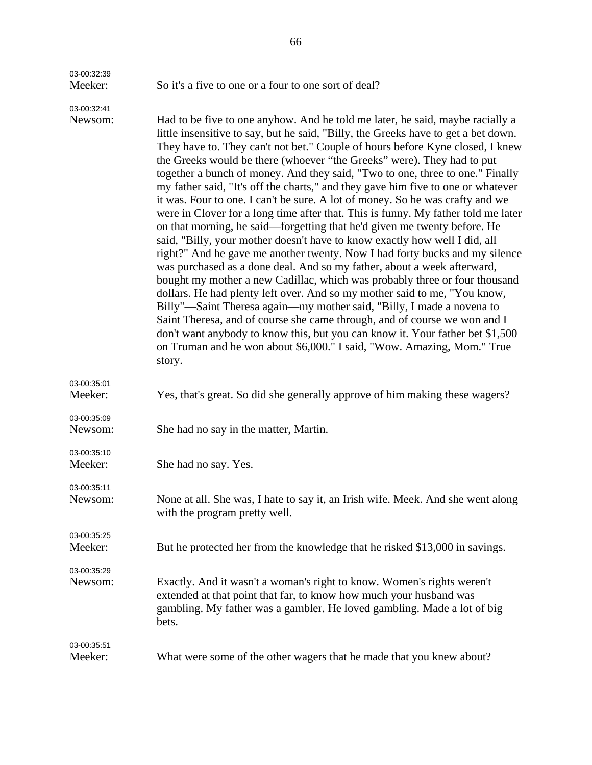| 03-00:32:39<br>Meeker: | So it's a five to one or a four to one sort of deal?                                                                                                                                                                                                                                                                                                                                                                                                                                                                                                                                                                                                                                                                                                                                                                                                                                                                                                                                                                                                                                                                                                                                                                                                                                                                                                                                                                                                                                |
|------------------------|-------------------------------------------------------------------------------------------------------------------------------------------------------------------------------------------------------------------------------------------------------------------------------------------------------------------------------------------------------------------------------------------------------------------------------------------------------------------------------------------------------------------------------------------------------------------------------------------------------------------------------------------------------------------------------------------------------------------------------------------------------------------------------------------------------------------------------------------------------------------------------------------------------------------------------------------------------------------------------------------------------------------------------------------------------------------------------------------------------------------------------------------------------------------------------------------------------------------------------------------------------------------------------------------------------------------------------------------------------------------------------------------------------------------------------------------------------------------------------------|
| 03-00:32:41<br>Newsom: | Had to be five to one anyhow. And he told me later, he said, maybe racially a<br>little insensitive to say, but he said, "Billy, the Greeks have to get a bet down.<br>They have to. They can't not bet." Couple of hours before Kyne closed, I knew<br>the Greeks would be there (whoever "the Greeks" were). They had to put<br>together a bunch of money. And they said, "Two to one, three to one." Finally<br>my father said, "It's off the charts," and they gave him five to one or whatever<br>it was. Four to one. I can't be sure. A lot of money. So he was crafty and we<br>were in Clover for a long time after that. This is funny. My father told me later<br>on that morning, he said—forgetting that he'd given me twenty before. He<br>said, "Billy, your mother doesn't have to know exactly how well I did, all<br>right?" And he gave me another twenty. Now I had forty bucks and my silence<br>was purchased as a done deal. And so my father, about a week afterward,<br>bought my mother a new Cadillac, which was probably three or four thousand<br>dollars. He had plenty left over. And so my mother said to me, "You know,<br>Billy"—Saint Theresa again—my mother said, "Billy, I made a novena to<br>Saint Theresa, and of course she came through, and of course we won and I<br>don't want anybody to know this, but you can know it. Your father bet \$1,500<br>on Truman and he won about \$6,000." I said, "Wow. Amazing, Mom." True<br>story. |
| 03-00:35:01<br>Meeker: | Yes, that's great. So did she generally approve of him making these wagers?                                                                                                                                                                                                                                                                                                                                                                                                                                                                                                                                                                                                                                                                                                                                                                                                                                                                                                                                                                                                                                                                                                                                                                                                                                                                                                                                                                                                         |
| 03-00:35:09<br>Newsom: | She had no say in the matter, Martin.                                                                                                                                                                                                                                                                                                                                                                                                                                                                                                                                                                                                                                                                                                                                                                                                                                                                                                                                                                                                                                                                                                                                                                                                                                                                                                                                                                                                                                               |
| 03-00:35:10<br>Meeker: | She had no say. Yes.                                                                                                                                                                                                                                                                                                                                                                                                                                                                                                                                                                                                                                                                                                                                                                                                                                                                                                                                                                                                                                                                                                                                                                                                                                                                                                                                                                                                                                                                |
| 03-00:35:11<br>Newsom: | None at all. She was, I hate to say it, an Irish wife. Meek. And she went along<br>with the program pretty well.                                                                                                                                                                                                                                                                                                                                                                                                                                                                                                                                                                                                                                                                                                                                                                                                                                                                                                                                                                                                                                                                                                                                                                                                                                                                                                                                                                    |
| 03-00:35:25<br>Meeker: | But he protected her from the knowledge that he risked \$13,000 in savings.                                                                                                                                                                                                                                                                                                                                                                                                                                                                                                                                                                                                                                                                                                                                                                                                                                                                                                                                                                                                                                                                                                                                                                                                                                                                                                                                                                                                         |
| 03-00:35:29<br>Newsom: | Exactly. And it wasn't a woman's right to know. Women's rights weren't<br>extended at that point that far, to know how much your husband was<br>gambling. My father was a gambler. He loved gambling. Made a lot of big<br>bets.                                                                                                                                                                                                                                                                                                                                                                                                                                                                                                                                                                                                                                                                                                                                                                                                                                                                                                                                                                                                                                                                                                                                                                                                                                                    |
| 03-00:35:51<br>Meeker: | What were some of the other wagers that he made that you knew about?                                                                                                                                                                                                                                                                                                                                                                                                                                                                                                                                                                                                                                                                                                                                                                                                                                                                                                                                                                                                                                                                                                                                                                                                                                                                                                                                                                                                                |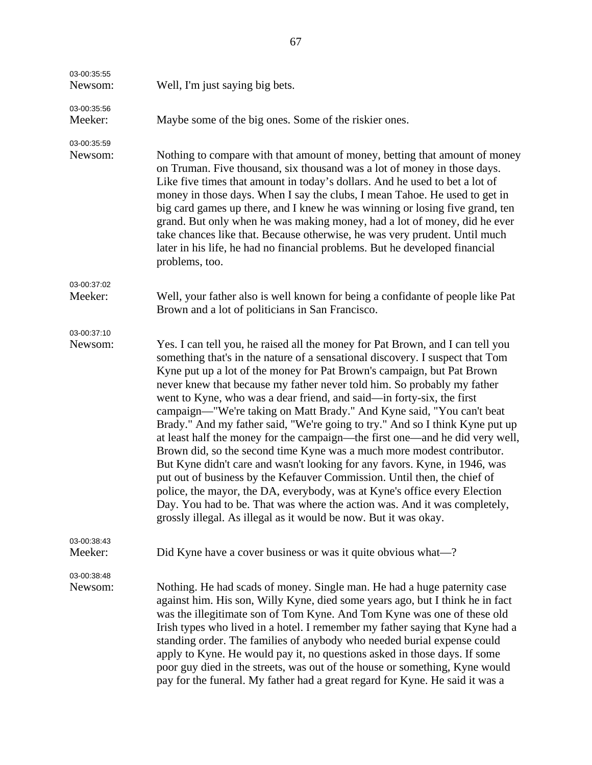| 03-00:35:55<br>Newsom: | Well, I'm just saying big bets.                                                                                                                                                                                                                                                                                                                                                                                                                                                                                                                                                                                                                                                                                                                                                                                                                                                                                                                                                                                                                                                                          |
|------------------------|----------------------------------------------------------------------------------------------------------------------------------------------------------------------------------------------------------------------------------------------------------------------------------------------------------------------------------------------------------------------------------------------------------------------------------------------------------------------------------------------------------------------------------------------------------------------------------------------------------------------------------------------------------------------------------------------------------------------------------------------------------------------------------------------------------------------------------------------------------------------------------------------------------------------------------------------------------------------------------------------------------------------------------------------------------------------------------------------------------|
| 03-00:35:56<br>Meeker: | Maybe some of the big ones. Some of the riskier ones.                                                                                                                                                                                                                                                                                                                                                                                                                                                                                                                                                                                                                                                                                                                                                                                                                                                                                                                                                                                                                                                    |
| 03-00:35:59<br>Newsom: | Nothing to compare with that amount of money, betting that amount of money<br>on Truman. Five thousand, six thousand was a lot of money in those days.<br>Like five times that amount in today's dollars. And he used to bet a lot of<br>money in those days. When I say the clubs, I mean Tahoe. He used to get in<br>big card games up there, and I knew he was winning or losing five grand, ten<br>grand. But only when he was making money, had a lot of money, did he ever<br>take chances like that. Because otherwise, he was very prudent. Until much<br>later in his life, he had no financial problems. But he developed financial<br>problems, too.                                                                                                                                                                                                                                                                                                                                                                                                                                          |
| 03-00:37:02<br>Meeker: | Well, your father also is well known for being a confidante of people like Pat<br>Brown and a lot of politicians in San Francisco.                                                                                                                                                                                                                                                                                                                                                                                                                                                                                                                                                                                                                                                                                                                                                                                                                                                                                                                                                                       |
| 03-00:37:10<br>Newsom: | Yes. I can tell you, he raised all the money for Pat Brown, and I can tell you<br>something that's in the nature of a sensational discovery. I suspect that Tom<br>Kyne put up a lot of the money for Pat Brown's campaign, but Pat Brown<br>never knew that because my father never told him. So probably my father<br>went to Kyne, who was a dear friend, and said—in forty-six, the first<br>campaign—"We're taking on Matt Brady." And Kyne said, "You can't beat<br>Brady." And my father said, "We're going to try." And so I think Kyne put up<br>at least half the money for the campaign—the first one—and he did very well,<br>Brown did, so the second time Kyne was a much more modest contributor.<br>But Kyne didn't care and wasn't looking for any favors. Kyne, in 1946, was<br>put out of business by the Kefauver Commission. Until then, the chief of<br>police, the mayor, the DA, everybody, was at Kyne's office every Election<br>Day. You had to be. That was where the action was. And it was completely,<br>grossly illegal. As illegal as it would be now. But it was okay. |
| 03-00:38:43<br>Meeker: | Did Kyne have a cover business or was it quite obvious what—?                                                                                                                                                                                                                                                                                                                                                                                                                                                                                                                                                                                                                                                                                                                                                                                                                                                                                                                                                                                                                                            |
| 03-00:38:48<br>Newsom: | Nothing. He had scads of money. Single man. He had a huge paternity case<br>against him. His son, Willy Kyne, died some years ago, but I think he in fact<br>was the illegitimate son of Tom Kyne. And Tom Kyne was one of these old<br>Irish types who lived in a hotel. I remember my father saying that Kyne had a<br>standing order. The families of anybody who needed burial expense could<br>apply to Kyne. He would pay it, no questions asked in those days. If some<br>poor guy died in the streets, was out of the house or something, Kyne would<br>pay for the funeral. My father had a great regard for Kyne. He said it was a                                                                                                                                                                                                                                                                                                                                                                                                                                                             |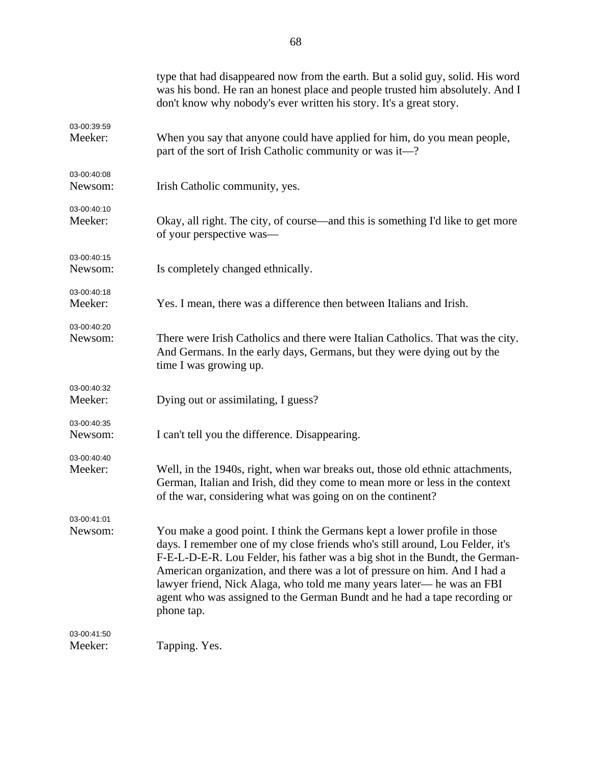|                        | type that had disappeared now from the earth. But a solid guy, solid. His word<br>was his bond. He ran an honest place and people trusted him absolutely. And I<br>don't know why nobody's ever written his story. It's a great story.                                                                                                                                                                                                                                                       |
|------------------------|----------------------------------------------------------------------------------------------------------------------------------------------------------------------------------------------------------------------------------------------------------------------------------------------------------------------------------------------------------------------------------------------------------------------------------------------------------------------------------------------|
| 03-00:39:59<br>Meeker: | When you say that anyone could have applied for him, do you mean people,<br>part of the sort of Irish Catholic community or was it—?                                                                                                                                                                                                                                                                                                                                                         |
| 03-00:40:08<br>Newsom: | Irish Catholic community, yes.                                                                                                                                                                                                                                                                                                                                                                                                                                                               |
| 03-00:40:10<br>Meeker: | Okay, all right. The city, of course—and this is something I'd like to get more<br>of your perspective was—                                                                                                                                                                                                                                                                                                                                                                                  |
| 03-00:40:15<br>Newsom: | Is completely changed ethnically.                                                                                                                                                                                                                                                                                                                                                                                                                                                            |
| 03-00:40:18<br>Meeker: | Yes. I mean, there was a difference then between Italians and Irish.                                                                                                                                                                                                                                                                                                                                                                                                                         |
| 03-00:40:20<br>Newsom: | There were Irish Catholics and there were Italian Catholics. That was the city.<br>And Germans. In the early days, Germans, but they were dying out by the<br>time I was growing up.                                                                                                                                                                                                                                                                                                         |
| 03-00:40:32<br>Meeker: | Dying out or assimilating, I guess?                                                                                                                                                                                                                                                                                                                                                                                                                                                          |
| 03-00:40:35<br>Newsom: | I can't tell you the difference. Disappearing.                                                                                                                                                                                                                                                                                                                                                                                                                                               |
| 03-00:40:40<br>Meeker: | Well, in the 1940s, right, when war breaks out, those old ethnic attachments,<br>German, Italian and Irish, did they come to mean more or less in the context<br>of the war, considering what was going on on the continent?                                                                                                                                                                                                                                                                 |
| 03-00:41:01<br>Newsom: | You make a good point. I think the Germans kept a lower profile in those<br>days. I remember one of my close friends who's still around, Lou Felder, it's<br>F-E-L-D-E-R. Lou Felder, his father was a big shot in the Bundt, the German-<br>American organization, and there was a lot of pressure on him. And I had a<br>lawyer friend, Nick Alaga, who told me many years later— he was an FBI<br>agent who was assigned to the German Bundt and he had a tape recording or<br>phone tap. |
| 03-00:41:50<br>Meeker: | Tapping. Yes.                                                                                                                                                                                                                                                                                                                                                                                                                                                                                |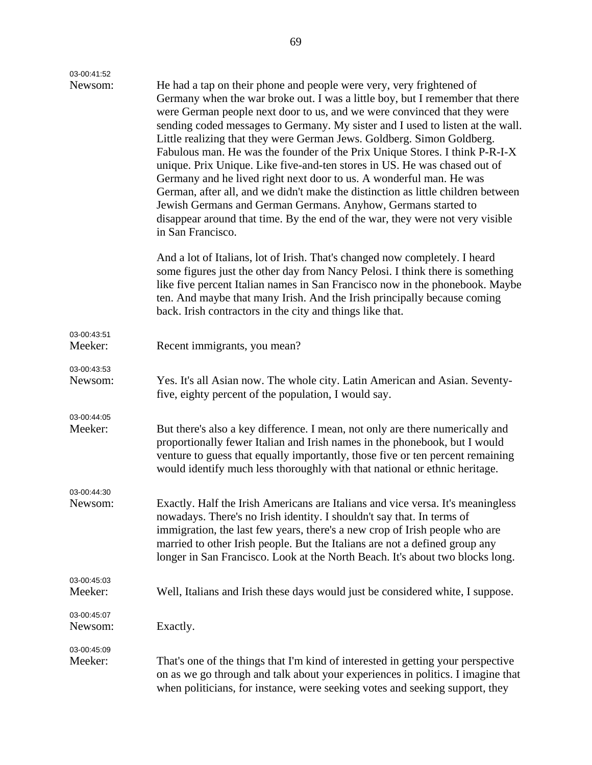| 03-00:41:52            |                                                                                                                                                                                                                                                                                                                                                                                                                                                                                                                                                                                                                                                                                                                                                                                                                                                                                             |
|------------------------|---------------------------------------------------------------------------------------------------------------------------------------------------------------------------------------------------------------------------------------------------------------------------------------------------------------------------------------------------------------------------------------------------------------------------------------------------------------------------------------------------------------------------------------------------------------------------------------------------------------------------------------------------------------------------------------------------------------------------------------------------------------------------------------------------------------------------------------------------------------------------------------------|
| Newsom:                | He had a tap on their phone and people were very, very frightened of<br>Germany when the war broke out. I was a little boy, but I remember that there<br>were German people next door to us, and we were convinced that they were<br>sending coded messages to Germany. My sister and I used to listen at the wall.<br>Little realizing that they were German Jews. Goldberg. Simon Goldberg.<br>Fabulous man. He was the founder of the Prix Unique Stores. I think P-R-I-X<br>unique. Prix Unique. Like five-and-ten stores in US. He was chased out of<br>Germany and he lived right next door to us. A wonderful man. He was<br>German, after all, and we didn't make the distinction as little children between<br>Jewish Germans and German Germans. Anyhow, Germans started to<br>disappear around that time. By the end of the war, they were not very visible<br>in San Francisco. |
|                        | And a lot of Italians, lot of Irish. That's changed now completely. I heard<br>some figures just the other day from Nancy Pelosi. I think there is something<br>like five percent Italian names in San Francisco now in the phonebook. Maybe<br>ten. And maybe that many Irish. And the Irish principally because coming<br>back. Irish contractors in the city and things like that.                                                                                                                                                                                                                                                                                                                                                                                                                                                                                                       |
| 03-00:43:51<br>Meeker: | Recent immigrants, you mean?                                                                                                                                                                                                                                                                                                                                                                                                                                                                                                                                                                                                                                                                                                                                                                                                                                                                |
| 03-00:43:53<br>Newsom: | Yes. It's all Asian now. The whole city. Latin American and Asian. Seventy-<br>five, eighty percent of the population, I would say.                                                                                                                                                                                                                                                                                                                                                                                                                                                                                                                                                                                                                                                                                                                                                         |
| 03-00:44:05<br>Meeker: | But there's also a key difference. I mean, not only are there numerically and<br>proportionally fewer Italian and Irish names in the phonebook, but I would<br>venture to guess that equally importantly, those five or ten percent remaining<br>would identify much less thoroughly with that national or ethnic heritage.                                                                                                                                                                                                                                                                                                                                                                                                                                                                                                                                                                 |
| 03-00:44:30<br>Newsom: | Exactly. Half the Irish Americans are Italians and vice versa. It's meaningless<br>nowadays. There's no Irish identity. I shouldn't say that. In terms of<br>immigration, the last few years, there's a new crop of Irish people who are<br>married to other Irish people. But the Italians are not a defined group any<br>longer in San Francisco. Look at the North Beach. It's about two blocks long.                                                                                                                                                                                                                                                                                                                                                                                                                                                                                    |
| 03-00:45:03<br>Meeker: | Well, Italians and Irish these days would just be considered white, I suppose.                                                                                                                                                                                                                                                                                                                                                                                                                                                                                                                                                                                                                                                                                                                                                                                                              |
| 03-00:45:07<br>Newsom: | Exactly.                                                                                                                                                                                                                                                                                                                                                                                                                                                                                                                                                                                                                                                                                                                                                                                                                                                                                    |
| 03-00:45:09<br>Meeker: | That's one of the things that I'm kind of interested in getting your perspective<br>on as we go through and talk about your experiences in politics. I imagine that<br>when politicians, for instance, were seeking votes and seeking support, they                                                                                                                                                                                                                                                                                                                                                                                                                                                                                                                                                                                                                                         |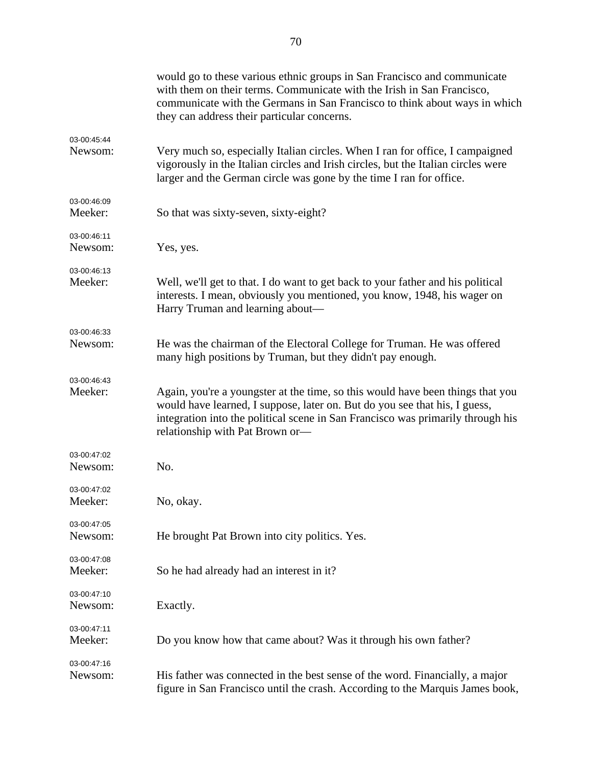|                        | would go to these various ethnic groups in San Francisco and communicate<br>with them on their terms. Communicate with the Irish in San Francisco,<br>communicate with the Germans in San Francisco to think about ways in which<br>they can address their particular concerns.    |
|------------------------|------------------------------------------------------------------------------------------------------------------------------------------------------------------------------------------------------------------------------------------------------------------------------------|
| 03-00:45:44<br>Newsom: | Very much so, especially Italian circles. When I ran for office, I campaigned<br>vigorously in the Italian circles and Irish circles, but the Italian circles were<br>larger and the German circle was gone by the time I ran for office.                                          |
| 03-00:46:09<br>Meeker: | So that was sixty-seven, sixty-eight?                                                                                                                                                                                                                                              |
| 03-00:46:11<br>Newsom: | Yes, yes.                                                                                                                                                                                                                                                                          |
| 03-00:46:13<br>Meeker: | Well, we'll get to that. I do want to get back to your father and his political<br>interests. I mean, obviously you mentioned, you know, 1948, his wager on<br>Harry Truman and learning about—                                                                                    |
| 03-00:46:33<br>Newsom: | He was the chairman of the Electoral College for Truman. He was offered<br>many high positions by Truman, but they didn't pay enough.                                                                                                                                              |
| 03-00:46:43<br>Meeker: | Again, you're a youngster at the time, so this would have been things that you<br>would have learned, I suppose, later on. But do you see that his, I guess,<br>integration into the political scene in San Francisco was primarily through his<br>relationship with Pat Brown or- |
| 03-00:47:02<br>Newsom: | No.                                                                                                                                                                                                                                                                                |
| 03-00:47:02<br>Meeker: | No, okay.                                                                                                                                                                                                                                                                          |
| 03-00:47:05<br>Newsom: | He brought Pat Brown into city politics. Yes.                                                                                                                                                                                                                                      |
| 03-00:47:08<br>Meeker: | So he had already had an interest in it?                                                                                                                                                                                                                                           |
| 03-00:47:10<br>Newsom: | Exactly.                                                                                                                                                                                                                                                                           |
| 03-00:47:11<br>Meeker: | Do you know how that came about? Was it through his own father?                                                                                                                                                                                                                    |
| 03-00:47:16<br>Newsom: | His father was connected in the best sense of the word. Financially, a major<br>figure in San Francisco until the crash. According to the Marquis James book,                                                                                                                      |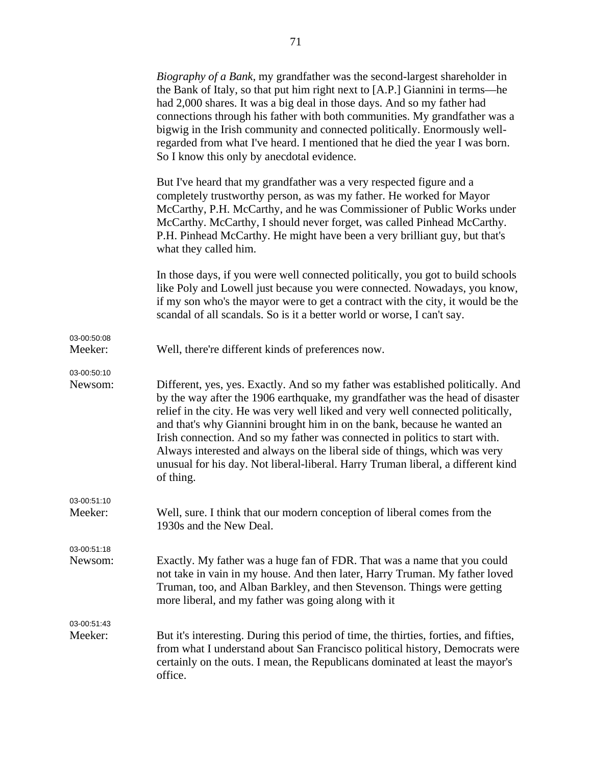|                        | Biography of a Bank, my grandfather was the second-largest shareholder in<br>the Bank of Italy, so that put him right next to [A.P.] Giannini in terms—he<br>had 2,000 shares. It was a big deal in those days. And so my father had<br>connections through his father with both communities. My grandfather was a<br>bigwig in the Irish community and connected politically. Enormously well-<br>regarded from what I've heard. I mentioned that he died the year I was born.<br>So I know this only by anecdotal evidence.                                                                 |
|------------------------|-----------------------------------------------------------------------------------------------------------------------------------------------------------------------------------------------------------------------------------------------------------------------------------------------------------------------------------------------------------------------------------------------------------------------------------------------------------------------------------------------------------------------------------------------------------------------------------------------|
|                        | But I've heard that my grandfather was a very respected figure and a<br>completely trustworthy person, as was my father. He worked for Mayor<br>McCarthy, P.H. McCarthy, and he was Commissioner of Public Works under<br>McCarthy. McCarthy, I should never forget, was called Pinhead McCarthy.<br>P.H. Pinhead McCarthy. He might have been a very brilliant guy, but that's<br>what they called him.                                                                                                                                                                                      |
|                        | In those days, if you were well connected politically, you got to build schools<br>like Poly and Lowell just because you were connected. Nowadays, you know,<br>if my son who's the mayor were to get a contract with the city, it would be the<br>scandal of all scandals. So is it a better world or worse, I can't say.                                                                                                                                                                                                                                                                    |
| 03-00:50:08<br>Meeker: | Well, there're different kinds of preferences now.                                                                                                                                                                                                                                                                                                                                                                                                                                                                                                                                            |
| 03-00:50:10            |                                                                                                                                                                                                                                                                                                                                                                                                                                                                                                                                                                                               |
| Newsom:                | Different, yes, yes. Exactly. And so my father was established politically. And<br>by the way after the 1906 earthquake, my grandfather was the head of disaster<br>relief in the city. He was very well liked and very well connected politically,<br>and that's why Giannini brought him in on the bank, because he wanted an<br>Irish connection. And so my father was connected in politics to start with.<br>Always interested and always on the liberal side of things, which was very<br>unusual for his day. Not liberal-liberal. Harry Truman liberal, a different kind<br>of thing. |
| 03-00:51:10            |                                                                                                                                                                                                                                                                                                                                                                                                                                                                                                                                                                                               |
| Meeker:                | Well, sure. I think that our modern conception of liberal comes from the<br>1930s and the New Deal.                                                                                                                                                                                                                                                                                                                                                                                                                                                                                           |
| 03-00:51:18<br>Newsom: | Exactly. My father was a huge fan of FDR. That was a name that you could<br>not take in vain in my house. And then later, Harry Truman. My father loved<br>Truman, too, and Alban Barkley, and then Stevenson. Things were getting<br>more liberal, and my father was going along with it                                                                                                                                                                                                                                                                                                     |
|                        |                                                                                                                                                                                                                                                                                                                                                                                                                                                                                                                                                                                               |
| 03-00:51:43<br>Meeker: | But it's interesting. During this period of time, the thirties, forties, and fifties,<br>from what I understand about San Francisco political history, Democrats were<br>certainly on the outs. I mean, the Republicans dominated at least the mayor's<br>office.                                                                                                                                                                                                                                                                                                                             |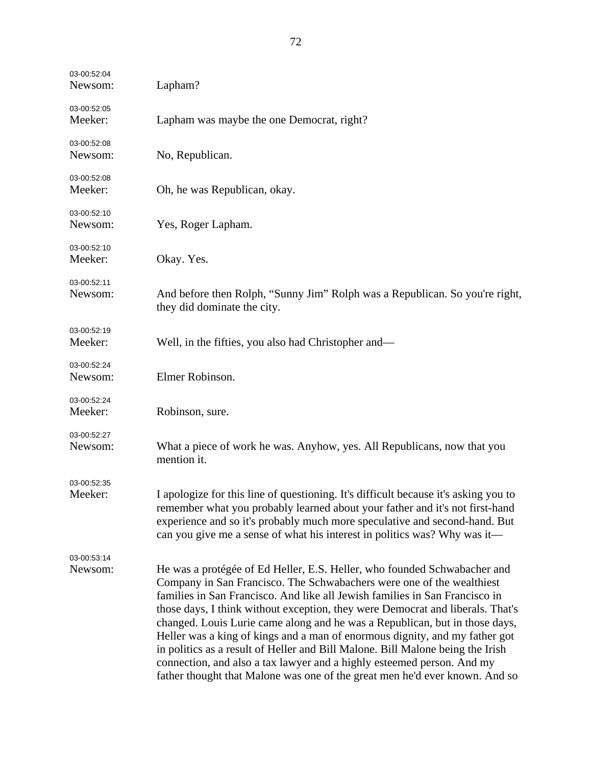| 03-00:52:04<br>Newsom: | Lapham?                                                                                                                                                                                                                                                                                                                                                                                                                                                                                                                                                                                                                                                                                                                     |
|------------------------|-----------------------------------------------------------------------------------------------------------------------------------------------------------------------------------------------------------------------------------------------------------------------------------------------------------------------------------------------------------------------------------------------------------------------------------------------------------------------------------------------------------------------------------------------------------------------------------------------------------------------------------------------------------------------------------------------------------------------------|
| 03-00:52:05<br>Meeker: | Lapham was maybe the one Democrat, right?                                                                                                                                                                                                                                                                                                                                                                                                                                                                                                                                                                                                                                                                                   |
| 03-00:52:08<br>Newsom: | No, Republican.                                                                                                                                                                                                                                                                                                                                                                                                                                                                                                                                                                                                                                                                                                             |
| 03-00:52:08<br>Meeker: | Oh, he was Republican, okay.                                                                                                                                                                                                                                                                                                                                                                                                                                                                                                                                                                                                                                                                                                |
| 03-00:52:10<br>Newsom: | Yes, Roger Lapham.                                                                                                                                                                                                                                                                                                                                                                                                                                                                                                                                                                                                                                                                                                          |
| 03-00:52:10<br>Meeker: | Okay. Yes.                                                                                                                                                                                                                                                                                                                                                                                                                                                                                                                                                                                                                                                                                                                  |
| 03-00:52:11<br>Newsom: | And before then Rolph, "Sunny Jim" Rolph was a Republican. So you're right,<br>they did dominate the city.                                                                                                                                                                                                                                                                                                                                                                                                                                                                                                                                                                                                                  |
| 03-00:52:19<br>Meeker: | Well, in the fifties, you also had Christopher and—                                                                                                                                                                                                                                                                                                                                                                                                                                                                                                                                                                                                                                                                         |
| 03-00:52:24<br>Newsom: | Elmer Robinson.                                                                                                                                                                                                                                                                                                                                                                                                                                                                                                                                                                                                                                                                                                             |
| 03-00:52:24<br>Meeker: | Robinson, sure.                                                                                                                                                                                                                                                                                                                                                                                                                                                                                                                                                                                                                                                                                                             |
| 03-00:52:27<br>Newsom: | What a piece of work he was. Anyhow, yes. All Republicans, now that you<br>mention it.                                                                                                                                                                                                                                                                                                                                                                                                                                                                                                                                                                                                                                      |
| 03-00:52:35<br>Meeker: | I apologize for this line of questioning. It's difficult because it's asking you to<br>remember what you probably learned about your father and it's not first-hand<br>experience and so it's probably much more speculative and second-hand. But<br>can you give me a sense of what his interest in politics was? Why was it—                                                                                                                                                                                                                                                                                                                                                                                              |
| 03-00:53:14<br>Newsom: | He was a protégée of Ed Heller, E.S. Heller, who founded Schwabacher and<br>Company in San Francisco. The Schwabachers were one of the wealthiest<br>families in San Francisco. And like all Jewish families in San Francisco in<br>those days, I think without exception, they were Democrat and liberals. That's<br>changed. Louis Lurie came along and he was a Republican, but in those days,<br>Heller was a king of kings and a man of enormous dignity, and my father got<br>in politics as a result of Heller and Bill Malone. Bill Malone being the Irish<br>connection, and also a tax lawyer and a highly esteemed person. And my<br>father thought that Malone was one of the great men he'd ever known. And so |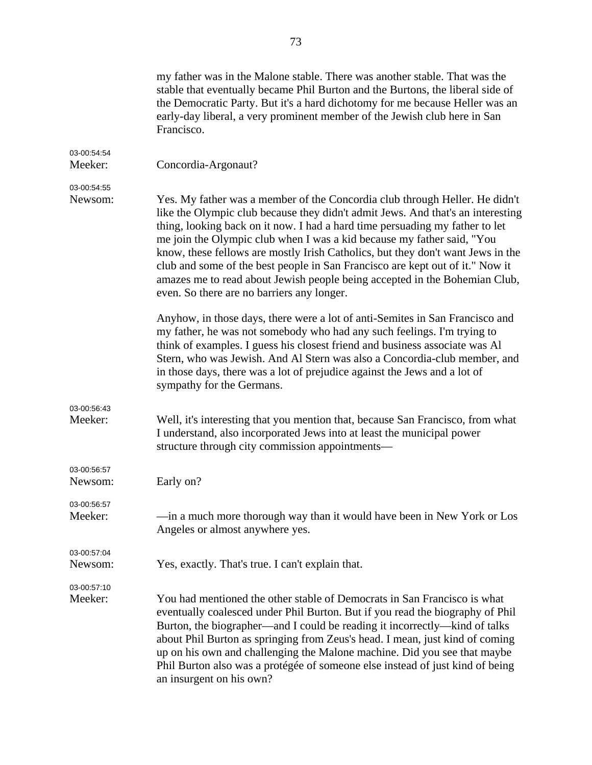|                        | my father was in the Malone stable. There was another stable. That was the<br>stable that eventually became Phil Burton and the Burtons, the liberal side of<br>the Democratic Party. But it's a hard dichotomy for me because Heller was an<br>early-day liberal, a very prominent member of the Jewish club here in San<br>Francisco.                                                                                                                                                                                                                                                                                  |
|------------------------|--------------------------------------------------------------------------------------------------------------------------------------------------------------------------------------------------------------------------------------------------------------------------------------------------------------------------------------------------------------------------------------------------------------------------------------------------------------------------------------------------------------------------------------------------------------------------------------------------------------------------|
| 03-00:54:54<br>Meeker: | Concordia-Argonaut?                                                                                                                                                                                                                                                                                                                                                                                                                                                                                                                                                                                                      |
| 03-00:54:55<br>Newsom: | Yes. My father was a member of the Concordia club through Heller. He didn't<br>like the Olympic club because they didn't admit Jews. And that's an interesting<br>thing, looking back on it now. I had a hard time persuading my father to let<br>me join the Olympic club when I was a kid because my father said, "You<br>know, these fellows are mostly Irish Catholics, but they don't want Jews in the<br>club and some of the best people in San Francisco are kept out of it." Now it<br>amazes me to read about Jewish people being accepted in the Bohemian Club,<br>even. So there are no barriers any longer. |
|                        | Anyhow, in those days, there were a lot of anti-Semites in San Francisco and<br>my father, he was not somebody who had any such feelings. I'm trying to<br>think of examples. I guess his closest friend and business associate was Al<br>Stern, who was Jewish. And Al Stern was also a Concordia-club member, and<br>in those days, there was a lot of prejudice against the Jews and a lot of<br>sympathy for the Germans.                                                                                                                                                                                            |
| 03-00:56:43<br>Meeker: | Well, it's interesting that you mention that, because San Francisco, from what<br>I understand, also incorporated Jews into at least the municipal power<br>structure through city commission appointments—                                                                                                                                                                                                                                                                                                                                                                                                              |
| 03-00:56:57<br>Newsom: | Early on?                                                                                                                                                                                                                                                                                                                                                                                                                                                                                                                                                                                                                |
| 03-00:56:57<br>Meeker: | —in a much more thorough way than it would have been in New York or Los<br>Angeles or almost anywhere yes.                                                                                                                                                                                                                                                                                                                                                                                                                                                                                                               |
| 03-00:57:04<br>Newsom: | Yes, exactly. That's true. I can't explain that.                                                                                                                                                                                                                                                                                                                                                                                                                                                                                                                                                                         |
| 03-00:57:10<br>Meeker: | You had mentioned the other stable of Democrats in San Francisco is what<br>eventually coalesced under Phil Burton. But if you read the biography of Phil<br>Burton, the biographer—and I could be reading it incorrectly—kind of talks<br>about Phil Burton as springing from Zeus's head. I mean, just kind of coming<br>up on his own and challenging the Malone machine. Did you see that maybe<br>Phil Burton also was a protégée of someone else instead of just kind of being<br>an insurgent on his own?                                                                                                         |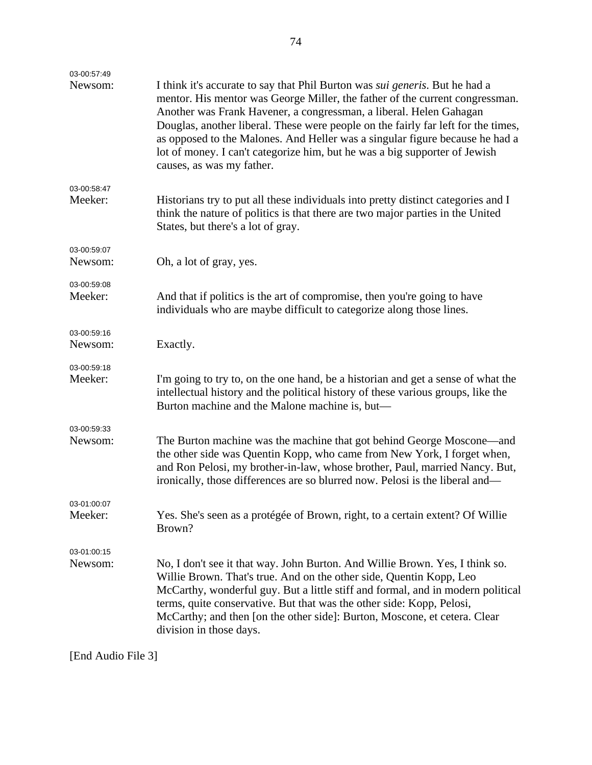| 03-00:57:49            |                                                                                                                                                                                                                                                                                                                                                                                                                                                                                                                           |
|------------------------|---------------------------------------------------------------------------------------------------------------------------------------------------------------------------------------------------------------------------------------------------------------------------------------------------------------------------------------------------------------------------------------------------------------------------------------------------------------------------------------------------------------------------|
| Newsom:                | I think it's accurate to say that Phil Burton was <i>sui generis</i> . But he had a<br>mentor. His mentor was George Miller, the father of the current congressman.<br>Another was Frank Havener, a congressman, a liberal. Helen Gahagan<br>Douglas, another liberal. These were people on the fairly far left for the times,<br>as opposed to the Malones. And Heller was a singular figure because he had a<br>lot of money. I can't categorize him, but he was a big supporter of Jewish<br>causes, as was my father. |
| 03-00:58:47<br>Meeker: | Historians try to put all these individuals into pretty distinct categories and I<br>think the nature of politics is that there are two major parties in the United<br>States, but there's a lot of gray.                                                                                                                                                                                                                                                                                                                 |
| 03-00:59:07<br>Newsom: | Oh, a lot of gray, yes.                                                                                                                                                                                                                                                                                                                                                                                                                                                                                                   |
| 03-00:59:08<br>Meeker: | And that if politics is the art of compromise, then you're going to have<br>individuals who are maybe difficult to categorize along those lines.                                                                                                                                                                                                                                                                                                                                                                          |
| 03-00:59:16<br>Newsom: | Exactly.                                                                                                                                                                                                                                                                                                                                                                                                                                                                                                                  |
| 03-00:59:18<br>Meeker: | I'm going to try to, on the one hand, be a historian and get a sense of what the<br>intellectual history and the political history of these various groups, like the<br>Burton machine and the Malone machine is, but—                                                                                                                                                                                                                                                                                                    |
| 03-00:59:33<br>Newsom: | The Burton machine was the machine that got behind George Moscone—and<br>the other side was Quentin Kopp, who came from New York, I forget when,<br>and Ron Pelosi, my brother-in-law, whose brother, Paul, married Nancy. But,<br>ironically, those differences are so blurred now. Pelosi is the liberal and—                                                                                                                                                                                                           |
| 03-01:00:07<br>Meeker: | Yes. She's seen as a protégée of Brown, right, to a certain extent? Of Willie<br>Brown?                                                                                                                                                                                                                                                                                                                                                                                                                                   |
| 03-01:00:15<br>Newsom: | No, I don't see it that way. John Burton. And Willie Brown. Yes, I think so.<br>Willie Brown. That's true. And on the other side, Quentin Kopp, Leo<br>McCarthy, wonderful guy. But a little stiff and formal, and in modern political<br>terms, quite conservative. But that was the other side: Kopp, Pelosi,<br>McCarthy; and then [on the other side]: Burton, Moscone, et cetera. Clear<br>division in those days.                                                                                                   |

[End Audio File 3]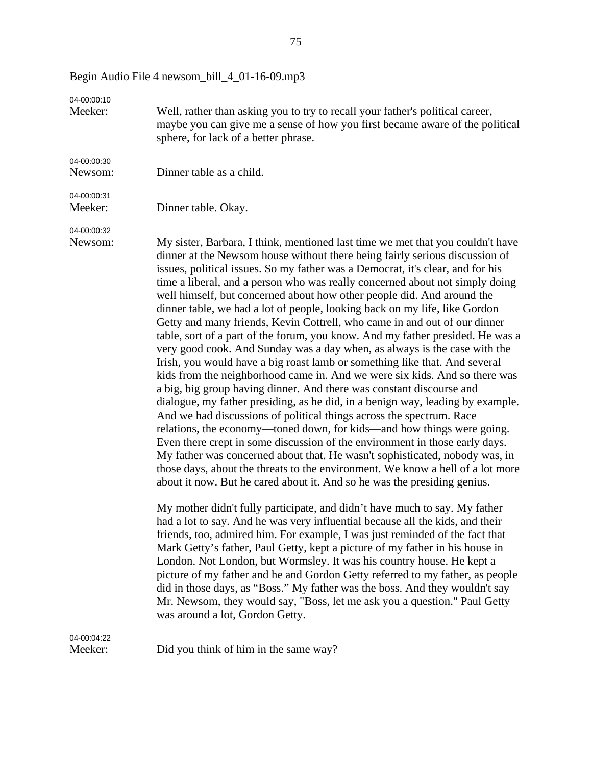04-00:00:10 Meeker: Well, rather than asking you to try to recall your father's political career, maybe you can give me a sense of how you first became aware of the political sphere, for lack of a better phrase. 04-00:00:30 Newsom: Dinner table as a child. 04-00:00:31 Meeker: Dinner table. Okay. 04-00:00:32 Newsom: My sister, Barbara, I think, mentioned last time we met that you couldn't have dinner at the Newsom house without there being fairly serious discussion of issues, political issues. So my father was a Democrat, it's clear, and for his time a liberal, and a person who was really concerned about not simply doing well himself, but concerned about how other people did. And around the dinner table, we had a lot of people, looking back on my life, like Gordon Getty and many friends, Kevin Cottrell, who came in and out of our dinner table, sort of a part of the forum, you know. And my father presided. He was a very good cook. And Sunday was a day when, as always is the case with the Irish, you would have a big roast lamb or something like that. And several kids from the neighborhood came in. And we were six kids. And so there was a big, big group having dinner. And there was constant discourse and dialogue, my father presiding, as he did, in a benign way, leading by example. And we had discussions of political things across the spectrum. Race relations, the economy—toned down, for kids—and how things were going. Even there crept in some discussion of the environment in those early days. My father was concerned about that. He wasn't sophisticated, nobody was, in those days, about the threats to the environment. We know a hell of a lot more about it now. But he cared about it. And so he was the presiding genius. My mother didn't fully participate, and didn't have much to say. My father had a lot to say. And he was very influential because all the kids, and their friends, too, admired him. For example, I was just reminded of the fact that Mark Getty's father, Paul Getty, kept a picture of my father in his house in London. Not London, but Wormsley. It was his country house. He kept a picture of my father and he and Gordon Getty referred to my father, as people did in those days, as "Boss." My father was the boss. And they wouldn't say Mr. Newsom, they would say, "Boss, let me ask you a question." Paul Getty was around a lot, Gordon Getty. 04-00:04:22 Meeker: Did you think of him in the same way?

Begin Audio File 4 newsom\_bill\_4\_01-16-09.mp3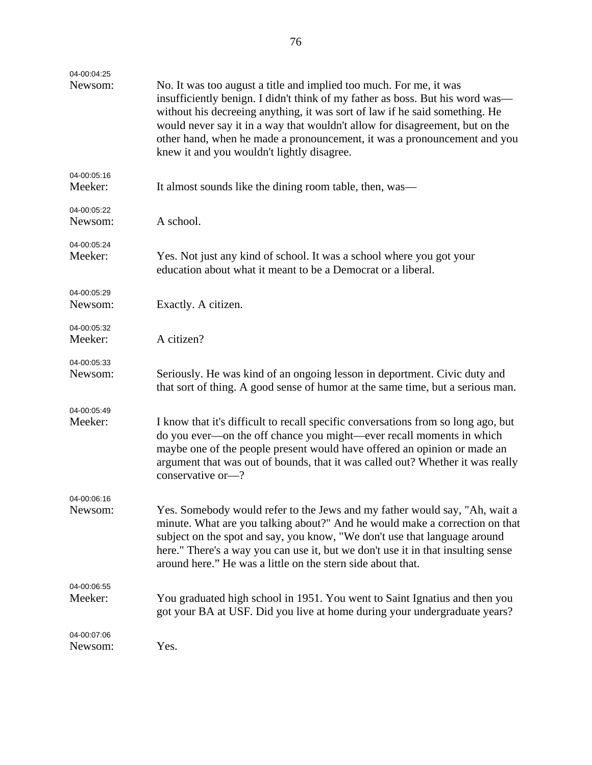| 04-00:04:25            |                                                                                                                                                                                                                                                                                                                                                                                                                                              |
|------------------------|----------------------------------------------------------------------------------------------------------------------------------------------------------------------------------------------------------------------------------------------------------------------------------------------------------------------------------------------------------------------------------------------------------------------------------------------|
| Newsom:                | No. It was too august a title and implied too much. For me, it was<br>insufficiently benign. I didn't think of my father as boss. But his word was—<br>without his decreeing anything, it was sort of law if he said something. He<br>would never say it in a way that wouldn't allow for disagreement, but on the<br>other hand, when he made a pronouncement, it was a pronouncement and you<br>knew it and you wouldn't lightly disagree. |
| 04-00:05:16<br>Meeker: | It almost sounds like the dining room table, then, was—                                                                                                                                                                                                                                                                                                                                                                                      |
| 04-00:05:22<br>Newsom: | A school.                                                                                                                                                                                                                                                                                                                                                                                                                                    |
| 04-00:05:24<br>Meeker: | Yes. Not just any kind of school. It was a school where you got your<br>education about what it meant to be a Democrat or a liberal.                                                                                                                                                                                                                                                                                                         |
| 04-00:05:29<br>Newsom: | Exactly. A citizen.                                                                                                                                                                                                                                                                                                                                                                                                                          |
| 04-00:05:32<br>Meeker: | A citizen?                                                                                                                                                                                                                                                                                                                                                                                                                                   |
| 04-00:05:33<br>Newsom: | Seriously. He was kind of an ongoing lesson in deportment. Civic duty and<br>that sort of thing. A good sense of humor at the same time, but a serious man.                                                                                                                                                                                                                                                                                  |
| 04-00:05:49<br>Meeker: | I know that it's difficult to recall specific conversations from so long ago, but<br>do you ever-on the off chance you might-ever recall moments in which<br>maybe one of the people present would have offered an opinion or made an<br>argument that was out of bounds, that it was called out? Whether it was really<br>conservative or-?                                                                                                 |
| 04-00:06:16<br>Newsom: | Yes. Somebody would refer to the Jews and my father would say, "Ah, wait a<br>minute. What are you talking about?" And he would make a correction on that<br>subject on the spot and say, you know, "We don't use that language around<br>here." There's a way you can use it, but we don't use it in that insulting sense<br>around here." He was a little on the stern side about that.                                                    |
| 04-00:06:55<br>Meeker: | You graduated high school in 1951. You went to Saint Ignatius and then you<br>got your BA at USF. Did you live at home during your undergraduate years?                                                                                                                                                                                                                                                                                      |
| 04-00:07:06<br>Newsom: | Yes.                                                                                                                                                                                                                                                                                                                                                                                                                                         |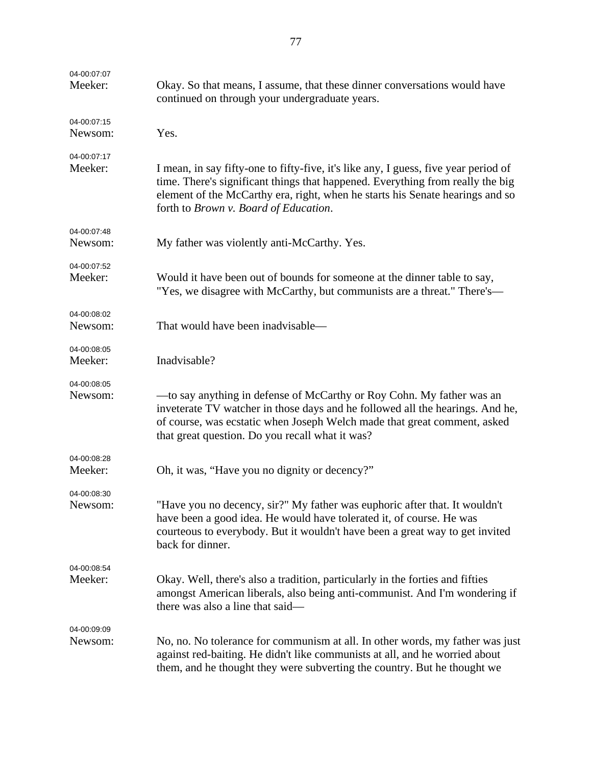| 04-00:07:07<br>Meeker: | Okay. So that means, I assume, that these dinner conversations would have<br>continued on through your undergraduate years.                                                                                                                                                                     |
|------------------------|-------------------------------------------------------------------------------------------------------------------------------------------------------------------------------------------------------------------------------------------------------------------------------------------------|
| 04-00:07:15<br>Newsom: | Yes.                                                                                                                                                                                                                                                                                            |
| 04-00:07:17<br>Meeker: | I mean, in say fifty-one to fifty-five, it's like any, I guess, five year period of<br>time. There's significant things that happened. Everything from really the big<br>element of the McCarthy era, right, when he starts his Senate hearings and so<br>forth to Brown v. Board of Education. |
| 04-00:07:48<br>Newsom: | My father was violently anti-McCarthy. Yes.                                                                                                                                                                                                                                                     |
| 04-00:07:52<br>Meeker: | Would it have been out of bounds for someone at the dinner table to say,<br>"Yes, we disagree with McCarthy, but communists are a threat." There's-                                                                                                                                             |
| 04-00:08:02<br>Newsom: | That would have been inadvisable—                                                                                                                                                                                                                                                               |
| 04-00:08:05<br>Meeker: | Inadvisable?                                                                                                                                                                                                                                                                                    |
| 04-00:08:05<br>Newsom: | —to say anything in defense of McCarthy or Roy Cohn. My father was an<br>inveterate TV watcher in those days and he followed all the hearings. And he,<br>of course, was ecstatic when Joseph Welch made that great comment, asked<br>that great question. Do you recall what it was?           |
| 04-00:08:28<br>Meeker: | Oh, it was, "Have you no dignity or decency?"                                                                                                                                                                                                                                                   |
| 04-00:08:30<br>Newsom: | "Have you no decency, sir?" My father was euphoric after that. It wouldn't<br>have been a good idea. He would have tolerated it, of course. He was<br>courteous to everybody. But it wouldn't have been a great way to get invited<br>back for dinner.                                          |
| 04-00:08:54<br>Meeker: | Okay. Well, there's also a tradition, particularly in the forties and fifties<br>amongst American liberals, also being anti-communist. And I'm wondering if<br>there was also a line that said—                                                                                                 |
| 04-00:09:09<br>Newsom: | No, no. No tolerance for communism at all. In other words, my father was just<br>against red-baiting. He didn't like communists at all, and he worried about<br>them, and he thought they were subverting the country. But he thought we                                                        |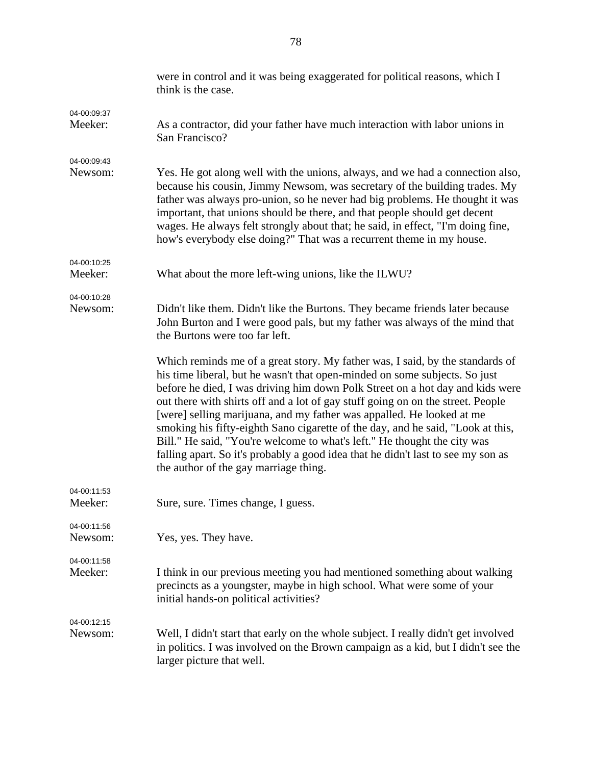|             | were in control and it was being exaggerated for political reasons, which I<br>think is the case.                                                                                                                                                                                                                                                                                                                                                                                                                                                                                                                                                                                                    |
|-------------|------------------------------------------------------------------------------------------------------------------------------------------------------------------------------------------------------------------------------------------------------------------------------------------------------------------------------------------------------------------------------------------------------------------------------------------------------------------------------------------------------------------------------------------------------------------------------------------------------------------------------------------------------------------------------------------------------|
| 04-00:09:37 |                                                                                                                                                                                                                                                                                                                                                                                                                                                                                                                                                                                                                                                                                                      |
| Meeker:     | As a contractor, did your father have much interaction with labor unions in<br>San Francisco?                                                                                                                                                                                                                                                                                                                                                                                                                                                                                                                                                                                                        |
| 04-00:09:43 |                                                                                                                                                                                                                                                                                                                                                                                                                                                                                                                                                                                                                                                                                                      |
| Newsom:     | Yes. He got along well with the unions, always, and we had a connection also,<br>because his cousin, Jimmy Newsom, was secretary of the building trades. My<br>father was always pro-union, so he never had big problems. He thought it was<br>important, that unions should be there, and that people should get decent<br>wages. He always felt strongly about that; he said, in effect, "I'm doing fine,<br>how's everybody else doing?" That was a recurrent theme in my house.                                                                                                                                                                                                                  |
| 04-00:10:25 |                                                                                                                                                                                                                                                                                                                                                                                                                                                                                                                                                                                                                                                                                                      |
| Meeker:     | What about the more left-wing unions, like the ILWU?                                                                                                                                                                                                                                                                                                                                                                                                                                                                                                                                                                                                                                                 |
| 04-00:10:28 |                                                                                                                                                                                                                                                                                                                                                                                                                                                                                                                                                                                                                                                                                                      |
| Newsom:     | Didn't like them. Didn't like the Burtons. They became friends later because<br>John Burton and I were good pals, but my father was always of the mind that<br>the Burtons were too far left.                                                                                                                                                                                                                                                                                                                                                                                                                                                                                                        |
|             | Which reminds me of a great story. My father was, I said, by the standards of<br>his time liberal, but he wasn't that open-minded on some subjects. So just<br>before he died, I was driving him down Polk Street on a hot day and kids were<br>out there with shirts off and a lot of gay stuff going on on the street. People<br>[were] selling marijuana, and my father was appalled. He looked at me<br>smoking his fifty-eighth Sano cigarette of the day, and he said, "Look at this,<br>Bill." He said, "You're welcome to what's left." He thought the city was<br>falling apart. So it's probably a good idea that he didn't last to see my son as<br>the author of the gay marriage thing. |
| 04-00:11:53 |                                                                                                                                                                                                                                                                                                                                                                                                                                                                                                                                                                                                                                                                                                      |
| Meeker:     | Sure, sure. Times change, I guess.                                                                                                                                                                                                                                                                                                                                                                                                                                                                                                                                                                                                                                                                   |
| 04-00:11:56 |                                                                                                                                                                                                                                                                                                                                                                                                                                                                                                                                                                                                                                                                                                      |
| Newsom:     | Yes, yes. They have.                                                                                                                                                                                                                                                                                                                                                                                                                                                                                                                                                                                                                                                                                 |
| 04-00:11:58 |                                                                                                                                                                                                                                                                                                                                                                                                                                                                                                                                                                                                                                                                                                      |
| Meeker:     | I think in our previous meeting you had mentioned something about walking<br>precincts as a youngster, maybe in high school. What were some of your<br>initial hands-on political activities?                                                                                                                                                                                                                                                                                                                                                                                                                                                                                                        |
| 04-00:12:15 |                                                                                                                                                                                                                                                                                                                                                                                                                                                                                                                                                                                                                                                                                                      |
| Newsom:     | Well, I didn't start that early on the whole subject. I really didn't get involved<br>in politics. I was involved on the Brown campaign as a kid, but I didn't see the<br>larger picture that well.                                                                                                                                                                                                                                                                                                                                                                                                                                                                                                  |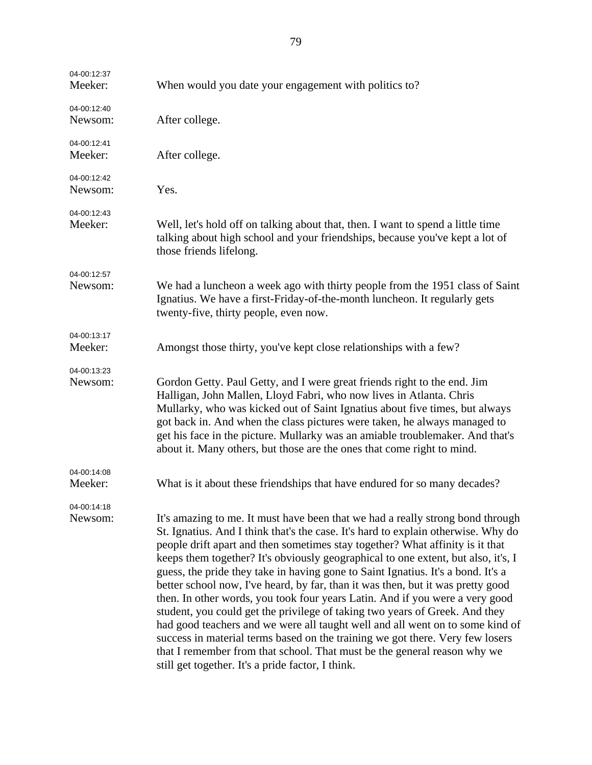| 04-00:12:37<br>Meeker: | When would you date your engagement with politics to?                                                                                                                                                                                                                                                                                                                                                                                                                                                                                                                                                                                                                                                                                                                                                                                                                                                                                                                              |
|------------------------|------------------------------------------------------------------------------------------------------------------------------------------------------------------------------------------------------------------------------------------------------------------------------------------------------------------------------------------------------------------------------------------------------------------------------------------------------------------------------------------------------------------------------------------------------------------------------------------------------------------------------------------------------------------------------------------------------------------------------------------------------------------------------------------------------------------------------------------------------------------------------------------------------------------------------------------------------------------------------------|
| 04-00:12:40<br>Newsom: | After college.                                                                                                                                                                                                                                                                                                                                                                                                                                                                                                                                                                                                                                                                                                                                                                                                                                                                                                                                                                     |
| 04-00:12:41<br>Meeker: | After college.                                                                                                                                                                                                                                                                                                                                                                                                                                                                                                                                                                                                                                                                                                                                                                                                                                                                                                                                                                     |
| 04-00:12:42<br>Newsom: | Yes.                                                                                                                                                                                                                                                                                                                                                                                                                                                                                                                                                                                                                                                                                                                                                                                                                                                                                                                                                                               |
| 04-00:12:43<br>Meeker: | Well, let's hold off on talking about that, then. I want to spend a little time<br>talking about high school and your friendships, because you've kept a lot of<br>those friends lifelong.                                                                                                                                                                                                                                                                                                                                                                                                                                                                                                                                                                                                                                                                                                                                                                                         |
| 04-00:12:57<br>Newsom: | We had a luncheon a week ago with thirty people from the 1951 class of Saint<br>Ignatius. We have a first-Friday-of-the-month luncheon. It regularly gets<br>twenty-five, thirty people, even now.                                                                                                                                                                                                                                                                                                                                                                                                                                                                                                                                                                                                                                                                                                                                                                                 |
| 04-00:13:17<br>Meeker: | Amongst those thirty, you've kept close relationships with a few?                                                                                                                                                                                                                                                                                                                                                                                                                                                                                                                                                                                                                                                                                                                                                                                                                                                                                                                  |
| 04-00:13:23<br>Newsom: | Gordon Getty. Paul Getty, and I were great friends right to the end. Jim<br>Halligan, John Mallen, Lloyd Fabri, who now lives in Atlanta. Chris<br>Mullarky, who was kicked out of Saint Ignatius about five times, but always<br>got back in. And when the class pictures were taken, he always managed to<br>get his face in the picture. Mullarky was an amiable troublemaker. And that's<br>about it. Many others, but those are the ones that come right to mind.                                                                                                                                                                                                                                                                                                                                                                                                                                                                                                             |
| 04-00:14:08<br>Meeker: | What is it about these friendships that have endured for so many decades?                                                                                                                                                                                                                                                                                                                                                                                                                                                                                                                                                                                                                                                                                                                                                                                                                                                                                                          |
| 04-00:14:18<br>Newsom: | It's amazing to me. It must have been that we had a really strong bond through<br>St. Ignatius. And I think that's the case. It's hard to explain otherwise. Why do<br>people drift apart and then sometimes stay together? What affinity is it that<br>keeps them together? It's obviously geographical to one extent, but also, it's, I<br>guess, the pride they take in having gone to Saint Ignatius. It's a bond. It's a<br>better school now, I've heard, by far, than it was then, but it was pretty good<br>then. In other words, you took four years Latin. And if you were a very good<br>student, you could get the privilege of taking two years of Greek. And they<br>had good teachers and we were all taught well and all went on to some kind of<br>success in material terms based on the training we got there. Very few losers<br>that I remember from that school. That must be the general reason why we<br>still get together. It's a pride factor, I think. |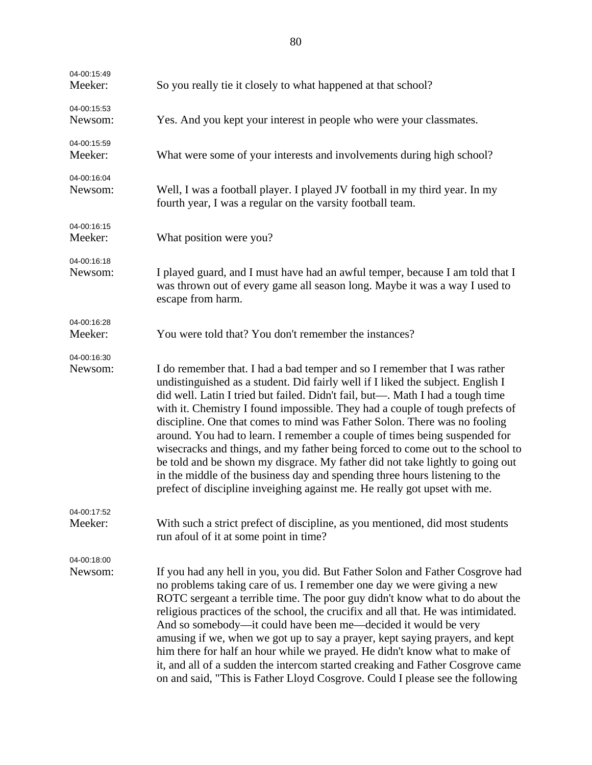| 04-00:15:49<br>Meeker: | So you really tie it closely to what happened at that school?                                                                                                                                                                                                                                                                                                                                                                                                                                                                                                                                                                                                                                                                                                                                                              |
|------------------------|----------------------------------------------------------------------------------------------------------------------------------------------------------------------------------------------------------------------------------------------------------------------------------------------------------------------------------------------------------------------------------------------------------------------------------------------------------------------------------------------------------------------------------------------------------------------------------------------------------------------------------------------------------------------------------------------------------------------------------------------------------------------------------------------------------------------------|
| 04-00:15:53<br>Newsom: | Yes. And you kept your interest in people who were your classmates.                                                                                                                                                                                                                                                                                                                                                                                                                                                                                                                                                                                                                                                                                                                                                        |
| 04-00:15:59<br>Meeker: | What were some of your interests and involvements during high school?                                                                                                                                                                                                                                                                                                                                                                                                                                                                                                                                                                                                                                                                                                                                                      |
| 04-00:16:04<br>Newsom: | Well, I was a football player. I played JV football in my third year. In my<br>fourth year, I was a regular on the varsity football team.                                                                                                                                                                                                                                                                                                                                                                                                                                                                                                                                                                                                                                                                                  |
| 04-00:16:15<br>Meeker: | What position were you?                                                                                                                                                                                                                                                                                                                                                                                                                                                                                                                                                                                                                                                                                                                                                                                                    |
| 04-00:16:18<br>Newsom: | I played guard, and I must have had an awful temper, because I am told that I<br>was thrown out of every game all season long. Maybe it was a way I used to<br>escape from harm.                                                                                                                                                                                                                                                                                                                                                                                                                                                                                                                                                                                                                                           |
| 04-00:16:28<br>Meeker: | You were told that? You don't remember the instances?                                                                                                                                                                                                                                                                                                                                                                                                                                                                                                                                                                                                                                                                                                                                                                      |
| 04-00:16:30<br>Newsom: | I do remember that. I had a bad temper and so I remember that I was rather<br>undistinguished as a student. Did fairly well if I liked the subject. English I<br>did well. Latin I tried but failed. Didn't fail, but—. Math I had a tough time<br>with it. Chemistry I found impossible. They had a couple of tough prefects of<br>discipline. One that comes to mind was Father Solon. There was no fooling<br>around. You had to learn. I remember a couple of times being suspended for<br>wisecracks and things, and my father being forced to come out to the school to<br>be told and be shown my disgrace. My father did not take lightly to going out<br>in the middle of the business day and spending three hours listening to the<br>prefect of discipline inveighing against me. He really got upset with me. |
| 04-00:17:52<br>Meeker: | With such a strict prefect of discipline, as you mentioned, did most students<br>run afoul of it at some point in time?                                                                                                                                                                                                                                                                                                                                                                                                                                                                                                                                                                                                                                                                                                    |
| 04-00:18:00<br>Newsom: | If you had any hell in you, you did. But Father Solon and Father Cosgrove had<br>no problems taking care of us. I remember one day we were giving a new<br>ROTC sergeant a terrible time. The poor guy didn't know what to do about the<br>religious practices of the school, the crucifix and all that. He was intimidated.<br>And so somebody-it could have been me-decided it would be very<br>amusing if we, when we got up to say a prayer, kept saying prayers, and kept<br>him there for half an hour while we prayed. He didn't know what to make of<br>it, and all of a sudden the intercom started creaking and Father Cosgrove came<br>on and said, "This is Father Lloyd Cosgrove. Could I please see the following                                                                                            |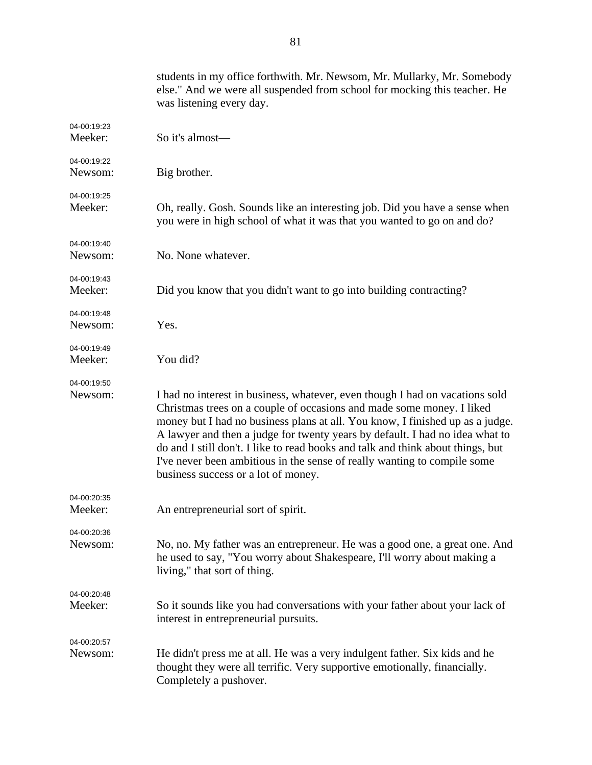|                        | students in my office forthwith. Mr. Newsom, Mr. Mullarky, Mr. Somebody<br>else." And we were all suspended from school for mocking this teacher. He<br>was listening every day.                                                                                                                                                                                                                                                                                                                                             |
|------------------------|------------------------------------------------------------------------------------------------------------------------------------------------------------------------------------------------------------------------------------------------------------------------------------------------------------------------------------------------------------------------------------------------------------------------------------------------------------------------------------------------------------------------------|
| 04-00:19:23<br>Meeker: | So it's almost-                                                                                                                                                                                                                                                                                                                                                                                                                                                                                                              |
| 04-00:19:22<br>Newsom: | Big brother.                                                                                                                                                                                                                                                                                                                                                                                                                                                                                                                 |
| 04-00:19:25<br>Meeker: | Oh, really. Gosh. Sounds like an interesting job. Did you have a sense when<br>you were in high school of what it was that you wanted to go on and do?                                                                                                                                                                                                                                                                                                                                                                       |
| 04-00:19:40<br>Newsom: | No. None whatever.                                                                                                                                                                                                                                                                                                                                                                                                                                                                                                           |
| 04-00:19:43<br>Meeker: | Did you know that you didn't want to go into building contracting?                                                                                                                                                                                                                                                                                                                                                                                                                                                           |
| 04-00:19:48<br>Newsom: | Yes.                                                                                                                                                                                                                                                                                                                                                                                                                                                                                                                         |
| 04-00:19:49<br>Meeker: | You did?                                                                                                                                                                                                                                                                                                                                                                                                                                                                                                                     |
| 04-00:19:50<br>Newsom: | I had no interest in business, whatever, even though I had on vacations sold<br>Christmas trees on a couple of occasions and made some money. I liked<br>money but I had no business plans at all. You know, I finished up as a judge.<br>A lawyer and then a judge for twenty years by default. I had no idea what to<br>do and I still don't. I like to read books and talk and think about things, but<br>I've never been ambitious in the sense of really wanting to compile some<br>business success or a lot of money. |
| 04-00:20:35<br>Meeker: | An entrepreneurial sort of spirit.                                                                                                                                                                                                                                                                                                                                                                                                                                                                                           |
| 04-00:20:36<br>Newsom: | No, no. My father was an entrepreneur. He was a good one, a great one. And<br>he used to say, "You worry about Shakespeare, I'll worry about making a<br>living," that sort of thing.                                                                                                                                                                                                                                                                                                                                        |
| 04-00:20:48<br>Meeker: | So it sounds like you had conversations with your father about your lack of<br>interest in entrepreneurial pursuits.                                                                                                                                                                                                                                                                                                                                                                                                         |
| 04-00:20:57<br>Newsom: | He didn't press me at all. He was a very indulgent father. Six kids and he<br>thought they were all terrific. Very supportive emotionally, financially.<br>Completely a pushover.                                                                                                                                                                                                                                                                                                                                            |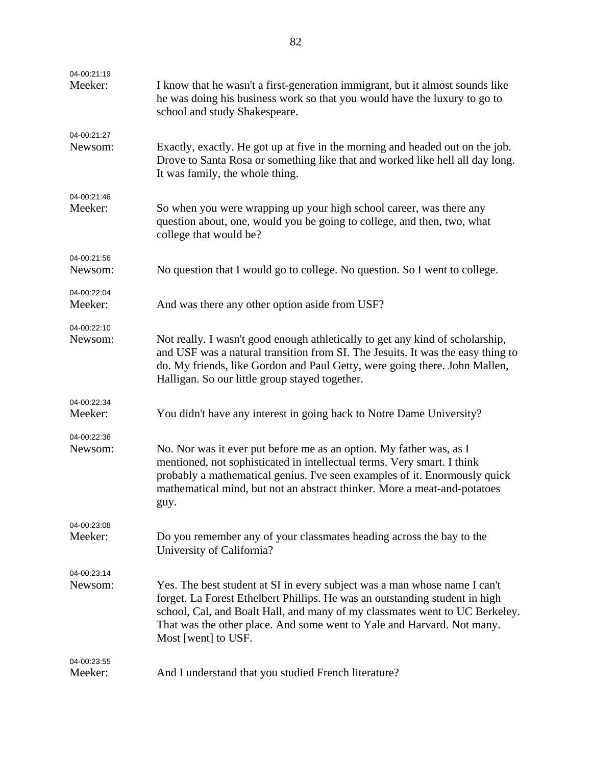| 04-00:21:19            |                                                                                                                                                                                                                                                                                                                                          |
|------------------------|------------------------------------------------------------------------------------------------------------------------------------------------------------------------------------------------------------------------------------------------------------------------------------------------------------------------------------------|
| Meeker:                | I know that he wasn't a first-generation immigrant, but it almost sounds like<br>he was doing his business work so that you would have the luxury to go to<br>school and study Shakespeare.                                                                                                                                              |
| 04-00:21:27<br>Newsom: | Exactly, exactly. He got up at five in the morning and headed out on the job.<br>Drove to Santa Rosa or something like that and worked like hell all day long.<br>It was family, the whole thing.                                                                                                                                        |
| 04-00:21:46<br>Meeker: | So when you were wrapping up your high school career, was there any<br>question about, one, would you be going to college, and then, two, what<br>college that would be?                                                                                                                                                                 |
| 04-00:21:56<br>Newsom: | No question that I would go to college. No question. So I went to college.                                                                                                                                                                                                                                                               |
| 04-00:22:04<br>Meeker: | And was there any other option aside from USF?                                                                                                                                                                                                                                                                                           |
| 04-00:22:10<br>Newsom: | Not really. I wasn't good enough athletically to get any kind of scholarship,<br>and USF was a natural transition from SI. The Jesuits. It was the easy thing to<br>do. My friends, like Gordon and Paul Getty, were going there. John Mallen,<br>Halligan. So our little group stayed together.                                         |
| 04-00:22:34<br>Meeker: | You didn't have any interest in going back to Notre Dame University?                                                                                                                                                                                                                                                                     |
| 04-00:22:36<br>Newsom: | No. Nor was it ever put before me as an option. My father was, as I<br>mentioned, not sophisticated in intellectual terms. Very smart. I think<br>probably a mathematical genius. I've seen examples of it. Enormously quick<br>mathematical mind, but not an abstract thinker. More a meat-and-potatoes<br>guy.                         |
| 04-00:23:08<br>Meeker: | Do you remember any of your classmates heading across the bay to the<br>University of California?                                                                                                                                                                                                                                        |
| 04-00:23:14<br>Newsom: | Yes. The best student at SI in every subject was a man whose name I can't<br>forget. La Forest Ethelbert Phillips. He was an outstanding student in high<br>school, Cal, and Boalt Hall, and many of my classmates went to UC Berkeley.<br>That was the other place. And some went to Yale and Harvard. Not many.<br>Most [went] to USF. |
| 04-00:23:55<br>Meeker: | And I understand that you studied French literature?                                                                                                                                                                                                                                                                                     |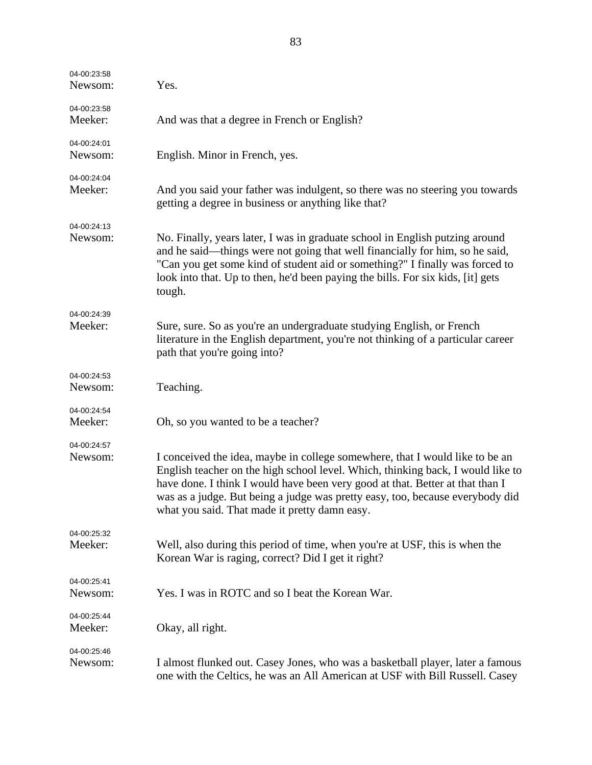| 04-00:23:58<br>Newsom: | Yes.                                                                                                                                                                                                                                                                                                                                                                               |
|------------------------|------------------------------------------------------------------------------------------------------------------------------------------------------------------------------------------------------------------------------------------------------------------------------------------------------------------------------------------------------------------------------------|
| 04-00:23:58<br>Meeker: | And was that a degree in French or English?                                                                                                                                                                                                                                                                                                                                        |
| 04-00:24:01<br>Newsom: | English. Minor in French, yes.                                                                                                                                                                                                                                                                                                                                                     |
| 04-00:24:04<br>Meeker: | And you said your father was indulgent, so there was no steering you towards<br>getting a degree in business or anything like that?                                                                                                                                                                                                                                                |
| 04-00:24:13            |                                                                                                                                                                                                                                                                                                                                                                                    |
| Newsom:                | No. Finally, years later, I was in graduate school in English putzing around<br>and he said—things were not going that well financially for him, so he said,<br>"Can you get some kind of student aid or something?" I finally was forced to<br>look into that. Up to then, he'd been paying the bills. For six kids, [it] gets<br>tough.                                          |
| 04-00:24:39<br>Meeker: | Sure, sure. So as you're an undergraduate studying English, or French<br>literature in the English department, you're not thinking of a particular career<br>path that you're going into?                                                                                                                                                                                          |
| 04-00:24:53            |                                                                                                                                                                                                                                                                                                                                                                                    |
| Newsom:                | Teaching.                                                                                                                                                                                                                                                                                                                                                                          |
| 04-00:24:54            |                                                                                                                                                                                                                                                                                                                                                                                    |
| Meeker:                | Oh, so you wanted to be a teacher?                                                                                                                                                                                                                                                                                                                                                 |
| 04-00:24:57            |                                                                                                                                                                                                                                                                                                                                                                                    |
| Newsom:                | I conceived the idea, maybe in college somewhere, that I would like to be an<br>English teacher on the high school level. Which, thinking back, I would like to<br>have done. I think I would have been very good at that. Better at that than I<br>was as a judge. But being a judge was pretty easy, too, because everybody did<br>what you said. That made it pretty damn easy. |
| 04-00:25:32            |                                                                                                                                                                                                                                                                                                                                                                                    |
| Meeker:                | Well, also during this period of time, when you're at USF, this is when the<br>Korean War is raging, correct? Did I get it right?                                                                                                                                                                                                                                                  |
| 04-00:25:41            |                                                                                                                                                                                                                                                                                                                                                                                    |
| Newsom:                | Yes. I was in ROTC and so I beat the Korean War.                                                                                                                                                                                                                                                                                                                                   |
| 04-00:25:44            |                                                                                                                                                                                                                                                                                                                                                                                    |
| Meeker:                | Okay, all right.                                                                                                                                                                                                                                                                                                                                                                   |
| 04-00:25:46            |                                                                                                                                                                                                                                                                                                                                                                                    |
| Newsom:                | I almost flunked out. Casey Jones, who was a basketball player, later a famous<br>one with the Celtics, he was an All American at USF with Bill Russell. Casey                                                                                                                                                                                                                     |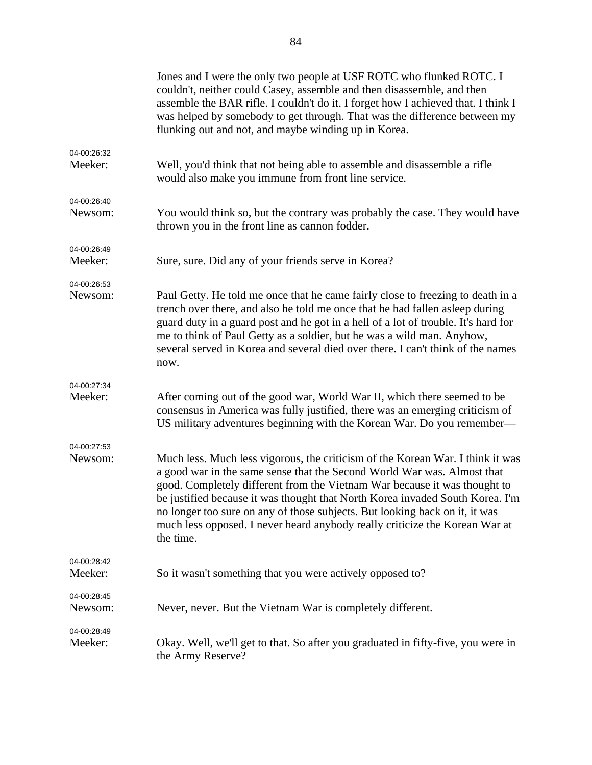|                        | Jones and I were the only two people at USF ROTC who flunked ROTC. I<br>couldn't, neither could Casey, assemble and then disassemble, and then<br>assemble the BAR rifle. I couldn't do it. I forget how I achieved that. I think I<br>was helped by somebody to get through. That was the difference between my<br>flunking out and not, and maybe winding up in Korea.                                                                                                                           |
|------------------------|----------------------------------------------------------------------------------------------------------------------------------------------------------------------------------------------------------------------------------------------------------------------------------------------------------------------------------------------------------------------------------------------------------------------------------------------------------------------------------------------------|
| 04-00:26:32<br>Meeker: | Well, you'd think that not being able to assemble and disassemble a rifle<br>would also make you immune from front line service.                                                                                                                                                                                                                                                                                                                                                                   |
| 04-00:26:40<br>Newsom: | You would think so, but the contrary was probably the case. They would have<br>thrown you in the front line as cannon fodder.                                                                                                                                                                                                                                                                                                                                                                      |
| 04-00:26:49<br>Meeker: | Sure, sure. Did any of your friends serve in Korea?                                                                                                                                                                                                                                                                                                                                                                                                                                                |
| 04-00:26:53<br>Newsom: | Paul Getty. He told me once that he came fairly close to freezing to death in a<br>trench over there, and also he told me once that he had fallen asleep during<br>guard duty in a guard post and he got in a hell of a lot of trouble. It's hard for<br>me to think of Paul Getty as a soldier, but he was a wild man. Anyhow,<br>several served in Korea and several died over there. I can't think of the names<br>now.                                                                         |
| 04-00:27:34<br>Meeker: | After coming out of the good war, World War II, which there seemed to be<br>consensus in America was fully justified, there was an emerging criticism of<br>US military adventures beginning with the Korean War. Do you remember—                                                                                                                                                                                                                                                                 |
| 04-00:27:53<br>Newsom: | Much less. Much less vigorous, the criticism of the Korean War. I think it was<br>a good war in the same sense that the Second World War was. Almost that<br>good. Completely different from the Vietnam War because it was thought to<br>be justified because it was thought that North Korea invaded South Korea. I'm<br>no longer too sure on any of those subjects. But looking back on it, it was<br>much less opposed. I never heard anybody really criticize the Korean War at<br>the time. |
| 04-00:28:42<br>Meeker: | So it wasn't something that you were actively opposed to?                                                                                                                                                                                                                                                                                                                                                                                                                                          |
| 04-00:28:45<br>Newsom: | Never, never. But the Vietnam War is completely different.                                                                                                                                                                                                                                                                                                                                                                                                                                         |
| 04-00:28:49<br>Meeker: | Okay. Well, we'll get to that. So after you graduated in fifty-five, you were in<br>the Army Reserve?                                                                                                                                                                                                                                                                                                                                                                                              |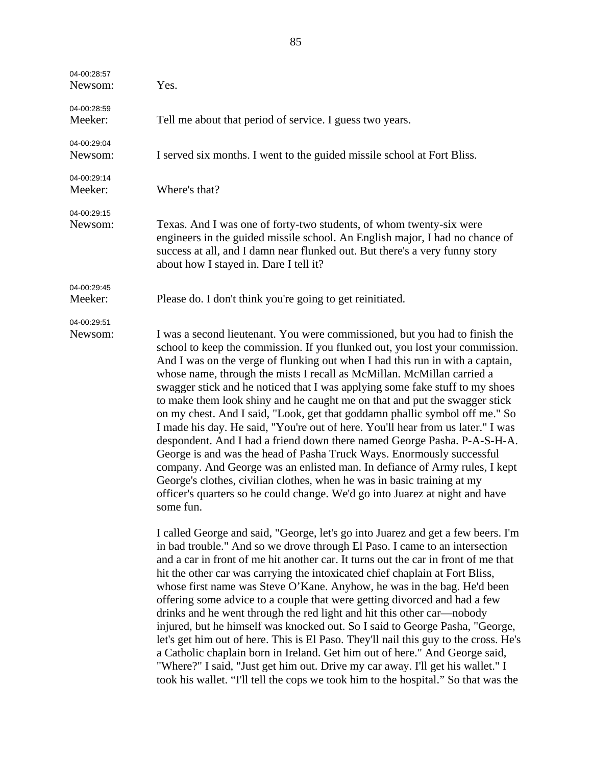| 04-00:28:57<br>Newsom: | Yes.                                                                                                                                                                                                                                                                                                                                                                                                                                                                                                                                                                                                                                                                                                                                                                                                                                                                                                                                                                                                                                                              |
|------------------------|-------------------------------------------------------------------------------------------------------------------------------------------------------------------------------------------------------------------------------------------------------------------------------------------------------------------------------------------------------------------------------------------------------------------------------------------------------------------------------------------------------------------------------------------------------------------------------------------------------------------------------------------------------------------------------------------------------------------------------------------------------------------------------------------------------------------------------------------------------------------------------------------------------------------------------------------------------------------------------------------------------------------------------------------------------------------|
| 04-00:28:59<br>Meeker: | Tell me about that period of service. I guess two years.                                                                                                                                                                                                                                                                                                                                                                                                                                                                                                                                                                                                                                                                                                                                                                                                                                                                                                                                                                                                          |
| 04-00:29:04<br>Newsom: | I served six months. I went to the guided missile school at Fort Bliss.                                                                                                                                                                                                                                                                                                                                                                                                                                                                                                                                                                                                                                                                                                                                                                                                                                                                                                                                                                                           |
| 04-00:29:14<br>Meeker: | Where's that?                                                                                                                                                                                                                                                                                                                                                                                                                                                                                                                                                                                                                                                                                                                                                                                                                                                                                                                                                                                                                                                     |
| 04-00:29:15<br>Newsom: | Texas. And I was one of forty-two students, of whom twenty-six were<br>engineers in the guided missile school. An English major, I had no chance of<br>success at all, and I damn near flunked out. But there's a very funny story<br>about how I stayed in. Dare I tell it?                                                                                                                                                                                                                                                                                                                                                                                                                                                                                                                                                                                                                                                                                                                                                                                      |
| 04-00:29:45<br>Meeker: | Please do. I don't think you're going to get reinitiated.                                                                                                                                                                                                                                                                                                                                                                                                                                                                                                                                                                                                                                                                                                                                                                                                                                                                                                                                                                                                         |
| 04-00:29:51<br>Newsom: | I was a second lieutenant. You were commissioned, but you had to finish the<br>school to keep the commission. If you flunked out, you lost your commission.<br>And I was on the verge of flunking out when I had this run in with a captain,<br>whose name, through the mists I recall as McMillan. McMillan carried a<br>swagger stick and he noticed that I was applying some fake stuff to my shoes<br>to make them look shiny and he caught me on that and put the swagger stick<br>on my chest. And I said, "Look, get that goddamn phallic symbol off me." So<br>I made his day. He said, "You're out of here. You'll hear from us later." I was<br>despondent. And I had a friend down there named George Pasha. P-A-S-H-A.<br>George is and was the head of Pasha Truck Ways. Enormously successful<br>company. And George was an enlisted man. In defiance of Army rules, I kept<br>George's clothes, civilian clothes, when he was in basic training at my<br>officer's quarters so he could change. We'd go into Juarez at night and have<br>some fun. |
|                        | I called George and said, "George, let's go into Juarez and get a few beers. I'm<br>in bad trouble." And so we drove through El Paso. I came to an intersection<br>and a car in front of me hit another car. It turns out the car in front of me that<br>hit the other car was carrying the intoxicated chief chaplain at Fort Bliss,<br>whose first name was Steve O'Kane. Anyhow, he was in the bag. He'd been<br>offering some advice to a couple that were getting divorced and had a few<br>drinks and he went through the red light and hit this other car—nobody<br>injured, but he himself was knocked out. So I said to George Pasha, "George,<br>let's get him out of here. This is El Paso. They'll nail this guy to the cross. He's<br>a Catholic chaplain born in Ireland. Get him out of here." And George said,<br>"Where?" I said, "Just get him out. Drive my car away. I'll get his wallet." I<br>took his wallet. "I'll tell the cops we took him to the hospital." So that was the                                                            |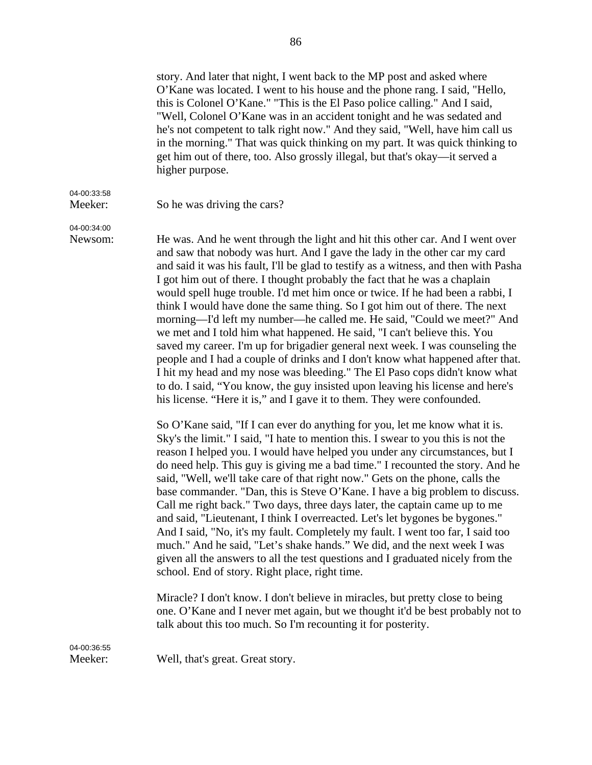story. And later that night, I went back to the MP post and asked where O'Kane was located. I went to his house and the phone rang. I said, "Hello, this is Colonel O'Kane." "This is the El Paso police calling." And I said, "Well, Colonel O'Kane was in an accident tonight and he was sedated and he's not competent to talk right now." And they said, "Well, have him call us in the morning." That was quick thinking on my part. It was quick thinking to get him out of there, too. Also grossly illegal, but that's okay—it served a higher purpose.

Meeker: So he was driving the cars?

04-00:34:00

04-00:33:58

Newsom: He was. And he went through the light and hit this other car. And I went over and saw that nobody was hurt. And I gave the lady in the other car my card and said it was his fault, I'll be glad to testify as a witness, and then with Pasha I got him out of there. I thought probably the fact that he was a chaplain would spell huge trouble. I'd met him once or twice. If he had been a rabbi, I think I would have done the same thing. So I got him out of there. The next morning—I'd left my number—he called me. He said, "Could we meet?" And we met and I told him what happened. He said, "I can't believe this. You saved my career. I'm up for brigadier general next week. I was counseling the people and I had a couple of drinks and I don't know what happened after that. I hit my head and my nose was bleeding." The El Paso cops didn't know what to do. I said, "You know, the guy insisted upon leaving his license and here's his license. "Here it is," and I gave it to them. They were confounded.

> So O'Kane said, "If I can ever do anything for you, let me know what it is. Sky's the limit." I said, "I hate to mention this. I swear to you this is not the reason I helped you. I would have helped you under any circumstances, but I do need help. This guy is giving me a bad time." I recounted the story. And he said, "Well, we'll take care of that right now." Gets on the phone, calls the base commander. "Dan, this is Steve O'Kane. I have a big problem to discuss. Call me right back." Two days, three days later, the captain came up to me and said, "Lieutenant, I think I overreacted. Let's let bygones be bygones." And I said, "No, it's my fault. Completely my fault. I went too far, I said too much." And he said, "Let's shake hands." We did, and the next week I was given all the answers to all the test questions and I graduated nicely from the school. End of story. Right place, right time.

> Miracle? I don't know. I don't believe in miracles, but pretty close to being one. O'Kane and I never met again, but we thought it'd be best probably not to talk about this too much. So I'm recounting it for posterity.

04-00:36:55

Meeker: Well, that's great. Great story.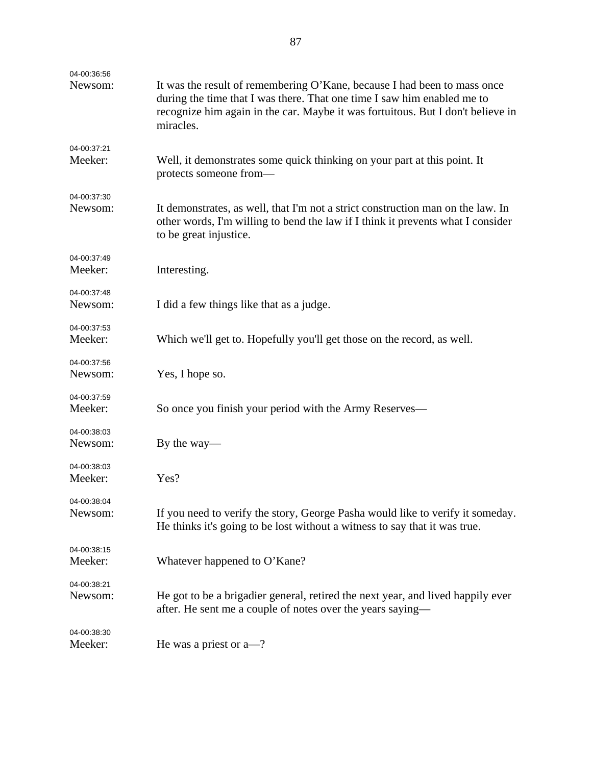| 04-00:36:56 |                                                                                                                                                                                                                                                     |
|-------------|-----------------------------------------------------------------------------------------------------------------------------------------------------------------------------------------------------------------------------------------------------|
| Newsom:     | It was the result of remembering O'Kane, because I had been to mass once<br>during the time that I was there. That one time I saw him enabled me to<br>recognize him again in the car. Maybe it was fortuitous. But I don't believe in<br>miracles. |
| 04-00:37:21 |                                                                                                                                                                                                                                                     |
| Meeker:     | Well, it demonstrates some quick thinking on your part at this point. It<br>protects someone from-                                                                                                                                                  |
| 04-00:37:30 |                                                                                                                                                                                                                                                     |
| Newsom:     | It demonstrates, as well, that I'm not a strict construction man on the law. In<br>other words, I'm willing to bend the law if I think it prevents what I consider<br>to be great injustice.                                                        |
| 04-00:37:49 |                                                                                                                                                                                                                                                     |
| Meeker:     | Interesting.                                                                                                                                                                                                                                        |
| 04-00:37:48 |                                                                                                                                                                                                                                                     |
| Newsom:     | I did a few things like that as a judge.                                                                                                                                                                                                            |
| 04-00:37:53 |                                                                                                                                                                                                                                                     |
| Meeker:     | Which we'll get to. Hopefully you'll get those on the record, as well.                                                                                                                                                                              |
| 04-00:37:56 |                                                                                                                                                                                                                                                     |
| Newsom:     | Yes, I hope so.                                                                                                                                                                                                                                     |
| 04-00:37:59 |                                                                                                                                                                                                                                                     |
| Meeker:     | So once you finish your period with the Army Reserves—                                                                                                                                                                                              |
| 04-00:38:03 |                                                                                                                                                                                                                                                     |
| Newsom:     | By the way—                                                                                                                                                                                                                                         |
| 04-00:38:03 |                                                                                                                                                                                                                                                     |
| Meeker:     | Yes?                                                                                                                                                                                                                                                |
| 04-00:38:04 |                                                                                                                                                                                                                                                     |
| Newsom:     | If you need to verify the story, George Pasha would like to verify it someday.<br>He thinks it's going to be lost without a witness to say that it was true.                                                                                        |
| 04-00:38:15 |                                                                                                                                                                                                                                                     |
| Meeker:     | Whatever happened to O'Kane?                                                                                                                                                                                                                        |
| 04-00:38:21 |                                                                                                                                                                                                                                                     |
| Newsom:     | He got to be a brigadier general, retired the next year, and lived happily ever<br>after. He sent me a couple of notes over the years saying—                                                                                                       |
| 04-00:38:30 |                                                                                                                                                                                                                                                     |
| Meeker:     | He was a priest or $a$ —?                                                                                                                                                                                                                           |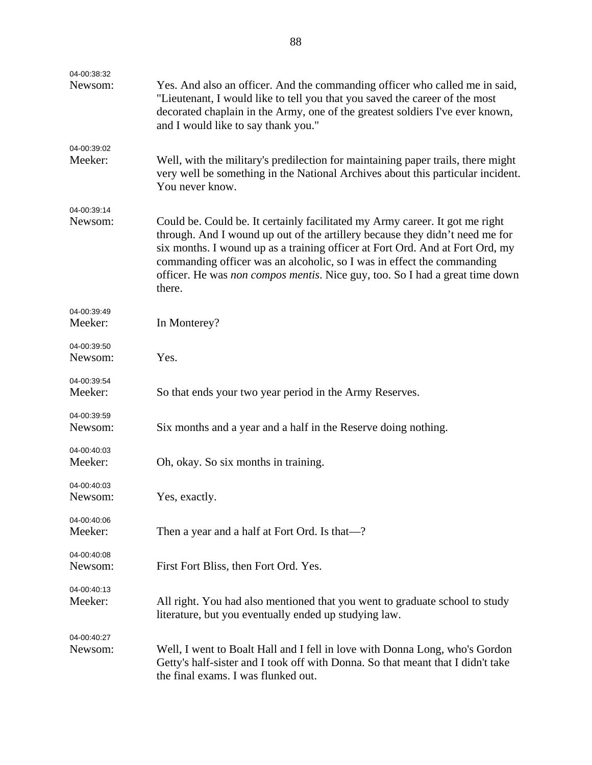| 04-00:38:32            |                                                                                                                                                                                                                                                                                                                                                                                                                   |
|------------------------|-------------------------------------------------------------------------------------------------------------------------------------------------------------------------------------------------------------------------------------------------------------------------------------------------------------------------------------------------------------------------------------------------------------------|
| Newsom:                | Yes. And also an officer. And the commanding officer who called me in said,<br>"Lieutenant, I would like to tell you that you saved the career of the most<br>decorated chaplain in the Army, one of the greatest soldiers I've ever known,<br>and I would like to say thank you."                                                                                                                                |
| 04-00:39:02<br>Meeker: | Well, with the military's predilection for maintaining paper trails, there might<br>very well be something in the National Archives about this particular incident.<br>You never know.                                                                                                                                                                                                                            |
| 04-00:39:14<br>Newsom: | Could be. Could be. It certainly facilitated my Army career. It got me right<br>through. And I wound up out of the artillery because they didn't need me for<br>six months. I wound up as a training officer at Fort Ord. And at Fort Ord, my<br>commanding officer was an alcoholic, so I was in effect the commanding<br>officer. He was non compos mentis. Nice guy, too. So I had a great time down<br>there. |
| 04-00:39:49<br>Meeker: | In Monterey?                                                                                                                                                                                                                                                                                                                                                                                                      |
| 04-00:39:50<br>Newsom: | Yes.                                                                                                                                                                                                                                                                                                                                                                                                              |
| 04-00:39:54<br>Meeker: | So that ends your two year period in the Army Reserves.                                                                                                                                                                                                                                                                                                                                                           |
| 04-00:39:59<br>Newsom: | Six months and a year and a half in the Reserve doing nothing.                                                                                                                                                                                                                                                                                                                                                    |
| 04-00:40:03<br>Meeker: | Oh, okay. So six months in training.                                                                                                                                                                                                                                                                                                                                                                              |
| 04-00:40:03<br>Newsom: | Yes, exactly.                                                                                                                                                                                                                                                                                                                                                                                                     |
| 04-00:40:06<br>Meeker: | Then a year and a half at Fort Ord. Is that-?                                                                                                                                                                                                                                                                                                                                                                     |
| 04-00:40:08<br>Newsom: | First Fort Bliss, then Fort Ord. Yes.                                                                                                                                                                                                                                                                                                                                                                             |
| 04-00:40:13<br>Meeker: | All right. You had also mentioned that you went to graduate school to study<br>literature, but you eventually ended up studying law.                                                                                                                                                                                                                                                                              |
| 04-00:40:27<br>Newsom: | Well, I went to Boalt Hall and I fell in love with Donna Long, who's Gordon<br>Getty's half-sister and I took off with Donna. So that meant that I didn't take<br>the final exams. I was flunked out.                                                                                                                                                                                                             |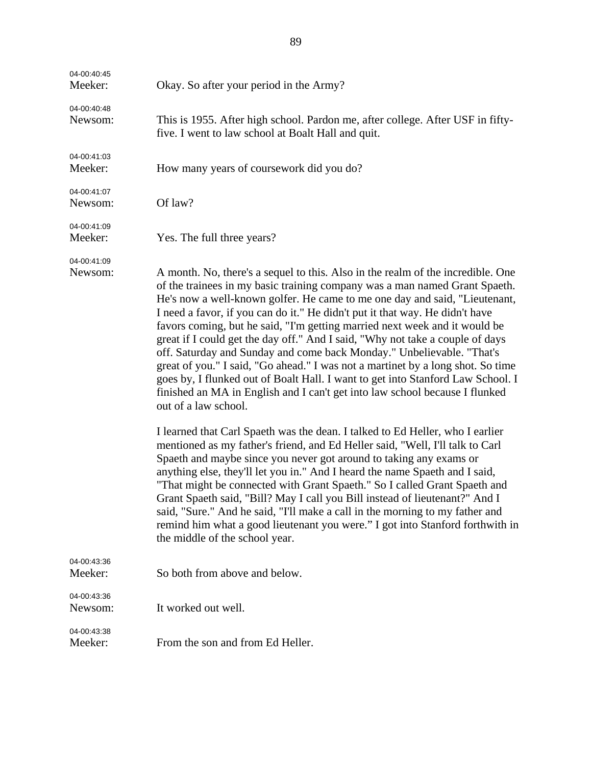| 04-00:40:45<br>Meeker: | Okay. So after your period in the Army?                                                                                                                                                                                                                                                                                                                                                                                                                                                                                                                                                                                                                                                                                                                                                                                                                                                                                                                                                                                                                                                                                                                                                                                                                                                                                                                                                                                                                                                                                                |
|------------------------|----------------------------------------------------------------------------------------------------------------------------------------------------------------------------------------------------------------------------------------------------------------------------------------------------------------------------------------------------------------------------------------------------------------------------------------------------------------------------------------------------------------------------------------------------------------------------------------------------------------------------------------------------------------------------------------------------------------------------------------------------------------------------------------------------------------------------------------------------------------------------------------------------------------------------------------------------------------------------------------------------------------------------------------------------------------------------------------------------------------------------------------------------------------------------------------------------------------------------------------------------------------------------------------------------------------------------------------------------------------------------------------------------------------------------------------------------------------------------------------------------------------------------------------|
| 04-00:40:48<br>Newsom: | This is 1955. After high school. Pardon me, after college. After USF in fifty-<br>five. I went to law school at Boalt Hall and quit.                                                                                                                                                                                                                                                                                                                                                                                                                                                                                                                                                                                                                                                                                                                                                                                                                                                                                                                                                                                                                                                                                                                                                                                                                                                                                                                                                                                                   |
| 04-00:41:03<br>Meeker: | How many years of coursework did you do?                                                                                                                                                                                                                                                                                                                                                                                                                                                                                                                                                                                                                                                                                                                                                                                                                                                                                                                                                                                                                                                                                                                                                                                                                                                                                                                                                                                                                                                                                               |
| 04-00:41:07<br>Newsom: | Of law?                                                                                                                                                                                                                                                                                                                                                                                                                                                                                                                                                                                                                                                                                                                                                                                                                                                                                                                                                                                                                                                                                                                                                                                                                                                                                                                                                                                                                                                                                                                                |
| 04-00:41:09<br>Meeker: | Yes. The full three years?                                                                                                                                                                                                                                                                                                                                                                                                                                                                                                                                                                                                                                                                                                                                                                                                                                                                                                                                                                                                                                                                                                                                                                                                                                                                                                                                                                                                                                                                                                             |
| 04-00:41:09<br>Newsom: | A month. No, there's a sequel to this. Also in the realm of the incredible. One<br>of the trainees in my basic training company was a man named Grant Spaeth.<br>He's now a well-known golfer. He came to me one day and said, "Lieutenant,<br>I need a favor, if you can do it." He didn't put it that way. He didn't have<br>favors coming, but he said, "I'm getting married next week and it would be<br>great if I could get the day off." And I said, "Why not take a couple of days<br>off. Saturday and Sunday and come back Monday." Unbelievable. "That's<br>great of you." I said, "Go ahead." I was not a martinet by a long shot. So time<br>goes by, I flunked out of Boalt Hall. I want to get into Stanford Law School. I<br>finished an MA in English and I can't get into law school because I flunked<br>out of a law school.<br>I learned that Carl Spaeth was the dean. I talked to Ed Heller, who I earlier<br>mentioned as my father's friend, and Ed Heller said, "Well, I'll talk to Carl<br>Spaeth and maybe since you never got around to taking any exams or<br>anything else, they'll let you in." And I heard the name Spaeth and I said,<br>"That might be connected with Grant Spaeth." So I called Grant Spaeth and<br>Grant Spaeth said, "Bill? May I call you Bill instead of lieutenant?" And I<br>said, "Sure." And he said, "I'll make a call in the morning to my father and<br>remind him what a good lieutenant you were." I got into Stanford forthwith in<br>the middle of the school year. |
| 04-00:43:36<br>Meeker: | So both from above and below.                                                                                                                                                                                                                                                                                                                                                                                                                                                                                                                                                                                                                                                                                                                                                                                                                                                                                                                                                                                                                                                                                                                                                                                                                                                                                                                                                                                                                                                                                                          |
| 04-00:43:36<br>Newsom: | It worked out well.                                                                                                                                                                                                                                                                                                                                                                                                                                                                                                                                                                                                                                                                                                                                                                                                                                                                                                                                                                                                                                                                                                                                                                                                                                                                                                                                                                                                                                                                                                                    |
| 04-00:43:38<br>Meeker: | From the son and from Ed Heller.                                                                                                                                                                                                                                                                                                                                                                                                                                                                                                                                                                                                                                                                                                                                                                                                                                                                                                                                                                                                                                                                                                                                                                                                                                                                                                                                                                                                                                                                                                       |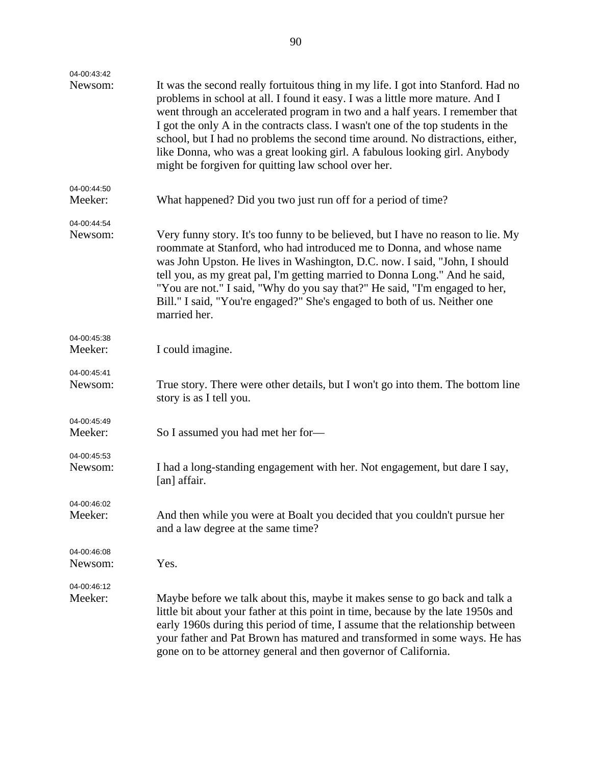| 04-00:43:42            |                                                                                                                                                                                                                                                                                                                                                                                                                                                                                                                                                               |
|------------------------|---------------------------------------------------------------------------------------------------------------------------------------------------------------------------------------------------------------------------------------------------------------------------------------------------------------------------------------------------------------------------------------------------------------------------------------------------------------------------------------------------------------------------------------------------------------|
| Newsom:                | It was the second really fortuitous thing in my life. I got into Stanford. Had no<br>problems in school at all. I found it easy. I was a little more mature. And I<br>went through an accelerated program in two and a half years. I remember that<br>I got the only A in the contracts class. I wasn't one of the top students in the<br>school, but I had no problems the second time around. No distractions, either,<br>like Donna, who was a great looking girl. A fabulous looking girl. Anybody<br>might be forgiven for quitting law school over her. |
| 04-00:44:50<br>Meeker: | What happened? Did you two just run off for a period of time?                                                                                                                                                                                                                                                                                                                                                                                                                                                                                                 |
| 04-00:44:54            |                                                                                                                                                                                                                                                                                                                                                                                                                                                                                                                                                               |
| Newsom:                | Very funny story. It's too funny to be believed, but I have no reason to lie. My<br>roommate at Stanford, who had introduced me to Donna, and whose name<br>was John Upston. He lives in Washington, D.C. now. I said, "John, I should<br>tell you, as my great pal, I'm getting married to Donna Long." And he said,<br>"You are not." I said, "Why do you say that?" He said, "I'm engaged to her,<br>Bill." I said, "You're engaged?" She's engaged to both of us. Neither one<br>married her.                                                             |
| 04-00:45:38            |                                                                                                                                                                                                                                                                                                                                                                                                                                                                                                                                                               |
| Meeker:                | I could imagine.                                                                                                                                                                                                                                                                                                                                                                                                                                                                                                                                              |
| 04-00:45:41<br>Newsom: | True story. There were other details, but I won't go into them. The bottom line<br>story is as I tell you.                                                                                                                                                                                                                                                                                                                                                                                                                                                    |
| 04-00:45:49            |                                                                                                                                                                                                                                                                                                                                                                                                                                                                                                                                                               |
| Meeker:                | So I assumed you had met her for-                                                                                                                                                                                                                                                                                                                                                                                                                                                                                                                             |
| 04-00:45:53            |                                                                                                                                                                                                                                                                                                                                                                                                                                                                                                                                                               |
| Newsom:                | I had a long-standing engagement with her. Not engagement, but dare I say,<br>[an] affair.                                                                                                                                                                                                                                                                                                                                                                                                                                                                    |
| 04-00:46:02            |                                                                                                                                                                                                                                                                                                                                                                                                                                                                                                                                                               |
| Meeker:                | And then while you were at Boalt you decided that you couldn't pursue her<br>and a law degree at the same time?                                                                                                                                                                                                                                                                                                                                                                                                                                               |
| 04-00:46:08            |                                                                                                                                                                                                                                                                                                                                                                                                                                                                                                                                                               |
| Newsom:                | Yes.                                                                                                                                                                                                                                                                                                                                                                                                                                                                                                                                                          |
| 04-00:46:12<br>Meeker: | Maybe before we talk about this, maybe it makes sense to go back and talk a<br>little bit about your father at this point in time, because by the late 1950s and<br>early 1960s during this period of time, I assume that the relationship between<br>your father and Pat Brown has matured and transformed in some ways. He has<br>gone on to be attorney general and then governor of California.                                                                                                                                                           |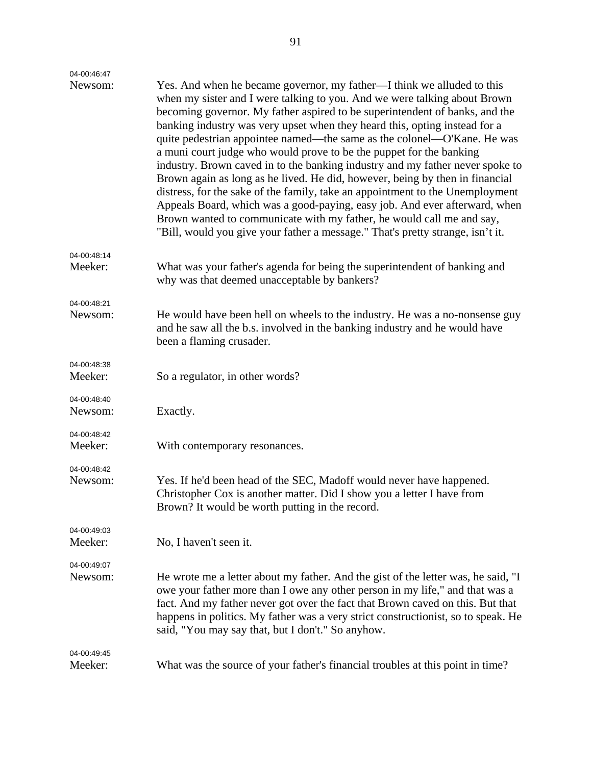| 04-00:46:47            |                                                                                                                                                                                                                                                                                                                                                                                                                                                                                                                                                                                                                                                                                                                                                                                                                                                                                                                                                               |
|------------------------|---------------------------------------------------------------------------------------------------------------------------------------------------------------------------------------------------------------------------------------------------------------------------------------------------------------------------------------------------------------------------------------------------------------------------------------------------------------------------------------------------------------------------------------------------------------------------------------------------------------------------------------------------------------------------------------------------------------------------------------------------------------------------------------------------------------------------------------------------------------------------------------------------------------------------------------------------------------|
| Newsom:                | Yes. And when he became governor, my father—I think we alluded to this<br>when my sister and I were talking to you. And we were talking about Brown<br>becoming governor. My father aspired to be superintendent of banks, and the<br>banking industry was very upset when they heard this, opting instead for a<br>quite pedestrian appointee named—the same as the colonel—O'Kane. He was<br>a muni court judge who would prove to be the puppet for the banking<br>industry. Brown caved in to the banking industry and my father never spoke to<br>Brown again as long as he lived. He did, however, being by then in financial<br>distress, for the sake of the family, take an appointment to the Unemployment<br>Appeals Board, which was a good-paying, easy job. And ever afterward, when<br>Brown wanted to communicate with my father, he would call me and say,<br>"Bill, would you give your father a message." That's pretty strange, isn't it. |
| 04-00:48:14<br>Meeker: | What was your father's agenda for being the superintendent of banking and<br>why was that deemed unacceptable by bankers?                                                                                                                                                                                                                                                                                                                                                                                                                                                                                                                                                                                                                                                                                                                                                                                                                                     |
| 04-00:48:21            |                                                                                                                                                                                                                                                                                                                                                                                                                                                                                                                                                                                                                                                                                                                                                                                                                                                                                                                                                               |
| Newsom:                | He would have been hell on wheels to the industry. He was a no-nonsense guy<br>and he saw all the b.s. involved in the banking industry and he would have<br>been a flaming crusader.                                                                                                                                                                                                                                                                                                                                                                                                                                                                                                                                                                                                                                                                                                                                                                         |
| 04-00:48:38<br>Meeker: | So a regulator, in other words?                                                                                                                                                                                                                                                                                                                                                                                                                                                                                                                                                                                                                                                                                                                                                                                                                                                                                                                               |
| 04-00:48:40<br>Newsom: | Exactly.                                                                                                                                                                                                                                                                                                                                                                                                                                                                                                                                                                                                                                                                                                                                                                                                                                                                                                                                                      |
| 04-00:48:42<br>Meeker: | With contemporary resonances.                                                                                                                                                                                                                                                                                                                                                                                                                                                                                                                                                                                                                                                                                                                                                                                                                                                                                                                                 |
| 04-00:48:42<br>Newsom: | Yes. If he'd been head of the SEC, Madoff would never have happened.<br>Christopher Cox is another matter. Did I show you a letter I have from<br>Brown? It would be worth putting in the record.                                                                                                                                                                                                                                                                                                                                                                                                                                                                                                                                                                                                                                                                                                                                                             |
| 04-00:49:03<br>Meeker: | No, I haven't seen it.                                                                                                                                                                                                                                                                                                                                                                                                                                                                                                                                                                                                                                                                                                                                                                                                                                                                                                                                        |
|                        |                                                                                                                                                                                                                                                                                                                                                                                                                                                                                                                                                                                                                                                                                                                                                                                                                                                                                                                                                               |
| 04-00:49:07<br>Newsom: | He wrote me a letter about my father. And the gist of the letter was, he said, "I<br>owe your father more than I owe any other person in my life," and that was a<br>fact. And my father never got over the fact that Brown caved on this. But that<br>happens in politics. My father was a very strict constructionist, so to speak. He<br>said, "You may say that, but I don't." So anyhow.                                                                                                                                                                                                                                                                                                                                                                                                                                                                                                                                                                 |
| 04-00:49:45            |                                                                                                                                                                                                                                                                                                                                                                                                                                                                                                                                                                                                                                                                                                                                                                                                                                                                                                                                                               |
| Meeker:                | What was the source of your father's financial troubles at this point in time?                                                                                                                                                                                                                                                                                                                                                                                                                                                                                                                                                                                                                                                                                                                                                                                                                                                                                |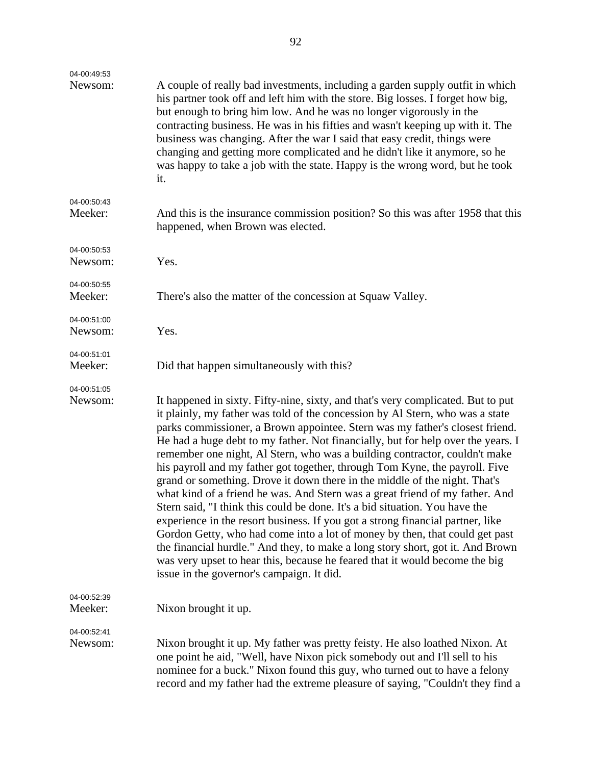| 04-00:49:53<br>Newsom: | A couple of really bad investments, including a garden supply outfit in which<br>his partner took off and left him with the store. Big losses. I forget how big,<br>but enough to bring him low. And he was no longer vigorously in the<br>contracting business. He was in his fifties and wasn't keeping up with it. The<br>business was changing. After the war I said that easy credit, things were<br>changing and getting more complicated and he didn't like it anymore, so he<br>was happy to take a job with the state. Happy is the wrong word, but he took<br>it.                                                                                                                                                                                                                                                                                                                                                                                                                                                                                                                                                    |
|------------------------|--------------------------------------------------------------------------------------------------------------------------------------------------------------------------------------------------------------------------------------------------------------------------------------------------------------------------------------------------------------------------------------------------------------------------------------------------------------------------------------------------------------------------------------------------------------------------------------------------------------------------------------------------------------------------------------------------------------------------------------------------------------------------------------------------------------------------------------------------------------------------------------------------------------------------------------------------------------------------------------------------------------------------------------------------------------------------------------------------------------------------------|
| 04-00:50:43<br>Meeker: | And this is the insurance commission position? So this was after 1958 that this<br>happened, when Brown was elected.                                                                                                                                                                                                                                                                                                                                                                                                                                                                                                                                                                                                                                                                                                                                                                                                                                                                                                                                                                                                           |
| 04-00:50:53<br>Newsom: | Yes.                                                                                                                                                                                                                                                                                                                                                                                                                                                                                                                                                                                                                                                                                                                                                                                                                                                                                                                                                                                                                                                                                                                           |
| 04-00:50:55<br>Meeker: | There's also the matter of the concession at Squaw Valley.                                                                                                                                                                                                                                                                                                                                                                                                                                                                                                                                                                                                                                                                                                                                                                                                                                                                                                                                                                                                                                                                     |
| 04-00:51:00<br>Newsom: | Yes.                                                                                                                                                                                                                                                                                                                                                                                                                                                                                                                                                                                                                                                                                                                                                                                                                                                                                                                                                                                                                                                                                                                           |
| 04-00:51:01<br>Meeker: | Did that happen simultaneously with this?                                                                                                                                                                                                                                                                                                                                                                                                                                                                                                                                                                                                                                                                                                                                                                                                                                                                                                                                                                                                                                                                                      |
| 04-00:51:05<br>Newsom: | It happened in sixty. Fifty-nine, sixty, and that's very complicated. But to put<br>it plainly, my father was told of the concession by Al Stern, who was a state<br>parks commissioner, a Brown appointee. Stern was my father's closest friend.<br>He had a huge debt to my father. Not financially, but for help over the years. I<br>remember one night, Al Stern, who was a building contractor, couldn't make<br>his payroll and my father got together, through Tom Kyne, the payroll. Five<br>grand or something. Drove it down there in the middle of the night. That's<br>what kind of a friend he was. And Stern was a great friend of my father. And<br>Stern said, "I think this could be done. It's a bid situation. You have the<br>experience in the resort business. If you got a strong financial partner, like<br>Gordon Getty, who had come into a lot of money by then, that could get past<br>the financial hurdle." And they, to make a long story short, got it. And Brown<br>was very upset to hear this, because he feared that it would become the big<br>issue in the governor's campaign. It did. |
| 04-00:52:39<br>Meeker: | Nixon brought it up.                                                                                                                                                                                                                                                                                                                                                                                                                                                                                                                                                                                                                                                                                                                                                                                                                                                                                                                                                                                                                                                                                                           |
| 04-00:52:41<br>Newsom: | Nixon brought it up. My father was pretty feisty. He also loathed Nixon. At<br>one point he aid, "Well, have Nixon pick somebody out and I'll sell to his<br>nominee for a buck." Nixon found this guy, who turned out to have a felony<br>record and my father had the extreme pleasure of saying, "Couldn't they find a                                                                                                                                                                                                                                                                                                                                                                                                                                                                                                                                                                                                                                                                                                                                                                                                      |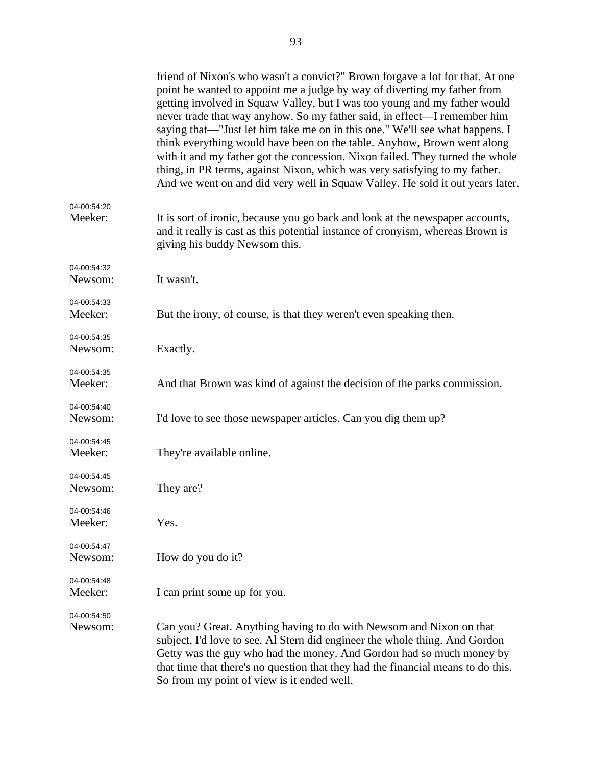|                        | friend of Nixon's who wasn't a convict?" Brown for gave a lot for that. At one<br>point he wanted to appoint me a judge by way of diverting my father from<br>getting involved in Squaw Valley, but I was too young and my father would<br>never trade that way anyhow. So my father said, in effect—I remember him<br>saying that—"Just let him take me on in this one." We'll see what happens. I<br>think everything would have been on the table. Anyhow, Brown went along<br>with it and my father got the concession. Nixon failed. They turned the whole<br>thing, in PR terms, against Nixon, which was very satisfying to my father.<br>And we went on and did very well in Squaw Valley. He sold it out years later. |
|------------------------|--------------------------------------------------------------------------------------------------------------------------------------------------------------------------------------------------------------------------------------------------------------------------------------------------------------------------------------------------------------------------------------------------------------------------------------------------------------------------------------------------------------------------------------------------------------------------------------------------------------------------------------------------------------------------------------------------------------------------------|
| 04-00:54:20<br>Meeker: | It is sort of ironic, because you go back and look at the newspaper accounts,<br>and it really is cast as this potential instance of cronyism, whereas Brown is<br>giving his buddy Newsom this.                                                                                                                                                                                                                                                                                                                                                                                                                                                                                                                               |
| 04-00:54:32<br>Newsom: | It wasn't.                                                                                                                                                                                                                                                                                                                                                                                                                                                                                                                                                                                                                                                                                                                     |
| 04-00:54:33<br>Meeker: | But the irony, of course, is that they weren't even speaking then.                                                                                                                                                                                                                                                                                                                                                                                                                                                                                                                                                                                                                                                             |
| 04-00:54:35<br>Newsom: | Exactly.                                                                                                                                                                                                                                                                                                                                                                                                                                                                                                                                                                                                                                                                                                                       |
| 04-00:54:35<br>Meeker: | And that Brown was kind of against the decision of the parks commission.                                                                                                                                                                                                                                                                                                                                                                                                                                                                                                                                                                                                                                                       |
| 04-00:54:40<br>Newsom: | I'd love to see those newspaper articles. Can you dig them up?                                                                                                                                                                                                                                                                                                                                                                                                                                                                                                                                                                                                                                                                 |
| 04-00:54:45<br>Meeker: | They're available online.                                                                                                                                                                                                                                                                                                                                                                                                                                                                                                                                                                                                                                                                                                      |
| 04-00:54:45<br>Newsom: | They are?                                                                                                                                                                                                                                                                                                                                                                                                                                                                                                                                                                                                                                                                                                                      |
| 04-00:54:46<br>Meeker: | Yes.                                                                                                                                                                                                                                                                                                                                                                                                                                                                                                                                                                                                                                                                                                                           |
| 04-00:54:47<br>Newsom: | How do you do it?                                                                                                                                                                                                                                                                                                                                                                                                                                                                                                                                                                                                                                                                                                              |
| 04-00:54:48<br>Meeker: | I can print some up for you.                                                                                                                                                                                                                                                                                                                                                                                                                                                                                                                                                                                                                                                                                                   |
| 04-00:54:50<br>Newsom: | Can you? Great. Anything having to do with Newsom and Nixon on that<br>subject, I'd love to see. Al Stern did engineer the whole thing. And Gordon<br>Getty was the guy who had the money. And Gordon had so much money by<br>that time that there's no question that they had the financial means to do this.<br>So from my point of view is it ended well.                                                                                                                                                                                                                                                                                                                                                                   |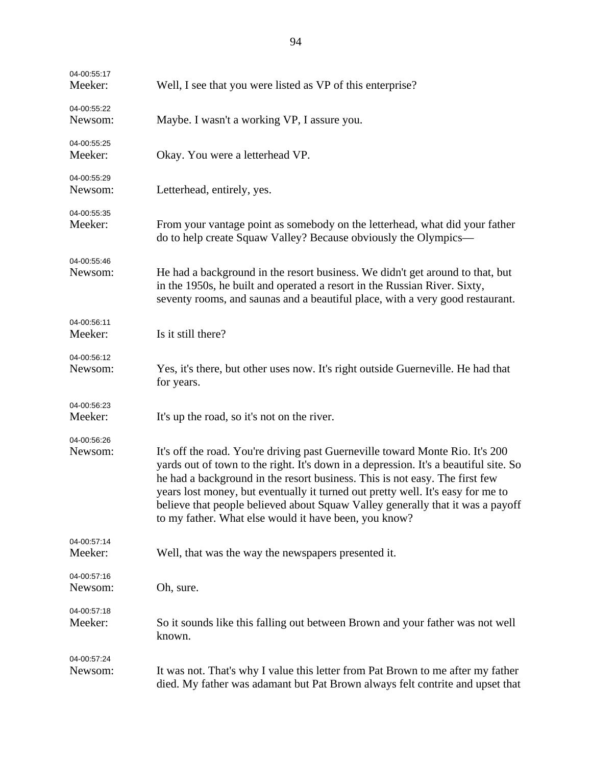| 04-00:55:17<br>Meeker: | Well, I see that you were listed as VP of this enterprise?                                                                                                                                                                                                                                                                                                                                                                                                                         |
|------------------------|------------------------------------------------------------------------------------------------------------------------------------------------------------------------------------------------------------------------------------------------------------------------------------------------------------------------------------------------------------------------------------------------------------------------------------------------------------------------------------|
| 04-00:55:22<br>Newsom: | Maybe. I wasn't a working VP, I assure you.                                                                                                                                                                                                                                                                                                                                                                                                                                        |
| 04-00:55:25<br>Meeker: | Okay. You were a letterhead VP.                                                                                                                                                                                                                                                                                                                                                                                                                                                    |
| 04-00:55:29<br>Newsom: | Letterhead, entirely, yes.                                                                                                                                                                                                                                                                                                                                                                                                                                                         |
| 04-00:55:35<br>Meeker: | From your vantage point as somebody on the letterhead, what did your father<br>do to help create Squaw Valley? Because obviously the Olympics—                                                                                                                                                                                                                                                                                                                                     |
| 04-00:55:46<br>Newsom: | He had a background in the resort business. We didn't get around to that, but<br>in the 1950s, he built and operated a resort in the Russian River. Sixty,<br>seventy rooms, and saunas and a beautiful place, with a very good restaurant.                                                                                                                                                                                                                                        |
| 04-00:56:11<br>Meeker: | Is it still there?                                                                                                                                                                                                                                                                                                                                                                                                                                                                 |
| 04-00:56:12<br>Newsom: | Yes, it's there, but other uses now. It's right outside Guerneville. He had that<br>for years.                                                                                                                                                                                                                                                                                                                                                                                     |
| 04-00:56:23<br>Meeker: | It's up the road, so it's not on the river.                                                                                                                                                                                                                                                                                                                                                                                                                                        |
| 04-00:56:26<br>Newsom: | It's off the road. You're driving past Guerneville toward Monte Rio. It's 200<br>yards out of town to the right. It's down in a depression. It's a beautiful site. So<br>he had a background in the resort business. This is not easy. The first few<br>years lost money, but eventually it turned out pretty well. It's easy for me to<br>believe that people believed about Squaw Valley generally that it was a payoff<br>to my father. What else would it have been, you know? |
| 04-00:57:14<br>Meeker: | Well, that was the way the newspapers presented it.                                                                                                                                                                                                                                                                                                                                                                                                                                |
| 04-00:57:16<br>Newsom: | Oh, sure.                                                                                                                                                                                                                                                                                                                                                                                                                                                                          |
| 04-00:57:18<br>Meeker: | So it sounds like this falling out between Brown and your father was not well<br>known.                                                                                                                                                                                                                                                                                                                                                                                            |
| 04-00:57:24<br>Newsom: | It was not. That's why I value this letter from Pat Brown to me after my father<br>died. My father was adamant but Pat Brown always felt contrite and upset that                                                                                                                                                                                                                                                                                                                   |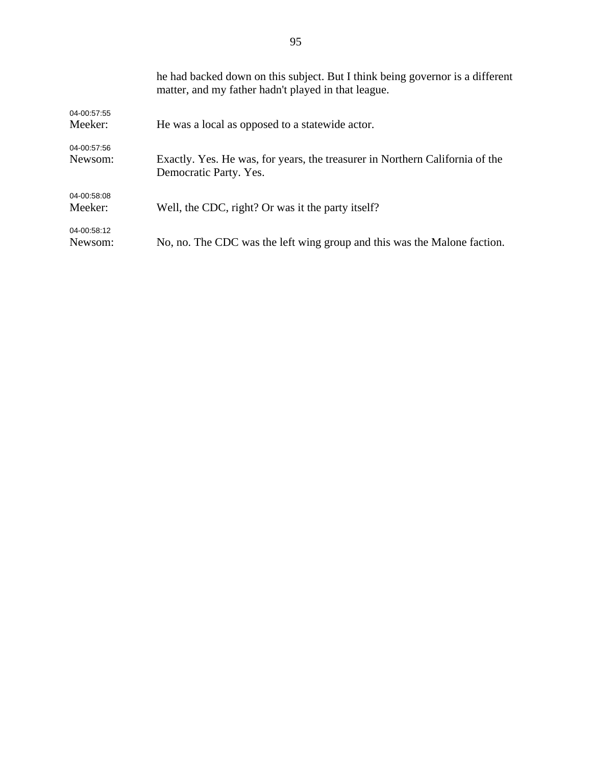|                        | he had backed down on this subject. But I think being governor is a different<br>matter, and my father hadn't played in that league. |
|------------------------|--------------------------------------------------------------------------------------------------------------------------------------|
| 04-00:57:55<br>Meeker: | He was a local as opposed to a statewide actor.                                                                                      |
| 04-00:57:56<br>Newsom: | Exactly. Yes. He was, for years, the treasurer in Northern California of the<br>Democratic Party. Yes.                               |
| 04-00:58:08<br>Meeker: | Well, the CDC, right? Or was it the party itself?                                                                                    |
| 04-00:58:12<br>Newsom: | No, no. The CDC was the left wing group and this was the Malone faction.                                                             |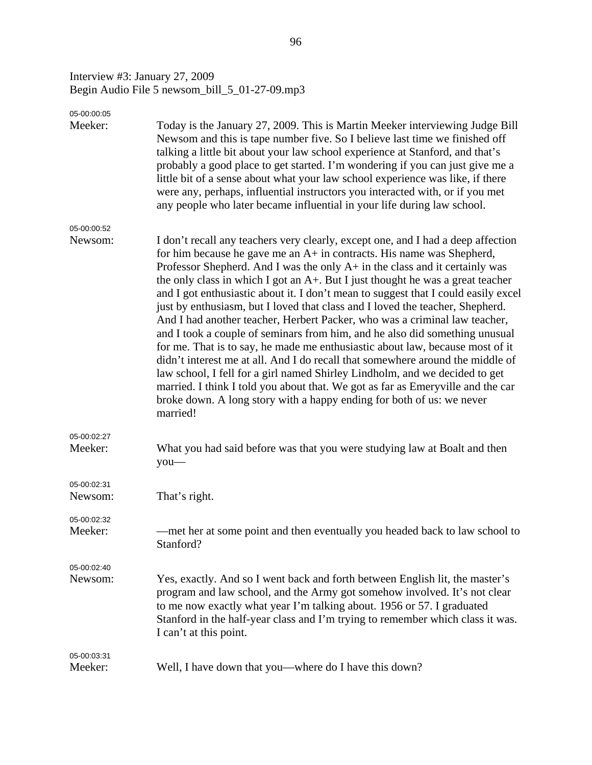Interview #3: January 27, 2009 Begin Audio File 5 newsom\_bill\_5\_01-27-09.mp3

| 05-00:00:05<br>Meeker: | Today is the January 27, 2009. This is Martin Meeker interviewing Judge Bill<br>Newsom and this is tape number five. So I believe last time we finished off<br>talking a little bit about your law school experience at Stanford, and that's<br>probably a good place to get started. I'm wondering if you can just give me a<br>little bit of a sense about what your law school experience was like, if there                                                                                                                                                                                                                                                                                                                                                                                                                                                                                                                                                                                                                                                                              |
|------------------------|----------------------------------------------------------------------------------------------------------------------------------------------------------------------------------------------------------------------------------------------------------------------------------------------------------------------------------------------------------------------------------------------------------------------------------------------------------------------------------------------------------------------------------------------------------------------------------------------------------------------------------------------------------------------------------------------------------------------------------------------------------------------------------------------------------------------------------------------------------------------------------------------------------------------------------------------------------------------------------------------------------------------------------------------------------------------------------------------|
|                        | were any, perhaps, influential instructors you interacted with, or if you met<br>any people who later became influential in your life during law school.                                                                                                                                                                                                                                                                                                                                                                                                                                                                                                                                                                                                                                                                                                                                                                                                                                                                                                                                     |
| 05-00:00:52<br>Newsom: | I don't recall any teachers very clearly, except one, and I had a deep affection<br>for him because he gave me an $A+$ in contracts. His name was Shepherd,<br>Professor Shepherd. And I was the only $A+$ in the class and it certainly was<br>the only class in which I got an A+. But I just thought he was a great teacher<br>and I got enthusiastic about it. I don't mean to suggest that I could easily excel<br>just by enthusiasm, but I loved that class and I loved the teacher, Shepherd.<br>And I had another teacher, Herbert Packer, who was a criminal law teacher,<br>and I took a couple of seminars from him, and he also did something unusual<br>for me. That is to say, he made me enthusiastic about law, because most of it<br>didn't interest me at all. And I do recall that somewhere around the middle of<br>law school, I fell for a girl named Shirley Lindholm, and we decided to get<br>married. I think I told you about that. We got as far as Emeryville and the car<br>broke down. A long story with a happy ending for both of us: we never<br>married! |
| 05-00:02:27<br>Meeker: | What you had said before was that you were studying law at Boalt and then<br>you-                                                                                                                                                                                                                                                                                                                                                                                                                                                                                                                                                                                                                                                                                                                                                                                                                                                                                                                                                                                                            |
| 05-00:02:31<br>Newsom: | That's right.                                                                                                                                                                                                                                                                                                                                                                                                                                                                                                                                                                                                                                                                                                                                                                                                                                                                                                                                                                                                                                                                                |
| 05-00:02:32<br>Meeker: | —met her at some point and then eventually you headed back to law school to<br>Stanford?                                                                                                                                                                                                                                                                                                                                                                                                                                                                                                                                                                                                                                                                                                                                                                                                                                                                                                                                                                                                     |
| 05-00:02:40<br>Newsom: | Yes, exactly. And so I went back and forth between English lit, the master's<br>program and law school, and the Army got somehow involved. It's not clear<br>to me now exactly what year I'm talking about. 1956 or 57. I graduated<br>Stanford in the half-year class and I'm trying to remember which class it was.<br>I can't at this point.                                                                                                                                                                                                                                                                                                                                                                                                                                                                                                                                                                                                                                                                                                                                              |
| 05-00:03:31<br>Meeker: | Well, I have down that you-where do I have this down?                                                                                                                                                                                                                                                                                                                                                                                                                                                                                                                                                                                                                                                                                                                                                                                                                                                                                                                                                                                                                                        |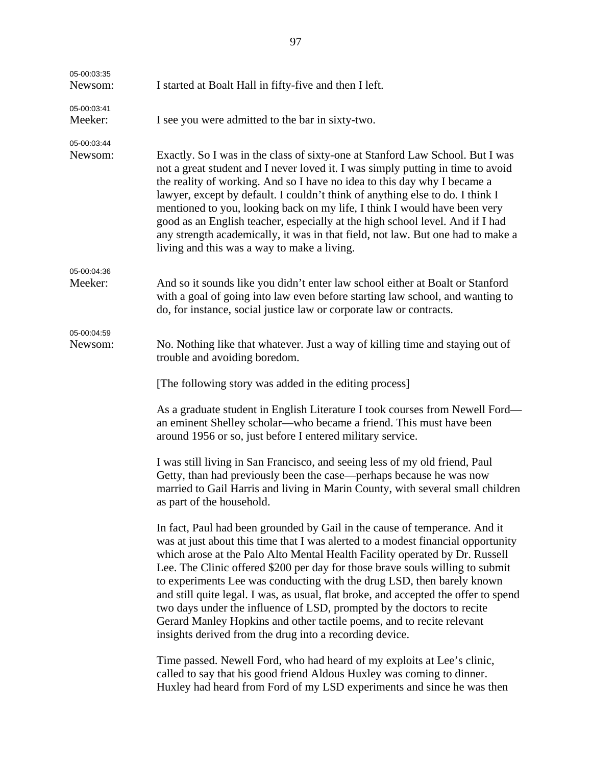| 05-00:03:35<br>Newsom: | I started at Boalt Hall in fifty-five and then I left.                                                                                                                                                                                                                                                                                                                                                                                                                                                                                                                                                                                                                                                        |
|------------------------|---------------------------------------------------------------------------------------------------------------------------------------------------------------------------------------------------------------------------------------------------------------------------------------------------------------------------------------------------------------------------------------------------------------------------------------------------------------------------------------------------------------------------------------------------------------------------------------------------------------------------------------------------------------------------------------------------------------|
| 05-00:03:41<br>Meeker: | I see you were admitted to the bar in sixty-two.                                                                                                                                                                                                                                                                                                                                                                                                                                                                                                                                                                                                                                                              |
| 05-00:03:44<br>Newsom: | Exactly. So I was in the class of sixty-one at Stanford Law School. But I was<br>not a great student and I never loved it. I was simply putting in time to avoid<br>the reality of working. And so I have no idea to this day why I became a<br>lawyer, except by default. I couldn't think of anything else to do. I think I<br>mentioned to you, looking back on my life, I think I would have been very<br>good as an English teacher, especially at the high school level. And if I had<br>any strength academically, it was in that field, not law. But one had to make a<br>living and this was a way to make a living.                                                                                 |
| 05-00:04:36<br>Meeker: | And so it sounds like you didn't enter law school either at Boalt or Stanford<br>with a goal of going into law even before starting law school, and wanting to<br>do, for instance, social justice law or corporate law or contracts.                                                                                                                                                                                                                                                                                                                                                                                                                                                                         |
| 05-00:04:59<br>Newsom: | No. Nothing like that whatever. Just a way of killing time and staying out of<br>trouble and avoiding boredom.                                                                                                                                                                                                                                                                                                                                                                                                                                                                                                                                                                                                |
|                        | [The following story was added in the editing process]                                                                                                                                                                                                                                                                                                                                                                                                                                                                                                                                                                                                                                                        |
|                        | As a graduate student in English Literature I took courses from Newell Ford—<br>an eminent Shelley scholar—who became a friend. This must have been<br>around 1956 or so, just before I entered military service.                                                                                                                                                                                                                                                                                                                                                                                                                                                                                             |
|                        | I was still living in San Francisco, and seeing less of my old friend, Paul<br>Getty, than had previously been the case—perhaps because he was now<br>married to Gail Harris and living in Marin County, with several small children<br>as part of the household.                                                                                                                                                                                                                                                                                                                                                                                                                                             |
|                        | In fact, Paul had been grounded by Gail in the cause of temperance. And it<br>was at just about this time that I was alerted to a modest financial opportunity<br>which arose at the Palo Alto Mental Health Facility operated by Dr. Russell<br>Lee. The Clinic offered \$200 per day for those brave souls willing to submit<br>to experiments Lee was conducting with the drug LSD, then barely known<br>and still quite legal. I was, as usual, flat broke, and accepted the offer to spend<br>two days under the influence of LSD, prompted by the doctors to recite<br>Gerard Manley Hopkins and other tactile poems, and to recite relevant<br>insights derived from the drug into a recording device. |
|                        | Time passed. Newell Ford, who had heard of my exploits at Lee's clinic,<br>called to say that his good friend Aldous Huxley was coming to dinner.<br>Huxley had heard from Ford of my LSD experiments and since he was then                                                                                                                                                                                                                                                                                                                                                                                                                                                                                   |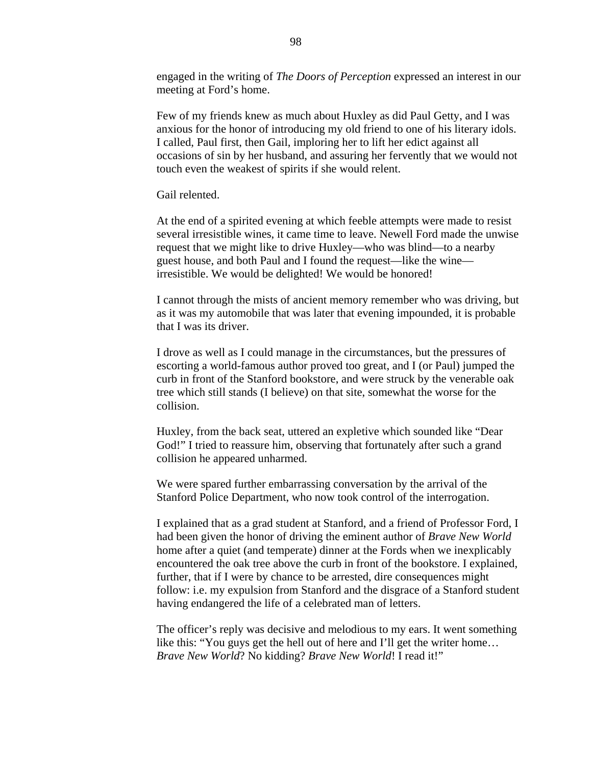engaged in the writing of *The Doors of Perception* expressed an interest in our meeting at Ford's home.

 Few of my friends knew as much about Huxley as did Paul Getty, and I was anxious for the honor of introducing my old friend to one of his literary idols. I called, Paul first, then Gail, imploring her to lift her edict against all occasions of sin by her husband, and assuring her fervently that we would not touch even the weakest of spirits if she would relent.

Gail relented.

 At the end of a spirited evening at which feeble attempts were made to resist several irresistible wines, it came time to leave. Newell Ford made the unwise request that we might like to drive Huxley—who was blind—to a nearby guest house, and both Paul and I found the request—like the wine irresistible. We would be delighted! We would be honored!

 I cannot through the mists of ancient memory remember who was driving, but as it was my automobile that was later that evening impounded, it is probable that I was its driver.

 I drove as well as I could manage in the circumstances, but the pressures of escorting a world-famous author proved too great, and I (or Paul) jumped the curb in front of the Stanford bookstore, and were struck by the venerable oak tree which still stands (I believe) on that site, somewhat the worse for the collision.

Huxley, from the back seat, uttered an expletive which sounded like "Dear God!" I tried to reassure him, observing that fortunately after such a grand collision he appeared unharmed.

 We were spared further embarrassing conversation by the arrival of the Stanford Police Department, who now took control of the interrogation.

 I explained that as a grad student at Stanford, and a friend of Professor Ford, I had been given the honor of driving the eminent author of *Brave New World* home after a quiet (and temperate) dinner at the Fords when we inexplicably encountered the oak tree above the curb in front of the bookstore. I explained, further, that if I were by chance to be arrested, dire consequences might follow: i.e. my expulsion from Stanford and the disgrace of a Stanford student having endangered the life of a celebrated man of letters.

 The officer's reply was decisive and melodious to my ears. It went something like this: "You guys get the hell out of here and I'll get the writer home… *Brave New World*? No kidding? *Brave New World*! I read it!"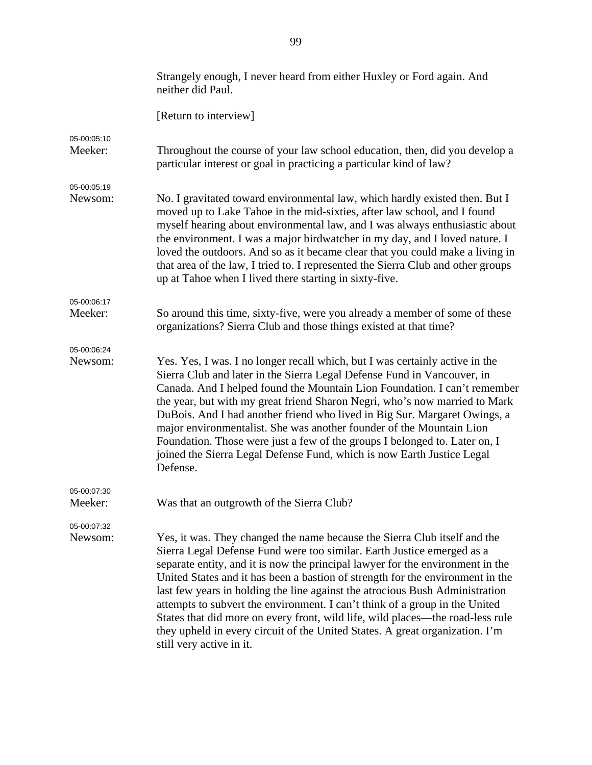|                        | Strangely enough, I never heard from either Huxley or Ford again. And<br>neither did Paul.                                                                                                                                                                                                                                                                                                                                                                                                                                                                                                                                                                                           |
|------------------------|--------------------------------------------------------------------------------------------------------------------------------------------------------------------------------------------------------------------------------------------------------------------------------------------------------------------------------------------------------------------------------------------------------------------------------------------------------------------------------------------------------------------------------------------------------------------------------------------------------------------------------------------------------------------------------------|
|                        | [Return to interview]                                                                                                                                                                                                                                                                                                                                                                                                                                                                                                                                                                                                                                                                |
| 05-00:05:10<br>Meeker: | Throughout the course of your law school education, then, did you develop a<br>particular interest or goal in practicing a particular kind of law?                                                                                                                                                                                                                                                                                                                                                                                                                                                                                                                                   |
| 05-00:05:19<br>Newsom: | No. I gravitated toward environmental law, which hardly existed then. But I<br>moved up to Lake Tahoe in the mid-sixties, after law school, and I found<br>myself hearing about environmental law, and I was always enthusiastic about<br>the environment. I was a major birdwatcher in my day, and I loved nature. I<br>loved the outdoors. And so as it became clear that you could make a living in<br>that area of the law, I tried to. I represented the Sierra Club and other groups<br>up at Tahoe when I lived there starting in sixty-five.                                                                                                                                 |
| 05-00:06:17<br>Meeker: | So around this time, sixty-five, were you already a member of some of these<br>organizations? Sierra Club and those things existed at that time?                                                                                                                                                                                                                                                                                                                                                                                                                                                                                                                                     |
| 05-00:06:24<br>Newsom: | Yes. Yes, I was. I no longer recall which, but I was certainly active in the<br>Sierra Club and later in the Sierra Legal Defense Fund in Vancouver, in<br>Canada. And I helped found the Mountain Lion Foundation. I can't remember<br>the year, but with my great friend Sharon Negri, who's now married to Mark<br>DuBois. And I had another friend who lived in Big Sur. Margaret Owings, a<br>major environmentalist. She was another founder of the Mountain Lion<br>Foundation. Those were just a few of the groups I belonged to. Later on, I<br>joined the Sierra Legal Defense Fund, which is now Earth Justice Legal<br>Defense.                                          |
| 05-00:07:30<br>Meeker: | Was that an outgrowth of the Sierra Club?                                                                                                                                                                                                                                                                                                                                                                                                                                                                                                                                                                                                                                            |
| 05-00:07:32<br>Newsom: | Yes, it was. They changed the name because the Sierra Club itself and the<br>Sierra Legal Defense Fund were too similar. Earth Justice emerged as a<br>separate entity, and it is now the principal lawyer for the environment in the<br>United States and it has been a bastion of strength for the environment in the<br>last few years in holding the line against the atrocious Bush Administration<br>attempts to subvert the environment. I can't think of a group in the United<br>States that did more on every front, wild life, wild places—the road-less rule<br>they upheld in every circuit of the United States. A great organization. I'm<br>still very active in it. |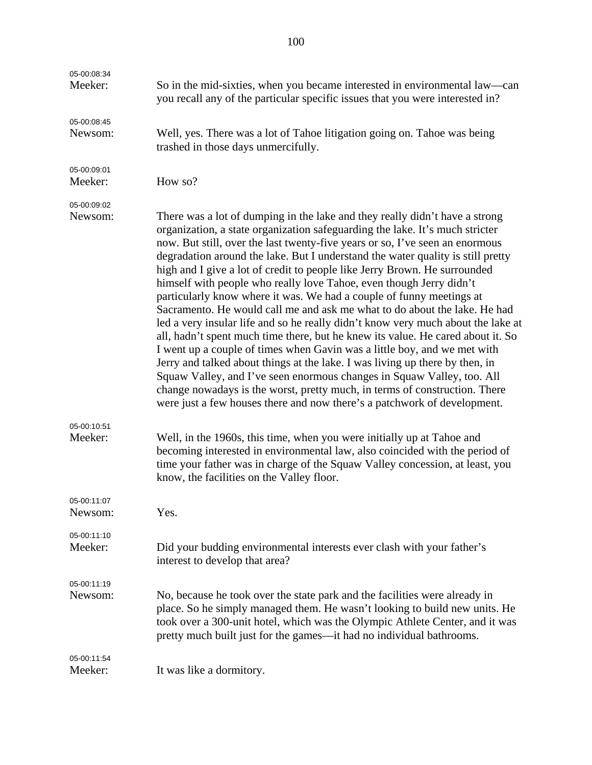| 05-00:08:34<br>Meeker: | So in the mid-sixties, when you became interested in environmental law—can<br>you recall any of the particular specific issues that you were interested in?                                                                                                                                                                                                                                                                                                                                                                                                                                                                                                                                                                                                                                                                                                                                                                                                                                                                                                                                                                                                                                                    |
|------------------------|----------------------------------------------------------------------------------------------------------------------------------------------------------------------------------------------------------------------------------------------------------------------------------------------------------------------------------------------------------------------------------------------------------------------------------------------------------------------------------------------------------------------------------------------------------------------------------------------------------------------------------------------------------------------------------------------------------------------------------------------------------------------------------------------------------------------------------------------------------------------------------------------------------------------------------------------------------------------------------------------------------------------------------------------------------------------------------------------------------------------------------------------------------------------------------------------------------------|
| 05-00:08:45<br>Newsom: | Well, yes. There was a lot of Tahoe litigation going on. Tahoe was being<br>trashed in those days unmercifully.                                                                                                                                                                                                                                                                                                                                                                                                                                                                                                                                                                                                                                                                                                                                                                                                                                                                                                                                                                                                                                                                                                |
| 05-00:09:01<br>Meeker: | How so?                                                                                                                                                                                                                                                                                                                                                                                                                                                                                                                                                                                                                                                                                                                                                                                                                                                                                                                                                                                                                                                                                                                                                                                                        |
| 05-00:09:02<br>Newsom: | There was a lot of dumping in the lake and they really didn't have a strong<br>organization, a state organization safeguarding the lake. It's much stricter<br>now. But still, over the last twenty-five years or so, I've seen an enormous<br>degradation around the lake. But I understand the water quality is still pretty<br>high and I give a lot of credit to people like Jerry Brown. He surrounded<br>himself with people who really love Tahoe, even though Jerry didn't<br>particularly know where it was. We had a couple of funny meetings at<br>Sacramento. He would call me and ask me what to do about the lake. He had<br>led a very insular life and so he really didn't know very much about the lake at<br>all, hadn't spent much time there, but he knew its value. He cared about it. So<br>I went up a couple of times when Gavin was a little boy, and we met with<br>Jerry and talked about things at the lake. I was living up there by then, in<br>Squaw Valley, and I've seen enormous changes in Squaw Valley, too. All<br>change nowadays is the worst, pretty much, in terms of construction. There<br>were just a few houses there and now there's a patchwork of development. |
| 05-00:10:51<br>Meeker: | Well, in the 1960s, this time, when you were initially up at Tahoe and<br>becoming interested in environmental law, also coincided with the period of<br>time your father was in charge of the Squaw Valley concession, at least, you<br>know, the facilities on the Valley floor.                                                                                                                                                                                                                                                                                                                                                                                                                                                                                                                                                                                                                                                                                                                                                                                                                                                                                                                             |
| 05-00:11:07<br>Newsom: | Yes.                                                                                                                                                                                                                                                                                                                                                                                                                                                                                                                                                                                                                                                                                                                                                                                                                                                                                                                                                                                                                                                                                                                                                                                                           |
| 05-00:11:10<br>Meeker: | Did your budding environmental interests ever clash with your father's<br>interest to develop that area?                                                                                                                                                                                                                                                                                                                                                                                                                                                                                                                                                                                                                                                                                                                                                                                                                                                                                                                                                                                                                                                                                                       |
| 05-00:11:19<br>Newsom: | No, because he took over the state park and the facilities were already in<br>place. So he simply managed them. He wasn't looking to build new units. He<br>took over a 300-unit hotel, which was the Olympic Athlete Center, and it was<br>pretty much built just for the games—it had no individual bathrooms.                                                                                                                                                                                                                                                                                                                                                                                                                                                                                                                                                                                                                                                                                                                                                                                                                                                                                               |
| 05-00:11:54<br>Meeker: | It was like a dormitory.                                                                                                                                                                                                                                                                                                                                                                                                                                                                                                                                                                                                                                                                                                                                                                                                                                                                                                                                                                                                                                                                                                                                                                                       |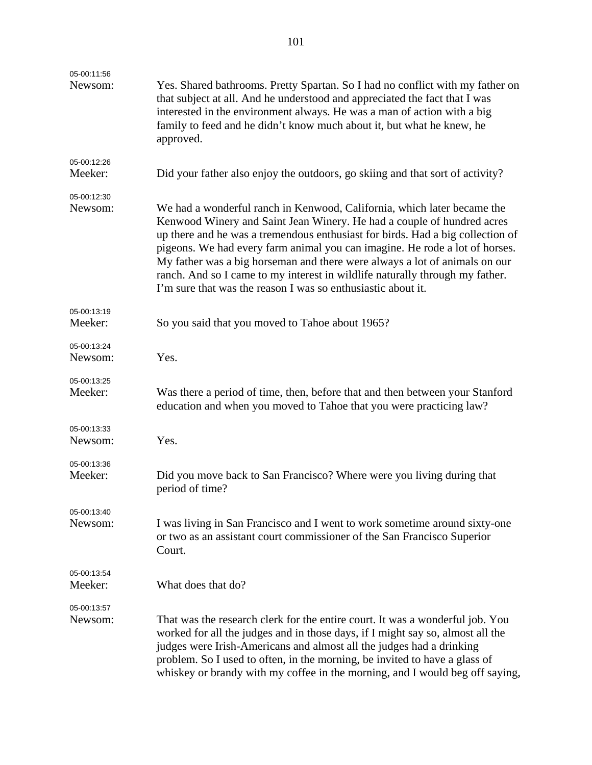| 05-00:11:56<br>Newsom: | Yes. Shared bathrooms. Pretty Spartan. So I had no conflict with my father on<br>that subject at all. And he understood and appreciated the fact that I was<br>interested in the environment always. He was a man of action with a big<br>family to feed and he didn't know much about it, but what he knew, he<br>approved.                                                                                                                                                                                                                     |
|------------------------|--------------------------------------------------------------------------------------------------------------------------------------------------------------------------------------------------------------------------------------------------------------------------------------------------------------------------------------------------------------------------------------------------------------------------------------------------------------------------------------------------------------------------------------------------|
| 05-00:12:26<br>Meeker: | Did your father also enjoy the outdoors, go skiing and that sort of activity?                                                                                                                                                                                                                                                                                                                                                                                                                                                                    |
| 05-00:12:30<br>Newsom: | We had a wonderful ranch in Kenwood, California, which later became the<br>Kenwood Winery and Saint Jean Winery. He had a couple of hundred acres<br>up there and he was a tremendous enthusiast for birds. Had a big collection of<br>pigeons. We had every farm animal you can imagine. He rode a lot of horses.<br>My father was a big horseman and there were always a lot of animals on our<br>ranch. And so I came to my interest in wildlife naturally through my father.<br>I'm sure that was the reason I was so enthusiastic about it. |
| 05-00:13:19<br>Meeker: | So you said that you moved to Tahoe about 1965?                                                                                                                                                                                                                                                                                                                                                                                                                                                                                                  |
| 05-00:13:24<br>Newsom: | Yes.                                                                                                                                                                                                                                                                                                                                                                                                                                                                                                                                             |
| 05-00:13:25<br>Meeker: | Was there a period of time, then, before that and then between your Stanford<br>education and when you moved to Tahoe that you were practicing law?                                                                                                                                                                                                                                                                                                                                                                                              |
| 05-00:13:33<br>Newsom: | Yes.                                                                                                                                                                                                                                                                                                                                                                                                                                                                                                                                             |
| 05-00:13:36<br>Meeker: | Did you move back to San Francisco? Where were you living during that<br>period of time?                                                                                                                                                                                                                                                                                                                                                                                                                                                         |
| 05-00:13:40<br>Newsom: | I was living in San Francisco and I went to work sometime around sixty-one<br>or two as an assistant court commissioner of the San Francisco Superior<br>Court.                                                                                                                                                                                                                                                                                                                                                                                  |
| 05-00:13:54<br>Meeker: | What does that do?                                                                                                                                                                                                                                                                                                                                                                                                                                                                                                                               |
| 05-00:13:57<br>Newsom: | That was the research clerk for the entire court. It was a wonderful job. You<br>worked for all the judges and in those days, if I might say so, almost all the<br>judges were Irish-Americans and almost all the judges had a drinking<br>problem. So I used to often, in the morning, be invited to have a glass of<br>whiskey or brandy with my coffee in the morning, and I would beg off saying,                                                                                                                                            |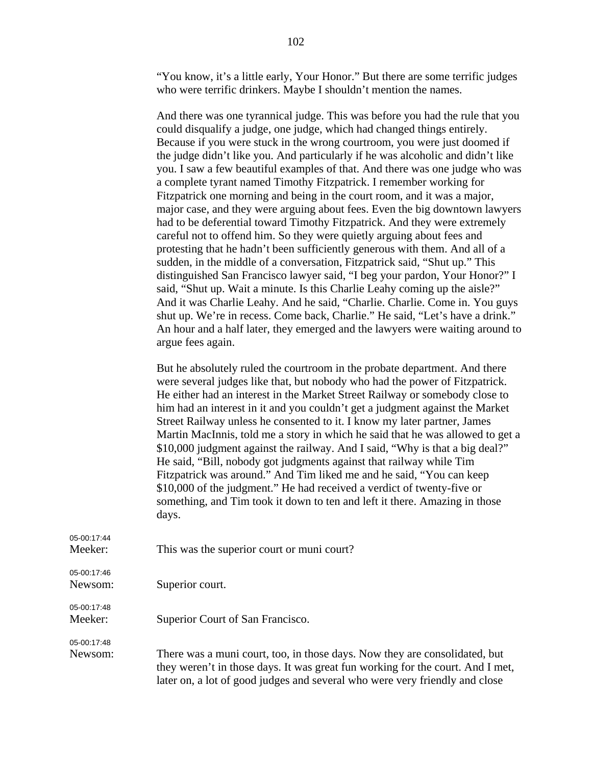"You know, it's a little early, Your Honor." But there are some terrific judges who were terrific drinkers. Maybe I shouldn't mention the names.

And there was one tyrannical judge. This was before you had the rule that you could disqualify a judge, one judge, which had changed things entirely. Because if you were stuck in the wrong courtroom, you were just doomed if the judge didn't like you. And particularly if he was alcoholic and didn't like you. I saw a few beautiful examples of that. And there was one judge who was a complete tyrant named Timothy Fitzpatrick. I remember working for Fitzpatrick one morning and being in the court room, and it was a major, major case, and they were arguing about fees. Even the big downtown lawyers had to be deferential toward Timothy Fitzpatrick. And they were extremely careful not to offend him. So they were quietly arguing about fees and protesting that he hadn't been sufficiently generous with them. And all of a sudden, in the middle of a conversation, Fitzpatrick said, "Shut up." This distinguished San Francisco lawyer said, "I beg your pardon, Your Honor?" I said, "Shut up. Wait a minute. Is this Charlie Leahy coming up the aisle?" And it was Charlie Leahy. And he said, "Charlie. Charlie. Come in. You guys shut up. We're in recess. Come back, Charlie." He said, "Let's have a drink." An hour and a half later, they emerged and the lawyers were waiting around to argue fees again.

But he absolutely ruled the courtroom in the probate department. And there were several judges like that, but nobody who had the power of Fitzpatrick. He either had an interest in the Market Street Railway or somebody close to him had an interest in it and you couldn't get a judgment against the Market Street Railway unless he consented to it. I know my later partner, James Martin MacInnis, told me a story in which he said that he was allowed to get a \$10,000 judgment against the railway. And I said, "Why is that a big deal?" He said, "Bill, nobody got judgments against that railway while Tim Fitzpatrick was around." And Tim liked me and he said, "You can keep \$10,000 of the judgment." He had received a verdict of twenty-five or something, and Tim took it down to ten and left it there. Amazing in those days.

| 05-00:17:44 |                                                                                |
|-------------|--------------------------------------------------------------------------------|
| Meeker:     | This was the superior court or muni court?                                     |
| 05-00:17:46 |                                                                                |
| Newsom:     | Superior court.                                                                |
| 05-00:17:48 |                                                                                |
| Meeker:     | Superior Court of San Francisco.                                               |
| 05-00:17:48 |                                                                                |
| Newsom:     | There was a muni court, too, in those days. Now they are consolidated, but     |
|             | they weren't in those days. It was great fun working for the court. And I met, |
|             | later on, a lot of good judges and several who were very friendly and close    |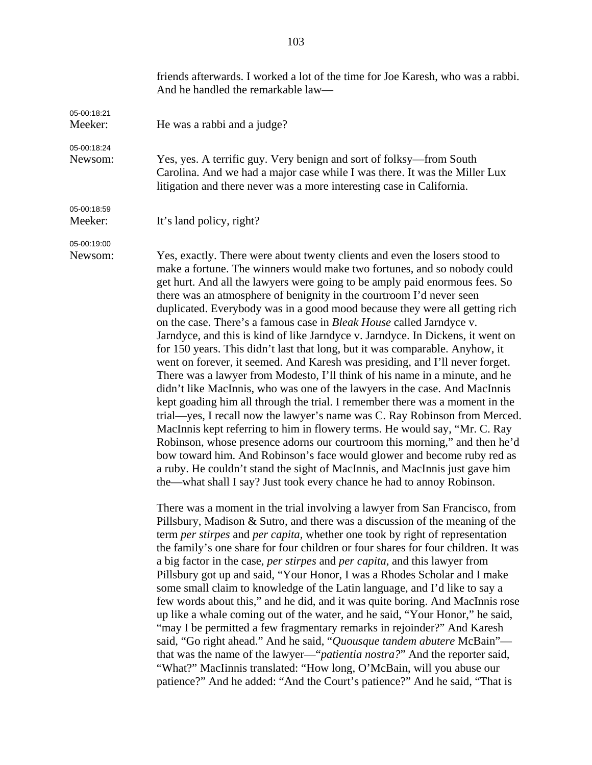friends afterwards. I worked a lot of the time for Joe Karesh, who was a rabbi. And he handled the remarkable law— 05-00:18:21 Meeker: He was a rabbi and a judge? 05-00:18:24 Newsom: Yes, yes. A terrific guy. Very benign and sort of folksy—from South Carolina. And we had a major case while I was there. It was the Miller Lux litigation and there never was a more interesting case in California. 05-00:18:59 Meeker: It's land policy, right? 05-00:19:00 Newsom: Yes, exactly. There were about twenty clients and even the losers stood to make a fortune. The winners would make two fortunes, and so nobody could get hurt. And all the lawyers were going to be amply paid enormous fees. So there was an atmosphere of benignity in the courtroom I'd never seen duplicated. Everybody was in a good mood because they were all getting rich on the case. There's a famous case in *Bleak House* called Jarndyce v. Jarndyce, and this is kind of like Jarndyce v. Jarndyce. In Dickens, it went on for 150 years. This didn't last that long, but it was comparable. Anyhow, it went on forever, it seemed. And Karesh was presiding, and I'll never forget. There was a lawyer from Modesto, I'll think of his name in a minute, and he didn't like MacInnis, who was one of the lawyers in the case. And MacInnis kept goading him all through the trial. I remember there was a moment in the trial—yes, I recall now the lawyer's name was C. Ray Robinson from Merced. MacInnis kept referring to him in flowery terms. He would say, "Mr. C. Ray Robinson, whose presence adorns our courtroom this morning," and then he'd bow toward him. And Robinson's face would glower and become ruby red as a ruby. He couldn't stand the sight of MacInnis, and MacInnis just gave him the—what shall I say? Just took every chance he had to annoy Robinson. There was a moment in the trial involving a lawyer from San Francisco, from Pillsbury, Madison & Sutro, and there was a discussion of the meaning of the term *per stirpes* and *per capita,* whether one took by right of representation the family's one share for four children or four shares for four children. It was a big factor in the case, *per stirpes* and *per capita*, and this lawyer from Pillsbury got up and said, "Your Honor, I was a Rhodes Scholar and I make some small claim to knowledge of the Latin language, and I'd like to say a few words about this," and he did, and it was quite boring. And MacInnis rose up like a whale coming out of the water, and he said, "Your Honor," he said, "may I be permitted a few fragmentary remarks in rejoinder?" And Karesh said, "Go right ahead." And he said, "*Quousque tandem abutere* McBain" that was the name of the lawyer—"*patientia nostra?*" And the reporter said, "What?" MacIinnis translated: "How long, O'McBain, will you abuse our patience?" And he added: "And the Court's patience?" And he said, "That is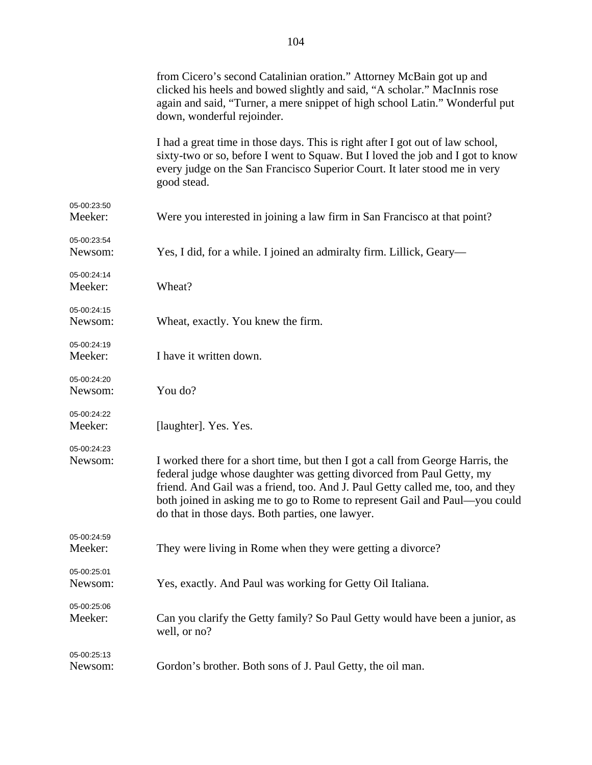|                        | from Cicero's second Catalinian oration." Attorney McBain got up and<br>clicked his heels and bowed slightly and said, "A scholar." MacInnis rose<br>again and said, "Turner, a mere snippet of high school Latin." Wonderful put<br>down, wonderful rejoinder.                                                                                                              |
|------------------------|------------------------------------------------------------------------------------------------------------------------------------------------------------------------------------------------------------------------------------------------------------------------------------------------------------------------------------------------------------------------------|
|                        | I had a great time in those days. This is right after I got out of law school,<br>sixty-two or so, before I went to Squaw. But I loved the job and I got to know<br>every judge on the San Francisco Superior Court. It later stood me in very<br>good stead.                                                                                                                |
| 05-00:23:50<br>Meeker: | Were you interested in joining a law firm in San Francisco at that point?                                                                                                                                                                                                                                                                                                    |
| 05-00:23:54<br>Newsom: | Yes, I did, for a while. I joined an admiralty firm. Lillick, Geary—                                                                                                                                                                                                                                                                                                         |
| 05-00:24:14<br>Meeker: | Wheat?                                                                                                                                                                                                                                                                                                                                                                       |
| 05-00:24:15<br>Newsom: | Wheat, exactly. You knew the firm.                                                                                                                                                                                                                                                                                                                                           |
| 05-00:24:19<br>Meeker: | I have it written down.                                                                                                                                                                                                                                                                                                                                                      |
| 05-00:24:20<br>Newsom: | You do?                                                                                                                                                                                                                                                                                                                                                                      |
| 05-00:24:22<br>Meeker: | [laughter]. Yes. Yes.                                                                                                                                                                                                                                                                                                                                                        |
| 05-00:24:23<br>Newsom: | I worked there for a short time, but then I got a call from George Harris, the<br>federal judge whose daughter was getting divorced from Paul Getty, my<br>friend. And Gail was a friend, too. And J. Paul Getty called me, too, and they<br>both joined in asking me to go to Rome to represent Gail and Paul—you could<br>do that in those days. Both parties, one lawyer. |
| 05-00:24:59<br>Meeker: | They were living in Rome when they were getting a divorce?                                                                                                                                                                                                                                                                                                                   |
| 05-00:25:01<br>Newsom: | Yes, exactly. And Paul was working for Getty Oil Italiana.                                                                                                                                                                                                                                                                                                                   |
| 05-00:25:06<br>Meeker: | Can you clarify the Getty family? So Paul Getty would have been a junior, as<br>well, or no?                                                                                                                                                                                                                                                                                 |
| 05-00:25:13<br>Newsom: | Gordon's brother. Both sons of J. Paul Getty, the oil man.                                                                                                                                                                                                                                                                                                                   |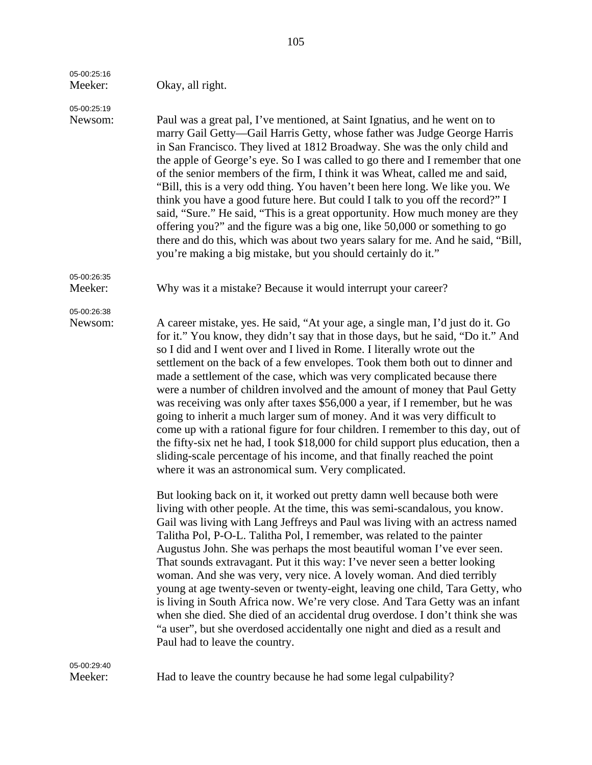| 05-00:25:16<br>Meeker: | Okay, all right.                                                                                                                                                                                                                                                                                                                                                                                                                                                                                                                                                                                                                                                                                                                                                                                                                                                                                                                                                   |
|------------------------|--------------------------------------------------------------------------------------------------------------------------------------------------------------------------------------------------------------------------------------------------------------------------------------------------------------------------------------------------------------------------------------------------------------------------------------------------------------------------------------------------------------------------------------------------------------------------------------------------------------------------------------------------------------------------------------------------------------------------------------------------------------------------------------------------------------------------------------------------------------------------------------------------------------------------------------------------------------------|
| 05-00:25:19<br>Newsom: | Paul was a great pal, I've mentioned, at Saint Ignatius, and he went on to<br>marry Gail Getty—Gail Harris Getty, whose father was Judge George Harris<br>in San Francisco. They lived at 1812 Broadway. She was the only child and<br>the apple of George's eye. So I was called to go there and I remember that one<br>of the senior members of the firm, I think it was Wheat, called me and said,<br>"Bill, this is a very odd thing. You haven't been here long. We like you. We<br>think you have a good future here. But could I talk to you off the record?" I<br>said, "Sure." He said, "This is a great opportunity. How much money are they<br>offering you?" and the figure was a big one, like 50,000 or something to go<br>there and do this, which was about two years salary for me. And he said, "Bill,<br>you're making a big mistake, but you should certainly do it."                                                                          |
| 05-00:26:35<br>Meeker: | Why was it a mistake? Because it would interrupt your career?                                                                                                                                                                                                                                                                                                                                                                                                                                                                                                                                                                                                                                                                                                                                                                                                                                                                                                      |
| 05-00:26:38<br>Newsom: | A career mistake, yes. He said, "At your age, a single man, I'd just do it. Go<br>for it." You know, they didn't say that in those days, but he said, "Do it." And<br>so I did and I went over and I lived in Rome. I literally wrote out the<br>settlement on the back of a few envelopes. Took them both out to dinner and<br>made a settlement of the case, which was very complicated because there<br>were a number of children involved and the amount of money that Paul Getty<br>was receiving was only after taxes \$56,000 a year, if I remember, but he was<br>going to inherit a much larger sum of money. And it was very difficult to<br>come up with a rational figure for four children. I remember to this day, out of<br>the fifty-six net he had, I took \$18,000 for child support plus education, then a<br>sliding-scale percentage of his income, and that finally reached the point<br>where it was an astronomical sum. Very complicated. |
|                        | But looking back on it, it worked out pretty damn well because both were<br>living with other people. At the time, this was semi-scandalous, you know.<br>Gail was living with Lang Jeffreys and Paul was living with an actress named<br>Talitha Pol, P-O-L. Talitha Pol, I remember, was related to the painter<br>Augustus John. She was perhaps the most beautiful woman I've ever seen.<br>That sounds extravagant. Put it this way: I've never seen a better looking<br>woman. And she was very, very nice. A lovely woman. And died terribly<br>young at age twenty-seven or twenty-eight, leaving one child, Tara Getty, who<br>is living in South Africa now. We're very close. And Tara Getty was an infant<br>when she died. She died of an accidental drug overdose. I don't think she was<br>"a user", but she overdosed accidentally one night and died as a result and<br>Paul had to leave the country.                                            |
| 05-00:29:40<br>Meeker: | Had to leave the country because he had some legal culpability?                                                                                                                                                                                                                                                                                                                                                                                                                                                                                                                                                                                                                                                                                                                                                                                                                                                                                                    |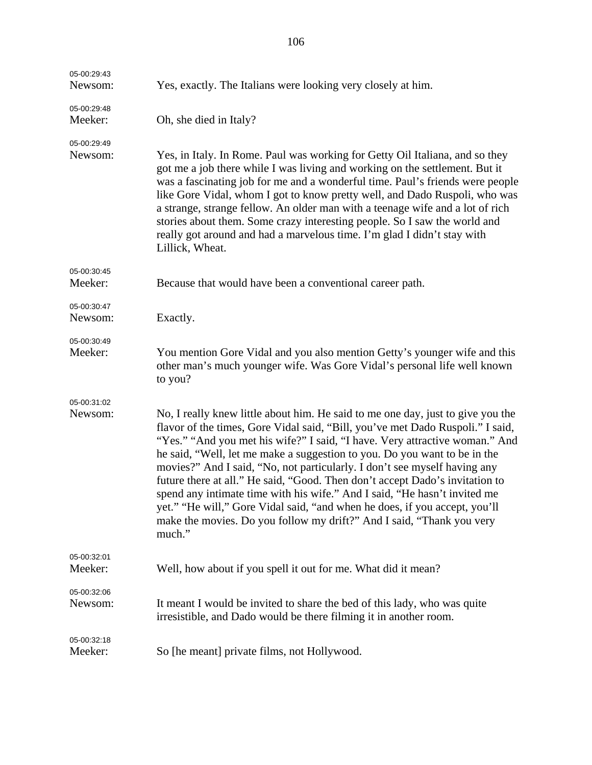| 05-00:29:43<br>Newsom: | Yes, exactly. The Italians were looking very closely at him.                                                                                                                                                                                                                                                                                                                                                                                                                                                                                                                                                                                                                                                                             |
|------------------------|------------------------------------------------------------------------------------------------------------------------------------------------------------------------------------------------------------------------------------------------------------------------------------------------------------------------------------------------------------------------------------------------------------------------------------------------------------------------------------------------------------------------------------------------------------------------------------------------------------------------------------------------------------------------------------------------------------------------------------------|
| 05-00:29:48<br>Meeker: | Oh, she died in Italy?                                                                                                                                                                                                                                                                                                                                                                                                                                                                                                                                                                                                                                                                                                                   |
| 05-00:29:49<br>Newsom: | Yes, in Italy. In Rome. Paul was working for Getty Oil Italiana, and so they<br>got me a job there while I was living and working on the settlement. But it<br>was a fascinating job for me and a wonderful time. Paul's friends were people<br>like Gore Vidal, whom I got to know pretty well, and Dado Ruspoli, who was<br>a strange, strange fellow. An older man with a teenage wife and a lot of rich<br>stories about them. Some crazy interesting people. So I saw the world and<br>really got around and had a marvelous time. I'm glad I didn't stay with<br>Lillick, Wheat.                                                                                                                                                   |
| 05-00:30:45<br>Meeker: | Because that would have been a conventional career path.                                                                                                                                                                                                                                                                                                                                                                                                                                                                                                                                                                                                                                                                                 |
| 05-00:30:47<br>Newsom: | Exactly.                                                                                                                                                                                                                                                                                                                                                                                                                                                                                                                                                                                                                                                                                                                                 |
| 05-00:30:49<br>Meeker: | You mention Gore Vidal and you also mention Getty's younger wife and this<br>other man's much younger wife. Was Gore Vidal's personal life well known<br>to you?                                                                                                                                                                                                                                                                                                                                                                                                                                                                                                                                                                         |
| 05-00:31:02<br>Newsom: | No, I really knew little about him. He said to me one day, just to give you the<br>flavor of the times, Gore Vidal said, "Bill, you've met Dado Ruspoli." I said,<br>"Yes." "And you met his wife?" I said, "I have. Very attractive woman." And<br>he said, "Well, let me make a suggestion to you. Do you want to be in the<br>movies?" And I said, "No, not particularly. I don't see myself having any<br>future there at all." He said, "Good. Then don't accept Dado's invitation to<br>spend any intimate time with his wife." And I said, "He hasn't invited me<br>yet." "He will," Gore Vidal said, "and when he does, if you accept, you'll<br>make the movies. Do you follow my drift?" And I said, "Thank you very<br>much." |
| 05-00:32:01<br>Meeker: | Well, how about if you spell it out for me. What did it mean?                                                                                                                                                                                                                                                                                                                                                                                                                                                                                                                                                                                                                                                                            |
| 05-00:32:06<br>Newsom: | It meant I would be invited to share the bed of this lady, who was quite<br>irresistible, and Dado would be there filming it in another room.                                                                                                                                                                                                                                                                                                                                                                                                                                                                                                                                                                                            |
| 05-00:32:18<br>Meeker: | So [he meant] private films, not Hollywood.                                                                                                                                                                                                                                                                                                                                                                                                                                                                                                                                                                                                                                                                                              |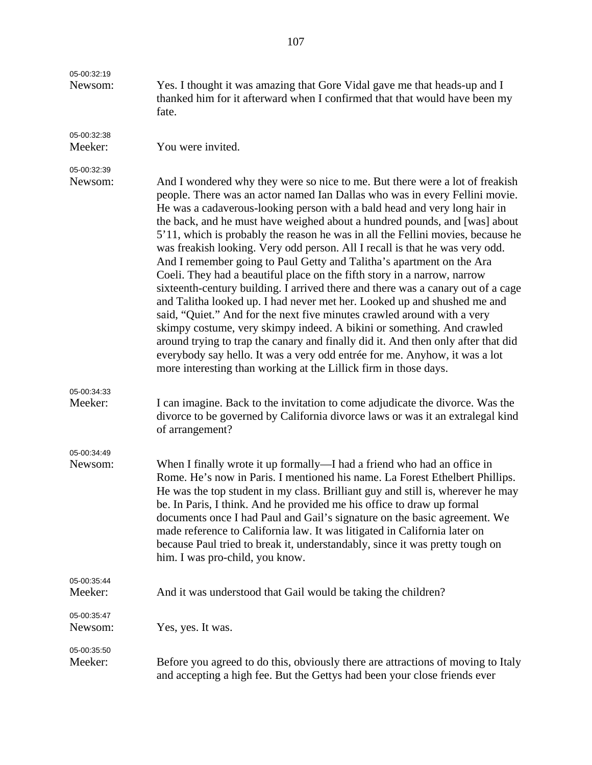| 05-00:32:19<br>Newsom: | Yes. I thought it was amazing that Gore Vidal gave me that heads-up and I<br>thanked him for it afterward when I confirmed that that would have been my<br>fate.                                                                                                                                                                                                                                                                                                                                                                                                                                                                                                                                                                                                                                                                                                                                                                                                                                                                                                                                                                                                                                           |
|------------------------|------------------------------------------------------------------------------------------------------------------------------------------------------------------------------------------------------------------------------------------------------------------------------------------------------------------------------------------------------------------------------------------------------------------------------------------------------------------------------------------------------------------------------------------------------------------------------------------------------------------------------------------------------------------------------------------------------------------------------------------------------------------------------------------------------------------------------------------------------------------------------------------------------------------------------------------------------------------------------------------------------------------------------------------------------------------------------------------------------------------------------------------------------------------------------------------------------------|
| 05-00:32:38<br>Meeker: | You were invited.                                                                                                                                                                                                                                                                                                                                                                                                                                                                                                                                                                                                                                                                                                                                                                                                                                                                                                                                                                                                                                                                                                                                                                                          |
| 05-00:32:39<br>Newsom: | And I wondered why they were so nice to me. But there were a lot of freakish<br>people. There was an actor named Ian Dallas who was in every Fellini movie.<br>He was a cadaverous-looking person with a bald head and very long hair in<br>the back, and he must have weighed about a hundred pounds, and [was] about<br>5'11, which is probably the reason he was in all the Fellini movies, because he<br>was freakish looking. Very odd person. All I recall is that he was very odd.<br>And I remember going to Paul Getty and Talitha's apartment on the Ara<br>Coeli. They had a beautiful place on the fifth story in a narrow, narrow<br>sixteenth-century building. I arrived there and there was a canary out of a cage<br>and Talitha looked up. I had never met her. Looked up and shushed me and<br>said, "Quiet." And for the next five minutes crawled around with a very<br>skimpy costume, very skimpy indeed. A bikini or something. And crawled<br>around trying to trap the canary and finally did it. And then only after that did<br>everybody say hello. It was a very odd entrée for me. Anyhow, it was a lot<br>more interesting than working at the Lillick firm in those days. |
| 05-00:34:33<br>Meeker: | I can imagine. Back to the invitation to come adjudicate the divorce. Was the<br>divorce to be governed by California divorce laws or was it an extralegal kind<br>of arrangement?                                                                                                                                                                                                                                                                                                                                                                                                                                                                                                                                                                                                                                                                                                                                                                                                                                                                                                                                                                                                                         |
| 05-00:34:49<br>Newsom: | When I finally wrote it up formally—I had a friend who had an office in<br>Rome. He's now in Paris. I mentioned his name. La Forest Ethelbert Phillips.<br>He was the top student in my class. Brilliant guy and still is, wherever he may<br>be. In Paris, I think. And he provided me his office to draw up formal<br>documents once I had Paul and Gail's signature on the basic agreement. We<br>made reference to California law. It was litigated in California later on<br>because Paul tried to break it, understandably, since it was pretty tough on<br>him. I was pro-child, you know.                                                                                                                                                                                                                                                                                                                                                                                                                                                                                                                                                                                                          |
| 05-00:35:44<br>Meeker: | And it was understood that Gail would be taking the children?                                                                                                                                                                                                                                                                                                                                                                                                                                                                                                                                                                                                                                                                                                                                                                                                                                                                                                                                                                                                                                                                                                                                              |
| 05-00:35:47<br>Newsom: | Yes, yes. It was.                                                                                                                                                                                                                                                                                                                                                                                                                                                                                                                                                                                                                                                                                                                                                                                                                                                                                                                                                                                                                                                                                                                                                                                          |
| 05-00:35:50<br>Meeker: | Before you agreed to do this, obviously there are attractions of moving to Italy<br>and accepting a high fee. But the Gettys had been your close friends ever                                                                                                                                                                                                                                                                                                                                                                                                                                                                                                                                                                                                                                                                                                                                                                                                                                                                                                                                                                                                                                              |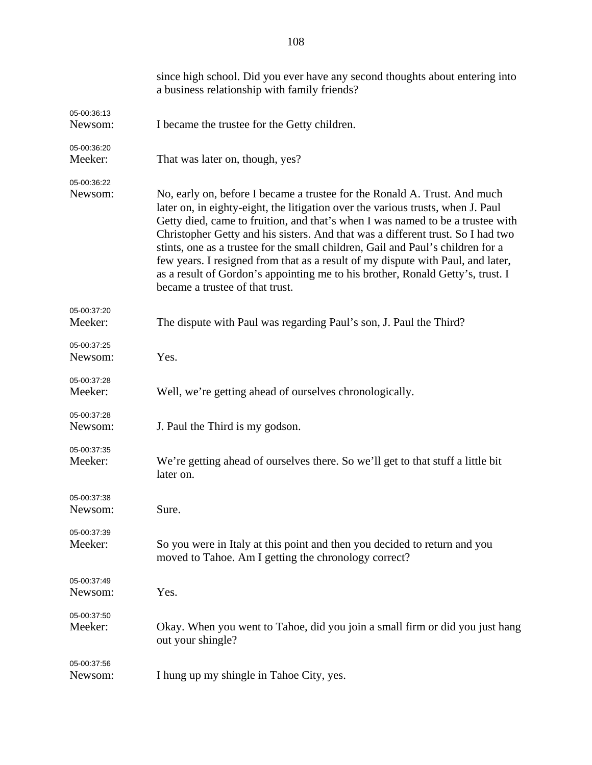|                        | since high school. Did you ever have any second thoughts about entering into<br>a business relationship with family friends?                                                                                                                                                                                                                                                                                                                                                                                                                                                                                                 |
|------------------------|------------------------------------------------------------------------------------------------------------------------------------------------------------------------------------------------------------------------------------------------------------------------------------------------------------------------------------------------------------------------------------------------------------------------------------------------------------------------------------------------------------------------------------------------------------------------------------------------------------------------------|
| 05-00:36:13            |                                                                                                                                                                                                                                                                                                                                                                                                                                                                                                                                                                                                                              |
| Newsom:                | I became the trustee for the Getty children.                                                                                                                                                                                                                                                                                                                                                                                                                                                                                                                                                                                 |
| 05-00:36:20<br>Meeker: | That was later on, though, yes?                                                                                                                                                                                                                                                                                                                                                                                                                                                                                                                                                                                              |
| 05-00:36:22<br>Newsom: | No, early on, before I became a trustee for the Ronald A. Trust. And much<br>later on, in eighty-eight, the litigation over the various trusts, when J. Paul<br>Getty died, came to fruition, and that's when I was named to be a trustee with<br>Christopher Getty and his sisters. And that was a different trust. So I had two<br>stints, one as a trustee for the small children, Gail and Paul's children for a<br>few years. I resigned from that as a result of my dispute with Paul, and later,<br>as a result of Gordon's appointing me to his brother, Ronald Getty's, trust. I<br>became a trustee of that trust. |
| 05-00:37:20<br>Meeker: | The dispute with Paul was regarding Paul's son, J. Paul the Third?                                                                                                                                                                                                                                                                                                                                                                                                                                                                                                                                                           |
| 05-00:37:25<br>Newsom: | Yes.                                                                                                                                                                                                                                                                                                                                                                                                                                                                                                                                                                                                                         |
| 05-00:37:28<br>Meeker: | Well, we're getting ahead of ourselves chronologically.                                                                                                                                                                                                                                                                                                                                                                                                                                                                                                                                                                      |
| 05-00:37:28<br>Newsom: | J. Paul the Third is my godson.                                                                                                                                                                                                                                                                                                                                                                                                                                                                                                                                                                                              |
| 05-00:37:35<br>Meeker: | We're getting ahead of ourselves there. So we'll get to that stuff a little bit<br>later on.                                                                                                                                                                                                                                                                                                                                                                                                                                                                                                                                 |
| 05-00:37:38<br>Newsom: | Sure.                                                                                                                                                                                                                                                                                                                                                                                                                                                                                                                                                                                                                        |
| 05-00:37:39<br>Meeker: | So you were in Italy at this point and then you decided to return and you<br>moved to Tahoe. Am I getting the chronology correct?                                                                                                                                                                                                                                                                                                                                                                                                                                                                                            |
| 05-00:37:49<br>Newsom: | Yes.                                                                                                                                                                                                                                                                                                                                                                                                                                                                                                                                                                                                                         |
| 05-00:37:50<br>Meeker: | Okay. When you went to Tahoe, did you join a small firm or did you just hang<br>out your shingle?                                                                                                                                                                                                                                                                                                                                                                                                                                                                                                                            |
| 05-00:37:56<br>Newsom: | I hung up my shingle in Tahoe City, yes.                                                                                                                                                                                                                                                                                                                                                                                                                                                                                                                                                                                     |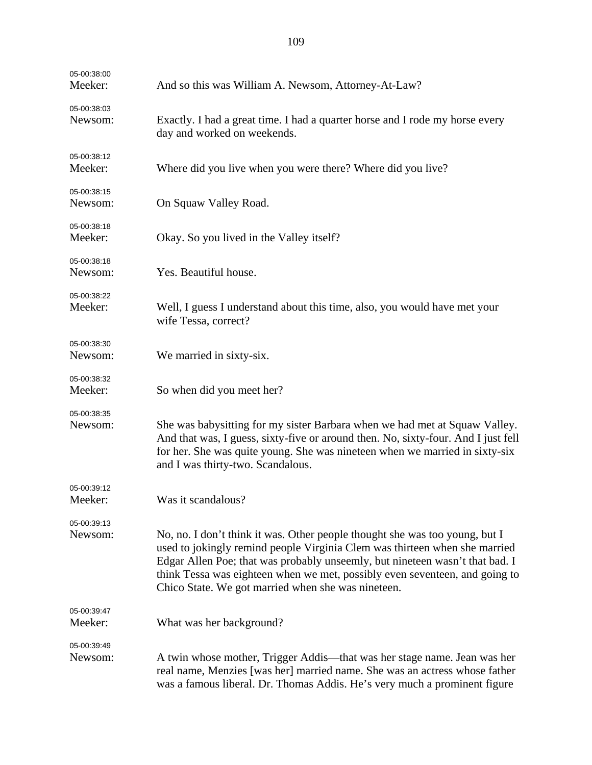| 05-00:38:00<br>Meeker: | And so this was William A. Newsom, Attorney-At-Law?                                                                                                                                                                                                                                                                                                                            |
|------------------------|--------------------------------------------------------------------------------------------------------------------------------------------------------------------------------------------------------------------------------------------------------------------------------------------------------------------------------------------------------------------------------|
| 05-00:38:03<br>Newsom: | Exactly. I had a great time. I had a quarter horse and I rode my horse every<br>day and worked on weekends.                                                                                                                                                                                                                                                                    |
| 05-00:38:12<br>Meeker: | Where did you live when you were there? Where did you live?                                                                                                                                                                                                                                                                                                                    |
| 05-00:38:15<br>Newsom: | On Squaw Valley Road.                                                                                                                                                                                                                                                                                                                                                          |
| 05-00:38:18<br>Meeker: | Okay. So you lived in the Valley itself?                                                                                                                                                                                                                                                                                                                                       |
| 05-00:38:18<br>Newsom: | Yes. Beautiful house.                                                                                                                                                                                                                                                                                                                                                          |
| 05-00:38:22<br>Meeker: | Well, I guess I understand about this time, also, you would have met your<br>wife Tessa, correct?                                                                                                                                                                                                                                                                              |
| 05-00:38:30<br>Newsom: | We married in sixty-six.                                                                                                                                                                                                                                                                                                                                                       |
| 05-00:38:32<br>Meeker: | So when did you meet her?                                                                                                                                                                                                                                                                                                                                                      |
| 05-00:38:35<br>Newsom: | She was babysitting for my sister Barbara when we had met at Squaw Valley.<br>And that was, I guess, sixty-five or around then. No, sixty-four. And I just fell<br>for her. She was quite young. She was nineteen when we married in sixty-six<br>and I was thirty-two. Scandalous.                                                                                            |
| 05-00:39:12<br>Meeker: | Was it scandalous?                                                                                                                                                                                                                                                                                                                                                             |
| 05-00:39:13<br>Newsom: | No, no. I don't think it was. Other people thought she was too young, but I<br>used to jokingly remind people Virginia Clem was thirteen when she married<br>Edgar Allen Poe; that was probably unseemly, but nineteen wasn't that bad. I<br>think Tessa was eighteen when we met, possibly even seventeen, and going to<br>Chico State. We got married when she was nineteen. |
| 05-00:39:47<br>Meeker: | What was her background?                                                                                                                                                                                                                                                                                                                                                       |
|                        |                                                                                                                                                                                                                                                                                                                                                                                |
| 05-00:39:49<br>Newsom: | A twin whose mother, Trigger Addis—that was her stage name. Jean was her<br>real name, Menzies [was her] married name. She was an actress whose father<br>was a famous liberal. Dr. Thomas Addis. He's very much a prominent figure                                                                                                                                            |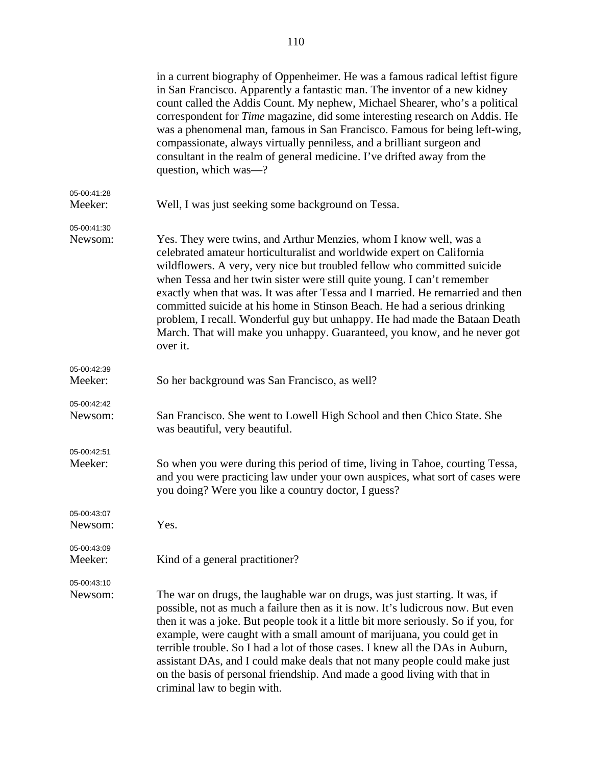|                        | in a current biography of Oppenheimer. He was a famous radical leftist figure<br>in San Francisco. Apparently a fantastic man. The inventor of a new kidney<br>count called the Addis Count. My nephew, Michael Shearer, who's a political<br>correspondent for <i>Time</i> magazine, did some interesting research on Addis. He<br>was a phenomenal man, famous in San Francisco. Famous for being left-wing,<br>compassionate, always virtually penniless, and a brilliant surgeon and<br>consultant in the realm of general medicine. I've drifted away from the<br>question, which was—?                                             |
|------------------------|------------------------------------------------------------------------------------------------------------------------------------------------------------------------------------------------------------------------------------------------------------------------------------------------------------------------------------------------------------------------------------------------------------------------------------------------------------------------------------------------------------------------------------------------------------------------------------------------------------------------------------------|
| 05-00:41:28<br>Meeker: | Well, I was just seeking some background on Tessa.                                                                                                                                                                                                                                                                                                                                                                                                                                                                                                                                                                                       |
| 05-00:41:30<br>Newsom: | Yes. They were twins, and Arthur Menzies, whom I know well, was a<br>celebrated amateur horticulturalist and worldwide expert on California<br>wildflowers. A very, very nice but troubled fellow who committed suicide<br>when Tessa and her twin sister were still quite young. I can't remember<br>exactly when that was. It was after Tessa and I married. He remarried and then<br>committed suicide at his home in Stinson Beach. He had a serious drinking<br>problem, I recall. Wonderful guy but unhappy. He had made the Bataan Death<br>March. That will make you unhappy. Guaranteed, you know, and he never got<br>over it. |
| 05-00:42:39<br>Meeker: | So her background was San Francisco, as well?                                                                                                                                                                                                                                                                                                                                                                                                                                                                                                                                                                                            |
| 05-00:42:42<br>Newsom: | San Francisco. She went to Lowell High School and then Chico State. She<br>was beautiful, very beautiful.                                                                                                                                                                                                                                                                                                                                                                                                                                                                                                                                |
| 05-00:42:51<br>Meeker: | So when you were during this period of time, living in Tahoe, courting Tessa,<br>and you were practicing law under your own auspices, what sort of cases were<br>you doing? Were you like a country doctor, I guess?                                                                                                                                                                                                                                                                                                                                                                                                                     |
| 05-00:43:07<br>Newsom: | Yes.                                                                                                                                                                                                                                                                                                                                                                                                                                                                                                                                                                                                                                     |
| 05-00:43:09<br>Meeker: | Kind of a general practitioner?                                                                                                                                                                                                                                                                                                                                                                                                                                                                                                                                                                                                          |
| 05-00:43:10            |                                                                                                                                                                                                                                                                                                                                                                                                                                                                                                                                                                                                                                          |
| Newsom:                | The war on drugs, the laughable war on drugs, was just starting. It was, if<br>possible, not as much a failure then as it is now. It's ludicrous now. But even<br>then it was a joke. But people took it a little bit more seriously. So if you, for<br>example, were caught with a small amount of marijuana, you could get in<br>terrible trouble. So I had a lot of those cases. I knew all the DAs in Auburn,<br>assistant DAs, and I could make deals that not many people could make just<br>on the basis of personal friendship. And made a good living with that in<br>criminal law to begin with.                               |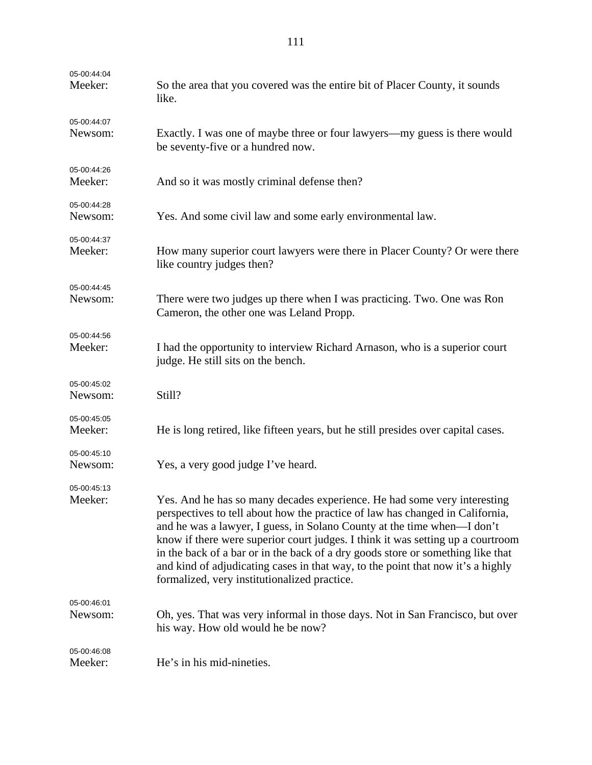| 05-00:44:04<br>Meeker: | So the area that you covered was the entire bit of Placer County, it sounds<br>like.                                                                                                                                                                                                                                                                                                                                                                                                                                                          |
|------------------------|-----------------------------------------------------------------------------------------------------------------------------------------------------------------------------------------------------------------------------------------------------------------------------------------------------------------------------------------------------------------------------------------------------------------------------------------------------------------------------------------------------------------------------------------------|
| 05-00:44:07<br>Newsom: | Exactly. I was one of maybe three or four lawyers—my guess is there would<br>be seventy-five or a hundred now.                                                                                                                                                                                                                                                                                                                                                                                                                                |
| 05-00:44:26<br>Meeker: | And so it was mostly criminal defense then?                                                                                                                                                                                                                                                                                                                                                                                                                                                                                                   |
| 05-00:44:28<br>Newsom: | Yes. And some civil law and some early environmental law.                                                                                                                                                                                                                                                                                                                                                                                                                                                                                     |
| 05-00:44:37<br>Meeker: | How many superior court lawyers were there in Placer County? Or were there<br>like country judges then?                                                                                                                                                                                                                                                                                                                                                                                                                                       |
| 05-00:44:45<br>Newsom: | There were two judges up there when I was practicing. Two. One was Ron<br>Cameron, the other one was Leland Propp.                                                                                                                                                                                                                                                                                                                                                                                                                            |
| 05-00:44:56<br>Meeker: | I had the opportunity to interview Richard Arnason, who is a superior court<br>judge. He still sits on the bench.                                                                                                                                                                                                                                                                                                                                                                                                                             |
| 05-00:45:02<br>Newsom: | Still?                                                                                                                                                                                                                                                                                                                                                                                                                                                                                                                                        |
| 05-00:45:05<br>Meeker: | He is long retired, like fifteen years, but he still presides over capital cases.                                                                                                                                                                                                                                                                                                                                                                                                                                                             |
| 05-00:45:10<br>Newsom: | Yes, a very good judge I've heard.                                                                                                                                                                                                                                                                                                                                                                                                                                                                                                            |
| 05-00:45:13<br>Meeker: | Yes. And he has so many decades experience. He had some very interesting<br>perspectives to tell about how the practice of law has changed in California,<br>and he was a lawyer, I guess, in Solano County at the time when—I don't<br>know if there were superior court judges. I think it was setting up a courtroom<br>in the back of a bar or in the back of a dry goods store or something like that<br>and kind of adjudicating cases in that way, to the point that now it's a highly<br>formalized, very institutionalized practice. |
| 05-00:46:01<br>Newsom: | Oh, yes. That was very informal in those days. Not in San Francisco, but over<br>his way. How old would he be now?                                                                                                                                                                                                                                                                                                                                                                                                                            |
| 05-00:46:08<br>Meeker: | He's in his mid-nineties.                                                                                                                                                                                                                                                                                                                                                                                                                                                                                                                     |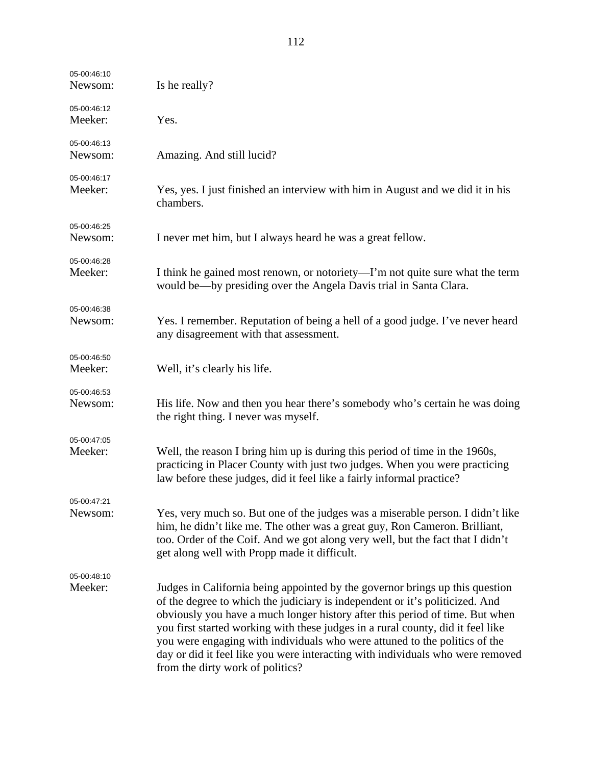| 05-00:46:10 |                                                                                                                                                                                                                                                                                                                                                                                                                                                                                                                                     |
|-------------|-------------------------------------------------------------------------------------------------------------------------------------------------------------------------------------------------------------------------------------------------------------------------------------------------------------------------------------------------------------------------------------------------------------------------------------------------------------------------------------------------------------------------------------|
| Newsom:     | Is he really?                                                                                                                                                                                                                                                                                                                                                                                                                                                                                                                       |
| 05-00:46:12 |                                                                                                                                                                                                                                                                                                                                                                                                                                                                                                                                     |
| Meeker:     | Yes.                                                                                                                                                                                                                                                                                                                                                                                                                                                                                                                                |
| 05-00:46:13 |                                                                                                                                                                                                                                                                                                                                                                                                                                                                                                                                     |
| Newsom:     | Amazing. And still lucid?                                                                                                                                                                                                                                                                                                                                                                                                                                                                                                           |
| 05-00:46:17 |                                                                                                                                                                                                                                                                                                                                                                                                                                                                                                                                     |
| Meeker:     | Yes, yes. I just finished an interview with him in August and we did it in his<br>chambers.                                                                                                                                                                                                                                                                                                                                                                                                                                         |
| 05-00:46:25 |                                                                                                                                                                                                                                                                                                                                                                                                                                                                                                                                     |
| Newsom:     | I never met him, but I always heard he was a great fellow.                                                                                                                                                                                                                                                                                                                                                                                                                                                                          |
| 05-00:46:28 |                                                                                                                                                                                                                                                                                                                                                                                                                                                                                                                                     |
| Meeker:     | I think he gained most renown, or notoriety—I'm not quite sure what the term<br>would be—by presiding over the Angela Davis trial in Santa Clara.                                                                                                                                                                                                                                                                                                                                                                                   |
| 05-00:46:38 |                                                                                                                                                                                                                                                                                                                                                                                                                                                                                                                                     |
| Newsom:     | Yes. I remember. Reputation of being a hell of a good judge. I've never heard<br>any disagreement with that assessment.                                                                                                                                                                                                                                                                                                                                                                                                             |
| 05-00:46:50 |                                                                                                                                                                                                                                                                                                                                                                                                                                                                                                                                     |
| Meeker:     | Well, it's clearly his life.                                                                                                                                                                                                                                                                                                                                                                                                                                                                                                        |
| 05-00:46:53 |                                                                                                                                                                                                                                                                                                                                                                                                                                                                                                                                     |
| Newsom:     | His life. Now and then you hear there's somebody who's certain he was doing<br>the right thing. I never was myself.                                                                                                                                                                                                                                                                                                                                                                                                                 |
| 05-00:47:05 |                                                                                                                                                                                                                                                                                                                                                                                                                                                                                                                                     |
| Meeker:     | Well, the reason I bring him up is during this period of time in the 1960s,<br>practicing in Placer County with just two judges. When you were practicing<br>law before these judges, did it feel like a fairly informal practice?                                                                                                                                                                                                                                                                                                  |
| 05-00:47:21 |                                                                                                                                                                                                                                                                                                                                                                                                                                                                                                                                     |
| Newsom:     | Yes, very much so. But one of the judges was a miserable person. I didn't like<br>him, he didn't like me. The other was a great guy, Ron Cameron. Brilliant,<br>too. Order of the Coif. And we got along very well, but the fact that I didn't<br>get along well with Propp made it difficult.                                                                                                                                                                                                                                      |
| 05-00:48:10 |                                                                                                                                                                                                                                                                                                                                                                                                                                                                                                                                     |
| Meeker:     | Judges in California being appointed by the governor brings up this question<br>of the degree to which the judiciary is independent or it's politicized. And<br>obviously you have a much longer history after this period of time. But when<br>you first started working with these judges in a rural county, did it feel like<br>you were engaging with individuals who were attuned to the politics of the<br>day or did it feel like you were interacting with individuals who were removed<br>from the dirty work of politics? |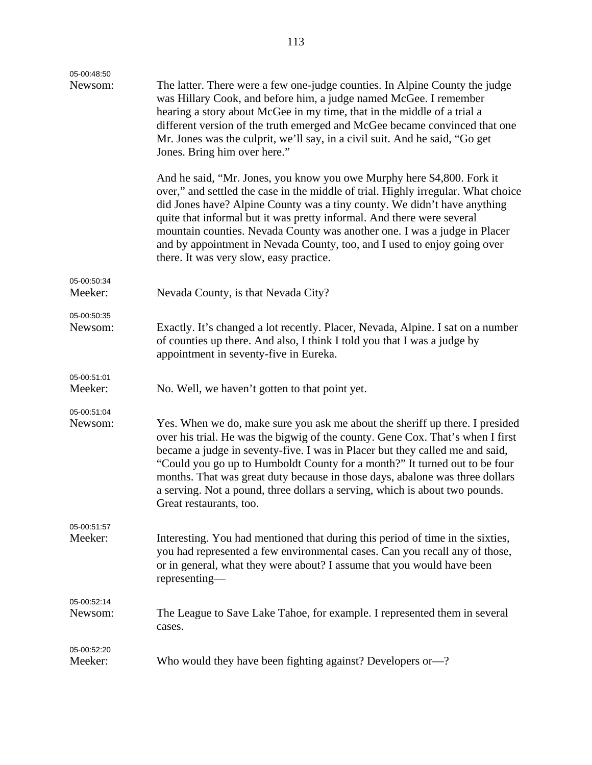| 05-00:48:50<br>Newsom: | The latter. There were a few one-judge counties. In Alpine County the judge<br>was Hillary Cook, and before him, a judge named McGee. I remember<br>hearing a story about McGee in my time, that in the middle of a trial a<br>different version of the truth emerged and McGee became convinced that one<br>Mr. Jones was the culprit, we'll say, in a civil suit. And he said, "Go get<br>Jones. Bring him over here."                                                                                               |
|------------------------|------------------------------------------------------------------------------------------------------------------------------------------------------------------------------------------------------------------------------------------------------------------------------------------------------------------------------------------------------------------------------------------------------------------------------------------------------------------------------------------------------------------------|
|                        | And he said, "Mr. Jones, you know you owe Murphy here \$4,800. Fork it<br>over," and settled the case in the middle of trial. Highly irregular. What choice<br>did Jones have? Alpine County was a tiny county. We didn't have anything<br>quite that informal but it was pretty informal. And there were several<br>mountain counties. Nevada County was another one. I was a judge in Placer<br>and by appointment in Nevada County, too, and I used to enjoy going over<br>there. It was very slow, easy practice.  |
| 05-00:50:34<br>Meeker: | Nevada County, is that Nevada City?                                                                                                                                                                                                                                                                                                                                                                                                                                                                                    |
| 05-00:50:35<br>Newsom: | Exactly. It's changed a lot recently. Placer, Nevada, Alpine. I sat on a number<br>of counties up there. And also, I think I told you that I was a judge by<br>appointment in seventy-five in Eureka.                                                                                                                                                                                                                                                                                                                  |
| 05-00:51:01<br>Meeker: | No. Well, we haven't gotten to that point yet.                                                                                                                                                                                                                                                                                                                                                                                                                                                                         |
| 05-00:51:04<br>Newsom: | Yes. When we do, make sure you ask me about the sheriff up there. I presided<br>over his trial. He was the bigwig of the county. Gene Cox. That's when I first<br>became a judge in seventy-five. I was in Placer but they called me and said,<br>"Could you go up to Humboldt County for a month?" It turned out to be four<br>months. That was great duty because in those days, abalone was three dollars<br>a serving. Not a pound, three dollars a serving, which is about two pounds.<br>Great restaurants, too. |
| 05-00:51:57<br>Meeker: | Interesting. You had mentioned that during this period of time in the sixties,<br>you had represented a few environmental cases. Can you recall any of those,<br>or in general, what they were about? I assume that you would have been<br>representing-                                                                                                                                                                                                                                                               |
| 05-00:52:14<br>Newsom: | The League to Save Lake Tahoe, for example. I represented them in several<br>cases.                                                                                                                                                                                                                                                                                                                                                                                                                                    |
| 05-00:52:20<br>Meeker: | Who would they have been fighting against? Developers or—?                                                                                                                                                                                                                                                                                                                                                                                                                                                             |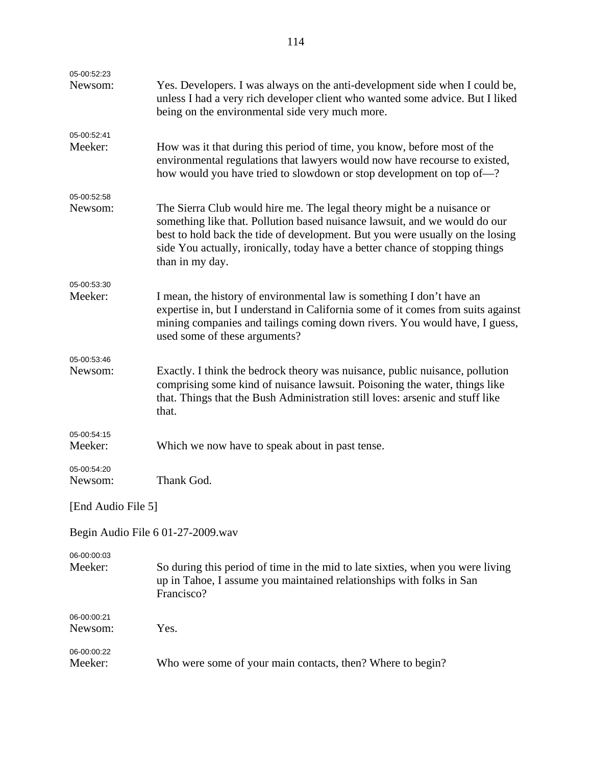| 05-00:52:23            |                                                                                                                                                                                                                                                                                                                                          |  |
|------------------------|------------------------------------------------------------------------------------------------------------------------------------------------------------------------------------------------------------------------------------------------------------------------------------------------------------------------------------------|--|
| Newsom:                | Yes. Developers. I was always on the anti-development side when I could be,<br>unless I had a very rich developer client who wanted some advice. But I liked<br>being on the environmental side very much more.                                                                                                                          |  |
| 05-00:52:41            |                                                                                                                                                                                                                                                                                                                                          |  |
| Meeker:                | How was it that during this period of time, you know, before most of the<br>environmental regulations that lawyers would now have recourse to existed,<br>how would you have tried to slowdown or stop development on top of—?                                                                                                           |  |
| 05-00:52:58            |                                                                                                                                                                                                                                                                                                                                          |  |
| Newsom:                | The Sierra Club would hire me. The legal theory might be a nuisance or<br>something like that. Pollution based nuisance lawsuit, and we would do our<br>best to hold back the tide of development. But you were usually on the losing<br>side You actually, ironically, today have a better chance of stopping things<br>than in my day. |  |
| 05-00:53:30            |                                                                                                                                                                                                                                                                                                                                          |  |
| Meeker:                | I mean, the history of environmental law is something I don't have an<br>expertise in, but I understand in California some of it comes from suits against<br>mining companies and tailings coming down rivers. You would have, I guess,<br>used some of these arguments?                                                                 |  |
| 05-00:53:46            |                                                                                                                                                                                                                                                                                                                                          |  |
| Newsom:                | Exactly. I think the bedrock theory was nuisance, public nuisance, pollution<br>comprising some kind of nuisance lawsuit. Poisoning the water, things like<br>that. Things that the Bush Administration still loves: arsenic and stuff like<br>that.                                                                                     |  |
| 05-00:54:15            |                                                                                                                                                                                                                                                                                                                                          |  |
| Meeker:                | Which we now have to speak about in past tense.                                                                                                                                                                                                                                                                                          |  |
|                        |                                                                                                                                                                                                                                                                                                                                          |  |
| 05-00:54:20<br>Newsom: | Thank God.                                                                                                                                                                                                                                                                                                                               |  |
| [End Audio File 5]     |                                                                                                                                                                                                                                                                                                                                          |  |
|                        | Begin Audio File 6 01-27-2009.wav                                                                                                                                                                                                                                                                                                        |  |
| 06-00:00:03            |                                                                                                                                                                                                                                                                                                                                          |  |
| Meeker:                | So during this period of time in the mid to late sixties, when you were living<br>up in Tahoe, I assume you maintained relationships with folks in San<br>Francisco?                                                                                                                                                                     |  |
| 06-00:00:21            |                                                                                                                                                                                                                                                                                                                                          |  |
| Newsom:                | Yes.                                                                                                                                                                                                                                                                                                                                     |  |
| 06-00:00:22            |                                                                                                                                                                                                                                                                                                                                          |  |
| Meeker:                | Who were some of your main contacts, then? Where to begin?                                                                                                                                                                                                                                                                               |  |
|                        |                                                                                                                                                                                                                                                                                                                                          |  |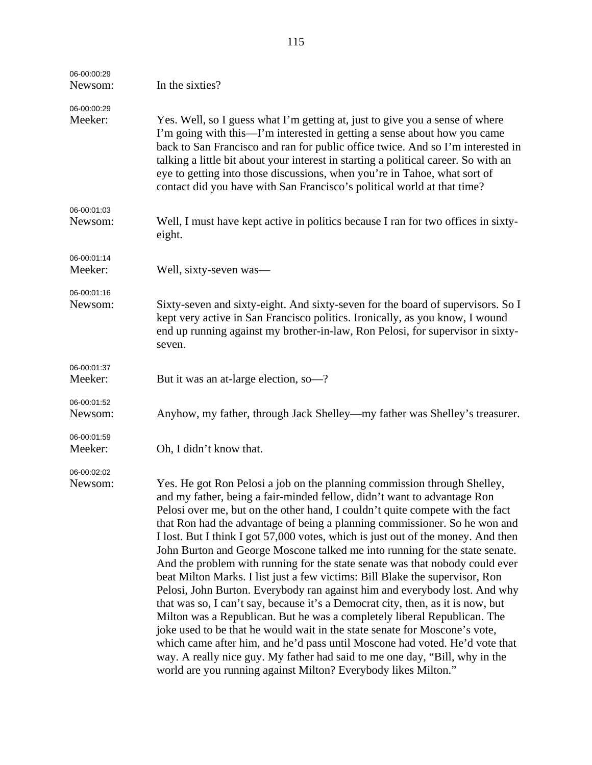| 06-00:00:29<br>Newsom: | In the sixties?                                                                                                                                                                                                                                                                                                                                                                                                                                                                                                                                                                                                                                                                                                                                                                                                                                                                                                                                                                                                                                                                                                                                                                                                  |
|------------------------|------------------------------------------------------------------------------------------------------------------------------------------------------------------------------------------------------------------------------------------------------------------------------------------------------------------------------------------------------------------------------------------------------------------------------------------------------------------------------------------------------------------------------------------------------------------------------------------------------------------------------------------------------------------------------------------------------------------------------------------------------------------------------------------------------------------------------------------------------------------------------------------------------------------------------------------------------------------------------------------------------------------------------------------------------------------------------------------------------------------------------------------------------------------------------------------------------------------|
| 06-00:00:29<br>Meeker: | Yes. Well, so I guess what I'm getting at, just to give you a sense of where<br>I'm going with this—I'm interested in getting a sense about how you came<br>back to San Francisco and ran for public office twice. And so I'm interested in<br>talking a little bit about your interest in starting a political career. So with an<br>eye to getting into those discussions, when you're in Tahoe, what sort of<br>contact did you have with San Francisco's political world at that time?                                                                                                                                                                                                                                                                                                                                                                                                                                                                                                                                                                                                                                                                                                                       |
| 06-00:01:03<br>Newsom: | Well, I must have kept active in politics because I ran for two offices in sixty-<br>eight.                                                                                                                                                                                                                                                                                                                                                                                                                                                                                                                                                                                                                                                                                                                                                                                                                                                                                                                                                                                                                                                                                                                      |
| 06-00:01:14<br>Meeker: | Well, sixty-seven was—                                                                                                                                                                                                                                                                                                                                                                                                                                                                                                                                                                                                                                                                                                                                                                                                                                                                                                                                                                                                                                                                                                                                                                                           |
| 06-00:01:16<br>Newsom: | Sixty-seven and sixty-eight. And sixty-seven for the board of supervisors. So I<br>kept very active in San Francisco politics. Ironically, as you know, I wound<br>end up running against my brother-in-law, Ron Pelosi, for supervisor in sixty-<br>seven.                                                                                                                                                                                                                                                                                                                                                                                                                                                                                                                                                                                                                                                                                                                                                                                                                                                                                                                                                      |
| 06-00:01:37<br>Meeker: | But it was an at-large election, so-?                                                                                                                                                                                                                                                                                                                                                                                                                                                                                                                                                                                                                                                                                                                                                                                                                                                                                                                                                                                                                                                                                                                                                                            |
| 06-00:01:52<br>Newsom: | Anyhow, my father, through Jack Shelley—my father was Shelley's treasurer.                                                                                                                                                                                                                                                                                                                                                                                                                                                                                                                                                                                                                                                                                                                                                                                                                                                                                                                                                                                                                                                                                                                                       |
| 06-00:01:59<br>Meeker: | Oh, I didn't know that.                                                                                                                                                                                                                                                                                                                                                                                                                                                                                                                                                                                                                                                                                                                                                                                                                                                                                                                                                                                                                                                                                                                                                                                          |
| 06-00:02:02<br>Newsom: | Yes. He got Ron Pelosi a job on the planning commission through Shelley,<br>and my father, being a fair-minded fellow, didn't want to advantage Ron<br>Pelosi over me, but on the other hand, I couldn't quite compete with the fact<br>that Ron had the advantage of being a planning commissioner. So he won and<br>I lost. But I think I got 57,000 votes, which is just out of the money. And then<br>John Burton and George Moscone talked me into running for the state senate.<br>And the problem with running for the state senate was that nobody could ever<br>beat Milton Marks. I list just a few victims: Bill Blake the supervisor, Ron<br>Pelosi, John Burton. Everybody ran against him and everybody lost. And why<br>that was so, I can't say, because it's a Democrat city, then, as it is now, but<br>Milton was a Republican. But he was a completely liberal Republican. The<br>joke used to be that he would wait in the state senate for Moscone's vote,<br>which came after him, and he'd pass until Moscone had voted. He'd vote that<br>way. A really nice guy. My father had said to me one day, "Bill, why in the<br>world are you running against Milton? Everybody likes Milton." |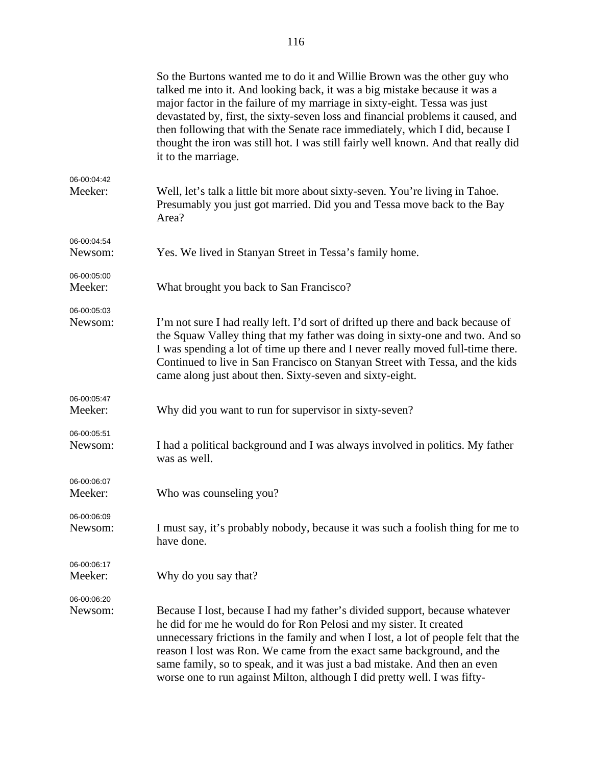|                        | So the Burtons wanted me to do it and Willie Brown was the other guy who<br>talked me into it. And looking back, it was a big mistake because it was a<br>major factor in the failure of my marriage in sixty-eight. Tessa was just<br>devastated by, first, the sixty-seven loss and financial problems it caused, and<br>then following that with the Senate race immediately, which I did, because I<br>thought the iron was still hot. I was still fairly well known. And that really did<br>it to the marriage. |
|------------------------|----------------------------------------------------------------------------------------------------------------------------------------------------------------------------------------------------------------------------------------------------------------------------------------------------------------------------------------------------------------------------------------------------------------------------------------------------------------------------------------------------------------------|
| 06-00:04:42<br>Meeker: | Well, let's talk a little bit more about sixty-seven. You're living in Tahoe.<br>Presumably you just got married. Did you and Tessa move back to the Bay<br>Area?                                                                                                                                                                                                                                                                                                                                                    |
| 06-00:04:54<br>Newsom: | Yes. We lived in Stanyan Street in Tessa's family home.                                                                                                                                                                                                                                                                                                                                                                                                                                                              |
| 06-00:05:00<br>Meeker: | What brought you back to San Francisco?                                                                                                                                                                                                                                                                                                                                                                                                                                                                              |
| 06-00:05:03<br>Newsom: | I'm not sure I had really left. I'd sort of drifted up there and back because of<br>the Squaw Valley thing that my father was doing in sixty-one and two. And so<br>I was spending a lot of time up there and I never really moved full-time there.<br>Continued to live in San Francisco on Stanyan Street with Tessa, and the kids<br>came along just about then. Sixty-seven and sixty-eight.                                                                                                                     |
| 06-00:05:47<br>Meeker: | Why did you want to run for supervisor in sixty-seven?                                                                                                                                                                                                                                                                                                                                                                                                                                                               |
| 06-00:05:51<br>Newsom: | I had a political background and I was always involved in politics. My father<br>was as well.                                                                                                                                                                                                                                                                                                                                                                                                                        |
| 06-00:06:07<br>Meeker: | Who was counseling you?                                                                                                                                                                                                                                                                                                                                                                                                                                                                                              |
| 06-00:06:09<br>Newsom: | I must say, it's probably nobody, because it was such a foolish thing for me to<br>have done.                                                                                                                                                                                                                                                                                                                                                                                                                        |
| 06-00:06:17<br>Meeker: | Why do you say that?                                                                                                                                                                                                                                                                                                                                                                                                                                                                                                 |
| 06-00:06:20<br>Newsom: | Because I lost, because I had my father's divided support, because whatever<br>he did for me he would do for Ron Pelosi and my sister. It created<br>unnecessary frictions in the family and when I lost, a lot of people felt that the<br>reason I lost was Ron. We came from the exact same background, and the<br>same family, so to speak, and it was just a bad mistake. And then an even<br>worse one to run against Milton, although I did pretty well. I was fifty-                                          |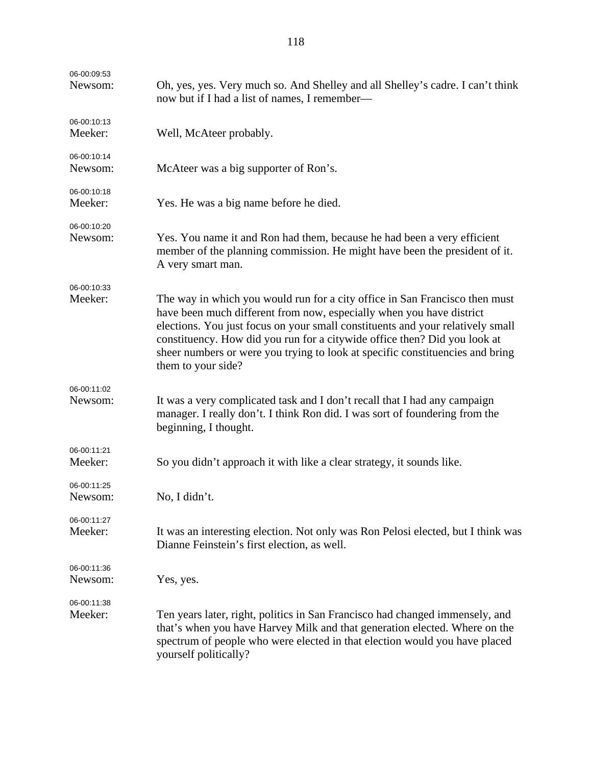| 06-00:09:53<br>Newsom: | Oh, yes, yes. Very much so. And Shelley and all Shelley's cadre. I can't think<br>now but if I had a list of names, I remember—                                                                                                                                                                                                                                                                                           |
|------------------------|---------------------------------------------------------------------------------------------------------------------------------------------------------------------------------------------------------------------------------------------------------------------------------------------------------------------------------------------------------------------------------------------------------------------------|
| 06-00:10:13<br>Meeker: | Well, McAteer probably.                                                                                                                                                                                                                                                                                                                                                                                                   |
| 06-00:10:14<br>Newsom: | McAteer was a big supporter of Ron's.                                                                                                                                                                                                                                                                                                                                                                                     |
| 06-00:10:18<br>Meeker: | Yes. He was a big name before he died.                                                                                                                                                                                                                                                                                                                                                                                    |
| 06-00:10:20<br>Newsom: | Yes. You name it and Ron had them, because he had been a very efficient<br>member of the planning commission. He might have been the president of it.<br>A very smart man.                                                                                                                                                                                                                                                |
| 06-00:10:33<br>Meeker: | The way in which you would run for a city office in San Francisco then must<br>have been much different from now, especially when you have district<br>elections. You just focus on your small constituents and your relatively small<br>constituency. How did you run for a citywide office then? Did you look at<br>sheer numbers or were you trying to look at specific constituencies and bring<br>them to your side? |
| 06-00:11:02<br>Newsom: | It was a very complicated task and I don't recall that I had any campaign<br>manager. I really don't. I think Ron did. I was sort of foundering from the<br>beginning, I thought.                                                                                                                                                                                                                                         |
| 06-00:11:21<br>Meeker: | So you didn't approach it with like a clear strategy, it sounds like.                                                                                                                                                                                                                                                                                                                                                     |
| 06-00:11:25<br>Newsom: | No, I didn't.                                                                                                                                                                                                                                                                                                                                                                                                             |
| 06-00:11:27<br>Meeker: | It was an interesting election. Not only was Ron Pelosi elected, but I think was<br>Dianne Feinstein's first election, as well.                                                                                                                                                                                                                                                                                           |
| 06-00:11:36<br>Newsom: | Yes, yes.                                                                                                                                                                                                                                                                                                                                                                                                                 |
| 06-00:11:38<br>Meeker: | Ten years later, right, politics in San Francisco had changed immensely, and<br>that's when you have Harvey Milk and that generation elected. Where on the<br>spectrum of people who were elected in that election would you have placed<br>yourself politically?                                                                                                                                                         |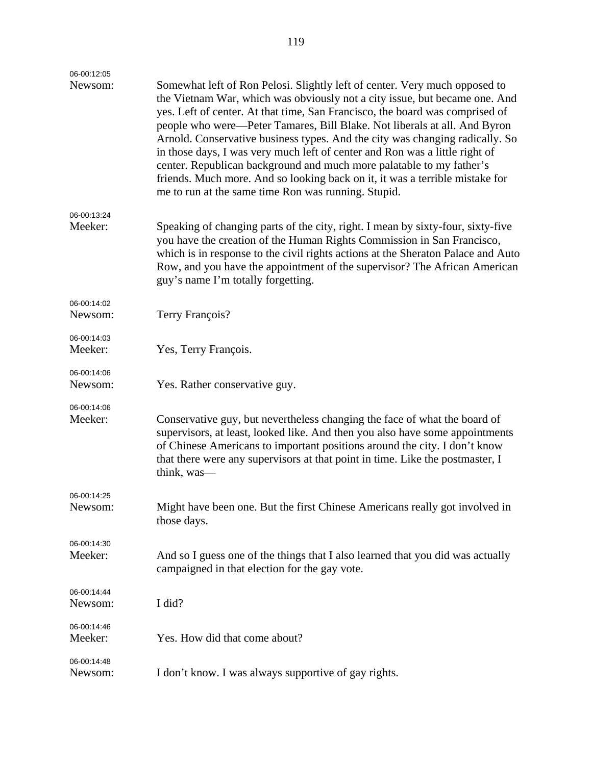| 06-00:12:05 |                                                                                                                                                                                                                                                                                                                                                                                                                                                                                                                                                                                                                                                                                                     |
|-------------|-----------------------------------------------------------------------------------------------------------------------------------------------------------------------------------------------------------------------------------------------------------------------------------------------------------------------------------------------------------------------------------------------------------------------------------------------------------------------------------------------------------------------------------------------------------------------------------------------------------------------------------------------------------------------------------------------------|
| Newsom:     | Somewhat left of Ron Pelosi. Slightly left of center. Very much opposed to<br>the Vietnam War, which was obviously not a city issue, but became one. And<br>yes. Left of center. At that time, San Francisco, the board was comprised of<br>people who were—Peter Tamares, Bill Blake. Not liberals at all. And Byron<br>Arnold. Conservative business types. And the city was changing radically. So<br>in those days, I was very much left of center and Ron was a little right of<br>center. Republican background and much more palatable to my father's<br>friends. Much more. And so looking back on it, it was a terrible mistake for<br>me to run at the same time Ron was running. Stupid. |
| 06-00:13:24 |                                                                                                                                                                                                                                                                                                                                                                                                                                                                                                                                                                                                                                                                                                     |
| Meeker:     | Speaking of changing parts of the city, right. I mean by sixty-four, sixty-five<br>you have the creation of the Human Rights Commission in San Francisco,<br>which is in response to the civil rights actions at the Sheraton Palace and Auto<br>Row, and you have the appointment of the supervisor? The African American<br>guy's name I'm totally forgetting.                                                                                                                                                                                                                                                                                                                                    |
| 06-00:14:02 |                                                                                                                                                                                                                                                                                                                                                                                                                                                                                                                                                                                                                                                                                                     |
| Newsom:     | Terry François?                                                                                                                                                                                                                                                                                                                                                                                                                                                                                                                                                                                                                                                                                     |
| 06-00:14:03 |                                                                                                                                                                                                                                                                                                                                                                                                                                                                                                                                                                                                                                                                                                     |
| Meeker:     | Yes, Terry François.                                                                                                                                                                                                                                                                                                                                                                                                                                                                                                                                                                                                                                                                                |
| 06-00:14:06 |                                                                                                                                                                                                                                                                                                                                                                                                                                                                                                                                                                                                                                                                                                     |
| Newsom:     | Yes. Rather conservative guy.                                                                                                                                                                                                                                                                                                                                                                                                                                                                                                                                                                                                                                                                       |
| 06-00:14:06 |                                                                                                                                                                                                                                                                                                                                                                                                                                                                                                                                                                                                                                                                                                     |
| Meeker:     | Conservative guy, but nevertheless changing the face of what the board of<br>supervisors, at least, looked like. And then you also have some appointments<br>of Chinese Americans to important positions around the city. I don't know<br>that there were any supervisors at that point in time. Like the postmaster, I<br>think, was-                                                                                                                                                                                                                                                                                                                                                              |
| 06-00:14:25 |                                                                                                                                                                                                                                                                                                                                                                                                                                                                                                                                                                                                                                                                                                     |
| Newsom:     | Might have been one. But the first Chinese Americans really got involved in<br>those days.                                                                                                                                                                                                                                                                                                                                                                                                                                                                                                                                                                                                          |
| 06-00:14:30 |                                                                                                                                                                                                                                                                                                                                                                                                                                                                                                                                                                                                                                                                                                     |
| Meeker:     | And so I guess one of the things that I also learned that you did was actually<br>campaigned in that election for the gay vote.                                                                                                                                                                                                                                                                                                                                                                                                                                                                                                                                                                     |
| 06-00:14:44 |                                                                                                                                                                                                                                                                                                                                                                                                                                                                                                                                                                                                                                                                                                     |
| Newsom:     | I did?                                                                                                                                                                                                                                                                                                                                                                                                                                                                                                                                                                                                                                                                                              |
| 06-00:14:46 |                                                                                                                                                                                                                                                                                                                                                                                                                                                                                                                                                                                                                                                                                                     |
| Meeker:     | Yes. How did that come about?                                                                                                                                                                                                                                                                                                                                                                                                                                                                                                                                                                                                                                                                       |
| 06-00:14:48 |                                                                                                                                                                                                                                                                                                                                                                                                                                                                                                                                                                                                                                                                                                     |
| Newsom:     | I don't know. I was always supportive of gay rights.                                                                                                                                                                                                                                                                                                                                                                                                                                                                                                                                                                                                                                                |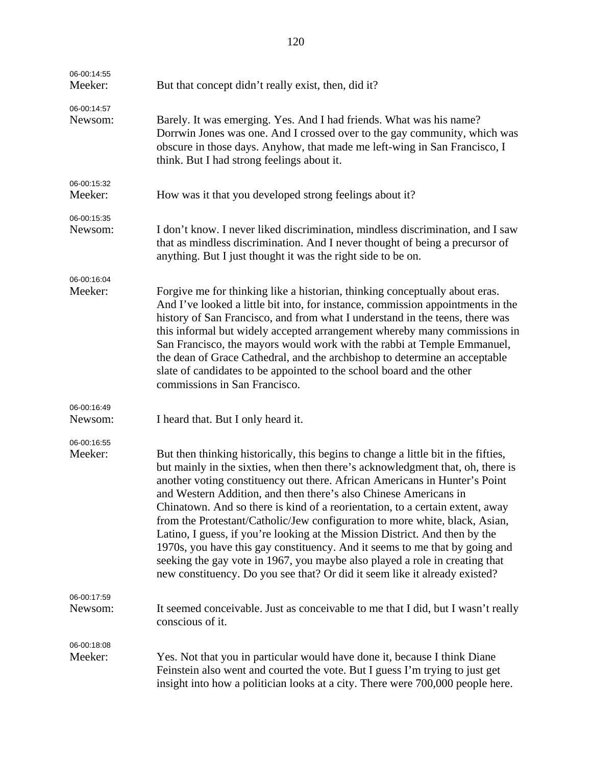| 06-00:14:55<br>Meeker: | But that concept didn't really exist, then, did it?                                                                                                                                                                                                                                                                                                                                                                                                                                                                                                                                                                                                                                                                                                                                                               |
|------------------------|-------------------------------------------------------------------------------------------------------------------------------------------------------------------------------------------------------------------------------------------------------------------------------------------------------------------------------------------------------------------------------------------------------------------------------------------------------------------------------------------------------------------------------------------------------------------------------------------------------------------------------------------------------------------------------------------------------------------------------------------------------------------------------------------------------------------|
| 06-00:14:57<br>Newsom: | Barely. It was emerging. Yes. And I had friends. What was his name?<br>Dorrwin Jones was one. And I crossed over to the gay community, which was<br>obscure in those days. Anyhow, that made me left-wing in San Francisco, I<br>think. But I had strong feelings about it.                                                                                                                                                                                                                                                                                                                                                                                                                                                                                                                                       |
| 06-00:15:32<br>Meeker: | How was it that you developed strong feelings about it?                                                                                                                                                                                                                                                                                                                                                                                                                                                                                                                                                                                                                                                                                                                                                           |
| 06-00:15:35<br>Newsom: | I don't know. I never liked discrimination, mindless discrimination, and I saw<br>that as mindless discrimination. And I never thought of being a precursor of<br>anything. But I just thought it was the right side to be on.                                                                                                                                                                                                                                                                                                                                                                                                                                                                                                                                                                                    |
| 06-00:16:04<br>Meeker: | Forgive me for thinking like a historian, thinking conceptually about eras.<br>And I've looked a little bit into, for instance, commission appointments in the<br>history of San Francisco, and from what I understand in the teens, there was<br>this informal but widely accepted arrangement whereby many commissions in<br>San Francisco, the mayors would work with the rabbi at Temple Emmanuel,<br>the dean of Grace Cathedral, and the archbishop to determine an acceptable<br>slate of candidates to be appointed to the school board and the other<br>commissions in San Francisco.                                                                                                                                                                                                                    |
| 06-00:16:49<br>Newsom: | I heard that. But I only heard it.                                                                                                                                                                                                                                                                                                                                                                                                                                                                                                                                                                                                                                                                                                                                                                                |
| 06-00:16:55<br>Meeker: | But then thinking historically, this begins to change a little bit in the fifties,<br>but mainly in the sixties, when then there's acknowledgment that, oh, there is<br>another voting constituency out there. African Americans in Hunter's Point<br>and Western Addition, and then there's also Chinese Americans in<br>Chinatown. And so there is kind of a reorientation, to a certain extent, away<br>from the Protestant/Catholic/Jew configuration to more white, black, Asian,<br>Latino, I guess, if you're looking at the Mission District. And then by the<br>1970s, you have this gay constituency. And it seems to me that by going and<br>seeking the gay vote in 1967, you maybe also played a role in creating that<br>new constituency. Do you see that? Or did it seem like it already existed? |
| 06-00:17:59<br>Newsom: | It seemed conceivable. Just as conceivable to me that I did, but I wasn't really<br>conscious of it.                                                                                                                                                                                                                                                                                                                                                                                                                                                                                                                                                                                                                                                                                                              |
| 06-00:18:08<br>Meeker: | Yes. Not that you in particular would have done it, because I think Diane<br>Feinstein also went and courted the vote. But I guess I'm trying to just get<br>insight into how a politician looks at a city. There were 700,000 people here.                                                                                                                                                                                                                                                                                                                                                                                                                                                                                                                                                                       |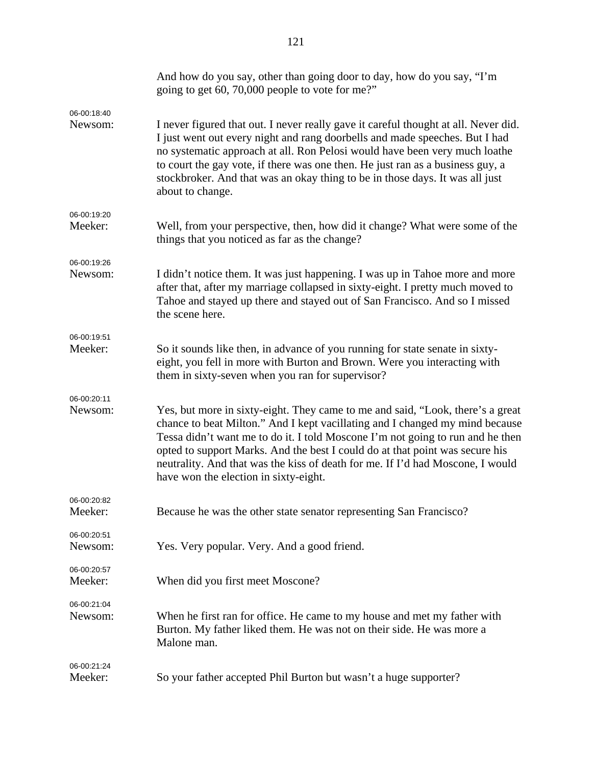|                        | And how do you say, other than going door to day, how do you say, "I'm<br>going to get 60, 70,000 people to vote for me?"                                                                                                                                                                                                                                                                                                                                   |
|------------------------|-------------------------------------------------------------------------------------------------------------------------------------------------------------------------------------------------------------------------------------------------------------------------------------------------------------------------------------------------------------------------------------------------------------------------------------------------------------|
|                        |                                                                                                                                                                                                                                                                                                                                                                                                                                                             |
| 06-00:18:40<br>Newsom: | I never figured that out. I never really gave it careful thought at all. Never did.<br>I just went out every night and rang doorbells and made speeches. But I had<br>no systematic approach at all. Ron Pelosi would have been very much loathe<br>to court the gay vote, if there was one then. He just ran as a business guy, a<br>stockbroker. And that was an okay thing to be in those days. It was all just<br>about to change.                      |
| 06-00:19:20            |                                                                                                                                                                                                                                                                                                                                                                                                                                                             |
| Meeker:                | Well, from your perspective, then, how did it change? What were some of the<br>things that you noticed as far as the change?                                                                                                                                                                                                                                                                                                                                |
| 06-00:19:26<br>Newsom: | I didn't notice them. It was just happening. I was up in Tahoe more and more<br>after that, after my marriage collapsed in sixty-eight. I pretty much moved to<br>Tahoe and stayed up there and stayed out of San Francisco. And so I missed<br>the scene here.                                                                                                                                                                                             |
| 06-00:19:51<br>Meeker: | So it sounds like then, in advance of you running for state senate in sixty-<br>eight, you fell in more with Burton and Brown. Were you interacting with<br>them in sixty-seven when you ran for supervisor?                                                                                                                                                                                                                                                |
| 06-00:20:11<br>Newsom: | Yes, but more in sixty-eight. They came to me and said, "Look, there's a great<br>chance to beat Milton." And I kept vacillating and I changed my mind because<br>Tessa didn't want me to do it. I told Moscone I'm not going to run and he then<br>opted to support Marks. And the best I could do at that point was secure his<br>neutrality. And that was the kiss of death for me. If I'd had Moscone, I would<br>have won the election in sixty-eight. |
| 06-00:20:82            |                                                                                                                                                                                                                                                                                                                                                                                                                                                             |
| Meeker:                | Because he was the other state senator representing San Francisco?                                                                                                                                                                                                                                                                                                                                                                                          |
| 06-00:20:51<br>Newsom: | Yes. Very popular. Very. And a good friend.                                                                                                                                                                                                                                                                                                                                                                                                                 |
| 06-00:20:57<br>Meeker: | When did you first meet Moscone?                                                                                                                                                                                                                                                                                                                                                                                                                            |
| 06-00:21:04<br>Newsom: | When he first ran for office. He came to my house and met my father with<br>Burton. My father liked them. He was not on their side. He was more a<br>Malone man.                                                                                                                                                                                                                                                                                            |
| 06-00:21:24<br>Meeker: | So your father accepted Phil Burton but wasn't a huge supporter?                                                                                                                                                                                                                                                                                                                                                                                            |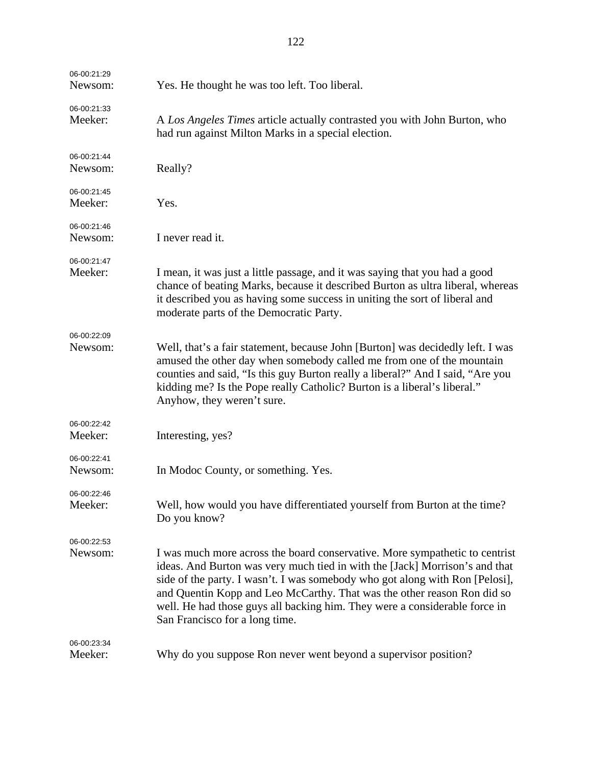| 06-00:21:29<br>Newsom: | Yes. He thought he was too left. Too liberal.                                                                                                                                                                                                                                                                                                                                                                                         |
|------------------------|---------------------------------------------------------------------------------------------------------------------------------------------------------------------------------------------------------------------------------------------------------------------------------------------------------------------------------------------------------------------------------------------------------------------------------------|
| 06-00:21:33<br>Meeker: | A Los Angeles Times article actually contrasted you with John Burton, who<br>had run against Milton Marks in a special election.                                                                                                                                                                                                                                                                                                      |
| 06-00:21:44<br>Newsom: | Really?                                                                                                                                                                                                                                                                                                                                                                                                                               |
| 06-00:21:45<br>Meeker: | Yes.                                                                                                                                                                                                                                                                                                                                                                                                                                  |
| 06-00:21:46<br>Newsom: | I never read it.                                                                                                                                                                                                                                                                                                                                                                                                                      |
| 06-00:21:47<br>Meeker: | I mean, it was just a little passage, and it was saying that you had a good<br>chance of beating Marks, because it described Burton as ultra liberal, whereas<br>it described you as having some success in uniting the sort of liberal and<br>moderate parts of the Democratic Party.                                                                                                                                                |
| 06-00:22:09<br>Newsom: | Well, that's a fair statement, because John [Burton] was decidedly left. I was<br>amused the other day when somebody called me from one of the mountain<br>counties and said, "Is this guy Burton really a liberal?" And I said, "Are you<br>kidding me? Is the Pope really Catholic? Burton is a liberal's liberal."<br>Anyhow, they weren't sure.                                                                                   |
| 06-00:22:42<br>Meeker: | Interesting, yes?                                                                                                                                                                                                                                                                                                                                                                                                                     |
| 06-00:22:41<br>Newsom: | In Modoc County, or something. Yes.                                                                                                                                                                                                                                                                                                                                                                                                   |
| 06-00:22:46<br>Meeker: | Well, how would you have differentiated yourself from Burton at the time?<br>Do you know?                                                                                                                                                                                                                                                                                                                                             |
| 06-00:22:53<br>Newsom: | I was much more across the board conservative. More sympathetic to centrist<br>ideas. And Burton was very much tied in with the [Jack] Morrison's and that<br>side of the party. I wasn't. I was somebody who got along with Ron [Pelosi],<br>and Quentin Kopp and Leo McCarthy. That was the other reason Ron did so<br>well. He had those guys all backing him. They were a considerable force in<br>San Francisco for a long time. |
| 06-00:23:34<br>Meeker: | Why do you suppose Ron never went beyond a supervisor position?                                                                                                                                                                                                                                                                                                                                                                       |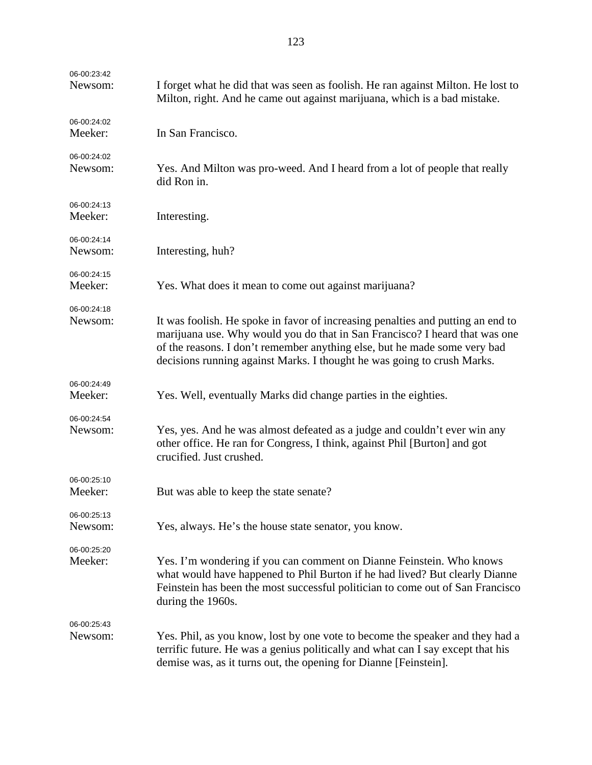| 06-00:23:42<br>Newsom: | I forget what he did that was seen as foolish. He ran against Milton. He lost to<br>Milton, right. And he came out against marijuana, which is a bad mistake.                                                                                                                                                          |
|------------------------|------------------------------------------------------------------------------------------------------------------------------------------------------------------------------------------------------------------------------------------------------------------------------------------------------------------------|
| 06-00:24:02<br>Meeker: | In San Francisco.                                                                                                                                                                                                                                                                                                      |
| 06-00:24:02<br>Newsom: | Yes. And Milton was pro-weed. And I heard from a lot of people that really<br>did Ron in.                                                                                                                                                                                                                              |
| 06-00:24:13<br>Meeker: | Interesting.                                                                                                                                                                                                                                                                                                           |
| 06-00:24:14<br>Newsom: | Interesting, huh?                                                                                                                                                                                                                                                                                                      |
| 06-00:24:15<br>Meeker: | Yes. What does it mean to come out against marijuana?                                                                                                                                                                                                                                                                  |
| 06-00:24:18<br>Newsom: | It was foolish. He spoke in favor of increasing penalties and putting an end to<br>marijuana use. Why would you do that in San Francisco? I heard that was one<br>of the reasons. I don't remember anything else, but he made some very bad<br>decisions running against Marks. I thought he was going to crush Marks. |
| 06-00:24:49<br>Meeker: | Yes. Well, eventually Marks did change parties in the eighties.                                                                                                                                                                                                                                                        |
| 06-00:24:54<br>Newsom: | Yes, yes. And he was almost defeated as a judge and couldn't ever win any<br>other office. He ran for Congress, I think, against Phil [Burton] and got<br>crucified. Just crushed.                                                                                                                                     |
| 06-00:25:10<br>Meeker: | But was able to keep the state senate?                                                                                                                                                                                                                                                                                 |
| 06-00:25:13<br>Newsom: | Yes, always. He's the house state senator, you know.                                                                                                                                                                                                                                                                   |
| 06-00:25:20<br>Meeker: | Yes. I'm wondering if you can comment on Dianne Feinstein. Who knows<br>what would have happened to Phil Burton if he had lived? But clearly Dianne<br>Feinstein has been the most successful politician to come out of San Francisco<br>during the 1960s.                                                             |
| 06-00:25:43<br>Newsom: | Yes. Phil, as you know, lost by one vote to become the speaker and they had a<br>terrific future. He was a genius politically and what can I say except that his<br>demise was, as it turns out, the opening for Dianne [Feinstein].                                                                                   |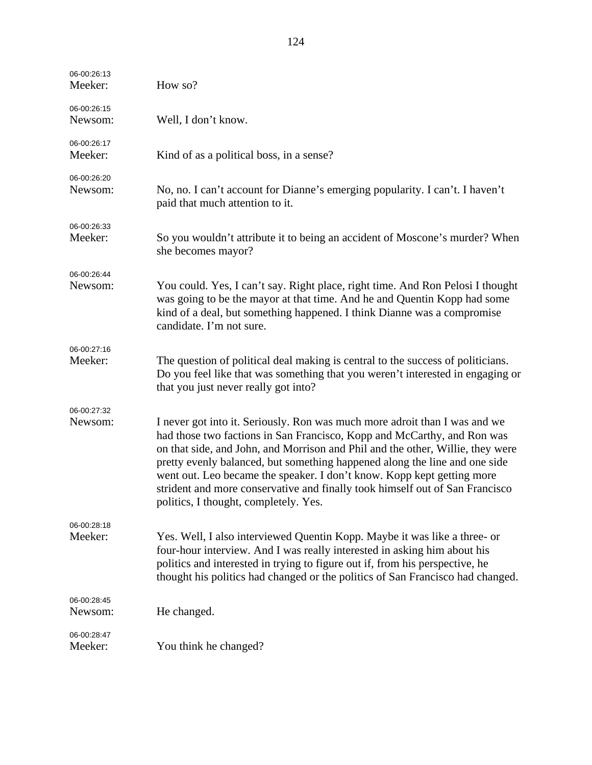| 06-00:26:13<br>Meeker: | How so?                                                                                                                                                                                                                                                                                                                                                                                                                                                                                                                  |
|------------------------|--------------------------------------------------------------------------------------------------------------------------------------------------------------------------------------------------------------------------------------------------------------------------------------------------------------------------------------------------------------------------------------------------------------------------------------------------------------------------------------------------------------------------|
| 06-00:26:15<br>Newsom: | Well, I don't know.                                                                                                                                                                                                                                                                                                                                                                                                                                                                                                      |
| 06-00:26:17<br>Meeker: | Kind of as a political boss, in a sense?                                                                                                                                                                                                                                                                                                                                                                                                                                                                                 |
| 06-00:26:20<br>Newsom: | No, no. I can't account for Dianne's emerging popularity. I can't. I haven't<br>paid that much attention to it.                                                                                                                                                                                                                                                                                                                                                                                                          |
| 06-00:26:33<br>Meeker: | So you wouldn't attribute it to being an accident of Moscone's murder? When<br>she becomes mayor?                                                                                                                                                                                                                                                                                                                                                                                                                        |
| 06-00:26:44<br>Newsom: | You could. Yes, I can't say. Right place, right time. And Ron Pelosi I thought<br>was going to be the mayor at that time. And he and Quentin Kopp had some<br>kind of a deal, but something happened. I think Dianne was a compromise<br>candidate. I'm not sure.                                                                                                                                                                                                                                                        |
| 06-00:27:16<br>Meeker: | The question of political deal making is central to the success of politicians.<br>Do you feel like that was something that you weren't interested in engaging or<br>that you just never really got into?                                                                                                                                                                                                                                                                                                                |
| 06-00:27:32            |                                                                                                                                                                                                                                                                                                                                                                                                                                                                                                                          |
| Newsom:                | I never got into it. Seriously. Ron was much more adroit than I was and we<br>had those two factions in San Francisco, Kopp and McCarthy, and Ron was<br>on that side, and John, and Morrison and Phil and the other, Willie, they were<br>pretty evenly balanced, but something happened along the line and one side<br>went out. Leo became the speaker. I don't know. Kopp kept getting more<br>strident and more conservative and finally took himself out of San Francisco<br>politics, I thought, completely. Yes. |
| 06-00:28:18<br>Meeker: | Yes. Well, I also interviewed Quentin Kopp. Maybe it was like a three- or<br>four-hour interview. And I was really interested in asking him about his<br>politics and interested in trying to figure out if, from his perspective, he<br>thought his politics had changed or the politics of San Francisco had changed.                                                                                                                                                                                                  |
| 06-00:28:45<br>Newsom: | He changed.                                                                                                                                                                                                                                                                                                                                                                                                                                                                                                              |
|                        |                                                                                                                                                                                                                                                                                                                                                                                                                                                                                                                          |
| 06-00:28:47<br>Meeker: | You think he changed?                                                                                                                                                                                                                                                                                                                                                                                                                                                                                                    |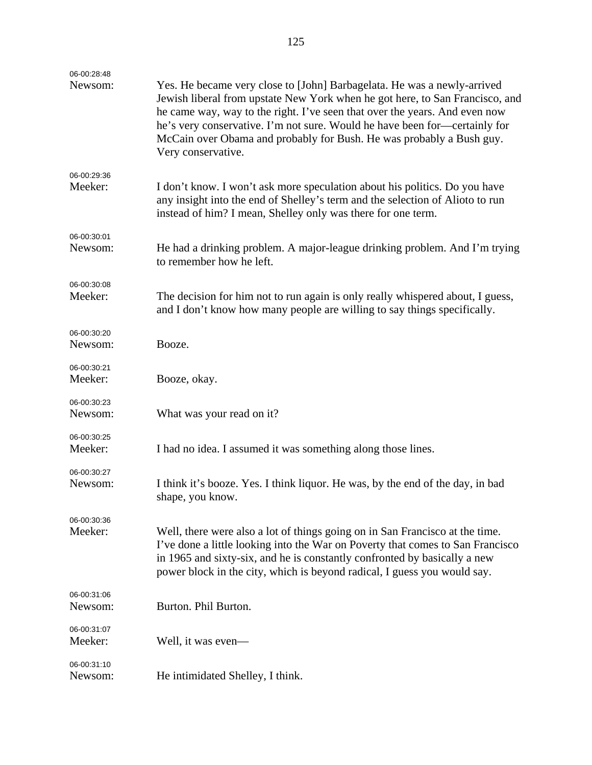| 06-00:28:48<br>Newsom: | Yes. He became very close to [John] Barbagelata. He was a newly-arrived<br>Jewish liberal from upstate New York when he got here, to San Francisco, and<br>he came way, way to the right. I've seen that over the years. And even now<br>he's very conservative. I'm not sure. Would he have been for—certainly for<br>McCain over Obama and probably for Bush. He was probably a Bush guy.<br>Very conservative. |
|------------------------|-------------------------------------------------------------------------------------------------------------------------------------------------------------------------------------------------------------------------------------------------------------------------------------------------------------------------------------------------------------------------------------------------------------------|
| 06-00:29:36<br>Meeker: | I don't know. I won't ask more speculation about his politics. Do you have<br>any insight into the end of Shelley's term and the selection of Alioto to run<br>instead of him? I mean, Shelley only was there for one term.                                                                                                                                                                                       |
| 06-00:30:01<br>Newsom: | He had a drinking problem. A major-league drinking problem. And I'm trying<br>to remember how he left.                                                                                                                                                                                                                                                                                                            |
| 06-00:30:08<br>Meeker: | The decision for him not to run again is only really whispered about, I guess,<br>and I don't know how many people are willing to say things specifically.                                                                                                                                                                                                                                                        |
| 06-00:30:20<br>Newsom: | Booze.                                                                                                                                                                                                                                                                                                                                                                                                            |
| 06-00:30:21<br>Meeker: | Booze, okay.                                                                                                                                                                                                                                                                                                                                                                                                      |
| 06-00:30:23<br>Newsom: | What was your read on it?                                                                                                                                                                                                                                                                                                                                                                                         |
| 06-00:30:25<br>Meeker: | I had no idea. I assumed it was something along those lines.                                                                                                                                                                                                                                                                                                                                                      |
| 06-00:30:27<br>Newsom: | I think it's booze. Yes. I think liquor. He was, by the end of the day, in bad<br>shape, you know.                                                                                                                                                                                                                                                                                                                |
| 06-00:30:36<br>Meeker: | Well, there were also a lot of things going on in San Francisco at the time.<br>I've done a little looking into the War on Poverty that comes to San Francisco<br>in 1965 and sixty-six, and he is constantly confronted by basically a new<br>power block in the city, which is beyond radical, I guess you would say.                                                                                           |
| 06-00:31:06<br>Newsom: | Burton. Phil Burton.                                                                                                                                                                                                                                                                                                                                                                                              |
| 06-00:31:07<br>Meeker: | Well, it was even—                                                                                                                                                                                                                                                                                                                                                                                                |
| 06-00:31:10<br>Newsom: | He intimidated Shelley, I think.                                                                                                                                                                                                                                                                                                                                                                                  |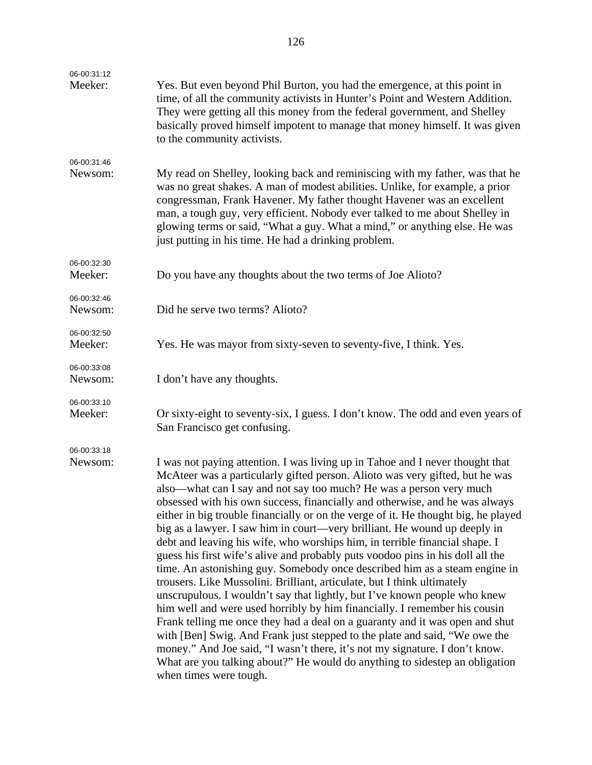| 06-00:31:12            |                                                                                                                                                                                                                                                                                                                                                                                                                                                                                                                                                                                                                                                                                                                                                                                                                                                                                                                                                                                                                                                                                                                                                                                                                                                                                                                                  |
|------------------------|----------------------------------------------------------------------------------------------------------------------------------------------------------------------------------------------------------------------------------------------------------------------------------------------------------------------------------------------------------------------------------------------------------------------------------------------------------------------------------------------------------------------------------------------------------------------------------------------------------------------------------------------------------------------------------------------------------------------------------------------------------------------------------------------------------------------------------------------------------------------------------------------------------------------------------------------------------------------------------------------------------------------------------------------------------------------------------------------------------------------------------------------------------------------------------------------------------------------------------------------------------------------------------------------------------------------------------|
| Meeker:                | Yes. But even beyond Phil Burton, you had the emergence, at this point in<br>time, of all the community activists in Hunter's Point and Western Addition.<br>They were getting all this money from the federal government, and Shelley<br>basically proved himself impotent to manage that money himself. It was given<br>to the community activists.                                                                                                                                                                                                                                                                                                                                                                                                                                                                                                                                                                                                                                                                                                                                                                                                                                                                                                                                                                            |
| 06-00:31:46<br>Newsom: | My read on Shelley, looking back and reminiscing with my father, was that he<br>was no great shakes. A man of modest abilities. Unlike, for example, a prior<br>congressman, Frank Havener. My father thought Havener was an excellent<br>man, a tough guy, very efficient. Nobody ever talked to me about Shelley in<br>glowing terms or said, "What a guy. What a mind," or anything else. He was<br>just putting in his time. He had a drinking problem.                                                                                                                                                                                                                                                                                                                                                                                                                                                                                                                                                                                                                                                                                                                                                                                                                                                                      |
| 06-00:32:30<br>Meeker: | Do you have any thoughts about the two terms of Joe Alioto?                                                                                                                                                                                                                                                                                                                                                                                                                                                                                                                                                                                                                                                                                                                                                                                                                                                                                                                                                                                                                                                                                                                                                                                                                                                                      |
| 06-00:32:46<br>Newsom: | Did he serve two terms? Alioto?                                                                                                                                                                                                                                                                                                                                                                                                                                                                                                                                                                                                                                                                                                                                                                                                                                                                                                                                                                                                                                                                                                                                                                                                                                                                                                  |
| 06-00:32:50<br>Meeker: | Yes. He was mayor from sixty-seven to seventy-five, I think. Yes.                                                                                                                                                                                                                                                                                                                                                                                                                                                                                                                                                                                                                                                                                                                                                                                                                                                                                                                                                                                                                                                                                                                                                                                                                                                                |
| 06-00:33:08<br>Newsom: | I don't have any thoughts.                                                                                                                                                                                                                                                                                                                                                                                                                                                                                                                                                                                                                                                                                                                                                                                                                                                                                                                                                                                                                                                                                                                                                                                                                                                                                                       |
| 06-00:33:10<br>Meeker: | Or sixty-eight to seventy-six, I guess. I don't know. The odd and even years of<br>San Francisco get confusing.                                                                                                                                                                                                                                                                                                                                                                                                                                                                                                                                                                                                                                                                                                                                                                                                                                                                                                                                                                                                                                                                                                                                                                                                                  |
| 06-00:33:18<br>Newsom: | I was not paying attention. I was living up in Tahoe and I never thought that<br>McAteer was a particularly gifted person. Alioto was very gifted, but he was<br>also—what can I say and not say too much? He was a person very much<br>obsessed with his own success, financially and otherwise, and he was always<br>either in big trouble financially or on the verge of it. He thought big, he played<br>big as a lawyer. I saw him in court—very brilliant. He wound up deeply in<br>debt and leaving his wife, who worships him, in terrible financial shape. I<br>guess his first wife's alive and probably puts voodoo pins in his doll all the<br>time. An astonishing guy. Somebody once described him as a steam engine in<br>trousers. Like Mussolini. Brilliant, articulate, but I think ultimately<br>unscrupulous. I wouldn't say that lightly, but I've known people who knew<br>him well and were used horribly by him financially. I remember his cousin<br>Frank telling me once they had a deal on a guaranty and it was open and shut<br>with [Ben] Swig. And Frank just stepped to the plate and said, "We owe the<br>money." And Joe said, "I wasn't there, it's not my signature. I don't know.<br>What are you talking about?" He would do anything to sidestep an obligation<br>when times were tough. |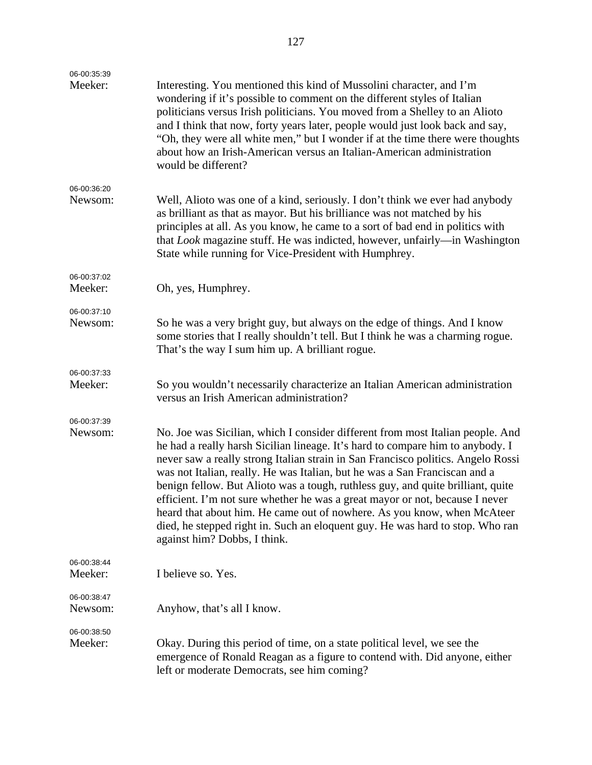| 06-00:35:39<br>Meeker: | Interesting. You mentioned this kind of Mussolini character, and I'm<br>wondering if it's possible to comment on the different styles of Italian<br>politicians versus Irish politicians. You moved from a Shelley to an Alioto<br>and I think that now, forty years later, people would just look back and say,<br>"Oh, they were all white men," but I wonder if at the time there were thoughts<br>about how an Irish-American versus an Italian-American administration<br>would be different?                                                                                                                                                                                                |
|------------------------|---------------------------------------------------------------------------------------------------------------------------------------------------------------------------------------------------------------------------------------------------------------------------------------------------------------------------------------------------------------------------------------------------------------------------------------------------------------------------------------------------------------------------------------------------------------------------------------------------------------------------------------------------------------------------------------------------|
| 06-00:36:20<br>Newsom: | Well, Alioto was one of a kind, seriously. I don't think we ever had anybody<br>as brilliant as that as mayor. But his brilliance was not matched by his<br>principles at all. As you know, he came to a sort of bad end in politics with<br>that Look magazine stuff. He was indicted, however, unfairly—in Washington<br>State while running for Vice-President with Humphrey.                                                                                                                                                                                                                                                                                                                  |
| 06-00:37:02<br>Meeker: | Oh, yes, Humphrey.                                                                                                                                                                                                                                                                                                                                                                                                                                                                                                                                                                                                                                                                                |
| 06-00:37:10<br>Newsom: | So he was a very bright guy, but always on the edge of things. And I know<br>some stories that I really shouldn't tell. But I think he was a charming rogue.<br>That's the way I sum him up. A brilliant rogue.                                                                                                                                                                                                                                                                                                                                                                                                                                                                                   |
| 06-00:37:33<br>Meeker: | So you wouldn't necessarily characterize an Italian American administration<br>versus an Irish American administration?                                                                                                                                                                                                                                                                                                                                                                                                                                                                                                                                                                           |
| 06-00:37:39<br>Newsom: | No. Joe was Sicilian, which I consider different from most Italian people. And<br>he had a really harsh Sicilian lineage. It's hard to compare him to anybody. I<br>never saw a really strong Italian strain in San Francisco politics. Angelo Rossi<br>was not Italian, really. He was Italian, but he was a San Franciscan and a<br>benign fellow. But Alioto was a tough, ruthless guy, and quite brilliant, quite<br>efficient. I'm not sure whether he was a great mayor or not, because I never<br>heard that about him. He came out of nowhere. As you know, when McAteer<br>died, he stepped right in. Such an eloquent guy. He was hard to stop. Who ran<br>against him? Dobbs, I think. |
| 06-00:38:44<br>Meeker: | I believe so. Yes.                                                                                                                                                                                                                                                                                                                                                                                                                                                                                                                                                                                                                                                                                |
| 06-00:38:47<br>Newsom: | Anyhow, that's all I know.                                                                                                                                                                                                                                                                                                                                                                                                                                                                                                                                                                                                                                                                        |
| 06-00:38:50<br>Meeker: | Okay. During this period of time, on a state political level, we see the<br>emergence of Ronald Reagan as a figure to contend with. Did anyone, either<br>left or moderate Democrats, see him coming?                                                                                                                                                                                                                                                                                                                                                                                                                                                                                             |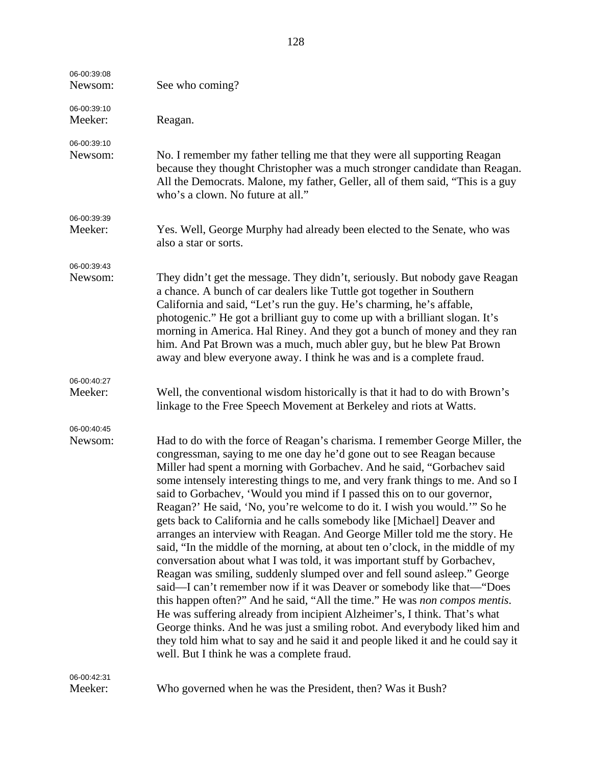| 06-00:39:08<br>Newsom: | See who coming?                                                                                                                                                                                                                                                                                                                                                                                                                                                                                                                                                                                                                                                                                                                                                                                                                                                                                                                                                                                                                                                                                                                                                                                                                                                                                                                     |
|------------------------|-------------------------------------------------------------------------------------------------------------------------------------------------------------------------------------------------------------------------------------------------------------------------------------------------------------------------------------------------------------------------------------------------------------------------------------------------------------------------------------------------------------------------------------------------------------------------------------------------------------------------------------------------------------------------------------------------------------------------------------------------------------------------------------------------------------------------------------------------------------------------------------------------------------------------------------------------------------------------------------------------------------------------------------------------------------------------------------------------------------------------------------------------------------------------------------------------------------------------------------------------------------------------------------------------------------------------------------|
| 06-00:39:10<br>Meeker: | Reagan.                                                                                                                                                                                                                                                                                                                                                                                                                                                                                                                                                                                                                                                                                                                                                                                                                                                                                                                                                                                                                                                                                                                                                                                                                                                                                                                             |
| 06-00:39:10<br>Newsom: | No. I remember my father telling me that they were all supporting Reagan<br>because they thought Christopher was a much stronger candidate than Reagan.<br>All the Democrats. Malone, my father, Geller, all of them said, "This is a guy<br>who's a clown. No future at all."                                                                                                                                                                                                                                                                                                                                                                                                                                                                                                                                                                                                                                                                                                                                                                                                                                                                                                                                                                                                                                                      |
| 06-00:39:39<br>Meeker: | Yes. Well, George Murphy had already been elected to the Senate, who was<br>also a star or sorts.                                                                                                                                                                                                                                                                                                                                                                                                                                                                                                                                                                                                                                                                                                                                                                                                                                                                                                                                                                                                                                                                                                                                                                                                                                   |
| 06-00:39:43<br>Newsom: | They didn't get the message. They didn't, seriously. But nobody gave Reagan<br>a chance. A bunch of car dealers like Tuttle got together in Southern<br>California and said, "Let's run the guy. He's charming, he's affable,<br>photogenic." He got a brilliant guy to come up with a brilliant slogan. It's<br>morning in America. Hal Riney. And they got a bunch of money and they ran<br>him. And Pat Brown was a much, much abler guy, but he blew Pat Brown<br>away and blew everyone away. I think he was and is a complete fraud.                                                                                                                                                                                                                                                                                                                                                                                                                                                                                                                                                                                                                                                                                                                                                                                          |
| 06-00:40:27<br>Meeker: | Well, the conventional wisdom historically is that it had to do with Brown's<br>linkage to the Free Speech Movement at Berkeley and riots at Watts.                                                                                                                                                                                                                                                                                                                                                                                                                                                                                                                                                                                                                                                                                                                                                                                                                                                                                                                                                                                                                                                                                                                                                                                 |
| 06-00:40:45<br>Newsom: | Had to do with the force of Reagan's charisma. I remember George Miller, the<br>congressman, saying to me one day he'd gone out to see Reagan because<br>Miller had spent a morning with Gorbachev. And he said, "Gorbachev said<br>some intensely interesting things to me, and very frank things to me. And so I<br>said to Gorbachev, 'Would you mind if I passed this on to our governor,<br>Reagan?' He said, 'No, you're welcome to do it. I wish you would.'" So he<br>gets back to California and he calls somebody like [Michael] Deaver and<br>arranges an interview with Reagan. And George Miller told me the story. He<br>said, "In the middle of the morning, at about ten o'clock, in the middle of my<br>conversation about what I was told, it was important stuff by Gorbachev,<br>Reagan was smiling, suddenly slumped over and fell sound asleep." George<br>said-I can't remember now if it was Deaver or somebody like that-"Does<br>this happen often?" And he said, "All the time." He was non compos mentis.<br>He was suffering already from incipient Alzheimer's, I think. That's what<br>George thinks. And he was just a smiling robot. And everybody liked him and<br>they told him what to say and he said it and people liked it and he could say it<br>well. But I think he was a complete fraud. |
| 06-00:42:31<br>Meeker: | Who governed when he was the President, then? Was it Bush?                                                                                                                                                                                                                                                                                                                                                                                                                                                                                                                                                                                                                                                                                                                                                                                                                                                                                                                                                                                                                                                                                                                                                                                                                                                                          |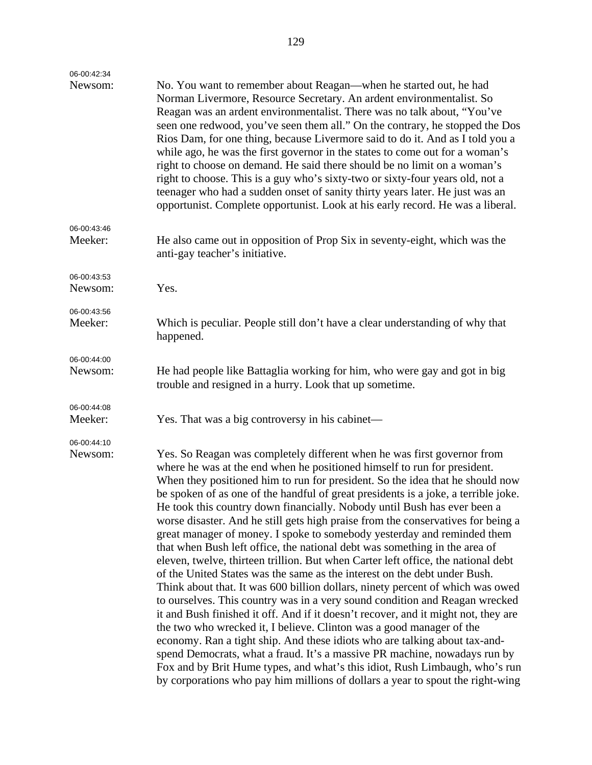| 06-00:42:34<br>Newsom: | No. You want to remember about Reagan—when he started out, he had<br>Norman Livermore, Resource Secretary. An ardent environmentalist. So<br>Reagan was an ardent environmentalist. There was no talk about, "You've<br>seen one redwood, you've seen them all." On the contrary, he stopped the Dos<br>Rios Dam, for one thing, because Livermore said to do it. And as I told you a<br>while ago, he was the first governor in the states to come out for a woman's<br>right to choose on demand. He said there should be no limit on a woman's<br>right to choose. This is a guy who's sixty-two or sixty-four years old, not a<br>teenager who had a sudden onset of sanity thirty years later. He just was an<br>opportunist. Complete opportunist. Look at his early record. He was a liberal.                                                                                                                                                                                                                                                                                                                                                                                                                                                                                                                                                                                                                                                                             |
|------------------------|----------------------------------------------------------------------------------------------------------------------------------------------------------------------------------------------------------------------------------------------------------------------------------------------------------------------------------------------------------------------------------------------------------------------------------------------------------------------------------------------------------------------------------------------------------------------------------------------------------------------------------------------------------------------------------------------------------------------------------------------------------------------------------------------------------------------------------------------------------------------------------------------------------------------------------------------------------------------------------------------------------------------------------------------------------------------------------------------------------------------------------------------------------------------------------------------------------------------------------------------------------------------------------------------------------------------------------------------------------------------------------------------------------------------------------------------------------------------------------|
| 06-00:43:46<br>Meeker: | He also came out in opposition of Prop Six in seventy-eight, which was the<br>anti-gay teacher's initiative.                                                                                                                                                                                                                                                                                                                                                                                                                                                                                                                                                                                                                                                                                                                                                                                                                                                                                                                                                                                                                                                                                                                                                                                                                                                                                                                                                                     |
| 06-00:43:53<br>Newsom: | Yes.                                                                                                                                                                                                                                                                                                                                                                                                                                                                                                                                                                                                                                                                                                                                                                                                                                                                                                                                                                                                                                                                                                                                                                                                                                                                                                                                                                                                                                                                             |
| 06-00:43:56<br>Meeker: | Which is peculiar. People still don't have a clear understanding of why that<br>happened.                                                                                                                                                                                                                                                                                                                                                                                                                                                                                                                                                                                                                                                                                                                                                                                                                                                                                                                                                                                                                                                                                                                                                                                                                                                                                                                                                                                        |
| 06-00:44:00<br>Newsom: | He had people like Battaglia working for him, who were gay and got in big<br>trouble and resigned in a hurry. Look that up sometime.                                                                                                                                                                                                                                                                                                                                                                                                                                                                                                                                                                                                                                                                                                                                                                                                                                                                                                                                                                                                                                                                                                                                                                                                                                                                                                                                             |
| 06-00:44:08<br>Meeker: | Yes. That was a big controversy in his cabinet—                                                                                                                                                                                                                                                                                                                                                                                                                                                                                                                                                                                                                                                                                                                                                                                                                                                                                                                                                                                                                                                                                                                                                                                                                                                                                                                                                                                                                                  |
| 06-00:44:10<br>Newsom: | Yes. So Reagan was completely different when he was first governor from<br>where he was at the end when he positioned himself to run for president.<br>When they positioned him to run for president. So the idea that he should now<br>be spoken of as one of the handful of great presidents is a joke, a terrible joke.<br>He took this country down financially. Nobody until Bush has ever been a<br>worse disaster. And he still gets high praise from the conservatives for being a<br>great manager of money. I spoke to somebody yesterday and reminded them<br>that when Bush left office, the national debt was something in the area of<br>eleven, twelve, thirteen trillion. But when Carter left office, the national debt<br>of the United States was the same as the interest on the debt under Bush.<br>Think about that. It was 600 billion dollars, ninety percent of which was owed<br>to ourselves. This country was in a very sound condition and Reagan wrecked<br>it and Bush finished it off. And if it doesn't recover, and it might not, they are<br>the two who wrecked it, I believe. Clinton was a good manager of the<br>economy. Ran a tight ship. And these idiots who are talking about tax-and-<br>spend Democrats, what a fraud. It's a massive PR machine, nowadays run by<br>Fox and by Brit Hume types, and what's this idiot, Rush Limbaugh, who's run<br>by corporations who pay him millions of dollars a year to spout the right-wing |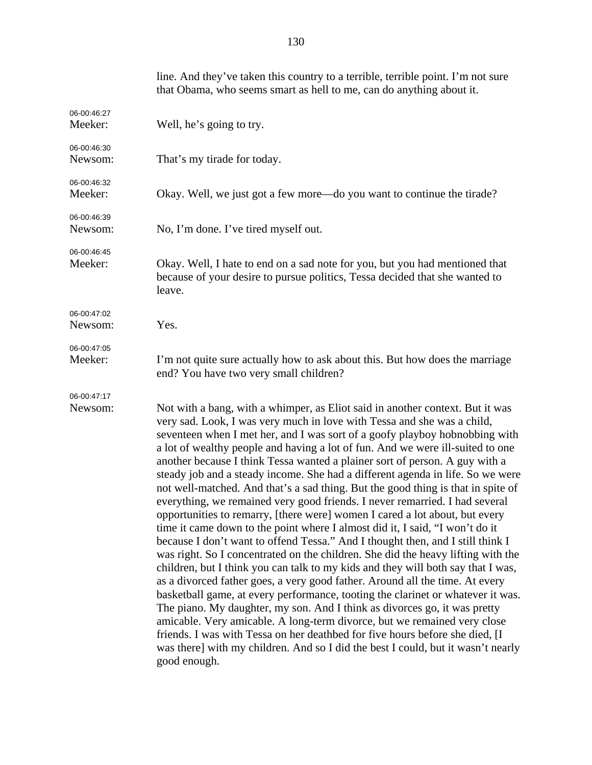|                        | line. And they've taken this country to a terrible, terrible point. I'm not sure<br>that Obama, who seems smart as hell to me, can do anything about it.                                                                                                                                                                                                                                                                                                                                                                                                                                                                                                                                                                                                                                                                                                                                                                                                                                                                                                                                                                                                                                                                                                                                                                                                                                                                                                                                                                                                                                               |
|------------------------|--------------------------------------------------------------------------------------------------------------------------------------------------------------------------------------------------------------------------------------------------------------------------------------------------------------------------------------------------------------------------------------------------------------------------------------------------------------------------------------------------------------------------------------------------------------------------------------------------------------------------------------------------------------------------------------------------------------------------------------------------------------------------------------------------------------------------------------------------------------------------------------------------------------------------------------------------------------------------------------------------------------------------------------------------------------------------------------------------------------------------------------------------------------------------------------------------------------------------------------------------------------------------------------------------------------------------------------------------------------------------------------------------------------------------------------------------------------------------------------------------------------------------------------------------------------------------------------------------------|
| 06-00:46:27<br>Meeker: | Well, he's going to try.                                                                                                                                                                                                                                                                                                                                                                                                                                                                                                                                                                                                                                                                                                                                                                                                                                                                                                                                                                                                                                                                                                                                                                                                                                                                                                                                                                                                                                                                                                                                                                               |
| 06-00:46:30<br>Newsom: | That's my tirade for today.                                                                                                                                                                                                                                                                                                                                                                                                                                                                                                                                                                                                                                                                                                                                                                                                                                                                                                                                                                                                                                                                                                                                                                                                                                                                                                                                                                                                                                                                                                                                                                            |
| 06-00:46:32<br>Meeker: | Okay. Well, we just got a few more—do you want to continue the tirade?                                                                                                                                                                                                                                                                                                                                                                                                                                                                                                                                                                                                                                                                                                                                                                                                                                                                                                                                                                                                                                                                                                                                                                                                                                                                                                                                                                                                                                                                                                                                 |
| 06-00:46:39<br>Newsom: | No, I'm done. I've tired myself out.                                                                                                                                                                                                                                                                                                                                                                                                                                                                                                                                                                                                                                                                                                                                                                                                                                                                                                                                                                                                                                                                                                                                                                                                                                                                                                                                                                                                                                                                                                                                                                   |
| 06-00:46:45<br>Meeker: | Okay. Well, I hate to end on a sad note for you, but you had mentioned that<br>because of your desire to pursue politics, Tessa decided that she wanted to<br>leave.                                                                                                                                                                                                                                                                                                                                                                                                                                                                                                                                                                                                                                                                                                                                                                                                                                                                                                                                                                                                                                                                                                                                                                                                                                                                                                                                                                                                                                   |
| 06-00:47:02<br>Newsom: | Yes.                                                                                                                                                                                                                                                                                                                                                                                                                                                                                                                                                                                                                                                                                                                                                                                                                                                                                                                                                                                                                                                                                                                                                                                                                                                                                                                                                                                                                                                                                                                                                                                                   |
| 06-00:47:05<br>Meeker: | I'm not quite sure actually how to ask about this. But how does the marriage<br>end? You have two very small children?                                                                                                                                                                                                                                                                                                                                                                                                                                                                                                                                                                                                                                                                                                                                                                                                                                                                                                                                                                                                                                                                                                                                                                                                                                                                                                                                                                                                                                                                                 |
| 06-00:47:17<br>Newsom: | Not with a bang, with a whimper, as Eliot said in another context. But it was<br>very sad. Look, I was very much in love with Tessa and she was a child,<br>seventeen when I met her, and I was sort of a goofy playboy hobnobbing with<br>a lot of wealthy people and having a lot of fun. And we were ill-suited to one<br>another because I think Tessa wanted a plainer sort of person. A guy with a<br>steady job and a steady income. She had a different agenda in life. So we were<br>not well-matched. And that's a sad thing. But the good thing is that in spite of<br>everything, we remained very good friends. I never remarried. I had several<br>opportunities to remarry, [there were] women I cared a lot about, but every<br>time it came down to the point where I almost did it, I said, "I won't do it<br>because I don't want to offend Tessa." And I thought then, and I still think I<br>was right. So I concentrated on the children. She did the heavy lifting with the<br>children, but I think you can talk to my kids and they will both say that I was,<br>as a divorced father goes, a very good father. Around all the time. At every<br>basketball game, at every performance, tooting the clarinet or whatever it was.<br>The piano. My daughter, my son. And I think as divorces go, it was pretty<br>amicable. Very amicable. A long-term divorce, but we remained very close<br>friends. I was with Tessa on her deathbed for five hours before she died, [I<br>was there] with my children. And so I did the best I could, but it wasn't nearly<br>good enough. |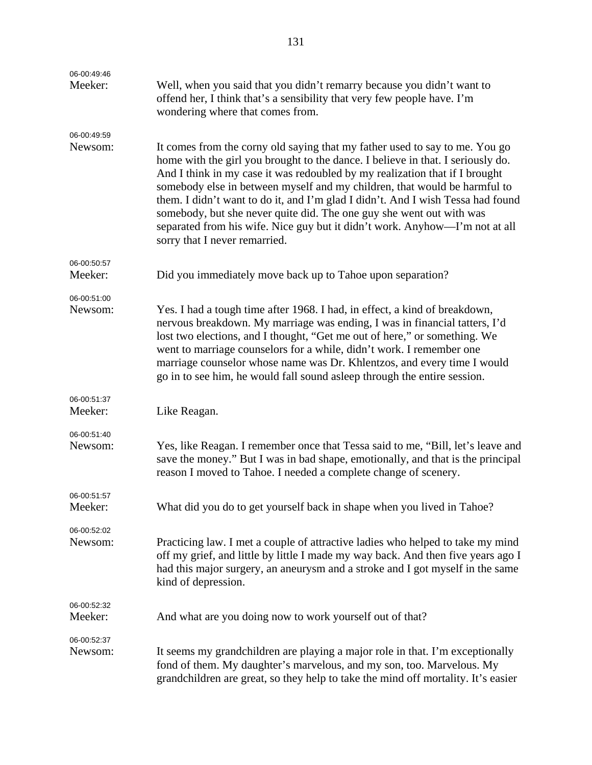| 06-00:49:46            |                                                                                                                                                                                                                                                                                                                                                                                                                                                                                                                                                                                                       |
|------------------------|-------------------------------------------------------------------------------------------------------------------------------------------------------------------------------------------------------------------------------------------------------------------------------------------------------------------------------------------------------------------------------------------------------------------------------------------------------------------------------------------------------------------------------------------------------------------------------------------------------|
| Meeker:                | Well, when you said that you didn't remarry because you didn't want to<br>offend her, I think that's a sensibility that very few people have. I'm<br>wondering where that comes from.                                                                                                                                                                                                                                                                                                                                                                                                                 |
| 06-00:49:59<br>Newsom: | It comes from the corny old saying that my father used to say to me. You go<br>home with the girl you brought to the dance. I believe in that. I seriously do.<br>And I think in my case it was redoubled by my realization that if I brought<br>somebody else in between myself and my children, that would be harmful to<br>them. I didn't want to do it, and I'm glad I didn't. And I wish Tessa had found<br>somebody, but she never quite did. The one guy she went out with was<br>separated from his wife. Nice guy but it didn't work. Anyhow—I'm not at all<br>sorry that I never remarried. |
| 06-00:50:57<br>Meeker: | Did you immediately move back up to Tahoe upon separation?                                                                                                                                                                                                                                                                                                                                                                                                                                                                                                                                            |
| 06-00:51:00<br>Newsom: | Yes. I had a tough time after 1968. I had, in effect, a kind of breakdown,<br>nervous breakdown. My marriage was ending, I was in financial tatters, I'd<br>lost two elections, and I thought, "Get me out of here," or something. We<br>went to marriage counselors for a while, didn't work. I remember one<br>marriage counselor whose name was Dr. Khlentzos, and every time I would<br>go in to see him, he would fall sound asleep through the entire session.                                                                                                                                  |
| 06-00:51:37<br>Meeker: | Like Reagan.                                                                                                                                                                                                                                                                                                                                                                                                                                                                                                                                                                                          |
| 06-00:51:40<br>Newsom: | Yes, like Reagan. I remember once that Tessa said to me, "Bill, let's leave and<br>save the money." But I was in bad shape, emotionally, and that is the principal<br>reason I moved to Tahoe. I needed a complete change of scenery.                                                                                                                                                                                                                                                                                                                                                                 |
| 06-00:51:57<br>Meeker: | What did you do to get yourself back in shape when you lived in Tahoe?                                                                                                                                                                                                                                                                                                                                                                                                                                                                                                                                |
| 06-00:52:02<br>Newsom: | Practicing law. I met a couple of attractive ladies who helped to take my mind<br>off my grief, and little by little I made my way back. And then five years ago I<br>had this major surgery, an aneurysm and a stroke and I got myself in the same<br>kind of depression.                                                                                                                                                                                                                                                                                                                            |
| 06-00:52:32<br>Meeker: | And what are you doing now to work yourself out of that?                                                                                                                                                                                                                                                                                                                                                                                                                                                                                                                                              |
| 06-00:52:37<br>Newsom: | It seems my grandchildren are playing a major role in that. I'm exceptionally<br>fond of them. My daughter's marvelous, and my son, too. Marvelous. My<br>grandchildren are great, so they help to take the mind off mortality. It's easier                                                                                                                                                                                                                                                                                                                                                           |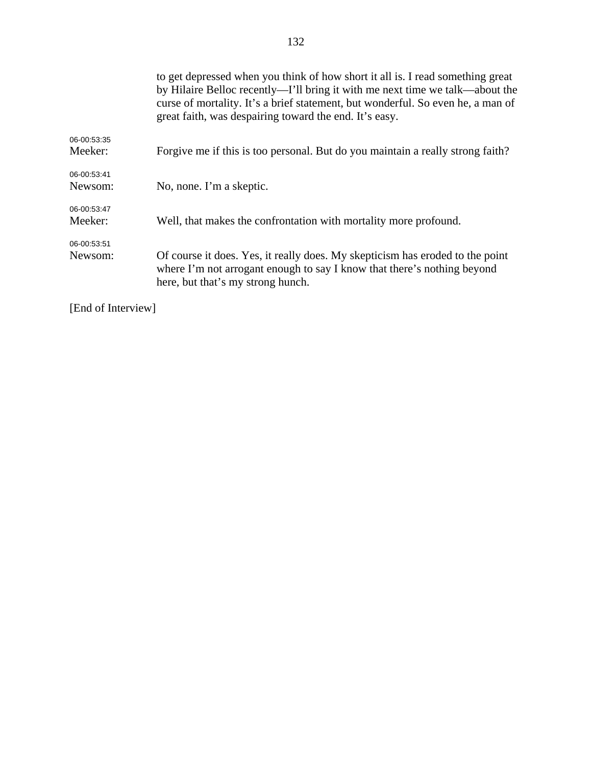|             | to get depressed when you think of how short it all is. I read something great<br>by Hilaire Belloc recently—I'll bring it with me next time we talk—about the<br>curse of mortality. It's a brief statement, but wonderful. So even he, a man of<br>great faith, was despairing toward the end. It's easy. |
|-------------|-------------------------------------------------------------------------------------------------------------------------------------------------------------------------------------------------------------------------------------------------------------------------------------------------------------|
| 06-00:53:35 |                                                                                                                                                                                                                                                                                                             |
| Meeker:     | Forgive me if this is too personal. But do you maintain a really strong faith?                                                                                                                                                                                                                              |
| 06-00:53:41 |                                                                                                                                                                                                                                                                                                             |
| Newsom:     | No, none. I'm a skeptic.                                                                                                                                                                                                                                                                                    |
| 06-00:53:47 |                                                                                                                                                                                                                                                                                                             |
| Meeker:     | Well, that makes the confrontation with mortality more profound.                                                                                                                                                                                                                                            |
| 06-00:53:51 |                                                                                                                                                                                                                                                                                                             |
| Newsom:     | Of course it does. Yes, it really does. My skepticism has eroded to the point<br>where I'm not arrogant enough to say I know that there's nothing beyond<br>here, but that's my strong hunch.                                                                                                               |

[End of Interview]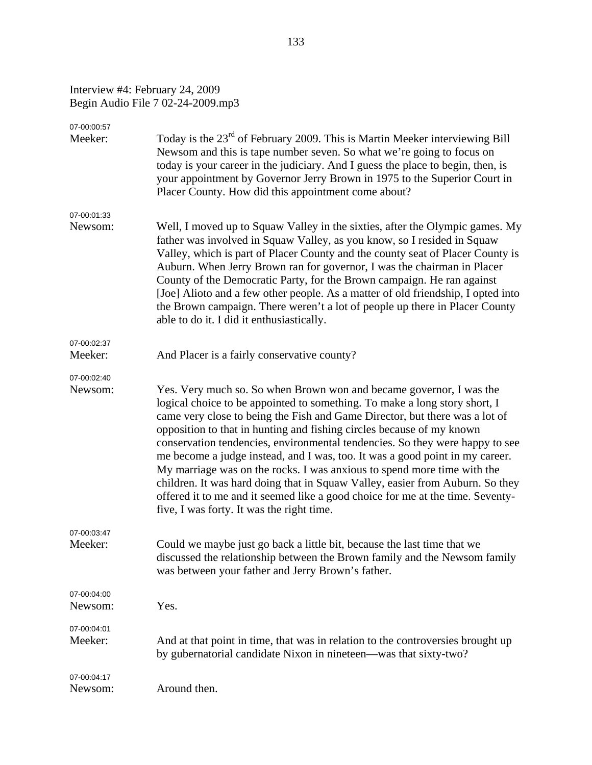## Interview #4: February 24, 2009 Begin Audio File 7 02-24-2009.mp3

| 07-00:00:57 |                                                                                                                                                                                                                                                                                                                                                                                                                                                                                                                                                                                                                                                                                                                                                                      |
|-------------|----------------------------------------------------------------------------------------------------------------------------------------------------------------------------------------------------------------------------------------------------------------------------------------------------------------------------------------------------------------------------------------------------------------------------------------------------------------------------------------------------------------------------------------------------------------------------------------------------------------------------------------------------------------------------------------------------------------------------------------------------------------------|
| Meeker:     | Today is the 23 <sup>rd</sup> of February 2009. This is Martin Meeker interviewing Bill<br>Newsom and this is tape number seven. So what we're going to focus on<br>today is your career in the judiciary. And I guess the place to begin, then, is<br>your appointment by Governor Jerry Brown in 1975 to the Superior Court in<br>Placer County. How did this appointment come about?                                                                                                                                                                                                                                                                                                                                                                              |
| 07-00:01:33 |                                                                                                                                                                                                                                                                                                                                                                                                                                                                                                                                                                                                                                                                                                                                                                      |
| Newsom:     | Well, I moved up to Squaw Valley in the sixties, after the Olympic games. My<br>father was involved in Squaw Valley, as you know, so I resided in Squaw<br>Valley, which is part of Placer County and the county seat of Placer County is<br>Auburn. When Jerry Brown ran for governor, I was the chairman in Placer<br>County of the Democratic Party, for the Brown campaign. He ran against<br>[Joe] Alioto and a few other people. As a matter of old friendship, I opted into<br>the Brown campaign. There weren't a lot of people up there in Placer County<br>able to do it. I did it enthusiastically.                                                                                                                                                       |
| 07-00:02:37 |                                                                                                                                                                                                                                                                                                                                                                                                                                                                                                                                                                                                                                                                                                                                                                      |
| Meeker:     | And Placer is a fairly conservative county?                                                                                                                                                                                                                                                                                                                                                                                                                                                                                                                                                                                                                                                                                                                          |
| 07-00:02:40 |                                                                                                                                                                                                                                                                                                                                                                                                                                                                                                                                                                                                                                                                                                                                                                      |
| Newsom:     | Yes. Very much so. So when Brown won and became governor, I was the<br>logical choice to be appointed to something. To make a long story short, I<br>came very close to being the Fish and Game Director, but there was a lot of<br>opposition to that in hunting and fishing circles because of my known<br>conservation tendencies, environmental tendencies. So they were happy to see<br>me become a judge instead, and I was, too. It was a good point in my career.<br>My marriage was on the rocks. I was anxious to spend more time with the<br>children. It was hard doing that in Squaw Valley, easier from Auburn. So they<br>offered it to me and it seemed like a good choice for me at the time. Seventy-<br>five, I was forty. It was the right time. |
| 07-00:03:47 |                                                                                                                                                                                                                                                                                                                                                                                                                                                                                                                                                                                                                                                                                                                                                                      |
| Meeker:     | Could we maybe just go back a little bit, because the last time that we<br>discussed the relationship between the Brown family and the Newsom family<br>was between your father and Jerry Brown's father.                                                                                                                                                                                                                                                                                                                                                                                                                                                                                                                                                            |
| 07-00:04:00 |                                                                                                                                                                                                                                                                                                                                                                                                                                                                                                                                                                                                                                                                                                                                                                      |
| Newsom:     | Yes.                                                                                                                                                                                                                                                                                                                                                                                                                                                                                                                                                                                                                                                                                                                                                                 |
| 07-00:04:01 |                                                                                                                                                                                                                                                                                                                                                                                                                                                                                                                                                                                                                                                                                                                                                                      |
| Meeker:     | And at that point in time, that was in relation to the controversies brought up<br>by gubernatorial candidate Nixon in nineteen—was that sixty-two?                                                                                                                                                                                                                                                                                                                                                                                                                                                                                                                                                                                                                  |
| 07-00:04:17 |                                                                                                                                                                                                                                                                                                                                                                                                                                                                                                                                                                                                                                                                                                                                                                      |
| Newsom:     | Around then.                                                                                                                                                                                                                                                                                                                                                                                                                                                                                                                                                                                                                                                                                                                                                         |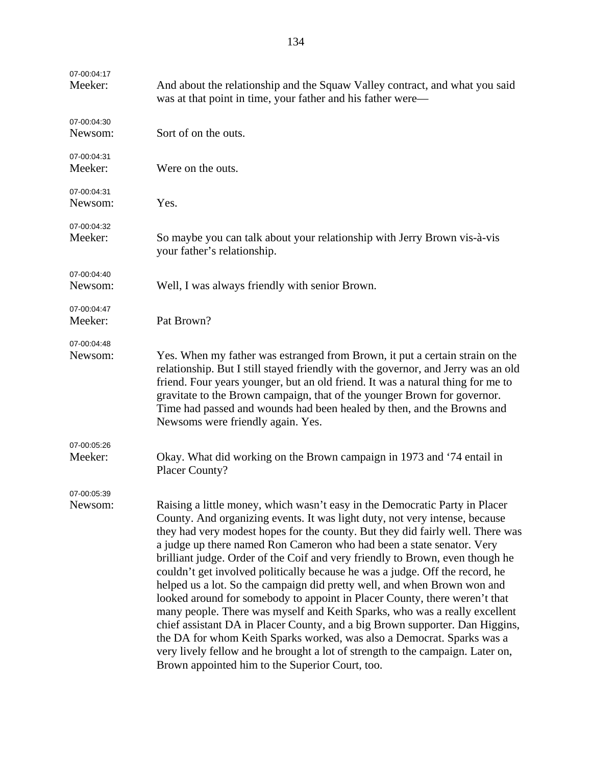| 07-00:04:17<br>Meeker: | And about the relationship and the Squaw Valley contract, and what you said<br>was at that point in time, your father and his father were—                                                                                                                                                                                                                                                                                                                                                                                                                                                                                                                                                                                                                                                                                                                                                                                                                                                                                    |
|------------------------|-------------------------------------------------------------------------------------------------------------------------------------------------------------------------------------------------------------------------------------------------------------------------------------------------------------------------------------------------------------------------------------------------------------------------------------------------------------------------------------------------------------------------------------------------------------------------------------------------------------------------------------------------------------------------------------------------------------------------------------------------------------------------------------------------------------------------------------------------------------------------------------------------------------------------------------------------------------------------------------------------------------------------------|
| 07-00:04:30<br>Newsom: | Sort of on the outs.                                                                                                                                                                                                                                                                                                                                                                                                                                                                                                                                                                                                                                                                                                                                                                                                                                                                                                                                                                                                          |
| 07-00:04:31<br>Meeker: | Were on the outs.                                                                                                                                                                                                                                                                                                                                                                                                                                                                                                                                                                                                                                                                                                                                                                                                                                                                                                                                                                                                             |
| 07-00:04:31<br>Newsom: | Yes.                                                                                                                                                                                                                                                                                                                                                                                                                                                                                                                                                                                                                                                                                                                                                                                                                                                                                                                                                                                                                          |
| 07-00:04:32<br>Meeker: | So maybe you can talk about your relationship with Jerry Brown vis-à-vis<br>your father's relationship.                                                                                                                                                                                                                                                                                                                                                                                                                                                                                                                                                                                                                                                                                                                                                                                                                                                                                                                       |
| 07-00:04:40<br>Newsom: | Well, I was always friendly with senior Brown.                                                                                                                                                                                                                                                                                                                                                                                                                                                                                                                                                                                                                                                                                                                                                                                                                                                                                                                                                                                |
| 07-00:04:47<br>Meeker: | Pat Brown?                                                                                                                                                                                                                                                                                                                                                                                                                                                                                                                                                                                                                                                                                                                                                                                                                                                                                                                                                                                                                    |
| 07-00:04:48<br>Newsom: | Yes. When my father was estranged from Brown, it put a certain strain on the<br>relationship. But I still stayed friendly with the governor, and Jerry was an old<br>friend. Four years younger, but an old friend. It was a natural thing for me to<br>gravitate to the Brown campaign, that of the younger Brown for governor.<br>Time had passed and wounds had been healed by then, and the Browns and<br>Newsoms were friendly again. Yes.                                                                                                                                                                                                                                                                                                                                                                                                                                                                                                                                                                               |
| 07-00:05:26<br>Meeker: | Okay. What did working on the Brown campaign in 1973 and '74 entail in<br>Placer County?                                                                                                                                                                                                                                                                                                                                                                                                                                                                                                                                                                                                                                                                                                                                                                                                                                                                                                                                      |
| 07-00:05:39<br>Newsom: | Raising a little money, which wasn't easy in the Democratic Party in Placer<br>County. And organizing events. It was light duty, not very intense, because<br>they had very modest hopes for the county. But they did fairly well. There was<br>a judge up there named Ron Cameron who had been a state senator. Very<br>brilliant judge. Order of the Coif and very friendly to Brown, even though he<br>couldn't get involved politically because he was a judge. Off the record, he<br>helped us a lot. So the campaign did pretty well, and when Brown won and<br>looked around for somebody to appoint in Placer County, there weren't that<br>many people. There was myself and Keith Sparks, who was a really excellent<br>chief assistant DA in Placer County, and a big Brown supporter. Dan Higgins,<br>the DA for whom Keith Sparks worked, was also a Democrat. Sparks was a<br>very lively fellow and he brought a lot of strength to the campaign. Later on,<br>Brown appointed him to the Superior Court, too. |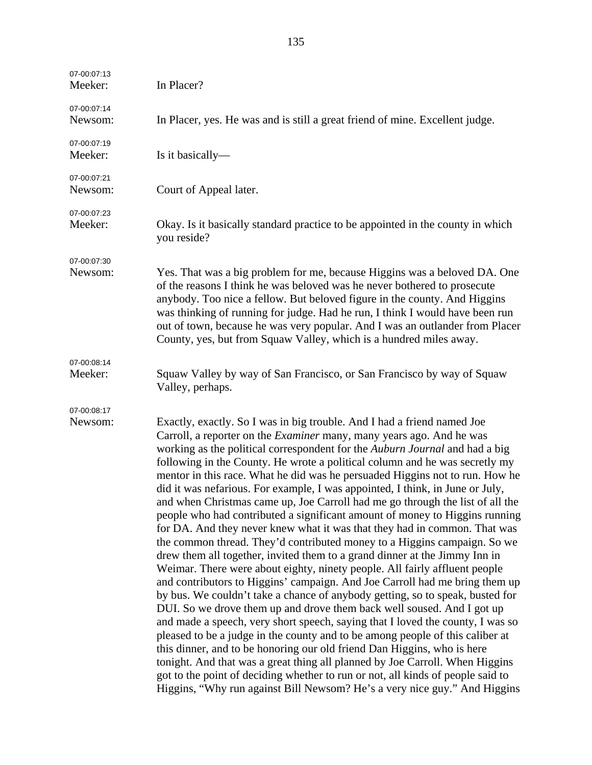| 07-00:07:13<br>Meeker: | In Placer?                                                                                                                                                                                                                                                                                                                                                                                                                                                                                                                                                                                                                                                                                                                                                                                                                                                                                                                                                                                                                                                                                                                                                                                                                                                                                                                                                                                                                                                                                                                                                                                                                                                                                                         |
|------------------------|--------------------------------------------------------------------------------------------------------------------------------------------------------------------------------------------------------------------------------------------------------------------------------------------------------------------------------------------------------------------------------------------------------------------------------------------------------------------------------------------------------------------------------------------------------------------------------------------------------------------------------------------------------------------------------------------------------------------------------------------------------------------------------------------------------------------------------------------------------------------------------------------------------------------------------------------------------------------------------------------------------------------------------------------------------------------------------------------------------------------------------------------------------------------------------------------------------------------------------------------------------------------------------------------------------------------------------------------------------------------------------------------------------------------------------------------------------------------------------------------------------------------------------------------------------------------------------------------------------------------------------------------------------------------------------------------------------------------|
| 07-00:07:14<br>Newsom: | In Placer, yes. He was and is still a great friend of mine. Excellent judge.                                                                                                                                                                                                                                                                                                                                                                                                                                                                                                                                                                                                                                                                                                                                                                                                                                                                                                                                                                                                                                                                                                                                                                                                                                                                                                                                                                                                                                                                                                                                                                                                                                       |
| 07-00:07:19<br>Meeker: | Is it basically—                                                                                                                                                                                                                                                                                                                                                                                                                                                                                                                                                                                                                                                                                                                                                                                                                                                                                                                                                                                                                                                                                                                                                                                                                                                                                                                                                                                                                                                                                                                                                                                                                                                                                                   |
| 07-00:07:21<br>Newsom: | Court of Appeal later.                                                                                                                                                                                                                                                                                                                                                                                                                                                                                                                                                                                                                                                                                                                                                                                                                                                                                                                                                                                                                                                                                                                                                                                                                                                                                                                                                                                                                                                                                                                                                                                                                                                                                             |
| 07-00:07:23<br>Meeker: | Okay. Is it basically standard practice to be appointed in the county in which<br>you reside?                                                                                                                                                                                                                                                                                                                                                                                                                                                                                                                                                                                                                                                                                                                                                                                                                                                                                                                                                                                                                                                                                                                                                                                                                                                                                                                                                                                                                                                                                                                                                                                                                      |
| 07-00:07:30<br>Newsom: | Yes. That was a big problem for me, because Higgins was a beloved DA. One<br>of the reasons I think he was beloved was he never bothered to prosecute<br>anybody. Too nice a fellow. But beloved figure in the county. And Higgins<br>was thinking of running for judge. Had he run, I think I would have been run<br>out of town, because he was very popular. And I was an outlander from Placer<br>County, yes, but from Squaw Valley, which is a hundred miles away.                                                                                                                                                                                                                                                                                                                                                                                                                                                                                                                                                                                                                                                                                                                                                                                                                                                                                                                                                                                                                                                                                                                                                                                                                                           |
| 07-00:08:14<br>Meeker: | Squaw Valley by way of San Francisco, or San Francisco by way of Squaw<br>Valley, perhaps.                                                                                                                                                                                                                                                                                                                                                                                                                                                                                                                                                                                                                                                                                                                                                                                                                                                                                                                                                                                                                                                                                                                                                                                                                                                                                                                                                                                                                                                                                                                                                                                                                         |
| 07-00:08:17<br>Newsom: | Exactly, exactly. So I was in big trouble. And I had a friend named Joe<br>Carroll, a reporter on the <i>Examiner</i> many, many years ago. And he was<br>working as the political correspondent for the Auburn Journal and had a big<br>following in the County. He wrote a political column and he was secretly my<br>mentor in this race. What he did was he persuaded Higgins not to run. How he<br>did it was nefarious. For example, I was appointed, I think, in June or July,<br>and when Christmas came up, Joe Carroll had me go through the list of all the<br>people who had contributed a significant amount of money to Higgins running<br>for DA. And they never knew what it was that they had in common. That was<br>the common thread. They'd contributed money to a Higgins campaign. So we<br>drew them all together, invited them to a grand dinner at the Jimmy Inn in<br>Weimar. There were about eighty, ninety people. All fairly affluent people<br>and contributors to Higgins' campaign. And Joe Carroll had me bring them up<br>by bus. We couldn't take a chance of anybody getting, so to speak, busted for<br>DUI. So we drove them up and drove them back well soused. And I got up<br>and made a speech, very short speech, saying that I loved the county, I was so<br>pleased to be a judge in the county and to be among people of this caliber at<br>this dinner, and to be honoring our old friend Dan Higgins, who is here<br>tonight. And that was a great thing all planned by Joe Carroll. When Higgins<br>got to the point of deciding whether to run or not, all kinds of people said to<br>Higgins, "Why run against Bill Newsom? He's a very nice guy." And Higgins |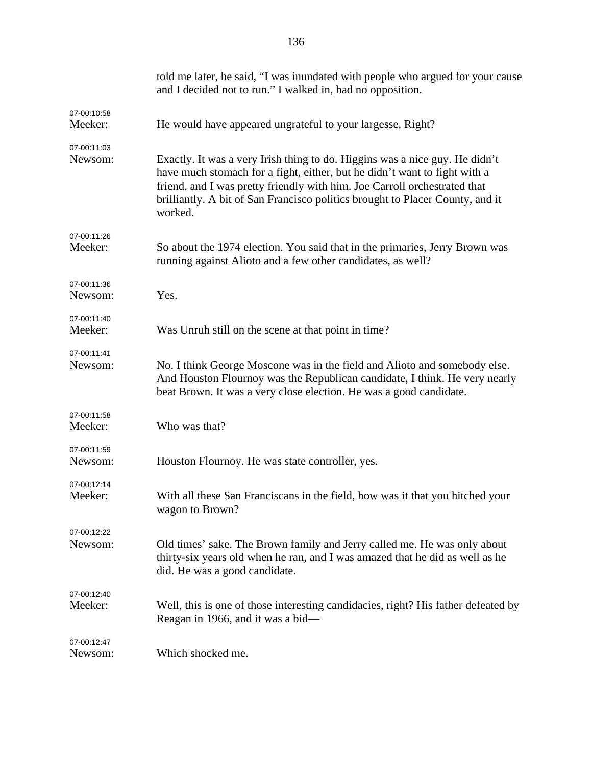|                        | told me later, he said, "I was inundated with people who argued for your cause<br>and I decided not to run." I walked in, had no opposition.                                                                                                                                                                                      |
|------------------------|-----------------------------------------------------------------------------------------------------------------------------------------------------------------------------------------------------------------------------------------------------------------------------------------------------------------------------------|
| 07-00:10:58<br>Meeker: | He would have appeared ungrateful to your largesse. Right?                                                                                                                                                                                                                                                                        |
| 07-00:11:03<br>Newsom: | Exactly. It was a very Irish thing to do. Higgins was a nice guy. He didn't<br>have much stomach for a fight, either, but he didn't want to fight with a<br>friend, and I was pretty friendly with him. Joe Carroll orchestrated that<br>brilliantly. A bit of San Francisco politics brought to Placer County, and it<br>worked. |
| 07-00:11:26<br>Meeker: | So about the 1974 election. You said that in the primaries, Jerry Brown was<br>running against Alioto and a few other candidates, as well?                                                                                                                                                                                        |
| 07-00:11:36<br>Newsom: | Yes.                                                                                                                                                                                                                                                                                                                              |
| 07-00:11:40<br>Meeker: | Was Unruh still on the scene at that point in time?                                                                                                                                                                                                                                                                               |
| 07-00:11:41<br>Newsom: | No. I think George Moscone was in the field and Alioto and somebody else.<br>And Houston Flournoy was the Republican candidate, I think. He very nearly<br>beat Brown. It was a very close election. He was a good candidate.                                                                                                     |
| 07-00:11:58<br>Meeker: | Who was that?                                                                                                                                                                                                                                                                                                                     |
| 07-00:11:59<br>Newsom: | Houston Flournoy. He was state controller, yes.                                                                                                                                                                                                                                                                                   |
| 07-00:12:14<br>Meeker: | With all these San Franciscans in the field, how was it that you hitched your<br>wagon to Brown?                                                                                                                                                                                                                                  |
| 07-00:12:22<br>Newsom: | Old times' sake. The Brown family and Jerry called me. He was only about<br>thirty-six years old when he ran, and I was amazed that he did as well as he<br>did. He was a good candidate.                                                                                                                                         |
| 07-00:12:40<br>Meeker: | Well, this is one of those interesting candidacies, right? His father defeated by<br>Reagan in 1966, and it was a bid-                                                                                                                                                                                                            |
| 07-00:12:47<br>Newsom: | Which shocked me.                                                                                                                                                                                                                                                                                                                 |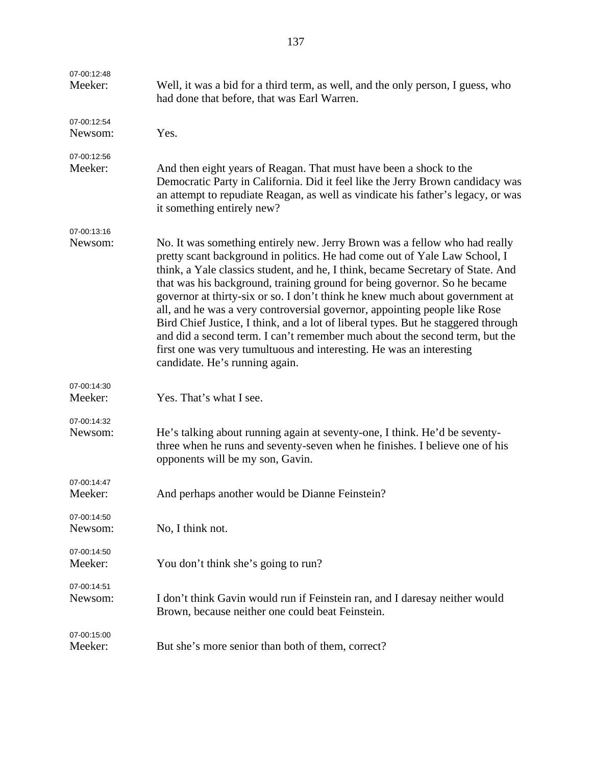| 07-00:12:48<br>Meeker: | Well, it was a bid for a third term, as well, and the only person, I guess, who<br>had done that before, that was Earl Warren.                                                                                                                                                                                                                                                                                                                                                                                                                                                                                                                                                                                                                                       |
|------------------------|----------------------------------------------------------------------------------------------------------------------------------------------------------------------------------------------------------------------------------------------------------------------------------------------------------------------------------------------------------------------------------------------------------------------------------------------------------------------------------------------------------------------------------------------------------------------------------------------------------------------------------------------------------------------------------------------------------------------------------------------------------------------|
| 07-00:12:54<br>Newsom: | Yes.                                                                                                                                                                                                                                                                                                                                                                                                                                                                                                                                                                                                                                                                                                                                                                 |
| 07-00:12:56<br>Meeker: | And then eight years of Reagan. That must have been a shock to the<br>Democratic Party in California. Did it feel like the Jerry Brown candidacy was<br>an attempt to repudiate Reagan, as well as vindicate his father's legacy, or was<br>it something entirely new?                                                                                                                                                                                                                                                                                                                                                                                                                                                                                               |
| 07-00:13:16<br>Newsom: | No. It was something entirely new. Jerry Brown was a fellow who had really<br>pretty scant background in politics. He had come out of Yale Law School, I<br>think, a Yale classics student, and he, I think, became Secretary of State. And<br>that was his background, training ground for being governor. So he became<br>governor at thirty-six or so. I don't think he knew much about government at<br>all, and he was a very controversial governor, appointing people like Rose<br>Bird Chief Justice, I think, and a lot of liberal types. But he staggered through<br>and did a second term. I can't remember much about the second term, but the<br>first one was very tumultuous and interesting. He was an interesting<br>candidate. He's running again. |
| 07-00:14:30<br>Meeker: | Yes. That's what I see.                                                                                                                                                                                                                                                                                                                                                                                                                                                                                                                                                                                                                                                                                                                                              |
| 07-00:14:32<br>Newsom: | He's talking about running again at seventy-one, I think. He'd be seventy-<br>three when he runs and seventy-seven when he finishes. I believe one of his<br>opponents will be my son, Gavin.                                                                                                                                                                                                                                                                                                                                                                                                                                                                                                                                                                        |
| 07-00:14:47<br>Meeker: | And perhaps another would be Dianne Feinstein?                                                                                                                                                                                                                                                                                                                                                                                                                                                                                                                                                                                                                                                                                                                       |
| 07-00:14:50<br>Newsom: | No, I think not.                                                                                                                                                                                                                                                                                                                                                                                                                                                                                                                                                                                                                                                                                                                                                     |
| 07-00:14:50<br>Meeker: | You don't think she's going to run?                                                                                                                                                                                                                                                                                                                                                                                                                                                                                                                                                                                                                                                                                                                                  |
| 07-00:14:51<br>Newsom: | I don't think Gavin would run if Feinstein ran, and I daresay neither would<br>Brown, because neither one could beat Feinstein.                                                                                                                                                                                                                                                                                                                                                                                                                                                                                                                                                                                                                                      |
| 07-00:15:00<br>Meeker: | But she's more senior than both of them, correct?                                                                                                                                                                                                                                                                                                                                                                                                                                                                                                                                                                                                                                                                                                                    |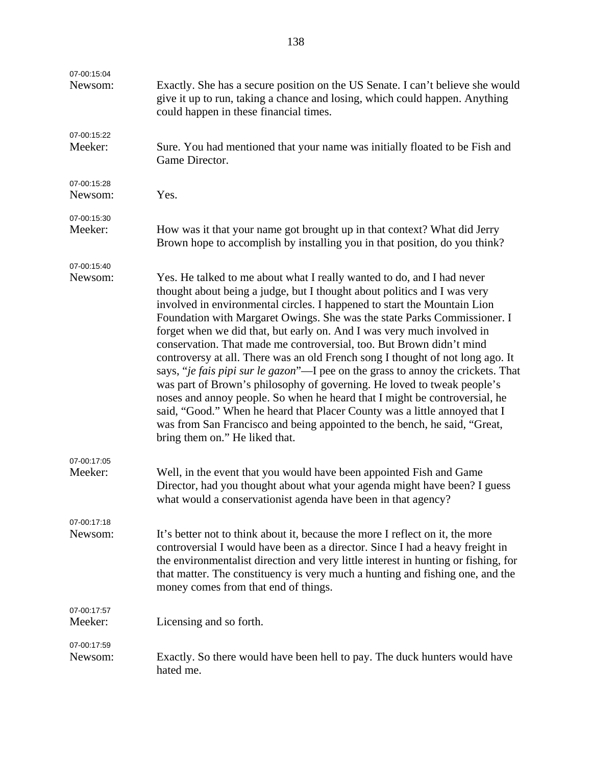| 07-00:15:04            |                                                                                                                                                                                                                                                                                                                                                                                                                                                                                                                                                                                                                                                                                                                                                                                                                                                                                                                                                                                          |
|------------------------|------------------------------------------------------------------------------------------------------------------------------------------------------------------------------------------------------------------------------------------------------------------------------------------------------------------------------------------------------------------------------------------------------------------------------------------------------------------------------------------------------------------------------------------------------------------------------------------------------------------------------------------------------------------------------------------------------------------------------------------------------------------------------------------------------------------------------------------------------------------------------------------------------------------------------------------------------------------------------------------|
| Newsom:                | Exactly. She has a secure position on the US Senate. I can't believe she would<br>give it up to run, taking a chance and losing, which could happen. Anything<br>could happen in these financial times.                                                                                                                                                                                                                                                                                                                                                                                                                                                                                                                                                                                                                                                                                                                                                                                  |
| 07-00:15:22<br>Meeker: | Sure. You had mentioned that your name was initially floated to be Fish and<br>Game Director.                                                                                                                                                                                                                                                                                                                                                                                                                                                                                                                                                                                                                                                                                                                                                                                                                                                                                            |
| 07-00:15:28<br>Newsom: | Yes.                                                                                                                                                                                                                                                                                                                                                                                                                                                                                                                                                                                                                                                                                                                                                                                                                                                                                                                                                                                     |
| 07-00:15:30<br>Meeker: | How was it that your name got brought up in that context? What did Jerry<br>Brown hope to accomplish by installing you in that position, do you think?                                                                                                                                                                                                                                                                                                                                                                                                                                                                                                                                                                                                                                                                                                                                                                                                                                   |
| 07-00:15:40<br>Newsom: | Yes. He talked to me about what I really wanted to do, and I had never<br>thought about being a judge, but I thought about politics and I was very<br>involved in environmental circles. I happened to start the Mountain Lion<br>Foundation with Margaret Owings. She was the state Parks Commissioner. I<br>forget when we did that, but early on. And I was very much involved in<br>conservation. That made me controversial, too. But Brown didn't mind<br>controversy at all. There was an old French song I thought of not long ago. It<br>says, "je fais pipi sur le gazon"—I pee on the grass to annoy the crickets. That<br>was part of Brown's philosophy of governing. He loved to tweak people's<br>noses and annoy people. So when he heard that I might be controversial, he<br>said, "Good." When he heard that Placer County was a little annoyed that I<br>was from San Francisco and being appointed to the bench, he said, "Great,<br>bring them on." He liked that. |
| 07-00:17:05<br>Meeker: | Well, in the event that you would have been appointed Fish and Game<br>Director, had you thought about what your agenda might have been? I guess<br>what would a conservationist agenda have been in that agency?                                                                                                                                                                                                                                                                                                                                                                                                                                                                                                                                                                                                                                                                                                                                                                        |
| 07-00:17:18<br>Newsom: | It's better not to think about it, because the more I reflect on it, the more<br>controversial I would have been as a director. Since I had a heavy freight in<br>the environmentalist direction and very little interest in hunting or fishing, for<br>that matter. The constituency is very much a hunting and fishing one, and the<br>money comes from that end of things.                                                                                                                                                                                                                                                                                                                                                                                                                                                                                                                                                                                                            |
| 07-00:17:57<br>Meeker: | Licensing and so forth.                                                                                                                                                                                                                                                                                                                                                                                                                                                                                                                                                                                                                                                                                                                                                                                                                                                                                                                                                                  |
| 07-00:17:59            |                                                                                                                                                                                                                                                                                                                                                                                                                                                                                                                                                                                                                                                                                                                                                                                                                                                                                                                                                                                          |
| Newsom:                | Exactly. So there would have been hell to pay. The duck hunters would have<br>hated me.                                                                                                                                                                                                                                                                                                                                                                                                                                                                                                                                                                                                                                                                                                                                                                                                                                                                                                  |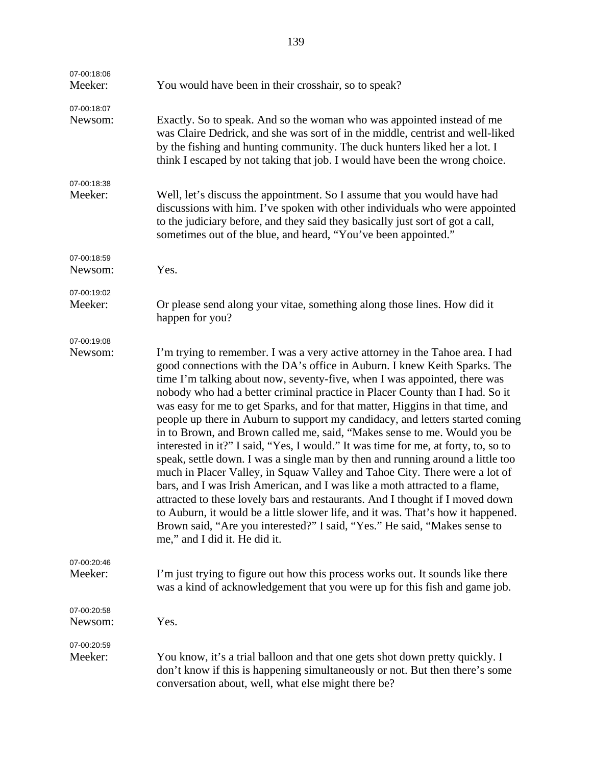| 07-00:18:06<br>Meeker: | You would have been in their crosshair, so to speak?                                                                                                                                                                                                                                                                                                                                                                                                                                                                                                                                                                                                                                                                                                                                                                                                                                                                                                                                                                                                                                                                                                                                          |
|------------------------|-----------------------------------------------------------------------------------------------------------------------------------------------------------------------------------------------------------------------------------------------------------------------------------------------------------------------------------------------------------------------------------------------------------------------------------------------------------------------------------------------------------------------------------------------------------------------------------------------------------------------------------------------------------------------------------------------------------------------------------------------------------------------------------------------------------------------------------------------------------------------------------------------------------------------------------------------------------------------------------------------------------------------------------------------------------------------------------------------------------------------------------------------------------------------------------------------|
| 07-00:18:07<br>Newsom: | Exactly. So to speak. And so the woman who was appointed instead of me<br>was Claire Dedrick, and she was sort of in the middle, centrist and well-liked<br>by the fishing and hunting community. The duck hunters liked her a lot. I<br>think I escaped by not taking that job. I would have been the wrong choice.                                                                                                                                                                                                                                                                                                                                                                                                                                                                                                                                                                                                                                                                                                                                                                                                                                                                          |
| 07-00:18:38<br>Meeker: | Well, let's discuss the appointment. So I assume that you would have had<br>discussions with him. I've spoken with other individuals who were appointed<br>to the judiciary before, and they said they basically just sort of got a call,<br>sometimes out of the blue, and heard, "You've been appointed."                                                                                                                                                                                                                                                                                                                                                                                                                                                                                                                                                                                                                                                                                                                                                                                                                                                                                   |
| 07-00:18:59<br>Newsom: | Yes.                                                                                                                                                                                                                                                                                                                                                                                                                                                                                                                                                                                                                                                                                                                                                                                                                                                                                                                                                                                                                                                                                                                                                                                          |
| 07-00:19:02<br>Meeker: | Or please send along your vitae, something along those lines. How did it<br>happen for you?                                                                                                                                                                                                                                                                                                                                                                                                                                                                                                                                                                                                                                                                                                                                                                                                                                                                                                                                                                                                                                                                                                   |
| 07-00:19:08<br>Newsom: | I'm trying to remember. I was a very active attorney in the Tahoe area. I had<br>good connections with the DA's office in Auburn. I knew Keith Sparks. The<br>time I'm talking about now, seventy-five, when I was appointed, there was<br>nobody who had a better criminal practice in Placer County than I had. So it<br>was easy for me to get Sparks, and for that matter, Higgins in that time, and<br>people up there in Auburn to support my candidacy, and letters started coming<br>in to Brown, and Brown called me, said, "Makes sense to me. Would you be<br>interested in it?" I said, "Yes, I would." It was time for me, at forty, to, so to<br>speak, settle down. I was a single man by then and running around a little too<br>much in Placer Valley, in Squaw Valley and Tahoe City. There were a lot of<br>bars, and I was Irish American, and I was like a moth attracted to a flame,<br>attracted to these lovely bars and restaurants. And I thought if I moved down<br>to Auburn, it would be a little slower life, and it was. That's how it happened.<br>Brown said, "Are you interested?" I said, "Yes." He said, "Makes sense to<br>me," and I did it. He did it. |
| 07-00:20:46<br>Meeker: | I'm just trying to figure out how this process works out. It sounds like there<br>was a kind of acknowledgement that you were up for this fish and game job.                                                                                                                                                                                                                                                                                                                                                                                                                                                                                                                                                                                                                                                                                                                                                                                                                                                                                                                                                                                                                                  |
| 07-00:20:58<br>Newsom: | Yes.                                                                                                                                                                                                                                                                                                                                                                                                                                                                                                                                                                                                                                                                                                                                                                                                                                                                                                                                                                                                                                                                                                                                                                                          |
| 07-00:20:59<br>Meeker: | You know, it's a trial balloon and that one gets shot down pretty quickly. I<br>don't know if this is happening simultaneously or not. But then there's some<br>conversation about, well, what else might there be?                                                                                                                                                                                                                                                                                                                                                                                                                                                                                                                                                                                                                                                                                                                                                                                                                                                                                                                                                                           |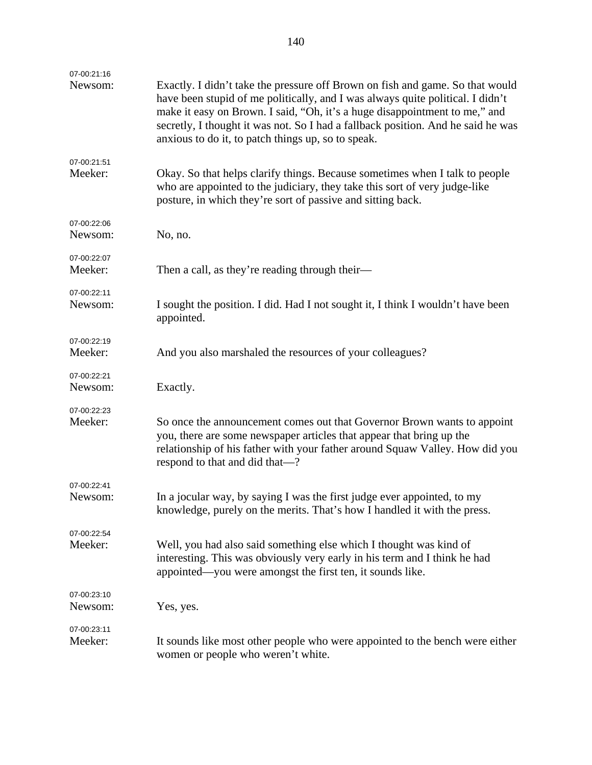| 07-00:21:16            |                                                                                                                                                                                                                                                                                                                                                                                         |
|------------------------|-----------------------------------------------------------------------------------------------------------------------------------------------------------------------------------------------------------------------------------------------------------------------------------------------------------------------------------------------------------------------------------------|
| Newsom:                | Exactly. I didn't take the pressure off Brown on fish and game. So that would<br>have been stupid of me politically, and I was always quite political. I didn't<br>make it easy on Brown. I said, "Oh, it's a huge disappointment to me," and<br>secretly, I thought it was not. So I had a fallback position. And he said he was<br>anxious to do it, to patch things up, so to speak. |
| 07-00:21:51<br>Meeker: | Okay. So that helps clarify things. Because sometimes when I talk to people<br>who are appointed to the judiciary, they take this sort of very judge-like<br>posture, in which they're sort of passive and sitting back.                                                                                                                                                                |
| 07-00:22:06            |                                                                                                                                                                                                                                                                                                                                                                                         |
| Newsom:                | No, no.                                                                                                                                                                                                                                                                                                                                                                                 |
| 07-00:22:07<br>Meeker: | Then a call, as they're reading through their—                                                                                                                                                                                                                                                                                                                                          |
| 07-00:22:11<br>Newsom: | I sought the position. I did. Had I not sought it, I think I wouldn't have been<br>appointed.                                                                                                                                                                                                                                                                                           |
| 07-00:22:19<br>Meeker: | And you also marshaled the resources of your colleagues?                                                                                                                                                                                                                                                                                                                                |
| 07-00:22:21<br>Newsom: | Exactly.                                                                                                                                                                                                                                                                                                                                                                                |
| 07-00:22:23<br>Meeker: | So once the announcement comes out that Governor Brown wants to appoint<br>you, there are some newspaper articles that appear that bring up the<br>relationship of his father with your father around Squaw Valley. How did you<br>respond to that and did that-?                                                                                                                       |
| 07-00:22:41            |                                                                                                                                                                                                                                                                                                                                                                                         |
| Newsom:                | In a jocular way, by saying I was the first judge ever appointed, to my<br>knowledge, purely on the merits. That's how I handled it with the press.                                                                                                                                                                                                                                     |
| 07-00:22:54            |                                                                                                                                                                                                                                                                                                                                                                                         |
| Meeker:                | Well, you had also said something else which I thought was kind of<br>interesting. This was obviously very early in his term and I think he had<br>appointed—you were amongst the first ten, it sounds like.                                                                                                                                                                            |
| 07-00:23:10            |                                                                                                                                                                                                                                                                                                                                                                                         |
| Newsom:                | Yes, yes.                                                                                                                                                                                                                                                                                                                                                                               |
| 07-00:23:11<br>Meeker: | It sounds like most other people who were appointed to the bench were either<br>women or people who weren't white.                                                                                                                                                                                                                                                                      |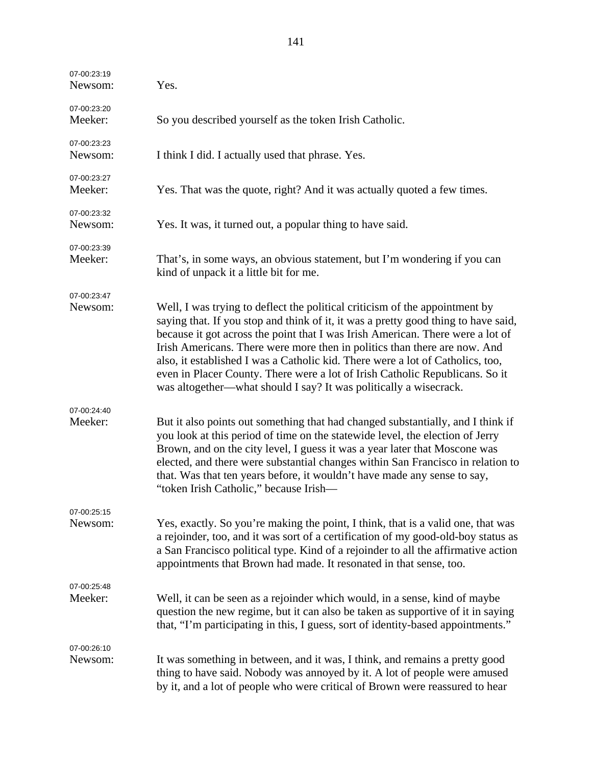| 07-00:23:19<br>Newsom: | Yes.                                                                                                                                                                                                                                                                                                                                                                                                                                                                                                                                                                    |
|------------------------|-------------------------------------------------------------------------------------------------------------------------------------------------------------------------------------------------------------------------------------------------------------------------------------------------------------------------------------------------------------------------------------------------------------------------------------------------------------------------------------------------------------------------------------------------------------------------|
| 07-00:23:20<br>Meeker: | So you described yourself as the token Irish Catholic.                                                                                                                                                                                                                                                                                                                                                                                                                                                                                                                  |
| 07-00:23:23<br>Newsom: | I think I did. I actually used that phrase. Yes.                                                                                                                                                                                                                                                                                                                                                                                                                                                                                                                        |
| 07-00:23:27<br>Meeker: | Yes. That was the quote, right? And it was actually quoted a few times.                                                                                                                                                                                                                                                                                                                                                                                                                                                                                                 |
| 07-00:23:32<br>Newsom: | Yes. It was, it turned out, a popular thing to have said.                                                                                                                                                                                                                                                                                                                                                                                                                                                                                                               |
| 07-00:23:39<br>Meeker: | That's, in some ways, an obvious statement, but I'm wondering if you can<br>kind of unpack it a little bit for me.                                                                                                                                                                                                                                                                                                                                                                                                                                                      |
| 07-00:23:47<br>Newsom: | Well, I was trying to deflect the political criticism of the appointment by<br>saying that. If you stop and think of it, it was a pretty good thing to have said,<br>because it got across the point that I was Irish American. There were a lot of<br>Irish Americans. There were more then in politics than there are now. And<br>also, it established I was a Catholic kid. There were a lot of Catholics, too,<br>even in Placer County. There were a lot of Irish Catholic Republicans. So it<br>was altogether—what should I say? It was politically a wisecrack. |
| 07-00:24:40<br>Meeker: | But it also points out something that had changed substantially, and I think if<br>you look at this period of time on the statewide level, the election of Jerry<br>Brown, and on the city level, I guess it was a year later that Moscone was<br>elected, and there were substantial changes within San Francisco in relation to<br>that. Was that ten years before, it wouldn't have made any sense to say,<br>"token Irish Catholic," because Irish-                                                                                                                 |
| 07-00:25:15<br>Newsom: | Yes, exactly. So you're making the point, I think, that is a valid one, that was<br>a rejoinder, too, and it was sort of a certification of my good-old-boy status as<br>a San Francisco political type. Kind of a rejoinder to all the affirmative action<br>appointments that Brown had made. It resonated in that sense, too.                                                                                                                                                                                                                                        |
| 07-00:25:48<br>Meeker: | Well, it can be seen as a rejoinder which would, in a sense, kind of maybe<br>question the new regime, but it can also be taken as supportive of it in saying<br>that, "I'm participating in this, I guess, sort of identity-based appointments."                                                                                                                                                                                                                                                                                                                       |
| 07-00:26:10<br>Newsom: | It was something in between, and it was, I think, and remains a pretty good<br>thing to have said. Nobody was annoyed by it. A lot of people were amused<br>by it, and a lot of people who were critical of Brown were reassured to hear                                                                                                                                                                                                                                                                                                                                |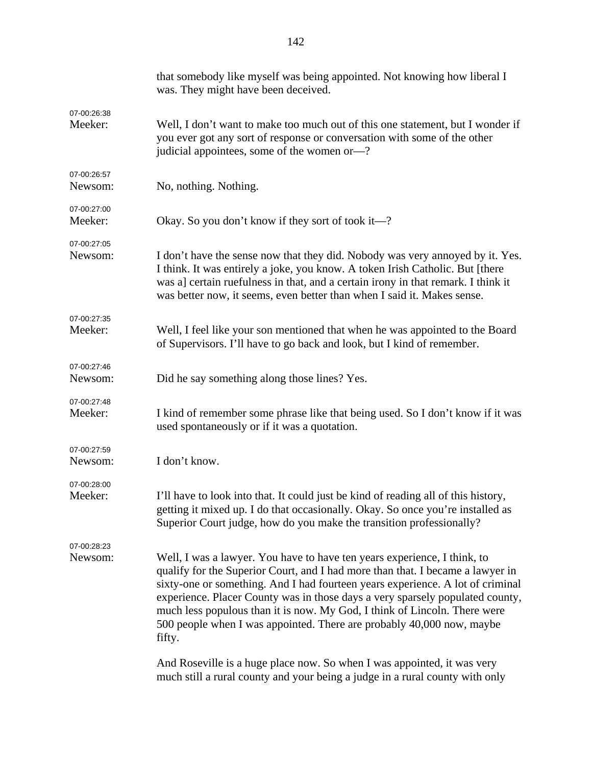|                        | that somebody like myself was being appointed. Not knowing how liberal I<br>was. They might have been deceived.                                                                                                                                                                                                                                                                                                                                                                               |
|------------------------|-----------------------------------------------------------------------------------------------------------------------------------------------------------------------------------------------------------------------------------------------------------------------------------------------------------------------------------------------------------------------------------------------------------------------------------------------------------------------------------------------|
| 07-00:26:38<br>Meeker: | Well, I don't want to make too much out of this one statement, but I wonder if<br>you ever got any sort of response or conversation with some of the other<br>judicial appointees, some of the women or-?                                                                                                                                                                                                                                                                                     |
| 07-00:26:57<br>Newsom: | No, nothing. Nothing.                                                                                                                                                                                                                                                                                                                                                                                                                                                                         |
| 07-00:27:00<br>Meeker: | Okay. So you don't know if they sort of took it—?                                                                                                                                                                                                                                                                                                                                                                                                                                             |
| 07-00:27:05<br>Newsom: | I don't have the sense now that they did. Nobody was very annoyed by it. Yes.<br>I think. It was entirely a joke, you know. A token Irish Catholic. But [there<br>was a] certain ruefulness in that, and a certain irony in that remark. I think it<br>was better now, it seems, even better than when I said it. Makes sense.                                                                                                                                                                |
| 07-00:27:35<br>Meeker: | Well, I feel like your son mentioned that when he was appointed to the Board<br>of Supervisors. I'll have to go back and look, but I kind of remember.                                                                                                                                                                                                                                                                                                                                        |
| 07-00:27:46<br>Newsom: | Did he say something along those lines? Yes.                                                                                                                                                                                                                                                                                                                                                                                                                                                  |
| 07-00:27:48<br>Meeker: | I kind of remember some phrase like that being used. So I don't know if it was<br>used spontaneously or if it was a quotation.                                                                                                                                                                                                                                                                                                                                                                |
| 07-00:27:59<br>Newsom: | I don't know.                                                                                                                                                                                                                                                                                                                                                                                                                                                                                 |
| 07-00:28:00<br>Meeker: | I'll have to look into that. It could just be kind of reading all of this history,<br>getting it mixed up. I do that occasionally. Okay. So once you're installed as<br>Superior Court judge, how do you make the transition professionally?                                                                                                                                                                                                                                                  |
| 07-00:28:23<br>Newsom: | Well, I was a lawyer. You have to have ten years experience, I think, to<br>qualify for the Superior Court, and I had more than that. I became a lawyer in<br>sixty-one or something. And I had fourteen years experience. A lot of criminal<br>experience. Placer County was in those days a very sparsely populated county,<br>much less populous than it is now. My God, I think of Lincoln. There were<br>500 people when I was appointed. There are probably 40,000 now, maybe<br>fifty. |
|                        | And Roseville is a huge place now. So when I was appointed, it was very<br>much still a rural county and your being a judge in a rural county with only                                                                                                                                                                                                                                                                                                                                       |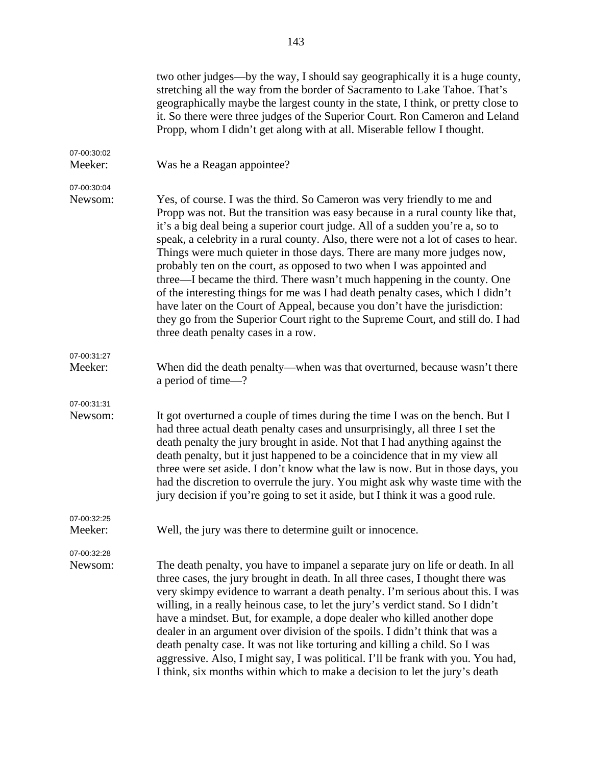|                        | two other judges—by the way, I should say geographically it is a huge county,<br>stretching all the way from the border of Sacramento to Lake Tahoe. That's<br>geographically maybe the largest county in the state, I think, or pretty close to<br>it. So there were three judges of the Superior Court. Ron Cameron and Leland<br>Propp, whom I didn't get along with at all. Miserable fellow I thought.                                                                                                                                                                                                                                                                                                                                                                                                                                                  |
|------------------------|--------------------------------------------------------------------------------------------------------------------------------------------------------------------------------------------------------------------------------------------------------------------------------------------------------------------------------------------------------------------------------------------------------------------------------------------------------------------------------------------------------------------------------------------------------------------------------------------------------------------------------------------------------------------------------------------------------------------------------------------------------------------------------------------------------------------------------------------------------------|
| 07-00:30:02<br>Meeker: | Was he a Reagan appointee?                                                                                                                                                                                                                                                                                                                                                                                                                                                                                                                                                                                                                                                                                                                                                                                                                                   |
| 07-00:30:04<br>Newsom: | Yes, of course. I was the third. So Cameron was very friendly to me and<br>Propp was not. But the transition was easy because in a rural county like that,<br>it's a big deal being a superior court judge. All of a sudden you're a, so to<br>speak, a celebrity in a rural county. Also, there were not a lot of cases to hear.<br>Things were much quieter in those days. There are many more judges now,<br>probably ten on the court, as opposed to two when I was appointed and<br>three—I became the third. There wasn't much happening in the county. One<br>of the interesting things for me was I had death penalty cases, which I didn't<br>have later on the Court of Appeal, because you don't have the jurisdiction:<br>they go from the Superior Court right to the Supreme Court, and still do. I had<br>three death penalty cases in a row. |
| 07-00:31:27<br>Meeker: | When did the death penalty—when was that overturned, because wasn't there<br>a period of time-?                                                                                                                                                                                                                                                                                                                                                                                                                                                                                                                                                                                                                                                                                                                                                              |
| 07-00:31:31<br>Newsom: | It got overturned a couple of times during the time I was on the bench. But I<br>had three actual death penalty cases and unsurprisingly, all three I set the<br>death penalty the jury brought in aside. Not that I had anything against the<br>death penalty, but it just happened to be a coincidence that in my view all<br>three were set aside. I don't know what the law is now. But in those days, you<br>had the discretion to overrule the jury. You might ask why waste time with the<br>jury decision if you're going to set it aside, but I think it was a good rule.                                                                                                                                                                                                                                                                           |
| 07-00:32:25<br>Meeker: | Well, the jury was there to determine guilt or innocence.                                                                                                                                                                                                                                                                                                                                                                                                                                                                                                                                                                                                                                                                                                                                                                                                    |
| 07-00:32:28<br>Newsom: | The death penalty, you have to impanel a separate jury on life or death. In all<br>three cases, the jury brought in death. In all three cases, I thought there was<br>very skimpy evidence to warrant a death penalty. I'm serious about this. I was<br>willing, in a really heinous case, to let the jury's verdict stand. So I didn't<br>have a mindset. But, for example, a dope dealer who killed another dope<br>dealer in an argument over division of the spoils. I didn't think that was a<br>death penalty case. It was not like torturing and killing a child. So I was<br>aggressive. Also, I might say, I was political. I'll be frank with you. You had,<br>I think, six months within which to make a decision to let the jury's death                                                                                                         |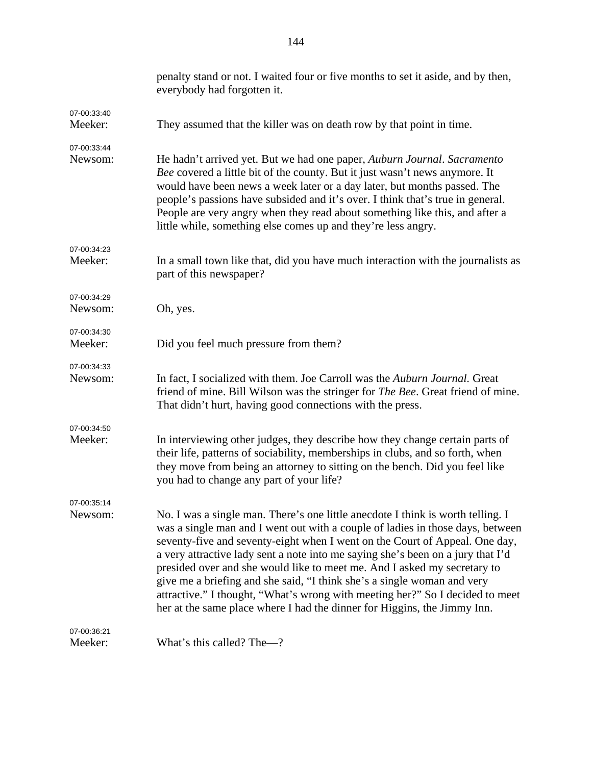|                        | penalty stand or not. I waited four or five months to set it aside, and by then,<br>everybody had forgotten it.                                                                                                                                                                                                                                                                                                                                                                                                                                                                                                                                         |
|------------------------|---------------------------------------------------------------------------------------------------------------------------------------------------------------------------------------------------------------------------------------------------------------------------------------------------------------------------------------------------------------------------------------------------------------------------------------------------------------------------------------------------------------------------------------------------------------------------------------------------------------------------------------------------------|
| 07-00:33:40<br>Meeker: | They assumed that the killer was on death row by that point in time.                                                                                                                                                                                                                                                                                                                                                                                                                                                                                                                                                                                    |
| 07-00:33:44<br>Newsom: | He hadn't arrived yet. But we had one paper, Auburn Journal. Sacramento<br>Bee covered a little bit of the county. But it just wasn't news anymore. It<br>would have been news a week later or a day later, but months passed. The<br>people's passions have subsided and it's over. I think that's true in general.<br>People are very angry when they read about something like this, and after a<br>little while, something else comes up and they're less angry.                                                                                                                                                                                    |
| 07-00:34:23<br>Meeker: | In a small town like that, did you have much interaction with the journalists as<br>part of this newspaper?                                                                                                                                                                                                                                                                                                                                                                                                                                                                                                                                             |
| 07-00:34:29<br>Newsom: | Oh, yes.                                                                                                                                                                                                                                                                                                                                                                                                                                                                                                                                                                                                                                                |
| 07-00:34:30<br>Meeker: | Did you feel much pressure from them?                                                                                                                                                                                                                                                                                                                                                                                                                                                                                                                                                                                                                   |
| 07-00:34:33<br>Newsom: | In fact, I socialized with them. Joe Carroll was the Auburn Journal. Great<br>friend of mine. Bill Wilson was the stringer for <i>The Bee</i> . Great friend of mine.<br>That didn't hurt, having good connections with the press.                                                                                                                                                                                                                                                                                                                                                                                                                      |
| 07-00:34:50<br>Meeker: | In interviewing other judges, they describe how they change certain parts of<br>their life, patterns of sociability, memberships in clubs, and so forth, when<br>they move from being an attorney to sitting on the bench. Did you feel like<br>you had to change any part of your life?                                                                                                                                                                                                                                                                                                                                                                |
| 07-00:35:14<br>Newsom: | No. I was a single man. There's one little anecdote I think is worth telling. I<br>was a single man and I went out with a couple of ladies in those days, between<br>seventy-five and seventy-eight when I went on the Court of Appeal. One day,<br>a very attractive lady sent a note into me saying she's been on a jury that I'd<br>presided over and she would like to meet me. And I asked my secretary to<br>give me a briefing and she said, "I think she's a single woman and very<br>attractive." I thought, "What's wrong with meeting her?" So I decided to meet<br>her at the same place where I had the dinner for Higgins, the Jimmy Inn. |
| 07-00:36:21<br>Meeker: | What's this called? The-?                                                                                                                                                                                                                                                                                                                                                                                                                                                                                                                                                                                                                               |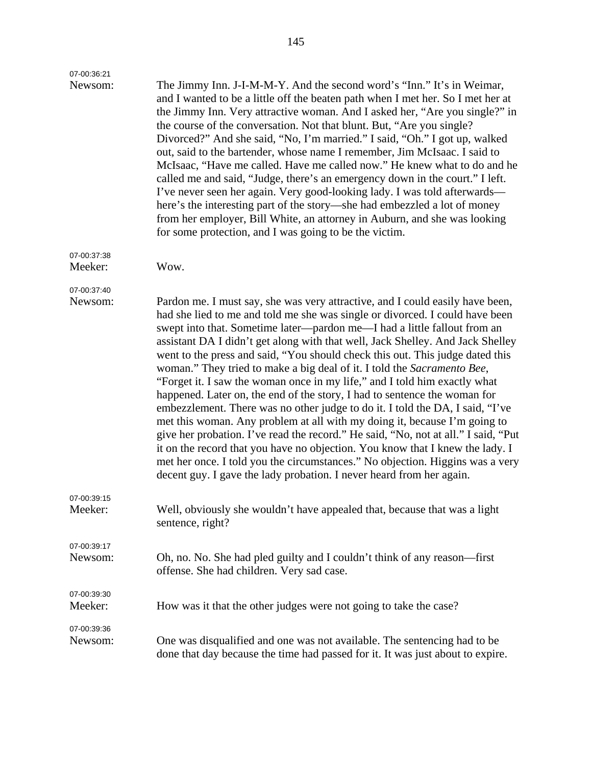| 07-00:36:21<br>Newsom: | The Jimmy Inn. J-I-M-M-Y. And the second word's "Inn." It's in Weimar,<br>and I wanted to be a little off the beaten path when I met her. So I met her at<br>the Jimmy Inn. Very attractive woman. And I asked her, "Are you single?" in<br>the course of the conversation. Not that blunt. But, "Are you single?<br>Divorced?" And she said, "No, I'm married." I said, "Oh." I got up, walked<br>out, said to the bartender, whose name I remember, Jim McIsaac. I said to<br>McIsaac, "Have me called. Have me called now." He knew what to do and he<br>called me and said, "Judge, there's an emergency down in the court." I left.<br>I've never seen her again. Very good-looking lady. I was told afterwards—<br>here's the interesting part of the story—she had embezzled a lot of money<br>from her employer, Bill White, an attorney in Auburn, and she was looking<br>for some protection, and I was going to be the victim.                                                                                                                                                                                                       |
|------------------------|-------------------------------------------------------------------------------------------------------------------------------------------------------------------------------------------------------------------------------------------------------------------------------------------------------------------------------------------------------------------------------------------------------------------------------------------------------------------------------------------------------------------------------------------------------------------------------------------------------------------------------------------------------------------------------------------------------------------------------------------------------------------------------------------------------------------------------------------------------------------------------------------------------------------------------------------------------------------------------------------------------------------------------------------------------------------------------------------------------------------------------------------------|
| 07-00:37:38<br>Meeker: | Wow.                                                                                                                                                                                                                                                                                                                                                                                                                                                                                                                                                                                                                                                                                                                                                                                                                                                                                                                                                                                                                                                                                                                                            |
| 07-00:37:40<br>Newsom: | Pardon me. I must say, she was very attractive, and I could easily have been,<br>had she lied to me and told me she was single or divorced. I could have been<br>swept into that. Sometime later—pardon me—I had a little fallout from an<br>assistant DA I didn't get along with that well, Jack Shelley. And Jack Shelley<br>went to the press and said, "You should check this out. This judge dated this<br>woman." They tried to make a big deal of it. I told the Sacramento Bee,<br>"Forget it. I saw the woman once in my life," and I told him exactly what<br>happened. Later on, the end of the story, I had to sentence the woman for<br>embezzlement. There was no other judge to do it. I told the DA, I said, "I've<br>met this woman. Any problem at all with my doing it, because I'm going to<br>give her probation. I've read the record." He said, "No, not at all." I said, "Put<br>it on the record that you have no objection. You know that I knew the lady. I<br>met her once. I told you the circumstances." No objection. Higgins was a very<br>decent guy. I gave the lady probation. I never heard from her again. |
| 07-00:39:15<br>Meeker: | Well, obviously she wouldn't have appealed that, because that was a light<br>sentence, right?                                                                                                                                                                                                                                                                                                                                                                                                                                                                                                                                                                                                                                                                                                                                                                                                                                                                                                                                                                                                                                                   |
| 07-00:39:17<br>Newsom: | Oh, no. No. She had pled guilty and I couldn't think of any reason—first<br>offense. She had children. Very sad case.                                                                                                                                                                                                                                                                                                                                                                                                                                                                                                                                                                                                                                                                                                                                                                                                                                                                                                                                                                                                                           |
| 07-00:39:30<br>Meeker: | How was it that the other judges were not going to take the case?                                                                                                                                                                                                                                                                                                                                                                                                                                                                                                                                                                                                                                                                                                                                                                                                                                                                                                                                                                                                                                                                               |
| 07-00:39:36<br>Newsom: | One was disqualified and one was not available. The sentencing had to be<br>done that day because the time had passed for it. It was just about to expire.                                                                                                                                                                                                                                                                                                                                                                                                                                                                                                                                                                                                                                                                                                                                                                                                                                                                                                                                                                                      |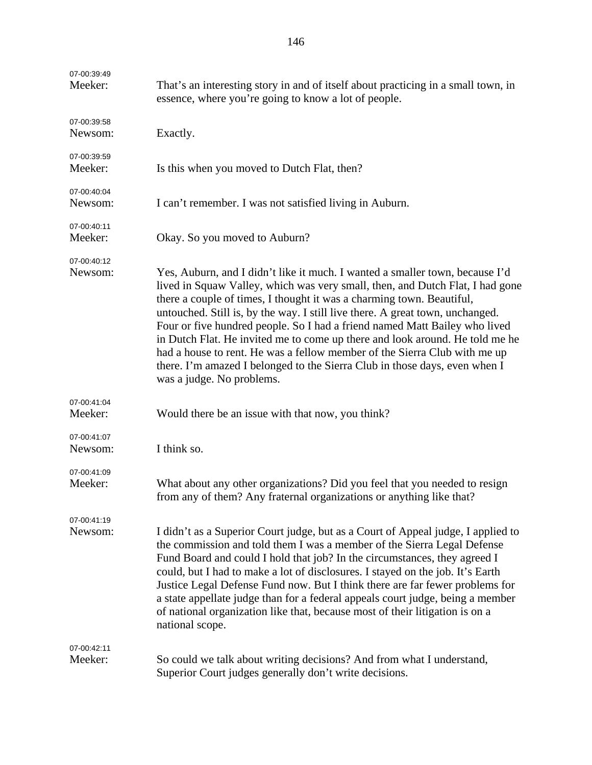| 07-00:39:49<br>Meeker: | That's an interesting story in and of itself about practicing in a small town, in<br>essence, where you're going to know a lot of people.                                                                                                                                                                                                                                                                                                                                                                                                                                                                                                                                     |
|------------------------|-------------------------------------------------------------------------------------------------------------------------------------------------------------------------------------------------------------------------------------------------------------------------------------------------------------------------------------------------------------------------------------------------------------------------------------------------------------------------------------------------------------------------------------------------------------------------------------------------------------------------------------------------------------------------------|
| 07-00:39:58<br>Newsom: | Exactly.                                                                                                                                                                                                                                                                                                                                                                                                                                                                                                                                                                                                                                                                      |
| 07-00:39:59<br>Meeker: | Is this when you moved to Dutch Flat, then?                                                                                                                                                                                                                                                                                                                                                                                                                                                                                                                                                                                                                                   |
| 07-00:40:04<br>Newsom: | I can't remember. I was not satisfied living in Auburn.                                                                                                                                                                                                                                                                                                                                                                                                                                                                                                                                                                                                                       |
| 07-00:40:11<br>Meeker: | Okay. So you moved to Auburn?                                                                                                                                                                                                                                                                                                                                                                                                                                                                                                                                                                                                                                                 |
| 07-00:40:12<br>Newsom: | Yes, Auburn, and I didn't like it much. I wanted a smaller town, because I'd<br>lived in Squaw Valley, which was very small, then, and Dutch Flat, I had gone<br>there a couple of times, I thought it was a charming town. Beautiful,<br>untouched. Still is, by the way. I still live there. A great town, unchanged.<br>Four or five hundred people. So I had a friend named Matt Bailey who lived<br>in Dutch Flat. He invited me to come up there and look around. He told me he<br>had a house to rent. He was a fellow member of the Sierra Club with me up<br>there. I'm amazed I belonged to the Sierra Club in those days, even when I<br>was a judge. No problems. |
| 07-00:41:04<br>Meeker: | Would there be an issue with that now, you think?                                                                                                                                                                                                                                                                                                                                                                                                                                                                                                                                                                                                                             |
| 07-00:41:07<br>Newsom: | I think so.                                                                                                                                                                                                                                                                                                                                                                                                                                                                                                                                                                                                                                                                   |
| 07-00:41:09<br>Meeker: | What about any other organizations? Did you feel that you needed to resign<br>from any of them? Any fraternal organizations or anything like that?                                                                                                                                                                                                                                                                                                                                                                                                                                                                                                                            |
| 07-00:41:19<br>Newsom: | I didn't as a Superior Court judge, but as a Court of Appeal judge, I applied to<br>the commission and told them I was a member of the Sierra Legal Defense<br>Fund Board and could I hold that job? In the circumstances, they agreed I<br>could, but I had to make a lot of disclosures. I stayed on the job. It's Earth<br>Justice Legal Defense Fund now. But I think there are far fewer problems for<br>a state appellate judge than for a federal appeals court judge, being a member<br>of national organization like that, because most of their litigation is on a<br>national scope.                                                                               |
| 07-00:42:11<br>Meeker: | So could we talk about writing decisions? And from what I understand,<br>Superior Court judges generally don't write decisions.                                                                                                                                                                                                                                                                                                                                                                                                                                                                                                                                               |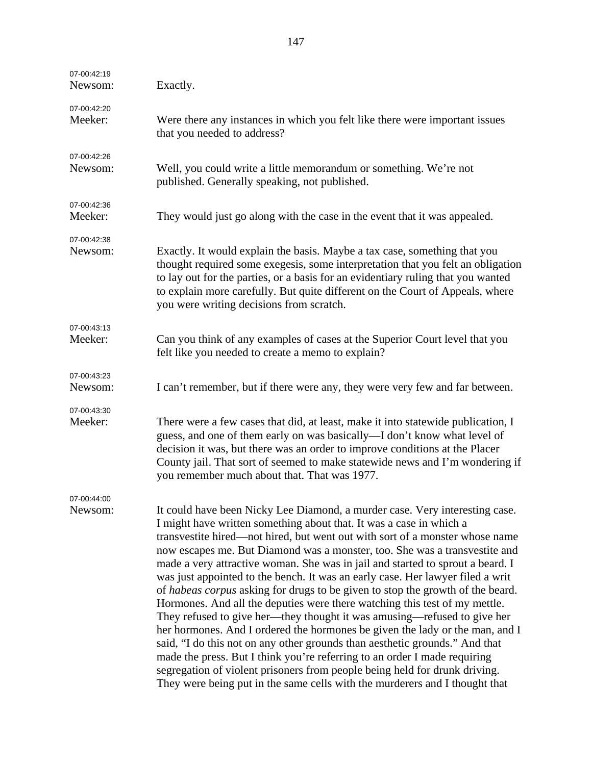| 07-00:42:19<br>Newsom: | Exactly.                                                                                                                                                                                                                                                                                                                                                                                                                                                                                                                                                                                                                                                                                                                                                                                                                                                                                                                                                                                                                                                                                                                                  |
|------------------------|-------------------------------------------------------------------------------------------------------------------------------------------------------------------------------------------------------------------------------------------------------------------------------------------------------------------------------------------------------------------------------------------------------------------------------------------------------------------------------------------------------------------------------------------------------------------------------------------------------------------------------------------------------------------------------------------------------------------------------------------------------------------------------------------------------------------------------------------------------------------------------------------------------------------------------------------------------------------------------------------------------------------------------------------------------------------------------------------------------------------------------------------|
| 07-00:42:20<br>Meeker: | Were there any instances in which you felt like there were important issues<br>that you needed to address?                                                                                                                                                                                                                                                                                                                                                                                                                                                                                                                                                                                                                                                                                                                                                                                                                                                                                                                                                                                                                                |
| 07-00:42:26<br>Newsom: | Well, you could write a little memorandum or something. We're not<br>published. Generally speaking, not published.                                                                                                                                                                                                                                                                                                                                                                                                                                                                                                                                                                                                                                                                                                                                                                                                                                                                                                                                                                                                                        |
| 07-00:42:36<br>Meeker: | They would just go along with the case in the event that it was appealed.                                                                                                                                                                                                                                                                                                                                                                                                                                                                                                                                                                                                                                                                                                                                                                                                                                                                                                                                                                                                                                                                 |
| 07-00:42:38<br>Newsom: | Exactly. It would explain the basis. Maybe a tax case, something that you<br>thought required some exegesis, some interpretation that you felt an obligation<br>to lay out for the parties, or a basis for an evidentiary ruling that you wanted<br>to explain more carefully. But quite different on the Court of Appeals, where<br>you were writing decisions from scratch.                                                                                                                                                                                                                                                                                                                                                                                                                                                                                                                                                                                                                                                                                                                                                             |
| 07-00:43:13<br>Meeker: | Can you think of any examples of cases at the Superior Court level that you<br>felt like you needed to create a memo to explain?                                                                                                                                                                                                                                                                                                                                                                                                                                                                                                                                                                                                                                                                                                                                                                                                                                                                                                                                                                                                          |
| 07-00:43:23<br>Newsom: | I can't remember, but if there were any, they were very few and far between.                                                                                                                                                                                                                                                                                                                                                                                                                                                                                                                                                                                                                                                                                                                                                                                                                                                                                                                                                                                                                                                              |
| 07-00:43:30<br>Meeker: | There were a few cases that did, at least, make it into statewide publication, I<br>guess, and one of them early on was basically-I don't know what level of<br>decision it was, but there was an order to improve conditions at the Placer<br>County jail. That sort of seemed to make statewide news and I'm wondering if<br>you remember much about that. That was 1977.                                                                                                                                                                                                                                                                                                                                                                                                                                                                                                                                                                                                                                                                                                                                                               |
| 07-00:44:00<br>Newsom: | It could have been Nicky Lee Diamond, a murder case. Very interesting case.<br>I might have written something about that. It was a case in which a<br>transvestite hired—not hired, but went out with sort of a monster whose name<br>now escapes me. But Diamond was a monster, too. She was a transvestite and<br>made a very attractive woman. She was in jail and started to sprout a beard. I<br>was just appointed to the bench. It was an early case. Her lawyer filed a writ<br>of habeas corpus asking for drugs to be given to stop the growth of the beard.<br>Hormones. And all the deputies were there watching this test of my mettle.<br>They refused to give her—they thought it was amusing—refused to give her<br>her hormones. And I ordered the hormones be given the lady or the man, and I<br>said, "I do this not on any other grounds than aesthetic grounds." And that<br>made the press. But I think you're referring to an order I made requiring<br>segregation of violent prisoners from people being held for drunk driving.<br>They were being put in the same cells with the murderers and I thought that |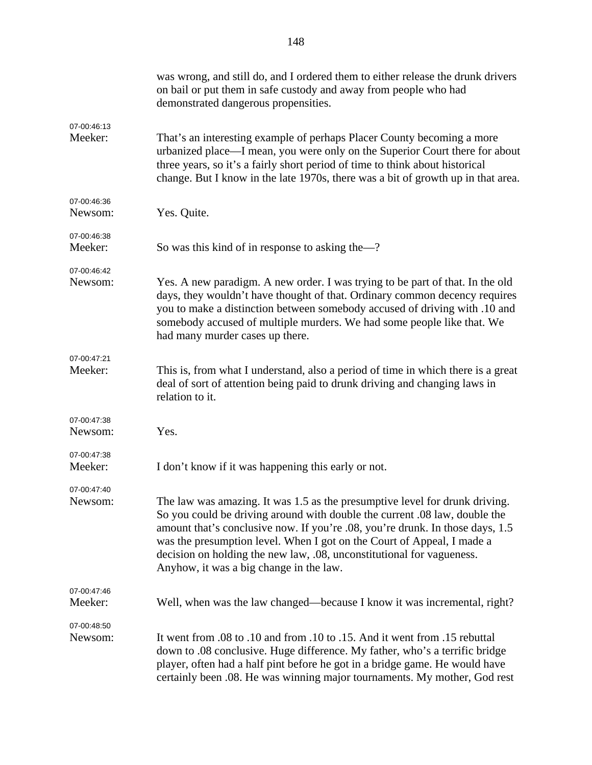|                        | was wrong, and still do, and I ordered them to either release the drunk drivers<br>on bail or put them in safe custody and away from people who had<br>demonstrated dangerous propensities.                                                                                                                                                                                                                                              |
|------------------------|------------------------------------------------------------------------------------------------------------------------------------------------------------------------------------------------------------------------------------------------------------------------------------------------------------------------------------------------------------------------------------------------------------------------------------------|
| 07-00:46:13<br>Meeker: | That's an interesting example of perhaps Placer County becoming a more<br>urbanized place—I mean, you were only on the Superior Court there for about<br>three years, so it's a fairly short period of time to think about historical<br>change. But I know in the late 1970s, there was a bit of growth up in that area.                                                                                                                |
| 07-00:46:36<br>Newsom: | Yes. Quite.                                                                                                                                                                                                                                                                                                                                                                                                                              |
| 07-00:46:38<br>Meeker: | So was this kind of in response to asking the-?                                                                                                                                                                                                                                                                                                                                                                                          |
| 07-00:46:42<br>Newsom: | Yes. A new paradigm. A new order. I was trying to be part of that. In the old<br>days, they wouldn't have thought of that. Ordinary common decency requires<br>you to make a distinction between somebody accused of driving with .10 and<br>somebody accused of multiple murders. We had some people like that. We<br>had many murder cases up there.                                                                                   |
| 07-00:47:21<br>Meeker: | This is, from what I understand, also a period of time in which there is a great<br>deal of sort of attention being paid to drunk driving and changing laws in<br>relation to it.                                                                                                                                                                                                                                                        |
| 07-00:47:38<br>Newsom: | Yes.                                                                                                                                                                                                                                                                                                                                                                                                                                     |
| 07-00:47:38<br>Meeker: | I don't know if it was happening this early or not.                                                                                                                                                                                                                                                                                                                                                                                      |
| 07-00:47:40<br>Newsom: | The law was amazing. It was 1.5 as the presumptive level for drunk driving.<br>So you could be driving around with double the current .08 law, double the<br>amount that's conclusive now. If you're .08, you're drunk. In those days, 1.5<br>was the presumption level. When I got on the Court of Appeal, I made a<br>decision on holding the new law, .08, unconstitutional for vagueness.<br>Anyhow, it was a big change in the law. |
| 07-00:47:46<br>Meeker: | Well, when was the law changed—because I know it was incremental, right?                                                                                                                                                                                                                                                                                                                                                                 |
| 07-00:48:50<br>Newsom: | It went from .08 to .10 and from .10 to .15. And it went from .15 rebuttal<br>down to .08 conclusive. Huge difference. My father, who's a terrific bridge<br>player, often had a half pint before he got in a bridge game. He would have<br>certainly been .08. He was winning major tournaments. My mother, God rest                                                                                                                    |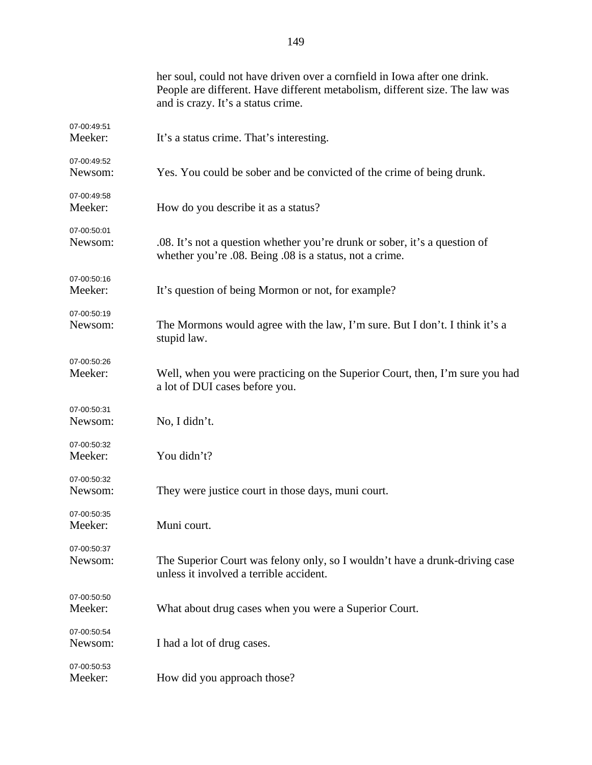|                        | her soul, could not have driven over a cornfield in Iowa after one drink.<br>People are different. Have different metabolism, different size. The law was<br>and is crazy. It's a status crime. |
|------------------------|-------------------------------------------------------------------------------------------------------------------------------------------------------------------------------------------------|
| 07-00:49:51<br>Meeker: | It's a status crime. That's interesting.                                                                                                                                                        |
| 07-00:49:52<br>Newsom: | Yes. You could be sober and be convicted of the crime of being drunk.                                                                                                                           |
| 07-00:49:58<br>Meeker: | How do you describe it as a status?                                                                                                                                                             |
| 07-00:50:01<br>Newsom: | .08. It's not a question whether you're drunk or sober, it's a question of<br>whether you're .08. Being .08 is a status, not a crime.                                                           |
| 07-00:50:16<br>Meeker: | It's question of being Mormon or not, for example?                                                                                                                                              |
| 07-00:50:19<br>Newsom: | The Mormons would agree with the law, I'm sure. But I don't. I think it's a<br>stupid law.                                                                                                      |
| 07-00:50:26<br>Meeker: | Well, when you were practicing on the Superior Court, then, I'm sure you had<br>a lot of DUI cases before you.                                                                                  |
| 07-00:50:31<br>Newsom: | No, I didn't.                                                                                                                                                                                   |
| 07-00:50:32<br>Meeker: | You didn't?                                                                                                                                                                                     |
| 07-00:50:32<br>Newsom: | They were justice court in those days, muni court.                                                                                                                                              |
| 07-00:50:35<br>Meeker: | Muni court.                                                                                                                                                                                     |
| 07-00:50:37<br>Newsom: | The Superior Court was felony only, so I wouldn't have a drunk-driving case<br>unless it involved a terrible accident.                                                                          |
| 07-00:50:50<br>Meeker: | What about drug cases when you were a Superior Court.                                                                                                                                           |
| 07-00:50:54<br>Newsom: | I had a lot of drug cases.                                                                                                                                                                      |
| 07-00:50:53<br>Meeker: | How did you approach those?                                                                                                                                                                     |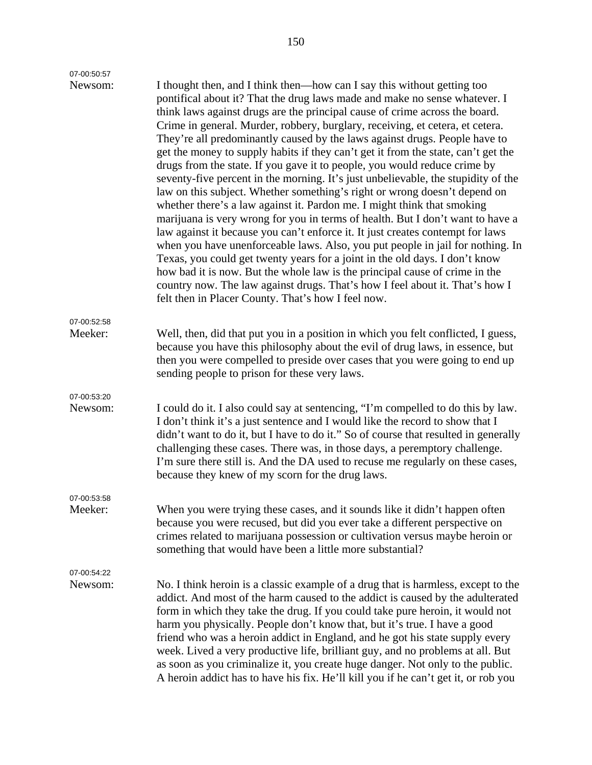| 07-00:50:57            |                                                                                                                                                                                                                                                                                                                                                                                                                                                                                                                                                                                                                                                                                                                                                                                                                                                                                                                                                                                                                                                                                                                                                                                                                                                                                                                                                                              |
|------------------------|------------------------------------------------------------------------------------------------------------------------------------------------------------------------------------------------------------------------------------------------------------------------------------------------------------------------------------------------------------------------------------------------------------------------------------------------------------------------------------------------------------------------------------------------------------------------------------------------------------------------------------------------------------------------------------------------------------------------------------------------------------------------------------------------------------------------------------------------------------------------------------------------------------------------------------------------------------------------------------------------------------------------------------------------------------------------------------------------------------------------------------------------------------------------------------------------------------------------------------------------------------------------------------------------------------------------------------------------------------------------------|
| Newsom:                | I thought then, and I think then—how can I say this without getting too<br>pontifical about it? That the drug laws made and make no sense whatever. I<br>think laws against drugs are the principal cause of crime across the board.<br>Crime in general. Murder, robbery, burglary, receiving, et cetera, et cetera.<br>They're all predominantly caused by the laws against drugs. People have to<br>get the money to supply habits if they can't get it from the state, can't get the<br>drugs from the state. If you gave it to people, you would reduce crime by<br>seventy-five percent in the morning. It's just unbelievable, the stupidity of the<br>law on this subject. Whether something's right or wrong doesn't depend on<br>whether there's a law against it. Pardon me. I might think that smoking<br>marijuana is very wrong for you in terms of health. But I don't want to have a<br>law against it because you can't enforce it. It just creates contempt for laws<br>when you have unenforceable laws. Also, you put people in jail for nothing. In<br>Texas, you could get twenty years for a joint in the old days. I don't know<br>how bad it is now. But the whole law is the principal cause of crime in the<br>country now. The law against drugs. That's how I feel about it. That's how I<br>felt then in Placer County. That's how I feel now. |
| 07-00:52:58            |                                                                                                                                                                                                                                                                                                                                                                                                                                                                                                                                                                                                                                                                                                                                                                                                                                                                                                                                                                                                                                                                                                                                                                                                                                                                                                                                                                              |
| Meeker:                | Well, then, did that put you in a position in which you felt conflicted, I guess,<br>because you have this philosophy about the evil of drug laws, in essence, but<br>then you were compelled to preside over cases that you were going to end up<br>sending people to prison for these very laws.                                                                                                                                                                                                                                                                                                                                                                                                                                                                                                                                                                                                                                                                                                                                                                                                                                                                                                                                                                                                                                                                           |
| 07-00:53:20            |                                                                                                                                                                                                                                                                                                                                                                                                                                                                                                                                                                                                                                                                                                                                                                                                                                                                                                                                                                                                                                                                                                                                                                                                                                                                                                                                                                              |
| Newsom:                | I could do it. I also could say at sentencing, "I'm compelled to do this by law.<br>I don't think it's a just sentence and I would like the record to show that I<br>didn't want to do it, but I have to do it." So of course that resulted in generally<br>challenging these cases. There was, in those days, a peremptory challenge.<br>I'm sure there still is. And the DA used to recuse me regularly on these cases,<br>because they knew of my scorn for the drug laws.                                                                                                                                                                                                                                                                                                                                                                                                                                                                                                                                                                                                                                                                                                                                                                                                                                                                                                |
| 07-00:53:58            |                                                                                                                                                                                                                                                                                                                                                                                                                                                                                                                                                                                                                                                                                                                                                                                                                                                                                                                                                                                                                                                                                                                                                                                                                                                                                                                                                                              |
| Meeker:                | When you were trying these cases, and it sounds like it didn't happen often<br>because you were recused, but did you ever take a different perspective on<br>crimes related to marijuana possession or cultivation versus maybe heroin or<br>something that would have been a little more substantial?                                                                                                                                                                                                                                                                                                                                                                                                                                                                                                                                                                                                                                                                                                                                                                                                                                                                                                                                                                                                                                                                       |
| 07-00:54:22<br>Newsom: | No. I think heroin is a classic example of a drug that is harmless, except to the<br>addict. And most of the harm caused to the addict is caused by the adulterated<br>form in which they take the drug. If you could take pure heroin, it would not<br>harm you physically. People don't know that, but it's true. I have a good<br>friend who was a heroin addict in England, and he got his state supply every<br>week. Lived a very productive life, brilliant guy, and no problems at all. But<br>as soon as you criminalize it, you create huge danger. Not only to the public.<br>A heroin addict has to have his fix. He'll kill you if he can't get it, or rob you                                                                                                                                                                                                                                                                                                                                                                                                                                                                                                                                                                                                                                                                                                  |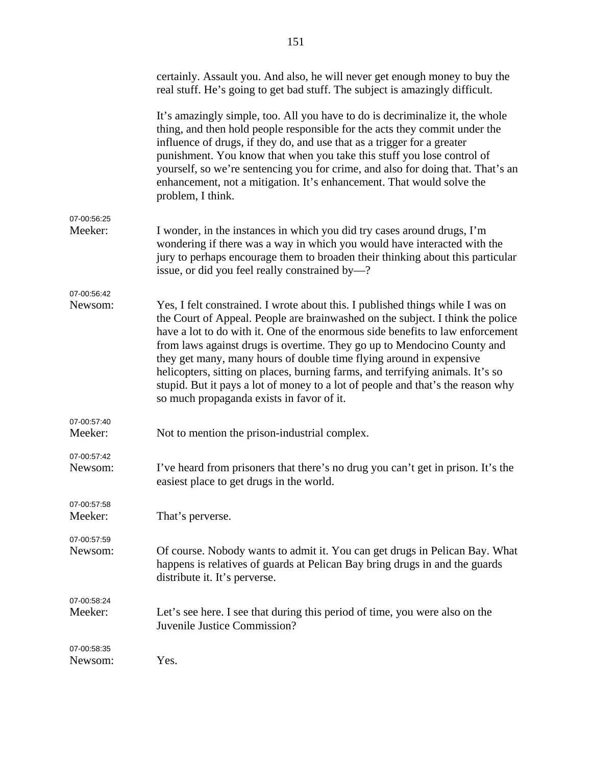| 07-00:58:35<br>Newsom: | Yes.                                                                                                                                                                                                                                                                                                                                                                                                                                                                                                                                                                                                                   |
|------------------------|------------------------------------------------------------------------------------------------------------------------------------------------------------------------------------------------------------------------------------------------------------------------------------------------------------------------------------------------------------------------------------------------------------------------------------------------------------------------------------------------------------------------------------------------------------------------------------------------------------------------|
| 07-00:58:24<br>Meeker: | Let's see here. I see that during this period of time, you were also on the<br>Juvenile Justice Commission?                                                                                                                                                                                                                                                                                                                                                                                                                                                                                                            |
| 07-00:57:59<br>Newsom: | Of course. Nobody wants to admit it. You can get drugs in Pelican Bay. What<br>happens is relatives of guards at Pelican Bay bring drugs in and the guards<br>distribute it. It's perverse.                                                                                                                                                                                                                                                                                                                                                                                                                            |
| 07-00:57:58<br>Meeker: | That's perverse.                                                                                                                                                                                                                                                                                                                                                                                                                                                                                                                                                                                                       |
| 07-00:57:42<br>Newsom: | I've heard from prisoners that there's no drug you can't get in prison. It's the<br>easiest place to get drugs in the world.                                                                                                                                                                                                                                                                                                                                                                                                                                                                                           |
| 07-00:57:40<br>Meeker: | Not to mention the prison-industrial complex.                                                                                                                                                                                                                                                                                                                                                                                                                                                                                                                                                                          |
| 07-00:56:42<br>Newsom: | Yes, I felt constrained. I wrote about this. I published things while I was on<br>the Court of Appeal. People are brainwashed on the subject. I think the police<br>have a lot to do with it. One of the enormous side benefits to law enforcement<br>from laws against drugs is overtime. They go up to Mendocino County and<br>they get many, many hours of double time flying around in expensive<br>helicopters, sitting on places, burning farms, and terrifying animals. It's so<br>stupid. But it pays a lot of money to a lot of people and that's the reason why<br>so much propaganda exists in favor of it. |
| 07-00:56:25<br>Meeker: | I wonder, in the instances in which you did try cases around drugs, I'm<br>wondering if there was a way in which you would have interacted with the<br>jury to perhaps encourage them to broaden their thinking about this particular<br>issue, or did you feel really constrained by-?                                                                                                                                                                                                                                                                                                                                |
|                        | It's amazingly simple, too. All you have to do is decriminalize it, the whole<br>thing, and then hold people responsible for the acts they commit under the<br>influence of drugs, if they do, and use that as a trigger for a greater<br>punishment. You know that when you take this stuff you lose control of<br>yourself, so we're sentencing you for crime, and also for doing that. That's an<br>enhancement, not a mitigation. It's enhancement. That would solve the<br>problem, I think.                                                                                                                      |
|                        | certainly. Assault you. And also, he will never get enough money to buy the<br>real stuff. He's going to get bad stuff. The subject is amazingly difficult.                                                                                                                                                                                                                                                                                                                                                                                                                                                            |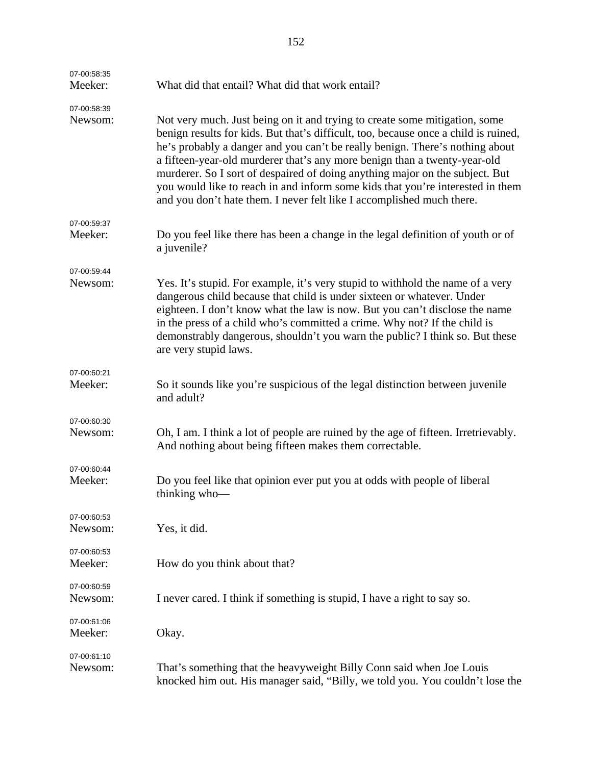| 07-00:58:35<br>Meeker: | What did that entail? What did that work entail?                                                                                                                                                                                                                                                                                                                                                                                                                                                                                                                          |
|------------------------|---------------------------------------------------------------------------------------------------------------------------------------------------------------------------------------------------------------------------------------------------------------------------------------------------------------------------------------------------------------------------------------------------------------------------------------------------------------------------------------------------------------------------------------------------------------------------|
| 07-00:58:39<br>Newsom: | Not very much. Just being on it and trying to create some mitigation, some<br>benign results for kids. But that's difficult, too, because once a child is ruined,<br>he's probably a danger and you can't be really benign. There's nothing about<br>a fifteen-year-old murderer that's any more benign than a twenty-year-old<br>murderer. So I sort of despaired of doing anything major on the subject. But<br>you would like to reach in and inform some kids that you're interested in them<br>and you don't hate them. I never felt like I accomplished much there. |
| 07-00:59:37<br>Meeker: | Do you feel like there has been a change in the legal definition of youth or of<br>a juvenile?                                                                                                                                                                                                                                                                                                                                                                                                                                                                            |
| 07-00:59:44<br>Newsom: | Yes. It's stupid. For example, it's very stupid to withhold the name of a very<br>dangerous child because that child is under sixteen or whatever. Under<br>eighteen. I don't know what the law is now. But you can't disclose the name<br>in the press of a child who's committed a crime. Why not? If the child is<br>demonstrably dangerous, shouldn't you warn the public? I think so. But these<br>are very stupid laws.                                                                                                                                             |
| 07-00:60:21<br>Meeker: | So it sounds like you're suspicious of the legal distinction between juvenile<br>and adult?                                                                                                                                                                                                                                                                                                                                                                                                                                                                               |
| 07-00:60:30<br>Newsom: | Oh, I am. I think a lot of people are ruined by the age of fifteen. Irretrievably.<br>And nothing about being fifteen makes them correctable.                                                                                                                                                                                                                                                                                                                                                                                                                             |
| 07-00:60:44<br>Meeker: | Do you feel like that opinion ever put you at odds with people of liberal<br>thinking who-                                                                                                                                                                                                                                                                                                                                                                                                                                                                                |
| 07-00:60:53<br>Newsom: | Yes, it did.                                                                                                                                                                                                                                                                                                                                                                                                                                                                                                                                                              |
| 07-00:60:53<br>Meeker: | How do you think about that?                                                                                                                                                                                                                                                                                                                                                                                                                                                                                                                                              |
| 07-00:60:59<br>Newsom: | I never cared. I think if something is stupid, I have a right to say so.                                                                                                                                                                                                                                                                                                                                                                                                                                                                                                  |
| 07-00:61:06<br>Meeker: | Okay.                                                                                                                                                                                                                                                                                                                                                                                                                                                                                                                                                                     |
| 07-00:61:10<br>Newsom: | That's something that the heavy weight Billy Conn said when Joe Louis<br>knocked him out. His manager said, "Billy, we told you. You couldn't lose the                                                                                                                                                                                                                                                                                                                                                                                                                    |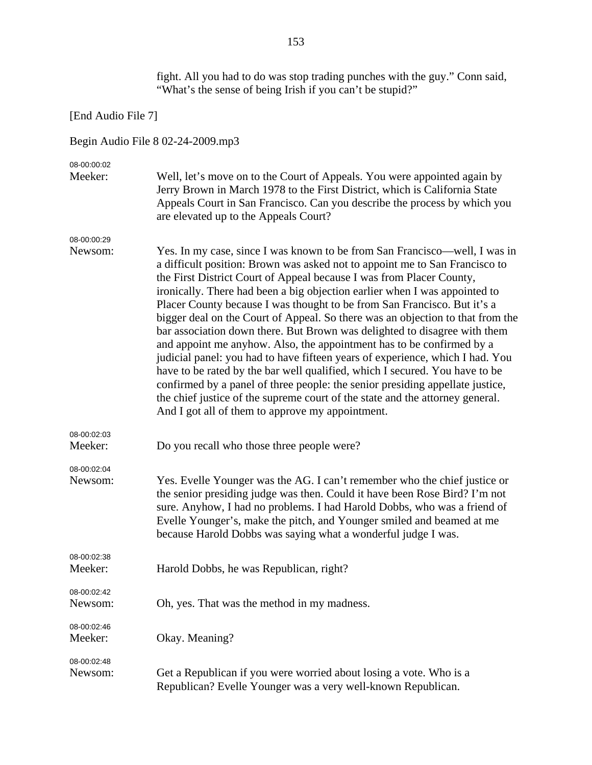|                        | fight. All you had to do was stop trading punches with the guy." Conn said,<br>"What's the sense of being Irish if you can't be stupid?"                                                                                                                                                                                                                                                                                                                                                                                                                                                                                                                                                                                                                                                                                                                                                                                                                                                                                  |
|------------------------|---------------------------------------------------------------------------------------------------------------------------------------------------------------------------------------------------------------------------------------------------------------------------------------------------------------------------------------------------------------------------------------------------------------------------------------------------------------------------------------------------------------------------------------------------------------------------------------------------------------------------------------------------------------------------------------------------------------------------------------------------------------------------------------------------------------------------------------------------------------------------------------------------------------------------------------------------------------------------------------------------------------------------|
| [End Audio File 7]     |                                                                                                                                                                                                                                                                                                                                                                                                                                                                                                                                                                                                                                                                                                                                                                                                                                                                                                                                                                                                                           |
|                        | Begin Audio File 8 02-24-2009.mp3                                                                                                                                                                                                                                                                                                                                                                                                                                                                                                                                                                                                                                                                                                                                                                                                                                                                                                                                                                                         |
| 08-00:00:02<br>Meeker: | Well, let's move on to the Court of Appeals. You were appointed again by<br>Jerry Brown in March 1978 to the First District, which is California State<br>Appeals Court in San Francisco. Can you describe the process by which you<br>are elevated up to the Appeals Court?                                                                                                                                                                                                                                                                                                                                                                                                                                                                                                                                                                                                                                                                                                                                              |
| 08-00:00:29<br>Newsom: | Yes. In my case, since I was known to be from San Francisco—well, I was in<br>a difficult position: Brown was asked not to appoint me to San Francisco to<br>the First District Court of Appeal because I was from Placer County,<br>ironically. There had been a big objection earlier when I was appointed to<br>Placer County because I was thought to be from San Francisco. But it's a<br>bigger deal on the Court of Appeal. So there was an objection to that from the<br>bar association down there. But Brown was delighted to disagree with them<br>and appoint me anyhow. Also, the appointment has to be confirmed by a<br>judicial panel: you had to have fifteen years of experience, which I had. You<br>have to be rated by the bar well qualified, which I secured. You have to be<br>confirmed by a panel of three people: the senior presiding appellate justice,<br>the chief justice of the supreme court of the state and the attorney general.<br>And I got all of them to approve my appointment. |
| 08-00:02:03<br>Meeker: | Do you recall who those three people were?                                                                                                                                                                                                                                                                                                                                                                                                                                                                                                                                                                                                                                                                                                                                                                                                                                                                                                                                                                                |
| 08-00:02:04<br>Newsom: | Yes. Evelle Younger was the AG. I can't remember who the chief justice or<br>the senior presiding judge was then. Could it have been Rose Bird? I'm not<br>sure. Anyhow, I had no problems. I had Harold Dobbs, who was a friend of<br>Evelle Younger's, make the pitch, and Younger smiled and beamed at me<br>because Harold Dobbs was saying what a wonderful judge I was.                                                                                                                                                                                                                                                                                                                                                                                                                                                                                                                                                                                                                                             |
| 08-00:02:38<br>Meeker: | Harold Dobbs, he was Republican, right?                                                                                                                                                                                                                                                                                                                                                                                                                                                                                                                                                                                                                                                                                                                                                                                                                                                                                                                                                                                   |
| 08-00:02:42<br>Newsom: | Oh, yes. That was the method in my madness.                                                                                                                                                                                                                                                                                                                                                                                                                                                                                                                                                                                                                                                                                                                                                                                                                                                                                                                                                                               |
| 08-00:02:46<br>Meeker: | Okay. Meaning?                                                                                                                                                                                                                                                                                                                                                                                                                                                                                                                                                                                                                                                                                                                                                                                                                                                                                                                                                                                                            |
| 08-00:02:48<br>Newsom: | Get a Republican if you were worried about losing a vote. Who is a<br>Republican? Evelle Younger was a very well-known Republican.                                                                                                                                                                                                                                                                                                                                                                                                                                                                                                                                                                                                                                                                                                                                                                                                                                                                                        |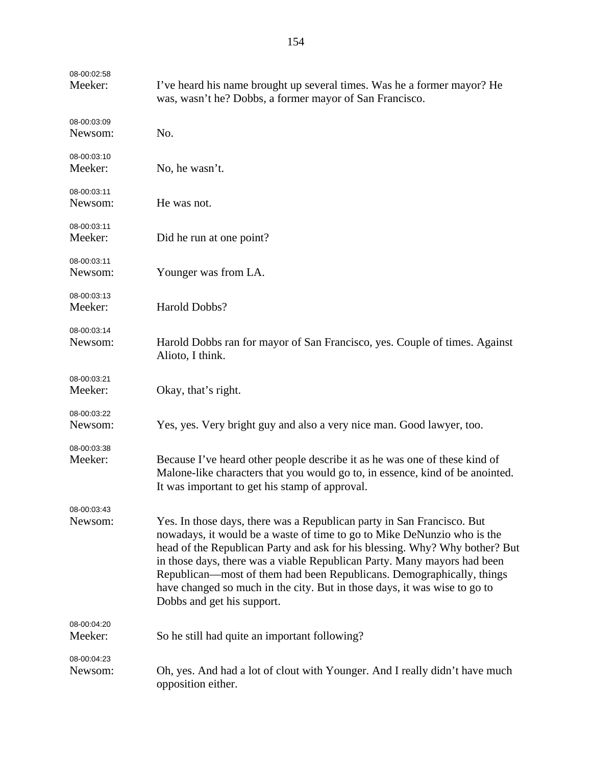| 08-00:02:58<br>Meeker: | I've heard his name brought up several times. Was he a former mayor? He<br>was, wasn't he? Dobbs, a former mayor of San Francisco.                                                                                                                                                                                                                                                                                                                                                               |
|------------------------|--------------------------------------------------------------------------------------------------------------------------------------------------------------------------------------------------------------------------------------------------------------------------------------------------------------------------------------------------------------------------------------------------------------------------------------------------------------------------------------------------|
| 08-00:03:09<br>Newsom: | No.                                                                                                                                                                                                                                                                                                                                                                                                                                                                                              |
| 08-00:03:10<br>Meeker: | No, he wasn't.                                                                                                                                                                                                                                                                                                                                                                                                                                                                                   |
| 08-00:03:11<br>Newsom: | He was not.                                                                                                                                                                                                                                                                                                                                                                                                                                                                                      |
| 08-00:03:11<br>Meeker: | Did he run at one point?                                                                                                                                                                                                                                                                                                                                                                                                                                                                         |
| 08-00:03:11<br>Newsom: | Younger was from LA.                                                                                                                                                                                                                                                                                                                                                                                                                                                                             |
| 08-00:03:13<br>Meeker: | Harold Dobbs?                                                                                                                                                                                                                                                                                                                                                                                                                                                                                    |
| 08-00:03:14<br>Newsom: | Harold Dobbs ran for mayor of San Francisco, yes. Couple of times. Against<br>Alioto, I think.                                                                                                                                                                                                                                                                                                                                                                                                   |
| 08-00:03:21<br>Meeker: | Okay, that's right.                                                                                                                                                                                                                                                                                                                                                                                                                                                                              |
| 08-00:03:22<br>Newsom: | Yes, yes. Very bright guy and also a very nice man. Good lawyer, too.                                                                                                                                                                                                                                                                                                                                                                                                                            |
| 08-00:03:38<br>Meeker: | Because I've heard other people describe it as he was one of these kind of<br>Malone-like characters that you would go to, in essence, kind of be anointed.<br>It was important to get his stamp of approval.                                                                                                                                                                                                                                                                                    |
| 08-00:03:43<br>Newsom: | Yes. In those days, there was a Republican party in San Francisco. But<br>nowadays, it would be a waste of time to go to Mike DeNunzio who is the<br>head of the Republican Party and ask for his blessing. Why? Why bother? But<br>in those days, there was a viable Republican Party. Many mayors had been<br>Republican—most of them had been Republicans. Demographically, things<br>have changed so much in the city. But in those days, it was wise to go to<br>Dobbs and get his support. |
| 08-00:04:20<br>Meeker: | So he still had quite an important following?                                                                                                                                                                                                                                                                                                                                                                                                                                                    |
| 08-00:04:23<br>Newsom: | Oh, yes. And had a lot of clout with Younger. And I really didn't have much<br>opposition either.                                                                                                                                                                                                                                                                                                                                                                                                |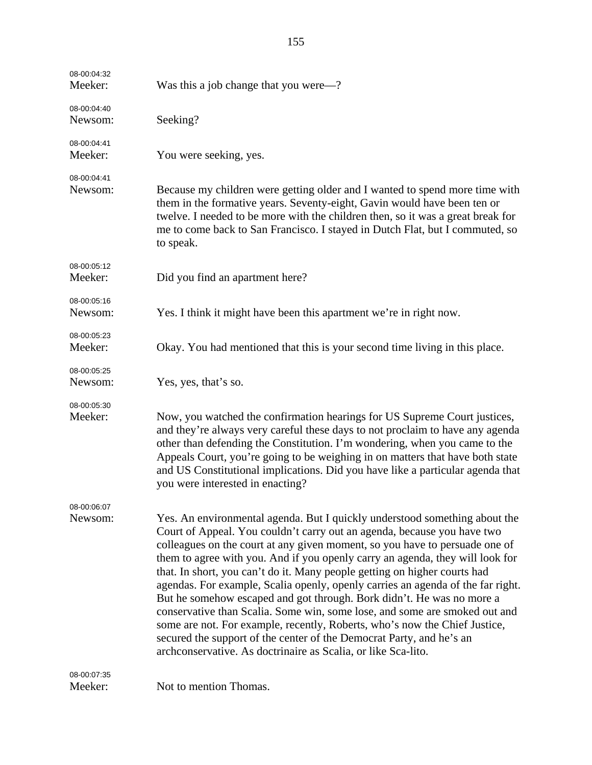| 08-00:04:32<br>Meeker: | Was this a job change that you were—?                                                                                                                                                                                                                                                                                                                                                                                                                                                                                                                                                                                                                                                                                                                                                                                                                               |
|------------------------|---------------------------------------------------------------------------------------------------------------------------------------------------------------------------------------------------------------------------------------------------------------------------------------------------------------------------------------------------------------------------------------------------------------------------------------------------------------------------------------------------------------------------------------------------------------------------------------------------------------------------------------------------------------------------------------------------------------------------------------------------------------------------------------------------------------------------------------------------------------------|
| 08-00:04:40<br>Newsom: | Seeking?                                                                                                                                                                                                                                                                                                                                                                                                                                                                                                                                                                                                                                                                                                                                                                                                                                                            |
| 08-00:04:41<br>Meeker: | You were seeking, yes.                                                                                                                                                                                                                                                                                                                                                                                                                                                                                                                                                                                                                                                                                                                                                                                                                                              |
| 08-00:04:41<br>Newsom: | Because my children were getting older and I wanted to spend more time with<br>them in the formative years. Seventy-eight, Gavin would have been ten or<br>twelve. I needed to be more with the children then, so it was a great break for<br>me to come back to San Francisco. I stayed in Dutch Flat, but I commuted, so<br>to speak.                                                                                                                                                                                                                                                                                                                                                                                                                                                                                                                             |
| 08-00:05:12<br>Meeker: | Did you find an apartment here?                                                                                                                                                                                                                                                                                                                                                                                                                                                                                                                                                                                                                                                                                                                                                                                                                                     |
| 08-00:05:16<br>Newsom: | Yes. I think it might have been this apartment we're in right now.                                                                                                                                                                                                                                                                                                                                                                                                                                                                                                                                                                                                                                                                                                                                                                                                  |
| 08-00:05:23<br>Meeker: | Okay. You had mentioned that this is your second time living in this place.                                                                                                                                                                                                                                                                                                                                                                                                                                                                                                                                                                                                                                                                                                                                                                                         |
| 08-00:05:25<br>Newsom: | Yes, yes, that's so.                                                                                                                                                                                                                                                                                                                                                                                                                                                                                                                                                                                                                                                                                                                                                                                                                                                |
| 08-00:05:30<br>Meeker: | Now, you watched the confirmation hearings for US Supreme Court justices,<br>and they're always very careful these days to not proclaim to have any agenda<br>other than defending the Constitution. I'm wondering, when you came to the<br>Appeals Court, you're going to be weighing in on matters that have both state<br>and US Constitutional implications. Did you have like a particular agenda that<br>you were interested in enacting?                                                                                                                                                                                                                                                                                                                                                                                                                     |
| 08-00:06:07<br>Newsom: | Yes. An environmental agenda. But I quickly understood something about the<br>Court of Appeal. You couldn't carry out an agenda, because you have two<br>colleagues on the court at any given moment, so you have to persuade one of<br>them to agree with you. And if you openly carry an agenda, they will look for<br>that. In short, you can't do it. Many people getting on higher courts had<br>agendas. For example, Scalia openly, openly carries an agenda of the far right.<br>But he somehow escaped and got through. Bork didn't. He was no more a<br>conservative than Scalia. Some win, some lose, and some are smoked out and<br>some are not. For example, recently, Roberts, who's now the Chief Justice,<br>secured the support of the center of the Democrat Party, and he's an<br>archconservative. As doctrinaire as Scalia, or like Sca-lito. |
| 08-00:07:35<br>Meeker: | Not to mention Thomas.                                                                                                                                                                                                                                                                                                                                                                                                                                                                                                                                                                                                                                                                                                                                                                                                                                              |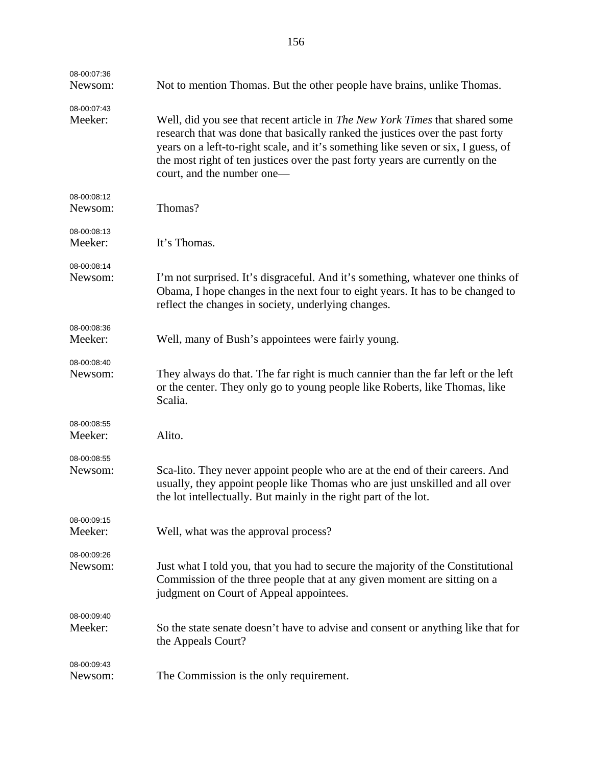| 08-00:07:36<br>Newsom: | Not to mention Thomas. But the other people have brains, unlike Thomas.                                                                                                                                                                                                                                                                                                  |
|------------------------|--------------------------------------------------------------------------------------------------------------------------------------------------------------------------------------------------------------------------------------------------------------------------------------------------------------------------------------------------------------------------|
| 08-00:07:43<br>Meeker: | Well, did you see that recent article in <i>The New York Times</i> that shared some<br>research that was done that basically ranked the justices over the past forty<br>years on a left-to-right scale, and it's something like seven or six, I guess, of<br>the most right of ten justices over the past forty years are currently on the<br>court, and the number one— |
| 08-00:08:12<br>Newsom: | Thomas?                                                                                                                                                                                                                                                                                                                                                                  |
| 08-00:08:13<br>Meeker: | It's Thomas.                                                                                                                                                                                                                                                                                                                                                             |
| 08-00:08:14<br>Newsom: | I'm not surprised. It's disgraceful. And it's something, whatever one thinks of<br>Obama, I hope changes in the next four to eight years. It has to be changed to<br>reflect the changes in society, underlying changes.                                                                                                                                                 |
| 08-00:08:36<br>Meeker: | Well, many of Bush's appointees were fairly young.                                                                                                                                                                                                                                                                                                                       |
| 08-00:08:40<br>Newsom: | They always do that. The far right is much cannier than the far left or the left<br>or the center. They only go to young people like Roberts, like Thomas, like<br>Scalia.                                                                                                                                                                                               |
| 08-00:08:55<br>Meeker: | Alito.                                                                                                                                                                                                                                                                                                                                                                   |
| 08-00:08:55<br>Newsom: | Sca-lito. They never appoint people who are at the end of their careers. And<br>usually, they appoint people like Thomas who are just unskilled and all over<br>the lot intellectually. But mainly in the right part of the lot.                                                                                                                                         |
| 08-00:09:15<br>Meeker: | Well, what was the approval process?                                                                                                                                                                                                                                                                                                                                     |
| 08-00:09:26<br>Newsom: | Just what I told you, that you had to secure the majority of the Constitutional<br>Commission of the three people that at any given moment are sitting on a<br>judgment on Court of Appeal appointees.                                                                                                                                                                   |
| 08-00:09:40<br>Meeker: | So the state senate doesn't have to advise and consent or anything like that for<br>the Appeals Court?                                                                                                                                                                                                                                                                   |
| 08-00:09:43<br>Newsom: | The Commission is the only requirement.                                                                                                                                                                                                                                                                                                                                  |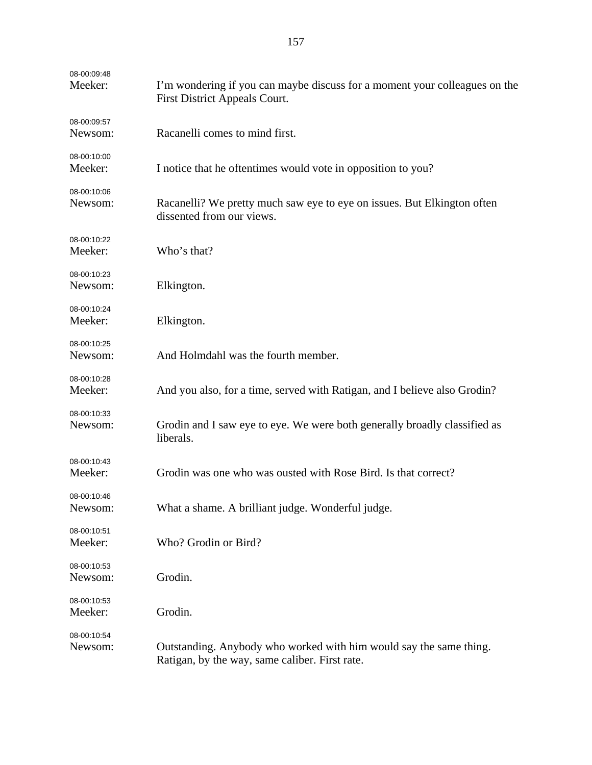| 08-00:09:48<br>Meeker: | I'm wondering if you can maybe discuss for a moment your colleagues on the<br>First District Appeals Court.          |
|------------------------|----------------------------------------------------------------------------------------------------------------------|
| 08-00:09:57<br>Newsom: | Racanelli comes to mind first.                                                                                       |
| 08-00:10:00<br>Meeker: | I notice that he oftentimes would vote in opposition to you?                                                         |
| 08-00:10:06<br>Newsom: | Racanelli? We pretty much saw eye to eye on issues. But Elkington often<br>dissented from our views.                 |
| 08-00:10:22<br>Meeker: | Who's that?                                                                                                          |
| 08-00:10:23<br>Newsom: | Elkington.                                                                                                           |
| 08-00:10:24<br>Meeker: | Elkington.                                                                                                           |
| 08-00:10:25<br>Newsom: | And Holmdahl was the fourth member.                                                                                  |
| 08-00:10:28<br>Meeker: | And you also, for a time, served with Ratigan, and I believe also Grodin?                                            |
| 08-00:10:33<br>Newsom: | Grodin and I saw eye to eye. We were both generally broadly classified as<br>liberals.                               |
| 08-00:10:43<br>Meeker: | Grodin was one who was ousted with Rose Bird. Is that correct?                                                       |
| 08-00:10:46<br>Newsom: | What a shame. A brilliant judge. Wonderful judge.                                                                    |
| 08-00:10:51<br>Meeker: | Who? Grodin or Bird?                                                                                                 |
| 08-00:10:53<br>Newsom: | Grodin.                                                                                                              |
| 08-00:10:53<br>Meeker: | Grodin.                                                                                                              |
| 08-00:10:54<br>Newsom: | Outstanding. Anybody who worked with him would say the same thing.<br>Ratigan, by the way, same caliber. First rate. |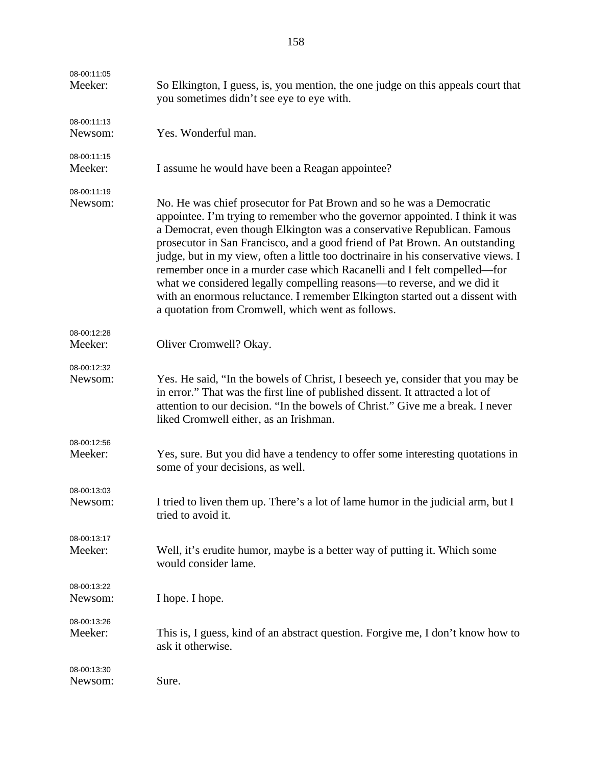| 08-00:11:05<br>Meeker: | So Elkington, I guess, is, you mention, the one judge on this appeals court that<br>you sometimes didn't see eye to eye with.                                                                                                                                                                                                                                                                                                                                                                                                                                                                                                                                                                   |
|------------------------|-------------------------------------------------------------------------------------------------------------------------------------------------------------------------------------------------------------------------------------------------------------------------------------------------------------------------------------------------------------------------------------------------------------------------------------------------------------------------------------------------------------------------------------------------------------------------------------------------------------------------------------------------------------------------------------------------|
| 08-00:11:13<br>Newsom: | Yes. Wonderful man.                                                                                                                                                                                                                                                                                                                                                                                                                                                                                                                                                                                                                                                                             |
| 08-00:11:15<br>Meeker: | I assume he would have been a Reagan appointee?                                                                                                                                                                                                                                                                                                                                                                                                                                                                                                                                                                                                                                                 |
| 08-00:11:19<br>Newsom: | No. He was chief prosecutor for Pat Brown and so he was a Democratic<br>appointee. I'm trying to remember who the governor appointed. I think it was<br>a Democrat, even though Elkington was a conservative Republican. Famous<br>prosecutor in San Francisco, and a good friend of Pat Brown. An outstanding<br>judge, but in my view, often a little too doctrinaire in his conservative views. I<br>remember once in a murder case which Racanelli and I felt compelled—for<br>what we considered legally compelling reasons—to reverse, and we did it<br>with an enormous reluctance. I remember Elkington started out a dissent with<br>a quotation from Cromwell, which went as follows. |
| 08-00:12:28<br>Meeker: | Oliver Cromwell? Okay.                                                                                                                                                                                                                                                                                                                                                                                                                                                                                                                                                                                                                                                                          |
| 08-00:12:32<br>Newsom: | Yes. He said, "In the bowels of Christ, I beseech ye, consider that you may be<br>in error." That was the first line of published dissent. It attracted a lot of<br>attention to our decision. "In the bowels of Christ." Give me a break. I never<br>liked Cromwell either, as an Irishman.                                                                                                                                                                                                                                                                                                                                                                                                    |
| 08-00:12:56<br>Meeker: | Yes, sure. But you did have a tendency to offer some interesting quotations in<br>some of your decisions, as well.                                                                                                                                                                                                                                                                                                                                                                                                                                                                                                                                                                              |
| 08-00:13:03<br>Newsom: | I tried to liven them up. There's a lot of lame humor in the judicial arm, but I<br>tried to avoid it.                                                                                                                                                                                                                                                                                                                                                                                                                                                                                                                                                                                          |
| 08-00:13:17<br>Meeker: | Well, it's erudite humor, maybe is a better way of putting it. Which some<br>would consider lame.                                                                                                                                                                                                                                                                                                                                                                                                                                                                                                                                                                                               |
| 08-00:13:22<br>Newsom: | I hope. I hope.                                                                                                                                                                                                                                                                                                                                                                                                                                                                                                                                                                                                                                                                                 |
| 08-00:13:26<br>Meeker: | This is, I guess, kind of an abstract question. Forgive me, I don't know how to<br>ask it otherwise.                                                                                                                                                                                                                                                                                                                                                                                                                                                                                                                                                                                            |
| 08-00:13:30<br>Newsom: | Sure.                                                                                                                                                                                                                                                                                                                                                                                                                                                                                                                                                                                                                                                                                           |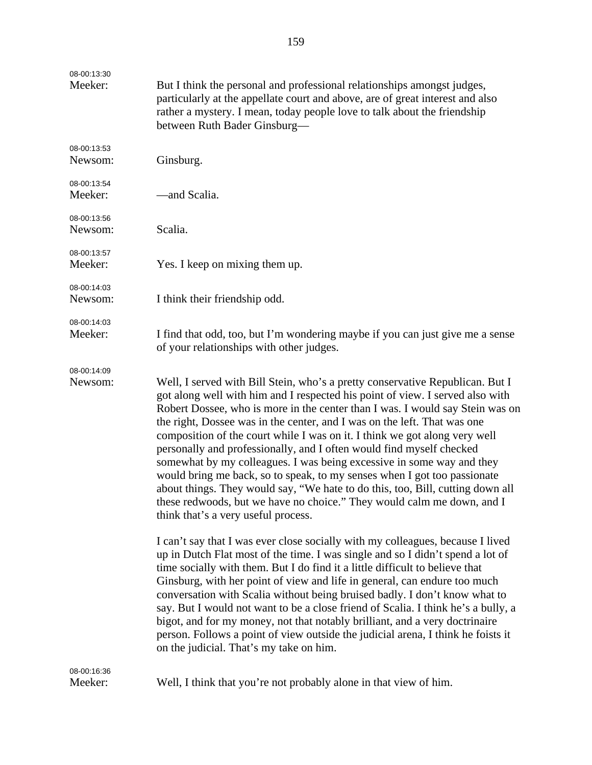| 08-00:13:30<br>Meeker: | But I think the personal and professional relationships amongst judges,<br>particularly at the appellate court and above, are of great interest and also<br>rather a mystery. I mean, today people love to talk about the friendship<br>between Ruth Bader Ginsburg-                                                                                                                                                                                                                                                                                                                                                                                                                                                                                                                                                                      |
|------------------------|-------------------------------------------------------------------------------------------------------------------------------------------------------------------------------------------------------------------------------------------------------------------------------------------------------------------------------------------------------------------------------------------------------------------------------------------------------------------------------------------------------------------------------------------------------------------------------------------------------------------------------------------------------------------------------------------------------------------------------------------------------------------------------------------------------------------------------------------|
| 08-00:13:53<br>Newsom: | Ginsburg.                                                                                                                                                                                                                                                                                                                                                                                                                                                                                                                                                                                                                                                                                                                                                                                                                                 |
| 08-00:13:54<br>Meeker: | —and Scalia.                                                                                                                                                                                                                                                                                                                                                                                                                                                                                                                                                                                                                                                                                                                                                                                                                              |
| 08-00:13:56<br>Newsom: | Scalia.                                                                                                                                                                                                                                                                                                                                                                                                                                                                                                                                                                                                                                                                                                                                                                                                                                   |
| 08-00:13:57<br>Meeker: | Yes. I keep on mixing them up.                                                                                                                                                                                                                                                                                                                                                                                                                                                                                                                                                                                                                                                                                                                                                                                                            |
| 08-00:14:03<br>Newsom: | I think their friendship odd.                                                                                                                                                                                                                                                                                                                                                                                                                                                                                                                                                                                                                                                                                                                                                                                                             |
| 08-00:14:03<br>Meeker: | I find that odd, too, but I'm wondering maybe if you can just give me a sense<br>of your relationships with other judges.                                                                                                                                                                                                                                                                                                                                                                                                                                                                                                                                                                                                                                                                                                                 |
| 08-00:14:09<br>Newsom: | Well, I served with Bill Stein, who's a pretty conservative Republican. But I<br>got along well with him and I respected his point of view. I served also with<br>Robert Dossee, who is more in the center than I was. I would say Stein was on<br>the right, Dossee was in the center, and I was on the left. That was one<br>composition of the court while I was on it. I think we got along very well<br>personally and professionally, and I often would find myself checked<br>somewhat by my colleagues. I was being excessive in some way and they<br>would bring me back, so to speak, to my senses when I got too passionate<br>about things. They would say, "We hate to do this, too, Bill, cutting down all<br>these redwoods, but we have no choice." They would calm me down, and I<br>think that's a very useful process. |
|                        | I can't say that I was ever close socially with my colleagues, because I lived<br>up in Dutch Flat most of the time. I was single and so I didn't spend a lot of<br>time socially with them. But I do find it a little difficult to believe that<br>Ginsburg, with her point of view and life in general, can endure too much<br>conversation with Scalia without being bruised badly. I don't know what to<br>say. But I would not want to be a close friend of Scalia. I think he's a bully, a<br>bigot, and for my money, not that notably brilliant, and a very doctrinaire<br>person. Follows a point of view outside the judicial arena, I think he foists it<br>on the judicial. That's my take on him.                                                                                                                            |
| 08-00:16:36<br>Meeker: | Well, I think that you're not probably alone in that view of him.                                                                                                                                                                                                                                                                                                                                                                                                                                                                                                                                                                                                                                                                                                                                                                         |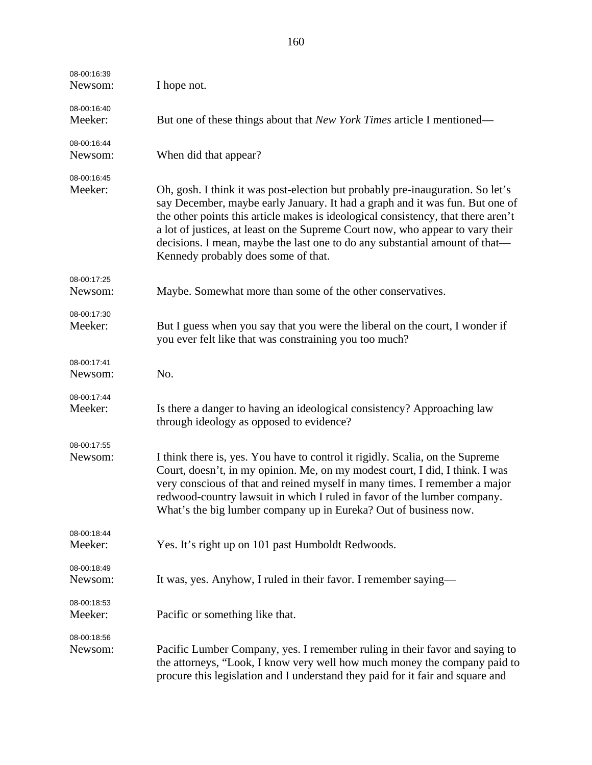| 08-00:16:39<br>Newsom: | I hope not.                                                                                                                                                                                                                                                                                                                                                                                                                                                 |
|------------------------|-------------------------------------------------------------------------------------------------------------------------------------------------------------------------------------------------------------------------------------------------------------------------------------------------------------------------------------------------------------------------------------------------------------------------------------------------------------|
| 08-00:16:40<br>Meeker: | But one of these things about that New York Times article I mentioned—                                                                                                                                                                                                                                                                                                                                                                                      |
| 08-00:16:44<br>Newsom: | When did that appear?                                                                                                                                                                                                                                                                                                                                                                                                                                       |
| 08-00:16:45<br>Meeker: | Oh, gosh. I think it was post-election but probably pre-inauguration. So let's<br>say December, maybe early January. It had a graph and it was fun. But one of<br>the other points this article makes is ideological consistency, that there aren't<br>a lot of justices, at least on the Supreme Court now, who appear to vary their<br>decisions. I mean, maybe the last one to do any substantial amount of that—<br>Kennedy probably does some of that. |
| 08-00:17:25<br>Newsom: | Maybe. Somewhat more than some of the other conservatives.                                                                                                                                                                                                                                                                                                                                                                                                  |
| 08-00:17:30<br>Meeker: | But I guess when you say that you were the liberal on the court, I wonder if<br>you ever felt like that was constraining you too much?                                                                                                                                                                                                                                                                                                                      |
| 08-00:17:41<br>Newsom: | No.                                                                                                                                                                                                                                                                                                                                                                                                                                                         |
| 08-00:17:44<br>Meeker: | Is there a danger to having an ideological consistency? Approaching law<br>through ideology as opposed to evidence?                                                                                                                                                                                                                                                                                                                                         |
| 08-00:17:55<br>Newsom: | I think there is, yes. You have to control it rigidly. Scalia, on the Supreme<br>Court, doesn't, in my opinion. Me, on my modest court, I did, I think. I was<br>very conscious of that and reined myself in many times. I remember a major<br>redwood-country lawsuit in which I ruled in favor of the lumber company.<br>What's the big lumber company up in Eureka? Out of business now.                                                                 |
| 08-00:18:44<br>Meeker: | Yes. It's right up on 101 past Humboldt Redwoods.                                                                                                                                                                                                                                                                                                                                                                                                           |
| 08-00:18:49<br>Newsom: | It was, yes. Anyhow, I ruled in their favor. I remember saying—                                                                                                                                                                                                                                                                                                                                                                                             |
| 08-00:18:53<br>Meeker: | Pacific or something like that.                                                                                                                                                                                                                                                                                                                                                                                                                             |
| 08-00:18:56<br>Newsom: | Pacific Lumber Company, yes. I remember ruling in their favor and saying to<br>the attorneys, "Look, I know very well how much money the company paid to<br>procure this legislation and I understand they paid for it fair and square and                                                                                                                                                                                                                  |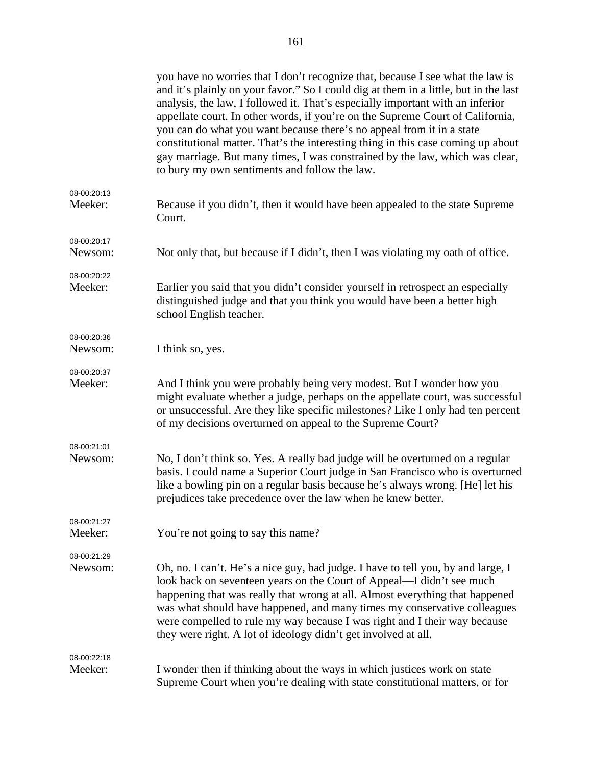|                        | you have no worries that I don't recognize that, because I see what the law is<br>and it's plainly on your favor." So I could dig at them in a little, but in the last<br>analysis, the law, I followed it. That's especially important with an inferior<br>appellate court. In other words, if you're on the Supreme Court of California,<br>you can do what you want because there's no appeal from it in a state<br>constitutional matter. That's the interesting thing in this case coming up about<br>gay marriage. But many times, I was constrained by the law, which was clear,<br>to bury my own sentiments and follow the law. |
|------------------------|------------------------------------------------------------------------------------------------------------------------------------------------------------------------------------------------------------------------------------------------------------------------------------------------------------------------------------------------------------------------------------------------------------------------------------------------------------------------------------------------------------------------------------------------------------------------------------------------------------------------------------------|
| 08-00:20:13<br>Meeker: | Because if you didn't, then it would have been appealed to the state Supreme<br>Court.                                                                                                                                                                                                                                                                                                                                                                                                                                                                                                                                                   |
| 08-00:20:17<br>Newsom: | Not only that, but because if I didn't, then I was violating my oath of office.                                                                                                                                                                                                                                                                                                                                                                                                                                                                                                                                                          |
| 08-00:20:22<br>Meeker: | Earlier you said that you didn't consider yourself in retrospect an especially<br>distinguished judge and that you think you would have been a better high<br>school English teacher.                                                                                                                                                                                                                                                                                                                                                                                                                                                    |
| 08-00:20:36<br>Newsom: | I think so, yes.                                                                                                                                                                                                                                                                                                                                                                                                                                                                                                                                                                                                                         |
| 08-00:20:37<br>Meeker: | And I think you were probably being very modest. But I wonder how you<br>might evaluate whether a judge, perhaps on the appellate court, was successful<br>or unsuccessful. Are they like specific milestones? Like I only had ten percent<br>of my decisions overturned on appeal to the Supreme Court?                                                                                                                                                                                                                                                                                                                                 |
| 08-00:21:01<br>Newsom: | No, I don't think so. Yes. A really bad judge will be overturned on a regular<br>basis. I could name a Superior Court judge in San Francisco who is overturned<br>like a bowling pin on a regular basis because he's always wrong. [He] let his<br>prejudices take precedence over the law when he knew better.                                                                                                                                                                                                                                                                                                                          |
| 08-00:21:27<br>Meeker: | You're not going to say this name?                                                                                                                                                                                                                                                                                                                                                                                                                                                                                                                                                                                                       |
| 08-00:21:29<br>Newsom: | Oh, no. I can't. He's a nice guy, bad judge. I have to tell you, by and large, I<br>look back on seventeen years on the Court of Appeal—I didn't see much<br>happening that was really that wrong at all. Almost everything that happened<br>was what should have happened, and many times my conservative colleagues<br>were compelled to rule my way because I was right and I their way because<br>they were right. A lot of ideology didn't get involved at all.                                                                                                                                                                     |
| 08-00:22:18<br>Meeker: | I wonder then if thinking about the ways in which justices work on state<br>Supreme Court when you're dealing with state constitutional matters, or for                                                                                                                                                                                                                                                                                                                                                                                                                                                                                  |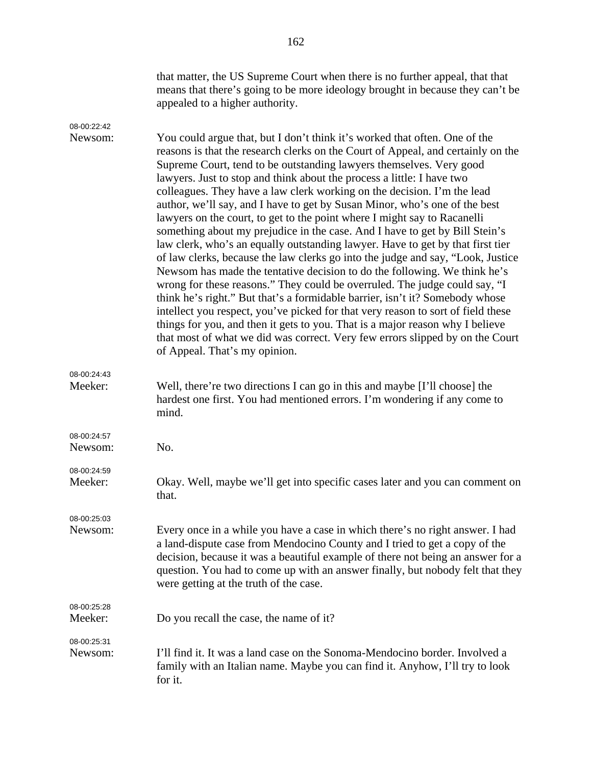|                        | that matter, the US Supreme Court when there is no further appeal, that that<br>means that there's going to be more ideology brought in because they can't be<br>appealed to a higher authority.                                                                                                                                                                                                                                                                                                                                                                                                                                                                                                                                                                                                                                                                                                                                                                                                                                                                                                                                                                                                                                                                                                                                           |
|------------------------|--------------------------------------------------------------------------------------------------------------------------------------------------------------------------------------------------------------------------------------------------------------------------------------------------------------------------------------------------------------------------------------------------------------------------------------------------------------------------------------------------------------------------------------------------------------------------------------------------------------------------------------------------------------------------------------------------------------------------------------------------------------------------------------------------------------------------------------------------------------------------------------------------------------------------------------------------------------------------------------------------------------------------------------------------------------------------------------------------------------------------------------------------------------------------------------------------------------------------------------------------------------------------------------------------------------------------------------------|
| 08-00:22:42<br>Newsom: | You could argue that, but I don't think it's worked that often. One of the<br>reasons is that the research clerks on the Court of Appeal, and certainly on the<br>Supreme Court, tend to be outstanding lawyers themselves. Very good<br>lawyers. Just to stop and think about the process a little: I have two<br>colleagues. They have a law clerk working on the decision. I'm the lead<br>author, we'll say, and I have to get by Susan Minor, who's one of the best<br>lawyers on the court, to get to the point where I might say to Racanelli<br>something about my prejudice in the case. And I have to get by Bill Stein's<br>law clerk, who's an equally outstanding lawyer. Have to get by that first tier<br>of law clerks, because the law clerks go into the judge and say, "Look, Justice<br>Newsom has made the tentative decision to do the following. We think he's<br>wrong for these reasons." They could be overruled. The judge could say, "I<br>think he's right." But that's a formidable barrier, isn't it? Somebody whose<br>intellect you respect, you've picked for that very reason to sort of field these<br>things for you, and then it gets to you. That is a major reason why I believe<br>that most of what we did was correct. Very few errors slipped by on the Court<br>of Appeal. That's my opinion. |
| 08-00:24:43<br>Meeker: | Well, there're two directions I can go in this and maybe [I'll choose] the<br>hardest one first. You had mentioned errors. I'm wondering if any come to<br>mind.                                                                                                                                                                                                                                                                                                                                                                                                                                                                                                                                                                                                                                                                                                                                                                                                                                                                                                                                                                                                                                                                                                                                                                           |
| 08-00:24:57<br>Newsom: | No.                                                                                                                                                                                                                                                                                                                                                                                                                                                                                                                                                                                                                                                                                                                                                                                                                                                                                                                                                                                                                                                                                                                                                                                                                                                                                                                                        |
| 08-00:24:59<br>Meeker: | Okay. Well, maybe we'll get into specific cases later and you can comment on<br>that.                                                                                                                                                                                                                                                                                                                                                                                                                                                                                                                                                                                                                                                                                                                                                                                                                                                                                                                                                                                                                                                                                                                                                                                                                                                      |
| 08-00:25:03<br>Newsom: | Every once in a while you have a case in which there's no right answer. I had<br>a land-dispute case from Mendocino County and I tried to get a copy of the<br>decision, because it was a beautiful example of there not being an answer for a<br>question. You had to come up with an answer finally, but nobody felt that they<br>were getting at the truth of the case.                                                                                                                                                                                                                                                                                                                                                                                                                                                                                                                                                                                                                                                                                                                                                                                                                                                                                                                                                                 |
| 08-00:25:28<br>Meeker: | Do you recall the case, the name of it?                                                                                                                                                                                                                                                                                                                                                                                                                                                                                                                                                                                                                                                                                                                                                                                                                                                                                                                                                                                                                                                                                                                                                                                                                                                                                                    |
| 08-00:25:31<br>Newsom: | I'll find it. It was a land case on the Sonoma-Mendocino border. Involved a<br>family with an Italian name. Maybe you can find it. Anyhow, I'll try to look<br>for it.                                                                                                                                                                                                                                                                                                                                                                                                                                                                                                                                                                                                                                                                                                                                                                                                                                                                                                                                                                                                                                                                                                                                                                     |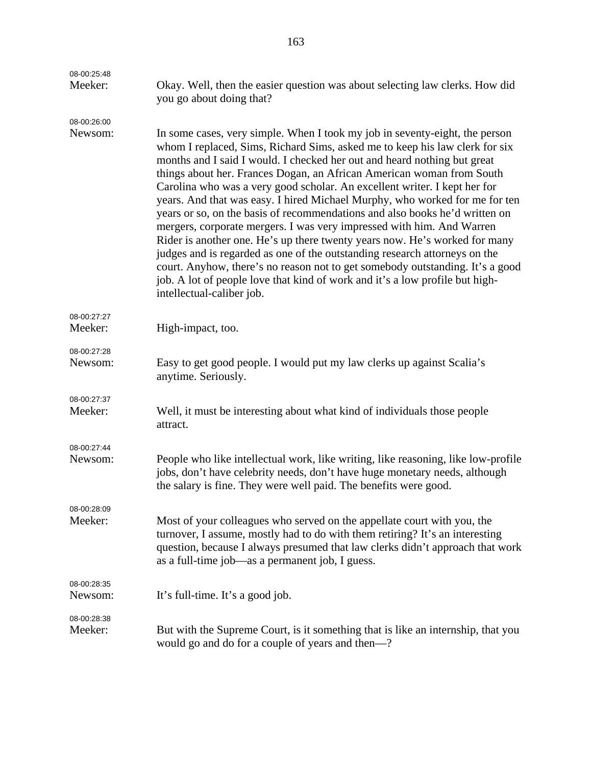| 08-00:25:48            |                                                                                                                                                                                                                                                                                                                                                                                                                                                                                                                                                                                                                                                                                                                                                                                                                                                                                                                                                                                               |
|------------------------|-----------------------------------------------------------------------------------------------------------------------------------------------------------------------------------------------------------------------------------------------------------------------------------------------------------------------------------------------------------------------------------------------------------------------------------------------------------------------------------------------------------------------------------------------------------------------------------------------------------------------------------------------------------------------------------------------------------------------------------------------------------------------------------------------------------------------------------------------------------------------------------------------------------------------------------------------------------------------------------------------|
| Meeker:                | Okay. Well, then the easier question was about selecting law clerks. How did<br>you go about doing that?                                                                                                                                                                                                                                                                                                                                                                                                                                                                                                                                                                                                                                                                                                                                                                                                                                                                                      |
| 08-00:26:00            |                                                                                                                                                                                                                                                                                                                                                                                                                                                                                                                                                                                                                                                                                                                                                                                                                                                                                                                                                                                               |
| Newsom:                | In some cases, very simple. When I took my job in seventy-eight, the person<br>whom I replaced, Sims, Richard Sims, asked me to keep his law clerk for six<br>months and I said I would. I checked her out and heard nothing but great<br>things about her. Frances Dogan, an African American woman from South<br>Carolina who was a very good scholar. An excellent writer. I kept her for<br>years. And that was easy. I hired Michael Murphy, who worked for me for ten<br>years or so, on the basis of recommendations and also books he'd written on<br>mergers, corporate mergers. I was very impressed with him. And Warren<br>Rider is another one. He's up there twenty years now. He's worked for many<br>judges and is regarded as one of the outstanding research attorneys on the<br>court. Anyhow, there's no reason not to get somebody outstanding. It's a good<br>job. A lot of people love that kind of work and it's a low profile but high-<br>intellectual-caliber job. |
| 08-00:27:27<br>Meeker: | High-impact, too.                                                                                                                                                                                                                                                                                                                                                                                                                                                                                                                                                                                                                                                                                                                                                                                                                                                                                                                                                                             |
| 08-00:27:28<br>Newsom: | Easy to get good people. I would put my law clerks up against Scalia's<br>anytime. Seriously.                                                                                                                                                                                                                                                                                                                                                                                                                                                                                                                                                                                                                                                                                                                                                                                                                                                                                                 |
| 08-00:27:37<br>Meeker: | Well, it must be interesting about what kind of individuals those people<br>attract.                                                                                                                                                                                                                                                                                                                                                                                                                                                                                                                                                                                                                                                                                                                                                                                                                                                                                                          |
| 08-00:27:44<br>Newsom: | People who like intellectual work, like writing, like reasoning, like low-profile<br>jobs, don't have celebrity needs, don't have huge monetary needs, although<br>the salary is fine. They were well paid. The benefits were good.                                                                                                                                                                                                                                                                                                                                                                                                                                                                                                                                                                                                                                                                                                                                                           |
| 08-00:28:09<br>Meeker: | Most of your colleagues who served on the appellate court with you, the<br>turnover, I assume, mostly had to do with them retiring? It's an interesting<br>question, because I always presumed that law clerks didn't approach that work<br>as a full-time job—as a permanent job, I guess.                                                                                                                                                                                                                                                                                                                                                                                                                                                                                                                                                                                                                                                                                                   |
| 08-00:28:35<br>Newsom: | It's full-time. It's a good job.                                                                                                                                                                                                                                                                                                                                                                                                                                                                                                                                                                                                                                                                                                                                                                                                                                                                                                                                                              |
| 08-00:28:38<br>Meeker: | But with the Supreme Court, is it something that is like an internship, that you<br>would go and do for a couple of years and then-?                                                                                                                                                                                                                                                                                                                                                                                                                                                                                                                                                                                                                                                                                                                                                                                                                                                          |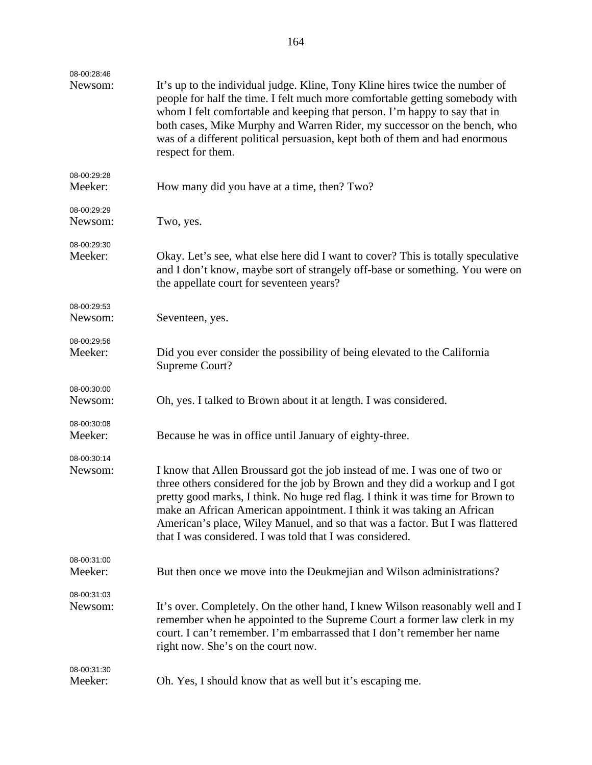| 08-00:28:46<br>Newsom: | It's up to the individual judge. Kline, Tony Kline hires twice the number of<br>people for half the time. I felt much more comfortable getting somebody with<br>whom I felt comfortable and keeping that person. I'm happy to say that in<br>both cases, Mike Murphy and Warren Rider, my successor on the bench, who<br>was of a different political persuasion, kept both of them and had enormous<br>respect for them.                                           |
|------------------------|---------------------------------------------------------------------------------------------------------------------------------------------------------------------------------------------------------------------------------------------------------------------------------------------------------------------------------------------------------------------------------------------------------------------------------------------------------------------|
| 08-00:29:28<br>Meeker: | How many did you have at a time, then? Two?                                                                                                                                                                                                                                                                                                                                                                                                                         |
| 08-00:29:29<br>Newsom: | Two, yes.                                                                                                                                                                                                                                                                                                                                                                                                                                                           |
| 08-00:29:30<br>Meeker: | Okay. Let's see, what else here did I want to cover? This is totally speculative<br>and I don't know, maybe sort of strangely off-base or something. You were on<br>the appellate court for seventeen years?                                                                                                                                                                                                                                                        |
| 08-00:29:53<br>Newsom: | Seventeen, yes.                                                                                                                                                                                                                                                                                                                                                                                                                                                     |
| 08-00:29:56<br>Meeker: | Did you ever consider the possibility of being elevated to the California<br>Supreme Court?                                                                                                                                                                                                                                                                                                                                                                         |
| 08-00:30:00<br>Newsom: | Oh, yes. I talked to Brown about it at length. I was considered.                                                                                                                                                                                                                                                                                                                                                                                                    |
| 08-00:30:08<br>Meeker: | Because he was in office until January of eighty-three.                                                                                                                                                                                                                                                                                                                                                                                                             |
| 08-00:30:14<br>Newsom: | I know that Allen Broussard got the job instead of me. I was one of two or<br>three others considered for the job by Brown and they did a workup and I got<br>pretty good marks, I think. No huge red flag. I think it was time for Brown to<br>make an African American appointment. I think it was taking an African<br>American's place, Wiley Manuel, and so that was a factor. But I was flattered<br>that I was considered. I was told that I was considered. |
| 08-00:31:00<br>Meeker: | But then once we move into the Deukmejian and Wilson administrations?                                                                                                                                                                                                                                                                                                                                                                                               |
| 08-00:31:03<br>Newsom: | It's over. Completely. On the other hand, I knew Wilson reasonably well and I<br>remember when he appointed to the Supreme Court a former law clerk in my<br>court. I can't remember. I'm embarrassed that I don't remember her name<br>right now. She's on the court now.                                                                                                                                                                                          |
| 08-00:31:30<br>Meeker: | Oh. Yes, I should know that as well but it's escaping me.                                                                                                                                                                                                                                                                                                                                                                                                           |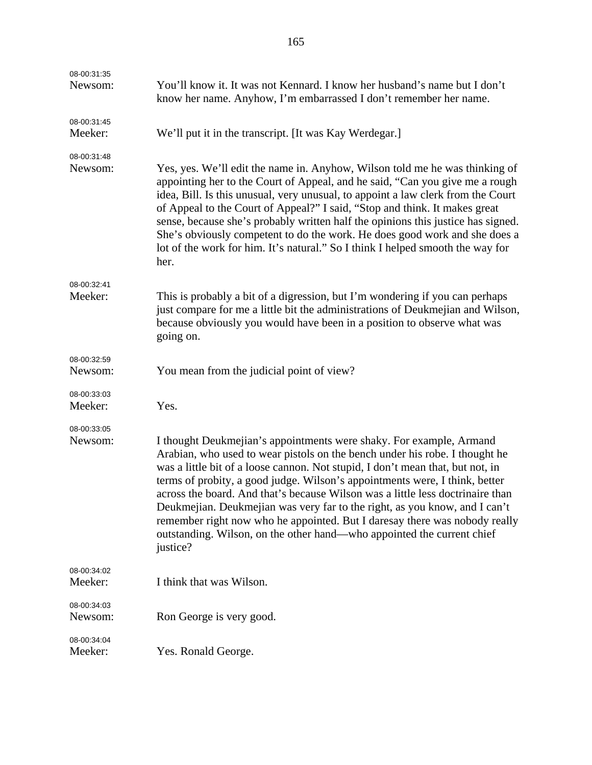| 08-00:31:35<br>Newsom: | You'll know it. It was not Kennard. I know her husband's name but I don't<br>know her name. Anyhow, I'm embarrassed I don't remember her name.                                                                                                                                                                                                                                                                                                                                                                                                                                                                                                          |
|------------------------|---------------------------------------------------------------------------------------------------------------------------------------------------------------------------------------------------------------------------------------------------------------------------------------------------------------------------------------------------------------------------------------------------------------------------------------------------------------------------------------------------------------------------------------------------------------------------------------------------------------------------------------------------------|
| 08-00:31:45<br>Meeker: | We'll put it in the transcript. [It was Kay Werdegar.]                                                                                                                                                                                                                                                                                                                                                                                                                                                                                                                                                                                                  |
| 08-00:31:48<br>Newsom: | Yes, yes. We'll edit the name in. Anyhow, Wilson told me he was thinking of<br>appointing her to the Court of Appeal, and he said, "Can you give me a rough<br>idea, Bill. Is this unusual, very unusual, to appoint a law clerk from the Court<br>of Appeal to the Court of Appeal?" I said, "Stop and think. It makes great<br>sense, because she's probably written half the opinions this justice has signed.<br>She's obviously competent to do the work. He does good work and she does a<br>lot of the work for him. It's natural." So I think I helped smooth the way for<br>her.                                                               |
| 08-00:32:41<br>Meeker: | This is probably a bit of a digression, but I'm wondering if you can perhaps<br>just compare for me a little bit the administrations of Deukmejian and Wilson,<br>because obviously you would have been in a position to observe what was<br>going on.                                                                                                                                                                                                                                                                                                                                                                                                  |
| 08-00:32:59<br>Newsom: | You mean from the judicial point of view?                                                                                                                                                                                                                                                                                                                                                                                                                                                                                                                                                                                                               |
| 08-00:33:03<br>Meeker: | Yes.                                                                                                                                                                                                                                                                                                                                                                                                                                                                                                                                                                                                                                                    |
| 08-00:33:05<br>Newsom: | I thought Deukmejian's appointments were shaky. For example, Armand<br>Arabian, who used to wear pistols on the bench under his robe. I thought he<br>was a little bit of a loose cannon. Not stupid, I don't mean that, but not, in<br>terms of probity, a good judge. Wilson's appointments were, I think, better<br>across the board. And that's because Wilson was a little less doctrinaire than<br>Deukmejian. Deukmejian was very far to the right, as you know, and I can't<br>remember right now who he appointed. But I daresay there was nobody really<br>outstanding. Wilson, on the other hand—who appointed the current chief<br>justice? |
| 08-00:34:02<br>Meeker: | I think that was Wilson.                                                                                                                                                                                                                                                                                                                                                                                                                                                                                                                                                                                                                                |
| 08-00:34:03<br>Newsom: | Ron George is very good.                                                                                                                                                                                                                                                                                                                                                                                                                                                                                                                                                                                                                                |
| 08-00:34:04<br>Meeker: | Yes. Ronald George.                                                                                                                                                                                                                                                                                                                                                                                                                                                                                                                                                                                                                                     |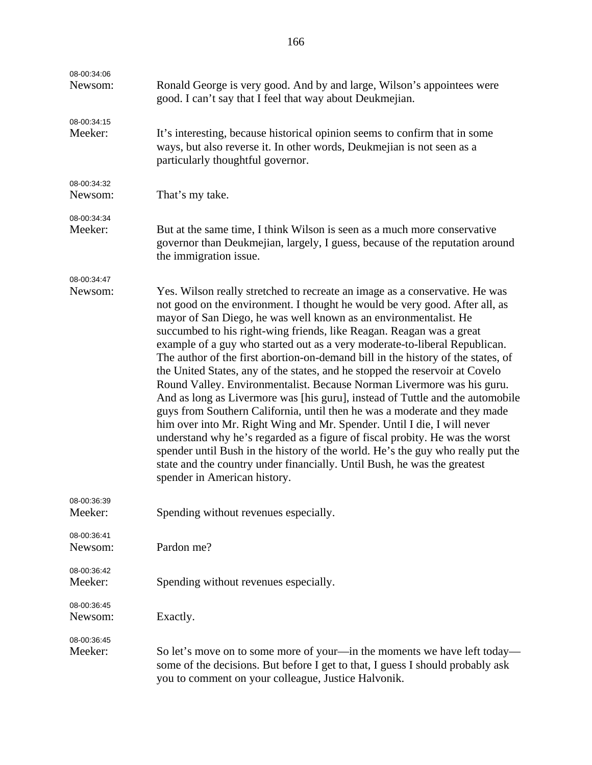| 08-00:34:06<br>Newsom: | Ronald George is very good. And by and large, Wilson's appointees were<br>good. I can't say that I feel that way about Deukmejian.                                                                                                                                                                                                                                                                                                                                                                                                                                                                                                                                                                                                                                                                                                                                                                                                                                                                                                                                                                                                                         |
|------------------------|------------------------------------------------------------------------------------------------------------------------------------------------------------------------------------------------------------------------------------------------------------------------------------------------------------------------------------------------------------------------------------------------------------------------------------------------------------------------------------------------------------------------------------------------------------------------------------------------------------------------------------------------------------------------------------------------------------------------------------------------------------------------------------------------------------------------------------------------------------------------------------------------------------------------------------------------------------------------------------------------------------------------------------------------------------------------------------------------------------------------------------------------------------|
| 08-00:34:15<br>Meeker: | It's interesting, because historical opinion seems to confirm that in some<br>ways, but also reverse it. In other words, Deukmejian is not seen as a<br>particularly thoughtful governor.                                                                                                                                                                                                                                                                                                                                                                                                                                                                                                                                                                                                                                                                                                                                                                                                                                                                                                                                                                  |
| 08-00:34:32<br>Newsom: | That's my take.                                                                                                                                                                                                                                                                                                                                                                                                                                                                                                                                                                                                                                                                                                                                                                                                                                                                                                                                                                                                                                                                                                                                            |
| 08-00:34:34<br>Meeker: | But at the same time, I think Wilson is seen as a much more conservative<br>governor than Deukmejian, largely, I guess, because of the reputation around<br>the immigration issue.                                                                                                                                                                                                                                                                                                                                                                                                                                                                                                                                                                                                                                                                                                                                                                                                                                                                                                                                                                         |
| 08-00:34:47<br>Newsom: | Yes. Wilson really stretched to recreate an image as a conservative. He was<br>not good on the environment. I thought he would be very good. After all, as<br>mayor of San Diego, he was well known as an environmentalist. He<br>succumbed to his right-wing friends, like Reagan. Reagan was a great<br>example of a guy who started out as a very moderate-to-liberal Republican.<br>The author of the first abortion-on-demand bill in the history of the states, of<br>the United States, any of the states, and he stopped the reservoir at Covelo<br>Round Valley. Environmentalist. Because Norman Livermore was his guru.<br>And as long as Livermore was [his guru], instead of Tuttle and the automobile<br>guys from Southern California, until then he was a moderate and they made<br>him over into Mr. Right Wing and Mr. Spender. Until I die, I will never<br>understand why he's regarded as a figure of fiscal probity. He was the worst<br>spender until Bush in the history of the world. He's the guy who really put the<br>state and the country under financially. Until Bush, he was the greatest<br>spender in American history. |
| 08-00:36:39<br>Meeker: | Spending without revenues especially.                                                                                                                                                                                                                                                                                                                                                                                                                                                                                                                                                                                                                                                                                                                                                                                                                                                                                                                                                                                                                                                                                                                      |
| 08-00:36:41<br>Newsom: | Pardon me?                                                                                                                                                                                                                                                                                                                                                                                                                                                                                                                                                                                                                                                                                                                                                                                                                                                                                                                                                                                                                                                                                                                                                 |
| 08-00:36:42<br>Meeker: | Spending without revenues especially.                                                                                                                                                                                                                                                                                                                                                                                                                                                                                                                                                                                                                                                                                                                                                                                                                                                                                                                                                                                                                                                                                                                      |
| 08-00:36:45<br>Newsom: | Exactly.                                                                                                                                                                                                                                                                                                                                                                                                                                                                                                                                                                                                                                                                                                                                                                                                                                                                                                                                                                                                                                                                                                                                                   |
| 08-00:36:45<br>Meeker: | So let's move on to some more of your—in the moments we have left today—<br>some of the decisions. But before I get to that, I guess I should probably ask<br>you to comment on your colleague, Justice Halvonik.                                                                                                                                                                                                                                                                                                                                                                                                                                                                                                                                                                                                                                                                                                                                                                                                                                                                                                                                          |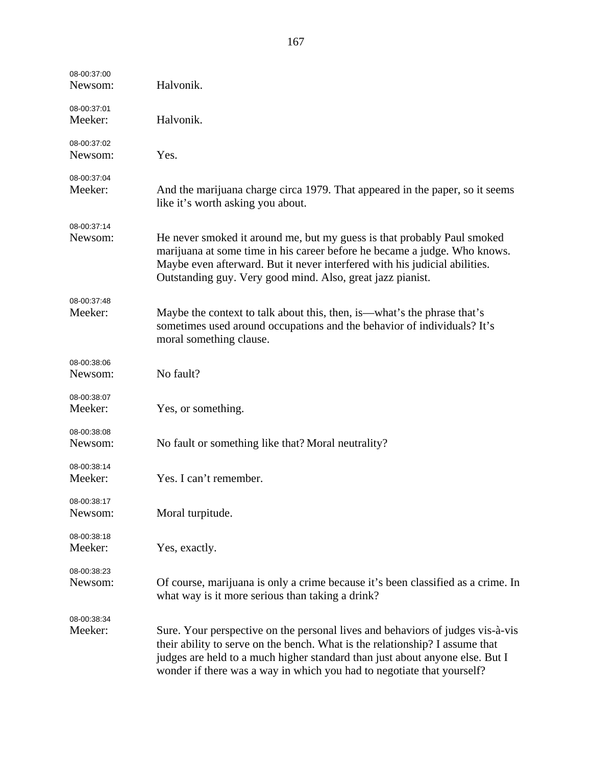| 08-00:37:00<br>Newsom: | Halvonik.                                                                                                                                                                                                                                                                                                                |
|------------------------|--------------------------------------------------------------------------------------------------------------------------------------------------------------------------------------------------------------------------------------------------------------------------------------------------------------------------|
| 08-00:37:01<br>Meeker: | Halvonik.                                                                                                                                                                                                                                                                                                                |
| 08-00:37:02<br>Newsom: | Yes.                                                                                                                                                                                                                                                                                                                     |
| 08-00:37:04<br>Meeker: | And the marijuana charge circa 1979. That appeared in the paper, so it seems<br>like it's worth asking you about.                                                                                                                                                                                                        |
| 08-00:37:14<br>Newsom: | He never smoked it around me, but my guess is that probably Paul smoked<br>marijuana at some time in his career before he became a judge. Who knows.<br>Maybe even afterward. But it never interfered with his judicial abilities.<br>Outstanding guy. Very good mind. Also, great jazz pianist.                         |
| 08-00:37:48<br>Meeker: | Maybe the context to talk about this, then, is—what's the phrase that's<br>sometimes used around occupations and the behavior of individuals? It's<br>moral something clause.                                                                                                                                            |
| 08-00:38:06<br>Newsom: | No fault?                                                                                                                                                                                                                                                                                                                |
| 08-00:38:07<br>Meeker: | Yes, or something.                                                                                                                                                                                                                                                                                                       |
| 08-00:38:08<br>Newsom: | No fault or something like that? Moral neutrality?                                                                                                                                                                                                                                                                       |
| 08-00:38:14<br>Meeker: | Yes. I can't remember.                                                                                                                                                                                                                                                                                                   |
| 08-00:38:17<br>Newsom: | Moral turpitude.                                                                                                                                                                                                                                                                                                         |
| 08-00:38:18<br>Meeker: | Yes, exactly.                                                                                                                                                                                                                                                                                                            |
| 08-00:38:23<br>Newsom: | Of course, marijuana is only a crime because it's been classified as a crime. In<br>what way is it more serious than taking a drink?                                                                                                                                                                                     |
| 08-00:38:34<br>Meeker: | Sure. Your perspective on the personal lives and behaviors of judges vis-à-vis<br>their ability to serve on the bench. What is the relationship? I assume that<br>judges are held to a much higher standard than just about anyone else. But I<br>wonder if there was a way in which you had to negotiate that yourself? |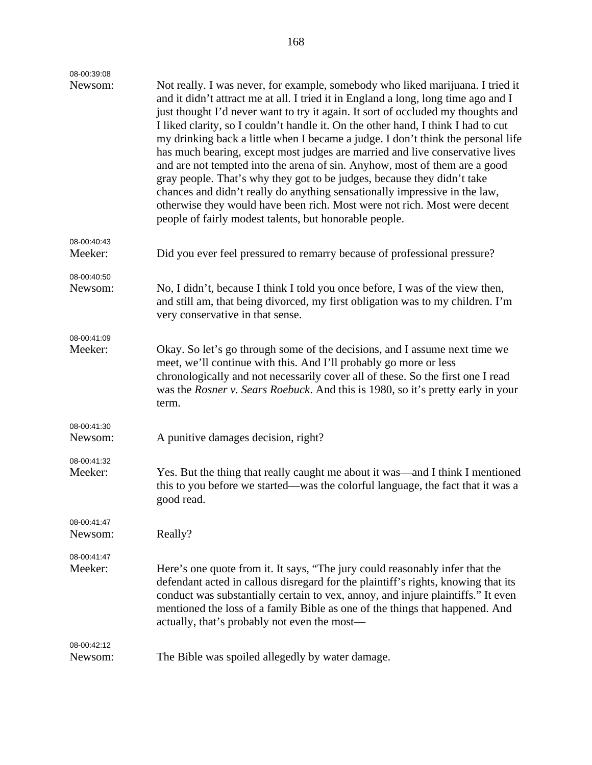| 08-00:39:08            |                                                                                                                                                                                                                                                                                                                                                                                                                                                                                                                                                                                                                                                                                                                                                                                                                                                                                                 |
|------------------------|-------------------------------------------------------------------------------------------------------------------------------------------------------------------------------------------------------------------------------------------------------------------------------------------------------------------------------------------------------------------------------------------------------------------------------------------------------------------------------------------------------------------------------------------------------------------------------------------------------------------------------------------------------------------------------------------------------------------------------------------------------------------------------------------------------------------------------------------------------------------------------------------------|
| Newsom:                | Not really. I was never, for example, somebody who liked marijuana. I tried it<br>and it didn't attract me at all. I tried it in England a long, long time ago and I<br>just thought I'd never want to try it again. It sort of occluded my thoughts and<br>I liked clarity, so I couldn't handle it. On the other hand, I think I had to cut<br>my drinking back a little when I became a judge. I don't think the personal life<br>has much bearing, except most judges are married and live conservative lives<br>and are not tempted into the arena of sin. Anyhow, most of them are a good<br>gray people. That's why they got to be judges, because they didn't take<br>chances and didn't really do anything sensationally impressive in the law,<br>otherwise they would have been rich. Most were not rich. Most were decent<br>people of fairly modest talents, but honorable people. |
| 08-00:40:43<br>Meeker: | Did you ever feel pressured to remarry because of professional pressure?                                                                                                                                                                                                                                                                                                                                                                                                                                                                                                                                                                                                                                                                                                                                                                                                                        |
| 08-00:40:50<br>Newsom: | No, I didn't, because I think I told you once before, I was of the view then,<br>and still am, that being divorced, my first obligation was to my children. I'm<br>very conservative in that sense.                                                                                                                                                                                                                                                                                                                                                                                                                                                                                                                                                                                                                                                                                             |
| 08-00:41:09<br>Meeker: | Okay. So let's go through some of the decisions, and I assume next time we<br>meet, we'll continue with this. And I'll probably go more or less<br>chronologically and not necessarily cover all of these. So the first one I read<br>was the Rosner v. Sears Roebuck. And this is 1980, so it's pretty early in your<br>term.                                                                                                                                                                                                                                                                                                                                                                                                                                                                                                                                                                  |
| 08-00:41:30<br>Newsom: | A punitive damages decision, right?                                                                                                                                                                                                                                                                                                                                                                                                                                                                                                                                                                                                                                                                                                                                                                                                                                                             |
| 08-00:41:32<br>Meeker: | Yes. But the thing that really caught me about it was—and I think I mentioned<br>this to you before we started—was the colorful language, the fact that it was a<br>good read.                                                                                                                                                                                                                                                                                                                                                                                                                                                                                                                                                                                                                                                                                                                  |
| 08-00:41:47<br>Newsom: | Really?                                                                                                                                                                                                                                                                                                                                                                                                                                                                                                                                                                                                                                                                                                                                                                                                                                                                                         |
| 08-00:41:47<br>Meeker: | Here's one quote from it. It says, "The jury could reasonably infer that the<br>defendant acted in callous disregard for the plaintiff's rights, knowing that its<br>conduct was substantially certain to vex, annoy, and injure plaintiffs." It even<br>mentioned the loss of a family Bible as one of the things that happened. And<br>actually, that's probably not even the most-                                                                                                                                                                                                                                                                                                                                                                                                                                                                                                           |
| 08-00:42:12<br>Newsom: | The Bible was spoiled allegedly by water damage.                                                                                                                                                                                                                                                                                                                                                                                                                                                                                                                                                                                                                                                                                                                                                                                                                                                |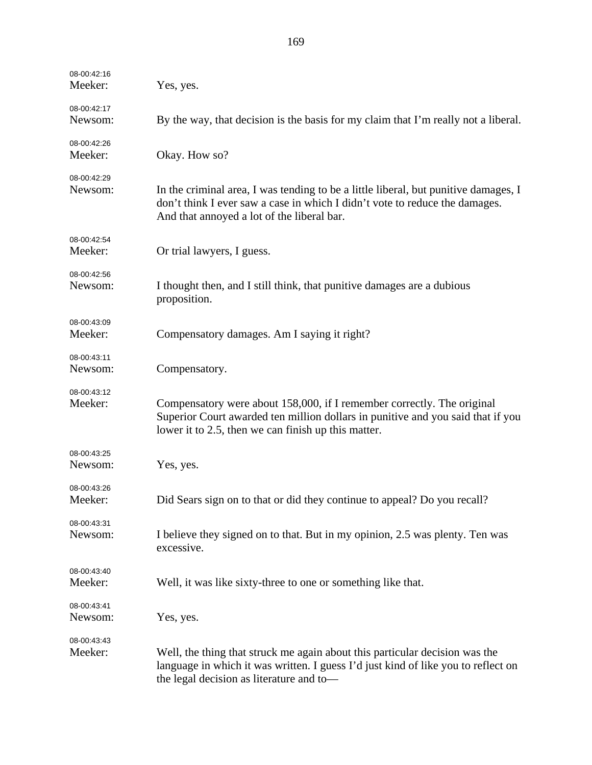| 08-00:42:16<br>Meeker: | Yes, yes.                                                                                                                                                                                                        |
|------------------------|------------------------------------------------------------------------------------------------------------------------------------------------------------------------------------------------------------------|
| 08-00:42:17<br>Newsom: | By the way, that decision is the basis for my claim that I'm really not a liberal.                                                                                                                               |
| 08-00:42:26<br>Meeker: | Okay. How so?                                                                                                                                                                                                    |
| 08-00:42:29<br>Newsom: | In the criminal area, I was tending to be a little liberal, but punitive damages, I<br>don't think I ever saw a case in which I didn't vote to reduce the damages.<br>And that annoyed a lot of the liberal bar. |
| 08-00:42:54<br>Meeker: | Or trial lawyers, I guess.                                                                                                                                                                                       |
| 08-00:42:56<br>Newsom: | I thought then, and I still think, that punitive damages are a dubious<br>proposition.                                                                                                                           |
| 08-00:43:09<br>Meeker: | Compensatory damages. Am I saying it right?                                                                                                                                                                      |
| 08-00:43:11<br>Newsom: | Compensatory.                                                                                                                                                                                                    |
| 08-00:43:12<br>Meeker: | Compensatory were about 158,000, if I remember correctly. The original<br>Superior Court awarded ten million dollars in punitive and you said that if you<br>lower it to 2.5, then we can finish up this matter. |
| 08-00:43:25<br>Newsom: | Yes, yes.                                                                                                                                                                                                        |
| 08-00:43:26<br>Meeker: | Did Sears sign on to that or did they continue to appeal? Do you recall?                                                                                                                                         |
| 08-00:43:31<br>Newsom: | I believe they signed on to that. But in my opinion, 2.5 was plenty. Ten was<br>excessive.                                                                                                                       |
| 08-00:43:40<br>Meeker: | Well, it was like sixty-three to one or something like that.                                                                                                                                                     |
| 08-00:43:41<br>Newsom: | Yes, yes.                                                                                                                                                                                                        |
| 08-00:43:43<br>Meeker: | Well, the thing that struck me again about this particular decision was the<br>language in which it was written. I guess I'd just kind of like you to reflect on<br>the legal decision as literature and to-     |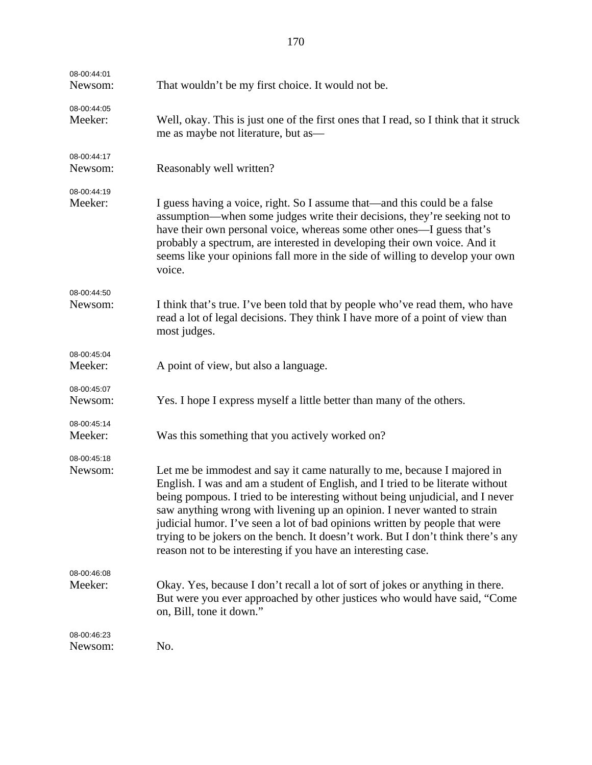| 08-00:44:01<br>Newsom: | That wouldn't be my first choice. It would not be.                                                                                                                                                                                                                                                                                                                                                                                                                                                                                                           |
|------------------------|--------------------------------------------------------------------------------------------------------------------------------------------------------------------------------------------------------------------------------------------------------------------------------------------------------------------------------------------------------------------------------------------------------------------------------------------------------------------------------------------------------------------------------------------------------------|
| 08-00:44:05<br>Meeker: | Well, okay. This is just one of the first ones that I read, so I think that it struck<br>me as maybe not literature, but as—                                                                                                                                                                                                                                                                                                                                                                                                                                 |
| 08-00:44:17<br>Newsom: | Reasonably well written?                                                                                                                                                                                                                                                                                                                                                                                                                                                                                                                                     |
| 08-00:44:19<br>Meeker: | I guess having a voice, right. So I assume that—and this could be a false<br>assumption—when some judges write their decisions, they're seeking not to<br>have their own personal voice, whereas some other ones—I guess that's<br>probably a spectrum, are interested in developing their own voice. And it<br>seems like your opinions fall more in the side of willing to develop your own<br>voice.                                                                                                                                                      |
| 08-00:44:50            |                                                                                                                                                                                                                                                                                                                                                                                                                                                                                                                                                              |
| Newsom:                | I think that's true. I've been told that by people who've read them, who have<br>read a lot of legal decisions. They think I have more of a point of view than<br>most judges.                                                                                                                                                                                                                                                                                                                                                                               |
| 08-00:45:04<br>Meeker: | A point of view, but also a language.                                                                                                                                                                                                                                                                                                                                                                                                                                                                                                                        |
| 08-00:45:07<br>Newsom: | Yes. I hope I express myself a little better than many of the others.                                                                                                                                                                                                                                                                                                                                                                                                                                                                                        |
| 08-00:45:14<br>Meeker: | Was this something that you actively worked on?                                                                                                                                                                                                                                                                                                                                                                                                                                                                                                              |
| 08-00:45:18            |                                                                                                                                                                                                                                                                                                                                                                                                                                                                                                                                                              |
| Newsom:                | Let me be immodest and say it came naturally to me, because I majored in<br>English. I was and am a student of English, and I tried to be literate without<br>being pompous. I tried to be interesting without being unjudicial, and I never<br>saw anything wrong with livening up an opinion. I never wanted to strain<br>judicial humor. I've seen a lot of bad opinions written by people that were<br>trying to be jokers on the bench. It doesn't work. But I don't think there's any<br>reason not to be interesting if you have an interesting case. |
| 08-00:46:08<br>Meeker: | Okay. Yes, because I don't recall a lot of sort of jokes or anything in there.<br>But were you ever approached by other justices who would have said, "Come<br>on, Bill, tone it down."                                                                                                                                                                                                                                                                                                                                                                      |
| 08-00:46:23<br>Newsom: | No.                                                                                                                                                                                                                                                                                                                                                                                                                                                                                                                                                          |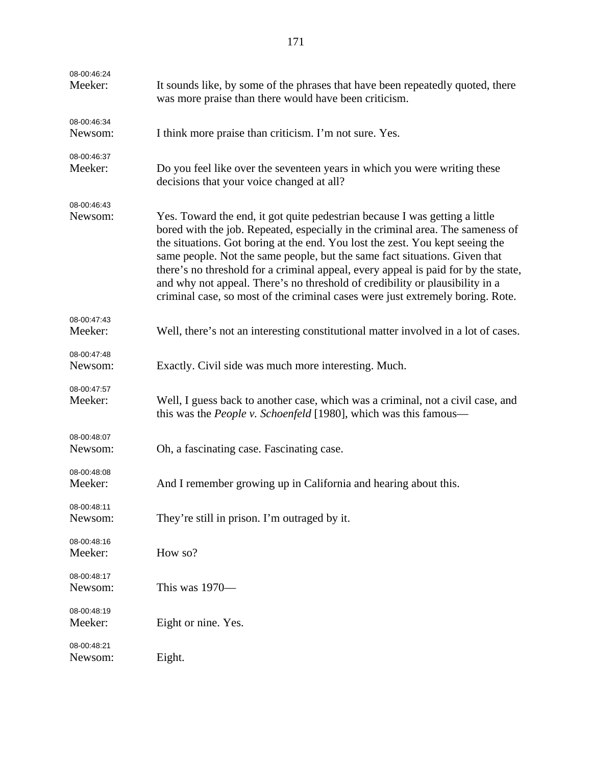| 08-00:46:24<br>Meeker: | It sounds like, by some of the phrases that have been repeatedly quoted, there<br>was more praise than there would have been criticism.                                                                                                                                                                                                                                                                                                                                                                                                                                              |
|------------------------|--------------------------------------------------------------------------------------------------------------------------------------------------------------------------------------------------------------------------------------------------------------------------------------------------------------------------------------------------------------------------------------------------------------------------------------------------------------------------------------------------------------------------------------------------------------------------------------|
| 08-00:46:34<br>Newsom: | I think more praise than criticism. I'm not sure. Yes.                                                                                                                                                                                                                                                                                                                                                                                                                                                                                                                               |
| 08-00:46:37<br>Meeker: | Do you feel like over the seventeen years in which you were writing these<br>decisions that your voice changed at all?                                                                                                                                                                                                                                                                                                                                                                                                                                                               |
| 08-00:46:43<br>Newsom: | Yes. Toward the end, it got quite pedestrian because I was getting a little<br>bored with the job. Repeated, especially in the criminal area. The sameness of<br>the situations. Got boring at the end. You lost the zest. You kept seeing the<br>same people. Not the same people, but the same fact situations. Given that<br>there's no threshold for a criminal appeal, every appeal is paid for by the state,<br>and why not appeal. There's no threshold of credibility or plausibility in a<br>criminal case, so most of the criminal cases were just extremely boring. Rote. |
| 08-00:47:43<br>Meeker: | Well, there's not an interesting constitutional matter involved in a lot of cases.                                                                                                                                                                                                                                                                                                                                                                                                                                                                                                   |
| 08-00:47:48<br>Newsom: | Exactly. Civil side was much more interesting. Much.                                                                                                                                                                                                                                                                                                                                                                                                                                                                                                                                 |
| 08-00:47:57<br>Meeker: | Well, I guess back to another case, which was a criminal, not a civil case, and<br>this was the <i>People v. Schoenfeld</i> [1980], which was this famous—                                                                                                                                                                                                                                                                                                                                                                                                                           |
| 08-00:48:07<br>Newsom: | Oh, a fascinating case. Fascinating case.                                                                                                                                                                                                                                                                                                                                                                                                                                                                                                                                            |
| 08-00:48:08<br>Meeker: | And I remember growing up in California and hearing about this.                                                                                                                                                                                                                                                                                                                                                                                                                                                                                                                      |
| 08-00:48:11<br>Newsom: | They're still in prison. I'm outraged by it.                                                                                                                                                                                                                                                                                                                                                                                                                                                                                                                                         |
| 08-00:48:16<br>Meeker: | How so?                                                                                                                                                                                                                                                                                                                                                                                                                                                                                                                                                                              |
| 08-00:48:17<br>Newsom: | This was 1970-                                                                                                                                                                                                                                                                                                                                                                                                                                                                                                                                                                       |
| 08-00:48:19<br>Meeker: | Eight or nine. Yes.                                                                                                                                                                                                                                                                                                                                                                                                                                                                                                                                                                  |
| 08-00:48:21<br>Newsom: | Eight.                                                                                                                                                                                                                                                                                                                                                                                                                                                                                                                                                                               |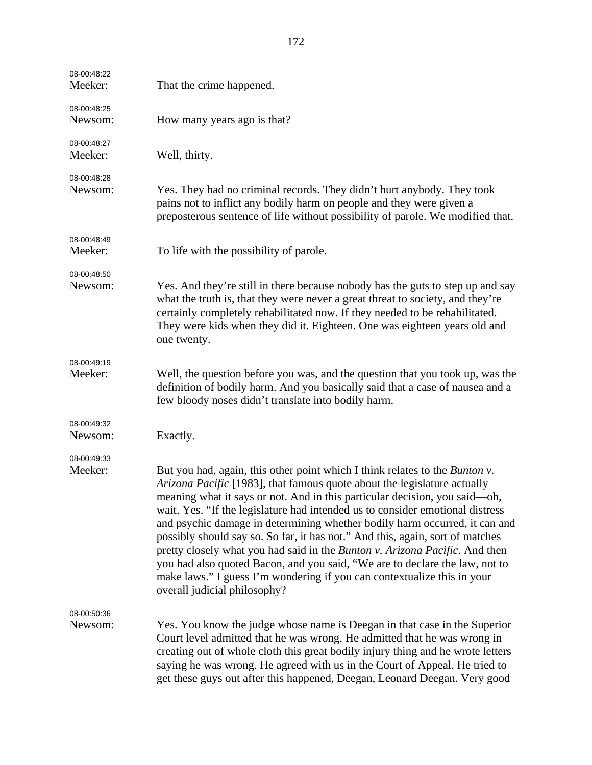| 08-00:48:22<br>Meeker: | That the crime happened.                                                                                                                                                                                                                                                                                                                                                                                                                                                                                                                                                                                                                                                                                                                                               |
|------------------------|------------------------------------------------------------------------------------------------------------------------------------------------------------------------------------------------------------------------------------------------------------------------------------------------------------------------------------------------------------------------------------------------------------------------------------------------------------------------------------------------------------------------------------------------------------------------------------------------------------------------------------------------------------------------------------------------------------------------------------------------------------------------|
| 08-00:48:25<br>Newsom: | How many years ago is that?                                                                                                                                                                                                                                                                                                                                                                                                                                                                                                                                                                                                                                                                                                                                            |
| 08-00:48:27<br>Meeker: | Well, thirty.                                                                                                                                                                                                                                                                                                                                                                                                                                                                                                                                                                                                                                                                                                                                                          |
| 08-00:48:28<br>Newsom: | Yes. They had no criminal records. They didn't hurt anybody. They took<br>pains not to inflict any bodily harm on people and they were given a<br>preposterous sentence of life without possibility of parole. We modified that.                                                                                                                                                                                                                                                                                                                                                                                                                                                                                                                                       |
| 08-00:48:49<br>Meeker: | To life with the possibility of parole.                                                                                                                                                                                                                                                                                                                                                                                                                                                                                                                                                                                                                                                                                                                                |
| 08-00:48:50<br>Newsom: | Yes. And they're still in there because nobody has the guts to step up and say<br>what the truth is, that they were never a great threat to society, and they're<br>certainly completely rehabilitated now. If they needed to be rehabilitated.<br>They were kids when they did it. Eighteen. One was eighteen years old and<br>one twenty.                                                                                                                                                                                                                                                                                                                                                                                                                            |
| 08-00:49:19<br>Meeker: | Well, the question before you was, and the question that you took up, was the<br>definition of bodily harm. And you basically said that a case of nausea and a<br>few bloody noses didn't translate into bodily harm.                                                                                                                                                                                                                                                                                                                                                                                                                                                                                                                                                  |
| 08-00:49:32<br>Newsom: | Exactly.                                                                                                                                                                                                                                                                                                                                                                                                                                                                                                                                                                                                                                                                                                                                                               |
| 08-00:49:33<br>Meeker: | But you had, again, this other point which I think relates to the <i>Bunton v</i> .<br>Arizona Pacific [1983], that famous quote about the legislature actually<br>meaning what it says or not. And in this particular decision, you said-oh,<br>wait. Yes. "If the legislature had intended us to consider emotional distress<br>and psychic damage in determining whether bodily harm occurred, it can and<br>possibly should say so. So far, it has not." And this, again, sort of matches<br>pretty closely what you had said in the Bunton v. Arizona Pacific. And then<br>you had also quoted Bacon, and you said, "We are to declare the law, not to<br>make laws." I guess I'm wondering if you can contextualize this in your<br>overall judicial philosophy? |
| 08-00:50:36<br>Newsom: | Yes. You know the judge whose name is Deegan in that case in the Superior<br>Court level admitted that he was wrong. He admitted that he was wrong in<br>creating out of whole cloth this great bodily injury thing and he wrote letters<br>saying he was wrong. He agreed with us in the Court of Appeal. He tried to<br>get these guys out after this happened, Deegan, Leonard Deegan. Very good                                                                                                                                                                                                                                                                                                                                                                    |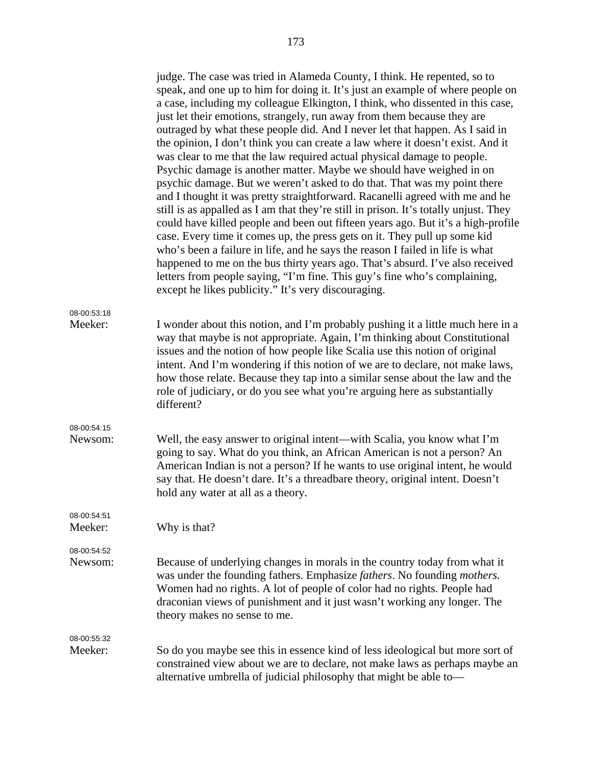|                        | judge. The case was tried in Alameda County, I think. He repented, so to<br>speak, and one up to him for doing it. It's just an example of where people on<br>a case, including my colleague Elkington, I think, who dissented in this case,<br>just let their emotions, strangely, run away from them because they are<br>outraged by what these people did. And I never let that happen. As I said in<br>the opinion, I don't think you can create a law where it doesn't exist. And it<br>was clear to me that the law required actual physical damage to people.<br>Psychic damage is another matter. Maybe we should have weighed in on<br>psychic damage. But we weren't asked to do that. That was my point there<br>and I thought it was pretty straightforward. Racanelli agreed with me and he<br>still is as appalled as I am that they're still in prison. It's totally unjust. They<br>could have killed people and been out fifteen years ago. But it's a high-profile<br>case. Every time it comes up, the press gets on it. They pull up some kid<br>who's been a failure in life, and he says the reason I failed in life is what<br>happened to me on the bus thirty years ago. That's absurd. I've also received<br>letters from people saying, "I'm fine. This guy's fine who's complaining,<br>except he likes publicity." It's very discouraging. |
|------------------------|-------------------------------------------------------------------------------------------------------------------------------------------------------------------------------------------------------------------------------------------------------------------------------------------------------------------------------------------------------------------------------------------------------------------------------------------------------------------------------------------------------------------------------------------------------------------------------------------------------------------------------------------------------------------------------------------------------------------------------------------------------------------------------------------------------------------------------------------------------------------------------------------------------------------------------------------------------------------------------------------------------------------------------------------------------------------------------------------------------------------------------------------------------------------------------------------------------------------------------------------------------------------------------------------------------------------------------------------------------------------------|
| 08-00:53:18<br>Meeker: | I wonder about this notion, and I'm probably pushing it a little much here in a<br>way that maybe is not appropriate. Again, I'm thinking about Constitutional<br>issues and the notion of how people like Scalia use this notion of original<br>intent. And I'm wondering if this notion of we are to declare, not make laws,<br>how those relate. Because they tap into a similar sense about the law and the<br>role of judiciary, or do you see what you're arguing here as substantially<br>different?                                                                                                                                                                                                                                                                                                                                                                                                                                                                                                                                                                                                                                                                                                                                                                                                                                                             |
| 08-00:54:15<br>Newsom: | Well, the easy answer to original intent—with Scalia, you know what I'm<br>going to say. What do you think, an African American is not a person? An<br>American Indian is not a person? If he wants to use original intent, he would<br>say that. He doesn't dare. It's a threadbare theory, original intent. Doesn't<br>hold any water at all as a theory.                                                                                                                                                                                                                                                                                                                                                                                                                                                                                                                                                                                                                                                                                                                                                                                                                                                                                                                                                                                                             |
| 08-00:54:51<br>Meeker: | Why is that?                                                                                                                                                                                                                                                                                                                                                                                                                                                                                                                                                                                                                                                                                                                                                                                                                                                                                                                                                                                                                                                                                                                                                                                                                                                                                                                                                            |
| 08-00:54:52<br>Newsom: | Because of underlying changes in morals in the country today from what it<br>was under the founding fathers. Emphasize fathers. No founding mothers.<br>Women had no rights. A lot of people of color had no rights. People had<br>draconian views of punishment and it just wasn't working any longer. The<br>theory makes no sense to me.                                                                                                                                                                                                                                                                                                                                                                                                                                                                                                                                                                                                                                                                                                                                                                                                                                                                                                                                                                                                                             |
| 08-00:55:32<br>Meeker: | So do you maybe see this in essence kind of less ideological but more sort of<br>constrained view about we are to declare, not make laws as perhaps maybe an<br>alternative umbrella of judicial philosophy that might be able to-                                                                                                                                                                                                                                                                                                                                                                                                                                                                                                                                                                                                                                                                                                                                                                                                                                                                                                                                                                                                                                                                                                                                      |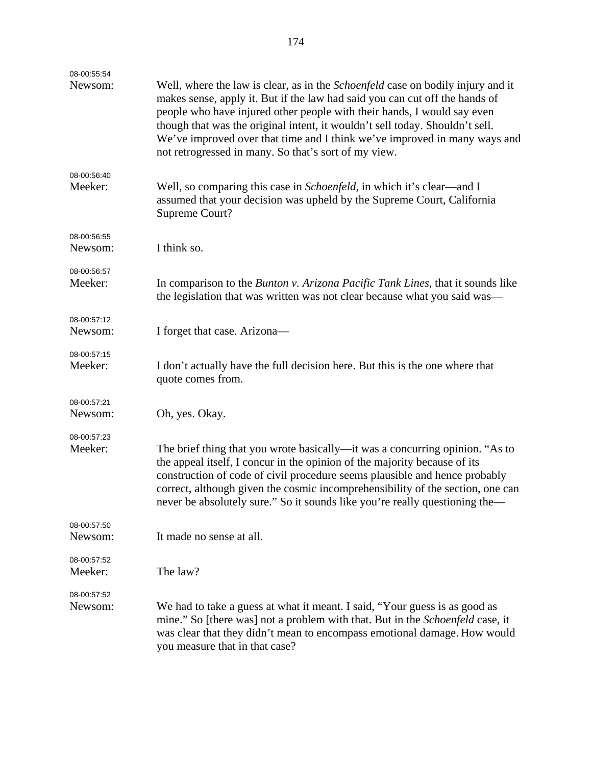| 08-00:55:54<br>Newsom: | Well, where the law is clear, as in the <i>Schoenfeld</i> case on bodily injury and it                                                                                                                                                                                                                                                                                                                   |
|------------------------|----------------------------------------------------------------------------------------------------------------------------------------------------------------------------------------------------------------------------------------------------------------------------------------------------------------------------------------------------------------------------------------------------------|
|                        | makes sense, apply it. But if the law had said you can cut off the hands of<br>people who have injured other people with their hands, I would say even<br>though that was the original intent, it wouldn't sell today. Shouldn't sell.<br>We've improved over that time and I think we've improved in many ways and<br>not retrogressed in many. So that's sort of my view.                              |
| 08-00:56:40            |                                                                                                                                                                                                                                                                                                                                                                                                          |
| Meeker:                | Well, so comparing this case in <i>Schoenfeld</i> , in which it's clear—and I<br>assumed that your decision was upheld by the Supreme Court, California<br>Supreme Court?                                                                                                                                                                                                                                |
| 08-00:56:55            |                                                                                                                                                                                                                                                                                                                                                                                                          |
| Newsom:                | I think so.                                                                                                                                                                                                                                                                                                                                                                                              |
| 08-00:56:57            |                                                                                                                                                                                                                                                                                                                                                                                                          |
| Meeker:                | In comparison to the <i>Bunton v. Arizona Pacific Tank Lines</i> , that it sounds like<br>the legislation that was written was not clear because what you said was—                                                                                                                                                                                                                                      |
| 08-00:57:12            |                                                                                                                                                                                                                                                                                                                                                                                                          |
| Newsom:                | I forget that case. Arizona-                                                                                                                                                                                                                                                                                                                                                                             |
| 08-00:57:15            |                                                                                                                                                                                                                                                                                                                                                                                                          |
| Meeker:                | I don't actually have the full decision here. But this is the one where that<br>quote comes from.                                                                                                                                                                                                                                                                                                        |
| 08-00:57:21            |                                                                                                                                                                                                                                                                                                                                                                                                          |
| Newsom:                | Oh, yes. Okay.                                                                                                                                                                                                                                                                                                                                                                                           |
| 08-00:57:23            |                                                                                                                                                                                                                                                                                                                                                                                                          |
| Meeker:                | The brief thing that you wrote basically—it was a concurring opinion. "As to<br>the appeal itself, I concur in the opinion of the majority because of its<br>construction of code of civil procedure seems plausible and hence probably<br>correct, although given the cosmic incomprehensibility of the section, one can<br>never be absolutely sure." So it sounds like you're really questioning the- |
| 08-00:57:50            |                                                                                                                                                                                                                                                                                                                                                                                                          |
| Newsom:                | It made no sense at all.                                                                                                                                                                                                                                                                                                                                                                                 |
| 08-00:57:52            |                                                                                                                                                                                                                                                                                                                                                                                                          |
| Meeker:                | The law?                                                                                                                                                                                                                                                                                                                                                                                                 |
| 08-00:57:52            |                                                                                                                                                                                                                                                                                                                                                                                                          |
| Newsom:                | We had to take a guess at what it meant. I said, "Your guess is as good as<br>mine." So [there was] not a problem with that. But in the Schoenfeld case, it<br>was clear that they didn't mean to encompass emotional damage. How would<br>you measure that in that case?                                                                                                                                |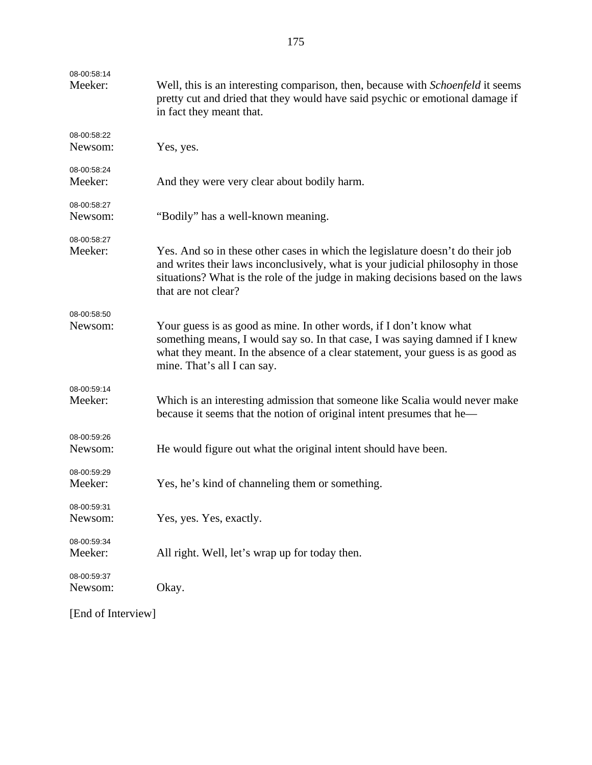| 08-00:58:14<br>Meeker: | Well, this is an interesting comparison, then, because with Schoenfeld it seems<br>pretty cut and dried that they would have said psychic or emotional damage if<br>in fact they meant that.                                                                                |
|------------------------|-----------------------------------------------------------------------------------------------------------------------------------------------------------------------------------------------------------------------------------------------------------------------------|
| 08-00:58:22<br>Newsom: | Yes, yes.                                                                                                                                                                                                                                                                   |
| 08-00:58:24<br>Meeker: | And they were very clear about bodily harm.                                                                                                                                                                                                                                 |
| 08-00:58:27<br>Newsom: | "Bodily" has a well-known meaning.                                                                                                                                                                                                                                          |
| 08-00:58:27<br>Meeker: | Yes. And so in these other cases in which the legislature doesn't do their job<br>and writes their laws inconclusively, what is your judicial philosophy in those<br>situations? What is the role of the judge in making decisions based on the laws<br>that are not clear? |
| 08-00:58:50<br>Newsom: | Your guess is as good as mine. In other words, if I don't know what<br>something means, I would say so. In that case, I was saying damned if I knew<br>what they meant. In the absence of a clear statement, your guess is as good as<br>mine. That's all I can say.        |
| 08-00:59:14<br>Meeker: | Which is an interesting admission that someone like Scalia would never make<br>because it seems that the notion of original intent presumes that he-                                                                                                                        |
| 08-00:59:26<br>Newsom: | He would figure out what the original intent should have been.                                                                                                                                                                                                              |
| 08-00:59:29<br>Meeker: | Yes, he's kind of channeling them or something.                                                                                                                                                                                                                             |
| 08-00:59:31<br>Newsom: | Yes, yes. Yes, exactly.                                                                                                                                                                                                                                                     |
| 08-00:59:34<br>Meeker: | All right. Well, let's wrap up for today then.                                                                                                                                                                                                                              |
| 08-00:59:37<br>Newsom: | Okay.                                                                                                                                                                                                                                                                       |
| [End of Interview]     |                                                                                                                                                                                                                                                                             |

175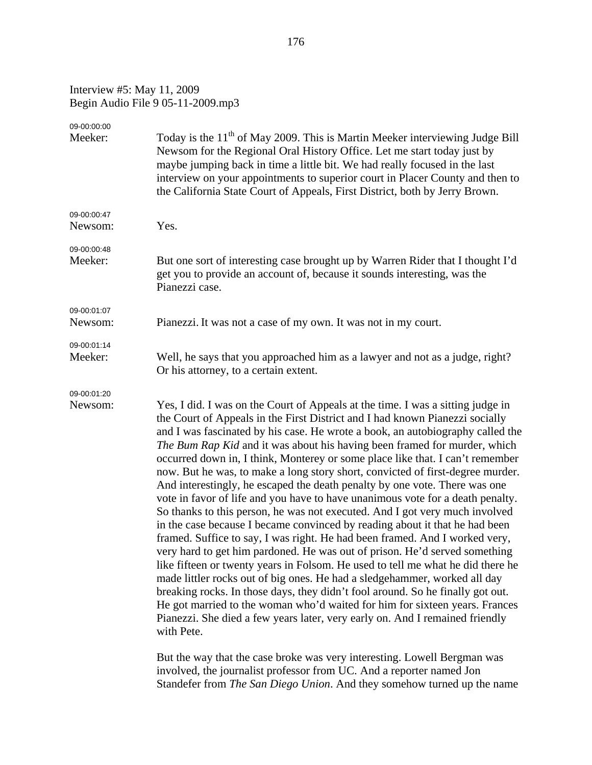## Interview #5: May 11, 2009 Begin Audio File 9 05-11-2009.mp3

| 09-00:00:00<br>Meeker: | Today is the 11 <sup>th</sup> of May 2009. This is Martin Meeker interviewing Judge Bill<br>Newsom for the Regional Oral History Office. Let me start today just by<br>maybe jumping back in time a little bit. We had really focused in the last<br>interview on your appointments to superior court in Placer County and then to<br>the California State Court of Appeals, First District, both by Jerry Brown.                                                                                                                                                                                                                                                                                                                                                                                                                                                                                                                                                                                                                                                                                                                                                                                                                                                                                                                                                                                                                                                                                                                                                               |
|------------------------|---------------------------------------------------------------------------------------------------------------------------------------------------------------------------------------------------------------------------------------------------------------------------------------------------------------------------------------------------------------------------------------------------------------------------------------------------------------------------------------------------------------------------------------------------------------------------------------------------------------------------------------------------------------------------------------------------------------------------------------------------------------------------------------------------------------------------------------------------------------------------------------------------------------------------------------------------------------------------------------------------------------------------------------------------------------------------------------------------------------------------------------------------------------------------------------------------------------------------------------------------------------------------------------------------------------------------------------------------------------------------------------------------------------------------------------------------------------------------------------------------------------------------------------------------------------------------------|
| 09-00:00:47<br>Newsom: | Yes.                                                                                                                                                                                                                                                                                                                                                                                                                                                                                                                                                                                                                                                                                                                                                                                                                                                                                                                                                                                                                                                                                                                                                                                                                                                                                                                                                                                                                                                                                                                                                                            |
| 09-00:00:48<br>Meeker: | But one sort of interesting case brought up by Warren Rider that I thought I'd<br>get you to provide an account of, because it sounds interesting, was the<br>Pianezzi case.                                                                                                                                                                                                                                                                                                                                                                                                                                                                                                                                                                                                                                                                                                                                                                                                                                                                                                                                                                                                                                                                                                                                                                                                                                                                                                                                                                                                    |
| 09-00:01:07<br>Newsom: | Pianezzi. It was not a case of my own. It was not in my court.                                                                                                                                                                                                                                                                                                                                                                                                                                                                                                                                                                                                                                                                                                                                                                                                                                                                                                                                                                                                                                                                                                                                                                                                                                                                                                                                                                                                                                                                                                                  |
| 09-00:01:14<br>Meeker: | Well, he says that you approached him as a lawyer and not as a judge, right?<br>Or his attorney, to a certain extent.                                                                                                                                                                                                                                                                                                                                                                                                                                                                                                                                                                                                                                                                                                                                                                                                                                                                                                                                                                                                                                                                                                                                                                                                                                                                                                                                                                                                                                                           |
| 09-00:01:20<br>Newsom: | Yes, I did. I was on the Court of Appeals at the time. I was a sitting judge in<br>the Court of Appeals in the First District and I had known Pianezzi socially<br>and I was fascinated by his case. He wrote a book, an autobiography called the<br>The Bum Rap Kid and it was about his having been framed for murder, which<br>occurred down in, I think, Monterey or some place like that. I can't remember<br>now. But he was, to make a long story short, convicted of first-degree murder.<br>And interestingly, he escaped the death penalty by one vote. There was one<br>vote in favor of life and you have to have unanimous vote for a death penalty.<br>So thanks to this person, he was not executed. And I got very much involved<br>in the case because I became convinced by reading about it that he had been<br>framed. Suffice to say, I was right. He had been framed. And I worked very,<br>very hard to get him pardoned. He was out of prison. He'd served something<br>like fifteen or twenty years in Folsom. He used to tell me what he did there he<br>made littler rocks out of big ones. He had a sledgehammer, worked all day<br>breaking rocks. In those days, they didn't fool around. So he finally got out.<br>He got married to the woman who'd waited for him for sixteen years. Frances<br>Pianezzi. She died a few years later, very early on. And I remained friendly<br>with Pete.<br>But the way that the case broke was very interesting. Lowell Bergman was<br>involved, the journalist professor from UC. And a reporter named Jon |
|                        | Standefer from The San Diego Union. And they somehow turned up the name                                                                                                                                                                                                                                                                                                                                                                                                                                                                                                                                                                                                                                                                                                                                                                                                                                                                                                                                                                                                                                                                                                                                                                                                                                                                                                                                                                                                                                                                                                         |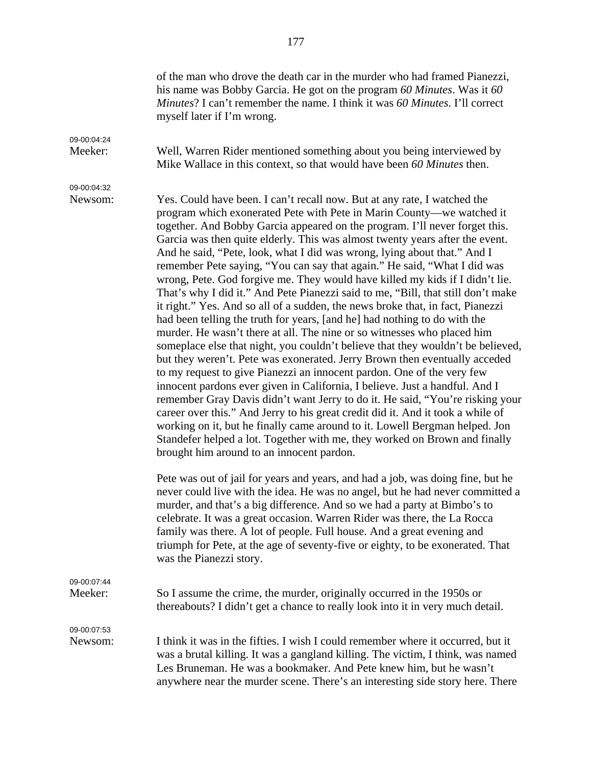|                        | of the man who drove the death car in the murder who had framed Pianezzi,<br>his name was Bobby Garcia. He got on the program 60 Minutes. Was it 60<br>Minutes? I can't remember the name. I think it was 60 Minutes. I'll correct<br>myself later if I'm wrong.                                                                                                                                                                                                                                                                                                                                                                                                                                                                                                                                                                                                                                                                                                                                                                                                                                                                                                                                                                                                                                                                                                                                                                                                                                                                                                                                                                                                                                                                                                   |
|------------------------|--------------------------------------------------------------------------------------------------------------------------------------------------------------------------------------------------------------------------------------------------------------------------------------------------------------------------------------------------------------------------------------------------------------------------------------------------------------------------------------------------------------------------------------------------------------------------------------------------------------------------------------------------------------------------------------------------------------------------------------------------------------------------------------------------------------------------------------------------------------------------------------------------------------------------------------------------------------------------------------------------------------------------------------------------------------------------------------------------------------------------------------------------------------------------------------------------------------------------------------------------------------------------------------------------------------------------------------------------------------------------------------------------------------------------------------------------------------------------------------------------------------------------------------------------------------------------------------------------------------------------------------------------------------------------------------------------------------------------------------------------------------------|
| 09-00:04:24<br>Meeker: | Well, Warren Rider mentioned something about you being interviewed by<br>Mike Wallace in this context, so that would have been 60 Minutes then.                                                                                                                                                                                                                                                                                                                                                                                                                                                                                                                                                                                                                                                                                                                                                                                                                                                                                                                                                                                                                                                                                                                                                                                                                                                                                                                                                                                                                                                                                                                                                                                                                    |
| 09-00:04:32<br>Newsom: | Yes. Could have been. I can't recall now. But at any rate, I watched the<br>program which exonerated Pete with Pete in Marin County—we watched it<br>together. And Bobby Garcia appeared on the program. I'll never forget this.<br>Garcia was then quite elderly. This was almost twenty years after the event.<br>And he said, "Pete, look, what I did was wrong, lying about that." And I<br>remember Pete saying, "You can say that again." He said, "What I did was<br>wrong, Pete. God forgive me. They would have killed my kids if I didn't lie.<br>That's why I did it." And Pete Pianezzi said to me, "Bill, that still don't make<br>it right." Yes. And so all of a sudden, the news broke that, in fact, Pianezzi<br>had been telling the truth for years, [and he] had nothing to do with the<br>murder. He wasn't there at all. The nine or so witnesses who placed him<br>someplace else that night, you couldn't believe that they wouldn't be believed,<br>but they weren't. Pete was exonerated. Jerry Brown then eventually acceded<br>to my request to give Pianezzi an innocent pardon. One of the very few<br>innocent pardons ever given in California, I believe. Just a handful. And I<br>remember Gray Davis didn't want Jerry to do it. He said, "You're risking your<br>career over this." And Jerry to his great credit did it. And it took a while of<br>working on it, but he finally came around to it. Lowell Bergman helped. Jon<br>Standefer helped a lot. Together with me, they worked on Brown and finally<br>brought him around to an innocent pardon.<br>Pete was out of jail for years and years, and had a job, was doing fine, but he<br>never could live with the idea. He was no angel, but he had never committed a |
|                        | murder, and that's a big difference. And so we had a party at Bimbo's to<br>celebrate. It was a great occasion. Warren Rider was there, the La Rocca<br>family was there. A lot of people. Full house. And a great evening and<br>triumph for Pete, at the age of seventy-five or eighty, to be exonerated. That<br>was the Pianezzi story.                                                                                                                                                                                                                                                                                                                                                                                                                                                                                                                                                                                                                                                                                                                                                                                                                                                                                                                                                                                                                                                                                                                                                                                                                                                                                                                                                                                                                        |
| 09-00:07:44<br>Meeker: | So I assume the crime, the murder, originally occurred in the 1950s or<br>thereabouts? I didn't get a chance to really look into it in very much detail.                                                                                                                                                                                                                                                                                                                                                                                                                                                                                                                                                                                                                                                                                                                                                                                                                                                                                                                                                                                                                                                                                                                                                                                                                                                                                                                                                                                                                                                                                                                                                                                                           |
| 09-00:07:53<br>Newsom: | I think it was in the fifties. I wish I could remember where it occurred, but it<br>was a brutal killing. It was a gangland killing. The victim, I think, was named<br>Les Bruneman. He was a bookmaker. And Pete knew him, but he wasn't<br>anywhere near the murder scene. There's an interesting side story here. There                                                                                                                                                                                                                                                                                                                                                                                                                                                                                                                                                                                                                                                                                                                                                                                                                                                                                                                                                                                                                                                                                                                                                                                                                                                                                                                                                                                                                                         |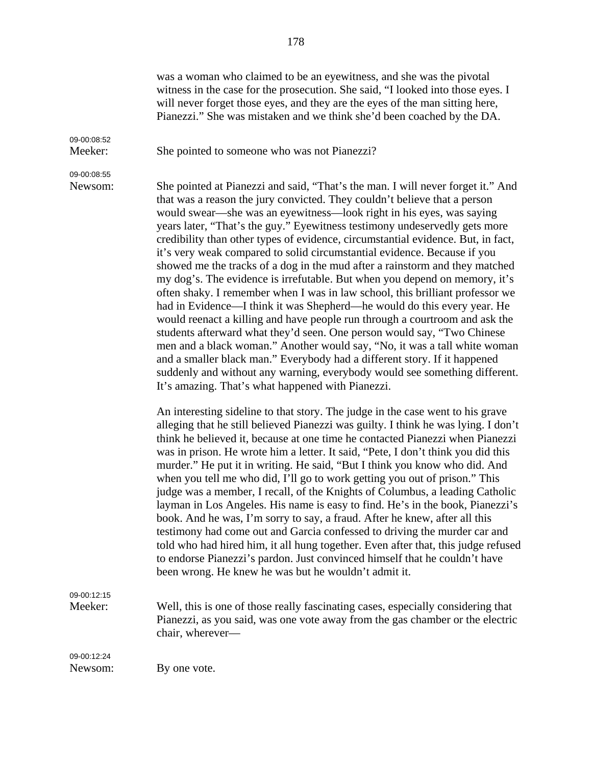witness in the case for the prosecution. She said, "I looked into those eyes. I will never forget those eyes, and they are the eyes of the man sitting here, Pianezzi." She was mistaken and we think she'd been coached by the DA. 09-00:08:52 Meeker: She pointed to some one who was not Pianezzi? 09-00:08:55 Newsom: She pointed at Pianezzi and said, "That's the man. I will never forget it." And that was a reason the jury convicted. They couldn't believe that a person would swear—she was an eyewitness—look right in his eyes, was saying years later, "That's the guy." Eyewitness testimony undeservedly gets more credibility than other types of evidence, circumstantial evidence. But, in fact, it's very weak compared to solid circumstantial evidence. Because if you showed me the tracks of a dog in the mud after a rainstorm and they matched my dog's. The evidence is irrefutable. But when you depend on memory, it's often shaky. I remember when I was in law school, this brilliant professor we had in Evidence—I think it was Shepherd—he would do this every year. He would reenact a killing and have people run through a courtroom and ask the students afterward what they'd seen. One person would say, "Two Chinese men and a black woman." Another would say, "No, it was a tall white woman and a smaller black man." Everybody had a different story. If it happened suddenly and without any warning, everybody would see something different. It's amazing. That's what happened with Pianezzi. An interesting sideline to that story. The judge in the case went to his grave alleging that he still believed Pianezzi was guilty. I think he was lying. I don't think he believed it, because at one time he contacted Pianezzi when Pianezzi was in prison. He wrote him a letter. It said, "Pete, I don't think you did this murder." He put it in writing. He said, "But I think you know who did. And when you tell me who did, I'll go to work getting you out of prison." This judge was a member, I recall, of the Knights of Columbus, a leading Catholic layman in Los Angeles. His name is easy to find. He's in the book, Pianezzi's book. And he was, I'm sorry to say, a fraud. After he knew, after all this

testimony had come out and Garcia confessed to driving the murder car and told who had hired him, it all hung together. Even after that, this judge refused to endorse Pianezzi's pardon. Just convinced himself that he couldn't have been wrong. He knew he was but he wouldn't admit it.

09-00:12:15

Meeker: Well, this is one of those really fascinating cases, especially considering that Pianezzi, as you said, was one vote away from the gas chamber or the electric chair, wherever—

## 09-00:12:24 Newsom: By one vote.

was a woman who claimed to be an eyewitness, and she was the pivotal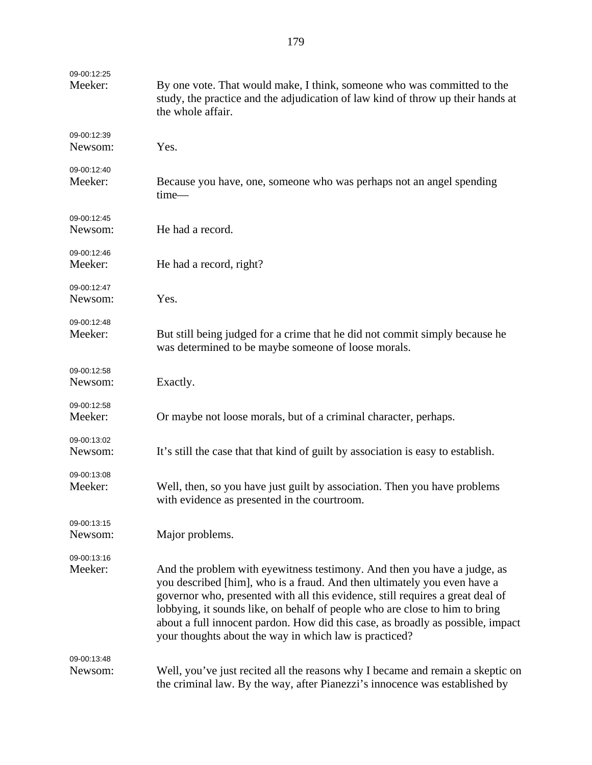| 09-00:12:25<br>Meeker: | By one vote. That would make, I think, someone who was committed to the<br>study, the practice and the adjudication of law kind of throw up their hands at<br>the whole affair.                                                                                                                                                                                                                                                                                    |
|------------------------|--------------------------------------------------------------------------------------------------------------------------------------------------------------------------------------------------------------------------------------------------------------------------------------------------------------------------------------------------------------------------------------------------------------------------------------------------------------------|
| 09-00:12:39<br>Newsom: | Yes.                                                                                                                                                                                                                                                                                                                                                                                                                                                               |
| 09-00:12:40<br>Meeker: | Because you have, one, someone who was perhaps not an angel spending<br>$time$ —                                                                                                                                                                                                                                                                                                                                                                                   |
| 09-00:12:45<br>Newsom: | He had a record.                                                                                                                                                                                                                                                                                                                                                                                                                                                   |
| 09-00:12:46<br>Meeker: | He had a record, right?                                                                                                                                                                                                                                                                                                                                                                                                                                            |
| 09-00:12:47<br>Newsom: | Yes.                                                                                                                                                                                                                                                                                                                                                                                                                                                               |
| 09-00:12:48<br>Meeker: | But still being judged for a crime that he did not commit simply because he<br>was determined to be maybe someone of loose morals.                                                                                                                                                                                                                                                                                                                                 |
| 09-00:12:58<br>Newsom: | Exactly.                                                                                                                                                                                                                                                                                                                                                                                                                                                           |
| 09-00:12:58<br>Meeker: | Or maybe not loose morals, but of a criminal character, perhaps.                                                                                                                                                                                                                                                                                                                                                                                                   |
| 09-00:13:02<br>Newsom: | It's still the case that that kind of guilt by association is easy to establish.                                                                                                                                                                                                                                                                                                                                                                                   |
| 09-00:13:08<br>Meeker: | Well, then, so you have just guilt by association. Then you have problems<br>with evidence as presented in the courtroom.                                                                                                                                                                                                                                                                                                                                          |
| 09-00:13:15<br>Newsom: | Major problems.                                                                                                                                                                                                                                                                                                                                                                                                                                                    |
| 09-00:13:16<br>Meeker: | And the problem with eyewitness testimony. And then you have a judge, as<br>you described [him], who is a fraud. And then ultimately you even have a<br>governor who, presented with all this evidence, still requires a great deal of<br>lobbying, it sounds like, on behalf of people who are close to him to bring<br>about a full innocent pardon. How did this case, as broadly as possible, impact<br>your thoughts about the way in which law is practiced? |
| 09-00:13:48<br>Newsom: | Well, you've just recited all the reasons why I became and remain a skeptic on<br>the criminal law. By the way, after Pianezzi's innocence was established by                                                                                                                                                                                                                                                                                                      |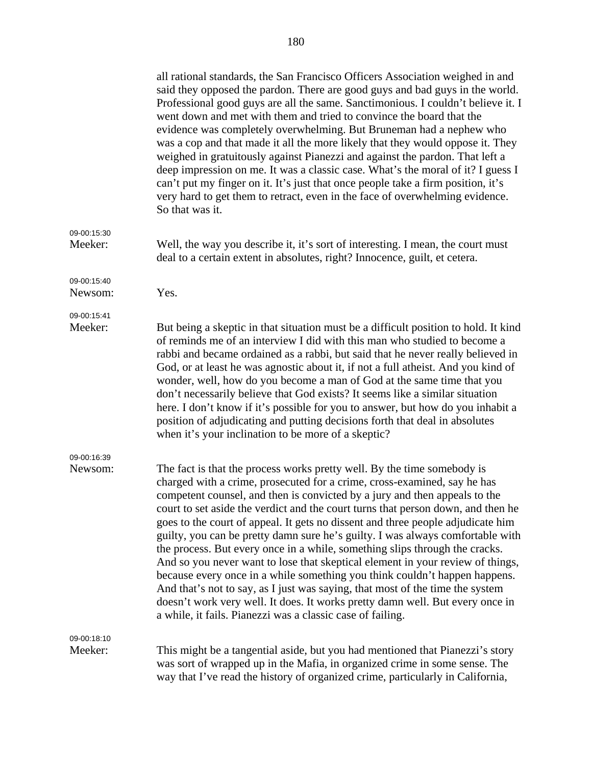|                        | all rational standards, the San Francisco Officers Association weighed in and<br>said they opposed the pardon. There are good guys and bad guys in the world.<br>Professional good guys are all the same. Sanctimonious. I couldn't believe it. I<br>went down and met with them and tried to convince the board that the<br>evidence was completely overwhelming. But Bruneman had a nephew who<br>was a cop and that made it all the more likely that they would oppose it. They<br>weighed in gratuitously against Pianezzi and against the pardon. That left a<br>deep impression on me. It was a classic case. What's the moral of it? I guess I<br>can't put my finger on it. It's just that once people take a firm position, it's<br>very hard to get them to retract, even in the face of overwhelming evidence.<br>So that was it.                                                                                                                              |
|------------------------|---------------------------------------------------------------------------------------------------------------------------------------------------------------------------------------------------------------------------------------------------------------------------------------------------------------------------------------------------------------------------------------------------------------------------------------------------------------------------------------------------------------------------------------------------------------------------------------------------------------------------------------------------------------------------------------------------------------------------------------------------------------------------------------------------------------------------------------------------------------------------------------------------------------------------------------------------------------------------|
| 09-00:15:30<br>Meeker: | Well, the way you describe it, it's sort of interesting. I mean, the court must<br>deal to a certain extent in absolutes, right? Innocence, guilt, et cetera.                                                                                                                                                                                                                                                                                                                                                                                                                                                                                                                                                                                                                                                                                                                                                                                                             |
| 09-00:15:40<br>Newsom: | Yes.                                                                                                                                                                                                                                                                                                                                                                                                                                                                                                                                                                                                                                                                                                                                                                                                                                                                                                                                                                      |
| 09-00:15:41<br>Meeker: | But being a skeptic in that situation must be a difficult position to hold. It kind<br>of reminds me of an interview I did with this man who studied to become a<br>rabbi and became ordained as a rabbi, but said that he never really believed in<br>God, or at least he was agnostic about it, if not a full atheist. And you kind of<br>wonder, well, how do you become a man of God at the same time that you<br>don't necessarily believe that God exists? It seems like a similar situation<br>here. I don't know if it's possible for you to answer, but how do you inhabit a<br>position of adjudicating and putting decisions forth that deal in absolutes<br>when it's your inclination to be more of a skeptic?                                                                                                                                                                                                                                               |
| 09-00:16:39<br>Newsom: | The fact is that the process works pretty well. By the time somebody is<br>charged with a crime, prosecuted for a crime, cross-examined, say he has<br>competent counsel, and then is convicted by a jury and then appeals to the<br>court to set aside the verdict and the court turns that person down, and then he<br>goes to the court of appeal. It gets no dissent and three people adjudicate him<br>guilty, you can be pretty damn sure he's guilty. I was always comfortable with<br>the process. But every once in a while, something slips through the cracks.<br>And so you never want to lose that skeptical element in your review of things,<br>because every once in a while something you think couldn't happen happens.<br>And that's not to say, as I just was saying, that most of the time the system<br>doesn't work very well. It does. It works pretty damn well. But every once in<br>a while, it fails. Pianezzi was a classic case of failing. |
| 09-00:18:10<br>Meeker: | This might be a tangential aside, but you had mentioned that Pianezzi's story<br>was sort of wrapped up in the Mafia, in organized crime in some sense. The<br>way that I've read the history of organized crime, particularly in California,                                                                                                                                                                                                                                                                                                                                                                                                                                                                                                                                                                                                                                                                                                                             |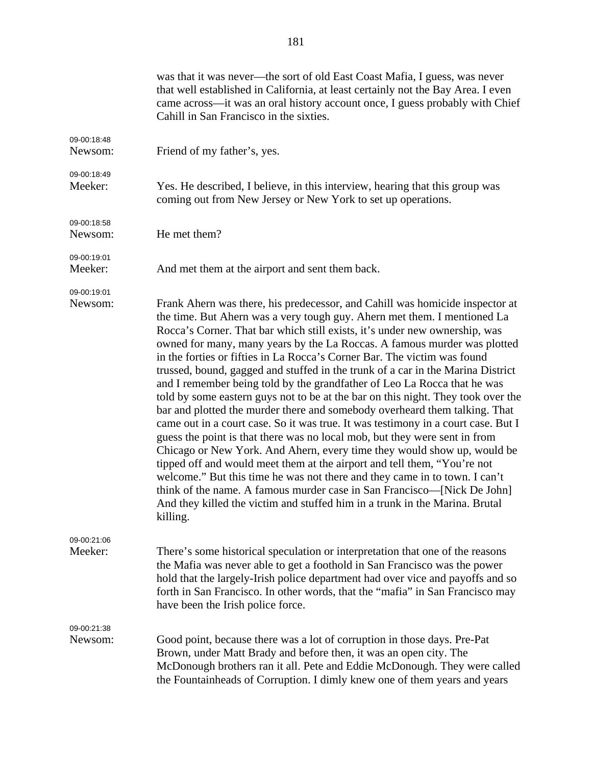|                        | was that it was never—the sort of old East Coast Mafia, I guess, was never<br>that well established in California, at least certainly not the Bay Area. I even<br>came across--- it was an oral history account once, I guess probably with Chief<br>Cahill in San Francisco in the sixties.                                                                                                                                                                                                                                                                                                                                                                                                                                                                                                                                                                                                                                                                                                                                                                                                                                                                                                                                                                                                                  |
|------------------------|---------------------------------------------------------------------------------------------------------------------------------------------------------------------------------------------------------------------------------------------------------------------------------------------------------------------------------------------------------------------------------------------------------------------------------------------------------------------------------------------------------------------------------------------------------------------------------------------------------------------------------------------------------------------------------------------------------------------------------------------------------------------------------------------------------------------------------------------------------------------------------------------------------------------------------------------------------------------------------------------------------------------------------------------------------------------------------------------------------------------------------------------------------------------------------------------------------------------------------------------------------------------------------------------------------------|
| 09-00:18:48<br>Newsom: | Friend of my father's, yes.                                                                                                                                                                                                                                                                                                                                                                                                                                                                                                                                                                                                                                                                                                                                                                                                                                                                                                                                                                                                                                                                                                                                                                                                                                                                                   |
| 09-00:18:49<br>Meeker: | Yes. He described, I believe, in this interview, hearing that this group was<br>coming out from New Jersey or New York to set up operations.                                                                                                                                                                                                                                                                                                                                                                                                                                                                                                                                                                                                                                                                                                                                                                                                                                                                                                                                                                                                                                                                                                                                                                  |
| 09-00:18:58<br>Newsom: | He met them?                                                                                                                                                                                                                                                                                                                                                                                                                                                                                                                                                                                                                                                                                                                                                                                                                                                                                                                                                                                                                                                                                                                                                                                                                                                                                                  |
| 09-00:19:01<br>Meeker: | And met them at the airport and sent them back.                                                                                                                                                                                                                                                                                                                                                                                                                                                                                                                                                                                                                                                                                                                                                                                                                                                                                                                                                                                                                                                                                                                                                                                                                                                               |
| 09-00:19:01<br>Newsom: | Frank Ahern was there, his predecessor, and Cahill was homicide inspector at<br>the time. But Ahern was a very tough guy. Ahern met them. I mentioned La<br>Rocca's Corner. That bar which still exists, it's under new ownership, was<br>owned for many, many years by the La Roccas. A famous murder was plotted<br>in the forties or fifties in La Rocca's Corner Bar. The victim was found<br>trussed, bound, gagged and stuffed in the trunk of a car in the Marina District<br>and I remember being told by the grandfather of Leo La Rocca that he was<br>told by some eastern guys not to be at the bar on this night. They took over the<br>bar and plotted the murder there and somebody overheard them talking. That<br>came out in a court case. So it was true. It was testimony in a court case. But I<br>guess the point is that there was no local mob, but they were sent in from<br>Chicago or New York. And Ahern, every time they would show up, would be<br>tipped off and would meet them at the airport and tell them, "You're not<br>welcome." But this time he was not there and they came in to town. I can't<br>think of the name. A famous murder case in San Francisco—[Nick De John]<br>And they killed the victim and stuffed him in a trunk in the Marina. Brutal<br>killing. |
| 09-00:21:06<br>Meeker: | There's some historical speculation or interpretation that one of the reasons<br>the Mafia was never able to get a foothold in San Francisco was the power<br>hold that the largely-Irish police department had over vice and payoffs and so<br>forth in San Francisco. In other words, that the "mafia" in San Francisco may<br>have been the Irish police force.                                                                                                                                                                                                                                                                                                                                                                                                                                                                                                                                                                                                                                                                                                                                                                                                                                                                                                                                            |
| 09-00:21:38<br>Newsom: | Good point, because there was a lot of corruption in those days. Pre-Pat<br>Brown, under Matt Brady and before then, it was an open city. The<br>McDonough brothers ran it all. Pete and Eddie McDonough. They were called<br>the Fountainheads of Corruption. I dimly knew one of them years and years                                                                                                                                                                                                                                                                                                                                                                                                                                                                                                                                                                                                                                                                                                                                                                                                                                                                                                                                                                                                       |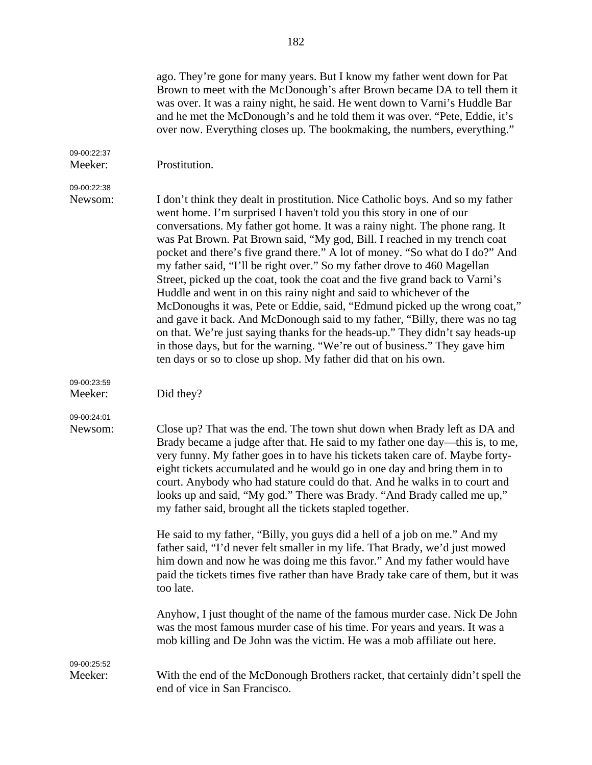|                        | ago. They're gone for many years. But I know my father went down for Pat<br>Brown to meet with the McDonough's after Brown became DA to tell them it<br>was over. It was a rainy night, he said. He went down to Varni's Huddle Bar<br>and he met the McDonough's and he told them it was over. "Pete, Eddie, it's<br>over now. Everything closes up. The bookmaking, the numbers, everything."                                                                                                                                                                                                                                                                                                                                                                                                                                                                                                                                                                                                                                      |
|------------------------|--------------------------------------------------------------------------------------------------------------------------------------------------------------------------------------------------------------------------------------------------------------------------------------------------------------------------------------------------------------------------------------------------------------------------------------------------------------------------------------------------------------------------------------------------------------------------------------------------------------------------------------------------------------------------------------------------------------------------------------------------------------------------------------------------------------------------------------------------------------------------------------------------------------------------------------------------------------------------------------------------------------------------------------|
| 09-00:22:37<br>Meeker: | Prostitution.                                                                                                                                                                                                                                                                                                                                                                                                                                                                                                                                                                                                                                                                                                                                                                                                                                                                                                                                                                                                                        |
| 09-00:22:38<br>Newsom: | I don't think they dealt in prostitution. Nice Catholic boys. And so my father<br>went home. I'm surprised I haven't told you this story in one of our<br>conversations. My father got home. It was a rainy night. The phone rang. It<br>was Pat Brown. Pat Brown said, "My god, Bill. I reached in my trench coat<br>pocket and there's five grand there." A lot of money. "So what do I do?" And<br>my father said, "I'll be right over." So my father drove to 460 Magellan<br>Street, picked up the coat, took the coat and the five grand back to Varni's<br>Huddle and went in on this rainy night and said to whichever of the<br>McDonoughs it was, Pete or Eddie, said, "Edmund picked up the wrong coat,"<br>and gave it back. And McDonough said to my father, "Billy, there was no tag<br>on that. We're just saying thanks for the heads-up." They didn't say heads-up<br>in those days, but for the warning. "We're out of business." They gave him<br>ten days or so to close up shop. My father did that on his own. |
| 09-00:23:59<br>Meeker: | Did they?                                                                                                                                                                                                                                                                                                                                                                                                                                                                                                                                                                                                                                                                                                                                                                                                                                                                                                                                                                                                                            |
| 09-00:24:01<br>Newsom: | Close up? That was the end. The town shut down when Brady left as DA and<br>Brady became a judge after that. He said to my father one day—this is, to me,<br>very funny. My father goes in to have his tickets taken care of. Maybe forty-<br>eight tickets accumulated and he would go in one day and bring them in to<br>court. Anybody who had stature could do that. And he walks in to court and<br>looks up and said, "My god." There was Brady. "And Brady called me up,"<br>my father said, brought all the tickets stapled together.                                                                                                                                                                                                                                                                                                                                                                                                                                                                                        |
|                        | He said to my father, "Billy, you guys did a hell of a job on me." And my<br>father said, "I'd never felt smaller in my life. That Brady, we'd just mowed<br>him down and now he was doing me this favor." And my father would have<br>paid the tickets times five rather than have Brady take care of them, but it was<br>too late.                                                                                                                                                                                                                                                                                                                                                                                                                                                                                                                                                                                                                                                                                                 |
|                        | Anyhow, I just thought of the name of the famous murder case. Nick De John<br>was the most famous murder case of his time. For years and years. It was a<br>mob killing and De John was the victim. He was a mob affiliate out here.                                                                                                                                                                                                                                                                                                                                                                                                                                                                                                                                                                                                                                                                                                                                                                                                 |
| 09-00:25:52<br>Meeker: | With the end of the McDonough Brothers racket, that certainly didn't spell the<br>end of vice in San Francisco.                                                                                                                                                                                                                                                                                                                                                                                                                                                                                                                                                                                                                                                                                                                                                                                                                                                                                                                      |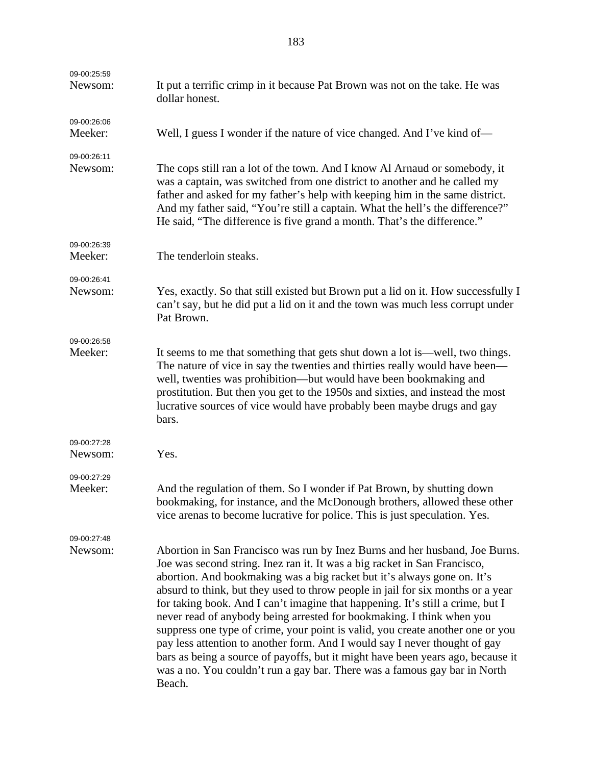| 09-00:25:59<br>Newsom: | It put a terrific crimp in it because Pat Brown was not on the take. He was<br>dollar honest.                                                                                                                                                                                                                                                                                                                                                                                                                                                                                                                                                                                                                                                                                                                               |
|------------------------|-----------------------------------------------------------------------------------------------------------------------------------------------------------------------------------------------------------------------------------------------------------------------------------------------------------------------------------------------------------------------------------------------------------------------------------------------------------------------------------------------------------------------------------------------------------------------------------------------------------------------------------------------------------------------------------------------------------------------------------------------------------------------------------------------------------------------------|
| 09-00:26:06<br>Meeker: | Well, I guess I wonder if the nature of vice changed. And I've kind of—                                                                                                                                                                                                                                                                                                                                                                                                                                                                                                                                                                                                                                                                                                                                                     |
| 09-00:26:11<br>Newsom: | The cops still ran a lot of the town. And I know Al Arnaud or somebody, it<br>was a captain, was switched from one district to another and he called my<br>father and asked for my father's help with keeping him in the same district.<br>And my father said, "You're still a captain. What the hell's the difference?"<br>He said, "The difference is five grand a month. That's the difference."                                                                                                                                                                                                                                                                                                                                                                                                                         |
| 09-00:26:39<br>Meeker: | The tenderloin steaks.                                                                                                                                                                                                                                                                                                                                                                                                                                                                                                                                                                                                                                                                                                                                                                                                      |
| 09-00:26:41<br>Newsom: | Yes, exactly. So that still existed but Brown put a lid on it. How successfully I<br>can't say, but he did put a lid on it and the town was much less corrupt under<br>Pat Brown.                                                                                                                                                                                                                                                                                                                                                                                                                                                                                                                                                                                                                                           |
| 09-00:26:58<br>Meeker: | It seems to me that something that gets shut down a lot is—well, two things.<br>The nature of vice in say the twenties and thirties really would have been—<br>well, twenties was prohibition—but would have been bookmaking and<br>prostitution. But then you get to the 1950s and sixties, and instead the most<br>lucrative sources of vice would have probably been maybe drugs and gay<br>bars.                                                                                                                                                                                                                                                                                                                                                                                                                        |
| 09-00:27:28<br>Newsom: | Yes.                                                                                                                                                                                                                                                                                                                                                                                                                                                                                                                                                                                                                                                                                                                                                                                                                        |
| 09-00:27:29<br>Meeker: | And the regulation of them. So I wonder if Pat Brown, by shutting down<br>bookmaking, for instance, and the McDonough brothers, allowed these other<br>vice arenas to become lucrative for police. This is just speculation. Yes.                                                                                                                                                                                                                                                                                                                                                                                                                                                                                                                                                                                           |
| 09-00:27:48<br>Newsom: | Abortion in San Francisco was run by Inez Burns and her husband, Joe Burns.<br>Joe was second string. Inez ran it. It was a big racket in San Francisco,<br>abortion. And bookmaking was a big racket but it's always gone on. It's<br>absurd to think, but they used to throw people in jail for six months or a year<br>for taking book. And I can't imagine that happening. It's still a crime, but I<br>never read of anybody being arrested for bookmaking. I think when you<br>suppress one type of crime, your point is valid, you create another one or you<br>pay less attention to another form. And I would say I never thought of gay<br>bars as being a source of payoffs, but it might have been years ago, because it<br>was a no. You couldn't run a gay bar. There was a famous gay bar in North<br>Beach. |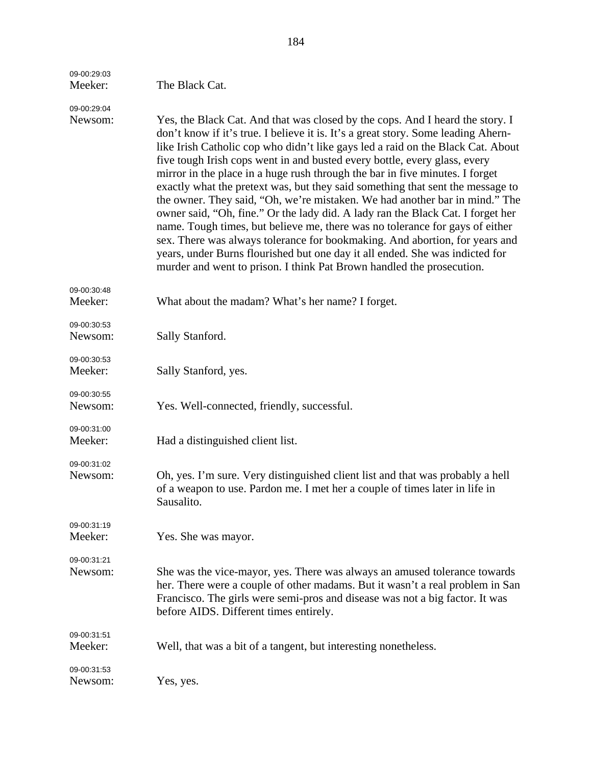| 09-00:29:03<br>Meeker: | The Black Cat.                                                                                                                                                                                                                                                                                                                                                                                                                                                                                                                                                                                                                                                                                                                                                                                                                                                                                                                                                                                 |
|------------------------|------------------------------------------------------------------------------------------------------------------------------------------------------------------------------------------------------------------------------------------------------------------------------------------------------------------------------------------------------------------------------------------------------------------------------------------------------------------------------------------------------------------------------------------------------------------------------------------------------------------------------------------------------------------------------------------------------------------------------------------------------------------------------------------------------------------------------------------------------------------------------------------------------------------------------------------------------------------------------------------------|
| 09-00:29:04<br>Newsom: | Yes, the Black Cat. And that was closed by the cops. And I heard the story. I<br>don't know if it's true. I believe it is. It's a great story. Some leading Ahern-<br>like Irish Catholic cop who didn't like gays led a raid on the Black Cat. About<br>five tough Irish cops went in and busted every bottle, every glass, every<br>mirror in the place in a huge rush through the bar in five minutes. I forget<br>exactly what the pretext was, but they said something that sent the message to<br>the owner. They said, "Oh, we're mistaken. We had another bar in mind." The<br>owner said, "Oh, fine." Or the lady did. A lady ran the Black Cat. I forget her<br>name. Tough times, but believe me, there was no tolerance for gays of either<br>sex. There was always tolerance for bookmaking. And abortion, for years and<br>years, under Burns flourished but one day it all ended. She was indicted for<br>murder and went to prison. I think Pat Brown handled the prosecution. |
| 09-00:30:48<br>Meeker: | What about the madam? What's her name? I forget.                                                                                                                                                                                                                                                                                                                                                                                                                                                                                                                                                                                                                                                                                                                                                                                                                                                                                                                                               |
| 09-00:30:53<br>Newsom: | Sally Stanford.                                                                                                                                                                                                                                                                                                                                                                                                                                                                                                                                                                                                                                                                                                                                                                                                                                                                                                                                                                                |
| 09-00:30:53<br>Meeker: | Sally Stanford, yes.                                                                                                                                                                                                                                                                                                                                                                                                                                                                                                                                                                                                                                                                                                                                                                                                                                                                                                                                                                           |
| 09-00:30:55<br>Newsom: | Yes. Well-connected, friendly, successful.                                                                                                                                                                                                                                                                                                                                                                                                                                                                                                                                                                                                                                                                                                                                                                                                                                                                                                                                                     |
| 09-00:31:00<br>Meeker: | Had a distinguished client list.                                                                                                                                                                                                                                                                                                                                                                                                                                                                                                                                                                                                                                                                                                                                                                                                                                                                                                                                                               |
| 09-00:31:02<br>Newsom: | Oh, yes. I'm sure. Very distinguished client list and that was probably a hell<br>of a weapon to use. Pardon me. I met her a couple of times later in life in<br>Sausalito.                                                                                                                                                                                                                                                                                                                                                                                                                                                                                                                                                                                                                                                                                                                                                                                                                    |
| 09-00:31:19<br>Meeker: | Yes. She was mayor.                                                                                                                                                                                                                                                                                                                                                                                                                                                                                                                                                                                                                                                                                                                                                                                                                                                                                                                                                                            |
| 09-00:31:21<br>Newsom: | She was the vice-mayor, yes. There was always an amused tolerance towards<br>her. There were a couple of other madams. But it wasn't a real problem in San<br>Francisco. The girls were semi-pros and disease was not a big factor. It was<br>before AIDS. Different times entirely.                                                                                                                                                                                                                                                                                                                                                                                                                                                                                                                                                                                                                                                                                                           |
| 09-00:31:51<br>Meeker: | Well, that was a bit of a tangent, but interesting nonetheless.                                                                                                                                                                                                                                                                                                                                                                                                                                                                                                                                                                                                                                                                                                                                                                                                                                                                                                                                |
| 09-00:31:53<br>Newsom: | Yes, yes.                                                                                                                                                                                                                                                                                                                                                                                                                                                                                                                                                                                                                                                                                                                                                                                                                                                                                                                                                                                      |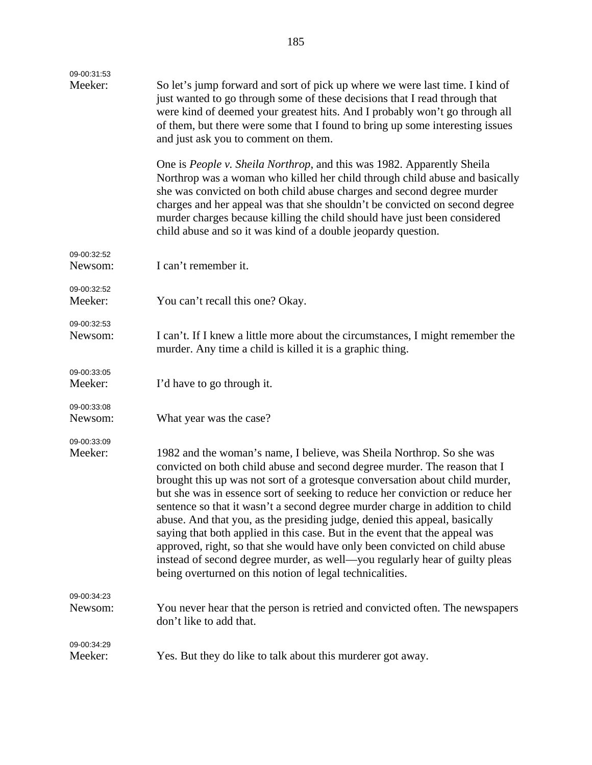| 09-00:31:53            |                                                                                                                                                                                                                                                                                                                                                                                                                                                                                                                                                                                                                                                                                                                                                                                            |
|------------------------|--------------------------------------------------------------------------------------------------------------------------------------------------------------------------------------------------------------------------------------------------------------------------------------------------------------------------------------------------------------------------------------------------------------------------------------------------------------------------------------------------------------------------------------------------------------------------------------------------------------------------------------------------------------------------------------------------------------------------------------------------------------------------------------------|
| Meeker:                | So let's jump forward and sort of pick up where we were last time. I kind of<br>just wanted to go through some of these decisions that I read through that<br>were kind of deemed your greatest hits. And I probably won't go through all<br>of them, but there were some that I found to bring up some interesting issues<br>and just ask you to comment on them.                                                                                                                                                                                                                                                                                                                                                                                                                         |
|                        | One is <i>People v. Sheila Northrop</i> , and this was 1982. Apparently Sheila<br>Northrop was a woman who killed her child through child abuse and basically<br>she was convicted on both child abuse charges and second degree murder<br>charges and her appeal was that she shouldn't be convicted on second degree<br>murder charges because killing the child should have just been considered<br>child abuse and so it was kind of a double jeopardy question.                                                                                                                                                                                                                                                                                                                       |
| 09-00:32:52<br>Newsom: | I can't remember it.                                                                                                                                                                                                                                                                                                                                                                                                                                                                                                                                                                                                                                                                                                                                                                       |
| 09-00:32:52            |                                                                                                                                                                                                                                                                                                                                                                                                                                                                                                                                                                                                                                                                                                                                                                                            |
| Meeker:                | You can't recall this one? Okay.                                                                                                                                                                                                                                                                                                                                                                                                                                                                                                                                                                                                                                                                                                                                                           |
| 09-00:32:53            |                                                                                                                                                                                                                                                                                                                                                                                                                                                                                                                                                                                                                                                                                                                                                                                            |
| Newsom:                | I can't. If I knew a little more about the circumstances, I might remember the<br>murder. Any time a child is killed it is a graphic thing.                                                                                                                                                                                                                                                                                                                                                                                                                                                                                                                                                                                                                                                |
| 09-00:33:05            |                                                                                                                                                                                                                                                                                                                                                                                                                                                                                                                                                                                                                                                                                                                                                                                            |
| Meeker:                | I'd have to go through it.                                                                                                                                                                                                                                                                                                                                                                                                                                                                                                                                                                                                                                                                                                                                                                 |
| 09-00:33:08<br>Newsom: | What year was the case?                                                                                                                                                                                                                                                                                                                                                                                                                                                                                                                                                                                                                                                                                                                                                                    |
| 09-00:33:09            |                                                                                                                                                                                                                                                                                                                                                                                                                                                                                                                                                                                                                                                                                                                                                                                            |
| Meeker:                | 1982 and the woman's name, I believe, was Sheila Northrop. So she was<br>convicted on both child abuse and second degree murder. The reason that I<br>brought this up was not sort of a grotesque conversation about child murder,<br>but she was in essence sort of seeking to reduce her conviction or reduce her<br>sentence so that it wasn't a second degree murder charge in addition to child<br>abuse. And that you, as the presiding judge, denied this appeal, basically<br>saying that both applied in this case. But in the event that the appeal was<br>approved, right, so that she would have only been convicted on child abuse<br>instead of second degree murder, as well-you regularly hear of guilty pleas<br>being overturned on this notion of legal technicalities. |
| 09-00:34:23            |                                                                                                                                                                                                                                                                                                                                                                                                                                                                                                                                                                                                                                                                                                                                                                                            |
| Newsom:                | You never hear that the person is retried and convicted often. The newspapers<br>don't like to add that.                                                                                                                                                                                                                                                                                                                                                                                                                                                                                                                                                                                                                                                                                   |
| 09-00:34:29            |                                                                                                                                                                                                                                                                                                                                                                                                                                                                                                                                                                                                                                                                                                                                                                                            |
| Meeker:                | Yes. But they do like to talk about this murderer got away.                                                                                                                                                                                                                                                                                                                                                                                                                                                                                                                                                                                                                                                                                                                                |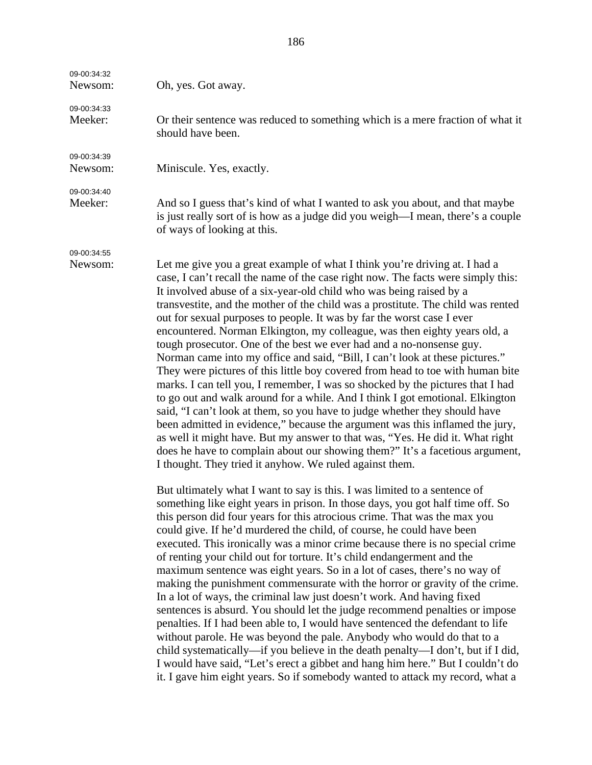| 09-00:34:32<br>Newsom: | Oh, yes. Got away.                                                                                                                                                                                                                                                                                                                                                                                                                                                                                                                                                                                                                                                                                                                                                                                                                                                                                                                                                                                                                                                                                                                                                                                                                                                                      |
|------------------------|-----------------------------------------------------------------------------------------------------------------------------------------------------------------------------------------------------------------------------------------------------------------------------------------------------------------------------------------------------------------------------------------------------------------------------------------------------------------------------------------------------------------------------------------------------------------------------------------------------------------------------------------------------------------------------------------------------------------------------------------------------------------------------------------------------------------------------------------------------------------------------------------------------------------------------------------------------------------------------------------------------------------------------------------------------------------------------------------------------------------------------------------------------------------------------------------------------------------------------------------------------------------------------------------|
| 09-00:34:33<br>Meeker: | Or their sentence was reduced to something which is a mere fraction of what it<br>should have been.                                                                                                                                                                                                                                                                                                                                                                                                                                                                                                                                                                                                                                                                                                                                                                                                                                                                                                                                                                                                                                                                                                                                                                                     |
| 09-00:34:39<br>Newsom: | Miniscule. Yes, exactly.                                                                                                                                                                                                                                                                                                                                                                                                                                                                                                                                                                                                                                                                                                                                                                                                                                                                                                                                                                                                                                                                                                                                                                                                                                                                |
| 09-00:34:40<br>Meeker: | And so I guess that's kind of what I wanted to ask you about, and that maybe<br>is just really sort of is how as a judge did you weigh—I mean, there's a couple<br>of ways of looking at this.                                                                                                                                                                                                                                                                                                                                                                                                                                                                                                                                                                                                                                                                                                                                                                                                                                                                                                                                                                                                                                                                                          |
| 09-00:34:55<br>Newsom: | Let me give you a great example of what I think you're driving at. I had a<br>case, I can't recall the name of the case right now. The facts were simply this:<br>It involved abuse of a six-year-old child who was being raised by a<br>transvestite, and the mother of the child was a prostitute. The child was rented<br>out for sexual purposes to people. It was by far the worst case I ever<br>encountered. Norman Elkington, my colleague, was then eighty years old, a<br>tough prosecutor. One of the best we ever had and a no-nonsense guy.<br>Norman came into my office and said, "Bill, I can't look at these pictures."<br>They were pictures of this little boy covered from head to toe with human bite<br>marks. I can tell you, I remember, I was so shocked by the pictures that I had<br>to go out and walk around for a while. And I think I got emotional. Elkington<br>said, "I can't look at them, so you have to judge whether they should have<br>been admitted in evidence," because the argument was this inflamed the jury,<br>as well it might have. But my answer to that was, "Yes. He did it. What right<br>does he have to complain about our showing them?" It's a facetious argument,<br>I thought. They tried it anyhow. We ruled against them. |
|                        | But ultimately what I want to say is this. I was limited to a sentence of<br>something like eight years in prison. In those days, you got half time off. So<br>this person did four years for this atrocious crime. That was the max you<br>could give. If he'd murdered the child, of course, he could have been<br>executed. This ironically was a minor crime because there is no special crime<br>of renting your child out for torture. It's child endangerment and the<br>maximum sentence was eight years. So in a lot of cases, there's no way of<br>making the punishment commensurate with the horror or gravity of the crime.<br>In a lot of ways, the criminal law just doesn't work. And having fixed<br>sentences is absurd. You should let the judge recommend penalties or impose<br>penalties. If I had been able to, I would have sentenced the defendant to life<br>without parole. He was beyond the pale. Anybody who would do that to a<br>child systematically—if you believe in the death penalty—I don't, but if I did,<br>I would have said, "Let's erect a gibbet and hang him here." But I couldn't do<br>it. I gave him eight years. So if somebody wanted to attack my record, what a                                                                     |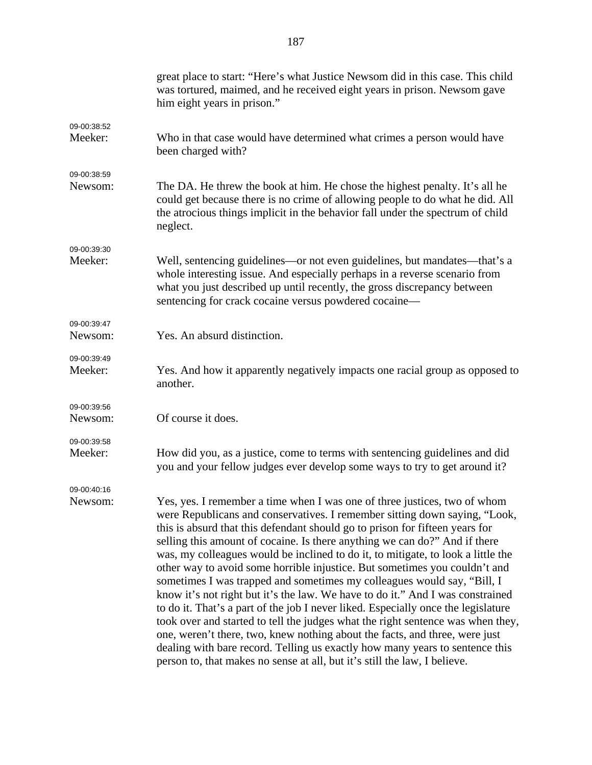|                        | great place to start: "Here's what Justice Newsom did in this case. This child<br>was tortured, maimed, and he received eight years in prison. Newsom gave<br>him eight years in prison."                                                                                                                                                                                                                                                                                                                                                                                                                                                                                                                                                                                                                                                                                                                                                                                                                                                                                |
|------------------------|--------------------------------------------------------------------------------------------------------------------------------------------------------------------------------------------------------------------------------------------------------------------------------------------------------------------------------------------------------------------------------------------------------------------------------------------------------------------------------------------------------------------------------------------------------------------------------------------------------------------------------------------------------------------------------------------------------------------------------------------------------------------------------------------------------------------------------------------------------------------------------------------------------------------------------------------------------------------------------------------------------------------------------------------------------------------------|
| 09-00:38:52<br>Meeker: | Who in that case would have determined what crimes a person would have<br>been charged with?                                                                                                                                                                                                                                                                                                                                                                                                                                                                                                                                                                                                                                                                                                                                                                                                                                                                                                                                                                             |
| 09-00:38:59<br>Newsom: | The DA. He threw the book at him. He chose the highest penalty. It's all he<br>could get because there is no crime of allowing people to do what he did. All<br>the atrocious things implicit in the behavior fall under the spectrum of child<br>neglect.                                                                                                                                                                                                                                                                                                                                                                                                                                                                                                                                                                                                                                                                                                                                                                                                               |
| 09-00:39:30<br>Meeker: | Well, sentencing guidelines—or not even guidelines, but mandates—that's a<br>whole interesting issue. And especially perhaps in a reverse scenario from<br>what you just described up until recently, the gross discrepancy between<br>sentencing for crack cocaine versus powdered cocaine—                                                                                                                                                                                                                                                                                                                                                                                                                                                                                                                                                                                                                                                                                                                                                                             |
| 09-00:39:47<br>Newsom: | Yes. An absurd distinction.                                                                                                                                                                                                                                                                                                                                                                                                                                                                                                                                                                                                                                                                                                                                                                                                                                                                                                                                                                                                                                              |
|                        |                                                                                                                                                                                                                                                                                                                                                                                                                                                                                                                                                                                                                                                                                                                                                                                                                                                                                                                                                                                                                                                                          |
| 09-00:39:49<br>Meeker: | Yes. And how it apparently negatively impacts one racial group as opposed to<br>another.                                                                                                                                                                                                                                                                                                                                                                                                                                                                                                                                                                                                                                                                                                                                                                                                                                                                                                                                                                                 |
| 09-00:39:56<br>Newsom: | Of course it does.                                                                                                                                                                                                                                                                                                                                                                                                                                                                                                                                                                                                                                                                                                                                                                                                                                                                                                                                                                                                                                                       |
| 09-00:39:58<br>Meeker: | How did you, as a justice, come to terms with sentencing guidelines and did<br>you and your fellow judges ever develop some ways to try to get around it?                                                                                                                                                                                                                                                                                                                                                                                                                                                                                                                                                                                                                                                                                                                                                                                                                                                                                                                |
| 09-00:40:16<br>Newsom: | Yes, yes. I remember a time when I was one of three justices, two of whom<br>were Republicans and conservatives. I remember sitting down saying, "Look,<br>this is absurd that this defendant should go to prison for fifteen years for<br>selling this amount of cocaine. Is there anything we can do?" And if there<br>was, my colleagues would be inclined to do it, to mitigate, to look a little the<br>other way to avoid some horrible injustice. But sometimes you couldn't and<br>sometimes I was trapped and sometimes my colleagues would say, "Bill, I<br>know it's not right but it's the law. We have to do it." And I was constrained<br>to do it. That's a part of the job I never liked. Especially once the legislature<br>took over and started to tell the judges what the right sentence was when they,<br>one, weren't there, two, knew nothing about the facts, and three, were just<br>dealing with bare record. Telling us exactly how many years to sentence this<br>person to, that makes no sense at all, but it's still the law, I believe. |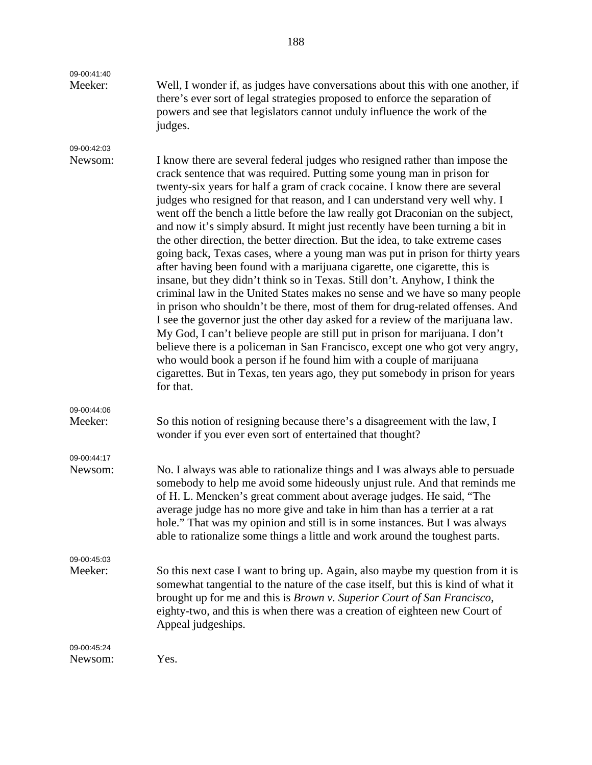| 09-00:41:40<br>Meeker: | Well, I wonder if, as judges have conversations about this with one another, if<br>there's ever sort of legal strategies proposed to enforce the separation of<br>powers and see that legislators cannot unduly influence the work of the<br>judges.                                                                                                                                                                                                                                                                                                                                                                                                                                                                                                                                                                                                                                                                                                                                                                                                                                                                                                                                                                                                                                                                                                                                                            |
|------------------------|-----------------------------------------------------------------------------------------------------------------------------------------------------------------------------------------------------------------------------------------------------------------------------------------------------------------------------------------------------------------------------------------------------------------------------------------------------------------------------------------------------------------------------------------------------------------------------------------------------------------------------------------------------------------------------------------------------------------------------------------------------------------------------------------------------------------------------------------------------------------------------------------------------------------------------------------------------------------------------------------------------------------------------------------------------------------------------------------------------------------------------------------------------------------------------------------------------------------------------------------------------------------------------------------------------------------------------------------------------------------------------------------------------------------|
| 09-00:42:03<br>Newsom: | I know there are several federal judges who resigned rather than impose the<br>crack sentence that was required. Putting some young man in prison for<br>twenty-six years for half a gram of crack cocaine. I know there are several<br>judges who resigned for that reason, and I can understand very well why. I<br>went off the bench a little before the law really got Draconian on the subject,<br>and now it's simply absurd. It might just recently have been turning a bit in<br>the other direction, the better direction. But the idea, to take extreme cases<br>going back, Texas cases, where a young man was put in prison for thirty years<br>after having been found with a marijuana cigarette, one cigarette, this is<br>insane, but they didn't think so in Texas. Still don't. Anyhow, I think the<br>criminal law in the United States makes no sense and we have so many people<br>in prison who shouldn't be there, most of them for drug-related offenses. And<br>I see the governor just the other day asked for a review of the marijuana law.<br>My God, I can't believe people are still put in prison for marijuana. I don't<br>believe there is a policeman in San Francisco, except one who got very angry,<br>who would book a person if he found him with a couple of marijuana<br>cigarettes. But in Texas, ten years ago, they put somebody in prison for years<br>for that. |
| 09-00:44:06<br>Meeker: | So this notion of resigning because there's a disagreement with the law, I<br>wonder if you ever even sort of entertained that thought?                                                                                                                                                                                                                                                                                                                                                                                                                                                                                                                                                                                                                                                                                                                                                                                                                                                                                                                                                                                                                                                                                                                                                                                                                                                                         |
| 09-00:44:17<br>Newsom: | No. I always was able to rationalize things and I was always able to persuade<br>somebody to help me avoid some hideously unjust rule. And that reminds me<br>of H. L. Mencken's great comment about average judges. He said, "The<br>average judge has no more give and take in him than has a terrier at a rat<br>hole." That was my opinion and still is in some instances. But I was always<br>able to rationalize some things a little and work around the toughest parts.                                                                                                                                                                                                                                                                                                                                                                                                                                                                                                                                                                                                                                                                                                                                                                                                                                                                                                                                 |
| 09-00:45:03<br>Meeker: | So this next case I want to bring up. Again, also maybe my question from it is<br>somewhat tangential to the nature of the case itself, but this is kind of what it<br>brought up for me and this is Brown v. Superior Court of San Francisco,<br>eighty-two, and this is when there was a creation of eighteen new Court of<br>Appeal judgeships.                                                                                                                                                                                                                                                                                                                                                                                                                                                                                                                                                                                                                                                                                                                                                                                                                                                                                                                                                                                                                                                              |
| 09-00:45:24<br>Newsom: | Yes.                                                                                                                                                                                                                                                                                                                                                                                                                                                                                                                                                                                                                                                                                                                                                                                                                                                                                                                                                                                                                                                                                                                                                                                                                                                                                                                                                                                                            |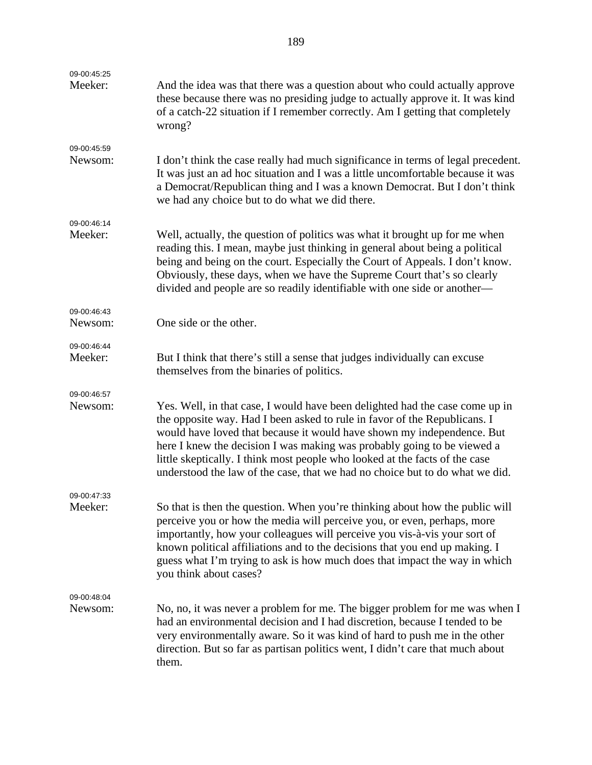| 09-00:45:25<br>Meeker: | And the idea was that there was a question about who could actually approve                                                                                                                                                                                                                                                                                                                                                                                                   |
|------------------------|-------------------------------------------------------------------------------------------------------------------------------------------------------------------------------------------------------------------------------------------------------------------------------------------------------------------------------------------------------------------------------------------------------------------------------------------------------------------------------|
|                        | these because there was no presiding judge to actually approve it. It was kind<br>of a catch-22 situation if I remember correctly. Am I getting that completely<br>wrong?                                                                                                                                                                                                                                                                                                     |
| 09-00:45:59            |                                                                                                                                                                                                                                                                                                                                                                                                                                                                               |
| Newsom:                | I don't think the case really had much significance in terms of legal precedent.<br>It was just an ad hoc situation and I was a little uncomfortable because it was<br>a Democrat/Republican thing and I was a known Democrat. But I don't think<br>we had any choice but to do what we did there.                                                                                                                                                                            |
| 09-00:46:14            |                                                                                                                                                                                                                                                                                                                                                                                                                                                                               |
| Meeker:                | Well, actually, the question of politics was what it brought up for me when<br>reading this. I mean, maybe just thinking in general about being a political<br>being and being on the court. Especially the Court of Appeals. I don't know.<br>Obviously, these days, when we have the Supreme Court that's so clearly<br>divided and people are so readily identifiable with one side or another—                                                                            |
| 09-00:46:43            |                                                                                                                                                                                                                                                                                                                                                                                                                                                                               |
| Newsom:                | One side or the other.                                                                                                                                                                                                                                                                                                                                                                                                                                                        |
|                        |                                                                                                                                                                                                                                                                                                                                                                                                                                                                               |
| 09-00:46:44<br>Meeker: | But I think that there's still a sense that judges individually can excuse<br>themselves from the binaries of politics.                                                                                                                                                                                                                                                                                                                                                       |
| 09-00:46:57            |                                                                                                                                                                                                                                                                                                                                                                                                                                                                               |
| Newsom:                | Yes. Well, in that case, I would have been delighted had the case come up in<br>the opposite way. Had I been asked to rule in favor of the Republicans. I<br>would have loved that because it would have shown my independence. But<br>here I knew the decision I was making was probably going to be viewed a<br>little skeptically. I think most people who looked at the facts of the case<br>understood the law of the case, that we had no choice but to do what we did. |
| 09-00:47:33            |                                                                                                                                                                                                                                                                                                                                                                                                                                                                               |
| Meeker:                | So that is then the question. When you're thinking about how the public will<br>perceive you or how the media will perceive you, or even, perhaps, more<br>importantly, how your colleagues will perceive you vis-à-vis your sort of<br>known political affiliations and to the decisions that you end up making. I<br>guess what I'm trying to ask is how much does that impact the way in which<br>you think about cases?                                                   |
| 09-00:48:04            |                                                                                                                                                                                                                                                                                                                                                                                                                                                                               |
| Newsom:                | No, no, it was never a problem for me. The bigger problem for me was when I<br>had an environmental decision and I had discretion, because I tended to be<br>very environmentally aware. So it was kind of hard to push me in the other<br>direction. But so far as partisan politics went, I didn't care that much about<br>them.                                                                                                                                            |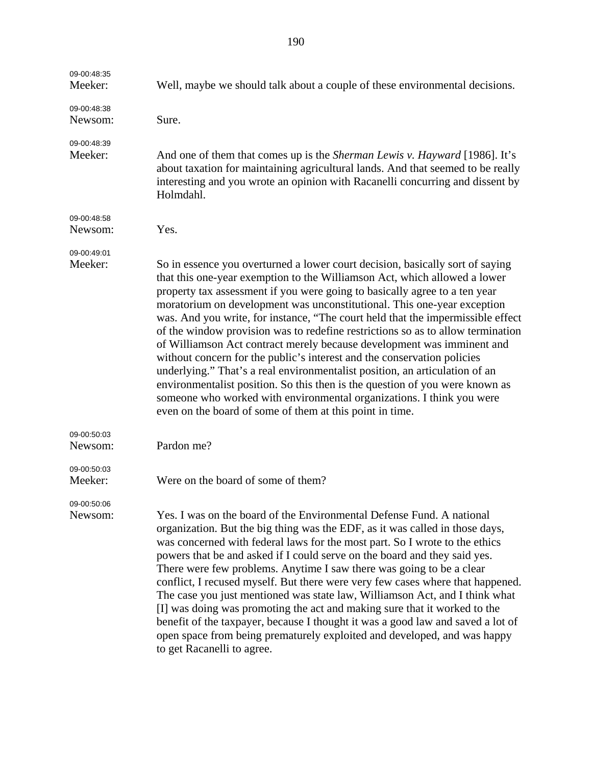| 09-00:48:35<br>Meeker: | Well, maybe we should talk about a couple of these environmental decisions.                                                                                                                                                                                                                                                                                                                                                                                                                                                                                                                                                                                                                                                                                                                                                                                                                                                                        |
|------------------------|----------------------------------------------------------------------------------------------------------------------------------------------------------------------------------------------------------------------------------------------------------------------------------------------------------------------------------------------------------------------------------------------------------------------------------------------------------------------------------------------------------------------------------------------------------------------------------------------------------------------------------------------------------------------------------------------------------------------------------------------------------------------------------------------------------------------------------------------------------------------------------------------------------------------------------------------------|
| 09-00:48:38<br>Newsom: | Sure.                                                                                                                                                                                                                                                                                                                                                                                                                                                                                                                                                                                                                                                                                                                                                                                                                                                                                                                                              |
| 09-00:48:39<br>Meeker: | And one of them that comes up is the <i>Sherman Lewis v. Hayward</i> [1986]. It's<br>about taxation for maintaining agricultural lands. And that seemed to be really<br>interesting and you wrote an opinion with Racanelli concurring and dissent by<br>Holmdahl.                                                                                                                                                                                                                                                                                                                                                                                                                                                                                                                                                                                                                                                                                 |
| 09-00:48:58<br>Newsom: | Yes.                                                                                                                                                                                                                                                                                                                                                                                                                                                                                                                                                                                                                                                                                                                                                                                                                                                                                                                                               |
| 09-00:49:01<br>Meeker: | So in essence you overturned a lower court decision, basically sort of saying<br>that this one-year exemption to the Williamson Act, which allowed a lower<br>property tax assessment if you were going to basically agree to a ten year<br>moratorium on development was unconstitutional. This one-year exception<br>was. And you write, for instance, "The court held that the impermissible effect<br>of the window provision was to redefine restrictions so as to allow termination<br>of Williamson Act contract merely because development was imminent and<br>without concern for the public's interest and the conservation policies<br>underlying." That's a real environmentalist position, an articulation of an<br>environmentalist position. So this then is the question of you were known as<br>someone who worked with environmental organizations. I think you were<br>even on the board of some of them at this point in time. |
| 09-00:50:03<br>Newsom: | Pardon me?                                                                                                                                                                                                                                                                                                                                                                                                                                                                                                                                                                                                                                                                                                                                                                                                                                                                                                                                         |
| 09-00:50:03<br>Meeker: | Were on the board of some of them?                                                                                                                                                                                                                                                                                                                                                                                                                                                                                                                                                                                                                                                                                                                                                                                                                                                                                                                 |
| 09-00:50:06<br>Newsom: | Yes. I was on the board of the Environmental Defense Fund. A national<br>organization. But the big thing was the EDF, as it was called in those days,<br>was concerned with federal laws for the most part. So I wrote to the ethics<br>powers that be and asked if I could serve on the board and they said yes.<br>There were few problems. Anytime I saw there was going to be a clear<br>conflict, I recused myself. But there were very few cases where that happened.<br>The case you just mentioned was state law, Williamson Act, and I think what<br>[I] was doing was promoting the act and making sure that it worked to the<br>benefit of the taxpayer, because I thought it was a good law and saved a lot of<br>open space from being prematurely exploited and developed, and was happy<br>to get Racanelli to agree.                                                                                                               |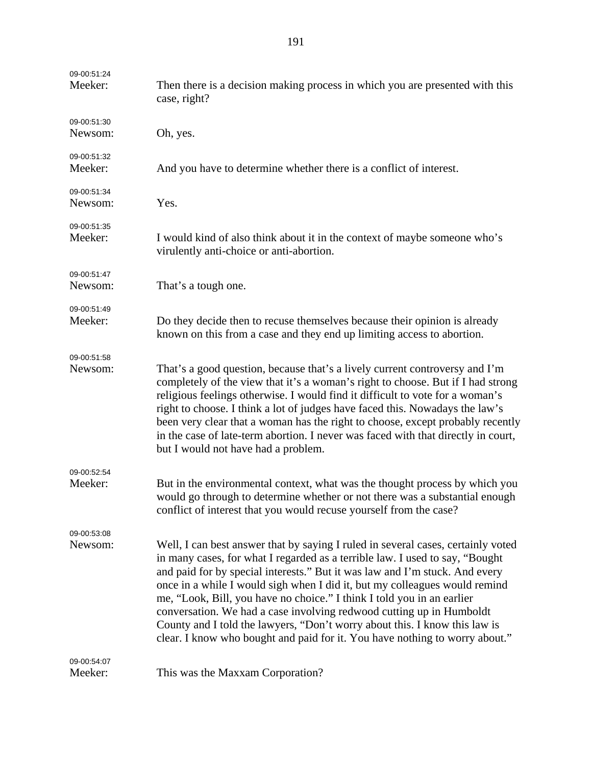| 09-00:51:24<br>Meeker: | Then there is a decision making process in which you are presented with this<br>case, right?                                                                                                                                                                                                                                                                                                                                                                                                                                                                                                                                                 |
|------------------------|----------------------------------------------------------------------------------------------------------------------------------------------------------------------------------------------------------------------------------------------------------------------------------------------------------------------------------------------------------------------------------------------------------------------------------------------------------------------------------------------------------------------------------------------------------------------------------------------------------------------------------------------|
| 09-00:51:30<br>Newsom: | Oh, yes.                                                                                                                                                                                                                                                                                                                                                                                                                                                                                                                                                                                                                                     |
| 09-00:51:32<br>Meeker: | And you have to determine whether there is a conflict of interest.                                                                                                                                                                                                                                                                                                                                                                                                                                                                                                                                                                           |
| 09-00:51:34<br>Newsom: | Yes.                                                                                                                                                                                                                                                                                                                                                                                                                                                                                                                                                                                                                                         |
| 09-00:51:35<br>Meeker: | I would kind of also think about it in the context of maybe someone who's<br>virulently anti-choice or anti-abortion.                                                                                                                                                                                                                                                                                                                                                                                                                                                                                                                        |
| 09-00:51:47<br>Newsom: | That's a tough one.                                                                                                                                                                                                                                                                                                                                                                                                                                                                                                                                                                                                                          |
| 09-00:51:49<br>Meeker: | Do they decide then to recuse themselves because their opinion is already<br>known on this from a case and they end up limiting access to abortion.                                                                                                                                                                                                                                                                                                                                                                                                                                                                                          |
| 09-00:51:58<br>Newsom: | That's a good question, because that's a lively current controversy and I'm<br>completely of the view that it's a woman's right to choose. But if I had strong<br>religious feelings otherwise. I would find it difficult to vote for a woman's<br>right to choose. I think a lot of judges have faced this. Nowadays the law's<br>been very clear that a woman has the right to choose, except probably recently<br>in the case of late-term abortion. I never was faced with that directly in court,<br>but I would not have had a problem.                                                                                                |
| 09-00:52:54<br>Meeker: | But in the environmental context, what was the thought process by which you<br>would go through to determine whether or not there was a substantial enough<br>conflict of interest that you would recuse yourself from the case?                                                                                                                                                                                                                                                                                                                                                                                                             |
| 09-00:53:08            |                                                                                                                                                                                                                                                                                                                                                                                                                                                                                                                                                                                                                                              |
| Newsom:                | Well, I can best answer that by saying I ruled in several cases, certainly voted<br>in many cases, for what I regarded as a terrible law. I used to say, "Bought<br>and paid for by special interests." But it was law and I'm stuck. And every<br>once in a while I would sigh when I did it, but my colleagues would remind<br>me, "Look, Bill, you have no choice." I think I told you in an earlier<br>conversation. We had a case involving redwood cutting up in Humboldt<br>County and I told the lawyers, "Don't worry about this. I know this law is<br>clear. I know who bought and paid for it. You have nothing to worry about." |
| 09-00:54:07<br>Meeker: | This was the Maxxam Corporation?                                                                                                                                                                                                                                                                                                                                                                                                                                                                                                                                                                                                             |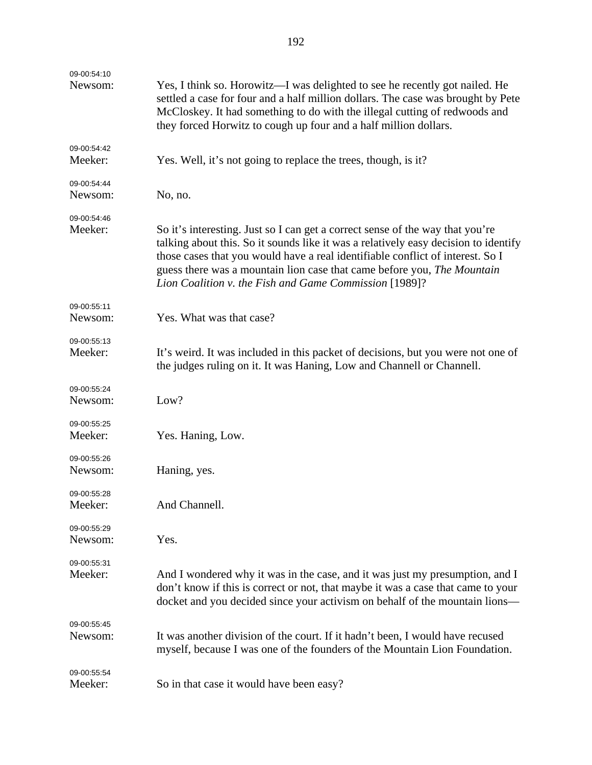| 09-00:54:10<br>Newsom: | Yes, I think so. Horowitz—I was delighted to see he recently got nailed. He<br>settled a case for four and a half million dollars. The case was brought by Pete<br>McCloskey. It had something to do with the illegal cutting of redwoods and<br>they forced Horwitz to cough up four and a half million dollars.                                                                           |
|------------------------|---------------------------------------------------------------------------------------------------------------------------------------------------------------------------------------------------------------------------------------------------------------------------------------------------------------------------------------------------------------------------------------------|
| 09-00:54:42<br>Meeker: | Yes. Well, it's not going to replace the trees, though, is it?                                                                                                                                                                                                                                                                                                                              |
| 09-00:54:44<br>Newsom: | No, no.                                                                                                                                                                                                                                                                                                                                                                                     |
| 09-00:54:46<br>Meeker: | So it's interesting. Just so I can get a correct sense of the way that you're<br>talking about this. So it sounds like it was a relatively easy decision to identify<br>those cases that you would have a real identifiable conflict of interest. So I<br>guess there was a mountain lion case that came before you, The Mountain<br>Lion Coalition v. the Fish and Game Commission [1989]? |
| 09-00:55:11<br>Newsom: | Yes. What was that case?                                                                                                                                                                                                                                                                                                                                                                    |
| 09-00:55:13<br>Meeker: | It's weird. It was included in this packet of decisions, but you were not one of<br>the judges ruling on it. It was Haning, Low and Channell or Channell.                                                                                                                                                                                                                                   |
| 09-00:55:24<br>Newsom: | Low?                                                                                                                                                                                                                                                                                                                                                                                        |
| 09-00:55:25<br>Meeker: | Yes. Haning, Low.                                                                                                                                                                                                                                                                                                                                                                           |
| 09-00:55:26<br>Newsom: | Haning, yes.                                                                                                                                                                                                                                                                                                                                                                                |
| 09-00:55:28<br>Meeker: | And Channell.                                                                                                                                                                                                                                                                                                                                                                               |
| 09-00:55:29<br>Newsom: | Yes.                                                                                                                                                                                                                                                                                                                                                                                        |
| 09-00:55:31<br>Meeker: | And I wondered why it was in the case, and it was just my presumption, and I<br>don't know if this is correct or not, that maybe it was a case that came to your<br>docket and you decided since your activism on behalf of the mountain lions—                                                                                                                                             |
| 09-00:55:45<br>Newsom: | It was another division of the court. If it hadn't been, I would have recused<br>myself, because I was one of the founders of the Mountain Lion Foundation.                                                                                                                                                                                                                                 |
| 09-00:55:54<br>Meeker: | So in that case it would have been easy?                                                                                                                                                                                                                                                                                                                                                    |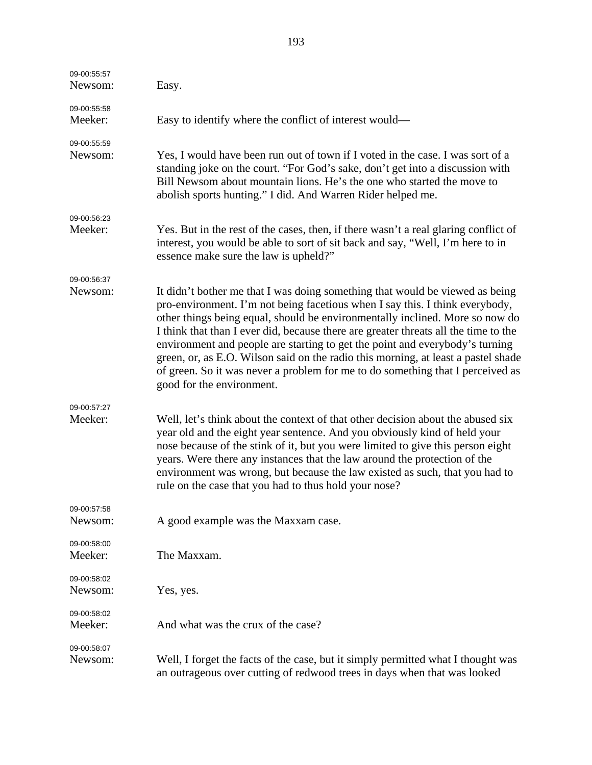| 09-00:55:57<br>Newsom: | Easy.                                                                                                                                                                                                                                                                                                                                                                                                                                                                                                                                                                                                                   |
|------------------------|-------------------------------------------------------------------------------------------------------------------------------------------------------------------------------------------------------------------------------------------------------------------------------------------------------------------------------------------------------------------------------------------------------------------------------------------------------------------------------------------------------------------------------------------------------------------------------------------------------------------------|
| 09-00:55:58<br>Meeker: | Easy to identify where the conflict of interest would—                                                                                                                                                                                                                                                                                                                                                                                                                                                                                                                                                                  |
| 09-00:55:59<br>Newsom: | Yes, I would have been run out of town if I voted in the case. I was sort of a<br>standing joke on the court. "For God's sake, don't get into a discussion with<br>Bill Newsom about mountain lions. He's the one who started the move to<br>abolish sports hunting." I did. And Warren Rider helped me.                                                                                                                                                                                                                                                                                                                |
| 09-00:56:23<br>Meeker: | Yes. But in the rest of the cases, then, if there wasn't a real glaring conflict of<br>interest, you would be able to sort of sit back and say, "Well, I'm here to in<br>essence make sure the law is upheld?"                                                                                                                                                                                                                                                                                                                                                                                                          |
| 09-00:56:37<br>Newsom: | It didn't bother me that I was doing something that would be viewed as being<br>pro-environment. I'm not being facetious when I say this. I think everybody,<br>other things being equal, should be environmentally inclined. More so now do<br>I think that than I ever did, because there are greater threats all the time to the<br>environment and people are starting to get the point and everybody's turning<br>green, or, as E.O. Wilson said on the radio this morning, at least a pastel shade<br>of green. So it was never a problem for me to do something that I perceived as<br>good for the environment. |
| 09-00:57:27<br>Meeker: | Well, let's think about the context of that other decision about the abused six<br>year old and the eight year sentence. And you obviously kind of held your<br>nose because of the stink of it, but you were limited to give this person eight<br>years. Were there any instances that the law around the protection of the<br>environment was wrong, but because the law existed as such, that you had to<br>rule on the case that you had to thus hold your nose?                                                                                                                                                    |
| 09-00:57:58<br>Newsom: | A good example was the Maxxam case.                                                                                                                                                                                                                                                                                                                                                                                                                                                                                                                                                                                     |
| 09-00:58:00<br>Meeker: | The Maxxam.                                                                                                                                                                                                                                                                                                                                                                                                                                                                                                                                                                                                             |
| 09-00:58:02<br>Newsom: | Yes, yes.                                                                                                                                                                                                                                                                                                                                                                                                                                                                                                                                                                                                               |
| 09-00:58:02<br>Meeker: | And what was the crux of the case?                                                                                                                                                                                                                                                                                                                                                                                                                                                                                                                                                                                      |
| 09-00:58:07<br>Newsom: | Well, I forget the facts of the case, but it simply permitted what I thought was<br>an outrageous over cutting of redwood trees in days when that was looked                                                                                                                                                                                                                                                                                                                                                                                                                                                            |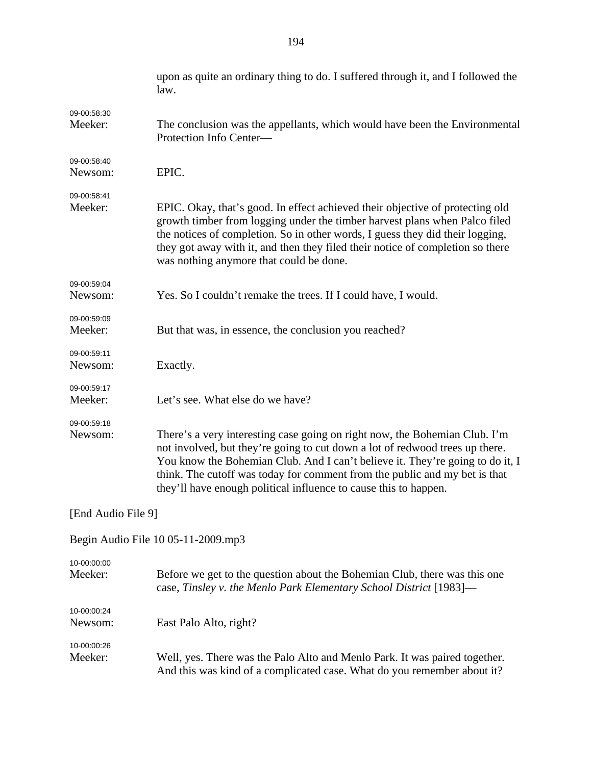|                        | upon as quite an ordinary thing to do. I suffered through it, and I followed the<br>law.                                                                                                                                                                                                                                                                                                      |
|------------------------|-----------------------------------------------------------------------------------------------------------------------------------------------------------------------------------------------------------------------------------------------------------------------------------------------------------------------------------------------------------------------------------------------|
| 09-00:58:30            |                                                                                                                                                                                                                                                                                                                                                                                               |
| Meeker:                | The conclusion was the appellants, which would have been the Environmental<br>Protection Info Center-                                                                                                                                                                                                                                                                                         |
| 09-00:58:40<br>Newsom: | EPIC.                                                                                                                                                                                                                                                                                                                                                                                         |
| 09-00:58:41<br>Meeker: | EPIC. Okay, that's good. In effect achieved their objective of protecting old<br>growth timber from logging under the timber harvest plans when Palco filed<br>the notices of completion. So in other words, I guess they did their logging,<br>they got away with it, and then they filed their notice of completion so there<br>was nothing anymore that could be done.                     |
| 09-00:59:04            |                                                                                                                                                                                                                                                                                                                                                                                               |
| Newsom:                | Yes. So I couldn't remake the trees. If I could have, I would.                                                                                                                                                                                                                                                                                                                                |
| 09-00:59:09            |                                                                                                                                                                                                                                                                                                                                                                                               |
| Meeker:                | But that was, in essence, the conclusion you reached?                                                                                                                                                                                                                                                                                                                                         |
| 09-00:59:11            |                                                                                                                                                                                                                                                                                                                                                                                               |
| Newsom:                | Exactly.                                                                                                                                                                                                                                                                                                                                                                                      |
| 09-00:59:17<br>Meeker: | Let's see. What else do we have?                                                                                                                                                                                                                                                                                                                                                              |
| 09-00:59:18            |                                                                                                                                                                                                                                                                                                                                                                                               |
| Newsom:                | There's a very interesting case going on right now, the Bohemian Club. I'm<br>not involved, but they're going to cut down a lot of redwood trees up there.<br>You know the Bohemian Club. And I can't believe it. They're going to do it, I<br>think. The cutoff was today for comment from the public and my bet is that<br>they'll have enough political influence to cause this to happen. |
| [End Audio File 9]     |                                                                                                                                                                                                                                                                                                                                                                                               |
|                        | Begin Audio File 10 05-11-2009.mp3                                                                                                                                                                                                                                                                                                                                                            |
| 10-00:00:00<br>Meeker: | Before we get to the question about the Bohemian Club, there was this one<br>case, Tinsley v. the Menlo Park Elementary School District [1983]-                                                                                                                                                                                                                                               |
| 10-00:00:24<br>Newsom: | East Palo Alto, right?                                                                                                                                                                                                                                                                                                                                                                        |
|                        |                                                                                                                                                                                                                                                                                                                                                                                               |
| 10-00:00:26<br>Meeker: | Well, yes. There was the Palo Alto and Menlo Park. It was paired together.<br>And this was kind of a complicated case. What do you remember about it?                                                                                                                                                                                                                                         |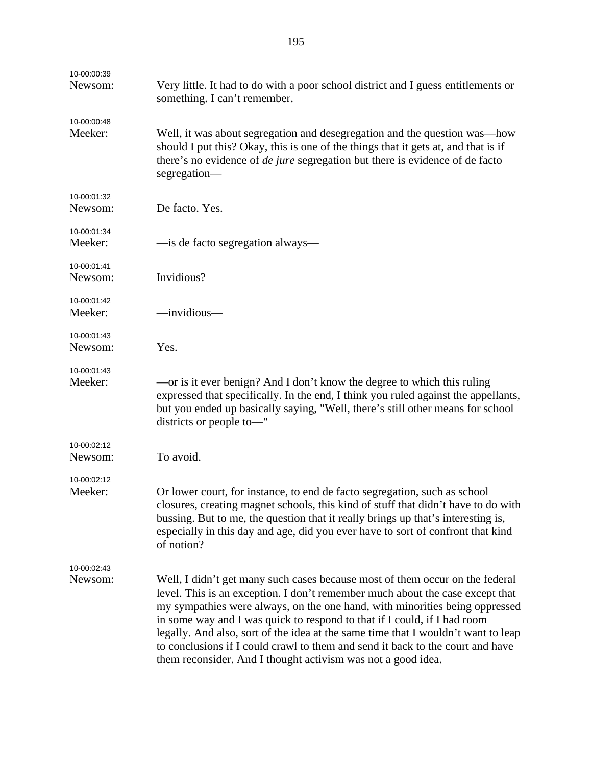| 10-00:00:39<br>Newsom: | Very little. It had to do with a poor school district and I guess entitlements or<br>something. I can't remember.                                                                                                                                                                                                                                                                                                                                                                                                                                               |
|------------------------|-----------------------------------------------------------------------------------------------------------------------------------------------------------------------------------------------------------------------------------------------------------------------------------------------------------------------------------------------------------------------------------------------------------------------------------------------------------------------------------------------------------------------------------------------------------------|
| 10-00:00:48<br>Meeker: | Well, it was about segregation and desegregation and the question was—how<br>should I put this? Okay, this is one of the things that it gets at, and that is if<br>there's no evidence of <i>de jure</i> segregation but there is evidence of de facto<br>segregation-                                                                                                                                                                                                                                                                                          |
| 10-00:01:32<br>Newsom: | De facto. Yes.                                                                                                                                                                                                                                                                                                                                                                                                                                                                                                                                                  |
| 10-00:01:34<br>Meeker: | -is de facto segregation always-                                                                                                                                                                                                                                                                                                                                                                                                                                                                                                                                |
| 10-00:01:41<br>Newsom: | Invidious?                                                                                                                                                                                                                                                                                                                                                                                                                                                                                                                                                      |
| 10-00:01:42<br>Meeker: | $\longrightarrow$ invidious $\longrightarrow$                                                                                                                                                                                                                                                                                                                                                                                                                                                                                                                   |
| 10-00:01:43<br>Newsom: | Yes.                                                                                                                                                                                                                                                                                                                                                                                                                                                                                                                                                            |
| 10-00:01:43<br>Meeker: | —or is it ever benign? And I don't know the degree to which this ruling<br>expressed that specifically. In the end, I think you ruled against the appellants,<br>but you ended up basically saying, "Well, there's still other means for school<br>districts or people to-"                                                                                                                                                                                                                                                                                     |
| 10-00:02:12<br>Newsom: | To avoid.                                                                                                                                                                                                                                                                                                                                                                                                                                                                                                                                                       |
| 10-00:02:12<br>Meeker: | Or lower court, for instance, to end de facto segregation, such as school<br>closures, creating magnet schools, this kind of stuff that didn't have to do with<br>bussing. But to me, the question that it really brings up that's interesting is,<br>especially in this day and age, did you ever have to sort of confront that kind<br>of notion?                                                                                                                                                                                                             |
| 10-00:02:43<br>Newsom: | Well, I didn't get many such cases because most of them occur on the federal<br>level. This is an exception. I don't remember much about the case except that<br>my sympathies were always, on the one hand, with minorities being oppressed<br>in some way and I was quick to respond to that if I could, if I had room<br>legally. And also, sort of the idea at the same time that I wouldn't want to leap<br>to conclusions if I could crawl to them and send it back to the court and have<br>them reconsider. And I thought activism was not a good idea. |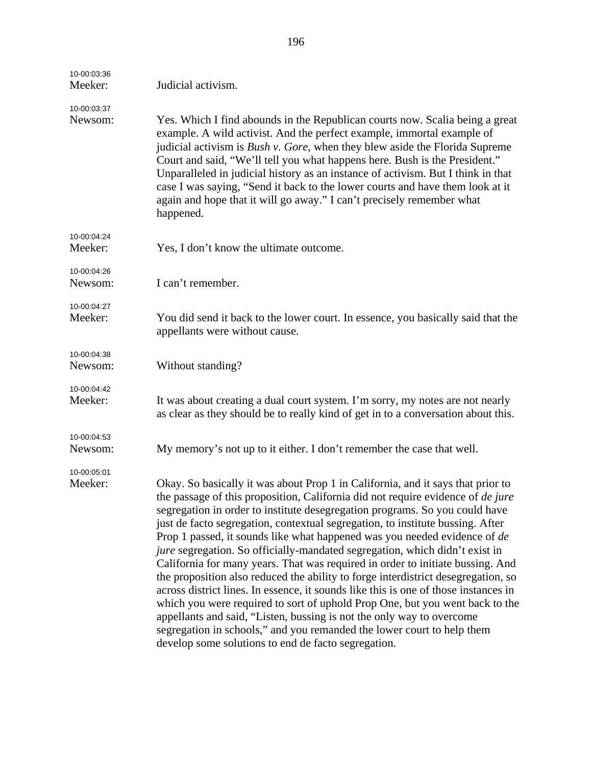| 10-00:03:36<br>Meeker: | Judicial activism.                                                                                                                                                                                                                                                                                                                                                                                                                                                                                                                                                                                                                                                                                                                                                                                                                                                                                                                                                                                                                                      |
|------------------------|---------------------------------------------------------------------------------------------------------------------------------------------------------------------------------------------------------------------------------------------------------------------------------------------------------------------------------------------------------------------------------------------------------------------------------------------------------------------------------------------------------------------------------------------------------------------------------------------------------------------------------------------------------------------------------------------------------------------------------------------------------------------------------------------------------------------------------------------------------------------------------------------------------------------------------------------------------------------------------------------------------------------------------------------------------|
| 10-00:03:37<br>Newsom: | Yes. Which I find abounds in the Republican courts now. Scalia being a great<br>example. A wild activist. And the perfect example, immortal example of<br>judicial activism is <i>Bush v. Gore</i> , when they blew aside the Florida Supreme<br>Court and said, "We'll tell you what happens here. Bush is the President."<br>Unparalleled in judicial history as an instance of activism. But I think in that<br>case I was saying, "Send it back to the lower courts and have them look at it<br>again and hope that it will go away." I can't precisely remember what<br>happened.                                                                                                                                                                                                                                                                                                                                                                                                                                                                  |
| 10-00:04:24<br>Meeker: | Yes, I don't know the ultimate outcome.                                                                                                                                                                                                                                                                                                                                                                                                                                                                                                                                                                                                                                                                                                                                                                                                                                                                                                                                                                                                                 |
| 10-00:04:26<br>Newsom: | I can't remember.                                                                                                                                                                                                                                                                                                                                                                                                                                                                                                                                                                                                                                                                                                                                                                                                                                                                                                                                                                                                                                       |
| 10-00:04:27<br>Meeker: | You did send it back to the lower court. In essence, you basically said that the<br>appellants were without cause.                                                                                                                                                                                                                                                                                                                                                                                                                                                                                                                                                                                                                                                                                                                                                                                                                                                                                                                                      |
| 10-00:04:38<br>Newsom: | Without standing?                                                                                                                                                                                                                                                                                                                                                                                                                                                                                                                                                                                                                                                                                                                                                                                                                                                                                                                                                                                                                                       |
| 10-00:04:42<br>Meeker: | It was about creating a dual court system. I'm sorry, my notes are not nearly<br>as clear as they should be to really kind of get in to a conversation about this.                                                                                                                                                                                                                                                                                                                                                                                                                                                                                                                                                                                                                                                                                                                                                                                                                                                                                      |
| 10-00:04:53<br>Newsom: | My memory's not up to it either. I don't remember the case that well.                                                                                                                                                                                                                                                                                                                                                                                                                                                                                                                                                                                                                                                                                                                                                                                                                                                                                                                                                                                   |
| 10-00:05:01<br>Meeker: | Okay. So basically it was about Prop 1 in California, and it says that prior to<br>the passage of this proposition, California did not require evidence of de jure<br>segregation in order to institute desegregation programs. So you could have<br>just de facto segregation, contextual segregation, to institute bussing. After<br>Prop 1 passed, it sounds like what happened was you needed evidence of de<br>jure segregation. So officially-mandated segregation, which didn't exist in<br>California for many years. That was required in order to initiate bussing. And<br>the proposition also reduced the ability to forge interdistrict desegregation, so<br>across district lines. In essence, it sounds like this is one of those instances in<br>which you were required to sort of uphold Prop One, but you went back to the<br>appellants and said, "Listen, bussing is not the only way to overcome<br>segregation in schools," and you remanded the lower court to help them<br>develop some solutions to end de facto segregation. |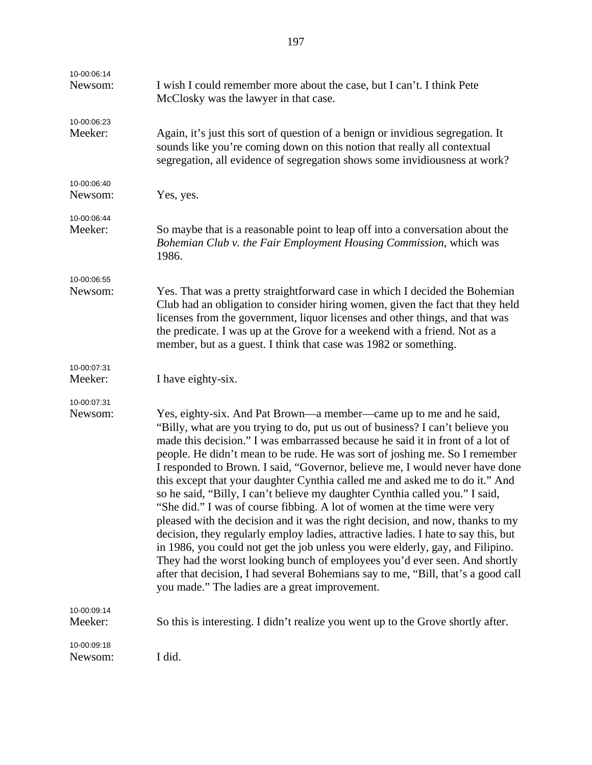| 10-00:06:14<br>Newsom: | I wish I could remember more about the case, but I can't. I think Pete<br>McClosky was the lawyer in that case.                                                                                                                                                                                                                                                                                                                                                                                                                                                                                                                                                                                                                                                                                                                                                                                                                                                                                                                                                                                                                  |
|------------------------|----------------------------------------------------------------------------------------------------------------------------------------------------------------------------------------------------------------------------------------------------------------------------------------------------------------------------------------------------------------------------------------------------------------------------------------------------------------------------------------------------------------------------------------------------------------------------------------------------------------------------------------------------------------------------------------------------------------------------------------------------------------------------------------------------------------------------------------------------------------------------------------------------------------------------------------------------------------------------------------------------------------------------------------------------------------------------------------------------------------------------------|
| 10-00:06:23<br>Meeker: | Again, it's just this sort of question of a benign or invidious segregation. It<br>sounds like you're coming down on this notion that really all contextual<br>segregation, all evidence of segregation shows some invidiousness at work?                                                                                                                                                                                                                                                                                                                                                                                                                                                                                                                                                                                                                                                                                                                                                                                                                                                                                        |
| 10-00:06:40<br>Newsom: | Yes, yes.                                                                                                                                                                                                                                                                                                                                                                                                                                                                                                                                                                                                                                                                                                                                                                                                                                                                                                                                                                                                                                                                                                                        |
| 10-00:06:44<br>Meeker: | So maybe that is a reasonable point to leap off into a conversation about the<br>Bohemian Club v. the Fair Employment Housing Commission, which was<br>1986.                                                                                                                                                                                                                                                                                                                                                                                                                                                                                                                                                                                                                                                                                                                                                                                                                                                                                                                                                                     |
| 10-00:06:55<br>Newsom: | Yes. That was a pretty straightforward case in which I decided the Bohemian<br>Club had an obligation to consider hiring women, given the fact that they held<br>licenses from the government, liquor licenses and other things, and that was<br>the predicate. I was up at the Grove for a weekend with a friend. Not as a<br>member, but as a guest. I think that case was 1982 or something.                                                                                                                                                                                                                                                                                                                                                                                                                                                                                                                                                                                                                                                                                                                                  |
| 10-00:07:31<br>Meeker: | I have eighty-six.                                                                                                                                                                                                                                                                                                                                                                                                                                                                                                                                                                                                                                                                                                                                                                                                                                                                                                                                                                                                                                                                                                               |
| 10-00:07:31<br>Newsom: | Yes, eighty-six. And Pat Brown—a member—came up to me and he said,<br>"Billy, what are you trying to do, put us out of business? I can't believe you<br>made this decision." I was embarrassed because he said it in front of a lot of<br>people. He didn't mean to be rude. He was sort of joshing me. So I remember<br>I responded to Brown. I said, "Governor, believe me, I would never have done<br>this except that your daughter Cynthia called me and asked me to do it." And<br>so he said, "Billy, I can't believe my daughter Cynthia called you." I said,<br>"She did." I was of course fibbing. A lot of women at the time were very<br>pleased with the decision and it was the right decision, and now, thanks to my<br>decision, they regularly employ ladies, attractive ladies. I hate to say this, but<br>in 1986, you could not get the job unless you were elderly, gay, and Filipino.<br>They had the worst looking bunch of employees you'd ever seen. And shortly<br>after that decision, I had several Bohemians say to me, "Bill, that's a good call<br>you made." The ladies are a great improvement. |
| 10-00:09:14<br>Meeker: | So this is interesting. I didn't realize you went up to the Grove shortly after.                                                                                                                                                                                                                                                                                                                                                                                                                                                                                                                                                                                                                                                                                                                                                                                                                                                                                                                                                                                                                                                 |
| 10-00:09:18<br>Newsom: | I did.                                                                                                                                                                                                                                                                                                                                                                                                                                                                                                                                                                                                                                                                                                                                                                                                                                                                                                                                                                                                                                                                                                                           |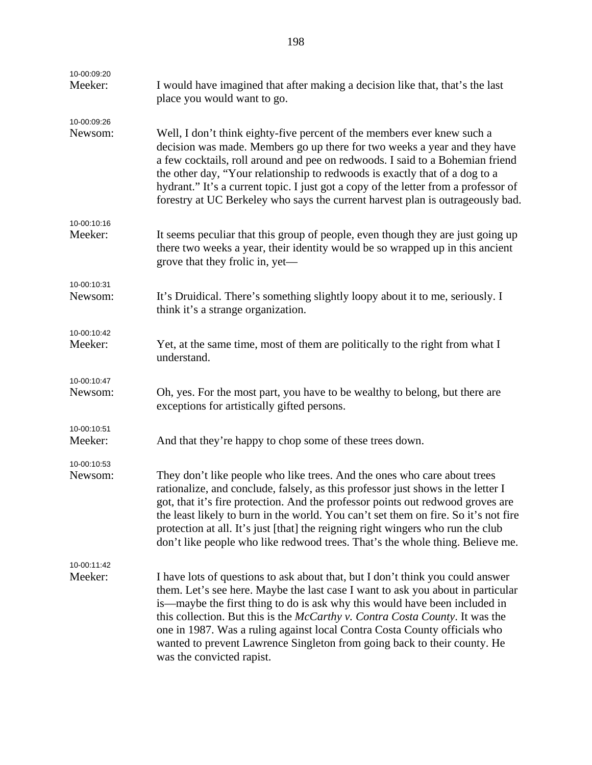| 10-00:09:20<br>Meeker: | I would have imagined that after making a decision like that, that's the last<br>place you would want to go.                                                                                                                                                                                                                                                                                                                                                                                                                  |
|------------------------|-------------------------------------------------------------------------------------------------------------------------------------------------------------------------------------------------------------------------------------------------------------------------------------------------------------------------------------------------------------------------------------------------------------------------------------------------------------------------------------------------------------------------------|
| 10-00:09:26<br>Newsom: | Well, I don't think eighty-five percent of the members ever knew such a<br>decision was made. Members go up there for two weeks a year and they have<br>a few cocktails, roll around and pee on redwoods. I said to a Bohemian friend<br>the other day, "Your relationship to redwoods is exactly that of a dog to a<br>hydrant." It's a current topic. I just got a copy of the letter from a professor of<br>forestry at UC Berkeley who says the current harvest plan is outrageously bad.                                 |
| 10-00:10:16<br>Meeker: | It seems peculiar that this group of people, even though they are just going up<br>there two weeks a year, their identity would be so wrapped up in this ancient                                                                                                                                                                                                                                                                                                                                                              |
| 10-00:10:31<br>Newsom: | grove that they frolic in, yet—<br>It's Druidical. There's something slightly loopy about it to me, seriously. I<br>think it's a strange organization.                                                                                                                                                                                                                                                                                                                                                                        |
| 10-00:10:42<br>Meeker: | Yet, at the same time, most of them are politically to the right from what I<br>understand.                                                                                                                                                                                                                                                                                                                                                                                                                                   |
| 10-00:10:47<br>Newsom: | Oh, yes. For the most part, you have to be wealthy to belong, but there are<br>exceptions for artistically gifted persons.                                                                                                                                                                                                                                                                                                                                                                                                    |
| 10-00:10:51<br>Meeker: | And that they're happy to chop some of these trees down.                                                                                                                                                                                                                                                                                                                                                                                                                                                                      |
| 10-00:10:53<br>Newsom: | They don't like people who like trees. And the ones who care about trees<br>rationalize, and conclude, falsely, as this professor just shows in the letter I<br>got, that it's fire protection. And the professor points out redwood groves are<br>the least likely to burn in the world. You can't set them on fire. So it's not fire<br>protection at all. It's just [that] the reigning right wingers who run the club<br>don't like people who like redwood trees. That's the whole thing. Believe me.                    |
| 10-00:11:42<br>Meeker: | I have lots of questions to ask about that, but I don't think you could answer<br>them. Let's see here. Maybe the last case I want to ask you about in particular<br>is—maybe the first thing to do is ask why this would have been included in<br>this collection. But this is the <i>McCarthy v. Contra Costa County</i> . It was the<br>one in 1987. Was a ruling against local Contra Costa County officials who<br>wanted to prevent Lawrence Singleton from going back to their county. He<br>was the convicted rapist. |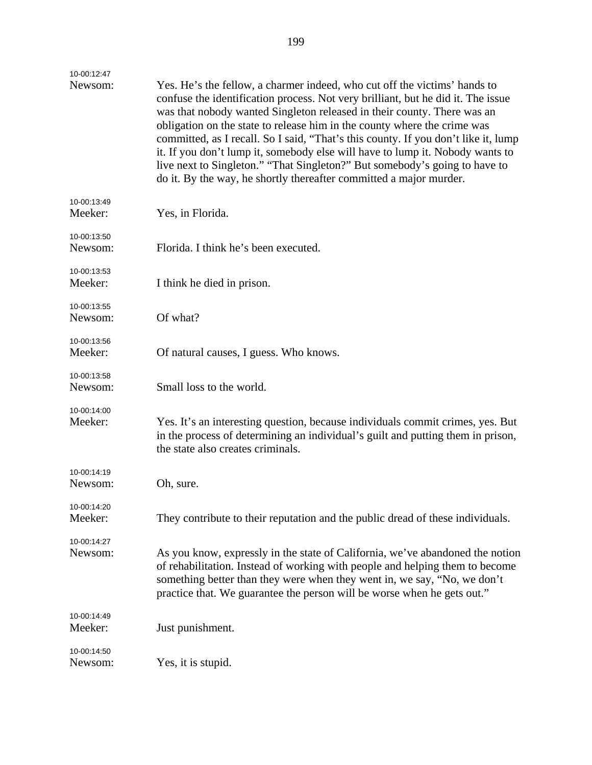| 10-00:12:47            |                                                                                                                                                                                                                                                                                                                                                                                                                                                                                                                                                                                                                                                 |
|------------------------|-------------------------------------------------------------------------------------------------------------------------------------------------------------------------------------------------------------------------------------------------------------------------------------------------------------------------------------------------------------------------------------------------------------------------------------------------------------------------------------------------------------------------------------------------------------------------------------------------------------------------------------------------|
| Newsom:                | Yes. He's the fellow, a charmer indeed, who cut off the victims' hands to<br>confuse the identification process. Not very brilliant, but he did it. The issue<br>was that nobody wanted Singleton released in their county. There was an<br>obligation on the state to release him in the county where the crime was<br>committed, as I recall. So I said, "That's this county. If you don't like it, lump<br>it. If you don't lump it, somebody else will have to lump it. Nobody wants to<br>live next to Singleton." "That Singleton?" But somebody's going to have to<br>do it. By the way, he shortly thereafter committed a major murder. |
| 10-00:13:49<br>Meeker: | Yes, in Florida.                                                                                                                                                                                                                                                                                                                                                                                                                                                                                                                                                                                                                                |
| 10-00:13:50<br>Newsom: | Florida. I think he's been executed.                                                                                                                                                                                                                                                                                                                                                                                                                                                                                                                                                                                                            |
| 10-00:13:53<br>Meeker: | I think he died in prison.                                                                                                                                                                                                                                                                                                                                                                                                                                                                                                                                                                                                                      |
| 10-00:13:55<br>Newsom: | Of what?                                                                                                                                                                                                                                                                                                                                                                                                                                                                                                                                                                                                                                        |
| 10-00:13:56<br>Meeker: | Of natural causes, I guess. Who knows.                                                                                                                                                                                                                                                                                                                                                                                                                                                                                                                                                                                                          |
| 10-00:13:58<br>Newsom: | Small loss to the world.                                                                                                                                                                                                                                                                                                                                                                                                                                                                                                                                                                                                                        |
| 10-00:14:00<br>Meeker: | Yes. It's an interesting question, because individuals commit crimes, yes. But<br>in the process of determining an individual's guilt and putting them in prison,<br>the state also creates criminals.                                                                                                                                                                                                                                                                                                                                                                                                                                          |
| 10-00:14:19<br>Newsom: | Oh, sure.                                                                                                                                                                                                                                                                                                                                                                                                                                                                                                                                                                                                                                       |
| 10-00:14:20<br>Meeker: | They contribute to their reputation and the public dread of these individuals.                                                                                                                                                                                                                                                                                                                                                                                                                                                                                                                                                                  |
| 10-00:14:27<br>Newsom: | As you know, expressly in the state of California, we've abandoned the notion<br>of rehabilitation. Instead of working with people and helping them to become<br>something better than they were when they went in, we say, "No, we don't<br>practice that. We guarantee the person will be worse when he gets out."                                                                                                                                                                                                                                                                                                                            |
| 10-00:14:49<br>Meeker: | Just punishment.                                                                                                                                                                                                                                                                                                                                                                                                                                                                                                                                                                                                                                |
| 10-00:14:50<br>Newsom: | Yes, it is stupid.                                                                                                                                                                                                                                                                                                                                                                                                                                                                                                                                                                                                                              |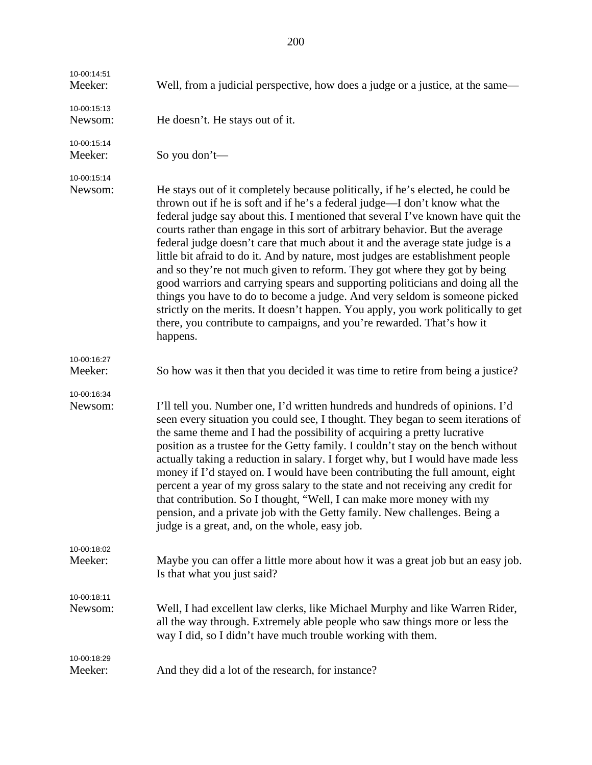| 10-00:14:51<br>Meeker: | Well, from a judicial perspective, how does a judge or a justice, at the same—                                                                                                                                                                                                                                                                                                                                                                                                                                                                                                                                                                                                                                                                                                                                                                                                                                                 |
|------------------------|--------------------------------------------------------------------------------------------------------------------------------------------------------------------------------------------------------------------------------------------------------------------------------------------------------------------------------------------------------------------------------------------------------------------------------------------------------------------------------------------------------------------------------------------------------------------------------------------------------------------------------------------------------------------------------------------------------------------------------------------------------------------------------------------------------------------------------------------------------------------------------------------------------------------------------|
| 10-00:15:13<br>Newsom: | He doesn't. He stays out of it.                                                                                                                                                                                                                                                                                                                                                                                                                                                                                                                                                                                                                                                                                                                                                                                                                                                                                                |
| 10-00:15:14<br>Meeker: | So you don't—                                                                                                                                                                                                                                                                                                                                                                                                                                                                                                                                                                                                                                                                                                                                                                                                                                                                                                                  |
| 10-00:15:14<br>Newsom: | He stays out of it completely because politically, if he's elected, he could be<br>thrown out if he is soft and if he's a federal judge—I don't know what the<br>federal judge say about this. I mentioned that several I've known have quit the<br>courts rather than engage in this sort of arbitrary behavior. But the average<br>federal judge doesn't care that much about it and the average state judge is a<br>little bit afraid to do it. And by nature, most judges are establishment people<br>and so they're not much given to reform. They got where they got by being<br>good warriors and carrying spears and supporting politicians and doing all the<br>things you have to do to become a judge. And very seldom is someone picked<br>strictly on the merits. It doesn't happen. You apply, you work politically to get<br>there, you contribute to campaigns, and you're rewarded. That's how it<br>happens. |
| 10-00:16:27<br>Meeker: | So how was it then that you decided it was time to retire from being a justice?                                                                                                                                                                                                                                                                                                                                                                                                                                                                                                                                                                                                                                                                                                                                                                                                                                                |
| 10-00:16:34<br>Newsom: | I'll tell you. Number one, I'd written hundreds and hundreds of opinions. I'd<br>seen every situation you could see, I thought. They began to seem iterations of<br>the same theme and I had the possibility of acquiring a pretty lucrative<br>position as a trustee for the Getty family. I couldn't stay on the bench without<br>actually taking a reduction in salary. I forget why, but I would have made less<br>money if I'd stayed on. I would have been contributing the full amount, eight<br>percent a year of my gross salary to the state and not receiving any credit for<br>that contribution. So I thought, "Well, I can make more money with my<br>pension, and a private job with the Getty family. New challenges. Being a<br>judge is a great, and, on the whole, easy job.                                                                                                                                |
| 10-00:18:02<br>Meeker: | Maybe you can offer a little more about how it was a great job but an easy job.<br>Is that what you just said?                                                                                                                                                                                                                                                                                                                                                                                                                                                                                                                                                                                                                                                                                                                                                                                                                 |
| 10-00:18:11<br>Newsom: | Well, I had excellent law clerks, like Michael Murphy and like Warren Rider,<br>all the way through. Extremely able people who saw things more or less the<br>way I did, so I didn't have much trouble working with them.                                                                                                                                                                                                                                                                                                                                                                                                                                                                                                                                                                                                                                                                                                      |
| 10-00:18:29<br>Meeker: | And they did a lot of the research, for instance?                                                                                                                                                                                                                                                                                                                                                                                                                                                                                                                                                                                                                                                                                                                                                                                                                                                                              |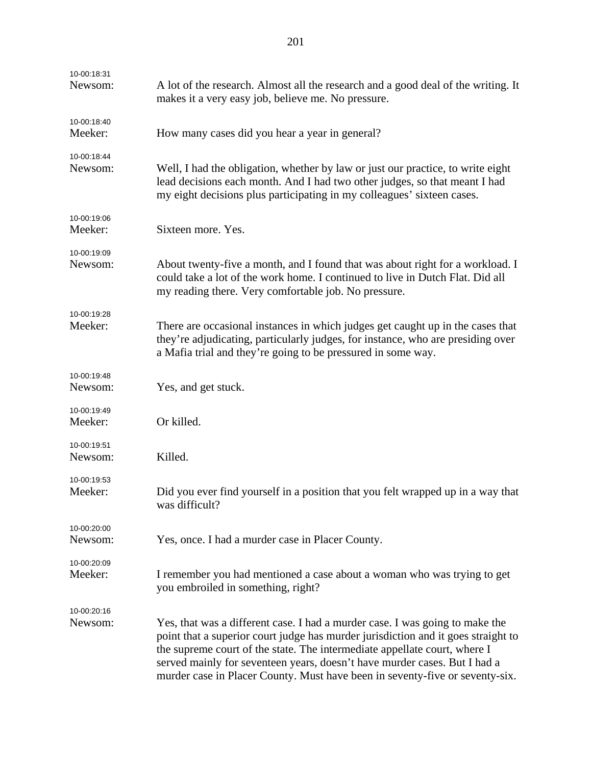| 10-00:18:31<br>Newsom: | A lot of the research. Almost all the research and a good deal of the writing. It<br>makes it a very easy job, believe me. No pressure.                                                                                                                                                                                                                                                                     |
|------------------------|-------------------------------------------------------------------------------------------------------------------------------------------------------------------------------------------------------------------------------------------------------------------------------------------------------------------------------------------------------------------------------------------------------------|
| 10-00:18:40<br>Meeker: | How many cases did you hear a year in general?                                                                                                                                                                                                                                                                                                                                                              |
| 10-00:18:44<br>Newsom: | Well, I had the obligation, whether by law or just our practice, to write eight<br>lead decisions each month. And I had two other judges, so that meant I had<br>my eight decisions plus participating in my colleagues' sixteen cases.                                                                                                                                                                     |
| 10-00:19:06<br>Meeker: | Sixteen more. Yes.                                                                                                                                                                                                                                                                                                                                                                                          |
| 10-00:19:09<br>Newsom: | About twenty-five a month, and I found that was about right for a workload. I<br>could take a lot of the work home. I continued to live in Dutch Flat. Did all<br>my reading there. Very comfortable job. No pressure.                                                                                                                                                                                      |
| 10-00:19:28<br>Meeker: | There are occasional instances in which judges get caught up in the cases that<br>they're adjudicating, particularly judges, for instance, who are presiding over<br>a Mafia trial and they're going to be pressured in some way.                                                                                                                                                                           |
| 10-00:19:48<br>Newsom: | Yes, and get stuck.                                                                                                                                                                                                                                                                                                                                                                                         |
| 10-00:19:49<br>Meeker: | Or killed.                                                                                                                                                                                                                                                                                                                                                                                                  |
| 10-00:19:51<br>Newsom: | Killed.                                                                                                                                                                                                                                                                                                                                                                                                     |
| 10-00:19:53<br>Meeker: | Did you ever find yourself in a position that you felt wrapped up in a way that<br>was difficult?                                                                                                                                                                                                                                                                                                           |
| 10-00:20:00<br>Newsom: | Yes, once. I had a murder case in Placer County.                                                                                                                                                                                                                                                                                                                                                            |
| 10-00:20:09<br>Meeker: | I remember you had mentioned a case about a woman who was trying to get<br>you embroiled in something, right?                                                                                                                                                                                                                                                                                               |
| 10-00:20:16<br>Newsom: | Yes, that was a different case. I had a murder case. I was going to make the<br>point that a superior court judge has murder jurisdiction and it goes straight to<br>the supreme court of the state. The intermediate appellate court, where I<br>served mainly for seventeen years, doesn't have murder cases. But I had a<br>murder case in Placer County. Must have been in seventy-five or seventy-six. |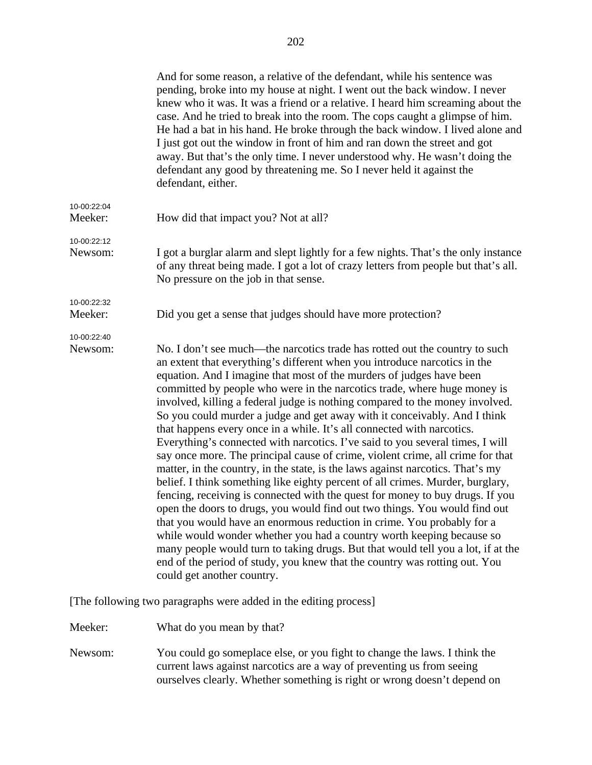|                        | And for some reason, a relative of the defendant, while his sentence was<br>pending, broke into my house at night. I went out the back window. I never<br>knew who it was. It was a friend or a relative. I heard him screaming about the<br>case. And he tried to break into the room. The cops caught a glimpse of him.<br>He had a bat in his hand. He broke through the back window. I lived alone and<br>I just got out the window in front of him and ran down the street and got<br>away. But that's the only time. I never understood why. He wasn't doing the<br>defendant any good by threatening me. So I never held it against the<br>defendant, either.                                                                                                                                                                                                                                                                                                                                                                                                                                                                                                                                                                                                                                                                                                                                         |
|------------------------|--------------------------------------------------------------------------------------------------------------------------------------------------------------------------------------------------------------------------------------------------------------------------------------------------------------------------------------------------------------------------------------------------------------------------------------------------------------------------------------------------------------------------------------------------------------------------------------------------------------------------------------------------------------------------------------------------------------------------------------------------------------------------------------------------------------------------------------------------------------------------------------------------------------------------------------------------------------------------------------------------------------------------------------------------------------------------------------------------------------------------------------------------------------------------------------------------------------------------------------------------------------------------------------------------------------------------------------------------------------------------------------------------------------|
| 10-00:22:04            |                                                                                                                                                                                                                                                                                                                                                                                                                                                                                                                                                                                                                                                                                                                                                                                                                                                                                                                                                                                                                                                                                                                                                                                                                                                                                                                                                                                                              |
| Meeker:                | How did that impact you? Not at all?                                                                                                                                                                                                                                                                                                                                                                                                                                                                                                                                                                                                                                                                                                                                                                                                                                                                                                                                                                                                                                                                                                                                                                                                                                                                                                                                                                         |
| 10-00:22:12<br>Newsom: | I got a burglar alarm and slept lightly for a few nights. That's the only instance<br>of any threat being made. I got a lot of crazy letters from people but that's all.<br>No pressure on the job in that sense.                                                                                                                                                                                                                                                                                                                                                                                                                                                                                                                                                                                                                                                                                                                                                                                                                                                                                                                                                                                                                                                                                                                                                                                            |
| 10-00:22:32<br>Meeker: | Did you get a sense that judges should have more protection?                                                                                                                                                                                                                                                                                                                                                                                                                                                                                                                                                                                                                                                                                                                                                                                                                                                                                                                                                                                                                                                                                                                                                                                                                                                                                                                                                 |
| 10-00:22:40<br>Newsom: | No. I don't see much—the narcotics trade has rotted out the country to such<br>an extent that everything's different when you introduce narcotics in the<br>equation. And I imagine that most of the murders of judges have been<br>committed by people who were in the narcotics trade, where huge money is<br>involved, killing a federal judge is nothing compared to the money involved.<br>So you could murder a judge and get away with it conceivably. And I think<br>that happens every once in a while. It's all connected with narcotics.<br>Everything's connected with narcotics. I've said to you several times, I will<br>say once more. The principal cause of crime, violent crime, all crime for that<br>matter, in the country, in the state, is the laws against narcotics. That's my<br>belief. I think something like eighty percent of all crimes. Murder, burglary,<br>fencing, receiving is connected with the quest for money to buy drugs. If you<br>open the doors to drugs, you would find out two things. You would find out<br>that you would have an enormous reduction in crime. You probably for a<br>while would wonder whether you had a country worth keeping because so<br>many people would turn to taking drugs. But that would tell you a lot, if at the<br>end of the period of study, you knew that the country was rotting out. You<br>could get another country. |
|                        | وموجبون واستفتادها والفارسة المواليات وسمردد وعالو                                                                                                                                                                                                                                                                                                                                                                                                                                                                                                                                                                                                                                                                                                                                                                                                                                                                                                                                                                                                                                                                                                                                                                                                                                                                                                                                                           |

[The following two paragraphs were added in the editing process]

Meeker: What do you mean by that?

Newsom: You could go someplace else, or you fight to change the laws. I think the current laws against narcotics are a way of preventing us from seeing ourselves clearly. Whether something is right or wrong doesn't depend on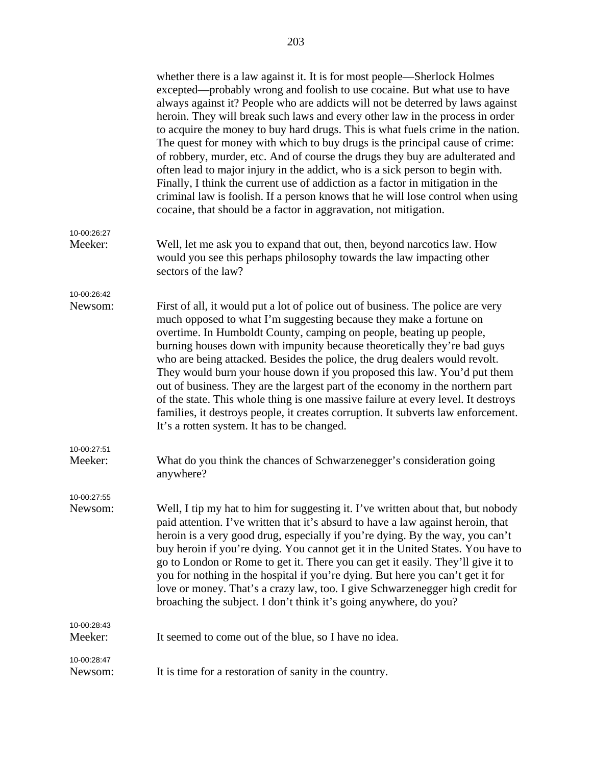|                        | whether there is a law against it. It is for most people—Sherlock Holmes<br>excepted—probably wrong and foolish to use cocaine. But what use to have<br>always against it? People who are addicts will not be deterred by laws against<br>heroin. They will break such laws and every other law in the process in order<br>to acquire the money to buy hard drugs. This is what fuels crime in the nation.<br>The quest for money with which to buy drugs is the principal cause of crime:<br>of robbery, murder, etc. And of course the drugs they buy are adulterated and<br>often lead to major injury in the addict, who is a sick person to begin with.<br>Finally, I think the current use of addiction as a factor in mitigation in the<br>criminal law is foolish. If a person knows that he will lose control when using<br>cocaine, that should be a factor in aggravation, not mitigation. |
|------------------------|-------------------------------------------------------------------------------------------------------------------------------------------------------------------------------------------------------------------------------------------------------------------------------------------------------------------------------------------------------------------------------------------------------------------------------------------------------------------------------------------------------------------------------------------------------------------------------------------------------------------------------------------------------------------------------------------------------------------------------------------------------------------------------------------------------------------------------------------------------------------------------------------------------|
| 10-00:26:27<br>Meeker: | Well, let me ask you to expand that out, then, beyond narcotics law. How<br>would you see this perhaps philosophy towards the law impacting other<br>sectors of the law?                                                                                                                                                                                                                                                                                                                                                                                                                                                                                                                                                                                                                                                                                                                              |
| 10-00:26:42<br>Newsom: | First of all, it would put a lot of police out of business. The police are very<br>much opposed to what I'm suggesting because they make a fortune on<br>overtime. In Humboldt County, camping on people, beating up people,<br>burning houses down with impunity because theoretically they're bad guys<br>who are being attacked. Besides the police, the drug dealers would revolt.<br>They would burn your house down if you proposed this law. You'd put them<br>out of business. They are the largest part of the economy in the northern part<br>of the state. This whole thing is one massive failure at every level. It destroys<br>families, it destroys people, it creates corruption. It subverts law enforcement.<br>It's a rotten system. It has to be changed.                                                                                                                         |
| 10-00:27:51<br>Meeker: | What do you think the chances of Schwarzenegger's consideration going<br>anywhere?                                                                                                                                                                                                                                                                                                                                                                                                                                                                                                                                                                                                                                                                                                                                                                                                                    |
| 10-00:27:55<br>Newsom: | Well, I tip my hat to him for suggesting it. I've written about that, but nobody<br>paid attention. I've written that it's absurd to have a law against heroin, that<br>heroin is a very good drug, especially if you're dying. By the way, you can't<br>buy heroin if you're dying. You cannot get it in the United States. You have to<br>go to London or Rome to get it. There you can get it easily. They'll give it to<br>you for nothing in the hospital if you're dying. But here you can't get it for<br>love or money. That's a crazy law, too. I give Schwarzenegger high credit for<br>broaching the subject. I don't think it's going anywhere, do you?                                                                                                                                                                                                                                   |
| 10-00:28:43<br>Meeker: | It seemed to come out of the blue, so I have no idea.                                                                                                                                                                                                                                                                                                                                                                                                                                                                                                                                                                                                                                                                                                                                                                                                                                                 |
| 10-00:28:47<br>Newsom: | It is time for a restoration of sanity in the country.                                                                                                                                                                                                                                                                                                                                                                                                                                                                                                                                                                                                                                                                                                                                                                                                                                                |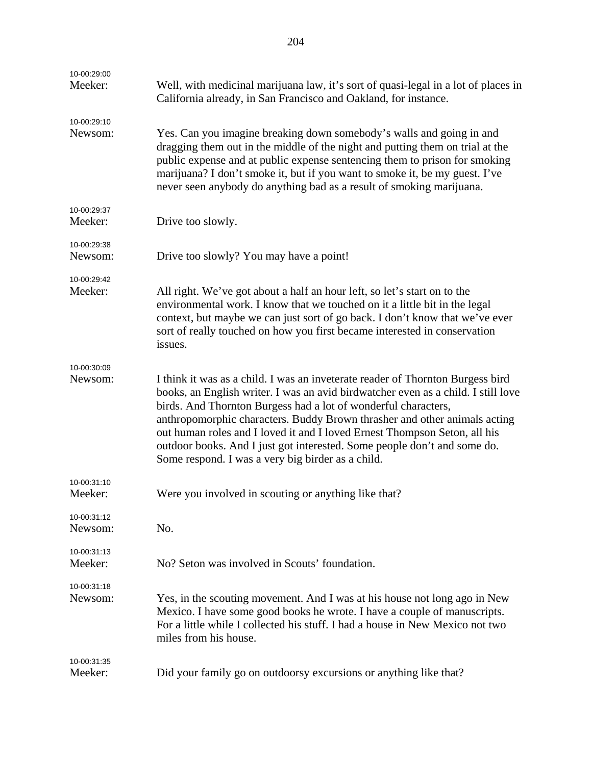| 10-00:29:00<br>Meeker: | Well, with medicinal marijuana law, it's sort of quasi-legal in a lot of places in<br>California already, in San Francisco and Oakland, for instance.                                                                                                                                                                                                                                                                                                                                                                            |
|------------------------|----------------------------------------------------------------------------------------------------------------------------------------------------------------------------------------------------------------------------------------------------------------------------------------------------------------------------------------------------------------------------------------------------------------------------------------------------------------------------------------------------------------------------------|
| 10-00:29:10<br>Newsom: | Yes. Can you imagine breaking down somebody's walls and going in and<br>dragging them out in the middle of the night and putting them on trial at the<br>public expense and at public expense sentencing them to prison for smoking<br>marijuana? I don't smoke it, but if you want to smoke it, be my guest. I've<br>never seen anybody do anything bad as a result of smoking marijuana.                                                                                                                                       |
| 10-00:29:37<br>Meeker: | Drive too slowly.                                                                                                                                                                                                                                                                                                                                                                                                                                                                                                                |
| 10-00:29:38<br>Newsom: | Drive too slowly? You may have a point!                                                                                                                                                                                                                                                                                                                                                                                                                                                                                          |
| 10-00:29:42<br>Meeker: | All right. We've got about a half an hour left, so let's start on to the<br>environmental work. I know that we touched on it a little bit in the legal<br>context, but maybe we can just sort of go back. I don't know that we've ever<br>sort of really touched on how you first became interested in conservation<br>issues.                                                                                                                                                                                                   |
| 10-00:30:09<br>Newsom: | I think it was as a child. I was an inveterate reader of Thornton Burgess bird<br>books, an English writer. I was an avid birdwatcher even as a child. I still love<br>birds. And Thornton Burgess had a lot of wonderful characters,<br>anthropomorphic characters. Buddy Brown thrasher and other animals acting<br>out human roles and I loved it and I loved Ernest Thompson Seton, all his<br>outdoor books. And I just got interested. Some people don't and some do.<br>Some respond. I was a very big birder as a child. |
| 10-00:31:10<br>Meeker: | Were you involved in scouting or anything like that?                                                                                                                                                                                                                                                                                                                                                                                                                                                                             |
| 10-00:31:12<br>Newsom: | No.                                                                                                                                                                                                                                                                                                                                                                                                                                                                                                                              |
| 10-00:31:13<br>Meeker: | No? Seton was involved in Scouts' foundation.                                                                                                                                                                                                                                                                                                                                                                                                                                                                                    |
| 10-00:31:18<br>Newsom: | Yes, in the scouting movement. And I was at his house not long ago in New<br>Mexico. I have some good books he wrote. I have a couple of manuscripts.<br>For a little while I collected his stuff. I had a house in New Mexico not two<br>miles from his house.                                                                                                                                                                                                                                                                  |
| 10-00:31:35<br>Meeker: | Did your family go on outdoorsy excursions or anything like that?                                                                                                                                                                                                                                                                                                                                                                                                                                                                |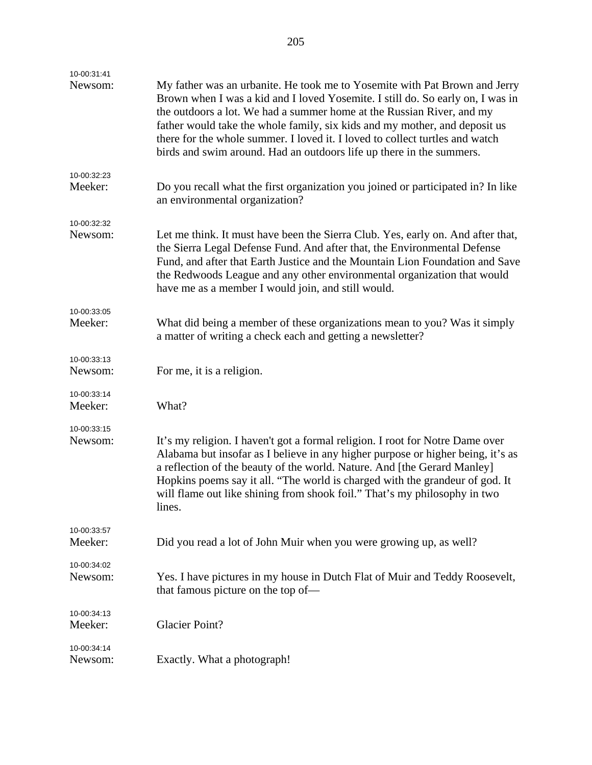| 10-00:31:41<br>Newsom: | My father was an urbanite. He took me to Yosemite with Pat Brown and Jerry<br>Brown when I was a kid and I loved Yosemite. I still do. So early on, I was in<br>the outdoors a lot. We had a summer home at the Russian River, and my<br>father would take the whole family, six kids and my mother, and deposit us<br>there for the whole summer. I loved it. I loved to collect turtles and watch<br>birds and swim around. Had an outdoors life up there in the summers. |
|------------------------|-----------------------------------------------------------------------------------------------------------------------------------------------------------------------------------------------------------------------------------------------------------------------------------------------------------------------------------------------------------------------------------------------------------------------------------------------------------------------------|
| 10-00:32:23<br>Meeker: | Do you recall what the first organization you joined or participated in? In like<br>an environmental organization?                                                                                                                                                                                                                                                                                                                                                          |
| 10-00:32:32<br>Newsom: | Let me think. It must have been the Sierra Club. Yes, early on. And after that,<br>the Sierra Legal Defense Fund. And after that, the Environmental Defense<br>Fund, and after that Earth Justice and the Mountain Lion Foundation and Save<br>the Redwoods League and any other environmental organization that would<br>have me as a member I would join, and still would.                                                                                                |
| 10-00:33:05<br>Meeker: | What did being a member of these organizations mean to you? Was it simply<br>a matter of writing a check each and getting a newsletter?                                                                                                                                                                                                                                                                                                                                     |
| 10-00:33:13<br>Newsom: | For me, it is a religion.                                                                                                                                                                                                                                                                                                                                                                                                                                                   |
| 10-00:33:14<br>Meeker: | What?                                                                                                                                                                                                                                                                                                                                                                                                                                                                       |
| 10-00:33:15<br>Newsom: | It's my religion. I haven't got a formal religion. I root for Notre Dame over<br>Alabama but insofar as I believe in any higher purpose or higher being, it's as<br>a reflection of the beauty of the world. Nature. And [the Gerard Manley]<br>Hopkins poems say it all. "The world is charged with the grandeur of god. It<br>will flame out like shining from shook foil." That's my philosophy in two<br>lines.                                                         |
| 10-00:33:57<br>Meeker: | Did you read a lot of John Muir when you were growing up, as well?                                                                                                                                                                                                                                                                                                                                                                                                          |
| 10-00:34:02<br>Newsom: | Yes. I have pictures in my house in Dutch Flat of Muir and Teddy Roosevelt,<br>that famous picture on the top of—                                                                                                                                                                                                                                                                                                                                                           |
| 10-00:34:13<br>Meeker: | <b>Glacier Point?</b>                                                                                                                                                                                                                                                                                                                                                                                                                                                       |
| 10-00:34:14<br>Newsom: | Exactly. What a photograph!                                                                                                                                                                                                                                                                                                                                                                                                                                                 |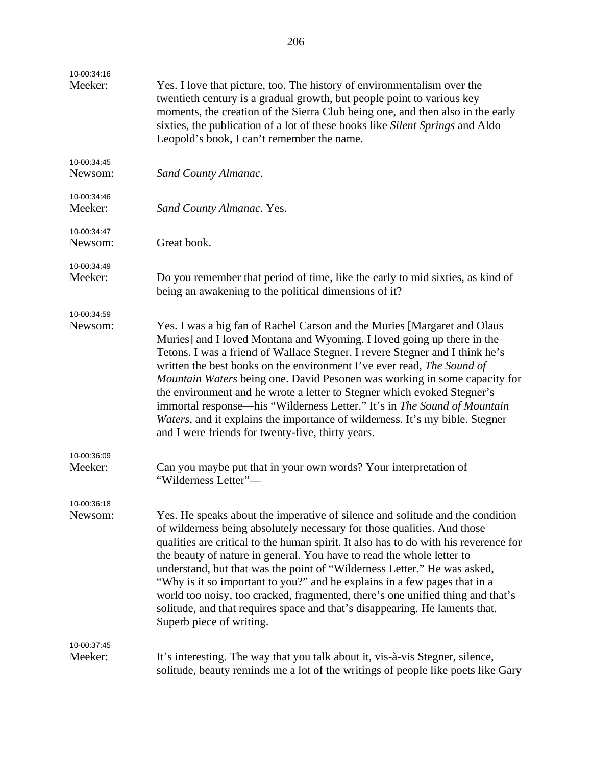| 10-00:34:16            |                                                                                                                                                                                                                                                                                                                                                                                                                                                                                                                                                                                                                                                                                       |
|------------------------|---------------------------------------------------------------------------------------------------------------------------------------------------------------------------------------------------------------------------------------------------------------------------------------------------------------------------------------------------------------------------------------------------------------------------------------------------------------------------------------------------------------------------------------------------------------------------------------------------------------------------------------------------------------------------------------|
| Meeker:                | Yes. I love that picture, too. The history of environmentalism over the<br>twentieth century is a gradual growth, but people point to various key<br>moments, the creation of the Sierra Club being one, and then also in the early<br>sixties, the publication of a lot of these books like Silent Springs and Aldo<br>Leopold's book, I can't remember the name.                                                                                                                                                                                                                                                                                                                    |
| 10-00:34:45<br>Newsom: | Sand County Almanac.                                                                                                                                                                                                                                                                                                                                                                                                                                                                                                                                                                                                                                                                  |
| 10-00:34:46<br>Meeker: | Sand County Almanac. Yes.                                                                                                                                                                                                                                                                                                                                                                                                                                                                                                                                                                                                                                                             |
| 10-00:34:47<br>Newsom: | Great book.                                                                                                                                                                                                                                                                                                                                                                                                                                                                                                                                                                                                                                                                           |
| 10-00:34:49<br>Meeker: | Do you remember that period of time, like the early to mid sixties, as kind of<br>being an awakening to the political dimensions of it?                                                                                                                                                                                                                                                                                                                                                                                                                                                                                                                                               |
| 10-00:34:59<br>Newsom: | Yes. I was a big fan of Rachel Carson and the Muries [Margaret and Olaus<br>Muries] and I loved Montana and Wyoming. I loved going up there in the<br>Tetons. I was a friend of Wallace Stegner. I revere Stegner and I think he's<br>written the best books on the environment I've ever read, The Sound of<br>Mountain Waters being one. David Pesonen was working in some capacity for<br>the environment and he wrote a letter to Stegner which evoked Stegner's<br>immortal response—his "Wilderness Letter." It's in The Sound of Mountain<br>Waters, and it explains the importance of wilderness. It's my bible. Stegner<br>and I were friends for twenty-five, thirty years. |
| 10-00:36:09<br>Meeker: | Can you maybe put that in your own words? Your interpretation of<br>"Wilderness Letter"-                                                                                                                                                                                                                                                                                                                                                                                                                                                                                                                                                                                              |
| 10-00:36:18<br>Newsom: | Yes. He speaks about the imperative of silence and solitude and the condition<br>of wilderness being absolutely necessary for those qualities. And those<br>qualities are critical to the human spirit. It also has to do with his reverence for<br>the beauty of nature in general. You have to read the whole letter to<br>understand, but that was the point of "Wilderness Letter." He was asked,<br>"Why is it so important to you?" and he explains in a few pages that in a<br>world too noisy, too cracked, fragmented, there's one unified thing and that's<br>solitude, and that requires space and that's disappearing. He laments that.<br>Superb piece of writing.       |
| 10-00:37:45<br>Meeker: | It's interesting. The way that you talk about it, vis-à-vis Stegner, silence,                                                                                                                                                                                                                                                                                                                                                                                                                                                                                                                                                                                                         |
|                        | solitude, beauty reminds me a lot of the writings of people like poets like Gary                                                                                                                                                                                                                                                                                                                                                                                                                                                                                                                                                                                                      |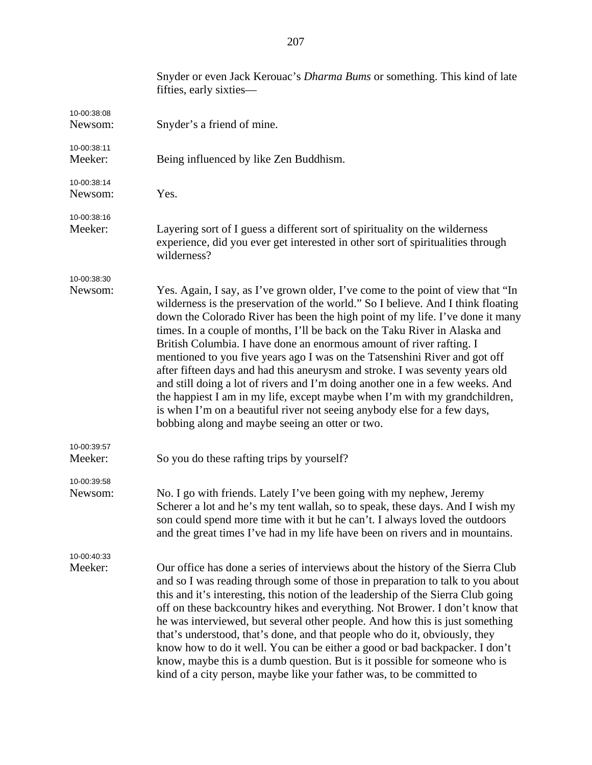|                        | Snyder or even Jack Kerouac's Dharma Bums or something. This kind of late<br>fifties, early sixties—                                                                                                                                                                                                                                                                                                                                                                                                                                                                                                                                                                                                                                                                                                                                                                   |
|------------------------|------------------------------------------------------------------------------------------------------------------------------------------------------------------------------------------------------------------------------------------------------------------------------------------------------------------------------------------------------------------------------------------------------------------------------------------------------------------------------------------------------------------------------------------------------------------------------------------------------------------------------------------------------------------------------------------------------------------------------------------------------------------------------------------------------------------------------------------------------------------------|
| 10-00:38:08<br>Newsom: | Snyder's a friend of mine.                                                                                                                                                                                                                                                                                                                                                                                                                                                                                                                                                                                                                                                                                                                                                                                                                                             |
| 10-00:38:11<br>Meeker: | Being influenced by like Zen Buddhism.                                                                                                                                                                                                                                                                                                                                                                                                                                                                                                                                                                                                                                                                                                                                                                                                                                 |
| 10-00:38:14<br>Newsom: | Yes.                                                                                                                                                                                                                                                                                                                                                                                                                                                                                                                                                                                                                                                                                                                                                                                                                                                                   |
| 10-00:38:16<br>Meeker: | Layering sort of I guess a different sort of spirituality on the wilderness<br>experience, did you ever get interested in other sort of spiritualities through<br>wilderness?                                                                                                                                                                                                                                                                                                                                                                                                                                                                                                                                                                                                                                                                                          |
| 10-00:38:30<br>Newsom: | Yes. Again, I say, as I've grown older, I've come to the point of view that "In<br>wilderness is the preservation of the world." So I believe. And I think floating<br>down the Colorado River has been the high point of my life. I've done it many<br>times. In a couple of months, I'll be back on the Taku River in Alaska and<br>British Columbia. I have done an enormous amount of river rafting. I<br>mentioned to you five years ago I was on the Tatsenshini River and got off<br>after fifteen days and had this aneurysm and stroke. I was seventy years old<br>and still doing a lot of rivers and I'm doing another one in a few weeks. And<br>the happiest I am in my life, except maybe when I'm with my grandchildren,<br>is when I'm on a beautiful river not seeing anybody else for a few days,<br>bobbing along and maybe seeing an otter or two. |
| 10-00:39:57<br>Meeker: | So you do these rafting trips by yourself?                                                                                                                                                                                                                                                                                                                                                                                                                                                                                                                                                                                                                                                                                                                                                                                                                             |
| 10-00:39:58<br>Newsom: | No. I go with friends. Lately I've been going with my nephew, Jeremy<br>Scherer a lot and he's my tent wallah, so to speak, these days. And I wish my<br>son could spend more time with it but he can't. I always loved the outdoors<br>and the great times I've had in my life have been on rivers and in mountains.                                                                                                                                                                                                                                                                                                                                                                                                                                                                                                                                                  |
| 10-00:40:33<br>Meeker: | Our office has done a series of interviews about the history of the Sierra Club<br>and so I was reading through some of those in preparation to talk to you about<br>this and it's interesting, this notion of the leadership of the Sierra Club going<br>off on these backcountry hikes and everything. Not Brower. I don't know that<br>he was interviewed, but several other people. And how this is just something<br>that's understood, that's done, and that people who do it, obviously, they<br>know how to do it well. You can be either a good or bad backpacker. I don't<br>know, maybe this is a dumb question. But is it possible for someone who is<br>kind of a city person, maybe like your father was, to be committed to                                                                                                                             |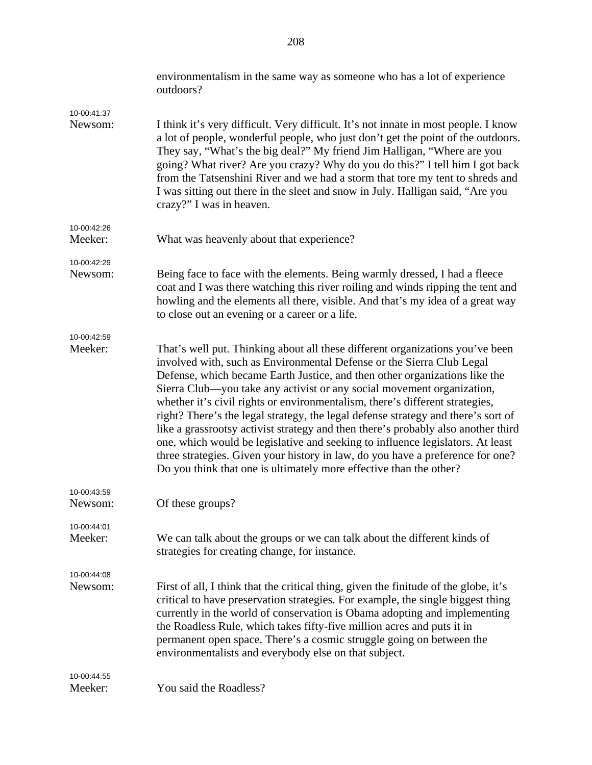|                        | environmentalism in the same way as someone who has a lot of experience<br>outdoors?                                                                                                                                                                                                                                                                                                                                                                                                                                                                                                                                                                                                                                                                                                                               |
|------------------------|--------------------------------------------------------------------------------------------------------------------------------------------------------------------------------------------------------------------------------------------------------------------------------------------------------------------------------------------------------------------------------------------------------------------------------------------------------------------------------------------------------------------------------------------------------------------------------------------------------------------------------------------------------------------------------------------------------------------------------------------------------------------------------------------------------------------|
| 10-00:41:37<br>Newsom: | I think it's very difficult. Very difficult. It's not innate in most people. I know<br>a lot of people, wonderful people, who just don't get the point of the outdoors.<br>They say, "What's the big deal?" My friend Jim Halligan, "Where are you<br>going? What river? Are you crazy? Why do you do this?" I tell him I got back<br>from the Tatsenshini River and we had a storm that tore my tent to shreds and<br>I was sitting out there in the sleet and snow in July. Halligan said, "Are you<br>crazy?" I was in heaven.                                                                                                                                                                                                                                                                                  |
| 10-00:42:26<br>Meeker: | What was heavenly about that experience?                                                                                                                                                                                                                                                                                                                                                                                                                                                                                                                                                                                                                                                                                                                                                                           |
| 10-00:42:29<br>Newsom: | Being face to face with the elements. Being warmly dressed, I had a fleece<br>coat and I was there watching this river roiling and winds ripping the tent and<br>howling and the elements all there, visible. And that's my idea of a great way<br>to close out an evening or a career or a life.                                                                                                                                                                                                                                                                                                                                                                                                                                                                                                                  |
| 10-00:42:59<br>Meeker: | That's well put. Thinking about all these different organizations you've been<br>involved with, such as Environmental Defense or the Sierra Club Legal<br>Defense, which became Earth Justice, and then other organizations like the<br>Sierra Club—you take any activist or any social movement organization,<br>whether it's civil rights or environmentalism, there's different strategies,<br>right? There's the legal strategy, the legal defense strategy and there's sort of<br>like a grassrootsy activist strategy and then there's probably also another third<br>one, which would be legislative and seeking to influence legislators. At least<br>three strategies. Given your history in law, do you have a preference for one?<br>Do you think that one is ultimately more effective than the other? |
| 10-00:43:59<br>Newsom: | Of these groups?                                                                                                                                                                                                                                                                                                                                                                                                                                                                                                                                                                                                                                                                                                                                                                                                   |
| 10-00:44:01<br>Meeker: | We can talk about the groups or we can talk about the different kinds of<br>strategies for creating change, for instance.                                                                                                                                                                                                                                                                                                                                                                                                                                                                                                                                                                                                                                                                                          |
| 10-00:44:08<br>Newsom: | First of all, I think that the critical thing, given the finitude of the globe, it's<br>critical to have preservation strategies. For example, the single biggest thing<br>currently in the world of conservation is Obama adopting and implementing<br>the Roadless Rule, which takes fifty-five million acres and puts it in<br>permanent open space. There's a cosmic struggle going on between the<br>environmentalists and everybody else on that subject.                                                                                                                                                                                                                                                                                                                                                    |
| 10-00:44:55<br>Meeker: | You said the Roadless?                                                                                                                                                                                                                                                                                                                                                                                                                                                                                                                                                                                                                                                                                                                                                                                             |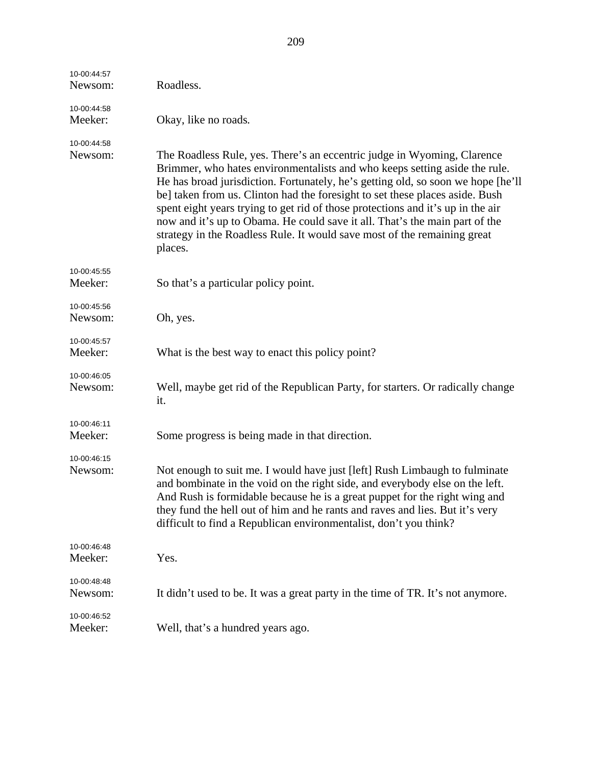| 10-00:44:57<br>Newsom: | Roadless.                                                                                                                                                                                                                                                                                                                                                                                                                                                                                                                                                                          |
|------------------------|------------------------------------------------------------------------------------------------------------------------------------------------------------------------------------------------------------------------------------------------------------------------------------------------------------------------------------------------------------------------------------------------------------------------------------------------------------------------------------------------------------------------------------------------------------------------------------|
| 10-00:44:58<br>Meeker: | Okay, like no roads.                                                                                                                                                                                                                                                                                                                                                                                                                                                                                                                                                               |
| 10-00:44:58<br>Newsom: | The Roadless Rule, yes. There's an eccentric judge in Wyoming, Clarence<br>Brimmer, who hates environmentalists and who keeps setting aside the rule.<br>He has broad jurisdiction. Fortunately, he's getting old, so soon we hope [he'll<br>be] taken from us. Clinton had the foresight to set these places aside. Bush<br>spent eight years trying to get rid of those protections and it's up in the air<br>now and it's up to Obama. He could save it all. That's the main part of the<br>strategy in the Roadless Rule. It would save most of the remaining great<br>places. |
| 10-00:45:55<br>Meeker: | So that's a particular policy point.                                                                                                                                                                                                                                                                                                                                                                                                                                                                                                                                               |
| 10-00:45:56<br>Newsom: | Oh, yes.                                                                                                                                                                                                                                                                                                                                                                                                                                                                                                                                                                           |
| 10-00:45:57<br>Meeker: | What is the best way to enact this policy point?                                                                                                                                                                                                                                                                                                                                                                                                                                                                                                                                   |
| 10-00:46:05<br>Newsom: | Well, maybe get rid of the Republican Party, for starters. Or radically change<br>it.                                                                                                                                                                                                                                                                                                                                                                                                                                                                                              |
| 10-00:46:11<br>Meeker: | Some progress is being made in that direction.                                                                                                                                                                                                                                                                                                                                                                                                                                                                                                                                     |
| 10-00:46:15<br>Newsom: | Not enough to suit me. I would have just [left] Rush Limbaugh to fulminate<br>and bombinate in the void on the right side, and everybody else on the left.<br>And Rush is formidable because he is a great puppet for the right wing and<br>they fund the hell out of him and he rants and raves and lies. But it's very<br>difficult to find a Republican environmentalist, don't you think?                                                                                                                                                                                      |
| 10-00:46:48<br>Meeker: | Yes.                                                                                                                                                                                                                                                                                                                                                                                                                                                                                                                                                                               |
| 10-00:48:48<br>Newsom: | It didn't used to be. It was a great party in the time of TR. It's not anymore.                                                                                                                                                                                                                                                                                                                                                                                                                                                                                                    |
| 10-00:46:52<br>Meeker: | Well, that's a hundred years ago.                                                                                                                                                                                                                                                                                                                                                                                                                                                                                                                                                  |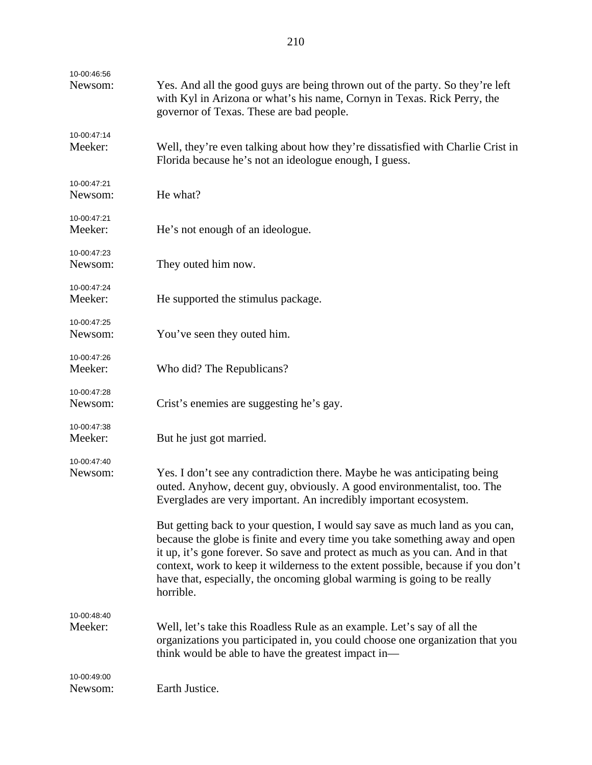| 10-00:46:56<br>Newsom: | Yes. And all the good guys are being thrown out of the party. So they're left<br>with Kyl in Arizona or what's his name, Cornyn in Texas. Rick Perry, the<br>governor of Texas. These are bad people.                                                                                                                                                                                                                     |
|------------------------|---------------------------------------------------------------------------------------------------------------------------------------------------------------------------------------------------------------------------------------------------------------------------------------------------------------------------------------------------------------------------------------------------------------------------|
| 10-00:47:14<br>Meeker: | Well, they're even talking about how they're dissatisfied with Charlie Crist in<br>Florida because he's not an ideologue enough, I guess.                                                                                                                                                                                                                                                                                 |
| 10-00:47:21<br>Newsom: | He what?                                                                                                                                                                                                                                                                                                                                                                                                                  |
| 10-00:47:21<br>Meeker: | He's not enough of an ideologue.                                                                                                                                                                                                                                                                                                                                                                                          |
| 10-00:47:23<br>Newsom: | They outed him now.                                                                                                                                                                                                                                                                                                                                                                                                       |
| 10-00:47:24<br>Meeker: | He supported the stimulus package.                                                                                                                                                                                                                                                                                                                                                                                        |
| 10-00:47:25<br>Newsom: | You've seen they outed him.                                                                                                                                                                                                                                                                                                                                                                                               |
| 10-00:47:26<br>Meeker: | Who did? The Republicans?                                                                                                                                                                                                                                                                                                                                                                                                 |
| 10-00:47:28<br>Newsom: | Crist's enemies are suggesting he's gay.                                                                                                                                                                                                                                                                                                                                                                                  |
| 10-00:47:38<br>Meeker: | But he just got married.                                                                                                                                                                                                                                                                                                                                                                                                  |
| 10-00:47:40<br>Newsom: | Yes. I don't see any contradiction there. Maybe he was anticipating being<br>outed. Anyhow, decent guy, obviously. A good environmentalist, too. The<br>Everglades are very important. An incredibly important ecosystem.                                                                                                                                                                                                 |
|                        | But getting back to your question, I would say save as much land as you can,<br>because the globe is finite and every time you take something away and open<br>it up, it's gone forever. So save and protect as much as you can. And in that<br>context, work to keep it wilderness to the extent possible, because if you don't<br>have that, especially, the oncoming global warming is going to be really<br>horrible. |
| 10-00:48:40<br>Meeker: | Well, let's take this Roadless Rule as an example. Let's say of all the<br>organizations you participated in, you could choose one organization that you<br>think would be able to have the greatest impact in—                                                                                                                                                                                                           |
| 10-00:49:00<br>Newsom: | Earth Justice.                                                                                                                                                                                                                                                                                                                                                                                                            |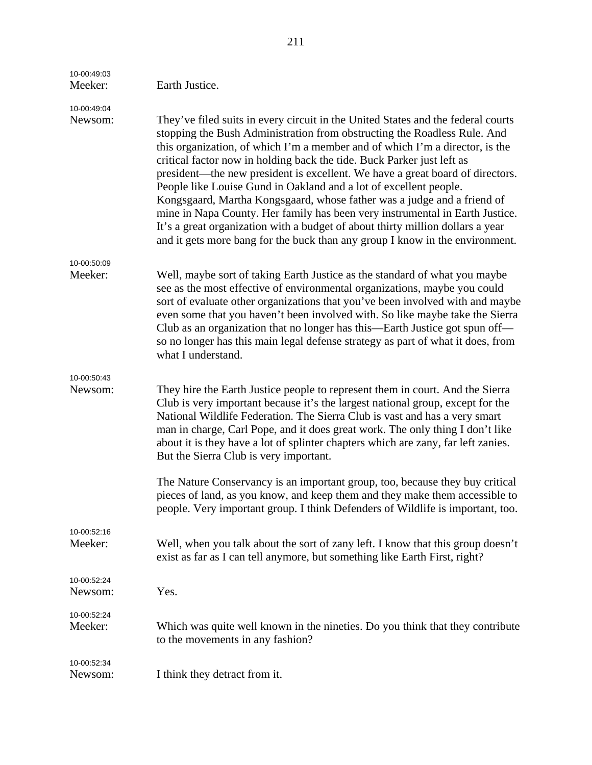| 10-00:49:03<br>Meeker: | Earth Justice.                                                                                                                                                                                                                                                                                                                                                                                                                                                                                                                                                                                                                                                                                                                                                                                            |
|------------------------|-----------------------------------------------------------------------------------------------------------------------------------------------------------------------------------------------------------------------------------------------------------------------------------------------------------------------------------------------------------------------------------------------------------------------------------------------------------------------------------------------------------------------------------------------------------------------------------------------------------------------------------------------------------------------------------------------------------------------------------------------------------------------------------------------------------|
| 10-00:49:04<br>Newsom: | They've filed suits in every circuit in the United States and the federal courts<br>stopping the Bush Administration from obstructing the Roadless Rule. And<br>this organization, of which I'm a member and of which I'm a director, is the<br>critical factor now in holding back the tide. Buck Parker just left as<br>president—the new president is excellent. We have a great board of directors.<br>People like Louise Gund in Oakland and a lot of excellent people.<br>Kongsgaard, Martha Kongsgaard, whose father was a judge and a friend of<br>mine in Napa County. Her family has been very instrumental in Earth Justice.<br>It's a great organization with a budget of about thirty million dollars a year<br>and it gets more bang for the buck than any group I know in the environment. |
| 10-00:50:09<br>Meeker: | Well, maybe sort of taking Earth Justice as the standard of what you maybe<br>see as the most effective of environmental organizations, maybe you could<br>sort of evaluate other organizations that you've been involved with and maybe<br>even some that you haven't been involved with. So like maybe take the Sierra<br>Club as an organization that no longer has this—Earth Justice got spun off—<br>so no longer has this main legal defense strategy as part of what it does, from<br>what I understand.                                                                                                                                                                                                                                                                                          |
| 10-00:50:43<br>Newsom: | They hire the Earth Justice people to represent them in court. And the Sierra<br>Club is very important because it's the largest national group, except for the<br>National Wildlife Federation. The Sierra Club is vast and has a very smart<br>man in charge, Carl Pope, and it does great work. The only thing I don't like<br>about it is they have a lot of splinter chapters which are zany, far left zanies.<br>But the Sierra Club is very important.<br>The Nature Conservancy is an important group, too, because they buy critical<br>pieces of land, as you know, and keep them and they make them accessible to                                                                                                                                                                              |
| 10-00:52:16<br>Meeker: | people. Very important group. I think Defenders of Wildlife is important, too.<br>Well, when you talk about the sort of zany left. I know that this group doesn't<br>exist as far as I can tell anymore, but something like Earth First, right?                                                                                                                                                                                                                                                                                                                                                                                                                                                                                                                                                           |
| 10-00:52:24<br>Newsom: | Yes.                                                                                                                                                                                                                                                                                                                                                                                                                                                                                                                                                                                                                                                                                                                                                                                                      |
| 10-00:52:24<br>Meeker: | Which was quite well known in the nineties. Do you think that they contribute<br>to the movements in any fashion?                                                                                                                                                                                                                                                                                                                                                                                                                                                                                                                                                                                                                                                                                         |
| 10-00:52:34<br>Newsom: | I think they detract from it.                                                                                                                                                                                                                                                                                                                                                                                                                                                                                                                                                                                                                                                                                                                                                                             |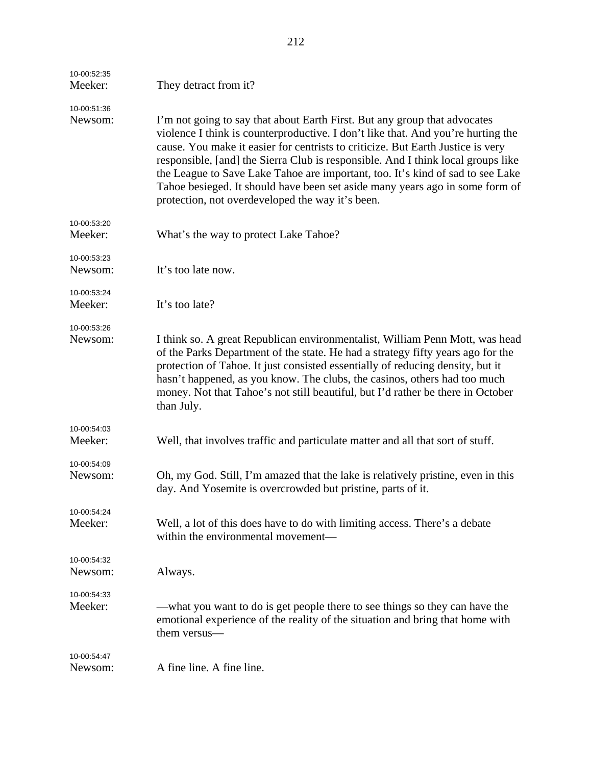| 10-00:52:35<br>Meeker: | They detract from it?                                                                                                                                                                                                                                                                                                                                                                                                                                                                                                                                      |
|------------------------|------------------------------------------------------------------------------------------------------------------------------------------------------------------------------------------------------------------------------------------------------------------------------------------------------------------------------------------------------------------------------------------------------------------------------------------------------------------------------------------------------------------------------------------------------------|
| 10-00:51:36<br>Newsom: | I'm not going to say that about Earth First. But any group that advocates<br>violence I think is counterproductive. I don't like that. And you're hurting the<br>cause. You make it easier for centrists to criticize. But Earth Justice is very<br>responsible, [and] the Sierra Club is responsible. And I think local groups like<br>the League to Save Lake Tahoe are important, too. It's kind of sad to see Lake<br>Tahoe besieged. It should have been set aside many years ago in some form of<br>protection, not overdeveloped the way it's been. |
| 10-00:53:20<br>Meeker: | What's the way to protect Lake Tahoe?                                                                                                                                                                                                                                                                                                                                                                                                                                                                                                                      |
| 10-00:53:23<br>Newsom: | It's too late now.                                                                                                                                                                                                                                                                                                                                                                                                                                                                                                                                         |
| 10-00:53:24<br>Meeker: | It's too late?                                                                                                                                                                                                                                                                                                                                                                                                                                                                                                                                             |
| 10-00:53:26<br>Newsom: | I think so. A great Republican environmentalist, William Penn Mott, was head<br>of the Parks Department of the state. He had a strategy fifty years ago for the<br>protection of Tahoe. It just consisted essentially of reducing density, but it<br>hasn't happened, as you know. The clubs, the casinos, others had too much<br>money. Not that Tahoe's not still beautiful, but I'd rather be there in October<br>than July.                                                                                                                            |
| 10-00:54:03<br>Meeker: | Well, that involves traffic and particulate matter and all that sort of stuff.                                                                                                                                                                                                                                                                                                                                                                                                                                                                             |
| 10-00:54:09<br>Newsom: | Oh, my God. Still, I'm amazed that the lake is relatively pristine, even in this<br>day. And Yosemite is overcrowded but pristine, parts of it.                                                                                                                                                                                                                                                                                                                                                                                                            |
| 10-00:54:24<br>Meeker: | Well, a lot of this does have to do with limiting access. There's a debate<br>within the environmental movement-                                                                                                                                                                                                                                                                                                                                                                                                                                           |
| 10-00:54:32<br>Newsom: | Always.                                                                                                                                                                                                                                                                                                                                                                                                                                                                                                                                                    |
| 10-00:54:33<br>Meeker: | —what you want to do is get people there to see things so they can have the<br>emotional experience of the reality of the situation and bring that home with<br>them versus-                                                                                                                                                                                                                                                                                                                                                                               |
| 10-00:54:47<br>Newsom: | A fine line. A fine line.                                                                                                                                                                                                                                                                                                                                                                                                                                                                                                                                  |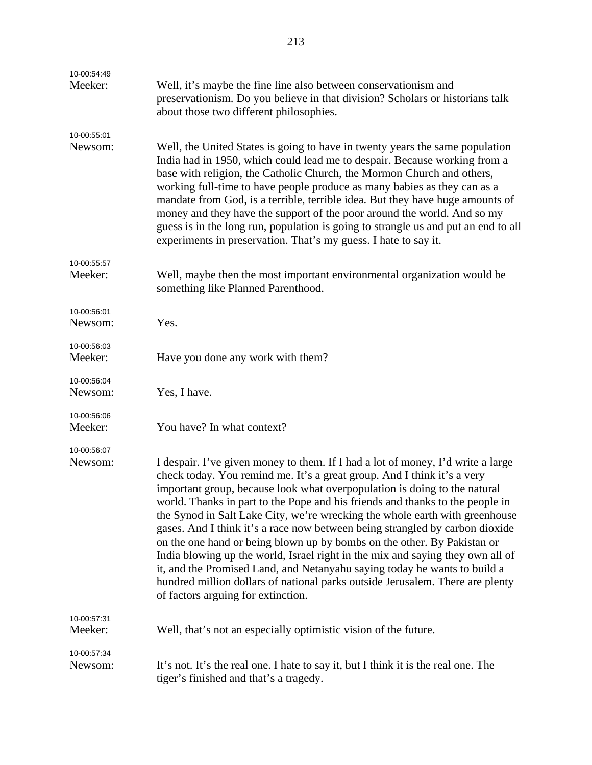| 10-00:54:49<br>Meeker: | Well, it's maybe the fine line also between conservationism and<br>preservationism. Do you believe in that division? Scholars or historians talk<br>about those two different philosophies.                                                                                                                                                                                                                                                                                                                                                                                                                                                                                                                                                                                                                                                              |
|------------------------|----------------------------------------------------------------------------------------------------------------------------------------------------------------------------------------------------------------------------------------------------------------------------------------------------------------------------------------------------------------------------------------------------------------------------------------------------------------------------------------------------------------------------------------------------------------------------------------------------------------------------------------------------------------------------------------------------------------------------------------------------------------------------------------------------------------------------------------------------------|
| 10-00:55:01<br>Newsom: | Well, the United States is going to have in twenty years the same population<br>India had in 1950, which could lead me to despair. Because working from a<br>base with religion, the Catholic Church, the Mormon Church and others,<br>working full-time to have people produce as many babies as they can as a<br>mandate from God, is a terrible, terrible idea. But they have huge amounts of<br>money and they have the support of the poor around the world. And so my<br>guess is in the long run, population is going to strangle us and put an end to all<br>experiments in preservation. That's my guess. I hate to say it.                                                                                                                                                                                                                     |
| 10-00:55:57<br>Meeker: | Well, maybe then the most important environmental organization would be<br>something like Planned Parenthood.                                                                                                                                                                                                                                                                                                                                                                                                                                                                                                                                                                                                                                                                                                                                            |
| 10-00:56:01<br>Newsom: | Yes.                                                                                                                                                                                                                                                                                                                                                                                                                                                                                                                                                                                                                                                                                                                                                                                                                                                     |
| 10-00:56:03<br>Meeker: | Have you done any work with them?                                                                                                                                                                                                                                                                                                                                                                                                                                                                                                                                                                                                                                                                                                                                                                                                                        |
| 10-00:56:04<br>Newsom: | Yes, I have.                                                                                                                                                                                                                                                                                                                                                                                                                                                                                                                                                                                                                                                                                                                                                                                                                                             |
| 10-00:56:06<br>Meeker: | You have? In what context?                                                                                                                                                                                                                                                                                                                                                                                                                                                                                                                                                                                                                                                                                                                                                                                                                               |
| 10-00:56:07<br>Newsom: | I despair. I've given money to them. If I had a lot of money, I'd write a large<br>check today. You remind me. It's a great group. And I think it's a very<br>important group, because look what overpopulation is doing to the natural<br>world. Thanks in part to the Pope and his friends and thanks to the people in<br>the Synod in Salt Lake City, we're wrecking the whole earth with greenhouse<br>gases. And I think it's a race now between being strangled by carbon dioxide<br>on the one hand or being blown up by bombs on the other. By Pakistan or<br>India blowing up the world, Israel right in the mix and saying they own all of<br>it, and the Promised Land, and Netanyahu saying today he wants to build a<br>hundred million dollars of national parks outside Jerusalem. There are plenty<br>of factors arguing for extinction. |
| 10-00:57:31<br>Meeker: | Well, that's not an especially optimistic vision of the future.                                                                                                                                                                                                                                                                                                                                                                                                                                                                                                                                                                                                                                                                                                                                                                                          |
| 10-00:57:34<br>Newsom: | It's not. It's the real one. I hate to say it, but I think it is the real one. The<br>tiger's finished and that's a tragedy.                                                                                                                                                                                                                                                                                                                                                                                                                                                                                                                                                                                                                                                                                                                             |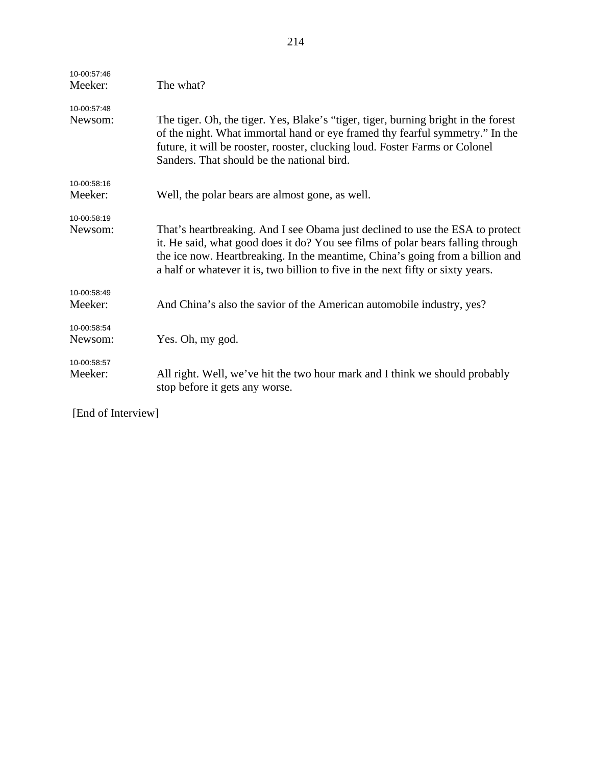| 10-00:57:46<br>Meeker: | The what?                                                                                                                                                                                                                                                                                                                            |
|------------------------|--------------------------------------------------------------------------------------------------------------------------------------------------------------------------------------------------------------------------------------------------------------------------------------------------------------------------------------|
| 10-00:57:48<br>Newsom: | The tiger. Oh, the tiger. Yes, Blake's "tiger, tiger, burning bright in the forest<br>of the night. What immortal hand or eye framed thy fearful symmetry." In the<br>future, it will be rooster, rooster, clucking loud. Foster Farms or Colonel<br>Sanders. That should be the national bird.                                      |
| 10-00:58:16            |                                                                                                                                                                                                                                                                                                                                      |
| Meeker:                | Well, the polar bears are almost gone, as well.                                                                                                                                                                                                                                                                                      |
| 10-00:58:19            |                                                                                                                                                                                                                                                                                                                                      |
| Newsom:                | That's heartbreaking. And I see Obama just declined to use the ESA to protect<br>it. He said, what good does it do? You see films of polar bears falling through<br>the ice now. Heartbreaking. In the meantime, China's going from a billion and<br>a half or whatever it is, two billion to five in the next fifty or sixty years. |
| 10-00:58:49            |                                                                                                                                                                                                                                                                                                                                      |
| Meeker:                | And China's also the savior of the American automobile industry, yes?                                                                                                                                                                                                                                                                |
| 10-00:58:54            |                                                                                                                                                                                                                                                                                                                                      |
| Newsom:                | Yes. Oh, my god.                                                                                                                                                                                                                                                                                                                     |
| 10-00:58:57            |                                                                                                                                                                                                                                                                                                                                      |
| Meeker:                | All right. Well, we've hit the two hour mark and I think we should probably<br>stop before it gets any worse.                                                                                                                                                                                                                        |
|                        |                                                                                                                                                                                                                                                                                                                                      |

[End of Interview]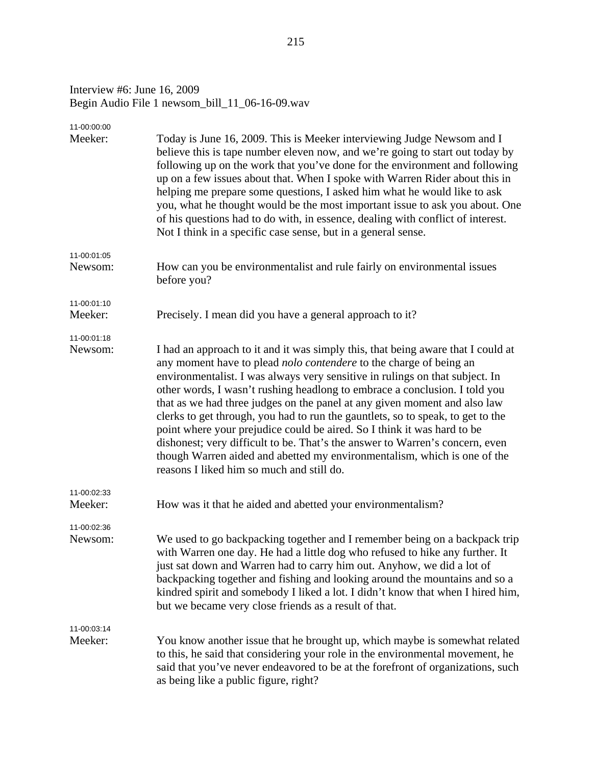Interview #6: June 16, 2009 Begin Audio File 1 newsom\_bill\_11\_06-16-09.wav

| 11-00:00:00            |                                                                                                                                                                                                                                                                                                                                                                                                                                                                                                                                                                                                                                                                                                                                                                          |
|------------------------|--------------------------------------------------------------------------------------------------------------------------------------------------------------------------------------------------------------------------------------------------------------------------------------------------------------------------------------------------------------------------------------------------------------------------------------------------------------------------------------------------------------------------------------------------------------------------------------------------------------------------------------------------------------------------------------------------------------------------------------------------------------------------|
| Meeker:                | Today is June 16, 2009. This is Meeker interviewing Judge Newsom and I<br>believe this is tape number eleven now, and we're going to start out today by<br>following up on the work that you've done for the environment and following<br>up on a few issues about that. When I spoke with Warren Rider about this in<br>helping me prepare some questions, I asked him what he would like to ask<br>you, what he thought would be the most important issue to ask you about. One<br>of his questions had to do with, in essence, dealing with conflict of interest.<br>Not I think in a specific case sense, but in a general sense.                                                                                                                                    |
| 11-00:01:05<br>Newsom: | How can you be environmentalist and rule fairly on environmental issues<br>before you?                                                                                                                                                                                                                                                                                                                                                                                                                                                                                                                                                                                                                                                                                   |
| 11-00:01:10<br>Meeker: | Precisely. I mean did you have a general approach to it?                                                                                                                                                                                                                                                                                                                                                                                                                                                                                                                                                                                                                                                                                                                 |
| 11-00:01:18<br>Newsom: | I had an approach to it and it was simply this, that being aware that I could at<br>any moment have to plead nolo contendere to the charge of being an<br>environmentalist. I was always very sensitive in rulings on that subject. In<br>other words, I wasn't rushing headlong to embrace a conclusion. I told you<br>that as we had three judges on the panel at any given moment and also law<br>clerks to get through, you had to run the gauntlets, so to speak, to get to the<br>point where your prejudice could be aired. So I think it was hard to be<br>dishonest; very difficult to be. That's the answer to Warren's concern, even<br>though Warren aided and abetted my environmentalism, which is one of the<br>reasons I liked him so much and still do. |
| 11-00:02:33<br>Meeker: | How was it that he aided and abetted your environmentalism?                                                                                                                                                                                                                                                                                                                                                                                                                                                                                                                                                                                                                                                                                                              |
| 11-00:02:36<br>Newsom: | We used to go backpacking together and I remember being on a backpack trip<br>with Warren one day. He had a little dog who refused to hike any further. It<br>just sat down and Warren had to carry him out. Anyhow, we did a lot of<br>backpacking together and fishing and looking around the mountains and so a<br>kindred spirit and somebody I liked a lot. I didn't know that when I hired him,<br>but we became very close friends as a result of that.                                                                                                                                                                                                                                                                                                           |
| 11-00:03:14<br>Meeker: | You know another issue that he brought up, which maybe is somewhat related<br>to this, he said that considering your role in the environmental movement, he<br>said that you've never endeavored to be at the forefront of organizations, such<br>as being like a public figure, right?                                                                                                                                                                                                                                                                                                                                                                                                                                                                                  |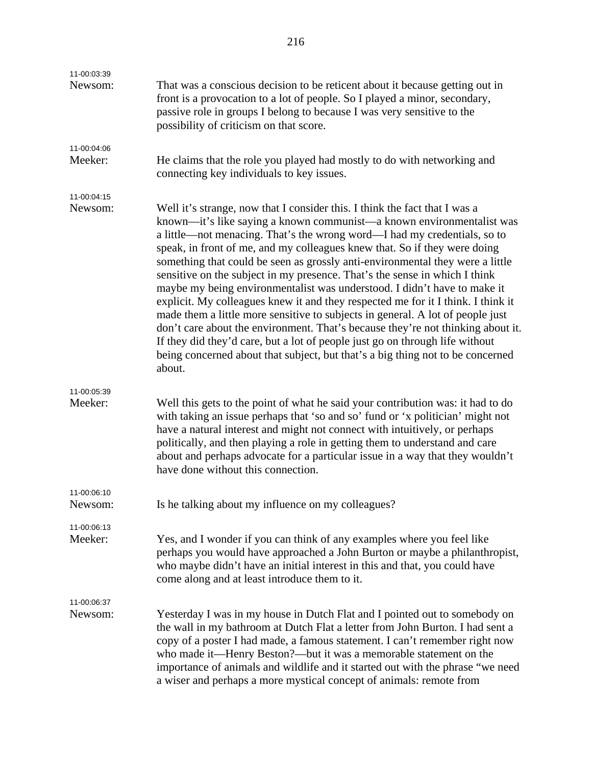| 11-00:03:39            |                                                                                                                                                                                                                                                                                                                                                                                                                                                                                                                                                                                                                                                                                                                                                                                                                                                                                                                                                                                                |
|------------------------|------------------------------------------------------------------------------------------------------------------------------------------------------------------------------------------------------------------------------------------------------------------------------------------------------------------------------------------------------------------------------------------------------------------------------------------------------------------------------------------------------------------------------------------------------------------------------------------------------------------------------------------------------------------------------------------------------------------------------------------------------------------------------------------------------------------------------------------------------------------------------------------------------------------------------------------------------------------------------------------------|
| Newsom:                | That was a conscious decision to be reticent about it because getting out in<br>front is a provocation to a lot of people. So I played a minor, secondary,<br>passive role in groups I belong to because I was very sensitive to the<br>possibility of criticism on that score.                                                                                                                                                                                                                                                                                                                                                                                                                                                                                                                                                                                                                                                                                                                |
| 11-00:04:06<br>Meeker: | He claims that the role you played had mostly to do with networking and<br>connecting key individuals to key issues.                                                                                                                                                                                                                                                                                                                                                                                                                                                                                                                                                                                                                                                                                                                                                                                                                                                                           |
| 11-00:04:15            |                                                                                                                                                                                                                                                                                                                                                                                                                                                                                                                                                                                                                                                                                                                                                                                                                                                                                                                                                                                                |
| Newsom:                | Well it's strange, now that I consider this. I think the fact that I was a<br>known—it's like saying a known communist—a known environmentalist was<br>a little--not menacing. That's the wrong word--I had my credentials, so to<br>speak, in front of me, and my colleagues knew that. So if they were doing<br>something that could be seen as grossly anti-environmental they were a little<br>sensitive on the subject in my presence. That's the sense in which I think<br>maybe my being environmentalist was understood. I didn't have to make it<br>explicit. My colleagues knew it and they respected me for it I think. I think it<br>made them a little more sensitive to subjects in general. A lot of people just<br>don't care about the environment. That's because they're not thinking about it.<br>If they did they'd care, but a lot of people just go on through life without<br>being concerned about that subject, but that's a big thing not to be concerned<br>about. |
| 11-00:05:39<br>Meeker: | Well this gets to the point of what he said your contribution was: it had to do<br>with taking an issue perhaps that 'so and so' fund or 'x politician' might not<br>have a natural interest and might not connect with intuitively, or perhaps<br>politically, and then playing a role in getting them to understand and care<br>about and perhaps advocate for a particular issue in a way that they wouldn't<br>have done without this connection.                                                                                                                                                                                                                                                                                                                                                                                                                                                                                                                                          |
| 11-00:06:10<br>Newsom: | Is he talking about my influence on my colleagues?                                                                                                                                                                                                                                                                                                                                                                                                                                                                                                                                                                                                                                                                                                                                                                                                                                                                                                                                             |
| 11-00:06:13<br>Meeker: | Yes, and I wonder if you can think of any examples where you feel like<br>perhaps you would have approached a John Burton or maybe a philanthropist,<br>who maybe didn't have an initial interest in this and that, you could have<br>come along and at least introduce them to it.                                                                                                                                                                                                                                                                                                                                                                                                                                                                                                                                                                                                                                                                                                            |
| 11-00:06:37<br>Newsom: | Yesterday I was in my house in Dutch Flat and I pointed out to somebody on<br>the wall in my bathroom at Dutch Flat a letter from John Burton. I had sent a<br>copy of a poster I had made, a famous statement. I can't remember right now<br>who made it—Henry Beston?—but it was a memorable statement on the<br>importance of animals and wildlife and it started out with the phrase "we need<br>a wiser and perhaps a more mystical concept of animals: remote from                                                                                                                                                                                                                                                                                                                                                                                                                                                                                                                       |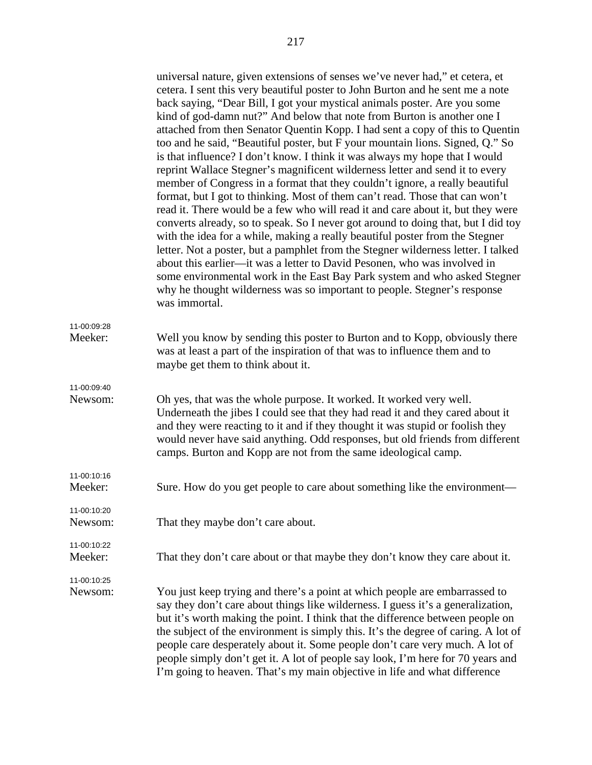|                        | universal nature, given extensions of senses we've never had," et cetera, et<br>cetera. I sent this very beautiful poster to John Burton and he sent me a note<br>back saying, "Dear Bill, I got your mystical animals poster. Are you some<br>kind of god-damn nut?" And below that note from Burton is another one I<br>attached from then Senator Quentin Kopp. I had sent a copy of this to Quentin<br>too and he said, "Beautiful poster, but F your mountain lions. Signed, Q." So<br>is that influence? I don't know. I think it was always my hope that I would<br>reprint Wallace Stegner's magnificent wilderness letter and send it to every<br>member of Congress in a format that they couldn't ignore, a really beautiful<br>format, but I got to thinking. Most of them can't read. Those that can won't<br>read it. There would be a few who will read it and care about it, but they were<br>converts already, so to speak. So I never got around to doing that, but I did toy<br>with the idea for a while, making a really beautiful poster from the Stegner<br>letter. Not a poster, but a pamphlet from the Stegner wilderness letter. I talked<br>about this earlier—it was a letter to David Pesonen, who was involved in<br>some environmental work in the East Bay Park system and who asked Stegner<br>why he thought wilderness was so important to people. Stegner's response<br>was immortal. |
|------------------------|----------------------------------------------------------------------------------------------------------------------------------------------------------------------------------------------------------------------------------------------------------------------------------------------------------------------------------------------------------------------------------------------------------------------------------------------------------------------------------------------------------------------------------------------------------------------------------------------------------------------------------------------------------------------------------------------------------------------------------------------------------------------------------------------------------------------------------------------------------------------------------------------------------------------------------------------------------------------------------------------------------------------------------------------------------------------------------------------------------------------------------------------------------------------------------------------------------------------------------------------------------------------------------------------------------------------------------------------------------------------------------------------------------------------------|
| 11-00:09:28<br>Meeker: | Well you know by sending this poster to Burton and to Kopp, obviously there<br>was at least a part of the inspiration of that was to influence them and to<br>maybe get them to think about it.                                                                                                                                                                                                                                                                                                                                                                                                                                                                                                                                                                                                                                                                                                                                                                                                                                                                                                                                                                                                                                                                                                                                                                                                                            |
| 11-00:09:40<br>Newsom: | Oh yes, that was the whole purpose. It worked. It worked very well.<br>Underneath the jibes I could see that they had read it and they cared about it<br>and they were reacting to it and if they thought it was stupid or foolish they<br>would never have said anything. Odd responses, but old friends from different<br>camps. Burton and Kopp are not from the same ideological camp.                                                                                                                                                                                                                                                                                                                                                                                                                                                                                                                                                                                                                                                                                                                                                                                                                                                                                                                                                                                                                                 |
| 11-00:10:16<br>Meeker: | Sure. How do you get people to care about something like the environment—                                                                                                                                                                                                                                                                                                                                                                                                                                                                                                                                                                                                                                                                                                                                                                                                                                                                                                                                                                                                                                                                                                                                                                                                                                                                                                                                                  |
| 11-00:10:20<br>Newsom: | That they maybe don't care about.                                                                                                                                                                                                                                                                                                                                                                                                                                                                                                                                                                                                                                                                                                                                                                                                                                                                                                                                                                                                                                                                                                                                                                                                                                                                                                                                                                                          |
| 11-00:10:22<br>Meeker: | That they don't care about or that maybe they don't know they care about it.                                                                                                                                                                                                                                                                                                                                                                                                                                                                                                                                                                                                                                                                                                                                                                                                                                                                                                                                                                                                                                                                                                                                                                                                                                                                                                                                               |
| 11-00:10:25<br>Newsom: | You just keep trying and there's a point at which people are embarrassed to<br>say they don't care about things like wilderness. I guess it's a generalization,<br>but it's worth making the point. I think that the difference between people on<br>the subject of the environment is simply this. It's the degree of caring. A lot of<br>people care desperately about it. Some people don't care very much. A lot of<br>people simply don't get it. A lot of people say look, I'm here for 70 years and<br>I'm going to heaven. That's my main objective in life and what difference                                                                                                                                                                                                                                                                                                                                                                                                                                                                                                                                                                                                                                                                                                                                                                                                                                    |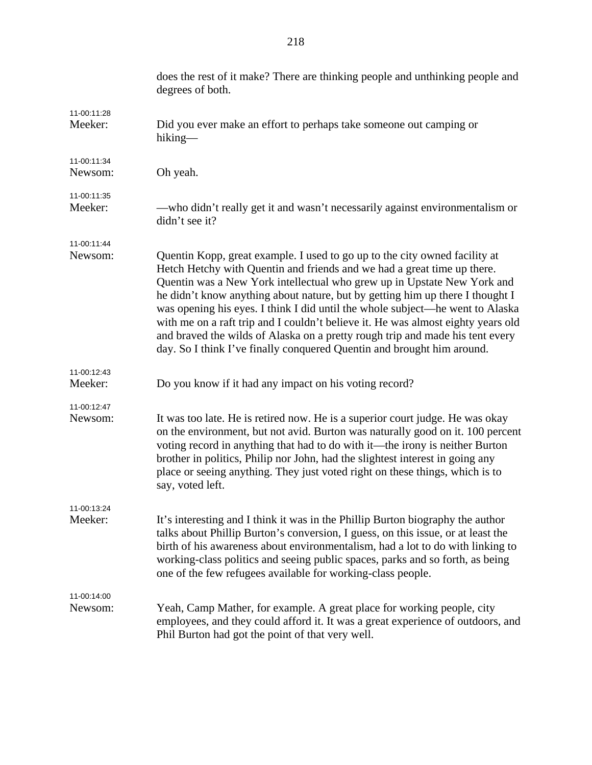|                        | does the rest of it make? There are thinking people and unthinking people and<br>degrees of both.                                                                                                                                                                                                                                                                                                                                                                                                                                                                                                                                                 |
|------------------------|---------------------------------------------------------------------------------------------------------------------------------------------------------------------------------------------------------------------------------------------------------------------------------------------------------------------------------------------------------------------------------------------------------------------------------------------------------------------------------------------------------------------------------------------------------------------------------------------------------------------------------------------------|
| 11-00:11:28<br>Meeker: | Did you ever make an effort to perhaps take someone out camping or<br>hiking-                                                                                                                                                                                                                                                                                                                                                                                                                                                                                                                                                                     |
| 11-00:11:34<br>Newsom: | Oh yeah.                                                                                                                                                                                                                                                                                                                                                                                                                                                                                                                                                                                                                                          |
| 11-00:11:35<br>Meeker: | —who didn't really get it and wasn't necessarily against environmentalism or<br>didn't see it?                                                                                                                                                                                                                                                                                                                                                                                                                                                                                                                                                    |
| 11-00:11:44<br>Newsom: | Quentin Kopp, great example. I used to go up to the city owned facility at<br>Hetch Hetchy with Quentin and friends and we had a great time up there.<br>Quentin was a New York intellectual who grew up in Upstate New York and<br>he didn't know anything about nature, but by getting him up there I thought I<br>was opening his eyes. I think I did until the whole subject—he went to Alaska<br>with me on a raft trip and I couldn't believe it. He was almost eighty years old<br>and braved the wilds of Alaska on a pretty rough trip and made his tent every<br>day. So I think I've finally conquered Quentin and brought him around. |
| 11-00:12:43<br>Meeker: | Do you know if it had any impact on his voting record?                                                                                                                                                                                                                                                                                                                                                                                                                                                                                                                                                                                            |
| 11-00:12:47<br>Newsom: | It was too late. He is retired now. He is a superior court judge. He was okay<br>on the environment, but not avid. Burton was naturally good on it. 100 percent<br>voting record in anything that had to do with it—the irony is neither Burton<br>brother in politics, Philip nor John, had the slightest interest in going any<br>place or seeing anything. They just voted right on these things, which is to<br>say, voted left.                                                                                                                                                                                                              |
| 11-00:13:24<br>Meeker: | It's interesting and I think it was in the Phillip Burton biography the author<br>talks about Phillip Burton's conversion, I guess, on this issue, or at least the<br>birth of his awareness about environmentalism, had a lot to do with linking to<br>working-class politics and seeing public spaces, parks and so forth, as being<br>one of the few refugees available for working-class people.                                                                                                                                                                                                                                              |
| 11-00:14:00<br>Newsom: | Yeah, Camp Mather, for example. A great place for working people, city<br>employees, and they could afford it. It was a great experience of outdoors, and<br>Phil Burton had got the point of that very well.                                                                                                                                                                                                                                                                                                                                                                                                                                     |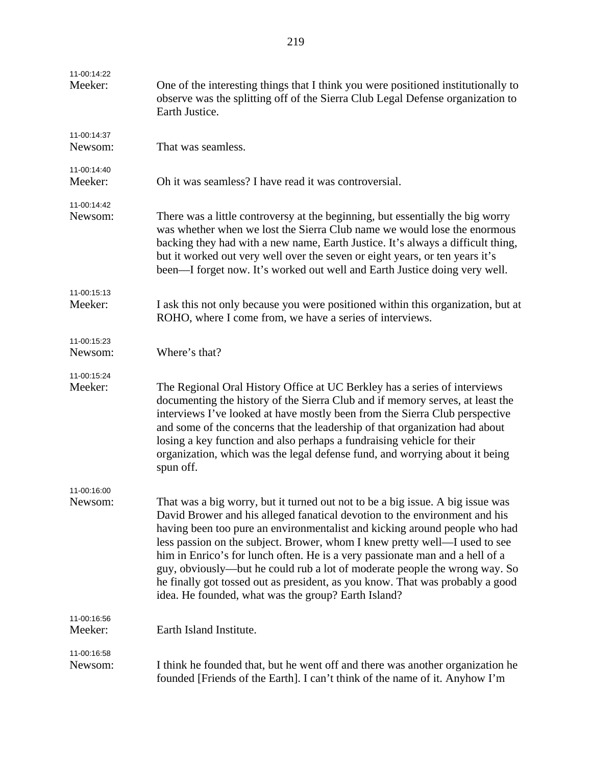| 11-00:14:22<br>Meeker: | One of the interesting things that I think you were positioned institutionally to<br>observe was the splitting off of the Sierra Club Legal Defense organization to<br>Earth Justice.                                                                                                                                                                                                                                                                                                                                                                                                                                          |
|------------------------|--------------------------------------------------------------------------------------------------------------------------------------------------------------------------------------------------------------------------------------------------------------------------------------------------------------------------------------------------------------------------------------------------------------------------------------------------------------------------------------------------------------------------------------------------------------------------------------------------------------------------------|
| 11-00:14:37<br>Newsom: | That was seamless.                                                                                                                                                                                                                                                                                                                                                                                                                                                                                                                                                                                                             |
| 11-00:14:40<br>Meeker: | Oh it was seamless? I have read it was controversial.                                                                                                                                                                                                                                                                                                                                                                                                                                                                                                                                                                          |
| 11-00:14:42<br>Newsom: | There was a little controversy at the beginning, but essentially the big worry<br>was whether when we lost the Sierra Club name we would lose the enormous<br>backing they had with a new name, Earth Justice. It's always a difficult thing,<br>but it worked out very well over the seven or eight years, or ten years it's<br>been—I forget now. It's worked out well and Earth Justice doing very well.                                                                                                                                                                                                                    |
| 11-00:15:13<br>Meeker: | I ask this not only because you were positioned within this organization, but at<br>ROHO, where I come from, we have a series of interviews.                                                                                                                                                                                                                                                                                                                                                                                                                                                                                   |
| 11-00:15:23<br>Newsom: | Where's that?                                                                                                                                                                                                                                                                                                                                                                                                                                                                                                                                                                                                                  |
| 11-00:15:24<br>Meeker: | The Regional Oral History Office at UC Berkley has a series of interviews<br>documenting the history of the Sierra Club and if memory serves, at least the<br>interviews I've looked at have mostly been from the Sierra Club perspective<br>and some of the concerns that the leadership of that organization had about<br>losing a key function and also perhaps a fundraising vehicle for their<br>organization, which was the legal defense fund, and worrying about it being<br>spun off.                                                                                                                                 |
| 11-00:16:00<br>Newsom: | That was a big worry, but it turned out not to be a big issue. A big issue was<br>David Brower and his alleged fanatical devotion to the environment and his<br>having been too pure an environmentalist and kicking around people who had<br>less passion on the subject. Brower, whom I knew pretty well—I used to see<br>him in Enrico's for lunch often. He is a very passionate man and a hell of a<br>guy, obviously—but he could rub a lot of moderate people the wrong way. So<br>he finally got tossed out as president, as you know. That was probably a good<br>idea. He founded, what was the group? Earth Island? |
| 11-00:16:56<br>Meeker: | Earth Island Institute.                                                                                                                                                                                                                                                                                                                                                                                                                                                                                                                                                                                                        |
| 11-00:16:58<br>Newsom: | I think he founded that, but he went off and there was another organization he<br>founded [Friends of the Earth]. I can't think of the name of it. Anyhow I'm                                                                                                                                                                                                                                                                                                                                                                                                                                                                  |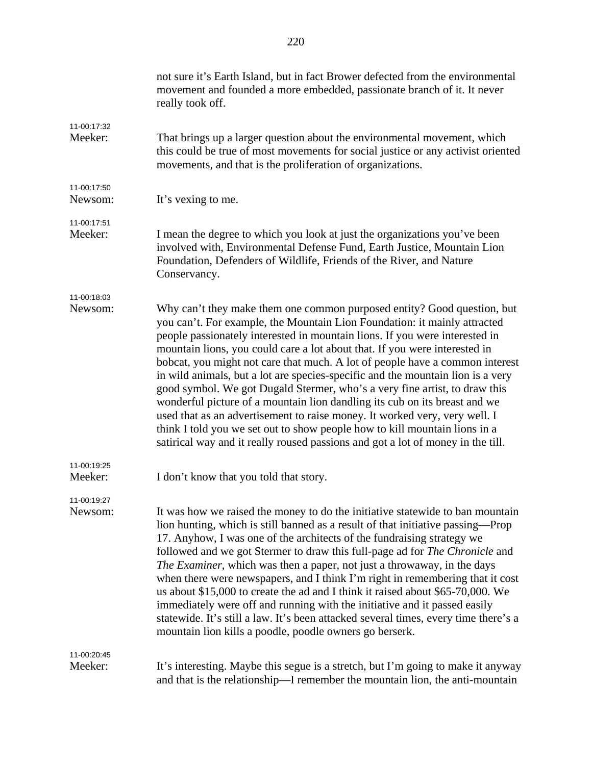|                        | not sure it's Earth Island, but in fact Brower defected from the environmental<br>movement and founded a more embedded, passionate branch of it. It never<br>really took off.                                                                                                                                                                                                                                                                                                                                                                                                                                                                                                                                                                                                                                                                                                                   |
|------------------------|-------------------------------------------------------------------------------------------------------------------------------------------------------------------------------------------------------------------------------------------------------------------------------------------------------------------------------------------------------------------------------------------------------------------------------------------------------------------------------------------------------------------------------------------------------------------------------------------------------------------------------------------------------------------------------------------------------------------------------------------------------------------------------------------------------------------------------------------------------------------------------------------------|
| 11-00:17:32<br>Meeker: | That brings up a larger question about the environmental movement, which<br>this could be true of most movements for social justice or any activist oriented<br>movements, and that is the proliferation of organizations.                                                                                                                                                                                                                                                                                                                                                                                                                                                                                                                                                                                                                                                                      |
| 11-00:17:50<br>Newsom: | It's vexing to me.                                                                                                                                                                                                                                                                                                                                                                                                                                                                                                                                                                                                                                                                                                                                                                                                                                                                              |
| 11-00:17:51<br>Meeker: | I mean the degree to which you look at just the organizations you've been<br>involved with, Environmental Defense Fund, Earth Justice, Mountain Lion<br>Foundation, Defenders of Wildlife, Friends of the River, and Nature<br>Conservancy.                                                                                                                                                                                                                                                                                                                                                                                                                                                                                                                                                                                                                                                     |
| 11-00:18:03<br>Newsom: | Why can't they make them one common purposed entity? Good question, but<br>you can't. For example, the Mountain Lion Foundation: it mainly attracted<br>people passionately interested in mountain lions. If you were interested in<br>mountain lions, you could care a lot about that. If you were interested in<br>bobcat, you might not care that much. A lot of people have a common interest<br>in wild animals, but a lot are species-specific and the mountain lion is a very<br>good symbol. We got Dugald Stermer, who's a very fine artist, to draw this<br>wonderful picture of a mountain lion dandling its cub on its breast and we<br>used that as an advertisement to raise money. It worked very, very well. I<br>think I told you we set out to show people how to kill mountain lions in a<br>satirical way and it really roused passions and got a lot of money in the till. |
| 11-00:19:25<br>Meeker: | I don't know that you told that story.                                                                                                                                                                                                                                                                                                                                                                                                                                                                                                                                                                                                                                                                                                                                                                                                                                                          |
| 11-00:19:27<br>Newsom: | It was how we raised the money to do the initiative statewide to ban mountain<br>lion hunting, which is still banned as a result of that initiative passing-Prop<br>17. Anyhow, I was one of the architects of the fundraising strategy we<br>followed and we got Stermer to draw this full-page ad for The Chronicle and<br>The Examiner, which was then a paper, not just a throwaway, in the days<br>when there were newspapers, and I think I'm right in remembering that it cost<br>us about \$15,000 to create the ad and I think it raised about \$65-70,000. We<br>immediately were off and running with the initiative and it passed easily<br>statewide. It's still a law. It's been attacked several times, every time there's a<br>mountain lion kills a poodle, poodle owners go berserk.                                                                                          |
| 11-00:20:45<br>Meeker: | It's interesting. Maybe this segue is a stretch, but I'm going to make it anyway<br>and that is the relationship—I remember the mountain lion, the anti-mountain                                                                                                                                                                                                                                                                                                                                                                                                                                                                                                                                                                                                                                                                                                                                |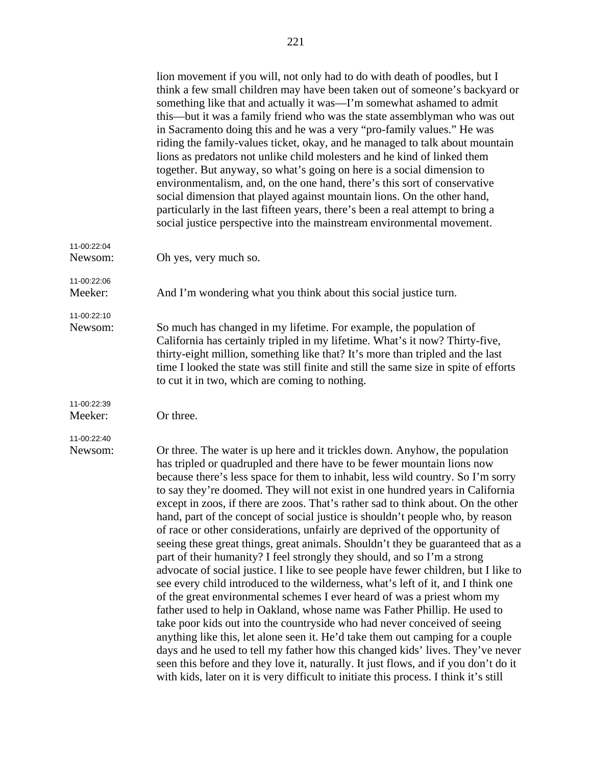|                        | lion movement if you will, not only had to do with death of poodles, but I<br>think a few small children may have been taken out of someone's backyard or<br>something like that and actually it was—I'm somewhat ashamed to admit<br>this—but it was a family friend who was the state assemblyman who was out<br>in Sacramento doing this and he was a very "pro-family values." He was<br>riding the family-values ticket, okay, and he managed to talk about mountain<br>lions as predators not unlike child molesters and he kind of linked them<br>together. But anyway, so what's going on here is a social dimension to<br>environmentalism, and, on the one hand, there's this sort of conservative<br>social dimension that played against mountain lions. On the other hand,<br>particularly in the last fifteen years, there's been a real attempt to bring a<br>social justice perspective into the mainstream environmental movement.                                                                                                                                                                                                                                                                                                                                                                                                                                                                          |
|------------------------|------------------------------------------------------------------------------------------------------------------------------------------------------------------------------------------------------------------------------------------------------------------------------------------------------------------------------------------------------------------------------------------------------------------------------------------------------------------------------------------------------------------------------------------------------------------------------------------------------------------------------------------------------------------------------------------------------------------------------------------------------------------------------------------------------------------------------------------------------------------------------------------------------------------------------------------------------------------------------------------------------------------------------------------------------------------------------------------------------------------------------------------------------------------------------------------------------------------------------------------------------------------------------------------------------------------------------------------------------------------------------------------------------------------------------|
| 11-00:22:04<br>Newsom: | Oh yes, very much so.                                                                                                                                                                                                                                                                                                                                                                                                                                                                                                                                                                                                                                                                                                                                                                                                                                                                                                                                                                                                                                                                                                                                                                                                                                                                                                                                                                                                        |
| 11-00:22:06<br>Meeker: | And I'm wondering what you think about this social justice turn.                                                                                                                                                                                                                                                                                                                                                                                                                                                                                                                                                                                                                                                                                                                                                                                                                                                                                                                                                                                                                                                                                                                                                                                                                                                                                                                                                             |
| 11-00:22:10<br>Newsom: | So much has changed in my lifetime. For example, the population of<br>California has certainly tripled in my lifetime. What's it now? Thirty-five,<br>thirty-eight million, something like that? It's more than tripled and the last<br>time I looked the state was still finite and still the same size in spite of efforts<br>to cut it in two, which are coming to nothing.                                                                                                                                                                                                                                                                                                                                                                                                                                                                                                                                                                                                                                                                                                                                                                                                                                                                                                                                                                                                                                               |
| 11-00:22:39<br>Meeker: | Or three.                                                                                                                                                                                                                                                                                                                                                                                                                                                                                                                                                                                                                                                                                                                                                                                                                                                                                                                                                                                                                                                                                                                                                                                                                                                                                                                                                                                                                    |
| 11-00:22:40<br>Newsom: | Or three. The water is up here and it trickles down. Anyhow, the population<br>has tripled or quadrupled and there have to be fewer mountain lions now<br>because there's less space for them to inhabit, less wild country. So I'm sorry<br>to say they're doomed. They will not exist in one hundred years in California<br>except in zoos, if there are zoos. That's rather sad to think about. On the other<br>hand, part of the concept of social justice is shouldn't people who, by reason<br>of race or other considerations, unfairly are deprived of the opportunity of<br>seeing these great things, great animals. Shouldn't they be guaranteed that as a<br>part of their humanity? I feel strongly they should, and so I'm a strong<br>advocate of social justice. I like to see people have fewer children, but I like to<br>see every child introduced to the wilderness, what's left of it, and I think one<br>of the great environmental schemes I ever heard of was a priest whom my<br>father used to help in Oakland, whose name was Father Phillip. He used to<br>take poor kids out into the countryside who had never conceived of seeing<br>anything like this, let alone seen it. He'd take them out camping for a couple<br>days and he used to tell my father how this changed kids' lives. They've never<br>seen this before and they love it, naturally. It just flows, and if you don't do it |

with kids, later on it is very difficult to initiate this process. I think it's still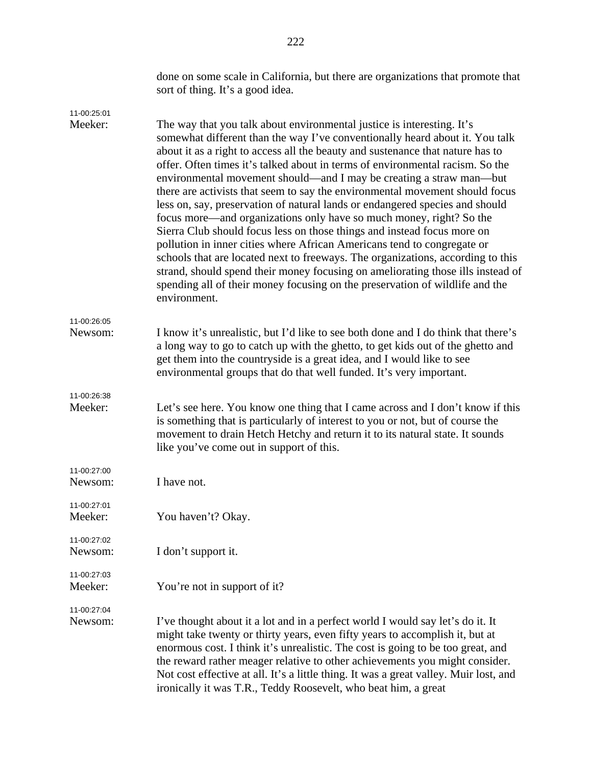|                        | done on some scale in California, but there are organizations that promote that<br>sort of thing. It's a good idea.                                                                                                                                                                                                                                                                                                                                                                                                                                                                                                                                                                                                                                                                                                                                                                                                                                                                                                                                                 |
|------------------------|---------------------------------------------------------------------------------------------------------------------------------------------------------------------------------------------------------------------------------------------------------------------------------------------------------------------------------------------------------------------------------------------------------------------------------------------------------------------------------------------------------------------------------------------------------------------------------------------------------------------------------------------------------------------------------------------------------------------------------------------------------------------------------------------------------------------------------------------------------------------------------------------------------------------------------------------------------------------------------------------------------------------------------------------------------------------|
| 11-00:25:01<br>Meeker: | The way that you talk about environmental justice is interesting. It's<br>somewhat different than the way I've conventionally heard about it. You talk<br>about it as a right to access all the beauty and sustenance that nature has to<br>offer. Often times it's talked about in terms of environmental racism. So the<br>environmental movement should—and I may be creating a straw man—but<br>there are activists that seem to say the environmental movement should focus<br>less on, say, preservation of natural lands or endangered species and should<br>focus more—and organizations only have so much money, right? So the<br>Sierra Club should focus less on those things and instead focus more on<br>pollution in inner cities where African Americans tend to congregate or<br>schools that are located next to freeways. The organizations, according to this<br>strand, should spend their money focusing on ameliorating those ills instead of<br>spending all of their money focusing on the preservation of wildlife and the<br>environment. |
| 11-00:26:05<br>Newsom: | I know it's unrealistic, but I'd like to see both done and I do think that there's<br>a long way to go to catch up with the ghetto, to get kids out of the ghetto and<br>get them into the countryside is a great idea, and I would like to see<br>environmental groups that do that well funded. It's very important.                                                                                                                                                                                                                                                                                                                                                                                                                                                                                                                                                                                                                                                                                                                                              |
| 11-00:26:38<br>Meeker: | Let's see here. You know one thing that I came across and I don't know if this<br>is something that is particularly of interest to you or not, but of course the<br>movement to drain Hetch Hetchy and return it to its natural state. It sounds<br>like you've come out in support of this.                                                                                                                                                                                                                                                                                                                                                                                                                                                                                                                                                                                                                                                                                                                                                                        |
| 11-00:27:00<br>Newsom: | I have not.                                                                                                                                                                                                                                                                                                                                                                                                                                                                                                                                                                                                                                                                                                                                                                                                                                                                                                                                                                                                                                                         |
| 11-00:27:01<br>Meeker: | You haven't? Okay.                                                                                                                                                                                                                                                                                                                                                                                                                                                                                                                                                                                                                                                                                                                                                                                                                                                                                                                                                                                                                                                  |
| 11-00:27:02<br>Newsom: | I don't support it.                                                                                                                                                                                                                                                                                                                                                                                                                                                                                                                                                                                                                                                                                                                                                                                                                                                                                                                                                                                                                                                 |
| 11-00:27:03<br>Meeker: | You're not in support of it?                                                                                                                                                                                                                                                                                                                                                                                                                                                                                                                                                                                                                                                                                                                                                                                                                                                                                                                                                                                                                                        |
| 11-00:27:04<br>Newsom: | I've thought about it a lot and in a perfect world I would say let's do it. It<br>might take twenty or thirty years, even fifty years to accomplish it, but at<br>enormous cost. I think it's unrealistic. The cost is going to be too great, and<br>the reward rather meager relative to other achievements you might consider.<br>Not cost effective at all. It's a little thing. It was a great valley. Muir lost, and<br>ironically it was T.R., Teddy Roosevelt, who beat him, a great                                                                                                                                                                                                                                                                                                                                                                                                                                                                                                                                                                         |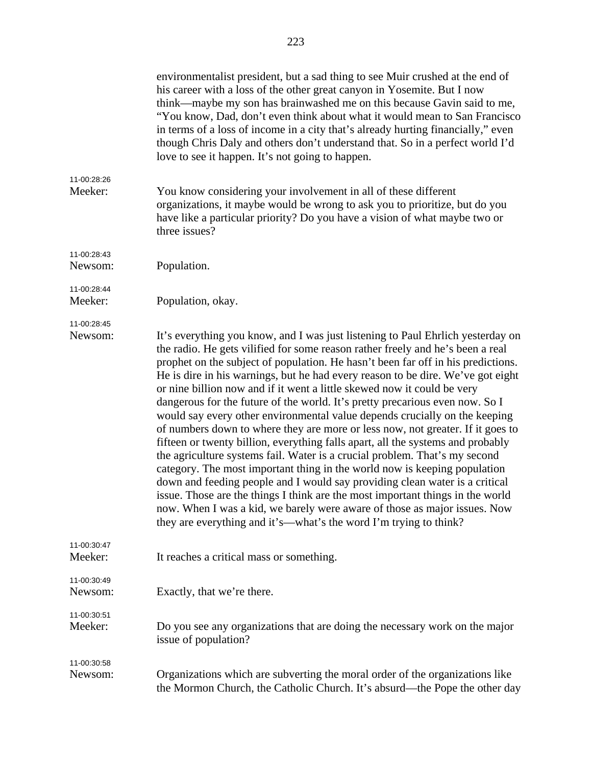|                        | environmentalist president, but a sad thing to see Muir crushed at the end of<br>his career with a loss of the other great canyon in Yosemite. But I now<br>think—maybe my son has brainwashed me on this because Gavin said to me,<br>"You know, Dad, don't even think about what it would mean to San Francisco<br>in terms of a loss of income in a city that's already hurting financially," even<br>though Chris Daly and others don't understand that. So in a perfect world I'd<br>love to see it happen. It's not going to happen.                                                                                                                                                                                                                                                                                                                                                                                                                                                                                                                                                                                                                                                                                           |
|------------------------|--------------------------------------------------------------------------------------------------------------------------------------------------------------------------------------------------------------------------------------------------------------------------------------------------------------------------------------------------------------------------------------------------------------------------------------------------------------------------------------------------------------------------------------------------------------------------------------------------------------------------------------------------------------------------------------------------------------------------------------------------------------------------------------------------------------------------------------------------------------------------------------------------------------------------------------------------------------------------------------------------------------------------------------------------------------------------------------------------------------------------------------------------------------------------------------------------------------------------------------|
| 11-00:28:26<br>Meeker: | You know considering your involvement in all of these different<br>organizations, it maybe would be wrong to ask you to prioritize, but do you<br>have like a particular priority? Do you have a vision of what maybe two or<br>three issues?                                                                                                                                                                                                                                                                                                                                                                                                                                                                                                                                                                                                                                                                                                                                                                                                                                                                                                                                                                                        |
| 11-00:28:43<br>Newsom: | Population.                                                                                                                                                                                                                                                                                                                                                                                                                                                                                                                                                                                                                                                                                                                                                                                                                                                                                                                                                                                                                                                                                                                                                                                                                          |
| 11-00:28:44<br>Meeker: | Population, okay.                                                                                                                                                                                                                                                                                                                                                                                                                                                                                                                                                                                                                                                                                                                                                                                                                                                                                                                                                                                                                                                                                                                                                                                                                    |
| 11-00:28:45<br>Newsom: | It's everything you know, and I was just listening to Paul Ehrlich yesterday on<br>the radio. He gets vilified for some reason rather freely and he's been a real<br>prophet on the subject of population. He hasn't been far off in his predictions.<br>He is dire in his warnings, but he had every reason to be dire. We've got eight<br>or nine billion now and if it went a little skewed now it could be very<br>dangerous for the future of the world. It's pretty precarious even now. So I<br>would say every other environmental value depends crucially on the keeping<br>of numbers down to where they are more or less now, not greater. If it goes to<br>fifteen or twenty billion, everything falls apart, all the systems and probably<br>the agriculture systems fail. Water is a crucial problem. That's my second<br>category. The most important thing in the world now is keeping population<br>down and feeding people and I would say providing clean water is a critical<br>issue. Those are the things I think are the most important things in the world<br>now. When I was a kid, we barely were aware of those as major issues. Now<br>they are everything and it's—what's the word I'm trying to think? |
| 11-00:30:47<br>Meeker: | It reaches a critical mass or something.                                                                                                                                                                                                                                                                                                                                                                                                                                                                                                                                                                                                                                                                                                                                                                                                                                                                                                                                                                                                                                                                                                                                                                                             |
| 11-00:30:49<br>Newsom: | Exactly, that we're there.                                                                                                                                                                                                                                                                                                                                                                                                                                                                                                                                                                                                                                                                                                                                                                                                                                                                                                                                                                                                                                                                                                                                                                                                           |
| 11-00:30:51<br>Meeker: | Do you see any organizations that are doing the necessary work on the major<br>issue of population?                                                                                                                                                                                                                                                                                                                                                                                                                                                                                                                                                                                                                                                                                                                                                                                                                                                                                                                                                                                                                                                                                                                                  |
| 11-00:30:58<br>Newsom: | Organizations which are subverting the moral order of the organizations like<br>the Mormon Church, the Catholic Church. It's absurd—the Pope the other day                                                                                                                                                                                                                                                                                                                                                                                                                                                                                                                                                                                                                                                                                                                                                                                                                                                                                                                                                                                                                                                                           |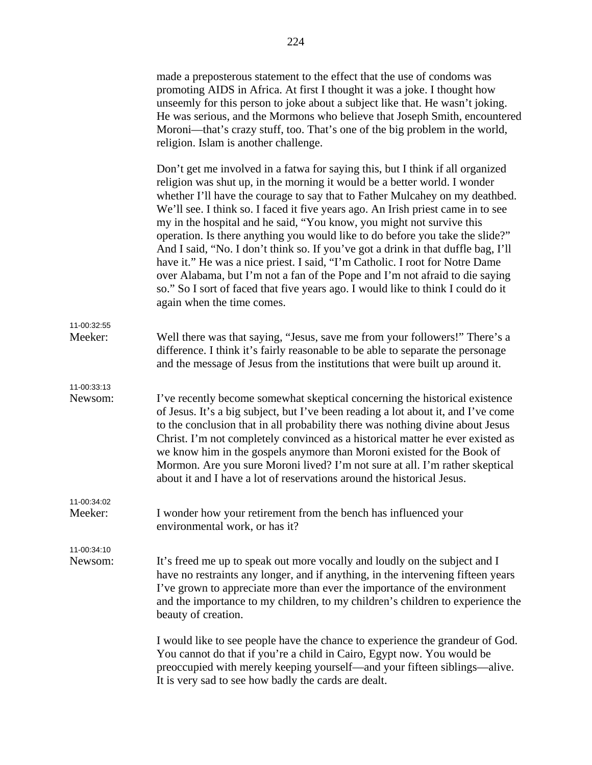|                        | made a preposterous statement to the effect that the use of condoms was<br>promoting AIDS in Africa. At first I thought it was a joke. I thought how<br>unseemly for this person to joke about a subject like that. He wasn't joking.<br>He was serious, and the Mormons who believe that Joseph Smith, encountered<br>Moroni-that's crazy stuff, too. That's one of the big problem in the world,<br>religion. Islam is another challenge.                                                                                                                                                                                                                                                                                                                                                                                                                      |
|------------------------|------------------------------------------------------------------------------------------------------------------------------------------------------------------------------------------------------------------------------------------------------------------------------------------------------------------------------------------------------------------------------------------------------------------------------------------------------------------------------------------------------------------------------------------------------------------------------------------------------------------------------------------------------------------------------------------------------------------------------------------------------------------------------------------------------------------------------------------------------------------|
|                        | Don't get me involved in a fatwa for saying this, but I think if all organized<br>religion was shut up, in the morning it would be a better world. I wonder<br>whether I'll have the courage to say that to Father Mulcahey on my deathbed.<br>We'll see. I think so. I faced it five years ago. An Irish priest came in to see<br>my in the hospital and he said, "You know, you might not survive this<br>operation. Is there anything you would like to do before you take the slide?"<br>And I said, "No. I don't think so. If you've got a drink in that duffle bag, I'll<br>have it." He was a nice priest. I said, "I'm Catholic. I root for Notre Dame<br>over Alabama, but I'm not a fan of the Pope and I'm not afraid to die saying<br>so." So I sort of faced that five years ago. I would like to think I could do it<br>again when the time comes. |
| 11-00:32:55<br>Meeker: | Well there was that saying, "Jesus, save me from your followers!" There's a<br>difference. I think it's fairly reasonable to be able to separate the personage<br>and the message of Jesus from the institutions that were built up around it.                                                                                                                                                                                                                                                                                                                                                                                                                                                                                                                                                                                                                   |
| 11-00:33:13<br>Newsom: | I've recently become somewhat skeptical concerning the historical existence<br>of Jesus. It's a big subject, but I've been reading a lot about it, and I've come<br>to the conclusion that in all probability there was nothing divine about Jesus<br>Christ. I'm not completely convinced as a historical matter he ever existed as<br>we know him in the gospels anymore than Moroni existed for the Book of<br>Mormon. Are you sure Moroni lived? I'm not sure at all. I'm rather skeptical<br>about it and I have a lot of reservations around the historical Jesus.                                                                                                                                                                                                                                                                                         |
| 11-00:34:02<br>Meeker: | I wonder how your retirement from the bench has influenced your<br>environmental work, or has it?                                                                                                                                                                                                                                                                                                                                                                                                                                                                                                                                                                                                                                                                                                                                                                |
| 11-00:34:10<br>Newsom: | It's freed me up to speak out more vocally and loudly on the subject and I<br>have no restraints any longer, and if anything, in the intervening fifteen years<br>I've grown to appreciate more than ever the importance of the environment<br>and the importance to my children, to my children's children to experience the<br>beauty of creation.                                                                                                                                                                                                                                                                                                                                                                                                                                                                                                             |
|                        | I would like to see people have the chance to experience the grandeur of God.<br>You cannot do that if you're a child in Cairo, Egypt now. You would be<br>preoccupied with merely keeping yourself—and your fifteen siblings—alive.<br>It is very sad to see how badly the cards are dealt.                                                                                                                                                                                                                                                                                                                                                                                                                                                                                                                                                                     |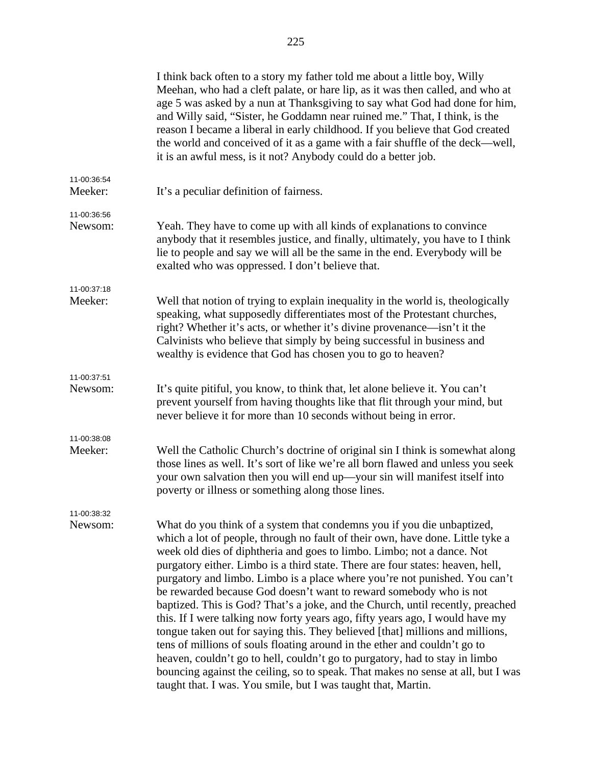|                        | I think back often to a story my father told me about a little boy, Willy<br>Meehan, who had a cleft palate, or hare lip, as it was then called, and who at<br>age 5 was asked by a nun at Thanksgiving to say what God had done for him,<br>and Willy said, "Sister, he Goddamn near ruined me." That, I think, is the<br>reason I became a liberal in early childhood. If you believe that God created<br>the world and conceived of it as a game with a fair shuffle of the deck—well,<br>it is an awful mess, is it not? Anybody could do a better job.                                                                                                                                                                                                                                                                                                                                                                                                                                                                                   |
|------------------------|-----------------------------------------------------------------------------------------------------------------------------------------------------------------------------------------------------------------------------------------------------------------------------------------------------------------------------------------------------------------------------------------------------------------------------------------------------------------------------------------------------------------------------------------------------------------------------------------------------------------------------------------------------------------------------------------------------------------------------------------------------------------------------------------------------------------------------------------------------------------------------------------------------------------------------------------------------------------------------------------------------------------------------------------------|
| 11-00:36:54<br>Meeker: | It's a peculiar definition of fairness.                                                                                                                                                                                                                                                                                                                                                                                                                                                                                                                                                                                                                                                                                                                                                                                                                                                                                                                                                                                                       |
| 11-00:36:56<br>Newsom: | Yeah. They have to come up with all kinds of explanations to convince<br>anybody that it resembles justice, and finally, ultimately, you have to I think<br>lie to people and say we will all be the same in the end. Everybody will be<br>exalted who was oppressed. I don't believe that.                                                                                                                                                                                                                                                                                                                                                                                                                                                                                                                                                                                                                                                                                                                                                   |
| 11-00:37:18<br>Meeker: | Well that notion of trying to explain inequality in the world is, theologically<br>speaking, what supposedly differentiates most of the Protestant churches,<br>right? Whether it's acts, or whether it's divine provenance—isn't it the<br>Calvinists who believe that simply by being successful in business and<br>wealthy is evidence that God has chosen you to go to heaven?                                                                                                                                                                                                                                                                                                                                                                                                                                                                                                                                                                                                                                                            |
| 11-00:37:51<br>Newsom: | It's quite pitiful, you know, to think that, let alone believe it. You can't<br>prevent yourself from having thoughts like that flit through your mind, but<br>never believe it for more than 10 seconds without being in error.                                                                                                                                                                                                                                                                                                                                                                                                                                                                                                                                                                                                                                                                                                                                                                                                              |
| 11-00:38:08<br>Meeker: | Well the Catholic Church's doctrine of original sin I think is somewhat along<br>those lines as well. It's sort of like we're all born flawed and unless you seek<br>your own salvation then you will end up-your sin will manifest itself into<br>poverty or illness or something along those lines.                                                                                                                                                                                                                                                                                                                                                                                                                                                                                                                                                                                                                                                                                                                                         |
| 11-00:38:32<br>Newsom: | What do you think of a system that condemns you if you die unbaptized,<br>which a lot of people, through no fault of their own, have done. Little tyke a<br>week old dies of diphtheria and goes to limbo. Limbo; not a dance. Not<br>purgatory either. Limbo is a third state. There are four states: heaven, hell,<br>purgatory and limbo. Limbo is a place where you're not punished. You can't<br>be rewarded because God doesn't want to reward somebody who is not<br>baptized. This is God? That's a joke, and the Church, until recently, preached<br>this. If I were talking now forty years ago, fifty years ago, I would have my<br>tongue taken out for saying this. They believed [that] millions and millions,<br>tens of millions of souls floating around in the ether and couldn't go to<br>heaven, couldn't go to hell, couldn't go to purgatory, had to stay in limbo<br>bouncing against the ceiling, so to speak. That makes no sense at all, but I was<br>taught that. I was. You smile, but I was taught that, Martin. |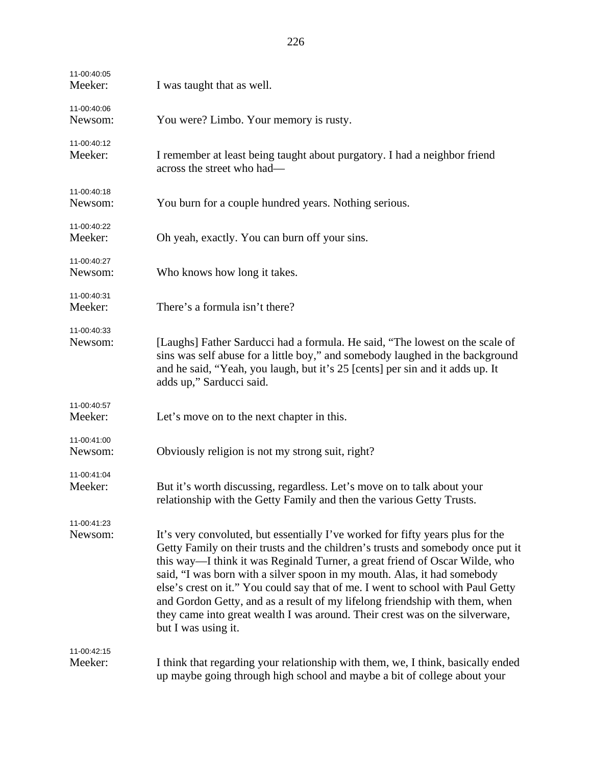| 11-00:40:05<br>Meeker: | I was taught that as well.                                                                                                                                                                                                                                                                                                                                                                                                                                                                                                                                                                            |
|------------------------|-------------------------------------------------------------------------------------------------------------------------------------------------------------------------------------------------------------------------------------------------------------------------------------------------------------------------------------------------------------------------------------------------------------------------------------------------------------------------------------------------------------------------------------------------------------------------------------------------------|
| 11-00:40:06<br>Newsom: | You were? Limbo. Your memory is rusty.                                                                                                                                                                                                                                                                                                                                                                                                                                                                                                                                                                |
| 11-00:40:12<br>Meeker: | I remember at least being taught about purgatory. I had a neighbor friend<br>across the street who had—                                                                                                                                                                                                                                                                                                                                                                                                                                                                                               |
| 11-00:40:18<br>Newsom: | You burn for a couple hundred years. Nothing serious.                                                                                                                                                                                                                                                                                                                                                                                                                                                                                                                                                 |
| 11-00:40:22<br>Meeker: | Oh yeah, exactly. You can burn off your sins.                                                                                                                                                                                                                                                                                                                                                                                                                                                                                                                                                         |
| 11-00:40:27<br>Newsom: | Who knows how long it takes.                                                                                                                                                                                                                                                                                                                                                                                                                                                                                                                                                                          |
| 11-00:40:31<br>Meeker: | There's a formula isn't there?                                                                                                                                                                                                                                                                                                                                                                                                                                                                                                                                                                        |
| 11-00:40:33<br>Newsom: | [Laughs] Father Sarducci had a formula. He said, "The lowest on the scale of<br>sins was self abuse for a little boy," and somebody laughed in the background<br>and he said, "Yeah, you laugh, but it's 25 [cents] per sin and it adds up. It<br>adds up," Sarducci said.                                                                                                                                                                                                                                                                                                                            |
| 11-00:40:57<br>Meeker: | Let's move on to the next chapter in this.                                                                                                                                                                                                                                                                                                                                                                                                                                                                                                                                                            |
| 11-00:41:00<br>Newsom: | Obviously religion is not my strong suit, right?                                                                                                                                                                                                                                                                                                                                                                                                                                                                                                                                                      |
| 11-00:41:04<br>Meeker: | But it's worth discussing, regardless. Let's move on to talk about your<br>relationship with the Getty Family and then the various Getty Trusts.                                                                                                                                                                                                                                                                                                                                                                                                                                                      |
| 11-00:41:23<br>Newsom: | It's very convoluted, but essentially I've worked for fifty years plus for the<br>Getty Family on their trusts and the children's trusts and somebody once put it<br>this way—I think it was Reginald Turner, a great friend of Oscar Wilde, who<br>said, "I was born with a silver spoon in my mouth. Alas, it had somebody<br>else's crest on it." You could say that of me. I went to school with Paul Getty<br>and Gordon Getty, and as a result of my lifelong friendship with them, when<br>they came into great wealth I was around. Their crest was on the silverware,<br>but I was using it. |
| 11-00:42:15<br>Meeker: | I think that regarding your relationship with them, we, I think, basically ended<br>up maybe going through high school and maybe a bit of college about your                                                                                                                                                                                                                                                                                                                                                                                                                                          |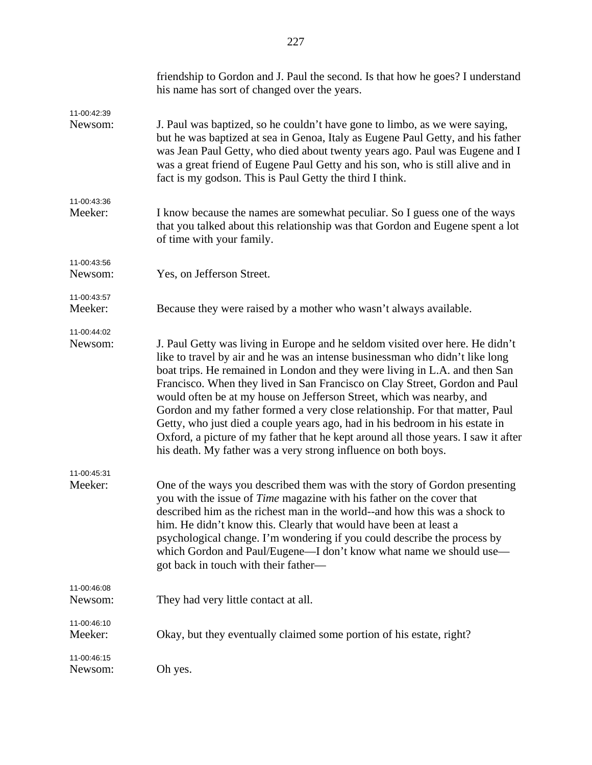|                        | friendship to Gordon and J. Paul the second. Is that how he goes? I understand<br>his name has sort of changed over the years.                                                                                                                                                                                                                                                                                                                                                                                                                                                                                                                                                                                               |
|------------------------|------------------------------------------------------------------------------------------------------------------------------------------------------------------------------------------------------------------------------------------------------------------------------------------------------------------------------------------------------------------------------------------------------------------------------------------------------------------------------------------------------------------------------------------------------------------------------------------------------------------------------------------------------------------------------------------------------------------------------|
| 11-00:42:39<br>Newsom: | J. Paul was baptized, so he couldn't have gone to limbo, as we were saying,<br>but he was baptized at sea in Genoa, Italy as Eugene Paul Getty, and his father<br>was Jean Paul Getty, who died about twenty years ago. Paul was Eugene and I<br>was a great friend of Eugene Paul Getty and his son, who is still alive and in<br>fact is my godson. This is Paul Getty the third I think.                                                                                                                                                                                                                                                                                                                                  |
| 11-00:43:36<br>Meeker: | I know because the names are somewhat peculiar. So I guess one of the ways<br>that you talked about this relationship was that Gordon and Eugene spent a lot<br>of time with your family.                                                                                                                                                                                                                                                                                                                                                                                                                                                                                                                                    |
| 11-00:43:56<br>Newsom: | Yes, on Jefferson Street.                                                                                                                                                                                                                                                                                                                                                                                                                                                                                                                                                                                                                                                                                                    |
| 11-00:43:57<br>Meeker: | Because they were raised by a mother who wasn't always available.                                                                                                                                                                                                                                                                                                                                                                                                                                                                                                                                                                                                                                                            |
| 11-00:44:02<br>Newsom: | J. Paul Getty was living in Europe and he seldom visited over here. He didn't<br>like to travel by air and he was an intense businessman who didn't like long<br>boat trips. He remained in London and they were living in L.A. and then San<br>Francisco. When they lived in San Francisco on Clay Street, Gordon and Paul<br>would often be at my house on Jefferson Street, which was nearby, and<br>Gordon and my father formed a very close relationship. For that matter, Paul<br>Getty, who just died a couple years ago, had in his bedroom in his estate in<br>Oxford, a picture of my father that he kept around all those years. I saw it after<br>his death. My father was a very strong influence on both boys. |
| 11-00:45:31<br>Meeker: | One of the ways you described them was with the story of Gordon presenting<br>you with the issue of <i>Time</i> magazine with his father on the cover that<br>described him as the richest man in the world--and how this was a shock to<br>him. He didn't know this. Clearly that would have been at least a<br>psychological change. I'm wondering if you could describe the process by<br>which Gordon and Paul/Eugene—I don't know what name we should use—<br>got back in touch with their father—                                                                                                                                                                                                                      |
| 11-00:46:08<br>Newsom: | They had very little contact at all.                                                                                                                                                                                                                                                                                                                                                                                                                                                                                                                                                                                                                                                                                         |
| 11-00:46:10<br>Meeker: | Okay, but they eventually claimed some portion of his estate, right?                                                                                                                                                                                                                                                                                                                                                                                                                                                                                                                                                                                                                                                         |
| 11-00:46:15<br>Newsom: | Oh yes.                                                                                                                                                                                                                                                                                                                                                                                                                                                                                                                                                                                                                                                                                                                      |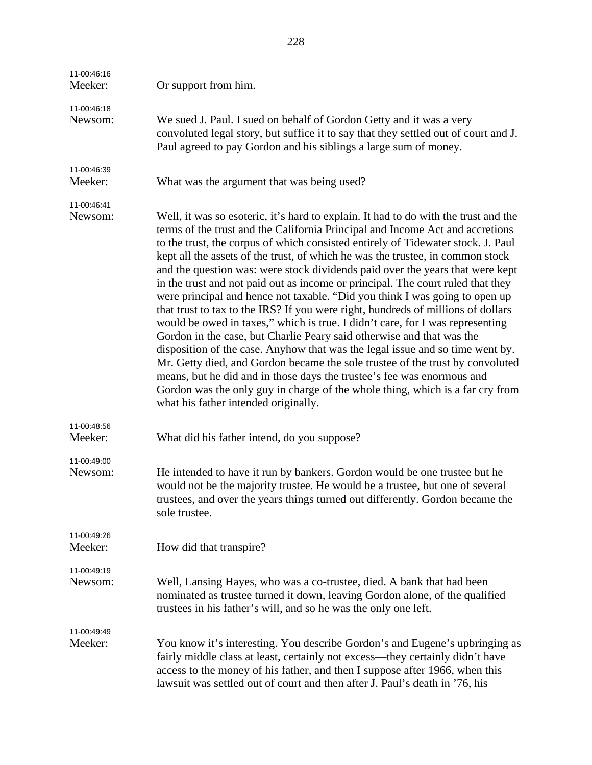| 11-00:46:16<br>Meeker: | Or support from him.                                                                                                                                                                                                                                                                                                                                                                                                                                                                                                                                                                                                                                                                                                                                                                                                                                                                                                                                                                                                                                                                                                                                                                                             |
|------------------------|------------------------------------------------------------------------------------------------------------------------------------------------------------------------------------------------------------------------------------------------------------------------------------------------------------------------------------------------------------------------------------------------------------------------------------------------------------------------------------------------------------------------------------------------------------------------------------------------------------------------------------------------------------------------------------------------------------------------------------------------------------------------------------------------------------------------------------------------------------------------------------------------------------------------------------------------------------------------------------------------------------------------------------------------------------------------------------------------------------------------------------------------------------------------------------------------------------------|
| 11-00:46:18<br>Newsom: | We sued J. Paul. I sued on behalf of Gordon Getty and it was a very<br>convoluted legal story, but suffice it to say that they settled out of court and J.<br>Paul agreed to pay Gordon and his siblings a large sum of money.                                                                                                                                                                                                                                                                                                                                                                                                                                                                                                                                                                                                                                                                                                                                                                                                                                                                                                                                                                                   |
| 11-00:46:39<br>Meeker: | What was the argument that was being used?                                                                                                                                                                                                                                                                                                                                                                                                                                                                                                                                                                                                                                                                                                                                                                                                                                                                                                                                                                                                                                                                                                                                                                       |
| 11-00:46:41<br>Newsom: | Well, it was so esoteric, it's hard to explain. It had to do with the trust and the<br>terms of the trust and the California Principal and Income Act and accretions<br>to the trust, the corpus of which consisted entirely of Tidewater stock. J. Paul<br>kept all the assets of the trust, of which he was the trustee, in common stock<br>and the question was: were stock dividends paid over the years that were kept<br>in the trust and not paid out as income or principal. The court ruled that they<br>were principal and hence not taxable. "Did you think I was going to open up<br>that trust to tax to the IRS? If you were right, hundreds of millions of dollars<br>would be owed in taxes," which is true. I didn't care, for I was representing<br>Gordon in the case, but Charlie Peary said otherwise and that was the<br>disposition of the case. Anyhow that was the legal issue and so time went by.<br>Mr. Getty died, and Gordon became the sole trustee of the trust by convoluted<br>means, but he did and in those days the trustee's fee was enormous and<br>Gordon was the only guy in charge of the whole thing, which is a far cry from<br>what his father intended originally. |
| 11-00:48:56<br>Meeker: | What did his father intend, do you suppose?                                                                                                                                                                                                                                                                                                                                                                                                                                                                                                                                                                                                                                                                                                                                                                                                                                                                                                                                                                                                                                                                                                                                                                      |
| 11-00:49:00<br>Newsom: | He intended to have it run by bankers. Gordon would be one trustee but he<br>would not be the majority trustee. He would be a trustee, but one of several<br>trustees, and over the years things turned out differently. Gordon became the<br>sole trustee.                                                                                                                                                                                                                                                                                                                                                                                                                                                                                                                                                                                                                                                                                                                                                                                                                                                                                                                                                      |
| 11-00:49:26<br>Meeker: | How did that transpire?                                                                                                                                                                                                                                                                                                                                                                                                                                                                                                                                                                                                                                                                                                                                                                                                                                                                                                                                                                                                                                                                                                                                                                                          |
| 11-00:49:19<br>Newsom: | Well, Lansing Hayes, who was a co-trustee, died. A bank that had been<br>nominated as trustee turned it down, leaving Gordon alone, of the qualified<br>trustees in his father's will, and so he was the only one left.                                                                                                                                                                                                                                                                                                                                                                                                                                                                                                                                                                                                                                                                                                                                                                                                                                                                                                                                                                                          |
| 11-00:49:49<br>Meeker: | You know it's interesting. You describe Gordon's and Eugene's upbringing as<br>fairly middle class at least, certainly not excess—they certainly didn't have<br>access to the money of his father, and then I suppose after 1966, when this<br>lawsuit was settled out of court and then after J. Paul's death in '76, his                                                                                                                                                                                                                                                                                                                                                                                                                                                                                                                                                                                                                                                                                                                                                                                                                                                                                       |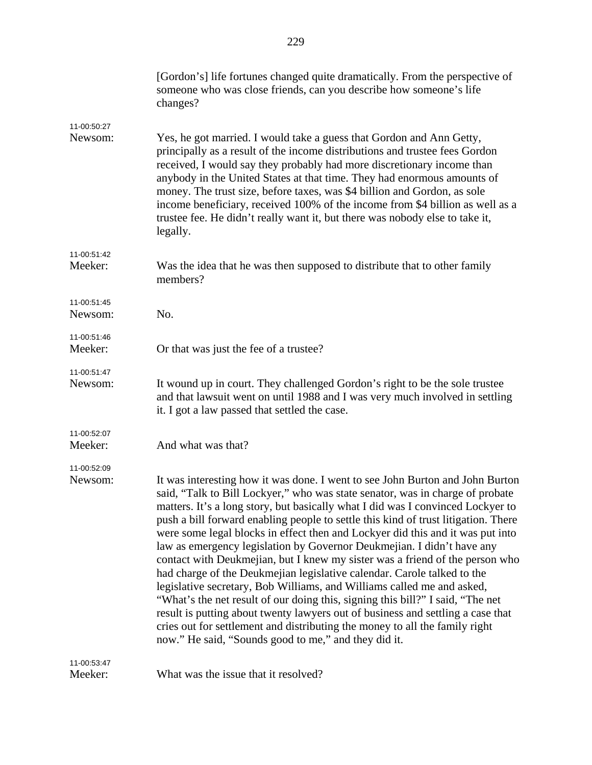|                        | [Gordon's] life fortunes changed quite dramatically. From the perspective of<br>someone who was close friends, can you describe how someone's life<br>changes?                                                                                                                                                                                                                                                                                                                                                                                                                                                                                                                                                                                                                                                                                                                                                                                                                                                                                       |
|------------------------|------------------------------------------------------------------------------------------------------------------------------------------------------------------------------------------------------------------------------------------------------------------------------------------------------------------------------------------------------------------------------------------------------------------------------------------------------------------------------------------------------------------------------------------------------------------------------------------------------------------------------------------------------------------------------------------------------------------------------------------------------------------------------------------------------------------------------------------------------------------------------------------------------------------------------------------------------------------------------------------------------------------------------------------------------|
| 11-00:50:27<br>Newsom: | Yes, he got married. I would take a guess that Gordon and Ann Getty,<br>principally as a result of the income distributions and trustee fees Gordon<br>received, I would say they probably had more discretionary income than<br>anybody in the United States at that time. They had enormous amounts of<br>money. The trust size, before taxes, was \$4 billion and Gordon, as sole<br>income beneficiary, received 100% of the income from \$4 billion as well as a<br>trustee fee. He didn't really want it, but there was nobody else to take it,<br>legally.                                                                                                                                                                                                                                                                                                                                                                                                                                                                                    |
| 11-00:51:42<br>Meeker: | Was the idea that he was then supposed to distribute that to other family<br>members?                                                                                                                                                                                                                                                                                                                                                                                                                                                                                                                                                                                                                                                                                                                                                                                                                                                                                                                                                                |
| 11-00:51:45<br>Newsom: | No.                                                                                                                                                                                                                                                                                                                                                                                                                                                                                                                                                                                                                                                                                                                                                                                                                                                                                                                                                                                                                                                  |
| 11-00:51:46<br>Meeker: | Or that was just the fee of a trustee?                                                                                                                                                                                                                                                                                                                                                                                                                                                                                                                                                                                                                                                                                                                                                                                                                                                                                                                                                                                                               |
| 11-00:51:47<br>Newsom: | It wound up in court. They challenged Gordon's right to be the sole trustee<br>and that lawsuit went on until 1988 and I was very much involved in settling<br>it. I got a law passed that settled the case.                                                                                                                                                                                                                                                                                                                                                                                                                                                                                                                                                                                                                                                                                                                                                                                                                                         |
| 11-00:52:07<br>Meeker: | And what was that?                                                                                                                                                                                                                                                                                                                                                                                                                                                                                                                                                                                                                                                                                                                                                                                                                                                                                                                                                                                                                                   |
| 11-00:52:09<br>Newsom: | It was interesting how it was done. I went to see John Burton and John Burton<br>said, "Talk to Bill Lockyer," who was state senator, was in charge of probate<br>matters. It's a long story, but basically what I did was I convinced Lockyer to<br>push a bill forward enabling people to settle this kind of trust litigation. There<br>were some legal blocks in effect then and Lockyer did this and it was put into<br>law as emergency legislation by Governor Deukmejian. I didn't have any<br>contact with Deukmejian, but I knew my sister was a friend of the person who<br>had charge of the Deukmejian legislative calendar. Carole talked to the<br>legislative secretary, Bob Williams, and Williams called me and asked,<br>"What's the net result of our doing this, signing this bill?" I said, "The net<br>result is putting about twenty lawyers out of business and settling a case that<br>cries out for settlement and distributing the money to all the family right<br>now." He said, "Sounds good to me," and they did it. |
| 11-00:53:47<br>Meeker: | What was the issue that it resolved?                                                                                                                                                                                                                                                                                                                                                                                                                                                                                                                                                                                                                                                                                                                                                                                                                                                                                                                                                                                                                 |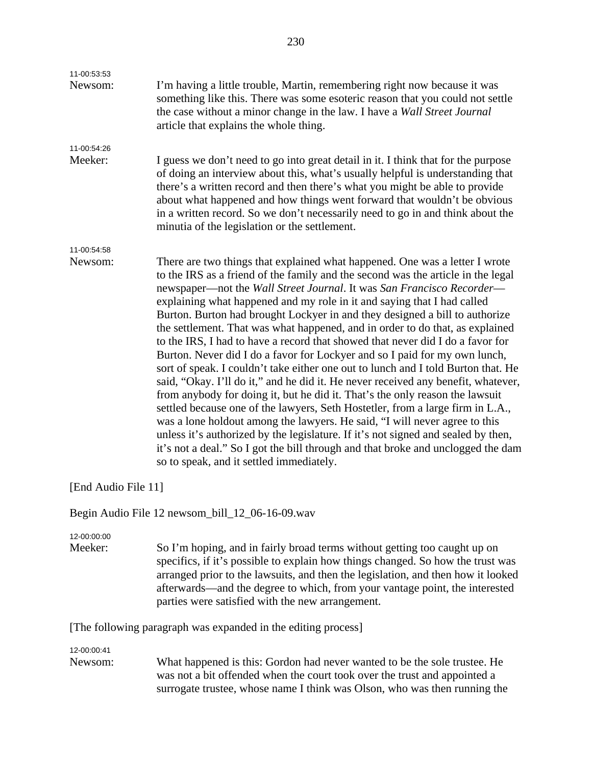| 11-00:53:53         |                                                                                                                                                                                                                                                                                                                                                                                                                                                                                                                                                                                                                                                                                                                                                                                                                                                                                                                                                                                                                                                                                                                                                                                                                                                                                                    |
|---------------------|----------------------------------------------------------------------------------------------------------------------------------------------------------------------------------------------------------------------------------------------------------------------------------------------------------------------------------------------------------------------------------------------------------------------------------------------------------------------------------------------------------------------------------------------------------------------------------------------------------------------------------------------------------------------------------------------------------------------------------------------------------------------------------------------------------------------------------------------------------------------------------------------------------------------------------------------------------------------------------------------------------------------------------------------------------------------------------------------------------------------------------------------------------------------------------------------------------------------------------------------------------------------------------------------------|
| Newsom:             | I'm having a little trouble, Martin, remembering right now because it was<br>something like this. There was some esoteric reason that you could not settle<br>the case without a minor change in the law. I have a Wall Street Journal<br>article that explains the whole thing.                                                                                                                                                                                                                                                                                                                                                                                                                                                                                                                                                                                                                                                                                                                                                                                                                                                                                                                                                                                                                   |
| 11-00:54:26         |                                                                                                                                                                                                                                                                                                                                                                                                                                                                                                                                                                                                                                                                                                                                                                                                                                                                                                                                                                                                                                                                                                                                                                                                                                                                                                    |
| Meeker:             | I guess we don't need to go into great detail in it. I think that for the purpose<br>of doing an interview about this, what's usually helpful is understanding that<br>there's a written record and then there's what you might be able to provide<br>about what happened and how things went forward that wouldn't be obvious<br>in a written record. So we don't necessarily need to go in and think about the<br>minutia of the legislation or the settlement.                                                                                                                                                                                                                                                                                                                                                                                                                                                                                                                                                                                                                                                                                                                                                                                                                                  |
| 11-00:54:58         |                                                                                                                                                                                                                                                                                                                                                                                                                                                                                                                                                                                                                                                                                                                                                                                                                                                                                                                                                                                                                                                                                                                                                                                                                                                                                                    |
| Newsom:             | There are two things that explained what happened. One was a letter I wrote<br>to the IRS as a friend of the family and the second was the article in the legal<br>newspaper-not the Wall Street Journal. It was San Francisco Recorder-<br>explaining what happened and my role in it and saying that I had called<br>Burton. Burton had brought Lockyer in and they designed a bill to authorize<br>the settlement. That was what happened, and in order to do that, as explained<br>to the IRS, I had to have a record that showed that never did I do a favor for<br>Burton. Never did I do a favor for Lockyer and so I paid for my own lunch,<br>sort of speak. I couldn't take either one out to lunch and I told Burton that. He<br>said, "Okay. I'll do it," and he did it. He never received any benefit, whatever,<br>from anybody for doing it, but he did it. That's the only reason the lawsuit<br>settled because one of the lawyers, Seth Hostetler, from a large firm in L.A.,<br>was a lone holdout among the lawyers. He said, "I will never agree to this<br>unless it's authorized by the legislature. If it's not signed and sealed by then,<br>it's not a deal." So I got the bill through and that broke and unclogged the dam<br>so to speak, and it settled immediately. |
| [End Audio File 11] |                                                                                                                                                                                                                                                                                                                                                                                                                                                                                                                                                                                                                                                                                                                                                                                                                                                                                                                                                                                                                                                                                                                                                                                                                                                                                                    |
|                     | Begin Audio File 12 newsom_bill_12_06-16-09.wav                                                                                                                                                                                                                                                                                                                                                                                                                                                                                                                                                                                                                                                                                                                                                                                                                                                                                                                                                                                                                                                                                                                                                                                                                                                    |
| 12-00:00:00         |                                                                                                                                                                                                                                                                                                                                                                                                                                                                                                                                                                                                                                                                                                                                                                                                                                                                                                                                                                                                                                                                                                                                                                                                                                                                                                    |
| Meeker:             | So I'm hoping, and in fairly broad terms without getting too caught up on<br>consideration if it's noggible to evalgin how things shaped. So how the tweet west                                                                                                                                                                                                                                                                                                                                                                                                                                                                                                                                                                                                                                                                                                                                                                                                                                                                                                                                                                                                                                                                                                                                    |

specifics, if it's possible to explain how things changed. So how the trust was arranged prior to the lawsuits, and then the legislation, and then how it looked afterwards—and the degree to which, from your vantage point, the interested parties were satisfied with the new arrangement.

[The following paragraph was expanded in the editing process]

12-00:00:41

Newsom: What happened is this: Gordon had never wanted to be the sole trustee. He was not a bit offended when the court took over the trust and appointed a surrogate trustee, whose name I think was Olson, who was then running the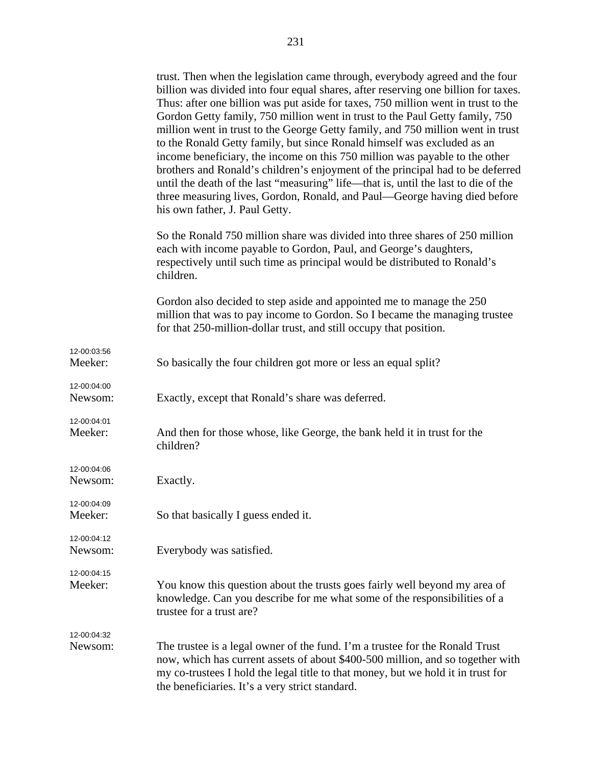|                        | trust. Then when the legislation came through, everybody agreed and the four<br>billion was divided into four equal shares, after reserving one billion for taxes.<br>Thus: after one billion was put aside for taxes, 750 million went in trust to the<br>Gordon Getty family, 750 million went in trust to the Paul Getty family, 750<br>million went in trust to the George Getty family, and 750 million went in trust<br>to the Ronald Getty family, but since Ronald himself was excluded as an<br>income beneficiary, the income on this 750 million was payable to the other<br>brothers and Ronald's children's enjoyment of the principal had to be deferred<br>until the death of the last "measuring" life—that is, until the last to die of the<br>three measuring lives, Gordon, Ronald, and Paul—George having died before<br>his own father, J. Paul Getty. |
|------------------------|-----------------------------------------------------------------------------------------------------------------------------------------------------------------------------------------------------------------------------------------------------------------------------------------------------------------------------------------------------------------------------------------------------------------------------------------------------------------------------------------------------------------------------------------------------------------------------------------------------------------------------------------------------------------------------------------------------------------------------------------------------------------------------------------------------------------------------------------------------------------------------|
|                        | So the Ronald 750 million share was divided into three shares of 250 million<br>each with income payable to Gordon, Paul, and George's daughters,<br>respectively until such time as principal would be distributed to Ronald's<br>children.                                                                                                                                                                                                                                                                                                                                                                                                                                                                                                                                                                                                                                |
|                        | Gordon also decided to step aside and appointed me to manage the 250<br>million that was to pay income to Gordon. So I became the managing trustee<br>for that 250-million-dollar trust, and still occupy that position.                                                                                                                                                                                                                                                                                                                                                                                                                                                                                                                                                                                                                                                    |
| 12-00:03:56<br>Meeker: | So basically the four children got more or less an equal split?                                                                                                                                                                                                                                                                                                                                                                                                                                                                                                                                                                                                                                                                                                                                                                                                             |
| 12-00:04:00<br>Newsom: | Exactly, except that Ronald's share was deferred.                                                                                                                                                                                                                                                                                                                                                                                                                                                                                                                                                                                                                                                                                                                                                                                                                           |
| 12-00:04:01<br>Meeker: | And then for those whose, like George, the bank held it in trust for the<br>children?                                                                                                                                                                                                                                                                                                                                                                                                                                                                                                                                                                                                                                                                                                                                                                                       |
| 12-00:04:06<br>Newsom: | Exactly.                                                                                                                                                                                                                                                                                                                                                                                                                                                                                                                                                                                                                                                                                                                                                                                                                                                                    |
| 12-00:04:09<br>Meeker: | So that basically I guess ended it.                                                                                                                                                                                                                                                                                                                                                                                                                                                                                                                                                                                                                                                                                                                                                                                                                                         |
| 12-00:04:12<br>Newsom: | Everybody was satisfied.                                                                                                                                                                                                                                                                                                                                                                                                                                                                                                                                                                                                                                                                                                                                                                                                                                                    |
| 12-00:04:15<br>Meeker: | You know this question about the trusts goes fairly well beyond my area of<br>knowledge. Can you describe for me what some of the responsibilities of a<br>trustee for a trust are?                                                                                                                                                                                                                                                                                                                                                                                                                                                                                                                                                                                                                                                                                         |
| 12-00:04:32<br>Newsom: | The trustee is a legal owner of the fund. I'm a trustee for the Ronald Trust<br>now, which has current assets of about \$400-500 million, and so together with<br>my co-trustees I hold the legal title to that money, but we hold it in trust for<br>the beneficiaries. It's a very strict standard.                                                                                                                                                                                                                                                                                                                                                                                                                                                                                                                                                                       |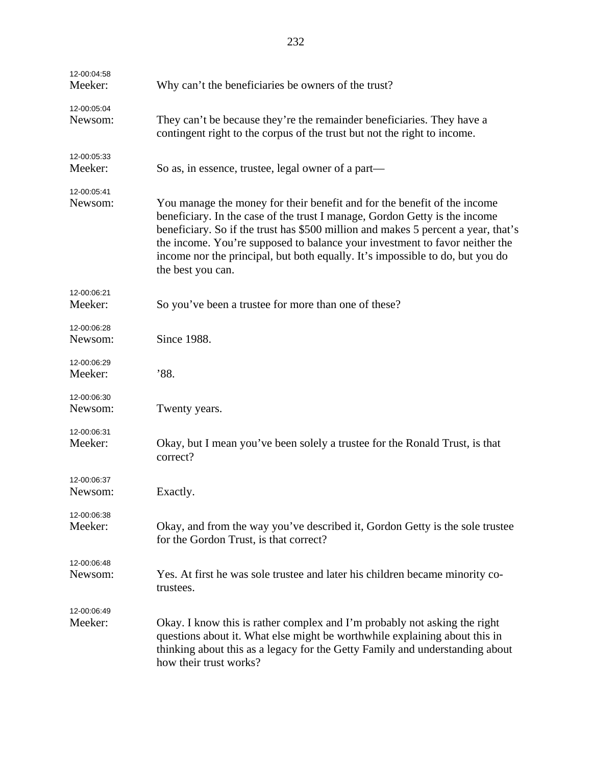| 12-00:04:58<br>Meeker: | Why can't the beneficiaries be owners of the trust?                                                                                                                                                                                                                                                                                                                                                                              |
|------------------------|----------------------------------------------------------------------------------------------------------------------------------------------------------------------------------------------------------------------------------------------------------------------------------------------------------------------------------------------------------------------------------------------------------------------------------|
| 12-00:05:04<br>Newsom: | They can't be because they're the remainder beneficiaries. They have a<br>contingent right to the corpus of the trust but not the right to income.                                                                                                                                                                                                                                                                               |
| 12-00:05:33<br>Meeker: | So as, in essence, trustee, legal owner of a part—                                                                                                                                                                                                                                                                                                                                                                               |
| 12-00:05:41<br>Newsom: | You manage the money for their benefit and for the benefit of the income<br>beneficiary. In the case of the trust I manage, Gordon Getty is the income<br>beneficiary. So if the trust has \$500 million and makes 5 percent a year, that's<br>the income. You're supposed to balance your investment to favor neither the<br>income nor the principal, but both equally. It's impossible to do, but you do<br>the best you can. |
| 12-00:06:21<br>Meeker: | So you've been a trustee for more than one of these?                                                                                                                                                                                                                                                                                                                                                                             |
| 12-00:06:28<br>Newsom: | Since 1988.                                                                                                                                                                                                                                                                                                                                                                                                                      |
| 12-00:06:29<br>Meeker: | '88.                                                                                                                                                                                                                                                                                                                                                                                                                             |
| 12-00:06:30<br>Newsom: | Twenty years.                                                                                                                                                                                                                                                                                                                                                                                                                    |
| 12-00:06:31<br>Meeker: | Okay, but I mean you've been solely a trustee for the Ronald Trust, is that<br>correct?                                                                                                                                                                                                                                                                                                                                          |
| 12-00:06:37<br>Newsom: | Exactly.                                                                                                                                                                                                                                                                                                                                                                                                                         |
| 12-00:06:38<br>Meeker: | Okay, and from the way you've described it, Gordon Getty is the sole trustee<br>for the Gordon Trust, is that correct?                                                                                                                                                                                                                                                                                                           |
| 12-00:06:48<br>Newsom: | Yes. At first he was sole trustee and later his children became minority co-<br>trustees.                                                                                                                                                                                                                                                                                                                                        |
| 12-00:06:49<br>Meeker: | Okay. I know this is rather complex and I'm probably not asking the right<br>questions about it. What else might be worthwhile explaining about this in<br>thinking about this as a legacy for the Getty Family and understanding about<br>how their trust works?                                                                                                                                                                |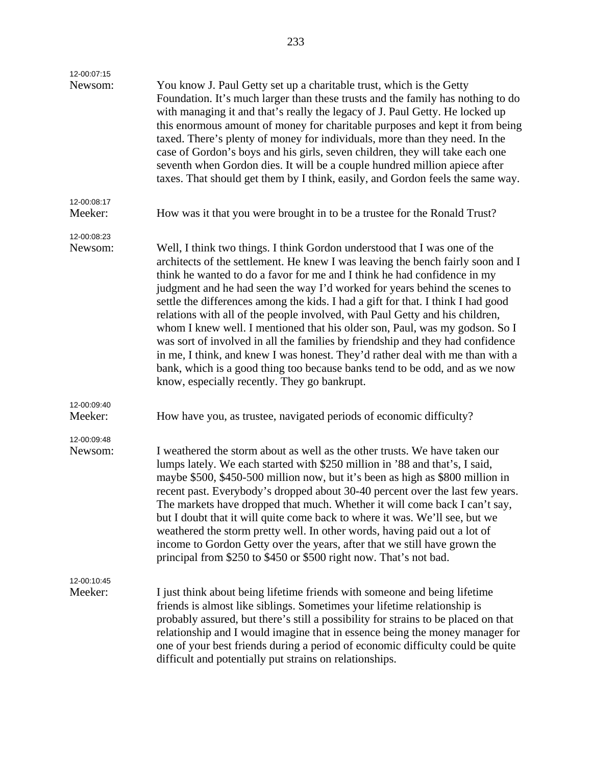| 12-00:07:15            |                                                                                                                                                                                                                                                                                                                                                                                                                                                                                                                                                                                                                                                                                                                                                                                                                                                                             |
|------------------------|-----------------------------------------------------------------------------------------------------------------------------------------------------------------------------------------------------------------------------------------------------------------------------------------------------------------------------------------------------------------------------------------------------------------------------------------------------------------------------------------------------------------------------------------------------------------------------------------------------------------------------------------------------------------------------------------------------------------------------------------------------------------------------------------------------------------------------------------------------------------------------|
| Newsom:                | You know J. Paul Getty set up a charitable trust, which is the Getty<br>Foundation. It's much larger than these trusts and the family has nothing to do<br>with managing it and that's really the legacy of J. Paul Getty. He locked up<br>this enormous amount of money for charitable purposes and kept it from being<br>taxed. There's plenty of money for individuals, more than they need. In the<br>case of Gordon's boys and his girls, seven children, they will take each one<br>seventh when Gordon dies. It will be a couple hundred million apiece after<br>taxes. That should get them by I think, easily, and Gordon feels the same way.                                                                                                                                                                                                                      |
| 12-00:08:17<br>Meeker: | How was it that you were brought in to be a trustee for the Ronald Trust?                                                                                                                                                                                                                                                                                                                                                                                                                                                                                                                                                                                                                                                                                                                                                                                                   |
|                        |                                                                                                                                                                                                                                                                                                                                                                                                                                                                                                                                                                                                                                                                                                                                                                                                                                                                             |
| 12-00:08:23<br>Newsom: | Well, I think two things. I think Gordon understood that I was one of the<br>architects of the settlement. He knew I was leaving the bench fairly soon and I<br>think he wanted to do a favor for me and I think he had confidence in my<br>judgment and he had seen the way I'd worked for years behind the scenes to<br>settle the differences among the kids. I had a gift for that. I think I had good<br>relations with all of the people involved, with Paul Getty and his children,<br>whom I knew well. I mentioned that his older son, Paul, was my godson. So I<br>was sort of involved in all the families by friendship and they had confidence<br>in me, I think, and knew I was honest. They'd rather deal with me than with a<br>bank, which is a good thing too because banks tend to be odd, and as we now<br>know, especially recently. They go bankrupt. |
| 12-00:09:40<br>Meeker: | How have you, as trustee, navigated periods of economic difficulty?                                                                                                                                                                                                                                                                                                                                                                                                                                                                                                                                                                                                                                                                                                                                                                                                         |
| 12-00:09:48            |                                                                                                                                                                                                                                                                                                                                                                                                                                                                                                                                                                                                                                                                                                                                                                                                                                                                             |
| Newsom:                | I weathered the storm about as well as the other trusts. We have taken our<br>lumps lately. We each started with \$250 million in '88 and that's, I said,<br>maybe \$500, \$450-500 million now, but it's been as high as \$800 million in<br>recent past. Everybody's dropped about 30-40 percent over the last few years.<br>The markets have dropped that much. Whether it will come back I can't say,<br>but I doubt that it will quite come back to where it was. We'll see, but we<br>weathered the storm pretty well. In other words, having paid out a lot of<br>income to Gordon Getty over the years, after that we still have grown the<br>principal from \$250 to \$450 or \$500 right now. That's not bad.                                                                                                                                                     |
| 12-00:10:45<br>Meeker: | I just think about being lifetime friends with someone and being lifetime<br>friends is almost like siblings. Sometimes your lifetime relationship is<br>probably assured, but there's still a possibility for strains to be placed on that<br>relationship and I would imagine that in essence being the money manager for<br>one of your best friends during a period of economic difficulty could be quite<br>difficult and potentially put strains on relationships.                                                                                                                                                                                                                                                                                                                                                                                                    |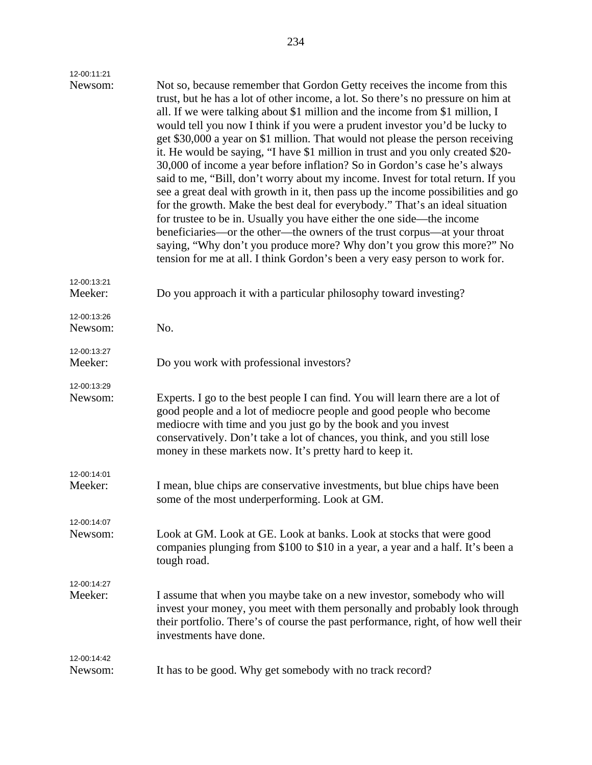| 12-00:11:21            |                                                                                                                                                                                                                                                                                                                                                                                                                                                                                                                                                                                                                                                                                                                                                                                                                                                                                                                                                                                                                                                                                                                                                     |
|------------------------|-----------------------------------------------------------------------------------------------------------------------------------------------------------------------------------------------------------------------------------------------------------------------------------------------------------------------------------------------------------------------------------------------------------------------------------------------------------------------------------------------------------------------------------------------------------------------------------------------------------------------------------------------------------------------------------------------------------------------------------------------------------------------------------------------------------------------------------------------------------------------------------------------------------------------------------------------------------------------------------------------------------------------------------------------------------------------------------------------------------------------------------------------------|
| Newsom:                | Not so, because remember that Gordon Getty receives the income from this<br>trust, but he has a lot of other income, a lot. So there's no pressure on him at<br>all. If we were talking about \$1 million and the income from \$1 million, I<br>would tell you now I think if you were a prudent investor you'd be lucky to<br>get \$30,000 a year on \$1 million. That would not please the person receiving<br>it. He would be saying, "I have \$1 million in trust and you only created \$20-<br>30,000 of income a year before inflation? So in Gordon's case he's always<br>said to me, "Bill, don't worry about my income. Invest for total return. If you<br>see a great deal with growth in it, then pass up the income possibilities and go<br>for the growth. Make the best deal for everybody." That's an ideal situation<br>for trustee to be in. Usually you have either the one side—the income<br>beneficiaries—or the other—the owners of the trust corpus—at your throat<br>saying, "Why don't you produce more? Why don't you grow this more?" No<br>tension for me at all. I think Gordon's been a very easy person to work for. |
| 12-00:13:21<br>Meeker: | Do you approach it with a particular philosophy toward investing?                                                                                                                                                                                                                                                                                                                                                                                                                                                                                                                                                                                                                                                                                                                                                                                                                                                                                                                                                                                                                                                                                   |
| 12-00:13:26<br>Newsom: | No.                                                                                                                                                                                                                                                                                                                                                                                                                                                                                                                                                                                                                                                                                                                                                                                                                                                                                                                                                                                                                                                                                                                                                 |
| 12-00:13:27<br>Meeker: | Do you work with professional investors?                                                                                                                                                                                                                                                                                                                                                                                                                                                                                                                                                                                                                                                                                                                                                                                                                                                                                                                                                                                                                                                                                                            |
| 12-00:13:29<br>Newsom: | Experts. I go to the best people I can find. You will learn there are a lot of<br>good people and a lot of mediocre people and good people who become<br>mediocre with time and you just go by the book and you invest<br>conservatively. Don't take a lot of chances, you think, and you still lose<br>money in these markets now. It's pretty hard to keep it.                                                                                                                                                                                                                                                                                                                                                                                                                                                                                                                                                                                                                                                                                                                                                                                    |
| 12-00:14:01<br>Meeker: | I mean, blue chips are conservative investments, but blue chips have been<br>some of the most underperforming. Look at GM.                                                                                                                                                                                                                                                                                                                                                                                                                                                                                                                                                                                                                                                                                                                                                                                                                                                                                                                                                                                                                          |
| 12-00:14:07<br>Newsom: | Look at GM. Look at GE. Look at banks. Look at stocks that were good<br>companies plunging from \$100 to \$10 in a year, a year and a half. It's been a<br>tough road.                                                                                                                                                                                                                                                                                                                                                                                                                                                                                                                                                                                                                                                                                                                                                                                                                                                                                                                                                                              |
| 12-00:14:27<br>Meeker: | I assume that when you maybe take on a new investor, somebody who will<br>invest your money, you meet with them personally and probably look through<br>their portfolio. There's of course the past performance, right, of how well their<br>investments have done.                                                                                                                                                                                                                                                                                                                                                                                                                                                                                                                                                                                                                                                                                                                                                                                                                                                                                 |
| 12-00:14:42<br>Newsom: | It has to be good. Why get somebody with no track record?                                                                                                                                                                                                                                                                                                                                                                                                                                                                                                                                                                                                                                                                                                                                                                                                                                                                                                                                                                                                                                                                                           |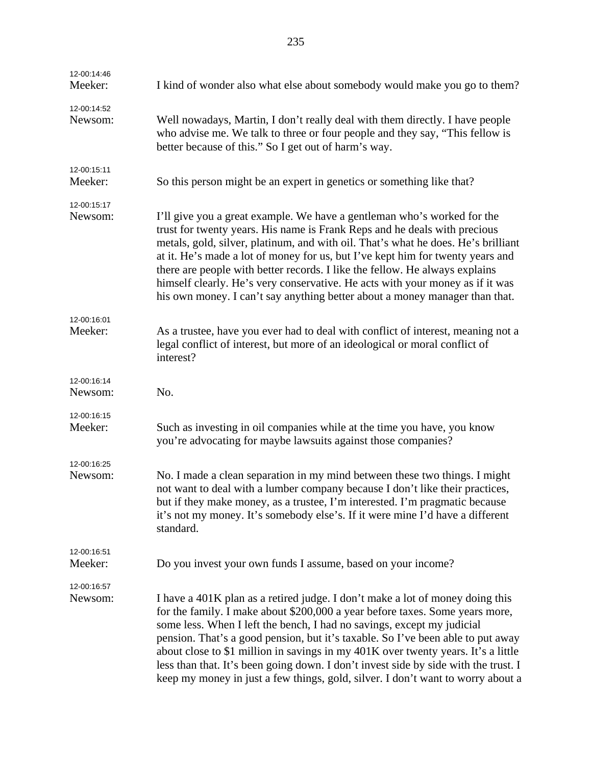| 12-00:14:46<br>Meeker: | I kind of wonder also what else about somebody would make you go to them?                                                                                                                                                                                                                                                                                                                                                                                                                                                                                                                 |
|------------------------|-------------------------------------------------------------------------------------------------------------------------------------------------------------------------------------------------------------------------------------------------------------------------------------------------------------------------------------------------------------------------------------------------------------------------------------------------------------------------------------------------------------------------------------------------------------------------------------------|
| 12-00:14:52<br>Newsom: | Well nowadays, Martin, I don't really deal with them directly. I have people<br>who advise me. We talk to three or four people and they say, "This fellow is<br>better because of this." So I get out of harm's way.                                                                                                                                                                                                                                                                                                                                                                      |
| 12-00:15:11<br>Meeker: | So this person might be an expert in genetics or something like that?                                                                                                                                                                                                                                                                                                                                                                                                                                                                                                                     |
| 12-00:15:17<br>Newsom: | I'll give you a great example. We have a gentleman who's worked for the<br>trust for twenty years. His name is Frank Reps and he deals with precious<br>metals, gold, silver, platinum, and with oil. That's what he does. He's brilliant<br>at it. He's made a lot of money for us, but I've kept him for twenty years and<br>there are people with better records. I like the fellow. He always explains<br>himself clearly. He's very conservative. He acts with your money as if it was<br>his own money. I can't say anything better about a money manager than that.                |
| 12-00:16:01<br>Meeker: | As a trustee, have you ever had to deal with conflict of interest, meaning not a<br>legal conflict of interest, but more of an ideological or moral conflict of<br>interest?                                                                                                                                                                                                                                                                                                                                                                                                              |
| 12-00:16:14<br>Newsom: | No.                                                                                                                                                                                                                                                                                                                                                                                                                                                                                                                                                                                       |
| 12-00:16:15<br>Meeker: | Such as investing in oil companies while at the time you have, you know<br>you're advocating for maybe lawsuits against those companies?                                                                                                                                                                                                                                                                                                                                                                                                                                                  |
| 12-00:16:25<br>Newsom: | No. I made a clean separation in my mind between these two things. I might<br>not want to deal with a lumber company because I don't like their practices,<br>but if they make money, as a trustee, I'm interested. I'm pragmatic because<br>it's not my money. It's somebody else's. If it were mine I'd have a different<br>standard.                                                                                                                                                                                                                                                   |
| 12-00:16:51<br>Meeker: | Do you invest your own funds I assume, based on your income?                                                                                                                                                                                                                                                                                                                                                                                                                                                                                                                              |
| 12-00:16:57<br>Newsom: | I have a 401K plan as a retired judge. I don't make a lot of money doing this<br>for the family. I make about \$200,000 a year before taxes. Some years more,<br>some less. When I left the bench, I had no savings, except my judicial<br>pension. That's a good pension, but it's taxable. So I've been able to put away<br>about close to \$1 million in savings in my 401K over twenty years. It's a little<br>less than that. It's been going down. I don't invest side by side with the trust. I<br>keep my money in just a few things, gold, silver. I don't want to worry about a |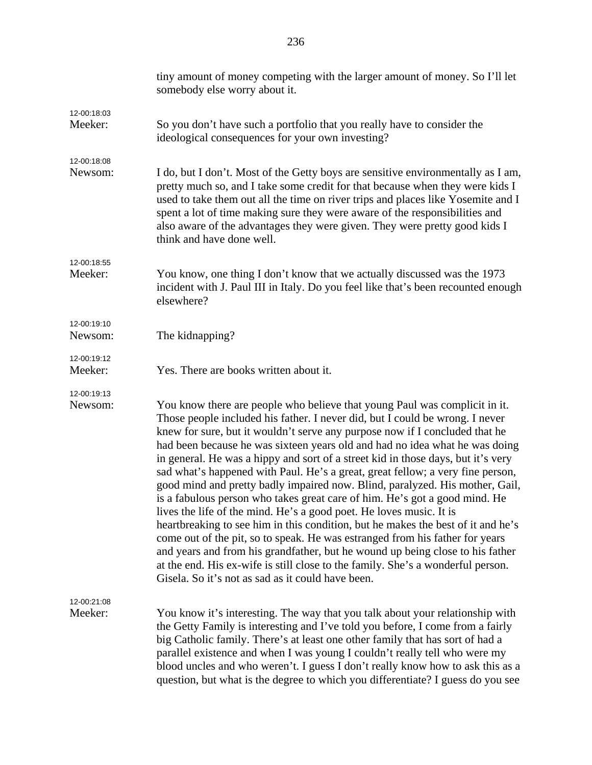|                        | tiny amount of money competing with the larger amount of money. So I'll let<br>somebody else worry about it.                                                                                                                                                                                                                                                                                                                                                                                                                                                                                                                                                                                                                                                                                                                                                                                                                                                                                                                                                                                                                     |
|------------------------|----------------------------------------------------------------------------------------------------------------------------------------------------------------------------------------------------------------------------------------------------------------------------------------------------------------------------------------------------------------------------------------------------------------------------------------------------------------------------------------------------------------------------------------------------------------------------------------------------------------------------------------------------------------------------------------------------------------------------------------------------------------------------------------------------------------------------------------------------------------------------------------------------------------------------------------------------------------------------------------------------------------------------------------------------------------------------------------------------------------------------------|
| 12-00:18:03<br>Meeker: | So you don't have such a portfolio that you really have to consider the<br>ideological consequences for your own investing?                                                                                                                                                                                                                                                                                                                                                                                                                                                                                                                                                                                                                                                                                                                                                                                                                                                                                                                                                                                                      |
| 12-00:18:08<br>Newsom: | I do, but I don't. Most of the Getty boys are sensitive environmentally as I am,<br>pretty much so, and I take some credit for that because when they were kids I<br>used to take them out all the time on river trips and places like Yosemite and I<br>spent a lot of time making sure they were aware of the responsibilities and<br>also aware of the advantages they were given. They were pretty good kids I<br>think and have done well.                                                                                                                                                                                                                                                                                                                                                                                                                                                                                                                                                                                                                                                                                  |
| 12-00:18:55<br>Meeker: | You know, one thing I don't know that we actually discussed was the 1973<br>incident with J. Paul III in Italy. Do you feel like that's been recounted enough<br>elsewhere?                                                                                                                                                                                                                                                                                                                                                                                                                                                                                                                                                                                                                                                                                                                                                                                                                                                                                                                                                      |
| 12-00:19:10<br>Newsom: | The kidnapping?                                                                                                                                                                                                                                                                                                                                                                                                                                                                                                                                                                                                                                                                                                                                                                                                                                                                                                                                                                                                                                                                                                                  |
| 12-00:19:12<br>Meeker: | Yes. There are books written about it.                                                                                                                                                                                                                                                                                                                                                                                                                                                                                                                                                                                                                                                                                                                                                                                                                                                                                                                                                                                                                                                                                           |
| 12-00:19:13<br>Newsom: | You know there are people who believe that young Paul was complicit in it.<br>Those people included his father. I never did, but I could be wrong. I never<br>knew for sure, but it wouldn't serve any purpose now if I concluded that he<br>had been because he was sixteen years old and had no idea what he was doing<br>in general. He was a hippy and sort of a street kid in those days, but it's very<br>sad what's happened with Paul. He's a great, great fellow; a very fine person,<br>good mind and pretty badly impaired now. Blind, paralyzed. His mother, Gail,<br>is a fabulous person who takes great care of him. He's got a good mind. He<br>lives the life of the mind. He's a good poet. He loves music. It is<br>heartbreaking to see him in this condition, but he makes the best of it and he's<br>come out of the pit, so to speak. He was estranged from his father for years<br>and years and from his grandfather, but he wound up being close to his father<br>at the end. His ex-wife is still close to the family. She's a wonderful person.<br>Gisela. So it's not as sad as it could have been. |
| 12-00:21:08<br>Meeker: | You know it's interesting. The way that you talk about your relationship with<br>the Getty Family is interesting and I've told you before, I come from a fairly<br>big Catholic family. There's at least one other family that has sort of had a<br>parallel existence and when I was young I couldn't really tell who were my<br>blood uncles and who weren't. I guess I don't really know how to ask this as a<br>question, but what is the degree to which you differentiate? I guess do you see                                                                                                                                                                                                                                                                                                                                                                                                                                                                                                                                                                                                                              |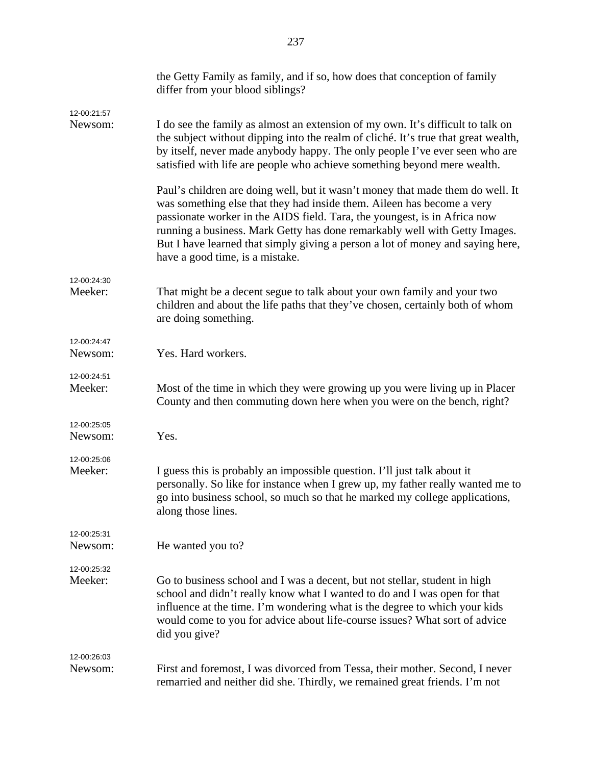|                        | the Getty Family as family, and if so, how does that conception of family<br>differ from your blood siblings?                                                                                                                                                                                                                                                                                                                            |
|------------------------|------------------------------------------------------------------------------------------------------------------------------------------------------------------------------------------------------------------------------------------------------------------------------------------------------------------------------------------------------------------------------------------------------------------------------------------|
| 12-00:21:57<br>Newsom: | I do see the family as almost an extension of my own. It's difficult to talk on                                                                                                                                                                                                                                                                                                                                                          |
|                        | the subject without dipping into the realm of cliché. It's true that great wealth,<br>by itself, never made anybody happy. The only people I've ever seen who are<br>satisfied with life are people who achieve something beyond mere wealth.                                                                                                                                                                                            |
|                        | Paul's children are doing well, but it wasn't money that made them do well. It<br>was something else that they had inside them. Aileen has become a very<br>passionate worker in the AIDS field. Tara, the youngest, is in Africa now<br>running a business. Mark Getty has done remarkably well with Getty Images.<br>But I have learned that simply giving a person a lot of money and saying here,<br>have a good time, is a mistake. |
| 12-00:24:30<br>Meeker: | That might be a decent segue to talk about your own family and your two<br>children and about the life paths that they've chosen, certainly both of whom<br>are doing something.                                                                                                                                                                                                                                                         |
| 12-00:24:47<br>Newsom: | Yes. Hard workers.                                                                                                                                                                                                                                                                                                                                                                                                                       |
| 12-00:24:51<br>Meeker: | Most of the time in which they were growing up you were living up in Placer<br>County and then commuting down here when you were on the bench, right?                                                                                                                                                                                                                                                                                    |
| 12-00:25:05<br>Newsom: | Yes.                                                                                                                                                                                                                                                                                                                                                                                                                                     |
| 12-00:25:06<br>Meeker: | I guess this is probably an impossible question. I'll just talk about it<br>personally. So like for instance when I grew up, my father really wanted me to<br>go into business school, so much so that he marked my college applications,<br>along those lines.                                                                                                                                                                          |
| 12-00:25:31<br>Newsom: | He wanted you to?                                                                                                                                                                                                                                                                                                                                                                                                                        |
| 12-00:25:32            |                                                                                                                                                                                                                                                                                                                                                                                                                                          |
| Meeker:                | Go to business school and I was a decent, but not stellar, student in high<br>school and didn't really know what I wanted to do and I was open for that<br>influence at the time. I'm wondering what is the degree to which your kids<br>would come to you for advice about life-course issues? What sort of advice<br>did you give?                                                                                                     |
| 12-00:26:03<br>Newsom: | First and foremost, I was divorced from Tessa, their mother. Second, I never<br>remarried and neither did she. Thirdly, we remained great friends. I'm not                                                                                                                                                                                                                                                                               |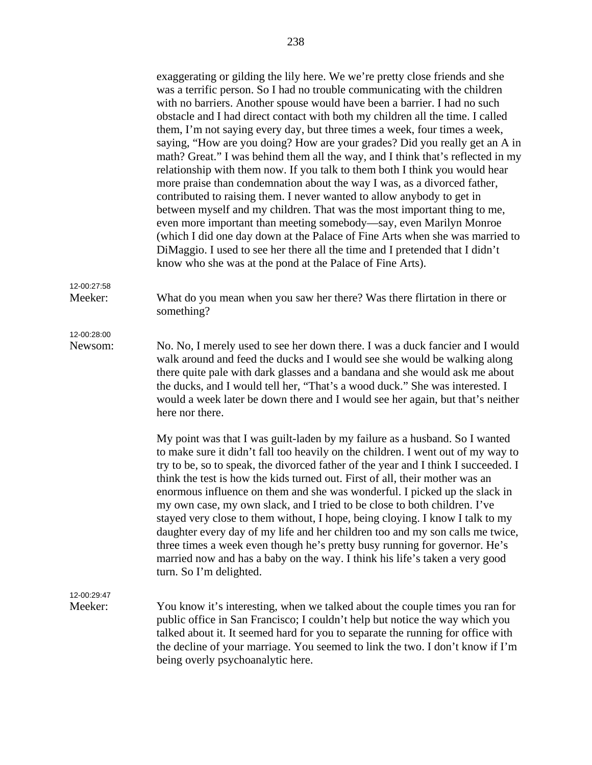exaggerating or gilding the lily here. We we're pretty close friends and she was a terrific person. So I had no trouble communicating with the children with no barriers. Another spouse would have been a barrier. I had no such obstacle and I had direct contact with both my children all the time. I called them, I'm not saying every day, but three times a week, four times a week, saying, "How are you doing? How are your grades? Did you really get an A in math? Great." I was behind them all the way, and I think that's reflected in my relationship with them now. If you talk to them both I think you would hear more praise than condemnation about the way I was, as a divorced father, contributed to raising them. I never wanted to allow anybody to get in between myself and my children. That was the most important thing to me, even more important than meeting somebody—say, even Marilyn Monroe (which I did one day down at the Palace of Fine Arts when she was married to DiMaggio. I used to see her there all the time and I pretended that I didn't know who she was at the pond at the Palace of Fine Arts).

12-00:27:58

Meeker: What do you mean when you saw her there? Was there flirtation in there or something?

12-00:28:00

Newsom: No. No, I merely used to see her down there. I was a duck fancier and I would walk around and feed the ducks and I would see she would be walking along there quite pale with dark glasses and a bandana and she would ask me about the ducks, and I would tell her, "That's a wood duck." She was interested. I would a week later be down there and I would see her again, but that's neither here nor there.

> My point was that I was guilt-laden by my failure as a husband. So I wanted to make sure it didn't fall too heavily on the children. I went out of my way to try to be, so to speak, the divorced father of the year and I think I succeeded. I think the test is how the kids turned out. First of all, their mother was an enormous influence on them and she was wonderful. I picked up the slack in my own case, my own slack, and I tried to be close to both children. I've stayed very close to them without, I hope, being cloying. I know I talk to my daughter every day of my life and her children too and my son calls me twice, three times a week even though he's pretty busy running for governor. He's married now and has a baby on the way. I think his life's taken a very good turn. So I'm delighted.

## 12-00:29:47

Meeker: You know it's interesting, when we talked about the couple times you ran for public office in San Francisco; I couldn't help but notice the way which you talked about it. It seemed hard for you to separate the running for office with the decline of your marriage. You seemed to link the two. I don't know if I'm being overly psychoanalytic here.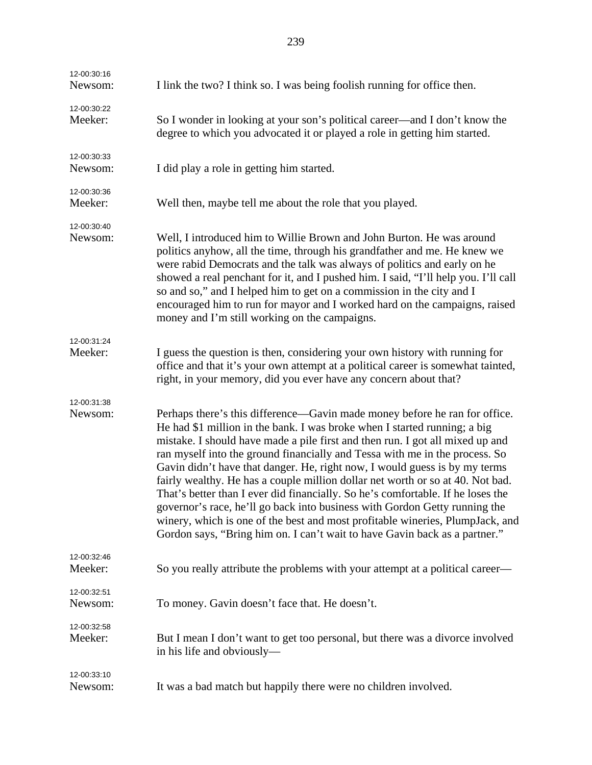| 12-00:30:16<br>Newsom: | I link the two? I think so. I was being foolish running for office then.                                                                                                                                                                                                                                                                                                                                                                                                                                                                                                                                                                                                                                                                                                                                                |
|------------------------|-------------------------------------------------------------------------------------------------------------------------------------------------------------------------------------------------------------------------------------------------------------------------------------------------------------------------------------------------------------------------------------------------------------------------------------------------------------------------------------------------------------------------------------------------------------------------------------------------------------------------------------------------------------------------------------------------------------------------------------------------------------------------------------------------------------------------|
| 12-00:30:22<br>Meeker: | So I wonder in looking at your son's political career—and I don't know the<br>degree to which you advocated it or played a role in getting him started.                                                                                                                                                                                                                                                                                                                                                                                                                                                                                                                                                                                                                                                                 |
| 12-00:30:33<br>Newsom: | I did play a role in getting him started.                                                                                                                                                                                                                                                                                                                                                                                                                                                                                                                                                                                                                                                                                                                                                                               |
| 12-00:30:36<br>Meeker: | Well then, maybe tell me about the role that you played.                                                                                                                                                                                                                                                                                                                                                                                                                                                                                                                                                                                                                                                                                                                                                                |
| 12-00:30:40<br>Newsom: | Well, I introduced him to Willie Brown and John Burton. He was around<br>politics anyhow, all the time, through his grandfather and me. He knew we<br>were rabid Democrats and the talk was always of politics and early on he<br>showed a real penchant for it, and I pushed him. I said, "I'll help you. I'll call<br>so and so," and I helped him to get on a commission in the city and I<br>encouraged him to run for mayor and I worked hard on the campaigns, raised<br>money and I'm still working on the campaigns.                                                                                                                                                                                                                                                                                            |
| 12-00:31:24<br>Meeker: | I guess the question is then, considering your own history with running for<br>office and that it's your own attempt at a political career is somewhat tainted,<br>right, in your memory, did you ever have any concern about that?                                                                                                                                                                                                                                                                                                                                                                                                                                                                                                                                                                                     |
| 12-00:31:38<br>Newsom: | Perhaps there's this difference—Gavin made money before he ran for office.<br>He had \$1 million in the bank. I was broke when I started running; a big<br>mistake. I should have made a pile first and then run. I got all mixed up and<br>ran myself into the ground financially and Tessa with me in the process. So<br>Gavin didn't have that danger. He, right now, I would guess is by my terms<br>fairly wealthy. He has a couple million dollar net worth or so at 40. Not bad.<br>That's better than I ever did financially. So he's comfortable. If he loses the<br>governor's race, he'll go back into business with Gordon Getty running the<br>winery, which is one of the best and most profitable wineries, PlumpJack, and<br>Gordon says, "Bring him on. I can't wait to have Gavin back as a partner." |
| 12-00:32:46<br>Meeker: | So you really attribute the problems with your attempt at a political career—                                                                                                                                                                                                                                                                                                                                                                                                                                                                                                                                                                                                                                                                                                                                           |
| 12-00:32:51<br>Newsom: | To money. Gavin doesn't face that. He doesn't.                                                                                                                                                                                                                                                                                                                                                                                                                                                                                                                                                                                                                                                                                                                                                                          |
| 12-00:32:58<br>Meeker: | But I mean I don't want to get too personal, but there was a divorce involved<br>in his life and obviously—                                                                                                                                                                                                                                                                                                                                                                                                                                                                                                                                                                                                                                                                                                             |
| 12-00:33:10<br>Newsom: | It was a bad match but happily there were no children involved.                                                                                                                                                                                                                                                                                                                                                                                                                                                                                                                                                                                                                                                                                                                                                         |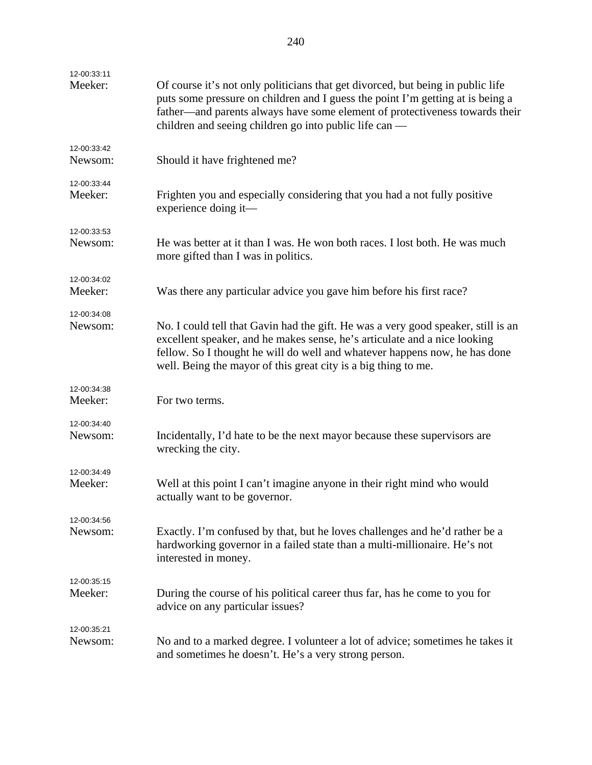| 12-00:33:11<br>Meeker: | Of course it's not only politicians that get divorced, but being in public life<br>puts some pressure on children and I guess the point I'm getting at is being a<br>father-and parents always have some element of protectiveness towards their<br>children and seeing children go into public life can —     |
|------------------------|----------------------------------------------------------------------------------------------------------------------------------------------------------------------------------------------------------------------------------------------------------------------------------------------------------------|
| 12-00:33:42<br>Newsom: | Should it have frightened me?                                                                                                                                                                                                                                                                                  |
| 12-00:33:44            | Frighten you and especially considering that you had a not fully positive                                                                                                                                                                                                                                      |
| Meeker:                | experience doing it-                                                                                                                                                                                                                                                                                           |
| 12-00:33:53            | He was better at it than I was. He won both races. I lost both. He was much                                                                                                                                                                                                                                    |
| Newsom:                | more gifted than I was in politics.                                                                                                                                                                                                                                                                            |
| 12-00:34:02<br>Meeker: | Was there any particular advice you gave him before his first race?                                                                                                                                                                                                                                            |
| 12-00:34:08<br>Newsom: | No. I could tell that Gavin had the gift. He was a very good speaker, still is an<br>excellent speaker, and he makes sense, he's articulate and a nice looking<br>fellow. So I thought he will do well and whatever happens now, he has done<br>well. Being the mayor of this great city is a big thing to me. |
| 12-00:34:38<br>Meeker: | For two terms.                                                                                                                                                                                                                                                                                                 |
| 12-00:34:40            | Incidentally, I'd hate to be the next mayor because these supervisors are                                                                                                                                                                                                                                      |
| Newsom:                | wrecking the city.                                                                                                                                                                                                                                                                                             |
| 12-00:34:49            | Well at this point I can't imagine anyone in their right mind who would                                                                                                                                                                                                                                        |
| Meeker:                | actually want to be governor.                                                                                                                                                                                                                                                                                  |
| 12-00:34:56<br>Newsom: | Exactly. I'm confused by that, but he loves challenges and he'd rather be a<br>hardworking governor in a failed state than a multi-millionaire. He's not<br>interested in money.                                                                                                                               |
| 12-00:35:15            | During the course of his political career thus far, has he come to you for                                                                                                                                                                                                                                     |
| Meeker:                | advice on any particular issues?                                                                                                                                                                                                                                                                               |
| 12-00:35:21            | No and to a marked degree. I volunteer a lot of advice; sometimes he takes it                                                                                                                                                                                                                                  |
| Newsom:                | and sometimes he doesn't. He's a very strong person.                                                                                                                                                                                                                                                           |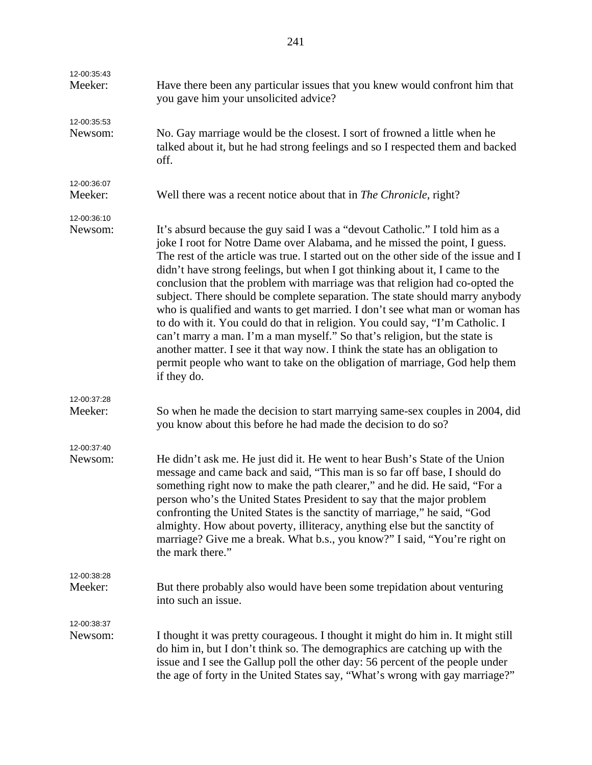| 12-00:35:43<br>Meeker: | Have there been any particular issues that you knew would confront him that<br>you gave him your unsolicited advice?                                                                                                                                                                                                                                                                                                                                                                                                                                                                                                                                                                                                                                                                                                                                                                                                            |
|------------------------|---------------------------------------------------------------------------------------------------------------------------------------------------------------------------------------------------------------------------------------------------------------------------------------------------------------------------------------------------------------------------------------------------------------------------------------------------------------------------------------------------------------------------------------------------------------------------------------------------------------------------------------------------------------------------------------------------------------------------------------------------------------------------------------------------------------------------------------------------------------------------------------------------------------------------------|
| 12-00:35:53<br>Newsom: | No. Gay marriage would be the closest. I sort of frowned a little when he<br>talked about it, but he had strong feelings and so I respected them and backed<br>off.                                                                                                                                                                                                                                                                                                                                                                                                                                                                                                                                                                                                                                                                                                                                                             |
| 12-00:36:07<br>Meeker: | Well there was a recent notice about that in <i>The Chronicle</i> , right?                                                                                                                                                                                                                                                                                                                                                                                                                                                                                                                                                                                                                                                                                                                                                                                                                                                      |
| 12-00:36:10<br>Newsom: | It's absurd because the guy said I was a "devout Catholic." I told him as a<br>joke I root for Notre Dame over Alabama, and he missed the point, I guess.<br>The rest of the article was true. I started out on the other side of the issue and I<br>didn't have strong feelings, but when I got thinking about it, I came to the<br>conclusion that the problem with marriage was that religion had co-opted the<br>subject. There should be complete separation. The state should marry anybody<br>who is qualified and wants to get married. I don't see what man or woman has<br>to do with it. You could do that in religion. You could say, "I'm Catholic. I<br>can't marry a man. I'm a man myself." So that's religion, but the state is<br>another matter. I see it that way now. I think the state has an obligation to<br>permit people who want to take on the obligation of marriage, God help them<br>if they do. |
| 12-00:37:28<br>Meeker: | So when he made the decision to start marrying same-sex couples in 2004, did<br>you know about this before he had made the decision to do so?                                                                                                                                                                                                                                                                                                                                                                                                                                                                                                                                                                                                                                                                                                                                                                                   |
| 12-00:37:40<br>Newsom: | He didn't ask me. He just did it. He went to hear Bush's State of the Union<br>message and came back and said, "This man is so far off base, I should do<br>something right now to make the path clearer," and he did. He said, "For a<br>person who's the United States President to say that the major problem<br>confronting the United States is the sanctity of marriage," he said, "God<br>almighty. How about poverty, illiteracy, anything else but the sanctity of<br>marriage? Give me a break. What b.s., you know?" I said, "You're right on<br>the mark there."                                                                                                                                                                                                                                                                                                                                                    |
| 12-00:38:28<br>Meeker: | But there probably also would have been some trepidation about venturing<br>into such an issue.                                                                                                                                                                                                                                                                                                                                                                                                                                                                                                                                                                                                                                                                                                                                                                                                                                 |
| 12-00:38:37<br>Newsom: | I thought it was pretty courageous. I thought it might do him in. It might still<br>do him in, but I don't think so. The demographics are catching up with the<br>issue and I see the Gallup poll the other day: 56 percent of the people under<br>the age of forty in the United States say, "What's wrong with gay marriage?"                                                                                                                                                                                                                                                                                                                                                                                                                                                                                                                                                                                                 |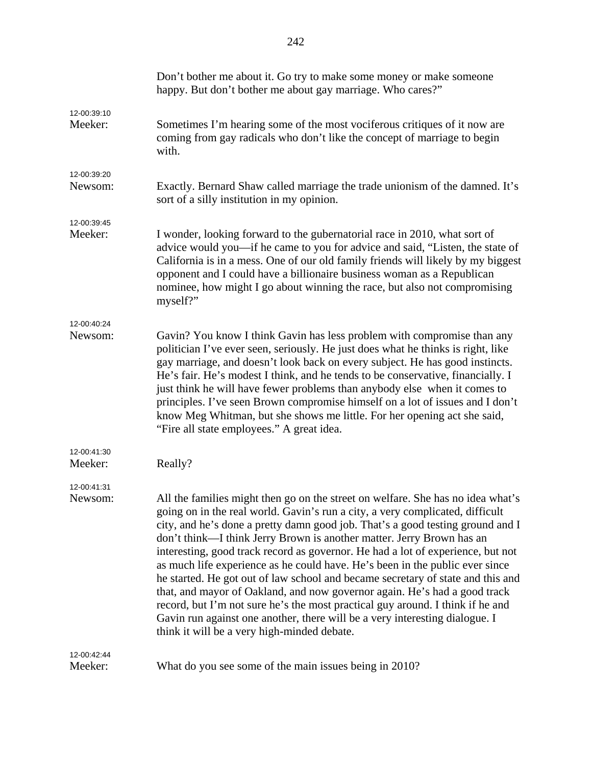|                        | Don't bother me about it. Go try to make some money or make someone<br>happy. But don't bother me about gay marriage. Who cares?"                                                                                                                                                                                                                                                                                                                                                                                                                                                                                                                                                                                                                                                                                                                                              |
|------------------------|--------------------------------------------------------------------------------------------------------------------------------------------------------------------------------------------------------------------------------------------------------------------------------------------------------------------------------------------------------------------------------------------------------------------------------------------------------------------------------------------------------------------------------------------------------------------------------------------------------------------------------------------------------------------------------------------------------------------------------------------------------------------------------------------------------------------------------------------------------------------------------|
| 12-00:39:10<br>Meeker: | Sometimes I'm hearing some of the most vociferous critiques of it now are<br>coming from gay radicals who don't like the concept of marriage to begin<br>with.                                                                                                                                                                                                                                                                                                                                                                                                                                                                                                                                                                                                                                                                                                                 |
| 12-00:39:20<br>Newsom: | Exactly. Bernard Shaw called marriage the trade unionism of the damned. It's<br>sort of a silly institution in my opinion.                                                                                                                                                                                                                                                                                                                                                                                                                                                                                                                                                                                                                                                                                                                                                     |
| 12-00:39:45<br>Meeker: | I wonder, looking forward to the gubernatorial race in 2010, what sort of<br>advice would you—if he came to you for advice and said, "Listen, the state of<br>California is in a mess. One of our old family friends will likely by my biggest<br>opponent and I could have a billionaire business woman as a Republican<br>nominee, how might I go about winning the race, but also not compromising<br>myself?"                                                                                                                                                                                                                                                                                                                                                                                                                                                              |
| 12-00:40:24<br>Newsom: | Gavin? You know I think Gavin has less problem with compromise than any<br>politician I've ever seen, seriously. He just does what he thinks is right, like<br>gay marriage, and doesn't look back on every subject. He has good instincts.<br>He's fair. He's modest I think, and he tends to be conservative, financially. I<br>just think he will have fewer problems than anybody else when it comes to<br>principles. I've seen Brown compromise himself on a lot of issues and I don't<br>know Meg Whitman, but she shows me little. For her opening act she said,<br>"Fire all state employees." A great idea.                                                                                                                                                                                                                                                          |
| 12-00:41:30<br>Meeker: | Really?                                                                                                                                                                                                                                                                                                                                                                                                                                                                                                                                                                                                                                                                                                                                                                                                                                                                        |
| 12-00:41:31<br>Newsom: | All the families might then go on the street on welfare. She has no idea what's<br>going on in the real world. Gavin's run a city, a very complicated, difficult<br>city, and he's done a pretty damn good job. That's a good testing ground and I<br>don't think—I think Jerry Brown is another matter. Jerry Brown has an<br>interesting, good track record as governor. He had a lot of experience, but not<br>as much life experience as he could have. He's been in the public ever since<br>he started. He got out of law school and became secretary of state and this and<br>that, and mayor of Oakland, and now governor again. He's had a good track<br>record, but I'm not sure he's the most practical guy around. I think if he and<br>Gavin run against one another, there will be a very interesting dialogue. I<br>think it will be a very high-minded debate. |
| 12-00:42:44<br>Meeker: | What do you see some of the main issues being in 2010?                                                                                                                                                                                                                                                                                                                                                                                                                                                                                                                                                                                                                                                                                                                                                                                                                         |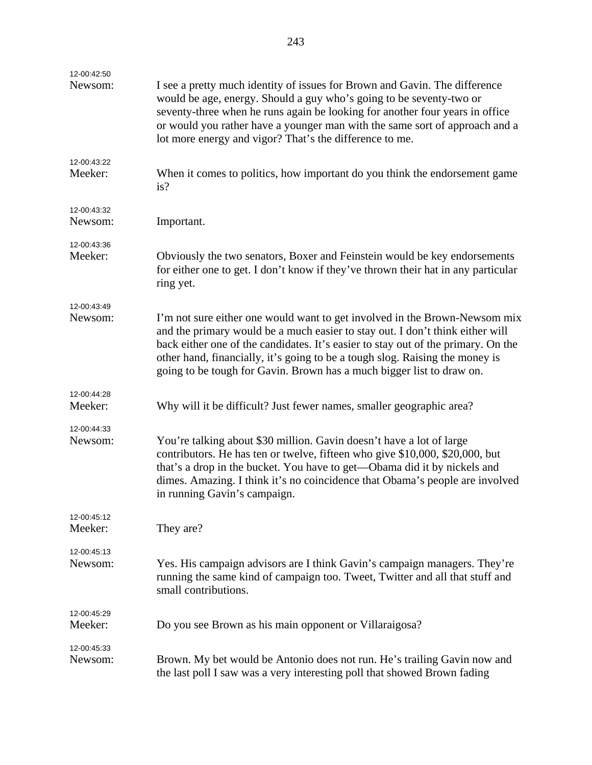| 12-00:42:50            |                                                                                                                                                                                                                                                                                                                                                                                                           |
|------------------------|-----------------------------------------------------------------------------------------------------------------------------------------------------------------------------------------------------------------------------------------------------------------------------------------------------------------------------------------------------------------------------------------------------------|
| Newsom:                | I see a pretty much identity of issues for Brown and Gavin. The difference<br>would be age, energy. Should a guy who's going to be seventy-two or<br>seventy-three when he runs again be looking for another four years in office<br>or would you rather have a younger man with the same sort of approach and a<br>lot more energy and vigor? That's the difference to me.                               |
| 12-00:43:22<br>Meeker: | When it comes to politics, how important do you think the endorsement game<br>is?                                                                                                                                                                                                                                                                                                                         |
| 12-00:43:32<br>Newsom: | Important.                                                                                                                                                                                                                                                                                                                                                                                                |
| 12-00:43:36<br>Meeker: | Obviously the two senators, Boxer and Feinstein would be key endorsements<br>for either one to get. I don't know if they've thrown their hat in any particular<br>ring yet.                                                                                                                                                                                                                               |
| 12-00:43:49<br>Newsom: | I'm not sure either one would want to get involved in the Brown-Newsom mix<br>and the primary would be a much easier to stay out. I don't think either will<br>back either one of the candidates. It's easier to stay out of the primary. On the<br>other hand, financially, it's going to be a tough slog. Raising the money is<br>going to be tough for Gavin. Brown has a much bigger list to draw on. |
| 12-00:44:28<br>Meeker: | Why will it be difficult? Just fewer names, smaller geographic area?                                                                                                                                                                                                                                                                                                                                      |
| 12-00:44:33<br>Newsom: | You're talking about \$30 million. Gavin doesn't have a lot of large<br>contributors. He has ten or twelve, fifteen who give \$10,000, \$20,000, but<br>that's a drop in the bucket. You have to get-Obama did it by nickels and<br>dimes. Amazing. I think it's no coincidence that Obama's people are involved<br>in running Gavin's campaign.                                                          |
| 12-00:45:12<br>Meeker: | They are?                                                                                                                                                                                                                                                                                                                                                                                                 |
| 12-00:45:13<br>Newsom: | Yes. His campaign advisors are I think Gavin's campaign managers. They're<br>running the same kind of campaign too. Tweet, Twitter and all that stuff and<br>small contributions.                                                                                                                                                                                                                         |
| 12-00:45:29<br>Meeker: | Do you see Brown as his main opponent or Villaraigosa?                                                                                                                                                                                                                                                                                                                                                    |
| 12-00:45:33<br>Newsom: | Brown. My bet would be Antonio does not run. He's trailing Gavin now and<br>the last poll I saw was a very interesting poll that showed Brown fading                                                                                                                                                                                                                                                      |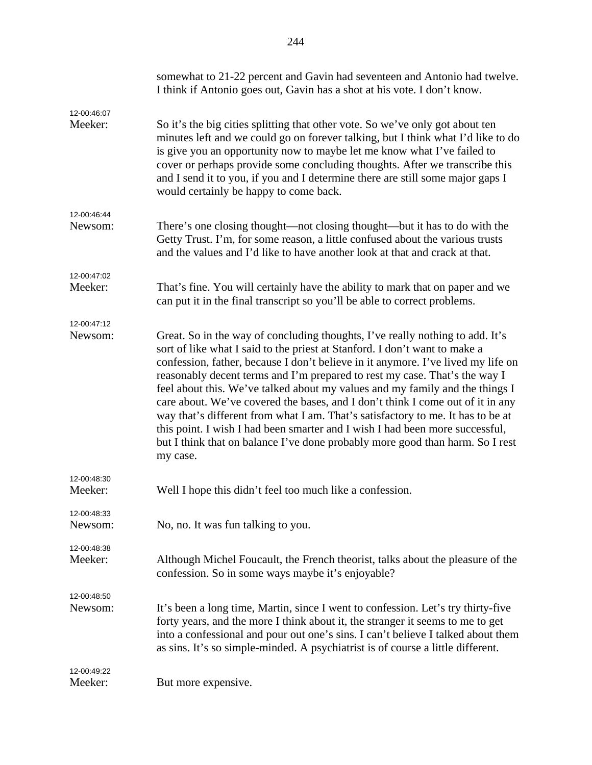|                        | somewhat to 21-22 percent and Gavin had seventeen and Antonio had twelve.<br>I think if Antonio goes out, Gavin has a shot at his vote. I don't know.                                                                                                                                                                                                                                                                                                                                                                                                                                                                                                                                                                                                           |
|------------------------|-----------------------------------------------------------------------------------------------------------------------------------------------------------------------------------------------------------------------------------------------------------------------------------------------------------------------------------------------------------------------------------------------------------------------------------------------------------------------------------------------------------------------------------------------------------------------------------------------------------------------------------------------------------------------------------------------------------------------------------------------------------------|
| 12-00:46:07<br>Meeker: | So it's the big cities splitting that other vote. So we've only got about ten<br>minutes left and we could go on forever talking, but I think what I'd like to do<br>is give you an opportunity now to maybe let me know what I've failed to<br>cover or perhaps provide some concluding thoughts. After we transcribe this<br>and I send it to you, if you and I determine there are still some major gaps I<br>would certainly be happy to come back.                                                                                                                                                                                                                                                                                                         |
| 12-00:46:44<br>Newsom: | There's one closing thought—not closing thought—but it has to do with the<br>Getty Trust. I'm, for some reason, a little confused about the various trusts<br>and the values and I'd like to have another look at that and crack at that.                                                                                                                                                                                                                                                                                                                                                                                                                                                                                                                       |
| 12-00:47:02<br>Meeker: | That's fine. You will certainly have the ability to mark that on paper and we<br>can put it in the final transcript so you'll be able to correct problems.                                                                                                                                                                                                                                                                                                                                                                                                                                                                                                                                                                                                      |
| 12-00:47:12<br>Newsom: | Great. So in the way of concluding thoughts, I've really nothing to add. It's<br>sort of like what I said to the priest at Stanford. I don't want to make a<br>confession, father, because I don't believe in it anymore. I've lived my life on<br>reasonably decent terms and I'm prepared to rest my case. That's the way I<br>feel about this. We've talked about my values and my family and the things I<br>care about. We've covered the bases, and I don't think I come out of it in any<br>way that's different from what I am. That's satisfactory to me. It has to be at<br>this point. I wish I had been smarter and I wish I had been more successful,<br>but I think that on balance I've done probably more good than harm. So I rest<br>my case. |
| 12-00:48:30<br>Meeker: | Well I hope this didn't feel too much like a confession.                                                                                                                                                                                                                                                                                                                                                                                                                                                                                                                                                                                                                                                                                                        |
| 12-00:48:33<br>Newsom: | No, no. It was fun talking to you.                                                                                                                                                                                                                                                                                                                                                                                                                                                                                                                                                                                                                                                                                                                              |
| 12-00:48:38<br>Meeker: | Although Michel Foucault, the French theorist, talks about the pleasure of the<br>confession. So in some ways maybe it's enjoyable?                                                                                                                                                                                                                                                                                                                                                                                                                                                                                                                                                                                                                             |
| 12-00:48:50<br>Newsom: | It's been a long time, Martin, since I went to confession. Let's try thirty-five<br>forty years, and the more I think about it, the stranger it seems to me to get<br>into a confessional and pour out one's sins. I can't believe I talked about them<br>as sins. It's so simple-minded. A psychiatrist is of course a little different.                                                                                                                                                                                                                                                                                                                                                                                                                       |
| 12-00:49:22<br>Meeker: | But more expensive.                                                                                                                                                                                                                                                                                                                                                                                                                                                                                                                                                                                                                                                                                                                                             |